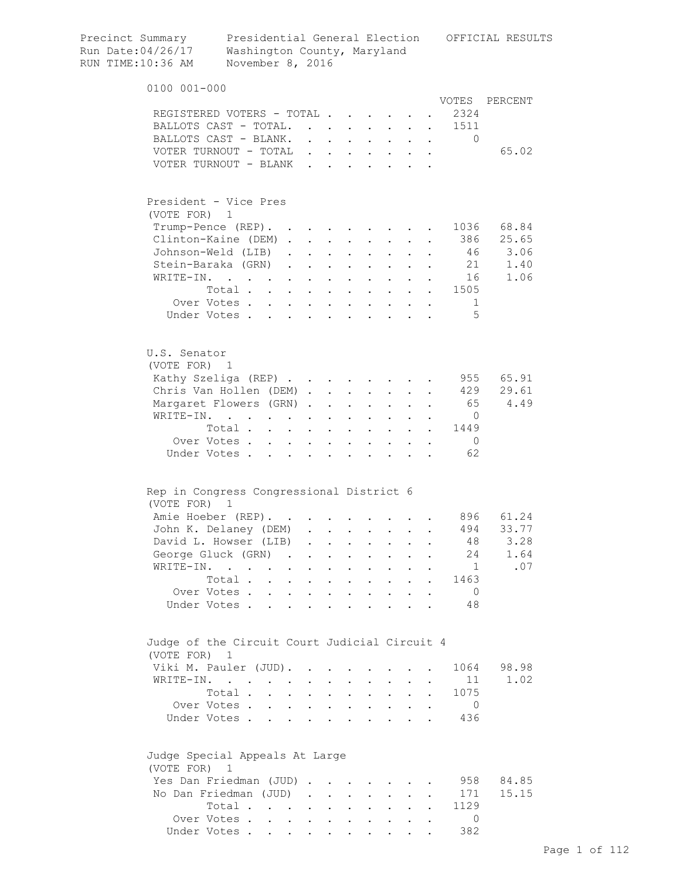| Precinct Summary<br>Run Date:04/26/17<br>RUN TIME:10:36 AM  | Washington County, Maryland<br>November 8, 2016                             |                      |                                                                                                                                                                                                                                        |                                                       |                      |                           |                      |                                                             |                           |                      |                                                                                     | Presidential General Election OFFICIAL RESULTS |
|-------------------------------------------------------------|-----------------------------------------------------------------------------|----------------------|----------------------------------------------------------------------------------------------------------------------------------------------------------------------------------------------------------------------------------------|-------------------------------------------------------|----------------------|---------------------------|----------------------|-------------------------------------------------------------|---------------------------|----------------------|-------------------------------------------------------------------------------------|------------------------------------------------|
| 0100 001-000                                                |                                                                             |                      |                                                                                                                                                                                                                                        |                                                       |                      |                           |                      |                                                             |                           |                      |                                                                                     |                                                |
|                                                             |                                                                             |                      |                                                                                                                                                                                                                                        |                                                       |                      |                           |                      |                                                             |                           |                      | VOTES                                                                               | PERCENT                                        |
| REGISTERED VOTERS - TOTAL                                   |                                                                             |                      |                                                                                                                                                                                                                                        |                                                       |                      |                           |                      |                                                             |                           |                      | 2324                                                                                |                                                |
| BALLOTS CAST - TOTAL.<br>BALLOTS CAST - BLANK.              |                                                                             |                      |                                                                                                                                                                                                                                        |                                                       |                      |                           |                      |                                                             |                           |                      | 1511<br>$\bullet$ .<br><br><br><br><br><br><br><br><br><br><br><br><br><br>$\Omega$ |                                                |
| VOTER TURNOUT - TOTAL                                       |                                                                             |                      |                                                                                                                                                                                                                                        | $\ddot{\phantom{0}}$                                  |                      | $\mathbf{L} = \mathbf{L}$ |                      |                                                             |                           |                      |                                                                                     | 65.02                                          |
| VOTER TURNOUT - BLANK                                       |                                                                             |                      |                                                                                                                                                                                                                                        | $\mathbf{r}$                                          |                      |                           |                      |                                                             |                           |                      |                                                                                     |                                                |
|                                                             |                                                                             |                      |                                                                                                                                                                                                                                        |                                                       |                      |                           |                      |                                                             |                           |                      |                                                                                     |                                                |
| President - Vice Pres                                       |                                                                             |                      |                                                                                                                                                                                                                                        |                                                       |                      |                           |                      |                                                             |                           |                      |                                                                                     |                                                |
| (VOTE FOR)                                                  | 1                                                                           |                      |                                                                                                                                                                                                                                        |                                                       |                      |                           |                      |                                                             |                           |                      | 1036                                                                                | 68.84                                          |
| Trump-Pence (REP).<br>Clinton-Kaine (DEM).                  |                                                                             |                      |                                                                                                                                                                                                                                        |                                                       |                      |                           |                      | <b>Contract Contract Contract</b>                           |                           | $\sim$ $\sim$        | 386                                                                                 | 25.65                                          |
| Johnson-Weld (LIB)                                          |                                                                             |                      | $\mathbf{L}$                                                                                                                                                                                                                           | $\mathbf{L}^{\text{max}}$ , $\mathbf{L}^{\text{max}}$ | $\ddot{\phantom{a}}$ |                           |                      | $\mathbf{L}^{\text{max}}$                                   |                           |                      | 46                                                                                  | 3.06                                           |
| Stein-Baraka (GRN)                                          |                                                                             |                      | $\mathbf{L}$                                                                                                                                                                                                                           | $\ddot{\phantom{0}}$                                  | $\ddot{\phantom{a}}$ | $\ddot{\phantom{0}}$      |                      | $\ddot{\phantom{0}}$                                        |                           |                      | 21                                                                                  | 1.40                                           |
| WRITE-IN.                                                   |                                                                             |                      | $\ddot{\phantom{0}}$                                                                                                                                                                                                                   |                                                       |                      | $\ddot{\phantom{0}}$      | $\ddot{\phantom{0}}$ | $\sim$                                                      |                           |                      | 16                                                                                  | 1.06                                           |
|                                                             | Total                                                                       |                      |                                                                                                                                                                                                                                        |                                                       | $\ddot{\phantom{a}}$ | $\sim 100$ km s $^{-1}$   |                      |                                                             |                           |                      | $\cdot \cdot \cdot \cdot \cdot 1505$                                                |                                                |
|                                                             | Over Votes                                                                  |                      |                                                                                                                                                                                                                                        |                                                       | $\ddot{\phantom{a}}$ | $\sim$ $\sim$ $\sim$      |                      | $\mathbf{r}$ , $\mathbf{r}$ , $\mathbf{r}$                  |                           |                      | 1                                                                                   |                                                |
|                                                             | Under Votes                                                                 |                      |                                                                                                                                                                                                                                        |                                                       |                      |                           |                      |                                                             |                           |                      | $\overline{5}$                                                                      |                                                |
|                                                             |                                                                             |                      |                                                                                                                                                                                                                                        |                                                       |                      |                           |                      |                                                             |                           |                      |                                                                                     |                                                |
| U.S. Senator<br>(VOTE FOR) 1                                |                                                                             |                      |                                                                                                                                                                                                                                        |                                                       |                      |                           |                      |                                                             |                           |                      |                                                                                     |                                                |
| Kathy Szeliga (REP)                                         |                                                                             |                      |                                                                                                                                                                                                                                        |                                                       |                      |                           |                      |                                                             |                           |                      |                                                                                     | 955 65.91                                      |
| Chris Van Hollen (DEM)                                      |                                                                             |                      |                                                                                                                                                                                                                                        |                                                       |                      |                           |                      | $\mathbf{L} = \mathbf{L}$                                   | $\mathbf{L}$              |                      | 429                                                                                 | 29.61                                          |
| Margaret Flowers (GRN).                                     |                                                                             |                      |                                                                                                                                                                                                                                        |                                                       | $\ddot{\phantom{a}}$ | $\sim$ $\sim$             | $\mathbf{L}$         | $\mathbf{L}$                                                | $\mathbf{r}$              | $\mathbf{r}$         | 65                                                                                  | 4.49                                           |
| WRITE-IN.                                                   |                                                                             |                      |                                                                                                                                                                                                                                        |                                                       | $\ddot{\phantom{a}}$ | $\mathbf{L}$              |                      | $\cdot$ $\cdot$ $\cdot$                                     |                           |                      | $\overline{0}$                                                                      |                                                |
|                                                             | Total                                                                       |                      |                                                                                                                                                                                                                                        |                                                       |                      | $\ddot{\phantom{a}}$      |                      | $\cdot$ $\cdot$ $\cdot$                                     | $\ddot{\phantom{0}}$      |                      | 1449                                                                                |                                                |
|                                                             | Over Votes                                                                  |                      |                                                                                                                                                                                                                                        |                                                       |                      |                           | $\bullet$ .          | $\mathbf{L}^{\text{max}}$                                   | $\mathbf{L}^{\text{max}}$ | $\sim 10$            | $\bigcirc$                                                                          |                                                |
|                                                             | Under Votes                                                                 |                      | $\ddot{\phantom{a}}$ . The contract of the contract of the contract of the contract of the contract of the contract of the contract of the contract of the contract of the contract of the contract of the contract of the contract of |                                                       |                      | $\sim$                    | $\bullet$            | $\ddot{\phantom{0}}$                                        |                           | $\ddot{\phantom{0}}$ | 62                                                                                  |                                                |
| Rep in Congress Congressional District 6                    |                                                                             |                      |                                                                                                                                                                                                                                        |                                                       |                      |                           |                      |                                                             |                           |                      |                                                                                     |                                                |
| (VOTE FOR)                                                  | 1                                                                           |                      |                                                                                                                                                                                                                                        |                                                       |                      |                           |                      |                                                             |                           |                      |                                                                                     |                                                |
| Amie Hoeber (REP).                                          |                                                                             |                      |                                                                                                                                                                                                                                        |                                                       |                      |                           |                      |                                                             |                           |                      | 896 -                                                                               | 61.24                                          |
| John K. Delaney (DEM)                                       |                                                                             |                      |                                                                                                                                                                                                                                        | $\ddot{\phantom{a}}$                                  |                      |                           |                      |                                                             |                           |                      | 494                                                                                 | 33.77                                          |
| David L. Howser (LIB)                                       |                                                                             |                      |                                                                                                                                                                                                                                        |                                                       |                      | $\ddot{\phantom{0}}$      | $\ddotsc$            | $\bullet$ .<br><br><br><br><br><br><br><br><br><br><br><br> | $\ddot{\phantom{0}}$      |                      | 48                                                                                  | 3.28                                           |
| George Gluck (GRN)                                          |                                                                             | $\sim$               |                                                                                                                                                                                                                                        |                                                       | $\ddot{\phantom{0}}$ | $\ddot{\phantom{a}}$      | $\ddot{\phantom{a}}$ | $\mathbf{L}^{\text{max}}$                                   | $\ddot{\phantom{a}}$      |                      | 24                                                                                  | 1.64                                           |
| WRITE-IN.                                                   |                                                                             |                      | $\ddot{\phantom{a}}$                                                                                                                                                                                                                   | $\bullet$                                             | $\ddot{\phantom{0}}$ | $\bullet$                 | $\ddot{\phantom{0}}$ | $\ddot{\phantom{0}}$                                        |                           |                      | $\mathbf{1}$                                                                        | .07                                            |
|                                                             | Total .                                                                     | $\ddot{\phantom{a}}$ | $\ddot{\phantom{0}}$                                                                                                                                                                                                                   | $\Box$                                                | $\ddot{\phantom{0}}$ | $\ddot{\phantom{a}}$      | $\bullet$            | $\ddot{\phantom{0}}$                                        |                           | $\bullet$            | 1463                                                                                |                                                |
|                                                             | Over Votes.                                                                 |                      | $\ddot{\phantom{a}}$                                                                                                                                                                                                                   |                                                       | $\ddot{\phantom{0}}$ | $\ddot{\phantom{a}}$      |                      |                                                             |                           |                      | $\overline{0}$                                                                      |                                                |
|                                                             | Under Votes.                                                                |                      |                                                                                                                                                                                                                                        |                                                       |                      |                           |                      |                                                             |                           |                      | 48                                                                                  |                                                |
|                                                             |                                                                             |                      |                                                                                                                                                                                                                                        |                                                       |                      |                           |                      |                                                             |                           |                      |                                                                                     |                                                |
| Judge of the Circuit Court Judicial Circuit 4<br>(VOTE FOR) | $\mathbf{1}$                                                                |                      |                                                                                                                                                                                                                                        |                                                       |                      |                           |                      |                                                             |                           |                      |                                                                                     |                                                |
| Viki M. Pauler (JUD).                                       |                                                                             |                      |                                                                                                                                                                                                                                        |                                                       |                      |                           |                      |                                                             |                           |                      | 1064                                                                                | 98.98                                          |
| WRITE-IN.                                                   | $\mathcal{L}(\mathcal{A})$ . The contribution of $\mathcal{A}(\mathcal{A})$ |                      |                                                                                                                                                                                                                                        |                                                       |                      |                           |                      | $\ddot{\phantom{0}}$                                        |                           |                      | 11                                                                                  | 1.02                                           |
|                                                             | Total .                                                                     |                      | $\sim$ $\sim$                                                                                                                                                                                                                          | $\bullet$                                             | $\ddot{\phantom{0}}$ |                           |                      | $\ddot{\phantom{0}}$                                        |                           |                      | 1075                                                                                |                                                |
|                                                             | Over Votes .                                                                | $\cdot$ $\cdot$      |                                                                                                                                                                                                                                        |                                                       | $\ddot{\phantom{0}}$ |                           | $\bullet$            |                                                             |                           |                      | $\overline{0}$                                                                      |                                                |
|                                                             | Under Votes.                                                                |                      | $\mathbf{L}$                                                                                                                                                                                                                           |                                                       |                      |                           |                      |                                                             |                           |                      | 436                                                                                 |                                                |
| Judge Special Appeals At Large                              |                                                                             |                      |                                                                                                                                                                                                                                        |                                                       |                      |                           |                      |                                                             |                           |                      |                                                                                     |                                                |
| (VOTE FOR)                                                  | 1                                                                           |                      |                                                                                                                                                                                                                                        |                                                       |                      |                           |                      |                                                             |                           |                      |                                                                                     |                                                |
| Yes Dan Friedman (JUD)                                      |                                                                             |                      |                                                                                                                                                                                                                                        | $\bullet$                                             |                      |                           |                      |                                                             |                           |                      | 958                                                                                 | 84.85                                          |
| No Dan Friedman (JUD)                                       |                                                                             |                      |                                                                                                                                                                                                                                        | $\bullet$                                             | <b>Contractor</b>    | $\ddot{\phantom{0}}$      |                      | $\sim$                                                      |                           |                      | 171                                                                                 | 15.15                                          |
|                                                             | Total .                                                                     |                      | <b>Contract Contract Contract</b>                                                                                                                                                                                                      |                                                       | $\bullet$            |                           |                      |                                                             |                           |                      | 1129                                                                                |                                                |
|                                                             | Over Votes                                                                  |                      |                                                                                                                                                                                                                                        | $\sim$                                                |                      |                           |                      |                                                             |                           |                      | $\overline{0}$                                                                      |                                                |
|                                                             | Under Votes                                                                 |                      |                                                                                                                                                                                                                                        |                                                       |                      |                           |                      |                                                             |                           |                      | 382                                                                                 |                                                |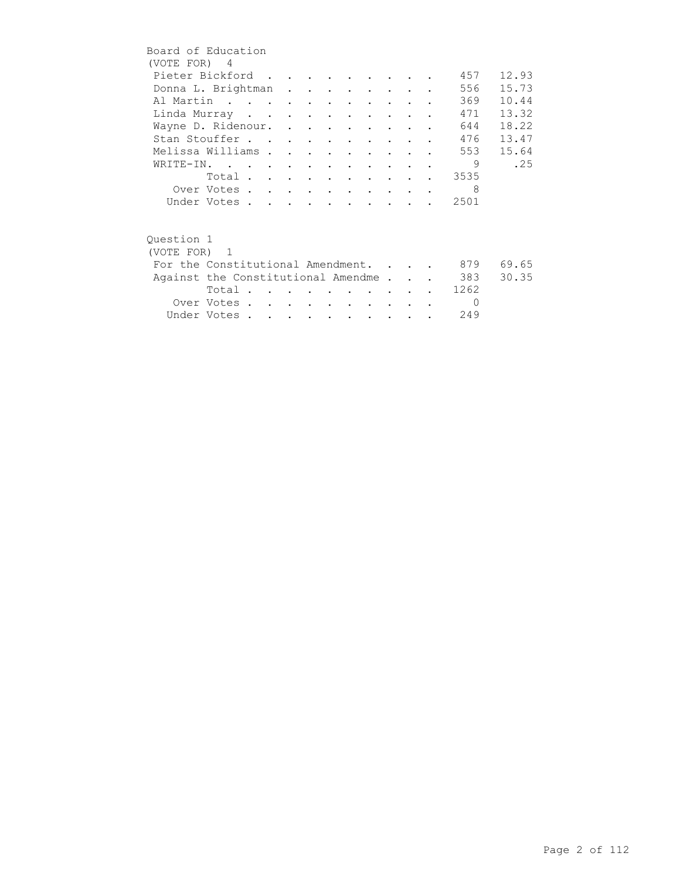|            | Board of Education                 |  |  |                          |                                 |        |               |            |       |
|------------|------------------------------------|--|--|--------------------------|---------------------------------|--------|---------------|------------|-------|
|            | (VOTE FOR) 4                       |  |  |                          |                                 |        |               |            |       |
|            | Pieter Bickford                    |  |  |                          |                                 |        |               | 457        | 12.93 |
|            | Donna L. Brightman                 |  |  |                          |                                 |        |               | 556        | 15.73 |
|            | Al Martin                          |  |  |                          |                                 |        |               | 369        | 10.44 |
|            | Linda Murray                       |  |  |                          |                                 |        |               | 471        | 13.32 |
|            | Wayne D. Ridenour.                 |  |  |                          |                                 |        |               | 644        | 18.22 |
|            | Stan Stouffer                      |  |  |                          |                                 |        |               | 476        | 13.47 |
|            | Melissa Williams                   |  |  |                          | $\cdot$ $\cdot$ $\cdot$ $\cdot$ |        |               | 553        | 15.64 |
|            | WRITE-IN.                          |  |  |                          |                                 |        |               | 9          | .25   |
|            | Total                              |  |  |                          |                                 |        |               | 3535       |       |
|            | Over Votes                         |  |  |                          |                                 |        |               | 8          |       |
|            | Under Votes                        |  |  |                          |                                 |        |               | 2501       |       |
|            |                                    |  |  |                          |                                 |        |               |            |       |
|            |                                    |  |  |                          |                                 |        |               |            |       |
| Ouestion 1 |                                    |  |  |                          |                                 |        |               |            |       |
|            | (VOTE FOR) 1                       |  |  |                          |                                 |        |               |            |       |
|            | For the Constitutional Amendment.  |  |  |                          |                                 |        |               | 879        | 69.65 |
|            | Against the Constitutional Amendme |  |  |                          |                                 |        |               | 383        | 30.35 |
|            | Total                              |  |  |                          |                                 |        |               | 1262       |       |
|            | Over Votes                         |  |  | <b>Contract Contract</b> |                                 | $\sim$ | $\sim$ $\sim$ | $\bigcirc$ |       |
|            | Under Votes                        |  |  |                          |                                 |        |               | 249        |       |
|            |                                    |  |  |                          |                                 |        |               |            |       |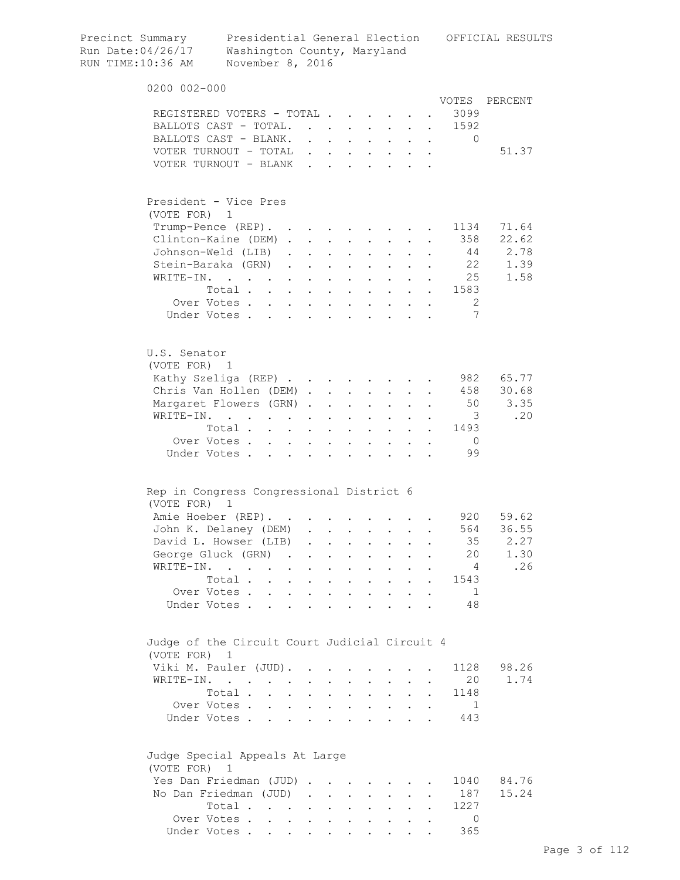| Precinct Summary<br>Run Date:04/26/17<br>RUN TIME:10:36 AM | Washington County, Maryland<br>November 8, 2016                             |                      |                                                                                                                                                                                                                                        |                                                   |                                          |                           |                                                                  |                                              |            |                                                                                 | Presidential General Election OFFICIAL RESULTS |
|------------------------------------------------------------|-----------------------------------------------------------------------------|----------------------|----------------------------------------------------------------------------------------------------------------------------------------------------------------------------------------------------------------------------------------|---------------------------------------------------|------------------------------------------|---------------------------|------------------------------------------------------------------|----------------------------------------------|------------|---------------------------------------------------------------------------------|------------------------------------------------|
| 0200 002-000                                               |                                                                             |                      |                                                                                                                                                                                                                                        |                                                   |                                          |                           |                                                                  |                                              |            |                                                                                 |                                                |
|                                                            |                                                                             |                      |                                                                                                                                                                                                                                        |                                                   |                                          |                           |                                                                  |                                              |            |                                                                                 | VOTES PERCENT                                  |
| REGISTERED VOTERS - TOTAL                                  |                                                                             |                      |                                                                                                                                                                                                                                        |                                                   |                                          |                           |                                                                  |                                              |            | 3099                                                                            |                                                |
| BALLOTS CAST - TOTAL.<br>BALLOTS CAST - BLANK.             |                                                                             |                      |                                                                                                                                                                                                                                        |                                                   |                                          |                           |                                                                  |                                              |            | 1592<br>$\bullet$ .<br><br><br><br><br><br><br><br><br><br><br><br><br>$\Omega$ |                                                |
| VOTER TURNOUT - TOTAL                                      |                                                                             |                      | $\ddot{\phantom{0}}$                                                                                                                                                                                                                   |                                                   | $\mathbf{L}$ and $\mathbf{L}$            |                           |                                                                  |                                              |            |                                                                                 | 51.37                                          |
| VOTER TURNOUT - BLANK                                      |                                                                             |                      | $\mathbf{r}$                                                                                                                                                                                                                           |                                                   |                                          |                           |                                                                  |                                              |            |                                                                                 |                                                |
|                                                            |                                                                             |                      |                                                                                                                                                                                                                                        |                                                   |                                          |                           |                                                                  |                                              |            |                                                                                 |                                                |
| President - Vice Pres                                      |                                                                             |                      |                                                                                                                                                                                                                                        |                                                   |                                          |                           |                                                                  |                                              |            |                                                                                 |                                                |
| (VOTE FOR)                                                 | 1                                                                           |                      |                                                                                                                                                                                                                                        |                                                   |                                          |                           |                                                                  |                                              |            | 1134                                                                            | 71.64                                          |
| Trump-Pence (REP).<br>Clinton-Kaine (DEM).                 |                                                                             |                      | $\mathcal{L}^{\text{max}}$                                                                                                                                                                                                             |                                                   |                                          |                           | <b>Contract Contract Street</b>                                  |                                              | $\sim 100$ | 358                                                                             | 22.62                                          |
| Johnson-Weld (LIB)                                         |                                                                             |                      | $\ddot{\phantom{a}}$                                                                                                                                                                                                                   | $\mathbf{L}^{\text{max}}$<br>$\ddot{\phantom{a}}$ |                                          |                           | $\mathbf{L}^{\text{max}}$                                        |                                              |            | 44                                                                              | 2.78                                           |
| Stein-Baraka (GRN)                                         |                                                                             |                      | $\mathbf{L}$<br>$\ddot{\phantom{0}}$                                                                                                                                                                                                   | $\ddot{\phantom{a}}$                              | $\ddot{\phantom{0}}$                     |                           |                                                                  |                                              |            | 22                                                                              | 1.39                                           |
| WRITE-IN.                                                  |                                                                             |                      | $\ddot{\phantom{0}}$                                                                                                                                                                                                                   |                                                   | $\ddot{\phantom{0}}$                     | $\ddot{\phantom{a}}$      | $\sim$                                                           |                                              |            | 25                                                                              | 1.58                                           |
|                                                            | Total                                                                       |                      |                                                                                                                                                                                                                                        | $\ddot{\phantom{a}}$                              | $\mathbf{L}$                             |                           | $\mathbf{L} = \mathbf{L}$                                        |                                              |            | $\cdot$ $\cdot$ 1583                                                            |                                                |
|                                                            | Over Votes                                                                  |                      |                                                                                                                                                                                                                                        | $\ddot{\phantom{a}}$                              | $\sim$ $\sim$                            |                           | $\mathbf{r} = \mathbf{r} + \mathbf{r} + \mathbf{r} + \mathbf{r}$ |                                              |            | -2                                                                              |                                                |
|                                                            | Under Votes                                                                 |                      |                                                                                                                                                                                                                                        |                                                   |                                          |                           |                                                                  |                                              |            | 7                                                                               |                                                |
|                                                            |                                                                             |                      |                                                                                                                                                                                                                                        |                                                   |                                          |                           |                                                                  |                                              |            |                                                                                 |                                                |
| U.S. Senator<br>(VOTE FOR) 1                               |                                                                             |                      |                                                                                                                                                                                                                                        |                                                   |                                          |                           |                                                                  |                                              |            |                                                                                 |                                                |
| Kathy Szeliga (REP)                                        |                                                                             |                      |                                                                                                                                                                                                                                        |                                                   |                                          |                           |                                                                  |                                              |            |                                                                                 | 982 65.77                                      |
| Chris Van Hollen (DEM).                                    |                                                                             |                      |                                                                                                                                                                                                                                        |                                                   | $\mathbf{L}$ and $\mathbf{L}$            |                           | $\mathbf{L} = \mathbf{L}$                                        | $\mathbf{L}$                                 |            | 458                                                                             | 30.68                                          |
| Margaret Flowers (GRN).                                    |                                                                             |                      |                                                                                                                                                                                                                                        | $\ddot{\phantom{a}}$                              | $\sim$ $\sim$                            | $\mathbf{L}$              | $\mathbf{L}$                                                     | $\mathbf{L}$                                 |            | 50                                                                              | 3.35                                           |
| WRITE-IN.                                                  |                                                                             |                      |                                                                                                                                                                                                                                        | $\ddot{\phantom{a}}$                              | $\sim$                                   | $\mathbf{L}$              | $\mathbf{L}$                                                     |                                              |            | $\overline{\mathbf{3}}$                                                         | .20                                            |
|                                                            | Total                                                                       |                      |                                                                                                                                                                                                                                        |                                                   | $\ddot{\phantom{a}}$                     | $\mathbf{L}^{\text{max}}$ | $\mathbf{L}^{\text{max}}$                                        | $\ddot{\phantom{a}}$                         |            | 1493                                                                            |                                                |
|                                                            | Over Votes                                                                  |                      |                                                                                                                                                                                                                                        |                                                   | $\mathbf{z} = \mathbf{z} + \mathbf{z}$ . | $\bullet$                 | $\mathbf{L}^{\text{max}}$                                        | $\mathbf{L}^{\text{max}}$                    | $\bullet$  | $\overline{0}$                                                                  |                                                |
|                                                            | Under Votes                                                                 |                      | $\ddot{\phantom{a}}$ . The contract of the contract of the contract of the contract of the contract of the contract of the contract of the contract of the contract of the contract of the contract of the contract of the contract of |                                                   | $\sim$                                   | $\bullet$                 | $\ddot{\phantom{0}}$                                             | $\ddot{\phantom{a}}$                         |            | 99                                                                              |                                                |
|                                                            |                                                                             |                      |                                                                                                                                                                                                                                        |                                                   |                                          |                           |                                                                  |                                              |            |                                                                                 |                                                |
| Rep in Congress Congressional District 6<br>(VOTE FOR)     |                                                                             |                      |                                                                                                                                                                                                                                        |                                                   |                                          |                           |                                                                  |                                              |            |                                                                                 |                                                |
|                                                            | 1                                                                           |                      |                                                                                                                                                                                                                                        |                                                   |                                          |                           |                                                                  |                                              |            |                                                                                 | 920 59.62                                      |
| Amie Hoeber (REP).<br>John K. Delaney (DEM)                |                                                                             |                      | $\ddot{\phantom{a}}$                                                                                                                                                                                                                   |                                                   |                                          |                           |                                                                  |                                              |            | 564                                                                             | 36.55                                          |
| David L. Howser (LIB)                                      |                                                                             |                      |                                                                                                                                                                                                                                        |                                                   | $\ddot{\phantom{0}}$                     | $\sim$ $-$                | $\bullet$ .<br><br><br><br><br><br><br><br><br><br><br><br>      |                                              |            | 35                                                                              | 2.27                                           |
| George Gluck (GRN)                                         |                                                                             | $\sim$               |                                                                                                                                                                                                                                        |                                                   | $\ddot{\phantom{a}}$                     | $\ddot{\phantom{0}}$      | $\mathbf{L}^{\text{max}}$                                        | $\ddot{\phantom{0}}$<br>$\ddot{\phantom{a}}$ |            | 20                                                                              | 1.30                                           |
| WRITE-IN.                                                  |                                                                             |                      | $\bullet$<br>$\bullet$                                                                                                                                                                                                                 | $\ddot{\phantom{0}}$<br>$\ddot{\phantom{0}}$      | $\bullet$                                | $\bullet$                 | $\ddot{\phantom{0}}$                                             |                                              |            | 4                                                                               | .26                                            |
|                                                            | Total .                                                                     | $\ddot{\phantom{a}}$ | $\ddot{\phantom{0}}$<br>$\Box$                                                                                                                                                                                                         | $\ddot{\phantom{0}}$                              | $\ddot{\phantom{a}}$                     | $\bullet$                 | $\ddot{\phantom{0}}$                                             |                                              | $\bullet$  | 1543                                                                            |                                                |
|                                                            | Over Votes.                                                                 |                      | $\ddot{\phantom{a}}$                                                                                                                                                                                                                   | $\ddot{\phantom{a}}$                              | $\ddot{\phantom{a}}$                     |                           |                                                                  |                                              |            | 1                                                                               |                                                |
| Under Votes.                                               |                                                                             |                      |                                                                                                                                                                                                                                        |                                                   |                                          |                           |                                                                  |                                              |            | 48                                                                              |                                                |
|                                                            |                                                                             |                      |                                                                                                                                                                                                                                        |                                                   |                                          |                           |                                                                  |                                              |            |                                                                                 |                                                |
| Judge of the Circuit Court Judicial Circuit 4              |                                                                             |                      |                                                                                                                                                                                                                                        |                                                   |                                          |                           |                                                                  |                                              |            |                                                                                 |                                                |
| (VOTE FOR)                                                 | $\mathbf{1}$                                                                |                      |                                                                                                                                                                                                                                        |                                                   |                                          |                           |                                                                  |                                              |            |                                                                                 |                                                |
| Viki M. Pauler (JUD).                                      |                                                                             |                      |                                                                                                                                                                                                                                        |                                                   |                                          |                           |                                                                  |                                              |            | 1128                                                                            | 98.26                                          |
| WRITE-IN.                                                  | $\mathcal{L}(\mathcal{A})$ . The contribution of $\mathcal{A}(\mathcal{A})$ |                      | $\bullet$                                                                                                                                                                                                                              | $\bullet$                                         |                                          |                           | $\ddot{\phantom{0}}$                                             |                                              |            | 20                                                                              | 1.74                                           |
|                                                            | Total.                                                                      |                      | $\sim$ $\sim$<br>$\bullet$                                                                                                                                                                                                             | $\ddot{\phantom{0}}$                              |                                          | $\bullet$                 | $\ddot{\phantom{0}}$                                             |                                              |            | 1148                                                                            |                                                |
|                                                            | Over Votes .                                                                | $\cdot$ $\cdot$      |                                                                                                                                                                                                                                        | $\ddot{\phantom{a}}$                              |                                          |                           |                                                                  |                                              |            | 1                                                                               |                                                |
| Under Votes.                                               |                                                                             |                      | $\mathbf{L}$                                                                                                                                                                                                                           |                                                   |                                          |                           |                                                                  |                                              |            | 443                                                                             |                                                |
| Judge Special Appeals At Large<br>(VOTE FOR)               | 1                                                                           |                      |                                                                                                                                                                                                                                        |                                                   |                                          |                           |                                                                  |                                              |            |                                                                                 |                                                |
| Yes Dan Friedman (JUD)                                     |                                                                             |                      | $\bullet$                                                                                                                                                                                                                              |                                                   |                                          |                           |                                                                  |                                              |            | 1040                                                                            | 84.76                                          |
| No Dan Friedman (JUD)                                      |                                                                             |                      | $\bullet$                                                                                                                                                                                                                              | <b>Contractor</b>                                 | $\ddot{\phantom{a}}$                     | $\ddot{\phantom{a}}$      | $\ddot{\phantom{0}}$                                             |                                              |            | 187                                                                             | 15.24                                          |
|                                                            | Total .                                                                     |                      | $\mathcal{L}(\mathcal{A})$ and $\mathcal{L}(\mathcal{A})$ . In the $\mathcal{L}(\mathcal{A})$                                                                                                                                          | $\bullet$                                         |                                          |                           |                                                                  |                                              |            | 1227                                                                            |                                                |
|                                                            | Over Votes                                                                  |                      | $\sim$                                                                                                                                                                                                                                 |                                                   |                                          |                           |                                                                  |                                              |            | $\overline{0}$                                                                  |                                                |
|                                                            | Under Votes                                                                 |                      |                                                                                                                                                                                                                                        |                                                   |                                          |                           |                                                                  |                                              |            | 365                                                                             |                                                |
|                                                            |                                                                             |                      |                                                                                                                                                                                                                                        |                                                   |                                          |                           |                                                                  |                                              |            |                                                                                 |                                                |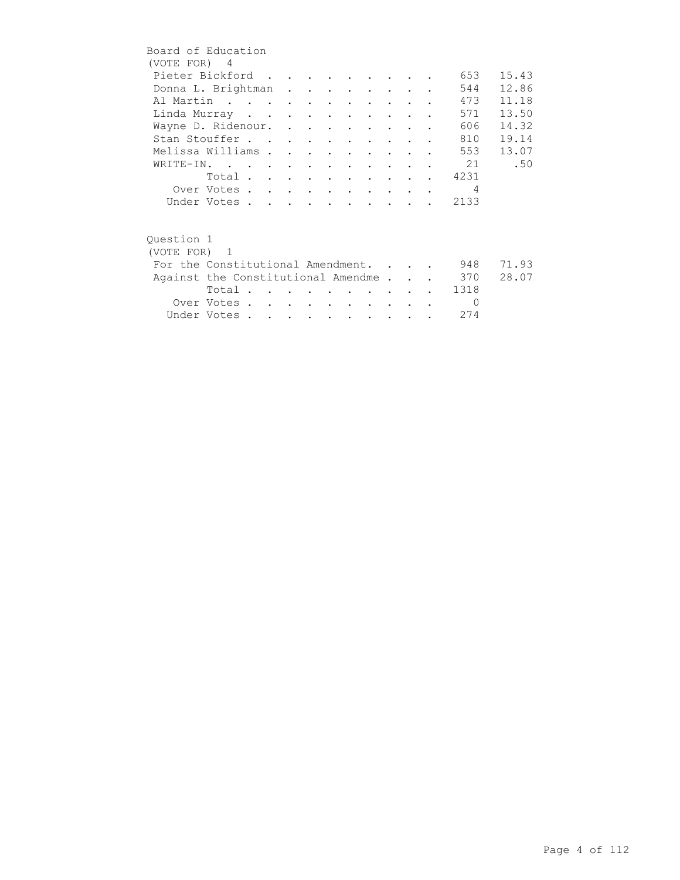| Board of Education<br>(VOTE FOR) 4     |             |  |  |                             |                      |  |                |       |
|----------------------------------------|-------------|--|--|-----------------------------|----------------------|--|----------------|-------|
| Pieter Bickford                        |             |  |  |                             |                      |  | 653            | 15.43 |
| Donna L. Brightman                     |             |  |  |                             |                      |  | 544            | 12.86 |
| Al Martin                              |             |  |  |                             |                      |  | 473            | 11.18 |
| Linda Murray                           |             |  |  |                             |                      |  | 571            | 13.50 |
| Wayne D. Ridenour.                     |             |  |  |                             |                      |  | 606            | 14.32 |
| Stan Stouffer                          |             |  |  |                             |                      |  | 810            | 19.14 |
| Melissa Williams                       |             |  |  |                             |                      |  | 553            | 13.07 |
| WRITE-IN.                              |             |  |  |                             |                      |  | $\sim$ 21      | .50   |
|                                        | Total       |  |  |                             |                      |  | 4231           |       |
|                                        | Over Votes  |  |  |                             |                      |  | $\overline{4}$ |       |
|                                        | Under Votes |  |  |                             |                      |  | 2133           |       |
| Ouestion 1<br>(VOTE FOR) 1             |             |  |  |                             |                      |  |                |       |
| For the Constitutional Amendment.      |             |  |  |                             |                      |  | 948            | 71.93 |
| Against the Constitutional Amendme 370 |             |  |  |                             |                      |  |                | 28.07 |
|                                        | Total       |  |  |                             |                      |  | 1318           |       |
|                                        | Over Votes  |  |  |                             |                      |  | $\bigcirc$     |       |
|                                        | Under Votes |  |  | $\sim$ $\sim$ $\sim$ $\sim$ | $\sim$ $\sim$ $\sim$ |  | 274            |       |
|                                        |             |  |  |                             |                      |  |                |       |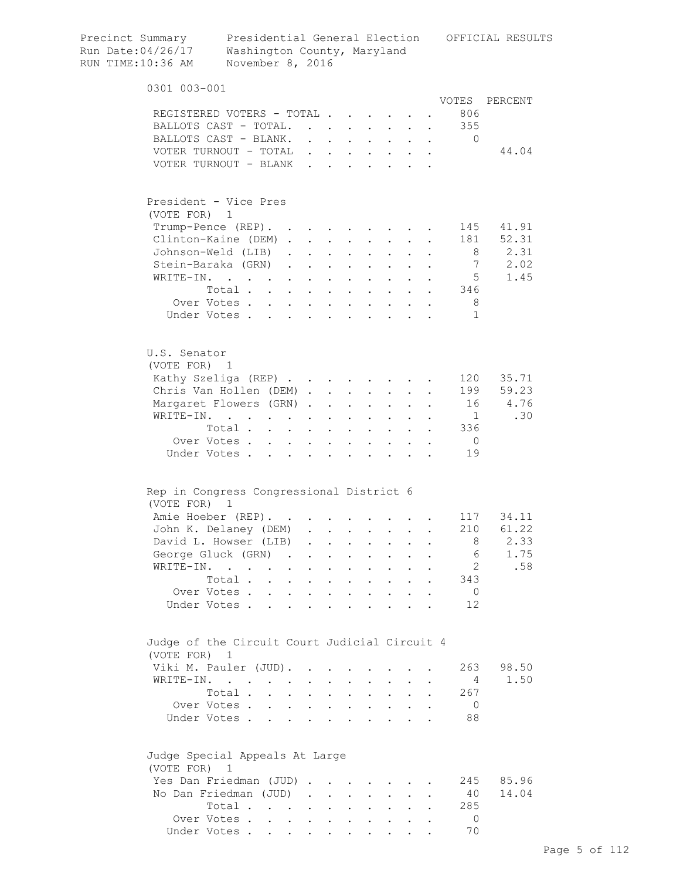| Precinct Summary<br>Run Date:04/26/17<br>RUN TIME:10:36 AM | Washington County, Maryland<br>November 8, 2016                               |                                |                                                     |                                          |                       |                                                                          |              |                      |                | Presidential General Election OFFICIAL RESULTS |
|------------------------------------------------------------|-------------------------------------------------------------------------------|--------------------------------|-----------------------------------------------------|------------------------------------------|-----------------------|--------------------------------------------------------------------------|--------------|----------------------|----------------|------------------------------------------------|
| 0301 003-001                                               |                                                                               |                                |                                                     |                                          |                       |                                                                          |              |                      |                |                                                |
|                                                            |                                                                               |                                |                                                     |                                          |                       |                                                                          |              |                      | VOTES          | PERCENT                                        |
|                                                            | REGISTERED VOTERS - TOTAL                                                     |                                |                                                     |                                          |                       |                                                                          |              |                      | 806            |                                                |
|                                                            | BALLOTS CAST - TOTAL.                                                         |                                |                                                     |                                          |                       |                                                                          |              |                      | 355            |                                                |
|                                                            | BALLOTS CAST - BLANK. 0                                                       |                                |                                                     |                                          |                       |                                                                          |              |                      |                |                                                |
|                                                            | VOTER TURNOUT - TOTAL                                                         |                                |                                                     |                                          |                       |                                                                          |              |                      |                | 44.04                                          |
|                                                            | VOTER TURNOUT - BLANK                                                         |                                |                                                     |                                          |                       |                                                                          |              |                      |                |                                                |
| (VOTE FOR) 1                                               | President - Vice Pres                                                         |                                |                                                     |                                          |                       |                                                                          |              |                      |                |                                                |
|                                                            | Trump-Pence (REP).                                                            |                                |                                                     |                                          |                       |                                                                          |              |                      | 145            | 41.91                                          |
|                                                            | Clinton-Kaine (DEM)                                                           |                                |                                                     |                                          |                       |                                                                          |              |                      | 181            | 52.31                                          |
|                                                            | Johnson-Weld (LIB)                                                            |                                |                                                     |                                          |                       |                                                                          | $\mathbf{L}$ |                      | - 8            | 2.31                                           |
|                                                            | Stein-Baraka (GRN)                                                            |                                |                                                     |                                          |                       | $\mathbf{z} = \mathbf{z} + \mathbf{z}$ .                                 |              |                      | 7              | 2.02                                           |
| WRITE-IN.                                                  | $\mathcal{A}$ and $\mathcal{A}$ are also associated as a set of $\mathcal{A}$ |                                |                                                     |                                          |                       | $\mathbf{z} = \mathbf{z} + \mathbf{z}$ .                                 |              |                      | - 5            | 1.45                                           |
|                                                            | Total                                                                         |                                |                                                     |                                          |                       |                                                                          |              |                      | 346            |                                                |
|                                                            | Over Votes                                                                    |                                |                                                     |                                          |                       |                                                                          |              |                      | - 8            |                                                |
|                                                            | Under Votes                                                                   |                                | $\mathbf{r} = \mathbf{r} + \mathbf{r} + \mathbf{r}$ |                                          |                       |                                                                          |              |                      | $\mathbf{1}$   |                                                |
|                                                            |                                                                               |                                |                                                     |                                          |                       |                                                                          |              |                      |                |                                                |
| U.S. Senator<br>(VOTE FOR) 1                               |                                                                               |                                |                                                     |                                          |                       |                                                                          |              |                      |                |                                                |
|                                                            | Kathy Szeliga (REP)                                                           |                                |                                                     |                                          |                       |                                                                          |              |                      | 120            | 35.71                                          |
|                                                            | Chris Van Hollen (DEM)                                                        |                                |                                                     |                                          |                       |                                                                          |              |                      | 199            | 59.23                                          |
|                                                            | Margaret Flowers (GRN)                                                        |                                |                                                     |                                          | $\bullet$ . $\bullet$ | $\bullet$ .                                                              |              |                      | 16             | 4.76                                           |
|                                                            | WRITE-IN.                                                                     |                                |                                                     |                                          |                       |                                                                          |              |                      | $\overline{1}$ | .30                                            |
|                                                            | Total                                                                         | $\sim$ $\sim$                  |                                                     | $\mathbf{r} = \mathbf{r} + \mathbf{r}$ . |                       | $\mathbf{r} = \mathbf{r} + \mathbf{r}$ .                                 |              |                      | 336            |                                                |
|                                                            | Over Votes                                                                    | $\ddot{\phantom{0}}$           |                                                     | $\bullet$ .                              |                       |                                                                          |              |                      | $\overline{0}$ |                                                |
|                                                            | Under Votes                                                                   |                                | $\ddot{\phantom{a}}$                                | $\mathbf{L}$                             | $\ddot{\phantom{a}}$  |                                                                          |              |                      | 19             |                                                |
|                                                            | Rep in Congress Congressional District 6                                      |                                |                                                     |                                          |                       |                                                                          |              |                      |                |                                                |
| (VOTE FOR) 1                                               |                                                                               |                                |                                                     |                                          |                       |                                                                          |              |                      |                |                                                |
|                                                            | Amie Hoeber (REP).                                                            |                                |                                                     |                                          |                       |                                                                          |              |                      |                | 117 34.11                                      |
|                                                            | John K. Delaney (DEM) .                                                       |                                |                                                     |                                          |                       |                                                                          |              |                      |                | 210 61.22                                      |
|                                                            | David L. Howser (LIB)                                                         | $\sim$                         | $\sim$                                              |                                          |                       |                                                                          |              |                      | 8              | 2.33                                           |
|                                                            | George Gluck (GRN).                                                           | $\sim$                         |                                                     | $\ddot{\phantom{0}}$                     | $\ddot{\phantom{0}}$  | $\ddot{\phantom{0}}$                                                     |              |                      | 6              | 1.75                                           |
|                                                            | WRITE-IN.                                                                     | $\sim$<br>$\ddot{\phantom{0}}$ | $\ddot{\phantom{a}}$                                | $\mathbf{L}^{\text{max}}$                |                       | $\mathbf{r} = \mathbf{r}$                                                | $\mathbf{L}$ |                      | 2              | .58                                            |
|                                                            | Total                                                                         |                                | $\ddot{\phantom{a}}$                                | $\sim$ $\sim$                            |                       | $\mathbf{L} = \mathbf{L}$                                                | $\mathbf{r}$ |                      | 343            |                                                |
|                                                            | Over Votes                                                                    |                                |                                                     |                                          |                       |                                                                          |              |                      | $\overline{0}$ |                                                |
|                                                            | Under Votes                                                                   |                                |                                                     |                                          |                       |                                                                          |              |                      | 12             |                                                |
| (VOTE FOR)                                                 | Judge of the Circuit Court Judicial Circuit 4<br>1                            |                                |                                                     |                                          |                       |                                                                          |              |                      |                |                                                |
|                                                            | Viki M. Pauler (JUD).                                                         |                                |                                                     | $\mathbf{L}$                             | $\ddot{\phantom{0}}$  |                                                                          |              |                      | 263            | 98.50                                          |
|                                                            | WRITE-IN.                                                                     |                                | $\mathbf{r}$ , $\mathbf{r}$ , $\mathbf{r}$          |                                          |                       | $\mathbf{L}$ . The set of $\mathbf{L}$                                   | $\mathbf{L}$ |                      | 4              | 1.50                                           |
|                                                            | Total                                                                         |                                |                                                     |                                          |                       | $\mathbf{r}$ , $\mathbf{r}$ , $\mathbf{r}$ , $\mathbf{r}$ , $\mathbf{r}$ |              |                      | 267            |                                                |
|                                                            | Over Votes                                                                    |                                |                                                     |                                          |                       |                                                                          |              | $\ddot{\phantom{a}}$ | $\circ$        |                                                |
|                                                            | Under Votes                                                                   |                                |                                                     |                                          |                       |                                                                          |              |                      | 88             |                                                |
| (VOTE FOR) 1                                               | Judge Special Appeals At Large                                                |                                |                                                     |                                          |                       |                                                                          |              |                      |                |                                                |
|                                                            | Yes Dan Friedman (JUD)                                                        |                                |                                                     |                                          |                       |                                                                          |              |                      | 245            | 85.96                                          |
|                                                            | No Dan Friedman (JUD)                                                         |                                |                                                     |                                          |                       |                                                                          |              |                      | 40             | 14.04                                          |
|                                                            | Total                                                                         |                                |                                                     |                                          |                       |                                                                          |              |                      | 285            |                                                |
|                                                            | Over Votes                                                                    |                                |                                                     |                                          |                       |                                                                          |              |                      | $\Omega$       |                                                |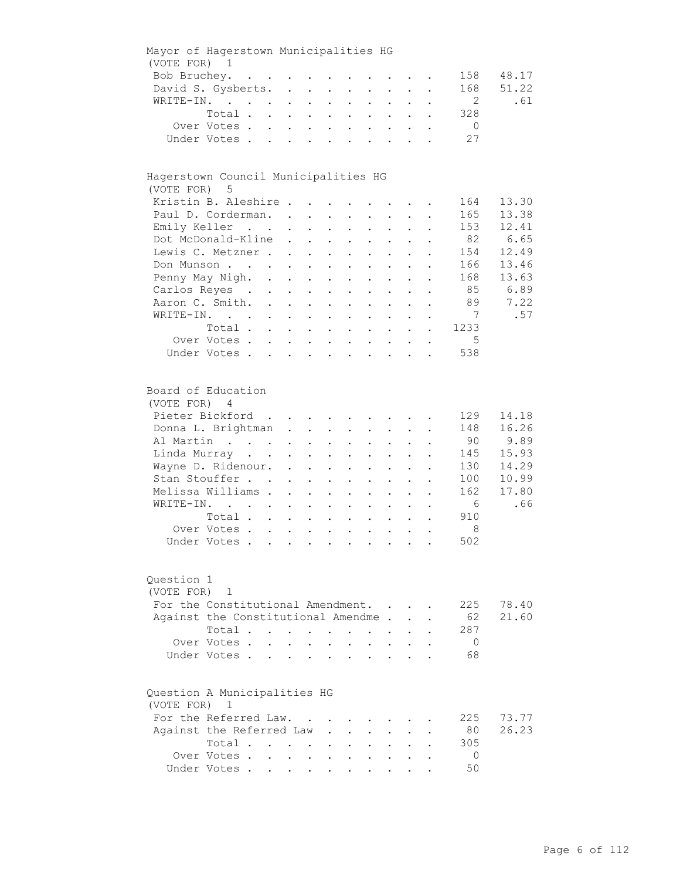| Mayor of Hagerstown Municipalities HG        |                                                                                                                                                                                    |                              |                                                                                                                                                                                                                                |                                                                                |                                                                                                       |                                                       |                                                                                                                                                                                                                            |                                                                                                        |                                                           |                      |                                                                      |                                                                   |
|----------------------------------------------|------------------------------------------------------------------------------------------------------------------------------------------------------------------------------------|------------------------------|--------------------------------------------------------------------------------------------------------------------------------------------------------------------------------------------------------------------------------|--------------------------------------------------------------------------------|-------------------------------------------------------------------------------------------------------|-------------------------------------------------------|----------------------------------------------------------------------------------------------------------------------------------------------------------------------------------------------------------------------------|--------------------------------------------------------------------------------------------------------|-----------------------------------------------------------|----------------------|----------------------------------------------------------------------|-------------------------------------------------------------------|
| (VOTE FOR) 1                                 |                                                                                                                                                                                    |                              |                                                                                                                                                                                                                                |                                                                                |                                                                                                       |                                                       |                                                                                                                                                                                                                            |                                                                                                        |                                                           |                      |                                                                      |                                                                   |
|                                              | Bob Bruchey.                                                                                                                                                                       |                              |                                                                                                                                                                                                                                |                                                                                |                                                                                                       |                                                       |                                                                                                                                                                                                                            |                                                                                                        |                                                           |                      | 158                                                                  | 48.17                                                             |
|                                              | David S. Gysberts.                                                                                                                                                                 |                              |                                                                                                                                                                                                                                |                                                                                |                                                                                                       |                                                       |                                                                                                                                                                                                                            |                                                                                                        |                                                           |                      | 168                                                                  | 51.22                                                             |
|                                              | WRITE-IN.                                                                                                                                                                          |                              |                                                                                                                                                                                                                                |                                                                                |                                                                                                       | $\mathcal{L}^{\text{max}}$                            |                                                                                                                                                                                                                            | $\mathbf{L} = \mathbf{L}$                                                                              | $\mathcal{L}^{\text{max}}$                                |                      | 2                                                                    | .61                                                               |
|                                              | Total                                                                                                                                                                              |                              |                                                                                                                                                                                                                                |                                                                                |                                                                                                       |                                                       |                                                                                                                                                                                                                            |                                                                                                        |                                                           |                      | 328                                                                  |                                                                   |
|                                              | Over Votes                                                                                                                                                                         |                              |                                                                                                                                                                                                                                |                                                                                |                                                                                                       |                                                       |                                                                                                                                                                                                                            |                                                                                                        |                                                           |                      | $\overline{0}$                                                       |                                                                   |
|                                              | Under Votes                                                                                                                                                                        |                              | $\mathbf{r} = \left( \mathbf{r} \right) \left( \mathbf{r} \right) \left( \mathbf{r} \right) \left( \mathbf{r} \right) \left( \mathbf{r} \right) \left( \mathbf{r} \right) \left( \mathbf{r} \right) \left( \mathbf{r} \right)$ |                                                                                |                                                                                                       |                                                       |                                                                                                                                                                                                                            |                                                                                                        |                                                           | $\ddotsc$            | 27                                                                   |                                                                   |
|                                              |                                                                                                                                                                                    |                              |                                                                                                                                                                                                                                |                                                                                |                                                                                                       |                                                       |                                                                                                                                                                                                                            |                                                                                                        |                                                           |                      |                                                                      |                                                                   |
| Hagerstown Council Municipalities HG         |                                                                                                                                                                                    |                              |                                                                                                                                                                                                                                |                                                                                |                                                                                                       |                                                       |                                                                                                                                                                                                                            |                                                                                                        |                                                           |                      |                                                                      |                                                                   |
| (VOTE FOR) 5                                 |                                                                                                                                                                                    |                              |                                                                                                                                                                                                                                |                                                                                |                                                                                                       |                                                       |                                                                                                                                                                                                                            |                                                                                                        |                                                           |                      |                                                                      |                                                                   |
|                                              | Kristin B. Aleshire                                                                                                                                                                |                              |                                                                                                                                                                                                                                |                                                                                |                                                                                                       |                                                       |                                                                                                                                                                                                                            |                                                                                                        |                                                           |                      | 164                                                                  | 13.30                                                             |
|                                              | Paul D. Corderman.                                                                                                                                                                 |                              |                                                                                                                                                                                                                                |                                                                                |                                                                                                       |                                                       |                                                                                                                                                                                                                            |                                                                                                        |                                                           |                      | 165                                                                  | 13.38                                                             |
|                                              | Emily Keller                                                                                                                                                                       |                              |                                                                                                                                                                                                                                |                                                                                | $\mathbf{L}^{\text{max}}$ , and $\mathbf{L}^{\text{max}}$                                             |                                                       | $\mathbf{z} = \mathbf{z} + \mathbf{z}$ .                                                                                                                                                                                   |                                                                                                        | $\mathbf{L}^{\text{max}}$ , and $\mathbf{L}^{\text{max}}$ |                      | 153                                                                  | 12.41                                                             |
|                                              | Dot McDonald-Kline                                                                                                                                                                 |                              | $\ddot{\phantom{0}}$                                                                                                                                                                                                           |                                                                                | $\mathbf{L}^{\text{max}}$ , and $\mathbf{L}^{\text{max}}$                                             | $\bullet$ .                                           | $\mathcal{L}^{\text{max}}$                                                                                                                                                                                                 | $\bullet$ .                                                                                            | $\mathbf{L}^{\text{max}}$                                 |                      | 82                                                                   | 6.65                                                              |
|                                              | Lewis C. Metzner.                                                                                                                                                                  |                              | $\sim$                                                                                                                                                                                                                         |                                                                                | $\mathbf{z} = \mathbf{z} + \mathbf{z}$ .                                                              | $\bullet$ .                                           | $\mathbf{L}^{\text{max}}$                                                                                                                                                                                                  | $\mathbf{L}^{\text{max}}$                                                                              |                                                           |                      | 154                                                                  | 12.49                                                             |
|                                              | Don Munson                                                                                                                                                                         |                              | $\mathbf{L}^{\text{max}}$                                                                                                                                                                                                      | $\mathcal{L}^{\mathcal{L}}$                                                    | $\sim 10^{-11}$                                                                                       |                                                       |                                                                                                                                                                                                                            |                                                                                                        |                                                           |                      | 166                                                                  | 13.46                                                             |
|                                              |                                                                                                                                                                                    |                              |                                                                                                                                                                                                                                |                                                                                |                                                                                                       |                                                       |                                                                                                                                                                                                                            |                                                                                                        |                                                           |                      | 168                                                                  | 13.63                                                             |
|                                              | Penny May Nigh. .                                                                                                                                                                  |                              | $\mathbf{L}^{\text{max}}$                                                                                                                                                                                                      | $\sim$ $-$                                                                     | $\sim$                                                                                                |                                                       |                                                                                                                                                                                                                            |                                                                                                        |                                                           |                      |                                                                      |                                                                   |
|                                              | Carlos Reyes .                                                                                                                                                                     | $\mathcal{L}^{(1)}$          | $\bullet$ .                                                                                                                                                                                                                    | $\sim$                                                                         | $\sim$ $-$                                                                                            | $\bullet$                                             | $\ddot{\phantom{a}}$                                                                                                                                                                                                       |                                                                                                        |                                                           |                      | 85                                                                   | 6.89                                                              |
|                                              | Aaron C. Smith.                                                                                                                                                                    |                              |                                                                                                                                                                                                                                |                                                                                |                                                                                                       |                                                       | $\cdot$ $\cdot$                                                                                                                                                                                                            | $\ddot{\phantom{0}}$                                                                                   | $\ddot{\phantom{0}}$                                      |                      | 89                                                                   | 7.22                                                              |
|                                              | WRITE-IN.                                                                                                                                                                          |                              |                                                                                                                                                                                                                                |                                                                                |                                                                                                       |                                                       |                                                                                                                                                                                                                            |                                                                                                        | $\ddot{\phantom{a}}$                                      |                      | $7\overline{7}$                                                      | .57                                                               |
|                                              | Total                                                                                                                                                                              |                              |                                                                                                                                                                                                                                |                                                                                |                                                                                                       |                                                       |                                                                                                                                                                                                                            |                                                                                                        |                                                           |                      | 1233                                                                 |                                                                   |
|                                              | Over Votes                                                                                                                                                                         |                              |                                                                                                                                                                                                                                |                                                                                |                                                                                                       |                                                       |                                                                                                                                                                                                                            |                                                                                                        |                                                           | $\ddot{\phantom{0}}$ | $5^{\circ}$                                                          |                                                                   |
|                                              | Under Votes                                                                                                                                                                        |                              |                                                                                                                                                                                                                                |                                                                                |                                                                                                       |                                                       |                                                                                                                                                                                                                            |                                                                                                        |                                                           |                      | 538                                                                  |                                                                   |
| Board of Education<br>(VOTE FOR) 4           | Pieter Bickford<br>Donna L. Brightman<br>Al Martin<br>Linda Murray<br>Wayne D. Ridenour.<br>Stan Stouffer<br>Melissa Williams .<br>WRITE-IN.<br>Total<br>Over Votes<br>Under Votes |                              | $\mathbf{z} = \mathbf{z} + \mathbf{z}$ , where $\mathbf{z} = \mathbf{z}$<br>$\ddot{\phantom{0}}$<br>$\ddot{\phantom{a}}$<br>$\ddot{\phantom{0}}$<br>$\sim$ $-$                                                                 | $\mathbf{L}^{\text{max}}$<br>$\mathbf{L}^{\text{max}}$<br>$\ddot{\phantom{0}}$ | $\mathbf{z} = \mathbf{z} + \mathbf{z}$ .<br>$\bullet$<br>$\ddot{\phantom{0}}$<br>$\ddot{\phantom{0}}$ | $\bullet$ .<br>$\mathbf{z} = \mathbf{z}$<br>$\bullet$ | $\mathbf{L} = \mathbf{L}$<br>$\mathbf{z} = \mathbf{z} + \mathbf{z}$ .<br>$\bullet$ .<br>$\mathbf{z} = \mathbf{z}$<br>$\ddot{\phantom{0}}$<br>$\ddot{\phantom{0}}$<br>$\ddot{\phantom{a}}$<br>$\mathbf{L}$ and $\mathbf{L}$ | $\mathbf{a} = \mathbf{a}$<br>$\mathbb{Z}^{\mathbb{Z}^{\times}}$<br>$\bullet$ .<br>$\ddot{\phantom{0}}$ | $\cdot$ $\cdot$ $\cdot$<br>$\sim 100$<br>$\bullet$        |                      | 129<br>148<br>90<br>145<br>130<br>100<br>162<br>6<br>910<br>8<br>502 | 14.18<br>16.26<br>9.89<br>15.93<br>14.29<br>10.99<br>17.80<br>.66 |
| Question 1<br>(VOTE FOR)                     | 1<br>For the Constitutional Amendment.                                                                                                                                             |                              |                                                                                                                                                                                                                                |                                                                                |                                                                                                       |                                                       |                                                                                                                                                                                                                            |                                                                                                        |                                                           |                      | 225                                                                  | 78.40                                                             |
|                                              | Against the Constitutional Amendme.                                                                                                                                                |                              |                                                                                                                                                                                                                                |                                                                                |                                                                                                       |                                                       |                                                                                                                                                                                                                            |                                                                                                        |                                                           |                      | 62                                                                   | 21.60                                                             |
|                                              | Total .                                                                                                                                                                            | and the contract of the con- |                                                                                                                                                                                                                                |                                                                                | $\sim$                                                                                                | $\ddot{\phantom{0}}$                                  | $\sim$                                                                                                                                                                                                                     |                                                                                                        |                                                           |                      | 287                                                                  |                                                                   |
|                                              | Over Votes.                                                                                                                                                                        | $\mathbf{L}$                 |                                                                                                                                                                                                                                |                                                                                |                                                                                                       |                                                       |                                                                                                                                                                                                                            |                                                                                                        |                                                           |                      | $\overline{0}$                                                       |                                                                   |
|                                              | Under Votes.                                                                                                                                                                       |                              |                                                                                                                                                                                                                                |                                                                                | $\ddot{\phantom{a}}$                                                                                  |                                                       | $\ddot{\phantom{a}}$                                                                                                                                                                                                       |                                                                                                        |                                                           |                      | 68                                                                   |                                                                   |
| Question A Municipalities HG<br>(VOTE FOR) 1 | For the Referred Law.                                                                                                                                                              |                              |                                                                                                                                                                                                                                |                                                                                |                                                                                                       |                                                       |                                                                                                                                                                                                                            |                                                                                                        |                                                           |                      | 225                                                                  | 73.77                                                             |
|                                              | Against the Referred Law                                                                                                                                                           |                              |                                                                                                                                                                                                                                |                                                                                |                                                                                                       |                                                       |                                                                                                                                                                                                                            |                                                                                                        |                                                           |                      | 80                                                                   | 26.23                                                             |
|                                              | Total                                                                                                                                                                              |                              |                                                                                                                                                                                                                                |                                                                                |                                                                                                       |                                                       |                                                                                                                                                                                                                            |                                                                                                        |                                                           |                      | 305                                                                  |                                                                   |
|                                              |                                                                                                                                                                                    |                              |                                                                                                                                                                                                                                |                                                                                |                                                                                                       |                                                       |                                                                                                                                                                                                                            |                                                                                                        |                                                           |                      | 0                                                                    |                                                                   |
|                                              | Over Votes .                                                                                                                                                                       |                              | $\cdot$ $\cdot$ $\cdot$ $\cdot$                                                                                                                                                                                                |                                                                                |                                                                                                       |                                                       |                                                                                                                                                                                                                            |                                                                                                        |                                                           |                      |                                                                      |                                                                   |
|                                              | Under Votes                                                                                                                                                                        |                              |                                                                                                                                                                                                                                |                                                                                |                                                                                                       |                                                       |                                                                                                                                                                                                                            |                                                                                                        |                                                           |                      | 50                                                                   |                                                                   |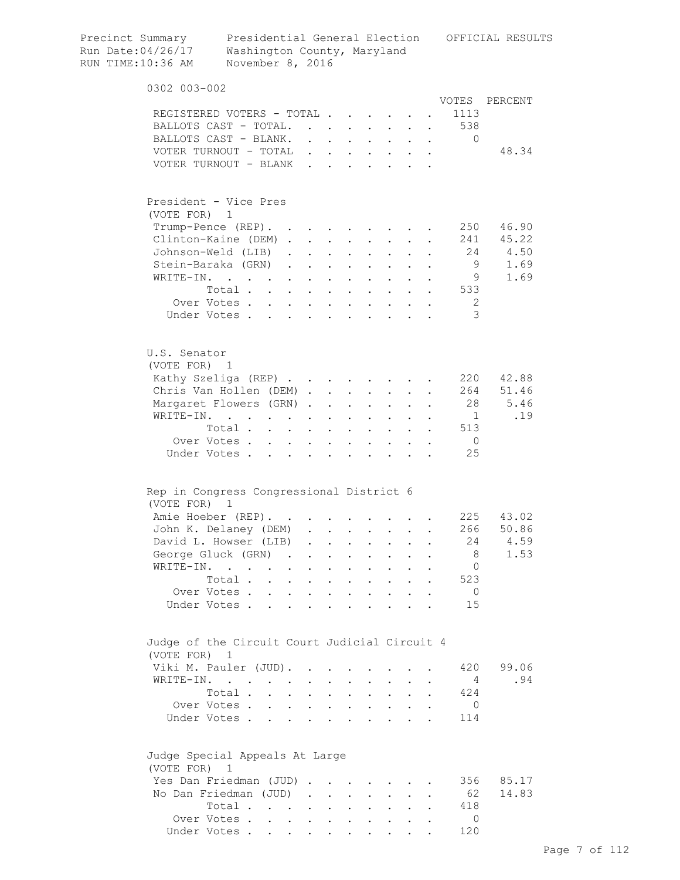| Precinct Summary<br>Run Date:04/26/17<br>RUN TIME:10:36 AM | Presidential General Election<br>Washington County, Maryland<br>November 8, 2016              |        |                      |                                                                          |                           |                                                                                               |                           |                      |                      | OFFICIAL RESULTS |
|------------------------------------------------------------|-----------------------------------------------------------------------------------------------|--------|----------------------|--------------------------------------------------------------------------|---------------------------|-----------------------------------------------------------------------------------------------|---------------------------|----------------------|----------------------|------------------|
| 0302 003-002                                               |                                                                                               |        |                      |                                                                          |                           |                                                                                               |                           |                      |                      |                  |
|                                                            |                                                                                               |        |                      |                                                                          |                           |                                                                                               |                           |                      | VOTES                | PERCENT          |
|                                                            | REGISTERED VOTERS - TOTAL                                                                     |        |                      |                                                                          |                           |                                                                                               |                           |                      | 1113                 |                  |
|                                                            | BALLOTS CAST - TOTAL.                                                                         |        |                      |                                                                          |                           |                                                                                               |                           |                      | . 538                |                  |
|                                                            | BALLOTS CAST - BLANK.                                                                         |        |                      |                                                                          |                           |                                                                                               |                           |                      | $\mathbf{0}$         | 48.34            |
|                                                            | VOTER TURNOUT - TOTAL<br>VOTER TURNOUT - BLANK                                                |        |                      | $\sim$                                                                   |                           | $\cdot$ $\cdot$ $\cdot$ $\cdot$ $\cdot$                                                       |                           |                      |                      |                  |
|                                                            |                                                                                               |        |                      |                                                                          |                           |                                                                                               |                           |                      |                      |                  |
|                                                            | President - Vice Pres                                                                         |        |                      |                                                                          |                           |                                                                                               |                           |                      |                      |                  |
| (VOTE FOR) 1                                               |                                                                                               |        |                      |                                                                          |                           |                                                                                               |                           |                      |                      |                  |
|                                                            | $Trump-Pence (REF)$ .                                                                         |        |                      |                                                                          |                           |                                                                                               |                           |                      | 250                  | 46.90            |
|                                                            | Clinton-Kaine (DEM)                                                                           |        |                      |                                                                          |                           | $\mathbf{L}$ and $\mathbf{L}$                                                                 | $\mathbf{L}^{\text{max}}$ |                      |                      | 241 45.22        |
|                                                            | Johnson-Weld (LIB).                                                                           |        |                      | $\mathbf{z} = \mathbf{z} + \mathbf{z}$ , where $\mathbf{z} = \mathbf{z}$ |                           | $\mathbf{z} = \mathbf{z} + \mathbf{z}$ .                                                      |                           |                      | 24                   | 4.50             |
|                                                            | Stein-Baraka (GRN)                                                                            |        |                      |                                                                          | $\mathbf{a} = \mathbf{a}$ |                                                                                               |                           |                      | - 9                  | 1.69             |
| WRITE-IN.                                                  | $\mathcal{L}(\mathcal{A})$ . The contribution of the contribution of $\mathcal{A}$<br>Total . |        |                      |                                                                          | $\mathbf{A}^{\text{max}}$ |                                                                                               |                           |                      | - 9<br>533           | 1.69             |
|                                                            | $\mathbf{L} = \mathbf{L}$<br>Over Votes                                                       | $\sim$ | $\bullet$            | $\sim$                                                                   |                           |                                                                                               |                           |                      | -2                   |                  |
|                                                            | Under Votes                                                                                   |        |                      | $\mathbf{z} = \mathbf{z} + \mathbf{z}$ .                                 |                           |                                                                                               | $\mathbf{L}$              |                      | 3                    |                  |
|                                                            |                                                                                               |        |                      |                                                                          |                           |                                                                                               |                           |                      |                      |                  |
| U.S. Senator<br>(VOTE FOR) 1                               |                                                                                               |        |                      |                                                                          |                           |                                                                                               |                           |                      |                      |                  |
|                                                            | Kathy Szeliga (REP)                                                                           |        |                      |                                                                          |                           |                                                                                               |                           |                      | 220                  | 42.88            |
|                                                            | Chris Van Hollen (DEM)                                                                        |        |                      |                                                                          |                           | $\mathbf{L}^{\text{max}}$                                                                     |                           |                      | 264                  | 51.46            |
|                                                            | Margaret Flowers (GRN)                                                                        |        |                      |                                                                          | $\sim$                    | $\sim 10^{-10}$                                                                               |                           |                      | 28                   | 5.46             |
| WRITE-IN.                                                  | $\mathbf{z} = \mathbf{z} + \mathbf{z}$ .                                                      |        |                      | $\sim$                                                                   |                           | $\sim$ 100 $\pm$                                                                              |                           |                      | $\mathbf{1}$         | .19              |
|                                                            | Total                                                                                         |        |                      |                                                                          |                           | $\mathbf{L} = \mathbf{L} \mathbf{L}$                                                          |                           | $\ddot{\phantom{a}}$ | 513                  |                  |
|                                                            | Over Votes<br>Under Votes                                                                     |        | $\ddot{\phantom{a}}$ |                                                                          |                           | $\cdots$                                                                                      |                           |                      | $\overline{0}$<br>25 |                  |
|                                                            | Rep in Congress Congressional District 6                                                      |        |                      |                                                                          |                           |                                                                                               |                           |                      |                      |                  |
| (VOTE FOR) 1                                               | Amie Hoeber (REP).                                                                            |        |                      |                                                                          |                           |                                                                                               |                           |                      |                      | 225 43.02        |
|                                                            | John K. Delaney (DEM)                                                                         |        |                      |                                                                          |                           |                                                                                               |                           |                      | 266                  | 50.86            |
|                                                            | David L. Howser (LIB)                                                                         |        |                      |                                                                          |                           |                                                                                               |                           |                      | 24                   | 4.59             |
|                                                            | George Gluck (GRN)                                                                            |        |                      |                                                                          |                           |                                                                                               |                           |                      | - 8                  | 1.53             |
| WRITE-IN.                                                  | $\mathbf{r}$ , $\mathbf{r}$ , $\mathbf{r}$ , $\mathbf{r}$ , $\mathbf{r}$                      |        |                      |                                                                          |                           | $\mathbf{r}$ and $\mathbf{r}$ and $\mathbf{r}$ and $\mathbf{r}$                               |                           |                      | - 0                  |                  |
|                                                            | Total $\cdots$ $\cdots$                                                                       |        |                      |                                                                          |                           | $\mathbf{r} = \mathbf{r} \cdot \mathbf{r}$ , where $\mathbf{r} = \mathbf{r} \cdot \mathbf{r}$ |                           |                      | 523                  |                  |
|                                                            | Over Votes                                                                                    |        |                      |                                                                          |                           | $\mathbf{z} = \mathbf{z} + \mathbf{z}$ , where $\mathbf{z} = \mathbf{z}$                      |                           |                      | $\overline{0}$       |                  |
|                                                            | Under Votes                                                                                   |        |                      |                                                                          |                           |                                                                                               |                           |                      | 15                   |                  |
| (VOTE FOR)                                                 | Judge of the Circuit Court Judicial Circuit 4<br>1                                            |        |                      |                                                                          |                           |                                                                                               |                           |                      |                      |                  |
|                                                            | Viki M. Pauler (JUD).                                                                         |        |                      |                                                                          |                           |                                                                                               |                           |                      | 420                  | 99.06            |
|                                                            | WRITE-IN.                                                                                     |        |                      |                                                                          |                           |                                                                                               |                           |                      | 4                    | .94              |
|                                                            | Total                                                                                         |        |                      |                                                                          |                           |                                                                                               |                           |                      | 424                  |                  |
|                                                            | Over Votes                                                                                    |        |                      |                                                                          |                           | $\mathbf{r} = \left\{ \mathbf{r}_1, \ldots, \mathbf{r}_n \right\}$ , where                    |                           |                      | $\bigcirc$           |                  |
|                                                            | Under Votes                                                                                   |        |                      |                                                                          |                           |                                                                                               |                           |                      | 114                  |                  |
| (VOTE FOR)                                                 | Judge Special Appeals At Large<br>$\mathbf 1$                                                 |        |                      |                                                                          |                           |                                                                                               |                           |                      |                      |                  |
|                                                            | Yes Dan Friedman (JUD)                                                                        |        |                      |                                                                          |                           |                                                                                               |                           |                      | 356                  | 85.17            |
|                                                            | No Dan Friedman (JUD)                                                                         |        |                      |                                                                          |                           |                                                                                               |                           |                      | 62                   | 14.83            |
|                                                            | Total                                                                                         |        |                      |                                                                          |                           |                                                                                               |                           |                      | 418                  |                  |
|                                                            | Over Votes                                                                                    |        |                      |                                                                          |                           |                                                                                               |                           |                      | $\Omega$             |                  |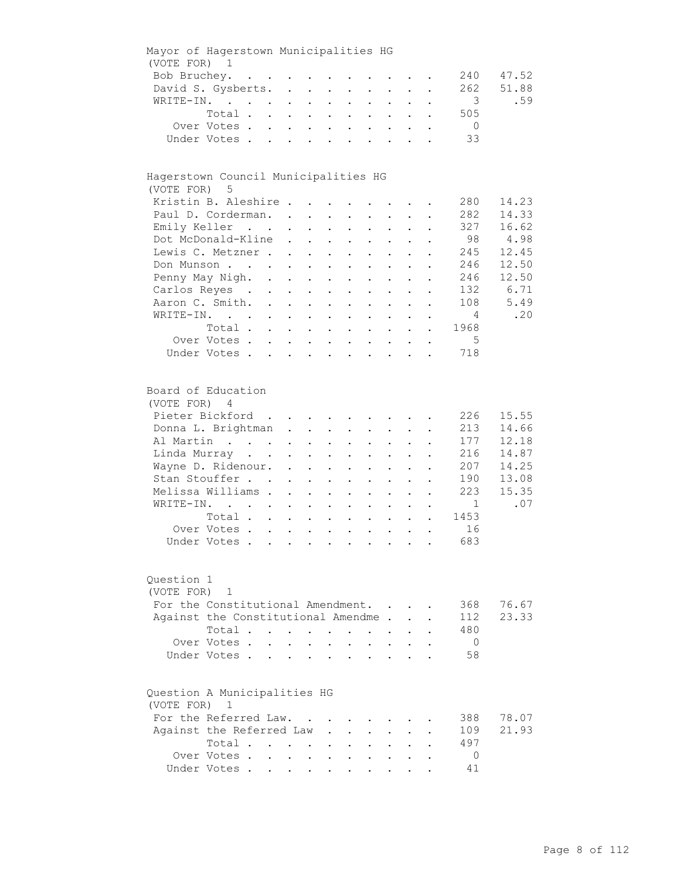| Mayor of Hagerstown Municipalities HG                |                                     |                            |                                                           |                                                           |                                                   |                                                                                                 |                      |                                          |                           |                          |       |
|------------------------------------------------------|-------------------------------------|----------------------------|-----------------------------------------------------------|-----------------------------------------------------------|---------------------------------------------------|-------------------------------------------------------------------------------------------------|----------------------|------------------------------------------|---------------------------|--------------------------|-------|
| (VOTE FOR) 1                                         |                                     |                            |                                                           |                                                           |                                                   |                                                                                                 |                      |                                          |                           |                          |       |
|                                                      | Bob Bruchey.                        |                            |                                                           |                                                           |                                                   |                                                                                                 |                      |                                          |                           | 240                      | 47.52 |
|                                                      | David S. Gysberts.                  |                            |                                                           |                                                           |                                                   |                                                                                                 |                      |                                          |                           | 262                      | 51.88 |
|                                                      | WRITE-IN.                           |                            |                                                           |                                                           |                                                   | $\mathbf{r} = \mathbf{r} \times \mathbf{r}$ , where $\mathbf{r} = \mathbf{r} \times \mathbf{r}$ |                      |                                          |                           | $\overline{\phantom{a}}$ | .59   |
|                                                      | Total                               |                            |                                                           |                                                           |                                                   |                                                                                                 |                      |                                          | $\mathbf{L}^{\text{max}}$ | 505                      |       |
|                                                      | Over Votes                          |                            |                                                           |                                                           |                                                   |                                                                                                 |                      |                                          |                           | $\overline{0}$           |       |
|                                                      | Under Votes                         |                            |                                                           |                                                           |                                                   |                                                                                                 |                      |                                          |                           | 33                       |       |
|                                                      |                                     |                            |                                                           |                                                           |                                                   |                                                                                                 |                      |                                          |                           |                          |       |
| Hagerstown Council Municipalities HG<br>(VOTE FOR) 5 |                                     |                            |                                                           |                                                           |                                                   |                                                                                                 |                      |                                          |                           |                          |       |
|                                                      | Kristin B. Aleshire                 |                            |                                                           |                                                           |                                                   |                                                                                                 |                      |                                          |                           | 280 -                    | 14.23 |
|                                                      | Paul D. Corderman.                  |                            |                                                           |                                                           |                                                   |                                                                                                 |                      |                                          |                           | 282                      | 14.33 |
|                                                      | Emily Keller                        |                            |                                                           | $\mathbf{z} = \mathbf{z} + \mathbf{z}$ .                  |                                                   | $\mathbf{L}^{\text{max}}$ , and $\mathbf{L}^{\text{max}}$                                       |                      | $\mathbf{z} = \mathbf{z} + \mathbf{z}$ . |                           | 327                      | 16.62 |
|                                                      | Dot McDonald-Kline                  |                            | $\sim$                                                    | $\mathbf{L}^{\text{max}}$ , and $\mathbf{L}^{\text{max}}$ |                                                   | $\mathbf{z} = \mathbf{z} + \mathbf{z}$ .                                                        | $\bullet$ .          | $\bullet$                                |                           | 98                       | 4.98  |
|                                                      | Lewis C. Metzner                    |                            |                                                           | $\mathbf{z} = \mathbf{z} + \mathbf{z}$ .                  | $\mathbf{z} = \mathbf{z}$                         | $\mathbf{L}^{\text{max}}$                                                                       |                      |                                          |                           | 245                      | 12.45 |
|                                                      | Don Munson                          |                            |                                                           |                                                           |                                                   | $\ddot{\phantom{a}}$                                                                            |                      |                                          |                           | 246                      | 12.50 |
|                                                      | Penny May Nigh. .                   |                            |                                                           |                                                           |                                                   |                                                                                                 |                      |                                          |                           | 246                      | 12.50 |
|                                                      |                                     |                            | $\mathbf{L} = \mathbf{L}$                                 | $\sim$                                                    |                                                   |                                                                                                 |                      |                                          |                           |                          |       |
|                                                      | Carlos Reyes .                      | $\mathcal{L}^{\text{max}}$ | $\mathbf{L}^{\text{max}}$                                 | $\sim 10$                                                 | $\sim$<br>$\ddot{\phantom{a}}$                    | $\ddot{\phantom{0}}$                                                                            |                      |                                          |                           | 132                      | 6.71  |
|                                                      | Aaron C. Smith.                     |                            |                                                           |                                                           | $\mathbf{L}$                                      | $\sim$                                                                                          | $\mathbf{L}$         | $\ddot{\phantom{a}}$                     | $\ddot{\phantom{a}}$      | 108                      | 5.49  |
|                                                      | WRITE-IN.                           |                            |                                                           |                                                           |                                                   | $\mathbf{r} = \mathbf{r}$ and $\mathbf{r} = \mathbf{r}$                                         |                      | $\ddot{\phantom{a}}$                     |                           | $\sim$ 4                 | .20   |
|                                                      | Total                               |                            |                                                           |                                                           |                                                   |                                                                                                 |                      |                                          | $\ddot{\phantom{0}}$      | 1968                     |       |
|                                                      | Over Votes                          |                            |                                                           |                                                           |                                                   |                                                                                                 |                      |                                          | $\ddot{\phantom{0}}$      | $5^{\circ}$              |       |
|                                                      | Under Votes                         |                            |                                                           |                                                           |                                                   |                                                                                                 |                      |                                          |                           | 718                      |       |
|                                                      |                                     |                            |                                                           |                                                           |                                                   |                                                                                                 |                      |                                          |                           |                          |       |
| Board of Education<br>(VOTE FOR) 4                   |                                     |                            |                                                           |                                                           |                                                   |                                                                                                 |                      |                                          |                           |                          |       |
|                                                      | Pieter Bickford                     |                            |                                                           |                                                           |                                                   |                                                                                                 |                      |                                          |                           | 226                      | 15.55 |
|                                                      | Donna L. Brightman                  |                            |                                                           |                                                           |                                                   |                                                                                                 |                      |                                          |                           | 213                      | 14.66 |
|                                                      | Al Martin                           |                            |                                                           |                                                           |                                                   | $\mathbf{L} = \mathbf{L}$                                                                       |                      | $\mathbf{L} = \mathbf{L}$                |                           | 177                      | 12.18 |
|                                                      | Linda Murray                        |                            |                                                           |                                                           |                                                   | $\mathbf{z} = \mathbf{z} + \mathbf{z}$ .                                                        |                      | $\mathbf{z} = \mathbf{z} + \mathbf{z}$ . |                           | 216                      | 14.87 |
|                                                      | Wayne D. Ridenour.                  |                            | $\mathbf{z} = \mathbf{z} + \mathbf{z}$ . The $\mathbf{z}$ |                                                           |                                                   | $\mathbf{z} = \mathbf{z} + \mathbf{z}$                                                          | $\bullet$ .          | $\bullet$                                |                           | 207                      | 14.25 |
|                                                      | Stan Stouffer                       |                            | $\ddot{\phantom{0}}$                                      | $\mathbf{z} = \mathbf{z}$                                 | $\sim 100$<br>$\bullet$ .                         | $\mathbf{L}^{\text{max}}$                                                                       | $\bullet$            |                                          |                           | 190                      | 13.08 |
|                                                      | Melissa Williams .                  |                            | $\ddot{\phantom{a}}$                                      | $\ddot{\phantom{a}}$                                      | $\mathbf{L}^{\text{max}}$<br>$\bullet$            | $\ddot{\phantom{0}}$                                                                            |                      |                                          |                           | 223                      | 15.35 |
|                                                      | WRITE-IN.                           |                            | $\sim$                                                    | $\ddot{\phantom{0}}$<br>$\bullet$                         | $\bullet$                                         | $\bullet$                                                                                       |                      |                                          |                           | 1                        | .07   |
|                                                      | Total                               |                            |                                                           |                                                           |                                                   |                                                                                                 |                      |                                          |                           | 1453                     |       |
|                                                      |                                     |                            |                                                           | $\ddot{\phantom{0}}$                                      | $\ddot{\phantom{a}}$                              |                                                                                                 |                      |                                          |                           |                          |       |
|                                                      | Over Votes                          |                            |                                                           |                                                           |                                                   | $\ddot{\phantom{0}}$                                                                            | $\ddot{\phantom{a}}$ |                                          |                           | 16                       |       |
|                                                      | Under Votes                         |                            |                                                           |                                                           |                                                   |                                                                                                 |                      |                                          |                           | 683                      |       |
| Question 1<br>(VOTE FOR)                             | $\mathbf{1}$                        |                            |                                                           |                                                           |                                                   |                                                                                                 |                      |                                          |                           |                          |       |
|                                                      | For the Constitutional Amendment.   |                            |                                                           |                                                           |                                                   |                                                                                                 |                      |                                          |                           | 368                      | 76.67 |
|                                                      | Against the Constitutional Amendme. |                            |                                                           |                                                           |                                                   |                                                                                                 |                      |                                          |                           | 112                      | 23.33 |
|                                                      | Total                               |                            |                                                           |                                                           | $\mathbf{L}^{\text{max}}$<br>$\ddot{\phantom{a}}$ |                                                                                                 |                      |                                          |                           | 480                      |       |
|                                                      | Over Votes.                         | $\mathbf{L}$               |                                                           |                                                           |                                                   |                                                                                                 |                      |                                          |                           | $\overline{0}$           |       |
|                                                      | Under Votes.                        |                            |                                                           |                                                           |                                                   |                                                                                                 |                      |                                          |                           | 58                       |       |
|                                                      |                                     |                            |                                                           |                                                           |                                                   |                                                                                                 |                      |                                          |                           |                          |       |
| Question A Municipalities HG<br>(VOTE FOR) 1         |                                     |                            |                                                           |                                                           |                                                   |                                                                                                 |                      |                                          |                           |                          |       |
|                                                      | For the Referred Law.               |                            |                                                           |                                                           |                                                   |                                                                                                 |                      |                                          |                           | 388                      | 78.07 |
|                                                      | Against the Referred Law            |                            |                                                           |                                                           |                                                   |                                                                                                 |                      |                                          |                           | 109                      | 21.93 |
|                                                      | Total                               |                            |                                                           |                                                           |                                                   |                                                                                                 |                      |                                          |                           | 497                      |       |
|                                                      | Over Votes.                         |                            | $\cdot$ $\cdot$ $\cdot$                                   | $\ddot{\phantom{0}}$                                      |                                                   |                                                                                                 |                      |                                          |                           | $\mathbf 0$              |       |
|                                                      | Under Votes                         |                            |                                                           |                                                           |                                                   |                                                                                                 |                      |                                          |                           | 41                       |       |
|                                                      |                                     |                            |                                                           |                                                           |                                                   |                                                                                                 |                      |                                          |                           |                          |       |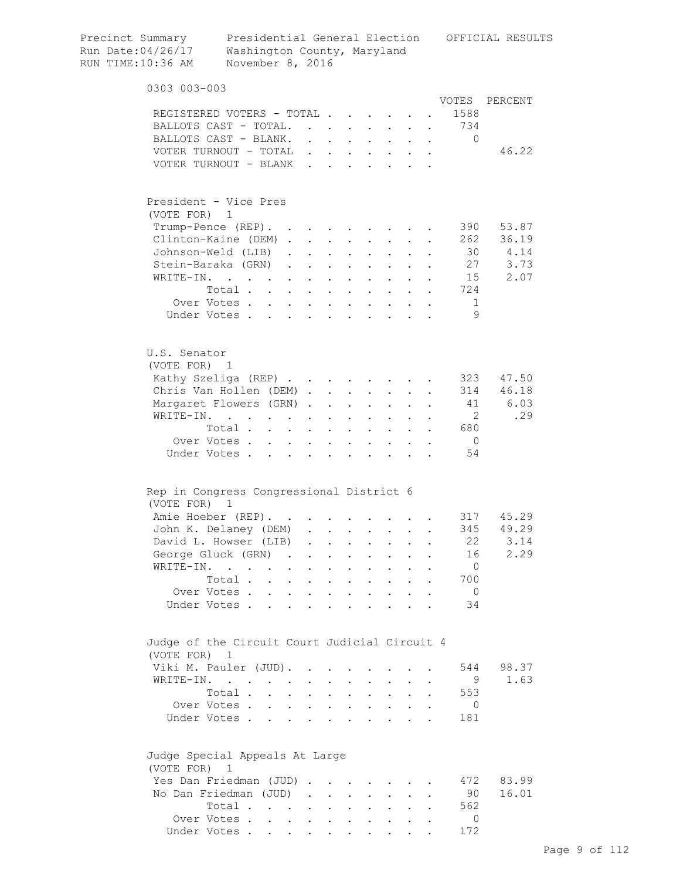| Precinct Summary<br>Run Date:04/26/17<br>RUN TIME:10:36 AM | Presidential General Election<br>Washington County, Maryland<br>November 8, 2016 |                           |                                 |                                          |                           |                                                           |                      |                      |                | OFFICIAL RESULTS |
|------------------------------------------------------------|----------------------------------------------------------------------------------|---------------------------|---------------------------------|------------------------------------------|---------------------------|-----------------------------------------------------------|----------------------|----------------------|----------------|------------------|
| 0303 003-003                                               |                                                                                  |                           |                                 |                                          |                           |                                                           |                      |                      |                |                  |
|                                                            | REGISTERED VOTERS - TOTAL                                                        |                           |                                 |                                          |                           |                                                           |                      |                      | VOTES<br>1588  | PERCENT          |
|                                                            | BALLOTS CAST - TOTAL.                                                            |                           |                                 |                                          |                           |                                                           |                      |                      | . 734          |                  |
|                                                            | BALLOTS CAST - BLANK.                                                            |                           |                                 |                                          |                           |                                                           |                      |                      | 0              |                  |
|                                                            | VOTER TURNOUT - TOTAL                                                            |                           |                                 |                                          |                           |                                                           |                      |                      |                | 46.22            |
|                                                            | VOTER TURNOUT - BLANK                                                            |                           |                                 |                                          |                           |                                                           |                      |                      |                |                  |
|                                                            |                                                                                  |                           |                                 |                                          |                           |                                                           |                      |                      |                |                  |
| President - Vice Pres                                      |                                                                                  |                           |                                 |                                          |                           |                                                           |                      |                      |                |                  |
| (VOTE FOR) 1                                               |                                                                                  |                           |                                 |                                          |                           |                                                           |                      |                      |                |                  |
|                                                            | Trump-Pence (REP).                                                               |                           |                                 |                                          |                           |                                                           |                      |                      | 390            | 53.87            |
|                                                            | Clinton-Kaine (DEM)                                                              |                           |                                 |                                          |                           |                                                           |                      |                      | 262            | 36.19            |
|                                                            | Johnson-Weld (LIB).                                                              |                           | $\cdot$ $\cdot$ $\cdot$ $\cdot$ |                                          |                           | $\mathbf{z} = \mathbf{z} + \mathbf{z}$ .                  | $\ddot{\phantom{0}}$ |                      |                | 30 4.14          |
|                                                            | Stein-Baraka (GRN).                                                              | $\mathbf{a} = \mathbf{a}$ |                                 | $\mathbf{z} = \mathbf{z} + \mathbf{z}$ . |                           | $\mathbf{z} = \mathbf{z} + \mathbf{z}$ .                  |                      |                      |                | 27<br>3.73       |
| WRITE-IN.                                                  | $\mathcal{A}$ and $\mathcal{A}$ are also associated as a set of $\mathcal{A}$    |                           |                                 |                                          |                           |                                                           |                      |                      | 15             | 2.07             |
|                                                            | Total                                                                            |                           |                                 |                                          | $\mathbf{L}^{\text{max}}$ |                                                           |                      |                      | 724            |                  |
|                                                            | Over Votes                                                                       |                           |                                 |                                          |                           |                                                           |                      |                      | 1              |                  |
|                                                            | Under Votes                                                                      | $\ddot{\phantom{0}}$      | $\ddot{\phantom{0}}$            | $\ddot{\phantom{a}}$                     |                           |                                                           |                      |                      | 9              |                  |
| U.S. Senator<br>(VOTE FOR) 1                               |                                                                                  |                           |                                 |                                          |                           |                                                           |                      |                      |                |                  |
|                                                            | Kathy Szeliga (REP)                                                              |                           |                                 |                                          |                           |                                                           |                      |                      | 323            | 47.50            |
|                                                            | Chris Van Hollen (DEM)                                                           |                           |                                 |                                          | $\sim 100$                | $\mathbf{L}^{\text{max}}$                                 |                      |                      | 314            | 46.18            |
|                                                            | Margaret Flowers (GRN)                                                           |                           |                                 |                                          | $\sim$ 100 $\pm$          |                                                           |                      |                      | 41             | 6.03             |
| WRITE-IN.                                                  | $\mathbf{z} = \mathbf{z} + \mathbf{z}$ .                                         |                           | $\ddot{\phantom{a}}$            |                                          |                           |                                                           |                      |                      | $\overline{2}$ | .29              |
|                                                            | Total                                                                            |                           |                                 | $\ddot{\phantom{0}}$                     |                           | $\mathcal{L}^{\text{max}}$                                |                      |                      | 680            |                  |
|                                                            | Over Votes                                                                       | $\sim$                    |                                 | $\cdot$ $\cdot$                          | $\mathbf{L}^{\text{max}}$ | $\mathbf{L}$                                              | $\mathbf{L}$         |                      | $\overline{0}$ |                  |
|                                                            | Under Votes                                                                      |                           | $\ddot{\phantom{a}}$            |                                          |                           | $\cdots$                                                  |                      |                      | 54             |                  |
|                                                            | Rep in Congress Congressional District 6                                         |                           |                                 |                                          |                           |                                                           |                      |                      |                |                  |
| (VOTE FOR) 1                                               |                                                                                  |                           |                                 |                                          |                           |                                                           |                      |                      |                |                  |
|                                                            | Amie Hoeber (REP).                                                               |                           |                                 |                                          |                           |                                                           |                      |                      |                | 317 45.29        |
|                                                            | John K. Delaney (DEM) .                                                          |                           |                                 |                                          |                           |                                                           |                      |                      |                | 345 49.29        |
|                                                            | David L. Howser (LIB)                                                            |                           |                                 | $\Delta \sim 10^{-11}$                   | $\sim$                    | $\sim 100$                                                |                      |                      | 22             | 3.14             |
|                                                            | George Gluck (GRN).                                                              | $\sim$                    |                                 | $\cdot$ $\cdot$                          |                           | $\cdot$ $\cdot$ $\cdot$                                   | $\mathbf{L}$         | $\ddot{\phantom{a}}$ | 16             | 2.29             |
|                                                            | WRITE-IN.                                                                        | $\sim$ 100 $\pm$          | $\bullet$                       | $\sim$ $\sim$ $\sim$                     |                           | $\mathbf{L}^{\text{max}}$ , and $\mathbf{L}^{\text{max}}$ | $\ddot{\phantom{0}}$ |                      | $\overline{0}$ |                  |
|                                                            | Total                                                                            |                           |                                 | $\mathbf{L}$ and $\mathbf{L}$            |                           | $\cdot$ $\cdot$ $\cdot$                                   | $\ddot{\phantom{0}}$ |                      | 700            |                  |
|                                                            | Over Votes                                                                       |                           |                                 |                                          |                           |                                                           |                      | $\bullet$            | $\overline{0}$ |                  |
|                                                            | Under Votes                                                                      |                           |                                 |                                          |                           |                                                           |                      |                      | 34             |                  |
| (VOTE FOR)                                                 | Judge of the Circuit Court Judicial Circuit 4<br>1                               |                           |                                 |                                          |                           |                                                           |                      |                      |                |                  |
|                                                            | Viki M. Pauler (JUD).                                                            |                           |                                 |                                          |                           |                                                           |                      |                      | 544            | 98.37            |
|                                                            | WRITE-IN.                                                                        |                           |                                 |                                          |                           |                                                           |                      | $\ddot{\phantom{a}}$ | - 9            | 1.63             |
|                                                            | Total                                                                            |                           |                                 |                                          |                           | $\mathbf{r}$ , and $\mathbf{r}$ , and $\mathbf{r}$        |                      |                      | 553            |                  |
|                                                            | Over Votes                                                                       |                           |                                 |                                          |                           |                                                           |                      | $\bullet$            | $\overline{0}$ |                  |
|                                                            | Under Votes                                                                      |                           |                                 |                                          |                           |                                                           |                      |                      | 181            |                  |
| (VOTE FOR) 1                                               | Judge Special Appeals At Large                                                   |                           |                                 |                                          |                           |                                                           |                      |                      |                |                  |
|                                                            | Yes Dan Friedman (JUD)                                                           |                           |                                 |                                          |                           |                                                           |                      |                      | 472            | 83.99            |
|                                                            | No Dan Friedman (JUD)                                                            |                           |                                 |                                          |                           |                                                           |                      |                      | 90             | 16.01            |
|                                                            | Total                                                                            |                           |                                 |                                          |                           |                                                           |                      |                      | 562            |                  |
|                                                            | Over Votes                                                                       |                           |                                 |                                          |                           |                                                           |                      |                      | $\Omega$       |                  |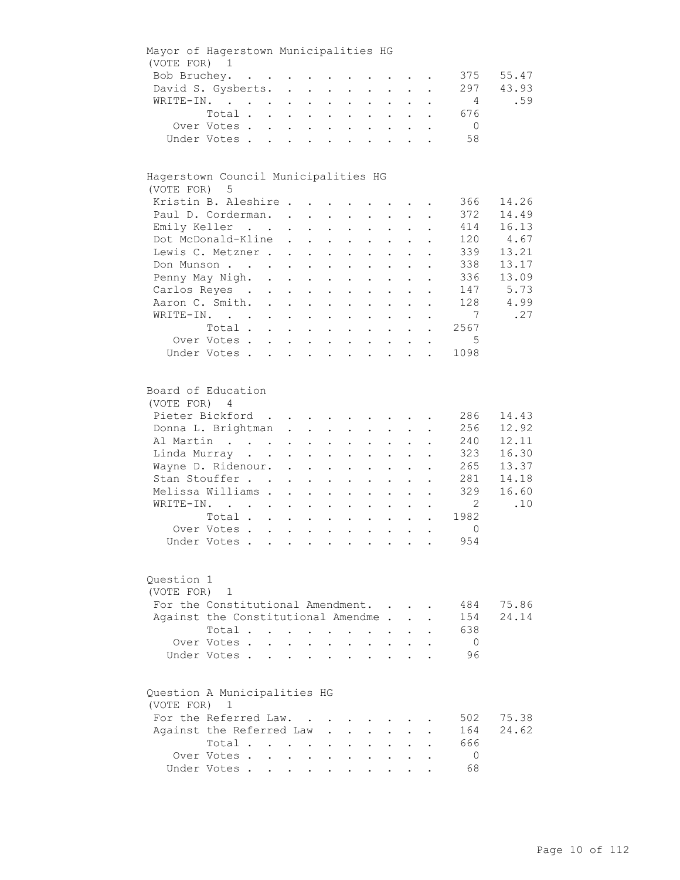| Mayor of Hagerstown Municipalities HG        |                                                                                                                                                                                    |                    |                                                                                                                                                                |                                                                                |                                                                                                       |                                                                                                                            |                                                                                                                                                                                                                                                                       |                                                                          |                                                           |                                                                              |                                                                    |
|----------------------------------------------|------------------------------------------------------------------------------------------------------------------------------------------------------------------------------------|--------------------|----------------------------------------------------------------------------------------------------------------------------------------------------------------|--------------------------------------------------------------------------------|-------------------------------------------------------------------------------------------------------|----------------------------------------------------------------------------------------------------------------------------|-----------------------------------------------------------------------------------------------------------------------------------------------------------------------------------------------------------------------------------------------------------------------|--------------------------------------------------------------------------|-----------------------------------------------------------|------------------------------------------------------------------------------|--------------------------------------------------------------------|
| (VOTE FOR) 1                                 |                                                                                                                                                                                    |                    |                                                                                                                                                                |                                                                                |                                                                                                       |                                                                                                                            |                                                                                                                                                                                                                                                                       |                                                                          |                                                           |                                                                              |                                                                    |
|                                              | Bob Bruchey.                                                                                                                                                                       |                    |                                                                                                                                                                |                                                                                |                                                                                                       |                                                                                                                            |                                                                                                                                                                                                                                                                       |                                                                          |                                                           | 375                                                                          | 55.47                                                              |
|                                              | David S. Gysberts.                                                                                                                                                                 |                    |                                                                                                                                                                |                                                                                |                                                                                                       |                                                                                                                            |                                                                                                                                                                                                                                                                       |                                                                          |                                                           | 297                                                                          | 43.93                                                              |
|                                              | WRITE-IN.                                                                                                                                                                          |                    |                                                                                                                                                                |                                                                                |                                                                                                       | $\mathcal{L}^{\text{max}}$                                                                                                 |                                                                                                                                                                                                                                                                       | $\mathbf{L} = \mathbf{L}$                                                | $\mathcal{L}^{\text{max}}$                                | 4                                                                            | .59                                                                |
|                                              | Total                                                                                                                                                                              |                    |                                                                                                                                                                |                                                                                |                                                                                                       |                                                                                                                            |                                                                                                                                                                                                                                                                       |                                                                          |                                                           | 676                                                                          |                                                                    |
|                                              | Over Votes                                                                                                                                                                         |                    |                                                                                                                                                                |                                                                                |                                                                                                       |                                                                                                                            |                                                                                                                                                                                                                                                                       |                                                                          |                                                           | $\overline{0}$                                                               |                                                                    |
|                                              | Under Votes                                                                                                                                                                        |                    |                                                                                                                                                                |                                                                                |                                                                                                       |                                                                                                                            |                                                                                                                                                                                                                                                                       |                                                                          | $\ddotsc$                                                 | 58                                                                           |                                                                    |
|                                              |                                                                                                                                                                                    |                    |                                                                                                                                                                |                                                                                |                                                                                                       |                                                                                                                            |                                                                                                                                                                                                                                                                       |                                                                          |                                                           |                                                                              |                                                                    |
| Hagerstown Council Municipalities HG         |                                                                                                                                                                                    |                    |                                                                                                                                                                |                                                                                |                                                                                                       |                                                                                                                            |                                                                                                                                                                                                                                                                       |                                                                          |                                                           |                                                                              |                                                                    |
| (VOTE FOR) 5                                 |                                                                                                                                                                                    |                    |                                                                                                                                                                |                                                                                |                                                                                                       |                                                                                                                            |                                                                                                                                                                                                                                                                       |                                                                          |                                                           |                                                                              |                                                                    |
|                                              | Kristin B. Aleshire                                                                                                                                                                |                    |                                                                                                                                                                |                                                                                |                                                                                                       |                                                                                                                            |                                                                                                                                                                                                                                                                       |                                                                          |                                                           | 366                                                                          | 14.26                                                              |
|                                              | Paul D. Corderman.                                                                                                                                                                 |                    |                                                                                                                                                                |                                                                                |                                                                                                       |                                                                                                                            |                                                                                                                                                                                                                                                                       |                                                                          |                                                           | 372                                                                          | 14.49                                                              |
|                                              | Emily Keller                                                                                                                                                                       |                    |                                                                                                                                                                |                                                                                | $\mathbf{L}^{\text{max}}$ , and $\mathbf{L}^{\text{max}}$                                             |                                                                                                                            | $\mathbf{z} = \mathbf{z} + \mathbf{z}$ .                                                                                                                                                                                                                              |                                                                          | $\mathbf{L}^{\text{max}}$ , and $\mathbf{L}^{\text{max}}$ | 414                                                                          | 16.13                                                              |
|                                              | Dot McDonald-Kline                                                                                                                                                                 |                    | $\ddot{\phantom{0}}$                                                                                                                                           |                                                                                | $\mathbf{L}^{\text{max}}$ , and $\mathbf{L}^{\text{max}}$                                             | $\bullet$ .<br><br><br><br><br><br><br><br><br><br><br><br>                                                                | $\bullet$ .                                                                                                                                                                                                                                                           | $\bullet$ .                                                              | $\mathbf{L}^{\text{max}}$                                 | 120                                                                          | 4.67                                                               |
|                                              | Lewis C. Metzner.                                                                                                                                                                  |                    | $\sim$                                                                                                                                                         |                                                                                | $\mathbf{z} = \mathbf{z} + \mathbf{z}$ .                                                              | $\bullet$ .                                                                                                                | $\mathbf{L}^{\text{max}}$                                                                                                                                                                                                                                             | $\mathbf{L}^{\text{max}}$                                                |                                                           | 339                                                                          | 13.21                                                              |
|                                              | Don Munson                                                                                                                                                                         |                    | $\mathbf{z} = \mathbf{z} + \mathbf{z} + \mathbf{z}$ .                                                                                                          |                                                                                |                                                                                                       |                                                                                                                            |                                                                                                                                                                                                                                                                       |                                                                          |                                                           | 338                                                                          | 13.17                                                              |
|                                              | Penny May Nigh. .                                                                                                                                                                  |                    |                                                                                                                                                                |                                                                                |                                                                                                       |                                                                                                                            |                                                                                                                                                                                                                                                                       |                                                                          |                                                           | 336                                                                          | 13.09                                                              |
|                                              | Carlos Reyes .                                                                                                                                                                     |                    | $\mathbf{L}^{\text{max}}$                                                                                                                                      | $\sim$ $-$                                                                     | $\ddot{\phantom{a}}$                                                                                  |                                                                                                                            |                                                                                                                                                                                                                                                                       |                                                                          |                                                           | 147                                                                          | 5.73                                                               |
|                                              |                                                                                                                                                                                    | $\mathbb{R}^{n+1}$ | $\bullet$ .                                                                                                                                                    | $\sim$                                                                         | $\sim$ 100 $\pm$                                                                                      | $\bullet$                                                                                                                  | $\ddot{\phantom{0}}$                                                                                                                                                                                                                                                  |                                                                          |                                                           |                                                                              |                                                                    |
|                                              | Aaron C. Smith.                                                                                                                                                                    |                    |                                                                                                                                                                |                                                                                |                                                                                                       |                                                                                                                            | $\mathbf{r} = \mathbf{r}$                                                                                                                                                                                                                                             | $\mathbf{L}$                                                             | $\ddot{\phantom{0}}$                                      | 128                                                                          | 4.99                                                               |
|                                              | WRITE-IN.                                                                                                                                                                          |                    |                                                                                                                                                                |                                                                                |                                                                                                       |                                                                                                                            |                                                                                                                                                                                                                                                                       |                                                                          | $\bullet$                                                 | $7\overline{ }$                                                              | .27                                                                |
|                                              | Total                                                                                                                                                                              |                    |                                                                                                                                                                |                                                                                |                                                                                                       |                                                                                                                            |                                                                                                                                                                                                                                                                       |                                                                          |                                                           | 2567                                                                         |                                                                    |
|                                              | Over Votes                                                                                                                                                                         |                    |                                                                                                                                                                |                                                                                |                                                                                                       |                                                                                                                            |                                                                                                                                                                                                                                                                       |                                                                          |                                                           | 5                                                                            |                                                                    |
|                                              | Under Votes                                                                                                                                                                        |                    |                                                                                                                                                                |                                                                                |                                                                                                       |                                                                                                                            |                                                                                                                                                                                                                                                                       |                                                                          |                                                           | 1098                                                                         |                                                                    |
| Board of Education<br>(VOTE FOR) 4           | Pieter Bickford<br>Donna L. Brightman<br>Al Martin<br>Linda Murray<br>Wayne D. Ridenour.<br>Stan Stouffer<br>Melissa Williams .<br>WRITE-IN.<br>Total<br>Over Votes<br>Under Votes |                    | $\mathbf{z} = \mathbf{z} + \mathbf{z}$ , where $\mathbf{z} = \mathbf{z}$<br>$\ddot{\phantom{0}}$<br>$\ddot{\phantom{a}}$<br>$\ddot{\phantom{0}}$<br>$\sim$ $-$ | $\mathbf{L}^{\text{max}}$<br>$\mathbf{L}^{\text{max}}$<br>$\ddot{\phantom{0}}$ | $\mathbf{z} = \mathbf{z} + \mathbf{z}$ .<br>$\bullet$<br>$\ddot{\phantom{0}}$<br>$\ddot{\phantom{0}}$ | $\bullet$ .<br><br><br><br><br><br><br><br><br><br><br><br><br>$\bullet$ .<br>$\ddot{\phantom{a}}$<br>$\ddot{\phantom{a}}$ | $\mathbf{r}$ , $\mathbf{r}$ , $\mathbf{r}$ , $\mathbf{r}$<br>$\mathbf{z} = \mathbf{z} + \mathbf{z}$ .<br>$\bullet$ .<br>$\mathbf{z} = \mathbf{z}$<br>$\ddot{\phantom{0}}$<br>$\ddot{\phantom{0}}$<br>$\ddot{\phantom{a}}$<br>$\mathbf{z} = \mathbf{z} + \mathbf{z}$ . | $\mathcal{L}^{(1)}$<br>$\mathbf{L}^{\text{max}}$<br>$\ddot{\phantom{0}}$ | $\mathbf{z} = \mathbf{z} + \mathbf{z}$ .<br>$\bullet$     | 286<br>256<br>240<br>323<br>265<br>281<br>329<br>2<br>1982<br>$\circ$<br>954 | 14.43<br>12.92<br>12.11<br>16.30<br>13.37<br>14.18<br>16.60<br>.10 |
| Question 1<br>(VOTE FOR)                     | 1<br>For the Constitutional Amendment.<br>Against the Constitutional Amendme.<br>Total<br>Over Votes.<br>Under Votes.                                                              | $\mathbf{L}$       |                                                                                                                                                                |                                                                                | $\sim$<br>$\ddot{\phantom{a}}$                                                                        | $\ddot{\phantom{a}}$                                                                                                       | $\sim$<br>$\ddot{\phantom{a}}$                                                                                                                                                                                                                                        |                                                                          |                                                           | 484<br>154<br>638<br>$\overline{0}$<br>96                                    | 75.86<br>24.14                                                     |
| Question A Municipalities HG<br>(VOTE FOR) 1 | For the Referred Law.<br>Against the Referred Law<br>Total                                                                                                                         |                    |                                                                                                                                                                |                                                                                |                                                                                                       |                                                                                                                            |                                                                                                                                                                                                                                                                       |                                                                          |                                                           | 502<br>164<br>666                                                            | 75.38<br>24.62                                                     |
|                                              | Over Votes .                                                                                                                                                                       |                    | $\mathbf{1}$ $\mathbf{1}$ $\mathbf{1}$ $\mathbf{1}$ $\mathbf{1}$                                                                                               |                                                                                |                                                                                                       |                                                                                                                            |                                                                                                                                                                                                                                                                       |                                                                          |                                                           | 0                                                                            |                                                                    |
|                                              | Under Votes                                                                                                                                                                        |                    |                                                                                                                                                                |                                                                                |                                                                                                       |                                                                                                                            |                                                                                                                                                                                                                                                                       |                                                                          |                                                           | 68                                                                           |                                                                    |
|                                              |                                                                                                                                                                                    |                    |                                                                                                                                                                |                                                                                |                                                                                                       |                                                                                                                            |                                                                                                                                                                                                                                                                       |                                                                          |                                                           |                                                                              |                                                                    |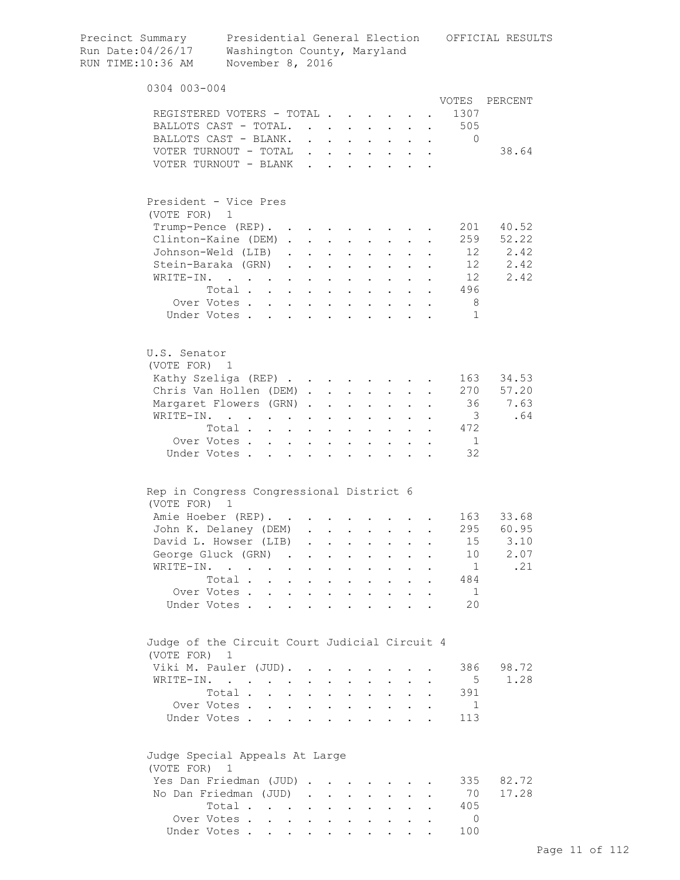| Precinct Summary<br>Run Date:04/26/17<br>RUN TIME:10:36 AM    | Presidential General Election<br>Washington County, Maryland<br>November 8, 2016              |           |                                                                                               |                                          |                           |                                                                       |                                                             |                      |                         | OFFICIAL RESULTS |
|---------------------------------------------------------------|-----------------------------------------------------------------------------------------------|-----------|-----------------------------------------------------------------------------------------------|------------------------------------------|---------------------------|-----------------------------------------------------------------------|-------------------------------------------------------------|----------------------|-------------------------|------------------|
| 0304 003-004                                                  |                                                                                               |           |                                                                                               |                                          |                           |                                                                       |                                                             |                      |                         |                  |
|                                                               |                                                                                               |           |                                                                                               |                                          |                           |                                                                       |                                                             |                      | VOTES                   | PERCENT          |
|                                                               | REGISTERED VOTERS - TOTAL                                                                     |           |                                                                                               |                                          |                           |                                                                       |                                                             |                      | 1307                    |                  |
|                                                               | BALLOTS CAST - TOTAL. 505                                                                     |           |                                                                                               |                                          |                           |                                                                       |                                                             |                      |                         |                  |
|                                                               | BALLOTS CAST - BLANK.                                                                         |           |                                                                                               |                                          |                           |                                                                       |                                                             |                      | 0                       |                  |
|                                                               | VOTER TURNOUT - TOTAL                                                                         |           |                                                                                               |                                          |                           |                                                                       |                                                             |                      |                         | 38.64            |
|                                                               | VOTER TURNOUT - BLANK                                                                         |           |                                                                                               |                                          |                           | $\sim$                                                                |                                                             |                      |                         |                  |
| President - Vice Pres                                         |                                                                                               |           |                                                                                               |                                          |                           |                                                                       |                                                             |                      |                         |                  |
| (VOTE FOR) 1                                                  |                                                                                               |           |                                                                                               |                                          |                           |                                                                       |                                                             |                      |                         |                  |
|                                                               | Trump-Pence (REP).                                                                            |           |                                                                                               |                                          |                           |                                                                       |                                                             |                      | 201                     | 40.52            |
|                                                               | Clinton-Kaine (DEM)                                                                           |           |                                                                                               |                                          |                           |                                                                       |                                                             |                      |                         | 259 52.22        |
|                                                               | Johnson-Weld (LIB)                                                                            |           |                                                                                               |                                          |                           |                                                                       | $\bullet$ .<br><br><br><br><br><br><br><br><br><br><br><br> |                      |                         | 12 2.42          |
|                                                               | Stein-Baraka (GRN).                                                                           |           | $\mathbf{r} = \mathbf{r} + \mathbf{r} + \mathbf{r}$ .                                         |                                          |                           | $\mathbf{L}^{\text{max}}$                                             |                                                             |                      |                         | 12 2.42          |
| WRITE-IN.                                                     | $\mathcal{L}(\mathbf{A})$ . The contribution of the contribution of $\mathcal{L}(\mathbf{A})$ |           |                                                                                               |                                          | $\mathbf{a} = \mathbf{a}$ | $\mathbf{L}^{\text{max}}$                                             |                                                             |                      | 12                      | 2.42             |
|                                                               | Total                                                                                         |           | $\mathbf{1}^{\prime}$ , $\mathbf{1}^{\prime}$ , $\mathbf{1}^{\prime}$ , $\mathbf{1}^{\prime}$ |                                          |                           |                                                                       |                                                             |                      | 496                     |                  |
|                                                               | Over Votes                                                                                    | $\sim$    |                                                                                               | $\mathbf{r} = \mathbf{r} + \mathbf{r}$ . |                           |                                                                       |                                                             |                      | 8 <sup>8</sup>          |                  |
|                                                               | Under Votes                                                                                   |           | $\mathbf{r}$ and $\mathbf{r}$ and $\mathbf{r}$                                                |                                          |                           | $\mathbf{r}$ and $\mathbf{r}$                                         |                                                             |                      | 1                       |                  |
| U.S. Senator<br>(VOTE FOR) 1                                  |                                                                                               |           |                                                                                               |                                          |                           |                                                                       |                                                             |                      |                         |                  |
|                                                               | Kathy Szeliga (REP)                                                                           |           |                                                                                               |                                          |                           |                                                                       |                                                             |                      | 163                     | 34.53            |
|                                                               | Chris Van Hollen (DEM)                                                                        |           |                                                                                               |                                          |                           | $\mathbf{L}^{\text{max}}$                                             |                                                             |                      | 270                     | 57.20            |
|                                                               | Margaret Flowers (GRN)                                                                        |           |                                                                                               |                                          | $\mathbf{L}^{\text{max}}$ | $\mathbf{a} = \mathbf{a}$                                             |                                                             |                      | 36                      | 7.63             |
| WRITE-IN.                                                     | $\mathbf{r} = \mathbf{r} + \mathbf{r}$ .                                                      | $\sim 10$ | $\ddot{\phantom{0}}$                                                                          | $\sim 100$ km s $^{-1}$                  | $\sim 10^{-10}$           | $\sim$ $-$                                                            |                                                             |                      | $\overline{\mathbf{3}}$ | .64              |
|                                                               | Total                                                                                         | $\sim$    |                                                                                               | $\cdot$ $\cdot$                          |                           | $\mathbf{r} = \mathbf{r} + \mathbf{r}$ .                              |                                                             |                      | 472                     |                  |
|                                                               | Over Votes                                                                                    |           |                                                                                               | $\cdot$ $\cdot$                          |                           | $\cdot$ $\cdot$ $\cdot$                                               |                                                             |                      | $\blacksquare$          |                  |
|                                                               | Under Votes                                                                                   |           | $\ddot{\phantom{a}}$                                                                          |                                          |                           | $\cdots$                                                              |                                                             |                      | 32                      |                  |
| Rep in Congress Congressional District 6                      |                                                                                               |           |                                                                                               |                                          |                           |                                                                       |                                                             |                      |                         |                  |
| (VOTE FOR) 1                                                  | Amie Hoeber (REP).                                                                            |           |                                                                                               |                                          |                           |                                                                       |                                                             |                      | 163                     | 33.68            |
|                                                               | John K. Delaney (DEM) .                                                                       |           |                                                                                               |                                          |                           |                                                                       |                                                             |                      |                         | 295 60.95        |
|                                                               | David L. Howser (LIB)                                                                         |           | $\sim 10^{-11}$                                                                               |                                          |                           | $\mathbf{z} = \mathbf{z} + \mathbf{z}$ .                              |                                                             |                      | 15                      | 3.10             |
|                                                               | George Gluck (GRN)                                                                            |           |                                                                                               |                                          |                           |                                                                       | $\mathbf{r}$                                                | $\ddot{\phantom{a}}$ | 10                      | 2.07             |
|                                                               | WRITE-IN.                                                                                     |           |                                                                                               |                                          |                           |                                                                       |                                                             |                      | $\overline{1}$          | .21              |
|                                                               | Total                                                                                         |           |                                                                                               |                                          |                           |                                                                       |                                                             |                      | 484                     |                  |
|                                                               |                                                                                               |           |                                                                                               |                                          |                           |                                                                       |                                                             |                      | 1                       |                  |
|                                                               | Over Votes<br>Under Votes                                                                     |           |                                                                                               |                                          |                           |                                                                       |                                                             |                      | 20                      |                  |
| Judge of the Circuit Court Judicial Circuit 4<br>(VOTE FOR) 1 |                                                                                               |           |                                                                                               |                                          |                           |                                                                       |                                                             |                      |                         |                  |
|                                                               | Viki M. Pauler (JUD).                                                                         |           |                                                                                               |                                          |                           |                                                                       |                                                             |                      | 386                     | 98.72            |
|                                                               | WRITE-IN.                                                                                     |           |                                                                                               |                                          |                           |                                                                       |                                                             |                      | 5                       | 1.28             |
|                                                               | Total                                                                                         |           |                                                                                               |                                          |                           | $\mathbf{r}$ , and $\mathbf{r}$ , and $\mathbf{r}$ , and $\mathbf{r}$ |                                                             |                      | 391                     |                  |
|                                                               | Over Votes                                                                                    |           |                                                                                               |                                          |                           |                                                                       |                                                             | $\bullet$            | -1                      |                  |
|                                                               | Under Votes                                                                                   |           |                                                                                               |                                          |                           |                                                                       |                                                             |                      | 113                     |                  |
| Judge Special Appeals At Large<br>(VOTE FOR) 1                |                                                                                               |           |                                                                                               |                                          |                           |                                                                       |                                                             |                      |                         |                  |
|                                                               | Yes Dan Friedman (JUD)                                                                        |           |                                                                                               |                                          |                           |                                                                       |                                                             |                      | 335                     | 82.72            |
|                                                               | No Dan Friedman (JUD)                                                                         |           |                                                                                               |                                          |                           |                                                                       |                                                             |                      | 70                      | 17.28            |
|                                                               | Total                                                                                         |           |                                                                                               |                                          |                           |                                                                       |                                                             |                      | 405                     |                  |
|                                                               | Over Votes                                                                                    |           |                                                                                               |                                          |                           |                                                                       |                                                             |                      | 0                       |                  |
|                                                               |                                                                                               |           |                                                                                               |                                          |                           |                                                                       |                                                             |                      |                         |                  |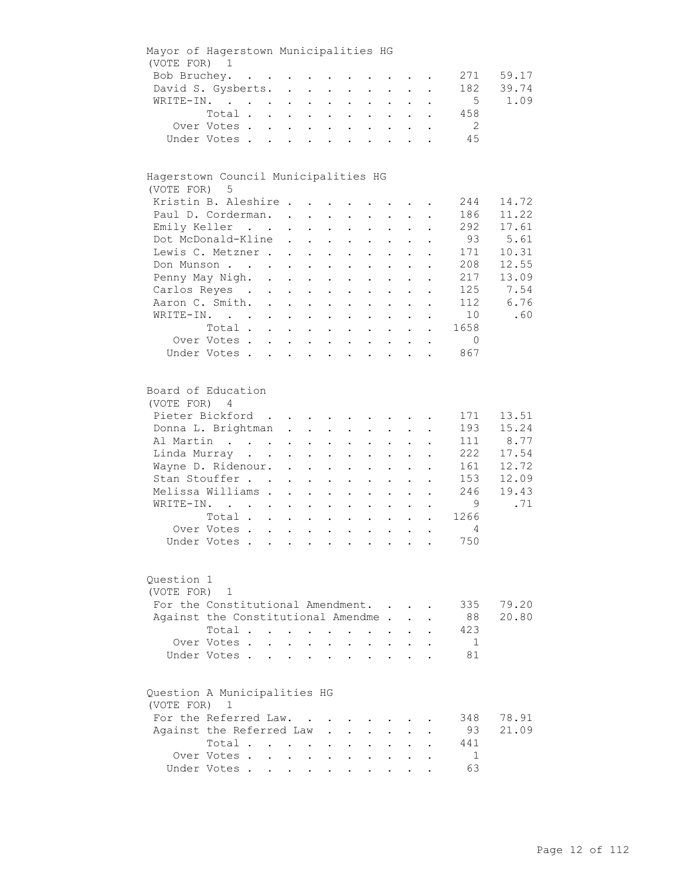| Mayor of Hagerstown Municipalities HG        |                                     |                    |                                                                  |                           |                                                                  |                            |                                          |                           |                                          |                      |                 |       |
|----------------------------------------------|-------------------------------------|--------------------|------------------------------------------------------------------|---------------------------|------------------------------------------------------------------|----------------------------|------------------------------------------|---------------------------|------------------------------------------|----------------------|-----------------|-------|
| (VOTE FOR) 1                                 |                                     |                    |                                                                  |                           |                                                                  |                            |                                          |                           |                                          |                      |                 |       |
|                                              | Bob Bruchey.                        |                    |                                                                  |                           |                                                                  |                            |                                          |                           |                                          |                      | 271             | 59.17 |
|                                              | David S. Gysberts.                  |                    |                                                                  |                           |                                                                  |                            |                                          |                           |                                          |                      | 182             | 39.74 |
|                                              | WRITE-IN.                           |                    |                                                                  |                           |                                                                  | $\mathcal{L}^{\text{max}}$ |                                          | $\mathbf{L} = \mathbf{L}$ | $\mathcal{L}^{\text{max}}$               |                      | 5               | 1.09  |
|                                              | Total                               |                    |                                                                  |                           |                                                                  |                            |                                          |                           |                                          | $\ddot{\phantom{1}}$ | 458             |       |
|                                              | Over Votes                          |                    |                                                                  |                           |                                                                  |                            |                                          |                           |                                          |                      | $\overline{2}$  |       |
|                                              | Under Votes                         |                    |                                                                  |                           |                                                                  |                            |                                          |                           |                                          | $\ddotsc$            | 45              |       |
|                                              |                                     |                    |                                                                  |                           |                                                                  |                            |                                          |                           |                                          |                      |                 |       |
| Hagerstown Council Municipalities HG         |                                     |                    |                                                                  |                           |                                                                  |                            |                                          |                           |                                          |                      |                 |       |
| (VOTE FOR) 5                                 |                                     |                    |                                                                  |                           |                                                                  |                            |                                          |                           |                                          |                      |                 |       |
|                                              | Kristin B. Aleshire                 |                    |                                                                  |                           |                                                                  |                            |                                          |                           |                                          |                      | 244             | 14.72 |
|                                              | Paul D. Corderman.                  |                    |                                                                  |                           |                                                                  |                            |                                          |                           |                                          |                      | 186             | 11.22 |
|                                              | Emily Keller                        |                    |                                                                  |                           | $\mathbf{L}^{\text{max}}$ , and $\mathbf{L}^{\text{max}}$        |                            | $\mathbf{z} = \mathbf{z} + \mathbf{z}$ . |                           | $\mathbf{z} = \mathbf{z} + \mathbf{z}$ . |                      | 292             | 17.61 |
|                                              | Dot McDonald-Kline                  |                    |                                                                  |                           |                                                                  |                            |                                          | $\mathcal{L}^{(1)}$       |                                          |                      | 93              | 5.61  |
|                                              | Lewis C. Metzner.                   |                    | $\ddot{\phantom{0}}$                                             |                           | $\mathbf{L}^{\text{max}}$ , and $\mathbf{L}^{\text{max}}$        | $\bullet$ .                | $\bullet$ .                              |                           | $\mathbf{L}^{\text{max}}$                |                      | 171             | 10.31 |
|                                              |                                     |                    | $\sim$                                                           |                           | $\mathbf{z} = \mathbf{z} + \mathbf{z}$ .                         | $\bullet$ .                | $\mathbf{L}^{\text{max}}$                |                           |                                          |                      |                 |       |
|                                              | Don Munson                          |                    | $\mathbf{L}^{\text{max}}$                                        | $\sim$ $-$                | $\sim 10^{-11}$                                                  |                            |                                          |                           |                                          |                      | 208             | 12.55 |
|                                              | Penny May Nigh. .                   |                    | $\mathbf{L}^{\text{max}}$                                        | $\sim$ $-$                | $\sim$                                                           |                            |                                          |                           |                                          |                      | 217             | 13.09 |
|                                              | Carlos Reyes .                      | $\mathbb{R}^{n+1}$ | $\bullet$ .                                                      | $\sim$                    | $\sim$ 100 $\pm$                                                 | $\bullet$                  | $\ddot{\phantom{a}}$                     |                           |                                          |                      | 125             | 7.54  |
|                                              | Aaron C. Smith.                     |                    |                                                                  |                           |                                                                  |                            | $\mathbf{r} = \mathbf{r}$                | $\ddot{\phantom{0}}$      | $\ddot{\phantom{a}}$                     |                      | 112             | 6.76  |
|                                              | WRITE-IN.                           |                    |                                                                  |                           |                                                                  |                            |                                          |                           | $\bullet$                                |                      | 10 <sup>1</sup> | .60   |
|                                              | Total                               |                    |                                                                  |                           |                                                                  |                            |                                          |                           |                                          | $\ddot{\phantom{a}}$ | 1658            |       |
|                                              | Over Votes                          |                    |                                                                  |                           |                                                                  |                            |                                          |                           |                                          | $\ddot{\phantom{0}}$ | $\overline{0}$  |       |
|                                              | Under Votes                         |                    |                                                                  |                           |                                                                  |                            |                                          |                           |                                          |                      | 867             |       |
|                                              |                                     |                    |                                                                  |                           |                                                                  |                            |                                          |                           |                                          |                      |                 |       |
| Board of Education<br>(VOTE FOR) 4           |                                     |                    |                                                                  |                           |                                                                  |                            |                                          |                           |                                          |                      |                 |       |
|                                              | Pieter Bickford                     |                    |                                                                  |                           |                                                                  |                            |                                          |                           |                                          |                      | 171             | 13.51 |
|                                              |                                     |                    |                                                                  |                           |                                                                  |                            |                                          |                           |                                          |                      |                 |       |
|                                              | Donna L. Brightman                  |                    |                                                                  |                           |                                                                  |                            |                                          |                           |                                          |                      | 193             | 15.24 |
|                                              | Al Martin                           |                    |                                                                  |                           |                                                                  |                            | $\mathbf{L} = \mathbf{L}$                |                           | $\cdot$ $\cdot$ $\cdot$                  |                      | 111             | 8.77  |
|                                              | Linda Murray                        |                    |                                                                  |                           |                                                                  |                            | $\mathbf{z} = \mathbf{z} + \mathbf{z}$ . |                           | $\mathbf{z} = \mathbf{z} + \mathbf{z}$ . |                      | 222             | 17.54 |
|                                              | Wayne D. Ridenour.                  |                    |                                                                  |                           | $\mathbf{r} = \mathbf{r} \times \mathbf{r}$ , where $\mathbf{r}$ | $\bullet$ .                | $\bullet$ .                              | $\mathcal{L}^{(1)}$       | $\bullet$                                |                      | 161             | 12.72 |
|                                              | Stan Stouffer                       |                    | $\ddot{\phantom{0}}$                                             |                           | $\mathbf{z} = \mathbf{z} + \mathbf{z}$ .                         | $\mathbf{L}^{\text{max}}$  | $\mathbf{z} = \mathbf{z}$                | $\mathbf{L}^{\text{max}}$ |                                          |                      | 153             | 12.09 |
|                                              | Melissa Williams .                  |                    | $\ddot{\phantom{a}}$                                             | $\mathbf{L}^{\text{max}}$ | $\bullet$                                                        |                            | $\ddot{\phantom{0}}$                     |                           |                                          |                      | 246             | 19.43 |
|                                              | WRITE-IN.                           |                    | $\ddot{\phantom{0}}$                                             | $\mathbf{L}^{\text{max}}$ | $\ddot{\phantom{0}}$                                             | $\bullet$                  | $\ddot{\phantom{0}}$                     |                           |                                          |                      | - 9             | .71   |
|                                              | Total                               |                    | $\sim$ $-$                                                       | $\ddot{\phantom{0}}$      | $\ddot{\phantom{0}}$                                             | $\ddot{\phantom{a}}$       | $\ddot{\phantom{a}}$                     |                           |                                          |                      | 1266            |       |
|                                              | Over Votes                          |                    |                                                                  |                           |                                                                  |                            | $\mathbf{r} = \mathbf{r} + \mathbf{r}$ . | $\ddot{\phantom{a}}$      | $\ddot{\phantom{a}}$                     |                      | 4               |       |
|                                              | Under Votes                         |                    |                                                                  |                           |                                                                  |                            |                                          |                           |                                          |                      | 750             |       |
|                                              |                                     |                    |                                                                  |                           |                                                                  |                            |                                          |                           |                                          |                      |                 |       |
| Question 1                                   |                                     |                    |                                                                  |                           |                                                                  |                            |                                          |                           |                                          |                      |                 |       |
| (VOTE FOR)                                   | 1                                   |                    |                                                                  |                           |                                                                  |                            |                                          |                           |                                          |                      |                 |       |
|                                              | For the Constitutional Amendment.   |                    |                                                                  |                           |                                                                  |                            |                                          |                           |                                          |                      | 335             | 79.20 |
|                                              | Against the Constitutional Amendme. |                    |                                                                  |                           |                                                                  |                            |                                          |                           |                                          |                      | 88              | 20.80 |
|                                              | Total.                              |                    |                                                                  |                           | $\mathbf{L}^{\text{max}}$                                        | $\ddot{\phantom{a}}$       |                                          |                           |                                          |                      | 423             |       |
|                                              |                                     |                    |                                                                  |                           |                                                                  |                            | $\sim$                                   |                           |                                          |                      |                 |       |
|                                              | Over Votes.                         | $\mathbf{L}$       |                                                                  |                           |                                                                  |                            |                                          |                           |                                          |                      | - 1             |       |
|                                              | Under Votes.                        |                    |                                                                  |                           | $\ddot{\phantom{a}}$                                             |                            | $\ddot{\phantom{a}}$                     |                           |                                          |                      | 81              |       |
|                                              |                                     |                    |                                                                  |                           |                                                                  |                            |                                          |                           |                                          |                      |                 |       |
| Question A Municipalities HG<br>(VOTE FOR) 1 |                                     |                    |                                                                  |                           |                                                                  |                            |                                          |                           |                                          |                      |                 |       |
|                                              | For the Referred Law.               |                    |                                                                  |                           |                                                                  |                            |                                          |                           |                                          |                      | 348             | 78.91 |
|                                              | Against the Referred Law            |                    |                                                                  |                           |                                                                  |                            |                                          |                           |                                          |                      | 93              | 21.09 |
|                                              | Total                               |                    |                                                                  |                           |                                                                  |                            |                                          |                           |                                          |                      | 441             |       |
|                                              | Over Votes .                        |                    | $\mathbf{1}$ $\mathbf{1}$ $\mathbf{1}$ $\mathbf{1}$ $\mathbf{1}$ |                           | $\ddot{\phantom{0}}$                                             |                            |                                          |                           |                                          |                      | 1               |       |
|                                              | Under Votes                         |                    |                                                                  |                           |                                                                  |                            |                                          |                           |                                          |                      | 63              |       |
|                                              |                                     |                    |                                                                  |                           |                                                                  |                            |                                          |                           |                                          |                      |                 |       |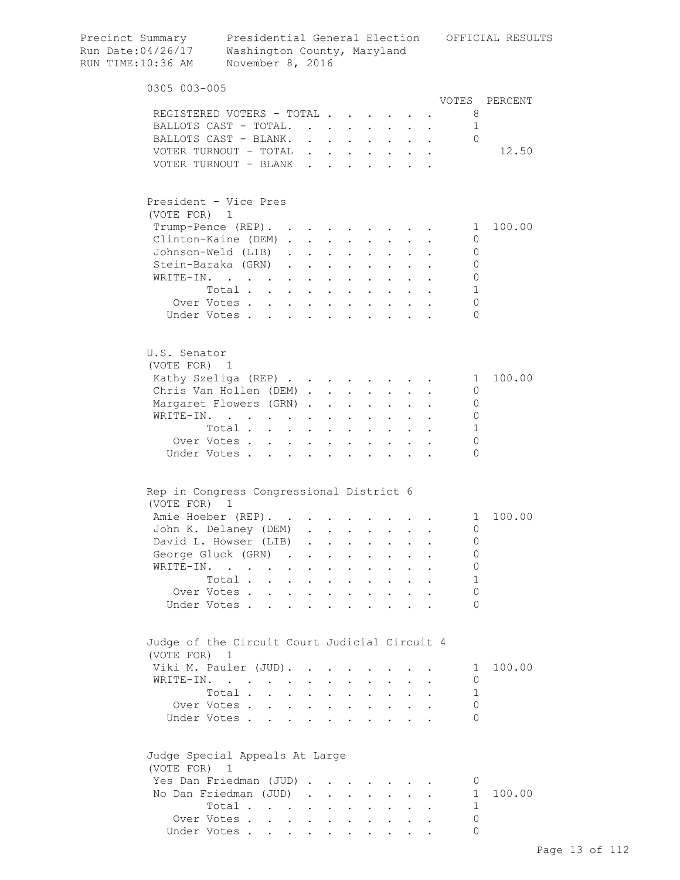| Precinct Summary<br>Run Date: 04/26/17<br>RUN TIME:10:36 AM   | Washington County, Maryland<br>November 8, 2016 |               |                                                                                                                       |                                                     |                                                                  |                                                             |                                          |                               |           |                | Presidential General Election OFFICIAL RESULTS |
|---------------------------------------------------------------|-------------------------------------------------|---------------|-----------------------------------------------------------------------------------------------------------------------|-----------------------------------------------------|------------------------------------------------------------------|-------------------------------------------------------------|------------------------------------------|-------------------------------|-----------|----------------|------------------------------------------------|
| 0305 003-005                                                  |                                                 |               |                                                                                                                       |                                                     |                                                                  |                                                             |                                          |                               |           |                |                                                |
| REGISTERED VOTERS - TOTAL                                     |                                                 |               |                                                                                                                       |                                                     |                                                                  |                                                             |                                          |                               |           | VOTES          | PERCENT                                        |
| BALLOTS CAST - TOTAL.                                         |                                                 |               |                                                                                                                       |                                                     |                                                                  |                                                             |                                          |                               |           | 8<br>1         |                                                |
| BALLOTS CAST - BLANK.                                         |                                                 |               |                                                                                                                       |                                                     | $\mathbf{z} = \mathbf{z} + \mathbf{z}$ . The set of $\mathbf{z}$ |                                                             |                                          |                               |           | $\Omega$       |                                                |
| VOTER TURNOUT - TOTAL $\cdot \cdot \cdot \cdot \cdot \cdot$   |                                                 |               |                                                                                                                       |                                                     |                                                                  |                                                             |                                          |                               |           |                | 12.50                                          |
| VOTER TURNOUT - BLANK.                                        |                                                 |               |                                                                                                                       | $\mathbf{L}^{\text{max}}$                           |                                                                  |                                                             |                                          |                               |           |                |                                                |
| President - Vice Pres<br>(VOTE FOR) 1                         |                                                 |               |                                                                                                                       |                                                     |                                                                  |                                                             |                                          |                               |           |                |                                                |
| Trump-Pence (REP).                                            |                                                 |               |                                                                                                                       |                                                     |                                                                  |                                                             |                                          |                               |           | $\mathbf{1}$   | 100.00                                         |
| Clinton-Kaine (DEM)                                           |                                                 |               |                                                                                                                       |                                                     |                                                                  |                                                             |                                          |                               |           | 0              |                                                |
| Johnson-Weld (LIB)                                            |                                                 |               |                                                                                                                       |                                                     |                                                                  |                                                             |                                          |                               |           | 0              |                                                |
| Stein-Baraka (GRN)                                            |                                                 |               |                                                                                                                       | $\sim$                                              |                                                                  |                                                             |                                          |                               |           | $\circ$        |                                                |
| WRITE-IN.                                                     |                                                 |               | $\mathbf{1}^{\prime}$ , $\mathbf{1}^{\prime}$ , $\mathbf{1}^{\prime}$ , $\mathbf{1}^{\prime}$ , $\mathbf{1}^{\prime}$ |                                                     | $\sim$                                                           | $\bullet$ .<br><br><br><br><br><br><br><br><br><br><br><br> | $\sim$                                   |                               |           | $\circ$        |                                                |
|                                                               | Total                                           |               |                                                                                                                       |                                                     | $\ddot{\phantom{0}}$                                             | $\mathbf{L}^{\text{max}}$                                   | $\sim$                                   |                               |           | 1              |                                                |
| Over Votes                                                    |                                                 |               |                                                                                                                       |                                                     |                                                                  |                                                             |                                          | $\mathbf{L}$                  |           | 0              |                                                |
| Under Votes                                                   |                                                 |               |                                                                                                                       |                                                     |                                                                  |                                                             |                                          |                               |           | $\Omega$       |                                                |
| U.S. Senator                                                  |                                                 |               |                                                                                                                       |                                                     |                                                                  |                                                             |                                          |                               |           |                |                                                |
| (VOTE FOR) 1                                                  |                                                 |               |                                                                                                                       |                                                     |                                                                  |                                                             |                                          |                               |           |                |                                                |
| Kathy Szeliga (REP)                                           |                                                 |               |                                                                                                                       |                                                     |                                                                  |                                                             |                                          |                               |           | $\overline{1}$ | 100.00                                         |
| Chris Van Hollen (DEM)                                        |                                                 |               |                                                                                                                       |                                                     |                                                                  |                                                             |                                          |                               |           | 0              |                                                |
| Margaret Flowers (GRN).                                       |                                                 |               |                                                                                                                       |                                                     | $\mathbf{L} = \mathbf{L}$                                        | $\sim$                                                      |                                          |                               |           | $\mathbf 0$    |                                                |
| WRITE-IN.                                                     |                                                 |               |                                                                                                                       |                                                     |                                                                  |                                                             |                                          |                               |           | $\mathbf 0$    |                                                |
|                                                               | Total                                           |               |                                                                                                                       |                                                     |                                                                  |                                                             |                                          |                               |           | 1              |                                                |
| Over Votes                                                    |                                                 |               |                                                                                                                       |                                                     |                                                                  |                                                             |                                          | $\mathbf{L}$ and $\mathbf{L}$ |           | 0              |                                                |
| Under Votes                                                   |                                                 |               |                                                                                                                       |                                                     |                                                                  |                                                             |                                          |                               |           | $\Omega$       |                                                |
| Rep in Congress Congressional District 6                      |                                                 |               |                                                                                                                       |                                                     |                                                                  |                                                             |                                          |                               |           |                |                                                |
| (VOTE FOR) 1                                                  |                                                 |               |                                                                                                                       |                                                     |                                                                  |                                                             |                                          |                               |           |                |                                                |
| Amie Hoeber (REP).                                            |                                                 |               |                                                                                                                       |                                                     |                                                                  |                                                             |                                          |                               |           | $\mathbf{1}$   | 100.00                                         |
| John K. Delaney (DEM)                                         |                                                 |               |                                                                                                                       |                                                     |                                                                  |                                                             |                                          |                               |           | 0              |                                                |
| David L. Howser (LIB)                                         |                                                 |               | $\mathbf{r}$                                                                                                          |                                                     |                                                                  |                                                             | $\cdot$ $\cdot$ $\cdot$ $\cdot$ $\cdot$  | $\sim$                        |           | 0              |                                                |
| George Gluck (GRN)                                            |                                                 | $\sim$ $\sim$ | $\ddot{\phantom{0}}$                                                                                                  |                                                     |                                                                  | <b>All Contracts</b>                                        | $\ddot{\phantom{0}}$                     | $\sim$ 100 $\pm$              | $\bullet$ | 0              |                                                |
| WRITE-IN.                                                     |                                                 |               |                                                                                                                       |                                                     | $\bullet$ . In the set of $\bullet$                              | $\mathbf{L}^{\text{max}}$                                   | $\mathbf{L} = \mathbf{L}$                | $\bullet$                     | $\bullet$ | 0              |                                                |
|                                                               | Total                                           |               |                                                                                                                       |                                                     | $\mathbf{L} = \mathbf{L} \mathbf{L}$                             | $\mathbf{L}^{\text{max}}$                                   | $\sim 10^{-10}$                          |                               |           | 1              |                                                |
| Over Votes                                                    |                                                 |               | $\mathbf{A}^{\text{max}}$ , and $\mathbf{A}^{\text{max}}$                                                             |                                                     | $\mathbf{L} = \mathbf{L} \mathbf{L}$                             |                                                             | $\mathbf{L} = \mathbf{L} \mathbf{L}$     |                               |           | 0              |                                                |
| Under Votes                                                   |                                                 |               | $\ddot{\phantom{a}}$<br>$\sim$                                                                                        | $\ddot{\phantom{a}}$                                |                                                                  |                                                             | <b>Contract Contract Contract</b>        |                               |           | $\Omega$       |                                                |
| Judge of the Circuit Court Judicial Circuit 4<br>(VOTE FOR) 1 |                                                 |               |                                                                                                                       |                                                     |                                                                  |                                                             |                                          |                               |           |                |                                                |
| Viki M. Pauler (JUD).                                         |                                                 |               |                                                                                                                       | $\mathbf{z} = \mathbf{z} + \mathbf{z} + \mathbf{z}$ |                                                                  |                                                             |                                          |                               |           | $\perp$        | 100.00                                         |
| WRITE-IN.                                                     |                                                 |               |                                                                                                                       |                                                     |                                                                  | $\bullet$ .<br><br><br><br><br><br><br><br><br><br><br><br> | $\sim$                                   |                               |           | 0              |                                                |
|                                                               | Total                                           |               |                                                                                                                       |                                                     |                                                                  |                                                             |                                          |                               |           | 1              |                                                |
| Over Votes                                                    |                                                 |               |                                                                                                                       |                                                     |                                                                  | $\bullet$                                                   | <b>Contract Contract</b>                 |                               |           | 0              |                                                |
| Under Votes                                                   |                                                 |               |                                                                                                                       | $\ddot{\phantom{a}}$                                | <b>Contractor</b>                                                |                                                             | $\mathbf{z} = \mathbf{z} + \mathbf{z}$ . |                               |           | $\Omega$       |                                                |
| Judge Special Appeals At Large<br>(VOTE FOR)                  | 1                                               |               |                                                                                                                       |                                                     |                                                                  |                                                             |                                          |                               |           |                |                                                |
| Yes Dan Friedman (JUD)                                        |                                                 |               |                                                                                                                       |                                                     |                                                                  |                                                             |                                          |                               |           | U              |                                                |
| No Dan Friedman (JUD)                                         |                                                 |               |                                                                                                                       |                                                     |                                                                  |                                                             |                                          |                               |           | $\mathbf{1}$   | 100.00                                         |
|                                                               | Total                                           |               |                                                                                                                       |                                                     |                                                                  |                                                             |                                          |                               |           | 1              |                                                |
| Over Votes                                                    |                                                 |               |                                                                                                                       |                                                     |                                                                  |                                                             |                                          |                               |           | $\Omega$       |                                                |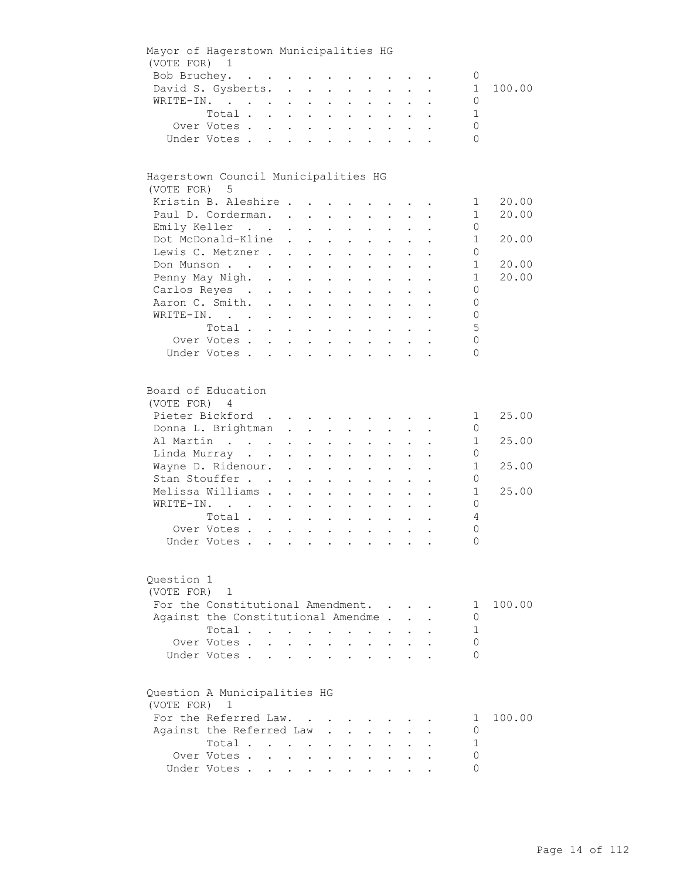|                            | Mayor of Hagerstown Municipalities HG                                                                                                                                                                  |  |              |                                                                                                                                           |                      |                                          |                                        |                                                             |                                                                      |                                  |
|----------------------------|--------------------------------------------------------------------------------------------------------------------------------------------------------------------------------------------------------|--|--------------|-------------------------------------------------------------------------------------------------------------------------------------------|----------------------|------------------------------------------|----------------------------------------|-------------------------------------------------------------|----------------------------------------------------------------------|----------------------------------|
| (VOTE FOR) 1               |                                                                                                                                                                                                        |  |              |                                                                                                                                           |                      |                                          |                                        |                                                             |                                                                      |                                  |
|                            | Bob Bruchey.                                                                                                                                                                                           |  |              |                                                                                                                                           |                      |                                          |                                        |                                                             | 0                                                                    |                                  |
|                            | David S. Gysberts.                                                                                                                                                                                     |  |              |                                                                                                                                           |                      |                                          |                                        |                                                             | $1 \quad$                                                            | 100.00                           |
|                            | WRITE-IN.                                                                                                                                                                                              |  |              |                                                                                                                                           |                      |                                          |                                        |                                                             | 0                                                                    |                                  |
|                            | Total                                                                                                                                                                                                  |  |              |                                                                                                                                           |                      |                                          |                                        |                                                             | 1                                                                    |                                  |
|                            | Over Votes                                                                                                                                                                                             |  |              |                                                                                                                                           |                      |                                          |                                        |                                                             | 0                                                                    |                                  |
|                            | Under Votes                                                                                                                                                                                            |  |              |                                                                                                                                           |                      |                                          |                                        |                                                             | $\Omega$                                                             |                                  |
|                            |                                                                                                                                                                                                        |  |              |                                                                                                                                           |                      |                                          |                                        |                                                             |                                                                      |                                  |
| (VOTE FOR) 5               | Hagerstown Council Municipalities HG<br>Kristin B. Aleshire<br>Paul D. Corderman.                                                                                                                      |  |              |                                                                                                                                           |                      |                                          |                                        |                                                             | $\mathbf{1}$<br>$\mathbf{1}$                                         | 20.00<br>20.00                   |
|                            | Emily Keller                                                                                                                                                                                           |  |              |                                                                                                                                           |                      |                                          |                                        | $\bullet$ .<br><br><br><br><br><br><br><br><br><br><br><br> | 0                                                                    |                                  |
|                            | Dot McDonald-Kline                                                                                                                                                                                     |  |              |                                                                                                                                           |                      |                                          |                                        |                                                             | $\mathbf 1$                                                          | 20.00                            |
|                            |                                                                                                                                                                                                        |  |              |                                                                                                                                           |                      |                                          |                                        |                                                             |                                                                      |                                  |
|                            | Lewis C. Metzner                                                                                                                                                                                       |  |              |                                                                                                                                           |                      |                                          |                                        |                                                             | 0                                                                    |                                  |
|                            | Don Munson                                                                                                                                                                                             |  |              |                                                                                                                                           |                      |                                          |                                        |                                                             | $\mathbf{1}$                                                         | 20.00                            |
|                            | Penny May Nigh.                                                                                                                                                                                        |  |              |                                                                                                                                           |                      |                                          |                                        |                                                             | $\mathbf{1}$                                                         | 20.00                            |
|                            | Carlos Reyes                                                                                                                                                                                           |  |              |                                                                                                                                           |                      | $\mathbf{z} = \mathbf{z} + \mathbf{z}$ . |                                        |                                                             | 0                                                                    |                                  |
|                            | Aaron C. Smith.                                                                                                                                                                                        |  |              |                                                                                                                                           |                      |                                          |                                        |                                                             | 0                                                                    |                                  |
|                            | WRITE-IN.                                                                                                                                                                                              |  |              |                                                                                                                                           |                      |                                          |                                        |                                                             | 0                                                                    |                                  |
|                            | Total                                                                                                                                                                                                  |  |              |                                                                                                                                           |                      |                                          |                                        |                                                             | 5                                                                    |                                  |
|                            | Over Votes                                                                                                                                                                                             |  |              |                                                                                                                                           |                      |                                          |                                        |                                                             | 0                                                                    |                                  |
|                            | Under Votes                                                                                                                                                                                            |  |              |                                                                                                                                           |                      |                                          |                                        |                                                             | 0                                                                    |                                  |
|                            |                                                                                                                                                                                                        |  |              |                                                                                                                                           |                      |                                          |                                        |                                                             |                                                                      |                                  |
| (VOTE FOR) 4<br>Question 1 | Board of Education<br>Pieter Bickford<br>Donna L. Brightman<br>Al Martin<br>Linda Murray<br>Wayne D. Ridenour.<br>Stan Stouffer<br>Melissa Williams<br>WRITE-IN.<br>Total<br>Over Votes<br>Under Votes |  |              | $\mathbf{r} = \mathbf{r} \cdot \mathbf{r}$ .<br>$\mathbf{A}^{(1)}$ and $\mathbf{A}^{(2)}$ and<br>$\mathbf{r} = \mathbf{r} + \mathbf{r}$ . |                      |                                          |                                        |                                                             | 1<br>0<br>1<br>0<br>1<br>0<br>$\mathbf 1$<br>0<br>4<br>0<br>$\Omega$ | 25.00<br>25.00<br>25.00<br>25.00 |
| (VOTE FOR)                 | 1                                                                                                                                                                                                      |  |              |                                                                                                                                           |                      |                                          |                                        |                                                             |                                                                      |                                  |
|                            | For the Constitutional Amendment.                                                                                                                                                                      |  |              |                                                                                                                                           |                      |                                          |                                        |                                                             | 1                                                                    | 100.00                           |
|                            | Against the Constitutional Amendme.                                                                                                                                                                    |  |              |                                                                                                                                           |                      |                                          |                                        |                                                             | 0                                                                    |                                  |
|                            | Total                                                                                                                                                                                                  |  |              |                                                                                                                                           | $\ddot{\phantom{a}}$ | <b>Contract Contract</b>                 |                                        |                                                             | 1                                                                    |                                  |
|                            | Over Votes                                                                                                                                                                                             |  | $\mathbf{L}$ | $\mathbf{L}$                                                                                                                              |                      | $\ddot{\phantom{0}}$                     | $\mathbf{L}$                           |                                                             | 0                                                                    |                                  |
|                            | Under Votes                                                                                                                                                                                            |  |              |                                                                                                                                           | $\ddot{\phantom{a}}$ |                                          | $\mathbf{r}$ . The set of $\mathbf{r}$ |                                                             | 0                                                                    |                                  |
| (VOTE FOR) 1               | Question A Municipalities HG                                                                                                                                                                           |  |              |                                                                                                                                           |                      |                                          |                                        |                                                             |                                                                      |                                  |
|                            | For the Referred Law.                                                                                                                                                                                  |  |              |                                                                                                                                           |                      |                                          |                                        |                                                             | 1                                                                    | 100.00                           |
|                            | Against the Referred Law                                                                                                                                                                               |  |              | $\ddot{\phantom{0}}$                                                                                                                      |                      |                                          |                                        |                                                             | 0                                                                    |                                  |
|                            | Total                                                                                                                                                                                                  |  |              |                                                                                                                                           |                      |                                          |                                        |                                                             | 1                                                                    |                                  |
|                            | Over Votes                                                                                                                                                                                             |  |              |                                                                                                                                           |                      |                                          |                                        |                                                             | 0                                                                    |                                  |
|                            | Under Votes                                                                                                                                                                                            |  |              |                                                                                                                                           |                      |                                          |                                        |                                                             | 0                                                                    |                                  |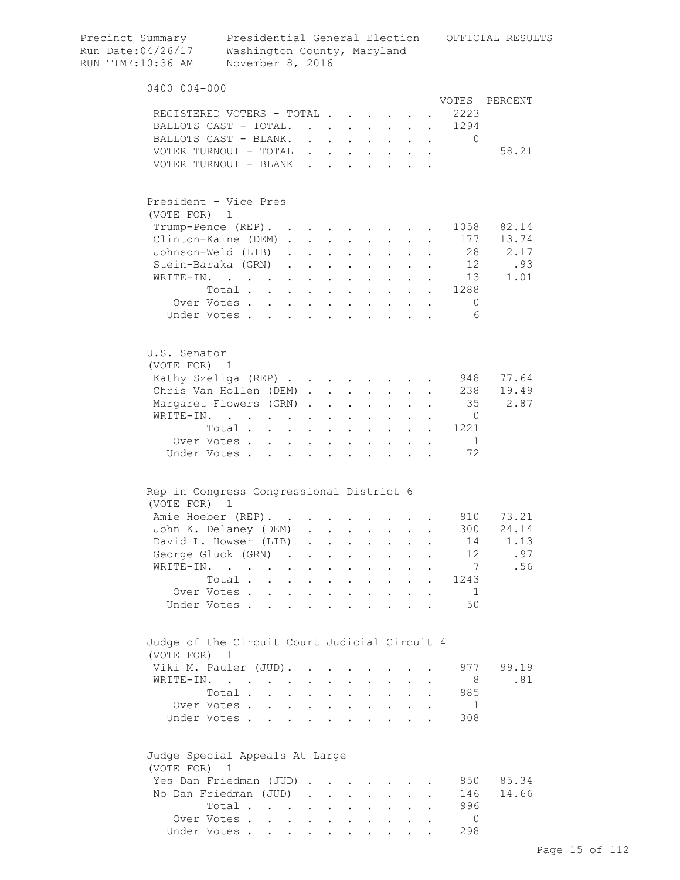| Precinct Summary<br>Run Date:04/26/17<br>RUN TIME:10:36 AM | Washington County, Maryland<br>November 8, 2016                             |                                              |                               |                                 |                                                       |                           |                                                           |                          |                                      |                                                                 | Presidential General Election OFFICIAL RESULTS |
|------------------------------------------------------------|-----------------------------------------------------------------------------|----------------------------------------------|-------------------------------|---------------------------------|-------------------------------------------------------|---------------------------|-----------------------------------------------------------|--------------------------|--------------------------------------|-----------------------------------------------------------------|------------------------------------------------|
| 0400 004-000                                               |                                                                             |                                              |                               |                                 |                                                       |                           |                                                           |                          |                                      |                                                                 |                                                |
|                                                            |                                                                             |                                              |                               |                                 |                                                       |                           |                                                           |                          |                                      |                                                                 | VOTES PERCENT                                  |
| REGISTERED VOTERS - TOTAL                                  |                                                                             |                                              |                               |                                 |                                                       |                           |                                                           |                          |                                      | 2223                                                            |                                                |
| BALLOTS CAST - TOTAL.                                      |                                                                             |                                              | $\mathbf{L}$ and $\mathbf{L}$ |                                 | $\sim$                                                | $\sim$                    | $\mathbf{L}^{\text{max}}$                                 |                          |                                      | 1294<br>$\bullet$ .<br><br><br><br><br><br><br><br><br><br><br> |                                                |
| BALLOTS CAST - BLANK.                                      |                                                                             |                                              |                               |                                 |                                                       |                           |                                                           |                          |                                      | $\Omega$                                                        |                                                |
| VOTER TURNOUT - TOTAL<br>VOTER TURNOUT - BLANK             |                                                                             |                                              | $\mathbf{r}$<br>$\mathbf{r}$  |                                 | $\mathbf{r} = \mathbf{r}$                             |                           |                                                           |                          |                                      |                                                                 | 58.21                                          |
|                                                            |                                                                             |                                              |                               |                                 |                                                       |                           |                                                           |                          |                                      |                                                                 |                                                |
| President - Vice Pres<br>(VOTE FOR)                        | $\mathbf{1}$                                                                |                                              |                               |                                 |                                                       |                           |                                                           |                          |                                      |                                                                 |                                                |
| Trump-Pence (REP). .                                       |                                                                             |                                              |                               |                                 | $\bullet$ . In the case of the $\bullet$              |                           | $\sim$ 100 $\sim$ 100 $\sim$                              |                          |                                      | 1058<br>$\mathbf{a}$ and $\mathbf{a}$                           | 82.14                                          |
| Clinton-Kaine (DEM).                                       |                                                                             |                                              |                               |                                 | $\mathbf{z} = \mathbf{z} + \mathbf{z} + \mathbf{z}$ . | $\mathbf{z} = \mathbf{z}$ | $\mathbf{z} = \mathbf{z}$                                 |                          |                                      | 177                                                             | 13.74                                          |
| Johnson-Weld (LIB)                                         |                                                                             | $\ddot{\phantom{0}}$                         |                               | $\ddot{\phantom{a}}$            |                                                       |                           |                                                           |                          |                                      | 28                                                              | 2.17                                           |
| Stein-Baraka (GRN).                                        |                                                                             |                                              | $\mathcal{L}^{\text{max}}$    | $\ddot{\phantom{a}}$            | $\ddot{\phantom{a}}$                                  |                           |                                                           |                          |                                      | 12                                                              | .93                                            |
| WRITE-IN.                                                  |                                                                             | $\ddotsc$                                    |                               |                                 | $\ddot{\phantom{a}}$                                  |                           |                                                           |                          |                                      | 13                                                              | 1.01                                           |
|                                                            | Total                                                                       |                                              |                               | $\ddot{\phantom{a}}$            | $\mathbf{L}$                                          |                           | $\mathbf{L} = \mathbf{L}$                                 | $\mathbf{L}$             |                                      | . 1288                                                          |                                                |
|                                                            | Over Votes.                                                                 |                                              |                               |                                 |                                                       |                           |                                                           |                          |                                      | 0                                                               |                                                |
|                                                            | Under Votes                                                                 |                                              |                               |                                 |                                                       |                           |                                                           |                          |                                      | - 6                                                             |                                                |
|                                                            |                                                                             |                                              |                               |                                 |                                                       |                           |                                                           |                          |                                      |                                                                 |                                                |
| U.S. Senator<br>(VOTE FOR) 1                               |                                                                             |                                              |                               |                                 |                                                       |                           |                                                           |                          |                                      |                                                                 |                                                |
| Kathy Szeliga (REP)                                        |                                                                             |                                              |                               |                                 |                                                       |                           |                                                           |                          |                                      | 948                                                             | 77.64                                          |
| Chris Van Hollen (DEM)                                     |                                                                             |                                              |                               |                                 |                                                       |                           | $\cdot$ $\cdot$                                           |                          |                                      | 238                                                             | 19.49                                          |
| Margaret Flowers (GRN).                                    |                                                                             |                                              |                               | $\ddot{\phantom{a}}$            | $\sim$ $\sim$ $\sim$                                  | $\mathbf{L}$              | $\mathbf{L}$                                              | $\mathbf{L}$             |                                      | 35                                                              | 2.87                                           |
| WRITE-IN.                                                  |                                                                             |                                              |                               | $\ddot{\phantom{0}}$            | $\sim$ $\sim$                                         |                           | $\cdot$ $\cdot$ $\cdot$                                   |                          |                                      | $\overline{0}$                                                  |                                                |
|                                                            | Total                                                                       |                                              |                               | $\ddot{\phantom{a}}$            | <b>Contract Contract Contract</b>                     |                           | $\cdot$ $\cdot$ $\cdot$                                   |                          |                                      | 1221                                                            |                                                |
|                                                            | Over Votes                                                                  |                                              |                               |                                 |                                                       |                           | $\mathbf{z} = \mathbf{z} + \mathbf{z}$ .                  |                          | $\mathbf{L} = \mathbf{L} \mathbf{L}$ | 1                                                               |                                                |
|                                                            | Under Votes                                                                 |                                              |                               |                                 |                                                       |                           | $\bullet$                                                 | <b>Contract Contract</b> |                                      | 72                                                              |                                                |
| Rep in Congress Congressional District 6                   |                                                                             |                                              |                               |                                 |                                                       |                           |                                                           |                          |                                      |                                                                 |                                                |
| (VOTE FOR) 1                                               |                                                                             |                                              |                               |                                 |                                                       |                           |                                                           |                          |                                      |                                                                 |                                                |
| Amie Hoeber (REP).                                         |                                                                             |                                              |                               |                                 |                                                       |                           |                                                           |                          |                                      | 910                                                             | 73.21                                          |
| John K. Delaney (DEM)                                      |                                                                             |                                              |                               |                                 |                                                       |                           |                                                           |                          |                                      | 300                                                             | 24.14                                          |
| David L. Howser (LIB)                                      |                                                                             |                                              |                               | $\ddot{\phantom{a}}$            | $\mathbf{L}$                                          |                           | $\mathbf{L}^{\text{max}}$ , and $\mathbf{L}^{\text{max}}$ | $\ddot{\phantom{0}}$     |                                      | 14                                                              | 1.13                                           |
| George Gluck (GRN)                                         |                                                                             | $\sim$                                       |                               | $\ddot{\phantom{0}}$            | $\ddot{\phantom{0}}$                                  | $\bullet$ .               | $\mathbf{L}^{\text{max}}$                                 | $\ddot{\phantom{a}}$     |                                      | 12                                                              | .97                                            |
| WRITE-IN.                                                  | $\mathcal{L}(\mathcal{A})$ , and $\mathcal{L}(\mathcal{A})$ , and           | $\bullet$                                    | $\bullet$                     | $\ddot{\phantom{0}}$            | $\ddot{\phantom{0}}$                                  | $\ddot{\phantom{a}}$      | $\bullet$                                                 |                          |                                      | 7                                                               | .56                                            |
|                                                            | Total.<br>$\ddot{\phantom{a}}$                                              | $\ddot{\phantom{0}}$                         | $\mathbf{L}^{\text{max}}$     | $\bullet$                       | $\mathbf{L}^{\text{max}}$                             | $\mathbf{L}^{\text{max}}$ | $\mathbf{L}^{\text{max}}$                                 | $\bullet$                | $\ddot{\phantom{a}}$                 | 1243                                                            |                                                |
|                                                            | Over Votes.                                                                 | $\ddot{\phantom{a}}$                         | $\ddot{\phantom{0}}$          | $\ddot{\phantom{a}}$            | $\ddot{\phantom{a}}$                                  |                           |                                                           |                          |                                      | 1                                                               |                                                |
| Under Votes.                                               |                                                                             |                                              |                               |                                 |                                                       |                           |                                                           |                          |                                      | 50                                                              |                                                |
|                                                            |                                                                             |                                              |                               |                                 |                                                       |                           |                                                           |                          |                                      |                                                                 |                                                |
| Judge of the Circuit Court Judicial Circuit 4              |                                                                             |                                              |                               |                                 |                                                       |                           |                                                           |                          |                                      |                                                                 |                                                |
| (VOTE FOR)                                                 | $\mathbf{1}$                                                                |                                              |                               |                                 |                                                       |                           |                                                           |                          |                                      |                                                                 |                                                |
| Viki M. Pauler (JUD).                                      |                                                                             |                                              |                               |                                 |                                                       |                           |                                                           |                          |                                      | 977                                                             | 99.19                                          |
| WRITE-IN.                                                  | $\mathcal{L}(\mathcal{A})$ . The contribution of $\mathcal{A}(\mathcal{A})$ |                                              |                               | $\bullet$ .                     |                                                       |                           |                                                           |                          |                                      | - 8                                                             | .81                                            |
|                                                            | Total .                                                                     | <b>Contractor</b>                            | $\sim$                        | $\mathbf{L}^{\text{max}}$       | $\ddot{\phantom{a}}$                                  | $\bullet$                 | $\ddot{\phantom{0}}$                                      |                          |                                      | 985                                                             |                                                |
|                                                            | Over Votes.                                                                 | $\mathbf{L} = \mathbf{L}$                    | $\sim$                        | $\ddot{\phantom{a}}$            |                                                       |                           |                                                           |                          |                                      | 1                                                               |                                                |
| Under Votes.                                               |                                                                             | $\ddot{\phantom{0}}$<br>$\ddot{\phantom{0}}$ |                               |                                 | $\ddot{\phantom{a}}$                                  |                           |                                                           |                          |                                      | 308                                                             |                                                |
| Judge Special Appeals At Large<br>(VOTE FOR)               | 1                                                                           |                                              |                               |                                 |                                                       |                           |                                                           |                          |                                      |                                                                 |                                                |
| Yes Dan Friedman (JUD).                                    |                                                                             |                                              |                               | <b>Contract Contract Street</b> |                                                       |                           |                                                           |                          |                                      | 850                                                             | 85.34                                          |
| No Dan Friedman (JUD)                                      |                                                                             |                                              | $\sim$                        | <b>Contractor</b>               | $\ddot{\phantom{0}}$                                  | $\ddot{\phantom{a}}$      | $\mathbf{z} = \mathbf{z}$                                 |                          |                                      | 146                                                             | 14.66                                          |
|                                                            | Total .                                                                     | <b>Contract Contract Contract Contract</b>   |                               |                                 |                                                       |                           |                                                           |                          |                                      | 996                                                             |                                                |
|                                                            | Over Votes                                                                  |                                              |                               |                                 |                                                       |                           |                                                           |                          |                                      | $\overline{0}$                                                  |                                                |
|                                                            | Under Votes                                                                 |                                              |                               | $\bullet$ . $\bullet$           |                                                       |                           |                                                           |                          |                                      | 298                                                             |                                                |
|                                                            |                                                                             |                                              |                               |                                 |                                                       |                           |                                                           |                          |                                      |                                                                 |                                                |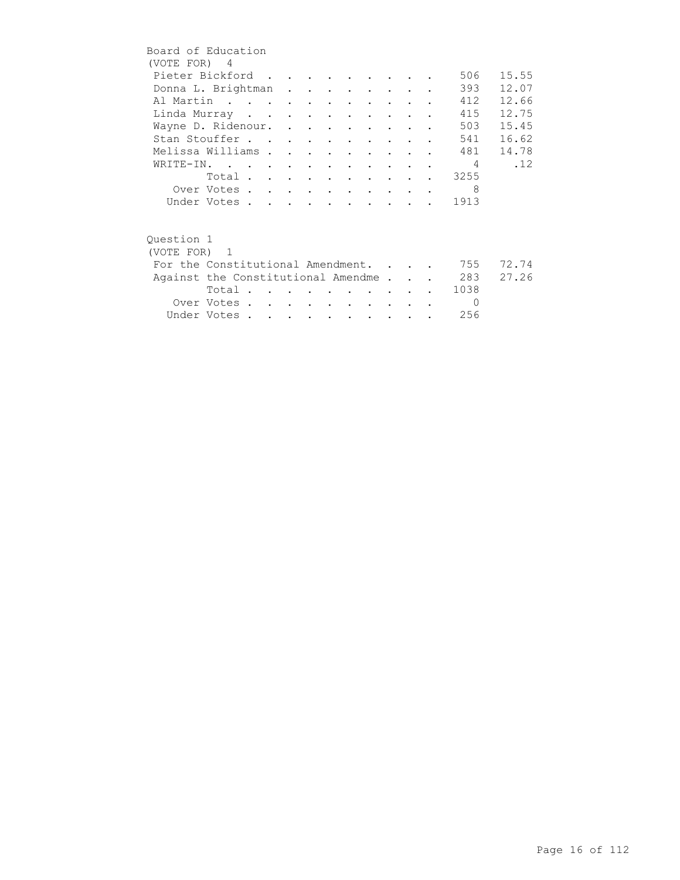| Board of Education                 |             |  |  |                          |                                 |                                 |  |                |       |
|------------------------------------|-------------|--|--|--------------------------|---------------------------------|---------------------------------|--|----------------|-------|
| (VOTE FOR) 4                       |             |  |  |                          |                                 |                                 |  |                |       |
| Pieter Bickford                    |             |  |  |                          |                                 |                                 |  | 506            | 15.55 |
| Donna L. Brightman                 |             |  |  |                          |                                 |                                 |  | 393            | 12.07 |
| Al Martin                          |             |  |  |                          |                                 |                                 |  | 412            | 12.66 |
| Linda Murray                       |             |  |  |                          |                                 |                                 |  | 415            | 12.75 |
| Wayne D. Ridenour.                 |             |  |  |                          |                                 |                                 |  | 503            | 15.45 |
| Stan Stouffer                      |             |  |  |                          |                                 |                                 |  | 541            | 16.62 |
| Melissa Williams                   |             |  |  |                          | $\cdot$ $\cdot$ $\cdot$ $\cdot$ |                                 |  | 481            | 14.78 |
| WRITE-IN.                          |             |  |  |                          |                                 |                                 |  | $\overline{4}$ | .12   |
|                                    | Total       |  |  |                          |                                 |                                 |  | 3255           |       |
|                                    | Over Votes  |  |  |                          |                                 |                                 |  | 8              |       |
|                                    | Under Votes |  |  |                          |                                 |                                 |  | . 1913         |       |
|                                    |             |  |  |                          |                                 |                                 |  |                |       |
| Ouestion 1                         |             |  |  |                          |                                 |                                 |  |                |       |
| (VOTE FOR) 1                       |             |  |  |                          |                                 |                                 |  |                |       |
| For the Constitutional Amendment.  |             |  |  |                          |                                 |                                 |  | 755            | 72.74 |
| Against the Constitutional Amendme |             |  |  |                          |                                 |                                 |  | 283            | 27.26 |
|                                    | Total       |  |  |                          |                                 | <b>Contract Contract Street</b> |  | 1038           |       |
|                                    | Over Votes  |  |  | <b>Contract Contract</b> |                                 | <b>Contract Contract Street</b> |  | $\Omega$       |       |
|                                    | Under Votes |  |  |                          |                                 |                                 |  | 256            |       |
|                                    |             |  |  |                          |                                 |                                 |  |                |       |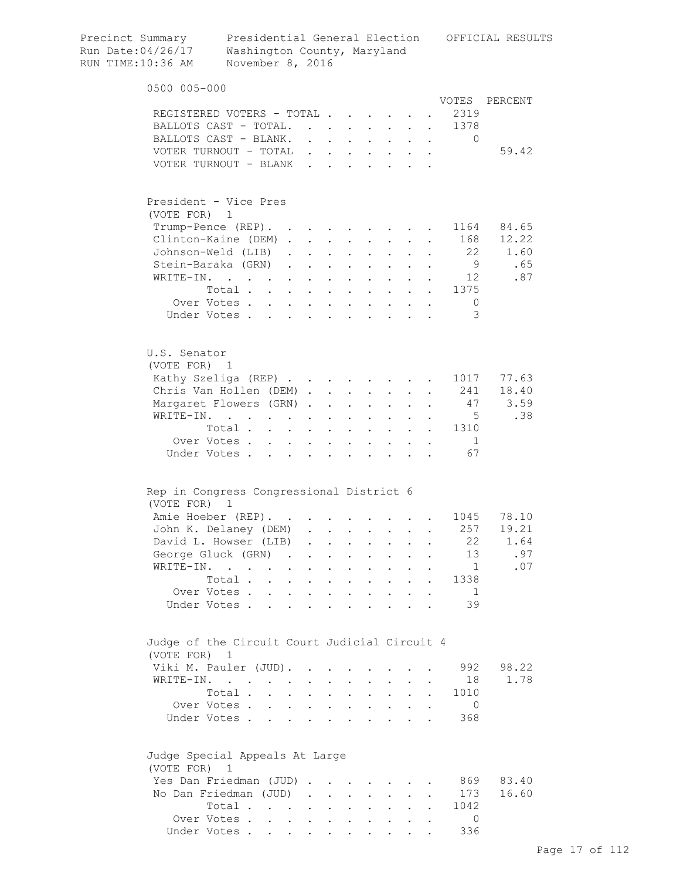| Precinct Summary<br>Run Date:04/26/17<br>RUN TIME:10:36 AM | Washington County, Maryland<br>November 8, 2016                 |                                      |                              |                                                         |                                                                                                                                              |                            |                                                           |                                                     |                                      |                                                                 | Presidential General Election OFFICIAL RESULTS |
|------------------------------------------------------------|-----------------------------------------------------------------|--------------------------------------|------------------------------|---------------------------------------------------------|----------------------------------------------------------------------------------------------------------------------------------------------|----------------------------|-----------------------------------------------------------|-----------------------------------------------------|--------------------------------------|-----------------------------------------------------------------|------------------------------------------------|
| 0500 005-000                                               |                                                                 |                                      |                              |                                                         |                                                                                                                                              |                            |                                                           |                                                     |                                      |                                                                 |                                                |
|                                                            |                                                                 |                                      |                              |                                                         |                                                                                                                                              |                            |                                                           |                                                     |                                      | VOTES                                                           | PERCENT                                        |
|                                                            | REGISTERED VOTERS - TOTAL                                       |                                      |                              |                                                         |                                                                                                                                              |                            |                                                           |                                                     |                                      | 2319                                                            |                                                |
|                                                            | BALLOTS CAST - TOTAL.                                           |                                      |                              | $\mathcal{L}^{\text{max}}$ , $\mathcal{L}^{\text{max}}$ | $\ddot{\phantom{0}}$                                                                                                                         | $\mathcal{L}^{\text{max}}$ | $\mathbf{L}^{\text{max}}$                                 |                                                     |                                      | 1378<br>$\bullet$ .<br><br><br><br><br><br><br><br><br><br><br> |                                                |
|                                                            | BALLOTS CAST - BLANK.                                           |                                      |                              |                                                         |                                                                                                                                              |                            |                                                           |                                                     |                                      | $\mathbf{0}$                                                    |                                                |
|                                                            | VOTER TURNOUT - TOTAL<br>VOTER TURNOUT - BLANK                  |                                      | $\mathbf{L}$<br>$\mathbf{r}$ |                                                         |                                                                                                                                              |                            |                                                           |                                                     |                                      |                                                                 | 59.42                                          |
|                                                            |                                                                 |                                      |                              |                                                         |                                                                                                                                              |                            |                                                           |                                                     |                                      |                                                                 |                                                |
| (VOTE FOR)                                                 | President - Vice Pres<br>$\mathbf{1}$                           |                                      |                              |                                                         |                                                                                                                                              |                            |                                                           |                                                     |                                      |                                                                 |                                                |
|                                                            | Trump-Pence (REP). .                                            |                                      |                              |                                                         |                                                                                                                                              |                            |                                                           |                                                     |                                      |                                                                 | 1164 84.65                                     |
|                                                            | Clinton-Kaine (DEM).                                            |                                      | $\mathcal{L}^{\text{max}}$   | $\mathbf{L}^{\text{max}}$                               | $\begin{array}{cccccccccccccc} \bullet & \bullet & \bullet & \bullet & \bullet & \bullet & \bullet \end{array}$<br>$\mathbf{L}^{\text{max}}$ | $\bullet$                  | $\sim 100$ km s $^{-1}$<br>$\mathbf{L}^{\text{max}}$      |                                                     |                                      | 168                                                             | 12.22                                          |
|                                                            | Johnson-Weld (LIB)                                              | $\ddot{\phantom{a}}$                 |                              | $\ddot{\phantom{0}}$                                    |                                                                                                                                              |                            |                                                           |                                                     |                                      | 22                                                              | 1.60                                           |
|                                                            | Stein-Baraka (GRN)                                              | $\mathcal{L}^{\text{max}}$           |                              | $\ddot{\phantom{a}}$                                    | $\ddot{\phantom{a}}$                                                                                                                         |                            |                                                           |                                                     |                                      | 9                                                               | .65                                            |
|                                                            | WRITE-IN.                                                       | $\ddot{\phantom{0}}$                 |                              |                                                         |                                                                                                                                              |                            |                                                           |                                                     |                                      | 12                                                              | .87                                            |
|                                                            | Total                                                           |                                      |                              | $\ddot{\phantom{a}}$                                    | $\mathbf{L}$                                                                                                                                 |                            | $\mathbf{r} = \mathbf{r}$                                 | $\mathbf{r}$                                        |                                      | $\mathbf{L}^{\text{max}}$<br>1375                               |                                                |
|                                                            | Over Votes                                                      |                                      |                              | $\ddot{\phantom{a}}$                                    | <b>Contract Contract Contract</b>                                                                                                            |                            | $\cdot$ $\cdot$ $\cdot$ $\cdot$                           |                                                     |                                      | $\circ$                                                         |                                                |
|                                                            | Under Votes                                                     |                                      |                              |                                                         |                                                                                                                                              |                            |                                                           |                                                     |                                      | 3                                                               |                                                |
|                                                            |                                                                 |                                      |                              |                                                         |                                                                                                                                              |                            |                                                           |                                                     |                                      |                                                                 |                                                |
| U.S. Senator<br>(VOTE FOR) 1                               |                                                                 |                                      |                              |                                                         |                                                                                                                                              |                            |                                                           |                                                     |                                      |                                                                 |                                                |
|                                                            | Kathy Szeliga (REP)                                             |                                      |                              |                                                         |                                                                                                                                              |                            |                                                           |                                                     |                                      | 1017                                                            | 77.63                                          |
|                                                            | Chris Van Hollen (DEM).                                         |                                      |                              |                                                         | $\mathbf{L} = \mathbf{L}$                                                                                                                    |                            | $\cdot$ $\cdot$                                           |                                                     |                                      | 241                                                             | 18.40                                          |
|                                                            | Margaret Flowers (GRN).                                         |                                      |                              | $\ddot{\phantom{a}}$                                    | $\sim$ $\sim$                                                                                                                                | $\mathbf{L}$               | $\mathbf{L}$                                              | $\mathbf{L}$                                        | $\ddot{\phantom{a}}$                 | 47                                                              | 3.59                                           |
|                                                            | WRITE-IN.                                                       |                                      |                              | $\ddot{\phantom{0}}$                                    | $\sim$                                                                                                                                       |                            | $\cdot$ $\cdot$ $\cdot$                                   |                                                     |                                      | $5^{\circ}$                                                     | .38                                            |
|                                                            | Total                                                           |                                      |                              | $\ddot{\phantom{a}}$                                    | $\sim$ $\sim$                                                                                                                                |                            | $\mathbf{r}$ , $\mathbf{r}$ , $\mathbf{r}$ , $\mathbf{r}$ |                                                     |                                      | 1310                                                            |                                                |
|                                                            | Over Votes                                                      |                                      |                              |                                                         |                                                                                                                                              |                            | $\mathbf{z} = \mathbf{z} + \mathbf{z}$ .                  |                                                     | $\mathbf{L} = \mathbf{L} \mathbf{L}$ | 1                                                               |                                                |
|                                                            | Under Votes                                                     |                                      |                              |                                                         | <b>Contractor</b>                                                                                                                            | $\bullet$                  |                                                           | $\mathbf{r} = \mathbf{r} + \mathbf{r} + \mathbf{r}$ |                                      | 67                                                              |                                                |
|                                                            | Rep in Congress Congressional District 6                        |                                      |                              |                                                         |                                                                                                                                              |                            |                                                           |                                                     |                                      |                                                                 |                                                |
| (VOTE FOR)                                                 | $\overline{1}$                                                  |                                      |                              |                                                         |                                                                                                                                              |                            |                                                           |                                                     |                                      |                                                                 |                                                |
|                                                            | Amie Hoeber (REP).                                              |                                      |                              |                                                         |                                                                                                                                              |                            |                                                           |                                                     |                                      |                                                                 | 1045 78.10                                     |
|                                                            | John K. Delaney (DEM)                                           |                                      |                              |                                                         |                                                                                                                                              |                            | $\mathbf{z}$ and $\mathbf{z}$ and $\mathbf{z}$            |                                                     |                                      | 257                                                             | 19.21                                          |
|                                                            | David L. Howser (LIB)                                           |                                      |                              | $\ddot{\phantom{a}}$                                    | $\ddot{\phantom{0}}$                                                                                                                         |                            | $\mathbf{L} = \mathbf{L} \mathbf{L}$                      | $\ddot{\phantom{a}}$                                |                                      | 22                                                              | 1.64                                           |
|                                                            | George Gluck (GRN)                                              | $\sim$                               |                              | $\ddot{\phantom{0}}$                                    | $\ddot{\phantom{0}}$                                                                                                                         | $\ddot{\phantom{a}}$       | $\mathbf{L}^{\text{max}}$                                 | $\ddot{\phantom{a}}$                                |                                      | 13                                                              | .97                                            |
| WRITE-IN.                                                  | $\mathcal{L}(\mathbf{z})$ , and $\mathcal{L}(\mathbf{z})$ , and | $\bullet$                            | $\ddot{\phantom{a}}$         | $\ddot{\phantom{0}}$                                    | $\ddot{\phantom{0}}$                                                                                                                         |                            | $\ddot{\phantom{0}}$                                      |                                                     |                                      | $\mathbf{1}$                                                    | .07                                            |
|                                                            | Total.<br>$\ddot{\phantom{0}}$                                  | $\ddot{\phantom{0}}$                 | $\bullet$                    | $\ddot{\phantom{a}}$                                    | $\mathbf{L}^{\text{max}}$                                                                                                                    | $\bullet$                  | $\mathbf{L}^{\text{max}}$                                 | $\bullet$                                           | $\bullet$                            | 1338                                                            |                                                |
|                                                            | Over Votes.                                                     |                                      |                              | $\ddot{\phantom{0}}$                                    | $\ddot{\phantom{a}}$                                                                                                                         |                            |                                                           |                                                     |                                      | $\overline{1}$                                                  |                                                |
|                                                            | Under Votes.                                                    |                                      |                              |                                                         |                                                                                                                                              |                            |                                                           |                                                     |                                      | 39                                                              |                                                |
|                                                            |                                                                 |                                      |                              |                                                         |                                                                                                                                              |                            |                                                           |                                                     |                                      |                                                                 |                                                |
|                                                            | Judge of the Circuit Court Judicial Circuit 4                   |                                      |                              |                                                         |                                                                                                                                              |                            |                                                           |                                                     |                                      |                                                                 |                                                |
| (VOTE FOR)                                                 | -1<br>Viki M. Pauler (JUD).                                     |                                      |                              |                                                         |                                                                                                                                              |                            |                                                           |                                                     |                                      |                                                                 |                                                |
|                                                            |                                                                 |                                      |                              |                                                         |                                                                                                                                              |                            |                                                           |                                                     |                                      | 992<br>18                                                       | 98.22<br>1.78                                  |
| WRITE-IN.                                                  | and the contract of the con-                                    |                                      |                              |                                                         |                                                                                                                                              |                            |                                                           |                                                     |                                      |                                                                 |                                                |
|                                                            | Total.                                                          | $\sim$                               | $\bullet$                    | $\bullet$                                               | $\bullet$                                                                                                                                    | $\bullet$                  | $\ddot{\phantom{0}}$                                      | $\ddot{\phantom{0}}$                                |                                      | 1010                                                            |                                                |
|                                                            | Over Votes .                                                    | $\mathbf{L}$<br>$\ddot{\phantom{0}}$ |                              | $\ddot{\phantom{0}}$                                    |                                                                                                                                              |                            |                                                           |                                                     |                                      | $\overline{0}$                                                  |                                                |
|                                                            | Under Votes.                                                    | $\ddot{\phantom{a}}$                 |                              |                                                         |                                                                                                                                              |                            |                                                           |                                                     |                                      | 368                                                             |                                                |
| (VOTE FOR)                                                 | Judge Special Appeals At Large<br>1                             |                                      |                              |                                                         |                                                                                                                                              |                            |                                                           |                                                     |                                      |                                                                 |                                                |
|                                                            | Yes Dan Friedman (JUD)                                          |                                      | $\sim$                       | $\ddot{\phantom{0}}$                                    |                                                                                                                                              |                            |                                                           |                                                     |                                      | 869                                                             | 83.40                                          |
|                                                            | No Dan Friedman (JUD)                                           |                                      | $\bullet$                    | <b>Contractor</b>                                       | $\ddot{\phantom{0}}$                                                                                                                         | $\ddot{\phantom{0}}$       | $\sim$                                                    |                                                     |                                      | 173                                                             | 16.60                                          |
|                                                            | Total.                                                          | <b>Contract Contract Contract</b>    |                              | $\bullet$                                               |                                                                                                                                              |                            |                                                           |                                                     |                                      | 1042                                                            |                                                |
|                                                            | Over Votes                                                      |                                      |                              | $\bullet$                                               |                                                                                                                                              |                            |                                                           |                                                     |                                      | $\overline{0}$                                                  |                                                |
|                                                            | Under Votes                                                     |                                      |                              |                                                         |                                                                                                                                              |                            |                                                           |                                                     |                                      | 336                                                             |                                                |
|                                                            |                                                                 |                                      |                              |                                                         |                                                                                                                                              |                            |                                                           |                                                     |                                      |                                                                 |                                                |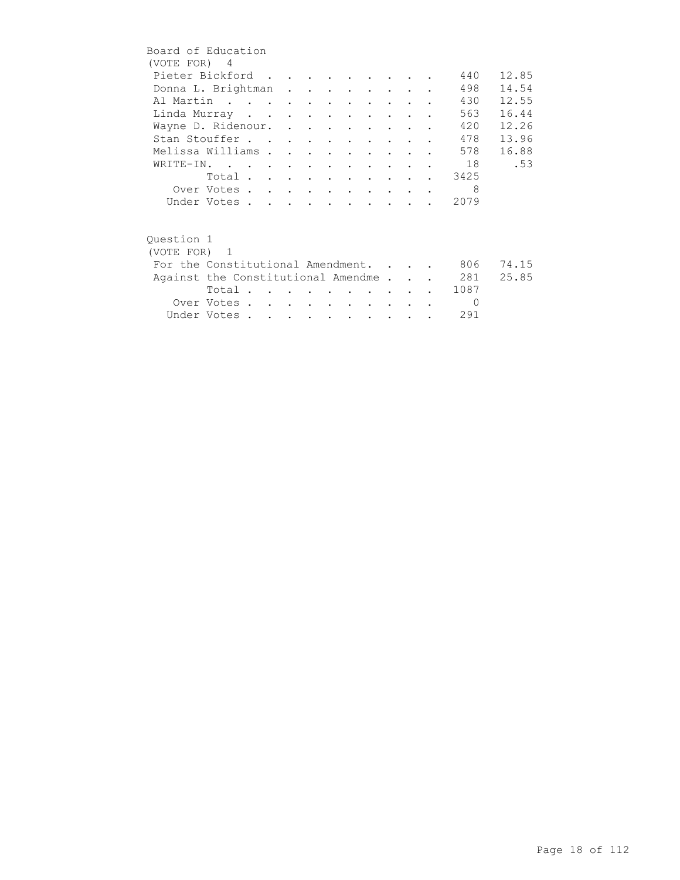| Board of Education                 |             |  |  |                      |                         |                                 |        |          |       |
|------------------------------------|-------------|--|--|----------------------|-------------------------|---------------------------------|--------|----------|-------|
| (VOTE FOR) 4                       |             |  |  |                      |                         |                                 |        |          |       |
| Pieter Bickford                    |             |  |  |                      |                         |                                 |        | 440      | 12.85 |
| Donna L. Brightman                 |             |  |  |                      |                         |                                 |        | 498      | 14.54 |
| Al Martin                          |             |  |  |                      |                         |                                 |        | 430      | 12.55 |
| Linda Murray                       |             |  |  |                      |                         |                                 |        | 563      | 16.44 |
| Wayne D. Ridenour.                 |             |  |  |                      |                         |                                 |        | 420      | 12.26 |
| Stan Stouffer                      |             |  |  |                      |                         | <b>Contract Contract Street</b> |        | 478      | 13.96 |
| Melissa Williams                   |             |  |  | $\bullet$            | $\bullet$               |                                 |        | 578      | 16.88 |
| WRITE-IN.                          |             |  |  |                      |                         |                                 |        | 18       | .53   |
|                                    | Total       |  |  |                      |                         |                                 |        | 3425     |       |
|                                    | Over Votes  |  |  |                      | $\cdot$ $\cdot$ $\cdot$ |                                 |        | 8        |       |
|                                    | Under Votes |  |  |                      |                         |                                 |        | 2079     |       |
|                                    |             |  |  |                      |                         |                                 |        |          |       |
| Question 1                         |             |  |  |                      |                         |                                 |        |          |       |
| (VOTE FOR) 1                       |             |  |  |                      |                         |                                 |        |          |       |
| For the Constitutional Amendment.  |             |  |  |                      |                         |                                 |        | 806      | 74.15 |
| Against the Constitutional Amendme |             |  |  |                      |                         |                                 |        | 281      | 25.85 |
|                                    | Total       |  |  |                      |                         |                                 |        | 1087     |       |
|                                    | Over Votes  |  |  | $\sim$ $\sim$ $\sim$ |                         | $\sim$                          |        | $\Omega$ |       |
|                                    | Under Votes |  |  |                      |                         |                                 | $\sim$ | 291      |       |
|                                    |             |  |  |                      |                         |                                 |        |          |       |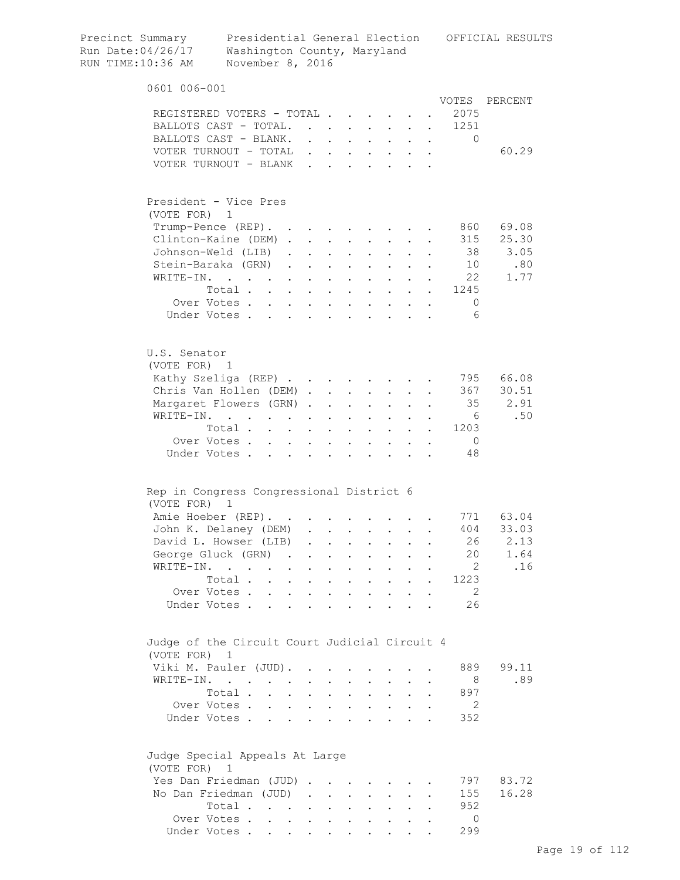| Precinct Summary<br>Run Date:04/26/17<br>RUN TIME:10:36 AM |                              | Washington County, Maryland<br>November 8, 2016           |                      |                      |                      |                           |                                                                               |                           |                                                                                                 |                           |                                                   |                | Presidential General Election OFFICIAL RESULTS |
|------------------------------------------------------------|------------------------------|-----------------------------------------------------------|----------------------|----------------------|----------------------|---------------------------|-------------------------------------------------------------------------------|---------------------------|-------------------------------------------------------------------------------------------------|---------------------------|---------------------------------------------------|----------------|------------------------------------------------|
|                                                            | 0601 006-001                 |                                                           |                      |                      |                      |                           |                                                                               |                           |                                                                                                 |                           |                                                   |                |                                                |
|                                                            |                              |                                                           |                      |                      |                      |                           |                                                                               |                           |                                                                                                 |                           |                                                   |                | VOTES PERCENT                                  |
|                                                            |                              | REGISTERED VOTERS - TOTAL                                 |                      |                      |                      |                           |                                                                               |                           |                                                                                                 |                           |                                                   | 2075           |                                                |
|                                                            |                              | BALLOTS CAST - TOTAL.                                     |                      |                      |                      |                           | $\mathbf{L}$                                                                  |                           |                                                                                                 |                           |                                                   | 1251           |                                                |
|                                                            |                              | BALLOTS CAST - BLANK.<br>VOTER TURNOUT - TOTAL            |                      |                      |                      | $\mathbf{r} = \mathbf{r}$ | $\mathbf{1}$ $\mathbf{1}$ $\mathbf{1}$ $\mathbf{1}$ $\mathbf{1}$ $\mathbf{1}$ |                           | $\mathbf{L} = \mathbf{L}$                                                                       | $\ddot{\phantom{0}}$      | $\ddot{\phantom{0}}$<br>$\mathbf{L} = \mathbf{L}$ | $\Omega$       | 60.29                                          |
|                                                            |                              | VOTER TURNOUT - BLANK                                     |                      |                      |                      |                           |                                                                               |                           | $\mathbf{r} = \mathbf{r}$ , $\mathbf{r} = \mathbf{r}$                                           |                           |                                                   |                |                                                |
|                                                            |                              |                                                           |                      |                      |                      |                           |                                                                               |                           |                                                                                                 |                           |                                                   |                |                                                |
|                                                            |                              | President - Vice Pres                                     |                      |                      |                      |                           |                                                                               |                           |                                                                                                 |                           |                                                   |                |                                                |
|                                                            | (VOTE FOR) 1                 |                                                           |                      |                      |                      |                           |                                                                               |                           |                                                                                                 |                           |                                                   | 860            | 69.08                                          |
|                                                            |                              | Trump-Pence (REP). .<br>Clinton-Kaine (DEM).              |                      |                      | $\ddot{\phantom{a}}$ | $\sim$                    | $\ddot{\phantom{0}}$                                                          |                           | $\mathcal{L}^{\text{max}}$                                                                      |                           |                                                   | 315            | 25.30                                          |
|                                                            |                              | Johnson-Weld (LIB).                                       |                      |                      | $\ddot{\phantom{0}}$ |                           |                                                                               |                           |                                                                                                 |                           |                                                   | 38             | 3.05                                           |
|                                                            |                              | Stein-Baraka (GRN)                                        |                      |                      |                      | $\ddot{\phantom{a}}$      | $\sim$ $\sim$ $\sim$                                                          | $\ddot{\phantom{a}}$      | $\sim$ $\sim$ $\sim$                                                                            |                           |                                                   | 10             | .80                                            |
|                                                            | WRITE-IN.                    | $\mathbf{r}$ , $\mathbf{r}$ , $\mathbf{r}$ , $\mathbf{r}$ |                      |                      | $\sim$               | $\ddot{\phantom{a}}$      | $\sim$ $\sim$                                                                 |                           | $\cdot$ $\cdot$ $\cdot$                                                                         |                           |                                                   | 22             | 1.77                                           |
|                                                            |                              | Total                                                     |                      |                      |                      |                           | $\sim$ $\sim$                                                                 |                           | $\mathbf{r} = \mathbf{r} \times \mathbf{r}$ , where $\mathbf{r} = \mathbf{r} \times \mathbf{r}$ |                           |                                                   | 1245           |                                                |
|                                                            |                              | Over Votes                                                |                      |                      |                      |                           |                                                                               |                           |                                                                                                 |                           |                                                   | $\mathbf{0}$   |                                                |
|                                                            |                              | Under Votes                                               |                      |                      |                      |                           |                                                                               |                           |                                                                                                 |                           |                                                   | - 6            |                                                |
|                                                            |                              |                                                           |                      |                      |                      |                           |                                                                               |                           |                                                                                                 |                           |                                                   |                |                                                |
|                                                            | U.S. Senator<br>(VOTE FOR) 1 |                                                           |                      |                      |                      |                           |                                                                               |                           |                                                                                                 |                           |                                                   |                |                                                |
|                                                            |                              | Kathy Szeliga (REP)                                       |                      |                      |                      |                           |                                                                               |                           |                                                                                                 |                           |                                                   |                | 795 66.08                                      |
|                                                            |                              | Chris Van Hollen (DEM)                                    |                      |                      |                      |                           |                                                                               |                           |                                                                                                 |                           |                                                   | 367            | 30.51                                          |
|                                                            |                              | Margaret Flowers (GRN).                                   |                      |                      |                      | $\ddot{\phantom{a}}$      | $\mathbf{L}$                                                                  |                           | $\mathbf{L} = \mathbf{L}$                                                                       | $\ddot{\phantom{0}}$      |                                                   |                | 35<br>2.91                                     |
|                                                            | WRITE-IN.                    | and the contract of the state of                          |                      |                      |                      | $\bullet$                 | $\mathbf{L}^{\text{max}}$                                                     | $\mathbf{L}^{\text{max}}$ | $\mathbf{L}^{\text{max}}$                                                                       | $\ddot{\phantom{0}}$      |                                                   | 6              | .50                                            |
|                                                            |                              | Total                                                     |                      |                      |                      |                           |                                                                               | $\bullet$                 | $\sim$                                                                                          | $\mathbb{Z}^{\mathbb{Z}}$ | $\ddot{\phantom{0}}$                              | 1203           |                                                |
|                                                            |                              | Over Votes.                                               | $\ddot{\phantom{a}}$ | $\mathbf{L}$         | $\ddot{\phantom{0}}$ | $\ddot{\phantom{a}}$      | $\bullet$                                                                     |                           |                                                                                                 |                           |                                                   | $\overline{0}$ |                                                |
|                                                            |                              | Under Votes.                                              |                      |                      |                      |                           |                                                                               |                           |                                                                                                 |                           |                                                   | 48             |                                                |
|                                                            |                              | Rep in Congress Congressional District 6                  |                      |                      |                      |                           |                                                                               |                           |                                                                                                 |                           |                                                   |                |                                                |
|                                                            | (VOTE FOR)                   | - 1                                                       |                      |                      |                      |                           |                                                                               |                           |                                                                                                 |                           |                                                   |                |                                                |
|                                                            |                              | Amie Hoeber (REP).                                        |                      |                      |                      |                           |                                                                               |                           |                                                                                                 |                           |                                                   |                | 771 63.04                                      |
|                                                            |                              | John K. Delaney (DEM)                                     |                      |                      |                      |                           |                                                                               |                           |                                                                                                 |                           |                                                   | 404            | 33.03                                          |
|                                                            |                              | David L. Howser (LIB)                                     |                      |                      | $\ddot{\phantom{a}}$ | $\ddot{\phantom{a}}$      | $\ddot{\phantom{0}}$                                                          | $\bullet$                 | $\bullet$ .                                                                                     |                           |                                                   | 26             | 2.13                                           |
|                                                            |                              | George Gluck (GRN) .                                      |                      |                      |                      | $\ddot{\phantom{0}}$      |                                                                               | $\bullet$                 |                                                                                                 |                           |                                                   | 20             | 1.64                                           |
|                                                            |                              | WRITE-IN.                                                 |                      |                      |                      | $\ddot{\phantom{0}}$      |                                                                               |                           |                                                                                                 |                           |                                                   | 2              | .16                                            |
|                                                            |                              | Total.                                                    | $\ddot{\phantom{a}}$ | $\ddot{\phantom{0}}$ |                      | $\bullet$                 | $\ddot{\phantom{a}}$                                                          | $\ddot{\phantom{a}}$      | $\bullet$ .                                                                                     | $\ddot{\phantom{a}}$      |                                                   | 1223           |                                                |
|                                                            |                              | Over Votes .                                              | $\mathbf{r}$         | $\mathbf{L}$         | $\sim$               |                           | $\ddot{\phantom{a}}$                                                          | $\ddot{\phantom{a}}$      | $\ddot{\phantom{a}}$                                                                            |                           |                                                   | -2             |                                                |
|                                                            |                              | Under Votes.                                              | $\mathbf{r}$         | $\mathbf{L}$         | $\sim$               | $\ddot{\phantom{a}}$      | $\overline{a}$                                                                | $\overline{a}$            | $\ddot{\phantom{a}}$                                                                            |                           |                                                   | 26             |                                                |
|                                                            |                              | Judge of the Circuit Court Judicial Circuit 4             |                      |                      |                      |                           |                                                                               |                           |                                                                                                 |                           |                                                   |                |                                                |
|                                                            | (VOTE FOR) 1                 |                                                           |                      |                      |                      |                           |                                                                               |                           |                                                                                                 |                           |                                                   |                |                                                |
|                                                            |                              | Viki M. Pauler (JUD).                                     |                      |                      |                      |                           |                                                                               |                           |                                                                                                 |                           |                                                   | 889            | 99.11                                          |
|                                                            |                              | WRITE-IN.                                                 |                      |                      |                      |                           |                                                                               |                           |                                                                                                 |                           |                                                   | 8              | .89                                            |
|                                                            |                              | Total.                                                    |                      | $\ddot{\phantom{a}}$ |                      | $\ddot{\phantom{a}}$      | $\ddot{\phantom{a}}$                                                          |                           | $\bullet$ .                                                                                     |                           |                                                   | 897            |                                                |
|                                                            |                              | Over Votes                                                |                      |                      | $\ddot{\phantom{0}}$ | $\mathbf{L}$              | $\ddot{\phantom{0}}$                                                          | $\ddot{\phantom{0}}$      | $\ddot{\phantom{0}}$                                                                            |                           |                                                   | 2              |                                                |
|                                                            |                              | Under Votes                                               |                      |                      | $\mathbf{L}$         | $\ddot{\phantom{a}}$      | $\ddot{\phantom{a}}$                                                          | $\overline{a}$            | $\ddot{\phantom{a}}$                                                                            |                           |                                                   | 352            |                                                |
|                                                            | (VOTE FOR)                   | Judge Special Appeals At Large<br>1                       |                      |                      |                      |                           |                                                                               |                           |                                                                                                 |                           |                                                   |                |                                                |
|                                                            |                              | Yes Dan Friedman (JUD)                                    |                      |                      |                      |                           |                                                                               |                           |                                                                                                 |                           |                                                   | 797            | 83.72                                          |
|                                                            |                              | No Dan Friedman (JUD)                                     |                      |                      | $\ddot{\phantom{a}}$ | $\ddot{\phantom{0}}$      | $\ddot{\phantom{0}}$                                                          |                           |                                                                                                 |                           |                                                   | 155            | 16.28                                          |
|                                                            |                              | Total                                                     |                      |                      | $\ddot{\phantom{0}}$ | $\ddot{\phantom{a}}$      | $\ddot{\phantom{0}}$                                                          |                           | $\ddot{\phantom{0}}$                                                                            |                           |                                                   | 952            |                                                |
|                                                            |                              | Over Votes                                                |                      | $\ddot{\phantom{0}}$ |                      |                           |                                                                               |                           |                                                                                                 |                           |                                                   | $\circ$        |                                                |
|                                                            |                              | Under Votes                                               |                      |                      |                      |                           |                                                                               |                           |                                                                                                 |                           |                                                   | 299            |                                                |
|                                                            |                              |                                                           |                      |                      |                      |                           |                                                                               |                           |                                                                                                 |                           |                                                   |                |                                                |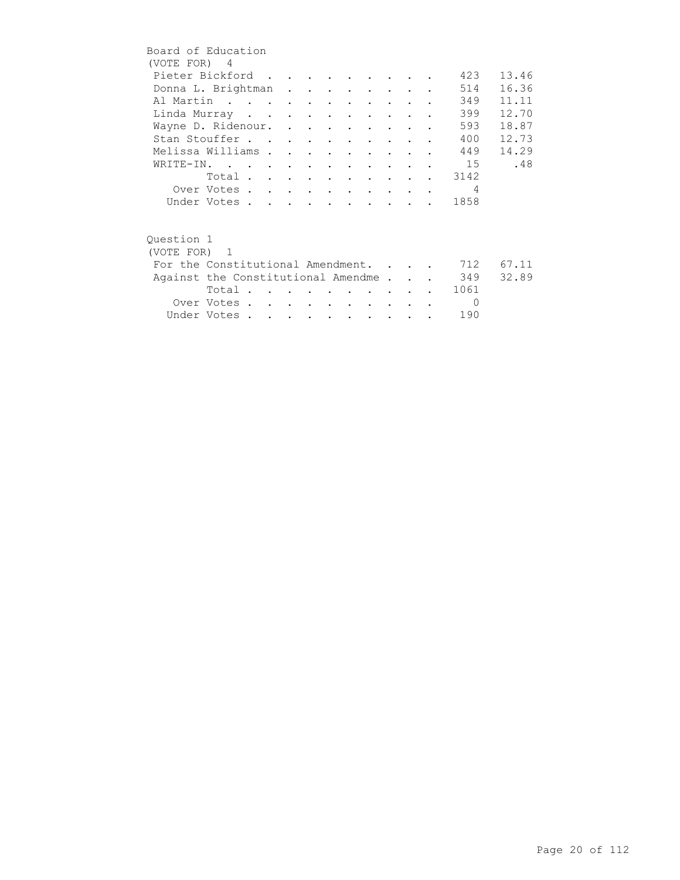| Board of Education                     |                         |  |  |  |                                 |                                                                                         |                |       |
|----------------------------------------|-------------------------|--|--|--|---------------------------------|-----------------------------------------------------------------------------------------|----------------|-------|
| (VOTE FOR) 4                           |                         |  |  |  |                                 |                                                                                         |                |       |
| Pieter Bickford                        |                         |  |  |  |                                 |                                                                                         | 423            | 13.46 |
| Donna L. Brightman                     |                         |  |  |  |                                 |                                                                                         | 514            | 16.36 |
| Al Martin                              |                         |  |  |  |                                 |                                                                                         | 349            | 11.11 |
| Linda Murray                           |                         |  |  |  | <b>Contract Contract Street</b> |                                                                                         | 399            | 12.70 |
| Wayne D. Ridenour.                     |                         |  |  |  |                                 |                                                                                         | 593            | 18.87 |
| Stan Stouffer                          |                         |  |  |  |                                 |                                                                                         | 400            | 12.73 |
| Melissa Williams                       |                         |  |  |  |                                 |                                                                                         | 449            | 14.29 |
| WRITE-IN.                              |                         |  |  |  |                                 |                                                                                         | 15             | .48   |
|                                        | Total 3142              |  |  |  |                                 |                                                                                         |                |       |
|                                        | Over Votes              |  |  |  |                                 |                                                                                         | $\overline{4}$ |       |
|                                        | Under Votes             |  |  |  |                                 | $\mathbf{r}$ , $\mathbf{r}$ , $\mathbf{r}$ , $\mathbf{r}$ , $\mathbf{r}$ , $\mathbf{r}$ | 1858           |       |
|                                        |                         |  |  |  |                                 |                                                                                         |                |       |
| Ouestion 1                             |                         |  |  |  |                                 |                                                                                         |                |       |
| (VOTE FOR) 1                           |                         |  |  |  |                                 |                                                                                         |                |       |
| For the Constitutional Amendment.      |                         |  |  |  |                                 |                                                                                         | 712            | 67.11 |
| Against the Constitutional Amendme 349 |                         |  |  |  |                                 |                                                                                         |                | 32.89 |
|                                        | Total $\cdots$ $\cdots$ |  |  |  | <b>Contract Contract Avenue</b> |                                                                                         | 1061           |       |
|                                        | Over Votes              |  |  |  | <b>Contract Contract Street</b> |                                                                                         | $\Omega$       |       |
|                                        | Under Votes             |  |  |  |                                 |                                                                                         | 190            |       |
|                                        |                         |  |  |  |                                 |                                                                                         |                |       |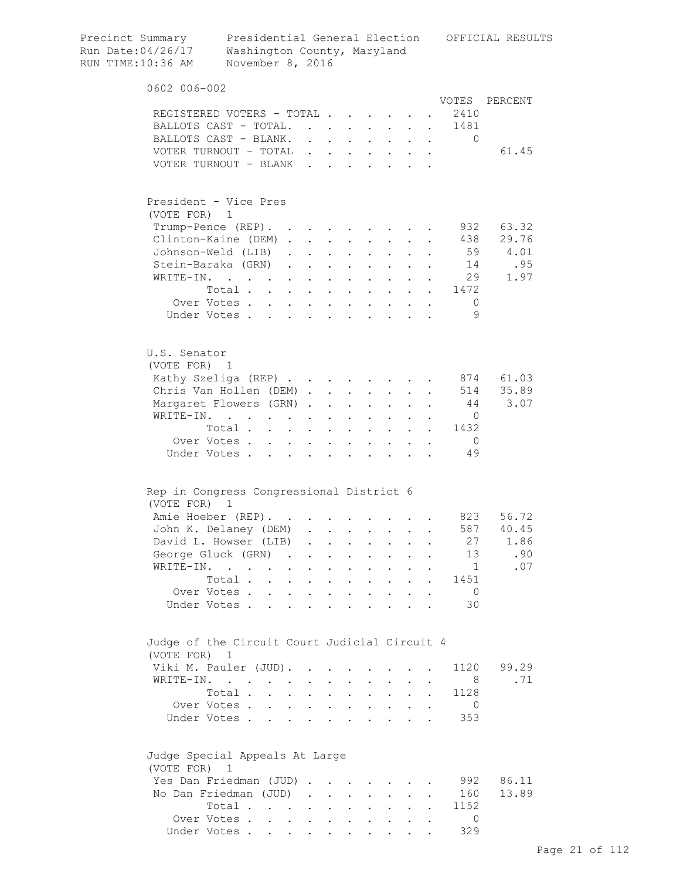| Precinct Summary<br>Run Date:04/26/17<br>RUN TIME:10:36 AM | Washington County, Maryland<br>November 8, 2016 |                                                           |                                      |                            |                                                                  |                      |                                                                                                                                                                                                                                                                                                                                                                                                                        |                           |           |                          | Presidential General Election OFFICIAL RESULTS |
|------------------------------------------------------------|-------------------------------------------------|-----------------------------------------------------------|--------------------------------------|----------------------------|------------------------------------------------------------------|----------------------|------------------------------------------------------------------------------------------------------------------------------------------------------------------------------------------------------------------------------------------------------------------------------------------------------------------------------------------------------------------------------------------------------------------------|---------------------------|-----------|--------------------------|------------------------------------------------|
| 0602 006-002                                               |                                                 |                                                           |                                      |                            |                                                                  |                      |                                                                                                                                                                                                                                                                                                                                                                                                                        |                           |           |                          |                                                |
|                                                            |                                                 |                                                           |                                      |                            |                                                                  |                      |                                                                                                                                                                                                                                                                                                                                                                                                                        |                           |           |                          | VOTES PERCENT                                  |
| REGISTERED VOTERS - TOTAL                                  |                                                 |                                                           |                                      |                            |                                                                  |                      |                                                                                                                                                                                                                                                                                                                                                                                                                        |                           |           | 2410                     |                                                |
| BALLOTS CAST - TOTAL                                       |                                                 |                                                           |                                      |                            |                                                                  |                      |                                                                                                                                                                                                                                                                                                                                                                                                                        |                           |           | 1481                     |                                                |
| BALLOTS CAST - BLANK.                                      |                                                 |                                                           |                                      |                            |                                                                  |                      |                                                                                                                                                                                                                                                                                                                                                                                                                        |                           |           | $\Omega$                 |                                                |
| VOTER TURNOUT - TOTAL                                      |                                                 |                                                           |                                      |                            | $\mathbf{1}$ $\mathbf{1}$ $\mathbf{1}$ $\mathbf{1}$ $\mathbf{1}$ | $\sim$ 100 $\pm$     | $\mathbf{L}^{\text{max}}$                                                                                                                                                                                                                                                                                                                                                                                              | $\mathbf{L}$              | $\sim$    |                          | 61.45                                          |
| VOTER TURNOUT - BLANK                                      |                                                 |                                                           |                                      | $\mathbf{r} = \mathbf{r}$  |                                                                  |                      | $\mathbf{L} = \mathbf{L}$                                                                                                                                                                                                                                                                                                                                                                                              |                           |           |                          |                                                |
| President - Vice Pres<br>(VOTE FOR) 1                      |                                                 |                                                           |                                      |                            |                                                                  |                      |                                                                                                                                                                                                                                                                                                                                                                                                                        |                           |           |                          |                                                |
| Trump-Pence (REP).                                         |                                                 |                                                           |                                      |                            |                                                                  |                      |                                                                                                                                                                                                                                                                                                                                                                                                                        |                           |           | 932                      | 63.32                                          |
| Clinton-Kaine (DEM).                                       |                                                 |                                                           | $\sim$                               | $\ddot{\phantom{a}}$       |                                                                  |                      | $\mathbf{L}^{\text{max}}$                                                                                                                                                                                                                                                                                                                                                                                              |                           |           | 438                      | 29.76                                          |
| Johnson-Weld (LIB)                                         |                                                 | $\mathbf{L}$                                              |                                      |                            |                                                                  |                      |                                                                                                                                                                                                                                                                                                                                                                                                                        |                           |           | 59                       | 4.01                                           |
| Stein-Baraka (GRN)                                         |                                                 | $\mathbf{L}$                                              | $\sim$                               | $\ddot{\phantom{a}}$       | $\sim 100$ km s $^{-1}$                                          | $\ddot{\phantom{0}}$ | $\ddot{\phantom{0}}$                                                                                                                                                                                                                                                                                                                                                                                                   | $\mathbf{L}$              |           | 14                       | .95                                            |
| WRITE-IN.                                                  | $\mathbf{r}$ , $\mathbf{r}$ , $\mathbf{r}$      | $\mathbf{L}$                                              | $\sim$                               | $\ddot{\phantom{a}}$       | $\mathbf{L}$                                                     |                      | $\mathbf{L} = \mathbf{L} \mathbf{L}$                                                                                                                                                                                                                                                                                                                                                                                   | $\ddot{\phantom{0}}$      |           |                          | 29<br>1.97                                     |
|                                                            | Total                                           |                                                           |                                      | $\ddot{\phantom{a}}$       | $\sim$ $\sim$                                                    |                      | $\mathbf{1}=\mathbf{1}=\mathbf{1}=\mathbf{1}=\mathbf{1}=\mathbf{1}=\mathbf{1}=\mathbf{1}=\mathbf{1}=\mathbf{1}=\mathbf{1}=\mathbf{1}=\mathbf{1}=\mathbf{1}=\mathbf{1}=\mathbf{1}=\mathbf{1}=\mathbf{1}=\mathbf{1}=\mathbf{1}=\mathbf{1}=\mathbf{1}=\mathbf{1}=\mathbf{1}=\mathbf{1}=\mathbf{1}=\mathbf{1}=\mathbf{1}=\mathbf{1}=\mathbf{1}=\mathbf{1}=\mathbf{1}=\mathbf{1}=\mathbf{1}=\mathbf{1}=\mathbf{1}=\mathbf{$ |                           |           | 1472                     |                                                |
|                                                            | Over Votes                                      |                                                           |                                      |                            |                                                                  |                      |                                                                                                                                                                                                                                                                                                                                                                                                                        |                           |           | $\circ$                  |                                                |
|                                                            | Under Votes                                     |                                                           |                                      |                            |                                                                  |                      |                                                                                                                                                                                                                                                                                                                                                                                                                        |                           |           | 9                        |                                                |
| U.S. Senator<br>(VOTE FOR) 1                               |                                                 |                                                           |                                      |                            |                                                                  |                      |                                                                                                                                                                                                                                                                                                                                                                                                                        |                           |           |                          |                                                |
| Kathy Szeliga (REP)                                        |                                                 |                                                           |                                      |                            |                                                                  |                      |                                                                                                                                                                                                                                                                                                                                                                                                                        |                           |           |                          | 874 61.03                                      |
| Chris Van Hollen (DEM)                                     |                                                 |                                                           |                                      |                            |                                                                  |                      |                                                                                                                                                                                                                                                                                                                                                                                                                        |                           |           | 514                      | 35.89                                          |
| Margaret Flowers (GRN).                                    |                                                 |                                                           |                                      | $\ddot{\phantom{a}}$       | $\mathbf{L}$                                                     | $\mathbf{L}$         | $\mathbf{L}^{\text{max}}$                                                                                                                                                                                                                                                                                                                                                                                              |                           |           | 44                       | 3.07                                           |
| WRITE-IN.                                                  | the contract of the contract of the             |                                                           |                                      | $\bullet$                  | $\ddot{\phantom{0}}$                                             | $\sim$ $-$           | $\sim$ 100 $\pm$                                                                                                                                                                                                                                                                                                                                                                                                       | $\ddot{\phantom{0}}$      |           | $\circ$ 0                |                                                |
|                                                            | Total                                           |                                                           |                                      |                            |                                                                  | $\bullet$ .          | $\bullet$ .                                                                                                                                                                                                                                                                                                                                                                                                            | $\ddot{\phantom{0}}$      |           | 1432<br>$\sim$ 100 $\pm$ |                                                |
|                                                            | Over Votes                                      | $\ddot{\phantom{0}}$                                      | $\sim 100$                           | $\bullet$ .                | $\mathbf{L}^{\text{max}}$                                        | $\bullet$            |                                                                                                                                                                                                                                                                                                                                                                                                                        |                           | $\bullet$ | $\overline{0}$           |                                                |
|                                                            | Under Votes                                     |                                                           |                                      |                            |                                                                  |                      |                                                                                                                                                                                                                                                                                                                                                                                                                        |                           |           | 49                       |                                                |
| Rep in Congress Congressional District 6                   |                                                 |                                                           |                                      |                            |                                                                  |                      |                                                                                                                                                                                                                                                                                                                                                                                                                        |                           |           |                          |                                                |
| (VOTE FOR)                                                 | $\mathbf 1$                                     |                                                           |                                      |                            |                                                                  |                      |                                                                                                                                                                                                                                                                                                                                                                                                                        |                           |           |                          |                                                |
| Amie Hoeber (REP). 823                                     |                                                 |                                                           |                                      |                            |                                                                  |                      |                                                                                                                                                                                                                                                                                                                                                                                                                        |                           |           |                          | 56.72                                          |
| John K. Delaney (DEM)                                      |                                                 |                                                           |                                      |                            |                                                                  |                      |                                                                                                                                                                                                                                                                                                                                                                                                                        |                           |           | 587                      | 40.45                                          |
| David L. Howser (LIB)                                      |                                                 |                                                           |                                      |                            |                                                                  | $\ddot{\phantom{a}}$ | $\mathbf{L}^{\text{max}}$                                                                                                                                                                                                                                                                                                                                                                                              | $\ddot{\phantom{a}}$      |           | 27                       | 1.86                                           |
| George Gluck (GRN) .                                       |                                                 |                                                           |                                      | $\ddot{\phantom{0}}$       | $\ddot{\phantom{a}}$                                             | $\bullet$            | $\ddot{\phantom{0}}$                                                                                                                                                                                                                                                                                                                                                                                                   |                           |           | 13                       | .90                                            |
| WRITE-IN.                                                  |                                                 | $\bullet$                                                 |                                      | $\ddot{\phantom{0}}$       |                                                                  |                      |                                                                                                                                                                                                                                                                                                                                                                                                                        |                           |           | $\mathbf{1}$             | .07                                            |
|                                                            | Total.<br>$\mathbf{r}$                          | $\ddot{\phantom{0}}$                                      |                                      | $\ddot{\phantom{a}}$       | $\ddot{\phantom{a}}$                                             |                      | $\ddot{\phantom{a}}$                                                                                                                                                                                                                                                                                                                                                                                                   | $\ddot{\phantom{a}}$      |           | 1451                     |                                                |
|                                                            | Over Votes .<br>$\ddot{\phantom{a}}$            | $\mathbf{L}$                                              | $\ddot{\phantom{a}}$                 |                            | $\ddot{\phantom{a}}$                                             |                      |                                                                                                                                                                                                                                                                                                                                                                                                                        |                           |           | $\overline{0}$           |                                                |
|                                                            | Under Votes.<br>$\overline{a}$                  | $\mathbf{r}$                                              | $\mathbf{L}$                         | $\overline{a}$             | $\mathbf{r}$                                                     | $\overline{a}$       | $\ddot{\phantom{a}}$                                                                                                                                                                                                                                                                                                                                                                                                   |                           |           | 30                       |                                                |
| Judge of the Circuit Court Judicial Circuit 4              |                                                 |                                                           |                                      |                            |                                                                  |                      |                                                                                                                                                                                                                                                                                                                                                                                                                        |                           |           |                          |                                                |
| (VOTE FOR) 1                                               |                                                 |                                                           |                                      |                            |                                                                  |                      |                                                                                                                                                                                                                                                                                                                                                                                                                        |                           |           |                          |                                                |
| Viki M. Pauler (JUD).                                      |                                                 |                                                           |                                      |                            |                                                                  |                      |                                                                                                                                                                                                                                                                                                                                                                                                                        |                           |           | 1120                     | 99.29<br>.71                                   |
| WRITE-IN.                                                  | Total .                                         |                                                           |                                      |                            |                                                                  |                      |                                                                                                                                                                                                                                                                                                                                                                                                                        |                           |           | - 8                      |                                                |
|                                                            |                                                 | $\ddot{\phantom{a}}$                                      |                                      | $\ddot{\phantom{a}}$       |                                                                  |                      | $\ddot{\phantom{0}}$                                                                                                                                                                                                                                                                                                                                                                                                   |                           |           | 1128                     |                                                |
|                                                            | Over Votes<br>Under Votes                       | $\ddot{\phantom{0}}$                                      | $\ddot{\phantom{0}}$<br>$\mathbf{L}$ |                            | $\ddot{\phantom{a}}$<br>$\mathbf{r}$                             | $\mathbf{r}$         | $\ddot{\phantom{0}}$<br>$\sim$                                                                                                                                                                                                                                                                                                                                                                                         | $\mathbf{L}^{\text{max}}$ |           | $\overline{0}$<br>353    |                                                |
| Judge Special Appeals At Large<br>(VOTE FOR)               | $\overline{1}$                                  |                                                           |                                      |                            |                                                                  |                      |                                                                                                                                                                                                                                                                                                                                                                                                                        |                           |           |                          |                                                |
| Yes Dan Friedman (JUD).                                    |                                                 |                                                           |                                      |                            |                                                                  |                      |                                                                                                                                                                                                                                                                                                                                                                                                                        |                           |           | 992                      | 86.11                                          |
| No Dan Friedman (JUD)                                      |                                                 |                                                           |                                      | $\bullet$                  |                                                                  |                      |                                                                                                                                                                                                                                                                                                                                                                                                                        |                           |           | 160                      | 13.89                                          |
|                                                            | Total.                                          | $\mathbf{L}^{\text{max}}$ , and $\mathbf{L}^{\text{max}}$ | $\ddot{\phantom{a}}$                 | $\mathcal{L}^{\text{max}}$ |                                                                  |                      |                                                                                                                                                                                                                                                                                                                                                                                                                        |                           |           | 1152                     |                                                |
|                                                            | Over Votes                                      |                                                           | $\bullet$                            | $\bullet$                  | $\ddot{\phantom{a}}$                                             |                      | $\ddot{\phantom{0}}$                                                                                                                                                                                                                                                                                                                                                                                                   |                           |           | $\overline{0}$           |                                                |
|                                                            | Under Votes                                     | $\ddot{\phantom{0}}$                                      | $\ddot{\phantom{0}}$                 |                            |                                                                  |                      |                                                                                                                                                                                                                                                                                                                                                                                                                        |                           |           | 329                      |                                                |
|                                                            |                                                 |                                                           |                                      |                            |                                                                  |                      |                                                                                                                                                                                                                                                                                                                                                                                                                        |                           |           |                          |                                                |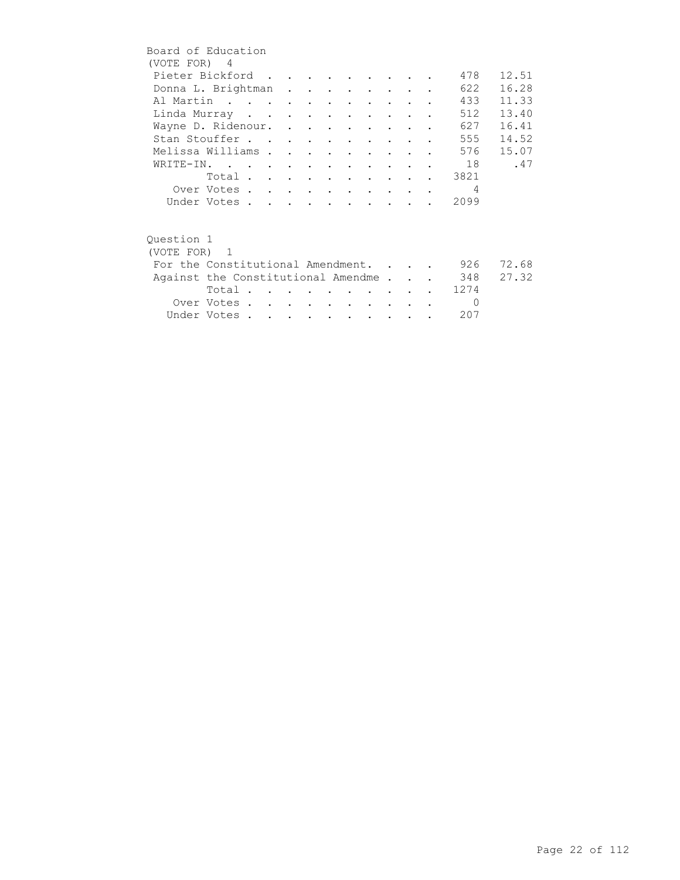|            | Board of Education                     |  |  |                                |        |  |                |       |
|------------|----------------------------------------|--|--|--------------------------------|--------|--|----------------|-------|
|            | (VOTE FOR) 4                           |  |  |                                |        |  |                |       |
|            | Pieter Bickford                        |  |  |                                |        |  | 478            | 12.51 |
|            | Donna L. Brightman                     |  |  |                                |        |  | 622            | 16.28 |
|            | Al Martin                              |  |  |                                |        |  | 433            | 11.33 |
|            | Linda Murray                           |  |  |                                |        |  | 512            | 13.40 |
|            | Wayne D. Ridenour.                     |  |  |                                |        |  | 627            | 16.41 |
|            | Stan Stouffer                          |  |  |                                |        |  | 555            | 14.52 |
|            | Melissa Williams                       |  |  | $\sim$ $\sim$                  |        |  | 576            | 15.07 |
|            | WRITE-IN.                              |  |  |                                |        |  | 18             | .47   |
|            | Total                                  |  |  |                                |        |  | 3821           |       |
|            | Over Votes                             |  |  |                                |        |  | $\overline{4}$ |       |
|            | Under Votes                            |  |  |                                |        |  | 2099           |       |
|            |                                        |  |  |                                |        |  |                |       |
| Ouestion 1 |                                        |  |  |                                |        |  |                |       |
|            | (VOTE FOR) 1                           |  |  |                                |        |  |                |       |
|            | For the Constitutional Amendment.      |  |  |                                |        |  | 926            | 72.68 |
|            | Against the Constitutional Amendme 348 |  |  |                                |        |  |                | 27.32 |
|            | Total                                  |  |  |                                |        |  | 1274           |       |
|            | Over Votes                             |  |  | <b><i>Contract Artists</i></b> | $\sim$ |  | $\Omega$       |       |
|            | Under Votes                            |  |  |                                |        |  | 207            |       |
|            |                                        |  |  |                                |        |  |                |       |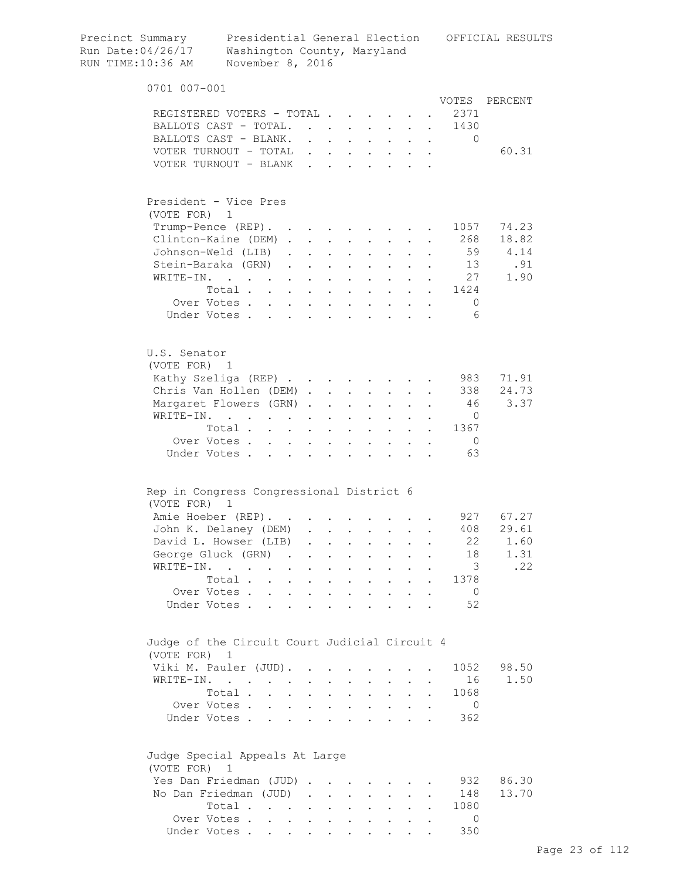| Precinct Summary<br>Run Date:04/26/17<br>RUN TIME:10:36 AM | Washington County, Maryland<br>November 8, 2016           |                                                        |                                                |                                |                                              |                                                      |                           |                      |                      | Presidential General Election OFFICIAL RESULTS |
|------------------------------------------------------------|-----------------------------------------------------------|--------------------------------------------------------|------------------------------------------------|--------------------------------|----------------------------------------------|------------------------------------------------------|---------------------------|----------------------|----------------------|------------------------------------------------|
| 0701 007-001                                               |                                                           |                                                        |                                                |                                |                                              |                                                      |                           |                      |                      |                                                |
|                                                            |                                                           |                                                        |                                                |                                |                                              |                                                      |                           |                      |                      | VOTES PERCENT                                  |
|                                                            | REGISTERED VOTERS - TOTAL                                 |                                                        |                                                |                                |                                              |                                                      |                           |                      | 2371                 |                                                |
|                                                            | BALLOTS CAST - TOTAL.                                     |                                                        |                                                |                                |                                              |                                                      |                           |                      | 1430                 |                                                |
|                                                            | BALLOTS CAST - BLANK.                                     |                                                        | $\mathbf{r}$ and $\mathbf{r}$ and $\mathbf{r}$ |                                | $\mathbf{L}$                                 | $\mathbf{L}$                                         | $\mathbf{r}$              | $\sim$               | $\Omega$             | 60.31                                          |
|                                                            | VOTER TURNOUT - TOTAL<br>VOTER TURNOUT - BLANK            |                                                        |                                                |                                |                                              |                                                      |                           |                      |                      |                                                |
|                                                            |                                                           |                                                        |                                                |                                |                                              |                                                      |                           |                      |                      |                                                |
|                                                            | President - Vice Pres                                     |                                                        |                                                |                                |                                              |                                                      |                           |                      |                      |                                                |
| (VOTE FOR) 1                                               |                                                           |                                                        |                                                |                                |                                              |                                                      |                           |                      |                      |                                                |
|                                                            | Trump-Pence (REP).                                        |                                                        |                                                |                                |                                              | <b>Contract Contract Contract</b>                    |                           |                      | 1057                 | 74.23                                          |
|                                                            | Clinton-Kaine (DEM)                                       |                                                        | $\sim$                                         |                                |                                              | $\sim$                                               |                           |                      | 268                  | 18.82                                          |
|                                                            | Johnson-Weld (LIB).                                       |                                                        |                                                | $\mathbf{L} = \mathbf{L}$      |                                              | $\cdot$ $\cdot$ $\cdot$                              | $\mathbf{L}$              |                      | 59                   | 4.14                                           |
|                                                            | Stein-Baraka (GRN)                                        |                                                        | $\ddot{\phantom{a}}$                           |                                |                                              | $\cdot$ $\cdot$ $\cdot$ $\cdot$ $\cdot$              |                           |                      | 13                   | .91                                            |
| WRITE-IN.                                                  | $\mathbf{r}$ , $\mathbf{r}$ , $\mathbf{r}$ , $\mathbf{r}$ | $\mathbf{L}$                                           | $\ddot{\phantom{a}}$                           | $\sim$ $\sim$ $\sim$           |                                              | $\cdot$ $\cdot$ $\cdot$                              |                           |                      | 27                   | 1.90                                           |
|                                                            | Total                                                     |                                                        |                                                |                                |                                              |                                                      |                           |                      | 1424                 |                                                |
|                                                            | Over Votes                                                |                                                        |                                                |                                |                                              |                                                      |                           |                      | $\overline{0}$       |                                                |
|                                                            | Under Votes                                               |                                                        |                                                |                                |                                              |                                                      |                           |                      | 6                    |                                                |
| U.S. Senator<br>(VOTE FOR) 1                               |                                                           |                                                        |                                                |                                |                                              |                                                      |                           |                      |                      |                                                |
|                                                            | Kathy Szeliga (REP)                                       |                                                        |                                                |                                |                                              |                                                      |                           |                      | 983                  | 71.91                                          |
|                                                            | Chris Van Hollen (DEM)                                    |                                                        |                                                |                                |                                              |                                                      |                           |                      | 338                  | 24.73                                          |
|                                                            | Margaret Flowers (GRN).                                   |                                                        | $\ddot{\phantom{a}}$                           | $\sim 10^{-10}$                |                                              | $\mathbf{L} = \mathbf{L} \mathbf{L}$                 | $\ddot{\phantom{0}}$      |                      | 46                   | 3.37                                           |
|                                                            | WRITE-IN.                                                 |                                                        | $\bullet$                                      | $\mathbf{L}^{\text{max}}$      | $\mathbf{z} = \mathbf{z}$                    | $\mathbf{L}^{\text{max}}$                            |                           |                      | $\circ$              |                                                |
|                                                            | Total                                                     |                                                        |                                                |                                | $\mathbf{a} = \mathbf{b}$                    | $\sim$                                               | $\mathbf{L}^{\text{max}}$ | $\sim$ 100 $\pm$     | 1367                 |                                                |
| Under Votes.                                               | Over Votes                                                | $\mathbf{L}$<br>$\sim$                                 | $\bullet$                                      |                                |                                              |                                                      |                           |                      | $\overline{0}$<br>63 |                                                |
|                                                            |                                                           |                                                        |                                                |                                |                                              |                                                      |                           |                      |                      |                                                |
| (VOTE FOR)                                                 | Rep in Congress Congressional District 6<br>1             |                                                        |                                                |                                |                                              |                                                      |                           |                      |                      |                                                |
|                                                            | Amie Hoeber (REP).                                        |                                                        |                                                |                                |                                              |                                                      |                           |                      |                      | 927 67.27                                      |
|                                                            | John K. Delaney (DEM)                                     |                                                        |                                                |                                |                                              |                                                      |                           |                      | 408                  | 29.61                                          |
|                                                            | David L. Howser (LIB)                                     | $\ddot{\phantom{a}}$                                   | $\ddot{\phantom{0}}$                           |                                |                                              |                                                      |                           |                      | 22                   | 1.60                                           |
|                                                            | George Gluck (GRN) .                                      |                                                        |                                                |                                |                                              |                                                      |                           |                      | 18                   | 1.31                                           |
| WRITE-IN.                                                  |                                                           | $\ddot{\phantom{a}}$                                   |                                                |                                |                                              |                                                      |                           |                      | $\overline{3}$       | .22                                            |
|                                                            | Total.<br>$\sim$                                          | $\mathbf{L}$                                           |                                                | $\ddot{\phantom{a}}$           |                                              | $\ddot{\phantom{0}}$                                 |                           |                      | 1378                 |                                                |
| Under Votes.                                               | Over Votes<br>$\overline{a}$                              | $\mathbf{L}$<br>$\mathbf{r}$ . The set of $\mathbf{r}$ | $\ddot{\phantom{a}}$<br>$\ddot{\phantom{a}}$   | $\sim$<br>$\ddot{\phantom{a}}$ | $\ddot{\phantom{a}}$<br>$\ddot{\phantom{a}}$ | $\sim$<br>$\mathbf{r}$ , $\mathbf{r}$ , $\mathbf{r}$ | $\ddot{\phantom{a}}$      | $\ddot{\phantom{a}}$ | $\overline{0}$<br>52 |                                                |
| (VOTE FOR) 1                                               | Judge of the Circuit Court Judicial Circuit 4             |                                                        |                                                |                                |                                              |                                                      |                           |                      |                      |                                                |
|                                                            | Viki M. Pauler (JUD).                                     |                                                        |                                                |                                |                                              |                                                      |                           |                      | 1052                 | 98.50                                          |
|                                                            | WRITE-IN.                                                 |                                                        |                                                |                                |                                              |                                                      |                           |                      | 16                   | 1.50                                           |
|                                                            | Total.                                                    | $\ddot{\phantom{a}}$                                   |                                                | $\ddot{\phantom{a}}$           | $\ddot{\phantom{0}}$                         | $\ddot{\phantom{0}}$                                 | $\ddot{\phantom{a}}$      |                      | 1068                 |                                                |
|                                                            | Over Votes                                                | $\mathbf{L}$                                           | $\ddot{\phantom{a}}$                           | $\mathbf{r}$                   |                                              | $\cdot$ $\cdot$ $\cdot$                              | $\mathbf{L}$              | $\ddot{\phantom{a}}$ | $\overline{0}$       |                                                |
|                                                            | Under Votes                                               | $\mathbf{r}$ and $\mathbf{r}$                          | $\ddot{\phantom{a}}$                           | $\sim$ $\sim$                  |                                              | $\mathbf{L} = \mathbf{L} \times \mathbf{L}$          |                           |                      | 362                  |                                                |
| (VOTE FOR) 1                                               | Judge Special Appeals At Large                            |                                                        |                                                |                                |                                              |                                                      |                           |                      |                      |                                                |
|                                                            | Yes Dan Friedman (JUD)                                    |                                                        |                                                |                                |                                              |                                                      |                           |                      | 932                  | 86.30                                          |
|                                                            | No Dan Friedman (JUD).                                    |                                                        | $\sim$ $-$                                     | $\mathbf{L}$                   | $\ddot{\phantom{a}}$                         | $\ddot{\phantom{0}}$                                 |                           |                      | 148                  | 13.70                                          |
|                                                            | Total                                                     | $\sim$ $-$                                             | $\sim$                                         | $\ddot{\phantom{0}}$           | $\ddot{\phantom{0}}$                         | $\mathbf{L}^{\text{max}}$                            |                           |                      | 1080                 |                                                |
|                                                            | Over Votes                                                |                                                        |                                                |                                |                                              |                                                      |                           |                      | $\Omega$             |                                                |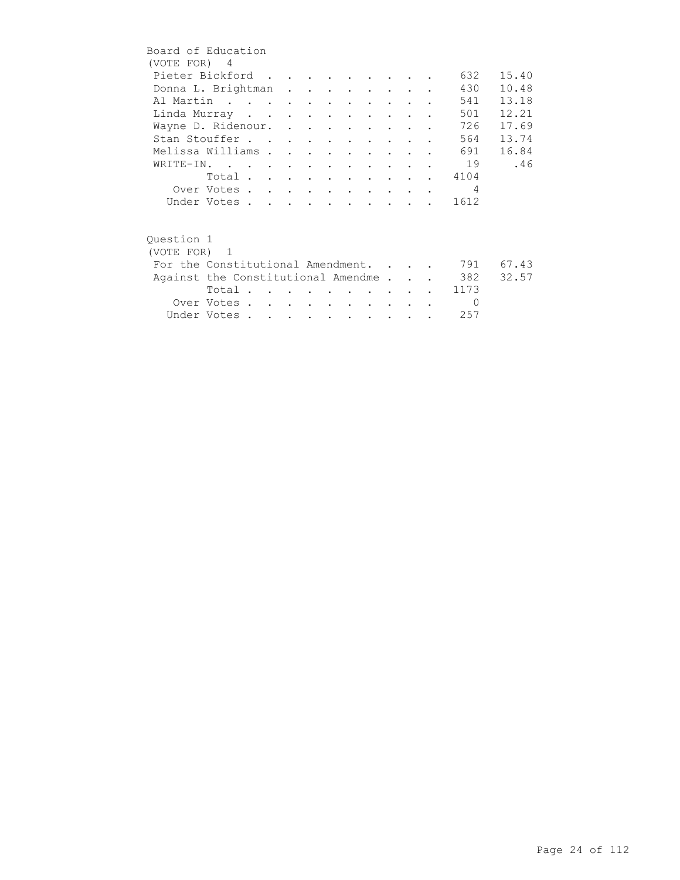| Board of Education                 |             |  |  |  |        |               |                |       |
|------------------------------------|-------------|--|--|--|--------|---------------|----------------|-------|
| (VOTE FOR) 4                       |             |  |  |  |        |               |                |       |
| Pieter Bickford                    |             |  |  |  |        |               | 632            | 15.40 |
| Donna L. Brightman                 |             |  |  |  |        |               | 430            | 10.48 |
| Al Martin                          |             |  |  |  |        |               | 541            | 13.18 |
| Linda Murray                       |             |  |  |  |        |               | 501            | 12.21 |
| Wayne D. Ridenour.                 |             |  |  |  |        |               | 726            | 17.69 |
| Stan Stouffer                      |             |  |  |  |        |               | 564            | 13.74 |
| Melissa Williams                   |             |  |  |  |        |               | 691            | 16.84 |
| WRITE-IN.                          |             |  |  |  |        |               | 19             | .46   |
|                                    | Total       |  |  |  |        |               | . 4104         |       |
|                                    | Over Votes  |  |  |  |        |               | $\overline{4}$ |       |
|                                    | Under Votes |  |  |  |        |               | 1612           |       |
|                                    |             |  |  |  |        |               |                |       |
|                                    |             |  |  |  |        |               |                |       |
| Ouestion 1                         |             |  |  |  |        |               |                |       |
| (VOTE FOR) 1                       |             |  |  |  |        |               |                |       |
| For the Constitutional Amendment.  |             |  |  |  |        |               | 791            | 67.43 |
| Against the Constitutional Amendme |             |  |  |  |        |               | 382            | 32.57 |
|                                    | Total       |  |  |  |        |               | 1173           |       |
|                                    | Over Votes  |  |  |  | $\sim$ | $\sim$ $\sim$ | $\bigcirc$     |       |
|                                    | Under Votes |  |  |  |        |               | 257            |       |
|                                    |             |  |  |  |        |               |                |       |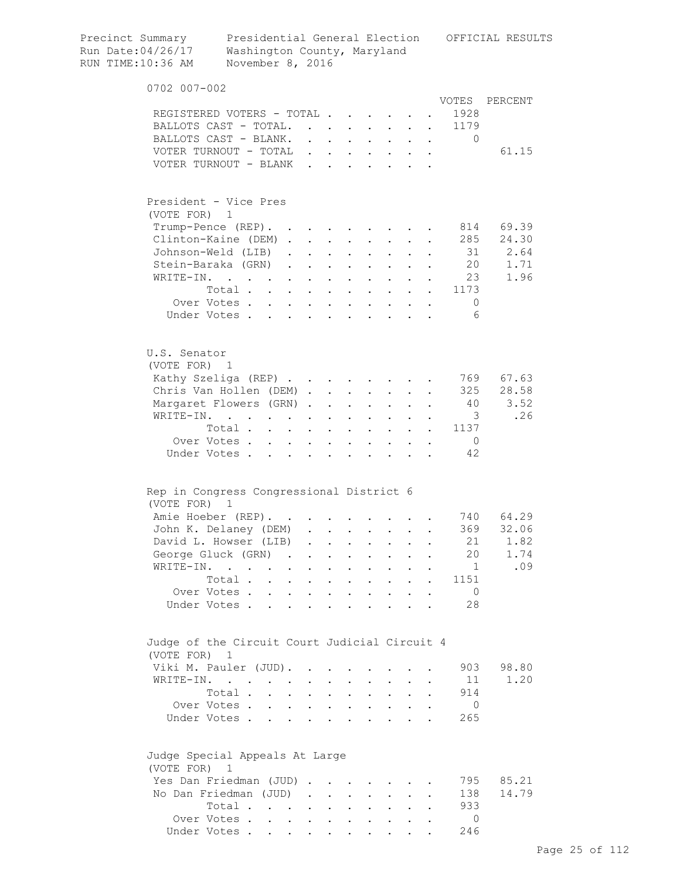| Precinct Summary<br>Run Date:04/26/17<br>RUN TIME:10:36 AM | Presidential General Election OFFICIAL RESULTS<br>Washington County, Maryland<br>November 8, 2016 |                      |                         |                               |                           |                                                           |                      |                      |                                                                                                         |            |
|------------------------------------------------------------|---------------------------------------------------------------------------------------------------|----------------------|-------------------------|-------------------------------|---------------------------|-----------------------------------------------------------|----------------------|----------------------|---------------------------------------------------------------------------------------------------------|------------|
| 0702 007-002                                               |                                                                                                   |                      |                         |                               |                           |                                                           |                      |                      |                                                                                                         |            |
|                                                            |                                                                                                   |                      |                         |                               |                           |                                                           |                      |                      | VOTES                                                                                                   | PERCENT    |
|                                                            | REGISTERED VOTERS - TOTAL                                                                         |                      |                         |                               |                           |                                                           |                      |                      | 1928                                                                                                    |            |
|                                                            | BALLOTS CAST - TOTAL.                                                                             |                      |                         |                               |                           |                                                           |                      |                      | 1179                                                                                                    |            |
|                                                            | BALLOTS CAST - BLANK.                                                                             |                      |                         |                               |                           |                                                           |                      |                      | $\mathbf{0}$<br>$\mathbf{r}$ , $\mathbf{r}$ , $\mathbf{r}$ , $\mathbf{r}$ , $\mathbf{r}$ , $\mathbf{r}$ |            |
|                                                            | VOTER TURNOUT - TOTAL                                                                             |                      |                         |                               |                           |                                                           |                      |                      |                                                                                                         | 61.15      |
|                                                            | VOTER TURNOUT - BLANK                                                                             |                      |                         |                               |                           |                                                           |                      |                      |                                                                                                         |            |
| (VOTE FOR) 1                                               | President - Vice Pres                                                                             |                      |                         |                               |                           |                                                           |                      |                      |                                                                                                         |            |
|                                                            | Trump-Pence (REP).                                                                                |                      |                         |                               |                           |                                                           |                      |                      |                                                                                                         | 814 69.39  |
|                                                            | Clinton-Kaine (DEM)                                                                               |                      |                         |                               |                           |                                                           | $\mathbf{L}$         |                      |                                                                                                         | 285 24.30  |
|                                                            | Johnson-Weld (LIB)                                                                                |                      |                         | $\mathbf{L} = \mathbf{L}$     |                           | $\cdot$ $\cdot$ $\cdot$                                   |                      |                      |                                                                                                         | 31 2.64    |
|                                                            | Stein-Baraka (GRN)                                                                                |                      |                         | $\mathbf{L}$ and $\mathbf{L}$ |                           | $\cdot$ $\cdot$ $\cdot$                                   | $\ddot{\phantom{0}}$ |                      |                                                                                                         | 20<br>1.71 |
| WRITE-IN.                                                  | and the state of the state of the                                                                 |                      | $\bullet$               | $\sim 100$ km s $^{-1}$       |                           | $\mathbf{z} = \mathbf{z} + \mathbf{z}$ .                  |                      |                      | 23                                                                                                      | 1.96       |
|                                                            | Total                                                                                             |                      |                         |                               |                           | $\mathbf{L}^{\text{max}}$ , and $\mathbf{L}^{\text{max}}$ |                      |                      | $\cdot$ $\cdot$ 1173                                                                                    |            |
|                                                            | Over Votes                                                                                        |                      |                         |                               |                           |                                                           |                      |                      | $\overline{0}$                                                                                          |            |
|                                                            | Under Votes                                                                                       |                      |                         |                               |                           |                                                           |                      |                      | 6                                                                                                       |            |
| U.S. Senator<br>(VOTE FOR) 1                               |                                                                                                   |                      |                         |                               |                           |                                                           |                      |                      |                                                                                                         |            |
|                                                            | Kathy Szeliga (REP)                                                                               |                      |                         |                               |                           |                                                           |                      |                      |                                                                                                         | 769 67.63  |
|                                                            | Chris Van Hollen (DEM)                                                                            |                      |                         |                               |                           |                                                           |                      |                      |                                                                                                         | 325 28.58  |
|                                                            | Margaret Flowers (GRN)                                                                            |                      |                         | <b>Contract Contract</b>      | $\mathbf{L}^{\text{max}}$ | $\sim$                                                    |                      |                      | 40                                                                                                      | 3.52       |
|                                                            | WRITE-IN.                                                                                         |                      |                         |                               |                           |                                                           |                      |                      | $\overline{\phantom{a}}$                                                                                | .26        |
|                                                            | Total                                                                                             |                      | $\ddot{\phantom{a}}$    | $\sim$                        |                           | $\mathbf{L}$                                              |                      |                      | 1137                                                                                                    |            |
|                                                            | Over Votes<br>$\ddot{\phantom{0}}$                                                                |                      |                         | $\ddot{\phantom{a}}$          |                           |                                                           |                      |                      | $\overline{0}$                                                                                          |            |
|                                                            | Under Votes                                                                                       | $\mathbf{L}$         |                         | $\ddot{\phantom{a}}$          | $\mathbf{r}$              |                                                           |                      |                      | 42                                                                                                      |            |
|                                                            | Rep in Congress Congressional District 6                                                          |                      |                         |                               |                           |                                                           |                      |                      |                                                                                                         |            |
| (VOTE FOR)                                                 | $\mathbf{1}$                                                                                      |                      |                         |                               |                           |                                                           |                      |                      |                                                                                                         |            |
|                                                            | Amie Hoeber (REP).                                                                                |                      |                         |                               |                           |                                                           |                      |                      |                                                                                                         | 740 64.29  |
|                                                            | John K. Delaney (DEM)                                                                             |                      |                         |                               |                           |                                                           |                      |                      |                                                                                                         | 369 32.06  |
|                                                            | David L. Howser (LIB)                                                                             | $\sim$               |                         |                               |                           |                                                           |                      |                      | 21                                                                                                      | 1.82       |
|                                                            | George Gluck (GRN).                                                                               |                      | $\ddot{\phantom{0}}$    | $\mathbf{z}$ .                | $\ddot{\phantom{0}}$      | $\ddot{\phantom{0}}$                                      |                      |                      | 20                                                                                                      | 1.74       |
| WRITE-IN.                                                  | $\ddot{\phantom{0}}$<br>$\ddot{\phantom{0}}$                                                      |                      | $\ddot{\phantom{a}}$    | $\ddot{\phantom{0}}$          | $\ddot{\phantom{0}}$      | $\ddot{\phantom{0}}$                                      |                      |                      | 1                                                                                                       | .09        |
|                                                            | Total                                                                                             | $\sim$               | $\ddot{\phantom{a}}$    | $\sim 100$ km s $^{-1}$       |                           | $\mathbf{r} = \mathbf{r}$                                 | $\mathbf{L}$         | $\ddot{\phantom{a}}$ | 1151                                                                                                    |            |
|                                                            | Over Votes<br>Under Votes                                                                         |                      | $\ddot{\phantom{a}}$    | $\sim$ $\sim$                 |                           | $\mathbf{r} = \mathbf{r} \cdot \mathbf{r}$                |                      |                      | $\overline{0}$<br>28                                                                                    |            |
|                                                            |                                                                                                   |                      |                         |                               |                           |                                                           |                      |                      |                                                                                                         |            |
| (VOTE FOR) 1                                               | Judge of the Circuit Court Judicial Circuit 4                                                     |                      |                         |                               |                           |                                                           |                      |                      |                                                                                                         |            |
|                                                            | Viki M. Pauler (JUD).                                                                             |                      | $\cdot$ $\cdot$ $\cdot$ | $\sim$                        | $\ddot{\phantom{0}}$      |                                                           |                      |                      | 903                                                                                                     | 98.80      |
|                                                            | WRITE-IN.                                                                                         | $\ddot{\phantom{0}}$ |                         | $\mathbf{L}$ and $\mathbf{L}$ |                           | $\mathbf{L} = \mathbf{L}$                                 | $\mathbf{L}$         |                      | 11                                                                                                      | 1.20       |
|                                                            | Total .<br>$\mathbf{r} = \mathbf{r}$                                                              | $\ddot{\phantom{0}}$ |                         | $\mathbf{L}$ and $\mathbf{L}$ |                           | $\mathbf{L} = \mathbf{L}$                                 | $\ddot{\phantom{0}}$ |                      | 914                                                                                                     |            |
|                                                            | Over Votes                                                                                        |                      |                         |                               |                           |                                                           |                      |                      | 0                                                                                                       |            |
|                                                            | Under Votes                                                                                       |                      |                         |                               |                           |                                                           |                      |                      | 265                                                                                                     |            |
| (VOTE FOR) 1                                               | Judge Special Appeals At Large                                                                    |                      |                         |                               |                           |                                                           |                      |                      |                                                                                                         |            |
|                                                            | Yes Dan Friedman (JUD)                                                                            |                      |                         |                               |                           |                                                           |                      |                      | 795                                                                                                     | 85.21      |
|                                                            | No Dan Friedman (JUD)                                                                             |                      |                         |                               |                           |                                                           |                      |                      | 138                                                                                                     | 14.79      |
|                                                            | Total                                                                                             |                      |                         |                               |                           |                                                           |                      |                      | 933                                                                                                     |            |
|                                                            | Over Votes.                                                                                       |                      |                         |                               |                           |                                                           |                      |                      | $\Omega$                                                                                                |            |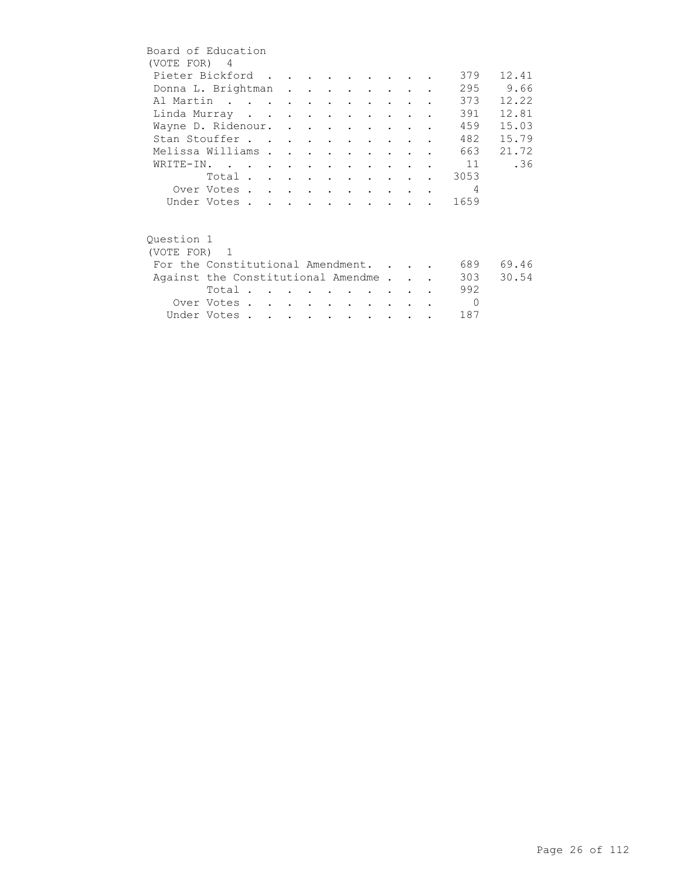| Board of Education                 |                |  |  |                      |                                 |                                 |  |                |          |
|------------------------------------|----------------|--|--|----------------------|---------------------------------|---------------------------------|--|----------------|----------|
| (VOTE FOR) 4                       |                |  |  |                      |                                 |                                 |  |                |          |
| Pieter Bickford                    |                |  |  |                      |                                 |                                 |  | 379            | 12.41    |
| Donna L. Brightman                 |                |  |  |                      |                                 |                                 |  |                | 295 9.66 |
| Al Martin                          |                |  |  |                      |                                 |                                 |  | 373            | 12.22    |
| Linda Murray                       |                |  |  | $\sim$ $\sim$        |                                 | $\sim$ $\sim$ $\sim$            |  | 391            | 12.81    |
| Wayne D. Ridenour.                 |                |  |  |                      |                                 |                                 |  | 459            | 15.03    |
| Stan Stouffer                      |                |  |  |                      | $\sim 100$ km s $^{-1}$         | <b>Contract Contract Street</b> |  | 482            | 15.79    |
| Melissa Williams                   |                |  |  | $\bullet$            | $\sim$                          |                                 |  | 663            | 21.72    |
| WRITE-IN.                          |                |  |  | $\sim$ $\sim$        |                                 |                                 |  | 11             | .36      |
|                                    | Total $\cdots$ |  |  |                      |                                 |                                 |  | 3053           |          |
|                                    | Over Votes     |  |  |                      | $\cdot$ $\cdot$ $\cdot$ $\cdot$ |                                 |  | $\overline{4}$ |          |
|                                    | Under Votes    |  |  |                      |                                 |                                 |  | 1659           |          |
|                                    |                |  |  |                      |                                 |                                 |  |                |          |
| Question 1                         |                |  |  |                      |                                 |                                 |  |                |          |
| (VOTE FOR) 1                       |                |  |  |                      |                                 |                                 |  |                |          |
| For the Constitutional Amendment.  |                |  |  |                      |                                 |                                 |  | 689            | 69.46    |
| Against the Constitutional Amendme |                |  |  |                      |                                 |                                 |  | 303            | 30.54    |
|                                    | Total          |  |  |                      |                                 |                                 |  | 992            |          |
|                                    | Over Votes     |  |  | $\sim$ $\sim$ $\sim$ |                                 | $\sim$ $\sim$ $\sim$            |  | $\Omega$       |          |
|                                    | Under Votes    |  |  |                      |                                 |                                 |  | 187            |          |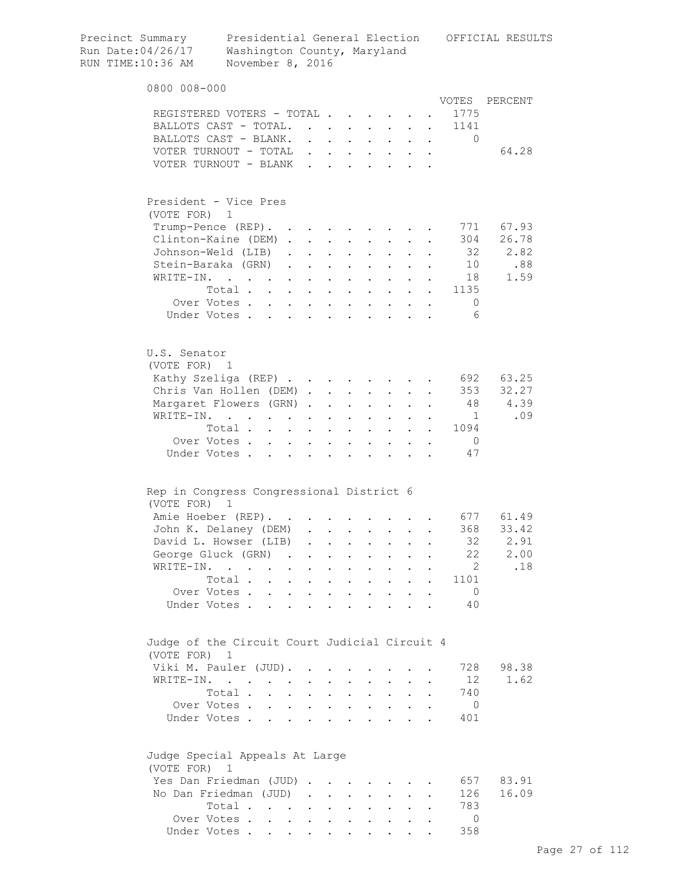| Precinct Summary<br>Run Date:04/26/17<br>RUN TIME:10:36 AM    | Washington County, Maryland<br>November 8, 2016                                                                 |                              |                                      |                           |                                              |                                            |                                                                                                                                                                                                                                                                                                                                                                                                                        |                      |           |                          | Presidential General Election OFFICIAL RESULTS |
|---------------------------------------------------------------|-----------------------------------------------------------------------------------------------------------------|------------------------------|--------------------------------------|---------------------------|----------------------------------------------|--------------------------------------------|------------------------------------------------------------------------------------------------------------------------------------------------------------------------------------------------------------------------------------------------------------------------------------------------------------------------------------------------------------------------------------------------------------------------|----------------------|-----------|--------------------------|------------------------------------------------|
| 0800 008-000                                                  |                                                                                                                 |                              |                                      |                           |                                              |                                            |                                                                                                                                                                                                                                                                                                                                                                                                                        |                      |           |                          |                                                |
|                                                               |                                                                                                                 |                              |                                      |                           |                                              |                                            |                                                                                                                                                                                                                                                                                                                                                                                                                        |                      |           |                          | VOTES PERCENT                                  |
| REGISTERED VOTERS - TOTAL                                     |                                                                                                                 |                              |                                      |                           |                                              |                                            |                                                                                                                                                                                                                                                                                                                                                                                                                        |                      |           | 1775                     |                                                |
| BALLOTS CAST - TOTAL.                                         |                                                                                                                 |                              | $\mathbf{L}$                         |                           |                                              |                                            |                                                                                                                                                                                                                                                                                                                                                                                                                        |                      |           | 1141                     |                                                |
| BALLOTS CAST - BLANK.<br>VOTER TURNOUT - TOTAL                |                                                                                                                 |                              |                                      |                           | $\cdot$ $\cdot$ $\cdot$ $\cdot$              |                                            |                                                                                                                                                                                                                                                                                                                                                                                                                        |                      |           | $\Omega$                 | 64.28                                          |
| VOTER TURNOUT - BLANK                                         |                                                                                                                 |                              |                                      | $\mathbf{r} = \mathbf{r}$ |                                              | $\mathcal{L}^{\text{max}}$<br>$\mathbf{L}$ | $\sim$<br>$\mathbf{L}$                                                                                                                                                                                                                                                                                                                                                                                                 | $\mathbf{L}$         | $\sim$    |                          |                                                |
|                                                               |                                                                                                                 |                              |                                      |                           |                                              |                                            |                                                                                                                                                                                                                                                                                                                                                                                                                        |                      |           |                          |                                                |
| President - Vice Pres                                         |                                                                                                                 |                              |                                      |                           |                                              |                                            |                                                                                                                                                                                                                                                                                                                                                                                                                        |                      |           |                          |                                                |
| (VOTE FOR) 1                                                  |                                                                                                                 |                              |                                      |                           |                                              |                                            |                                                                                                                                                                                                                                                                                                                                                                                                                        |                      |           |                          |                                                |
| Trump-Pence (REP).<br>Clinton-Kaine (DEM).                    |                                                                                                                 |                              |                                      |                           |                                              |                                            |                                                                                                                                                                                                                                                                                                                                                                                                                        |                      |           | 771<br>304               | 67.93<br>26.78                                 |
| Johnson-Weld (LIB)                                            |                                                                                                                 | $\mathbf{L}$                 | $\sim$                               | $\ddot{\phantom{a}}$      |                                              |                                            | $\sim$ $-$                                                                                                                                                                                                                                                                                                                                                                                                             |                      |           | 32                       | 2.82                                           |
| Stein-Baraka (GRN)                                            |                                                                                                                 | $\ddot{\phantom{0}}$         | $\ddot{\phantom{a}}$                 | $\ddot{\phantom{a}}$      | $\sim$                                       | $\bullet$                                  | $\ddot{\phantom{0}}$                                                                                                                                                                                                                                                                                                                                                                                                   | $\mathbf{L}$         |           | 10                       | .88                                            |
| WRITE-IN.                                                     | $\mathbf{r}$ , $\mathbf{r}$ , $\mathbf{r}$ , $\mathbf{r}$                                                       | $\mathbf{L}^{\text{max}}$    | $\sim$                               | $\ddot{\phantom{a}}$      | $\mathbf{L}$                                 |                                            | $\mathbf{L} = \mathbf{L} \mathbf{L}$                                                                                                                                                                                                                                                                                                                                                                                   | $\ddot{\phantom{0}}$ |           |                          | 18<br>1.59                                     |
|                                                               | Total                                                                                                           |                              |                                      | $\ddot{\phantom{a}}$      | $\sim$ $\sim$ $\sim$                         |                                            | $\mathbf{1}=\mathbf{1}=\mathbf{1}=\mathbf{1}=\mathbf{1}=\mathbf{1}=\mathbf{1}=\mathbf{1}=\mathbf{1}=\mathbf{1}=\mathbf{1}=\mathbf{1}=\mathbf{1}=\mathbf{1}=\mathbf{1}=\mathbf{1}=\mathbf{1}=\mathbf{1}=\mathbf{1}=\mathbf{1}=\mathbf{1}=\mathbf{1}=\mathbf{1}=\mathbf{1}=\mathbf{1}=\mathbf{1}=\mathbf{1}=\mathbf{1}=\mathbf{1}=\mathbf{1}=\mathbf{1}=\mathbf{1}=\mathbf{1}=\mathbf{1}=\mathbf{1}=\mathbf{1}=\mathbf{$ |                      |           | 1135                     |                                                |
|                                                               | Over Votes                                                                                                      |                              |                                      |                           |                                              |                                            |                                                                                                                                                                                                                                                                                                                                                                                                                        |                      |           | $\mathbf{0}$             |                                                |
|                                                               | Under Votes                                                                                                     |                              |                                      |                           |                                              |                                            |                                                                                                                                                                                                                                                                                                                                                                                                                        |                      |           | - 6                      |                                                |
| U.S. Senator                                                  |                                                                                                                 |                              |                                      |                           |                                              |                                            |                                                                                                                                                                                                                                                                                                                                                                                                                        |                      |           |                          |                                                |
| (VOTE FOR) 1                                                  |                                                                                                                 |                              |                                      |                           |                                              |                                            |                                                                                                                                                                                                                                                                                                                                                                                                                        |                      |           |                          |                                                |
| Kathy Szeliga (REP)                                           |                                                                                                                 |                              |                                      |                           |                                              |                                            |                                                                                                                                                                                                                                                                                                                                                                                                                        |                      |           |                          | 692 63.25                                      |
| Chris Van Hollen (DEM)                                        |                                                                                                                 |                              |                                      |                           |                                              |                                            |                                                                                                                                                                                                                                                                                                                                                                                                                        |                      |           | 353                      | 32.27                                          |
| Margaret Flowers (GRN).                                       |                                                                                                                 |                              |                                      | $\ddot{\phantom{a}}$      | $\mathbf{L}$                                 | $\mathbf{L}$                               | $\mathbf{L}^{\text{max}}$                                                                                                                                                                                                                                                                                                                                                                                              |                      |           | 48                       | 4.39                                           |
| WRITE-IN.                                                     | the contract of the contract of the contract of the contract of the contract of the contract of the contract of |                              |                                      | $\ddot{\phantom{a}}$      | $\ddot{\phantom{0}}$                         | $\sim$ 100 $\pm$                           | $\sim$                                                                                                                                                                                                                                                                                                                                                                                                                 | $\ddot{\phantom{0}}$ |           | $\mathbf{1}$             | .09                                            |
|                                                               | Total                                                                                                           |                              |                                      |                           |                                              | $\bullet$ .                                | $\mathbf{z} = \mathbf{z}$                                                                                                                                                                                                                                                                                                                                                                                              | $\ddot{\phantom{0}}$ |           | 1094<br>$\sim$ 100 $\pm$ |                                                |
|                                                               | Over Votes<br>Under Votes                                                                                       | $\ddot{\phantom{0}}$         | $\sim 100$                           | $\bullet$ .               | $\bullet$                                    | $\ddot{\phantom{a}}$                       |                                                                                                                                                                                                                                                                                                                                                                                                                        |                      | $\bullet$ | $\overline{0}$<br>47     |                                                |
| Rep in Congress Congressional District 6<br>(VOTE FOR)        | $\mathbf{1}$                                                                                                    |                              |                                      |                           |                                              |                                            |                                                                                                                                                                                                                                                                                                                                                                                                                        |                      |           |                          |                                                |
| Amie Hoeber (REP). 677 61.49                                  |                                                                                                                 |                              |                                      |                           |                                              |                                            |                                                                                                                                                                                                                                                                                                                                                                                                                        |                      |           |                          |                                                |
| John K. Delaney (DEM)                                         |                                                                                                                 |                              |                                      |                           | $\ddot{\phantom{0}}$                         |                                            |                                                                                                                                                                                                                                                                                                                                                                                                                        |                      |           | 368                      | 33.42                                          |
| David L. Howser (LIB)                                         |                                                                                                                 |                              |                                      |                           | $\ddot{\phantom{0}}$                         | $\mathbf{L}^{\text{max}}$                  | $\mathbf{L}^{\text{max}}$                                                                                                                                                                                                                                                                                                                                                                                              | $\ddot{\phantom{a}}$ |           | 32                       | 2.91                                           |
| George Gluck (GRN) .                                          |                                                                                                                 |                              | $\ddot{\phantom{0}}$                 | $\ddot{\phantom{0}}$      | $\ddot{\phantom{0}}$                         | $\ddot{\phantom{a}}$                       | $\ddot{\phantom{0}}$                                                                                                                                                                                                                                                                                                                                                                                                   |                      |           | 22                       | 2.00                                           |
| WRITE-IN.                                                     |                                                                                                                 | $\bullet$                    |                                      | $\ddot{\phantom{0}}$      |                                              |                                            |                                                                                                                                                                                                                                                                                                                                                                                                                        |                      |           | $\overline{2}$           | .18                                            |
|                                                               | Total.<br>$\ddot{\phantom{a}}$                                                                                  | $\ddot{\phantom{0}}$         |                                      | $\ddot{\phantom{a}}$      | $\ddot{\phantom{a}}$                         |                                            | $\ddot{\phantom{0}}$                                                                                                                                                                                                                                                                                                                                                                                                   | $\ddot{\phantom{a}}$ |           | 1101                     |                                                |
| Over Votes.<br>Under Votes.                                   | $\ddot{\phantom{a}}$<br>$\overline{a}$                                                                          | $\mathbf{L}$<br>$\mathbf{r}$ | $\ddot{\phantom{a}}$<br>$\mathbf{L}$ | $\ddot{\phantom{a}}$      | $\ddot{\phantom{a}}$<br>$\ddot{\phantom{a}}$ | $\overline{a}$                             | $\ddot{\phantom{a}}$<br>$\ddot{\phantom{a}}$                                                                                                                                                                                                                                                                                                                                                                           | $\mathbf{r}$         |           | $\overline{0}$<br>40     |                                                |
|                                                               |                                                                                                                 |                              |                                      |                           |                                              |                                            |                                                                                                                                                                                                                                                                                                                                                                                                                        |                      |           |                          |                                                |
| Judge of the Circuit Court Judicial Circuit 4<br>(VOTE FOR) 1 |                                                                                                                 |                              |                                      |                           |                                              |                                            |                                                                                                                                                                                                                                                                                                                                                                                                                        |                      |           |                          |                                                |
| Viki M. Pauler (JUD).                                         |                                                                                                                 |                              |                                      |                           |                                              |                                            |                                                                                                                                                                                                                                                                                                                                                                                                                        |                      |           | 728                      | 98.38                                          |
| WRITE-IN.                                                     |                                                                                                                 |                              |                                      |                           |                                              |                                            |                                                                                                                                                                                                                                                                                                                                                                                                                        |                      |           | 12 <sup>°</sup>          | 1.62                                           |
|                                                               | Total .                                                                                                         | $\ddot{\phantom{a}}$         |                                      | $\ddot{\phantom{a}}$      |                                              |                                            | $\ddot{\phantom{0}}$                                                                                                                                                                                                                                                                                                                                                                                                   |                      |           | 740                      |                                                |
|                                                               | Over Votes                                                                                                      | $\ddot{\phantom{0}}$         | $\sim$                               |                           | $\ddot{\phantom{a}}$                         |                                            | $\ddot{\phantom{0}}$                                                                                                                                                                                                                                                                                                                                                                                                   |                      |           | $\overline{0}$           |                                                |
|                                                               | Under Votes                                                                                                     |                              | $\mathbf{L}$                         |                           | $\ddot{\phantom{a}}$                         | $\ddot{\phantom{a}}$                       | $\mathbf{r}$                                                                                                                                                                                                                                                                                                                                                                                                           | $\mathbf{L}$         |           | 401                      |                                                |
| Judge Special Appeals At Large<br>(VOTE FOR)                  | $\overline{1}$                                                                                                  |                              |                                      |                           |                                              |                                            |                                                                                                                                                                                                                                                                                                                                                                                                                        |                      |           |                          |                                                |
| Yes Dan Friedman (JUD).                                       |                                                                                                                 |                              |                                      | $\ddot{\phantom{0}}$      |                                              |                                            |                                                                                                                                                                                                                                                                                                                                                                                                                        |                      |           | 657                      | 83.91                                          |
| No Dan Friedman (JUD)                                         |                                                                                                                 |                              | $\ddot{\phantom{a}}$                 | $\mathbf{L}^{\text{max}}$ |                                              |                                            |                                                                                                                                                                                                                                                                                                                                                                                                                        |                      |           | 126                      | 16.09                                          |
|                                                               | Total .                                                                                                         | <b>Contract Contract</b>     | $\sim 100$                           | $\ddot{\phantom{0}}$      | $\ddot{\phantom{a}}$                         |                                            | $\ddot{\phantom{0}}$                                                                                                                                                                                                                                                                                                                                                                                                   |                      |           | 783                      |                                                |
|                                                               | Over Votes .<br>$\sim$ 100 $\mu$                                                                                | $\sim$ $-$                   | $\sim$                               |                           |                                              |                                            |                                                                                                                                                                                                                                                                                                                                                                                                                        |                      |           | $\overline{0}$           |                                                |
|                                                               | Under Votes                                                                                                     |                              |                                      |                           |                                              |                                            |                                                                                                                                                                                                                                                                                                                                                                                                                        |                      |           | 358                      |                                                |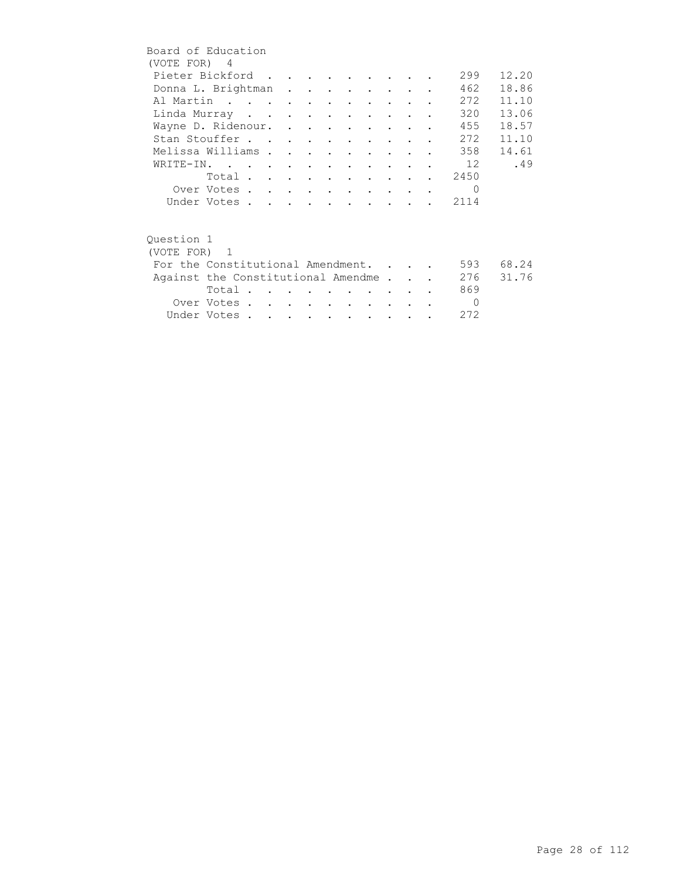| Board of Education                 |             |  |  |                                |                                    |                      |  |          |       |
|------------------------------------|-------------|--|--|--------------------------------|------------------------------------|----------------------|--|----------|-------|
| (VOTE FOR) 4                       |             |  |  |                                |                                    |                      |  |          |       |
| Pieter Bickford                    |             |  |  |                                |                                    |                      |  | 299      | 12.20 |
| Donna L. Brightman                 |             |  |  |                                |                                    |                      |  | 462      | 18.86 |
| Al Martin                          |             |  |  |                                |                                    |                      |  | 272      | 11.10 |
| Linda Murray                       |             |  |  |                                |                                    |                      |  | 320      | 13.06 |
| Wayne D. Ridenour.                 |             |  |  |                                |                                    |                      |  | 455      | 18.57 |
| Stan Stouffer                      |             |  |  |                                |                                    |                      |  | 272      | 11.10 |
| Melissa Williams                   |             |  |  |                                | $\sim$ $\sim$ $\sim$ $\sim$ $\sim$ |                      |  | 358      | 14.61 |
| WRITE-IN.                          |             |  |  |                                |                                    |                      |  | 12       | .49   |
|                                    | Total       |  |  |                                |                                    |                      |  | 2450     |       |
|                                    | Over Votes  |  |  |                                |                                    |                      |  | $\Omega$ |       |
|                                    | Under Votes |  |  |                                |                                    |                      |  | 2114     |       |
|                                    |             |  |  |                                |                                    |                      |  |          |       |
| Ouestion 1                         |             |  |  |                                |                                    |                      |  |          |       |
| (VOTE FOR) 1                       |             |  |  |                                |                                    |                      |  |          |       |
| For the Constitutional Amendment.  |             |  |  |                                |                                    |                      |  | 593      | 68.24 |
| Against the Constitutional Amendme |             |  |  |                                |                                    |                      |  | 276      | 31.76 |
|                                    | Total       |  |  |                                |                                    |                      |  | 869      |       |
|                                    | Over Votes  |  |  | <b><i>Contract Artists</i></b> |                                    | $\sim$ $\sim$ $\sim$ |  | $\Omega$ |       |
|                                    | Under Votes |  |  |                                |                                    |                      |  | 272      |       |
|                                    |             |  |  |                                |                                    |                      |  |          |       |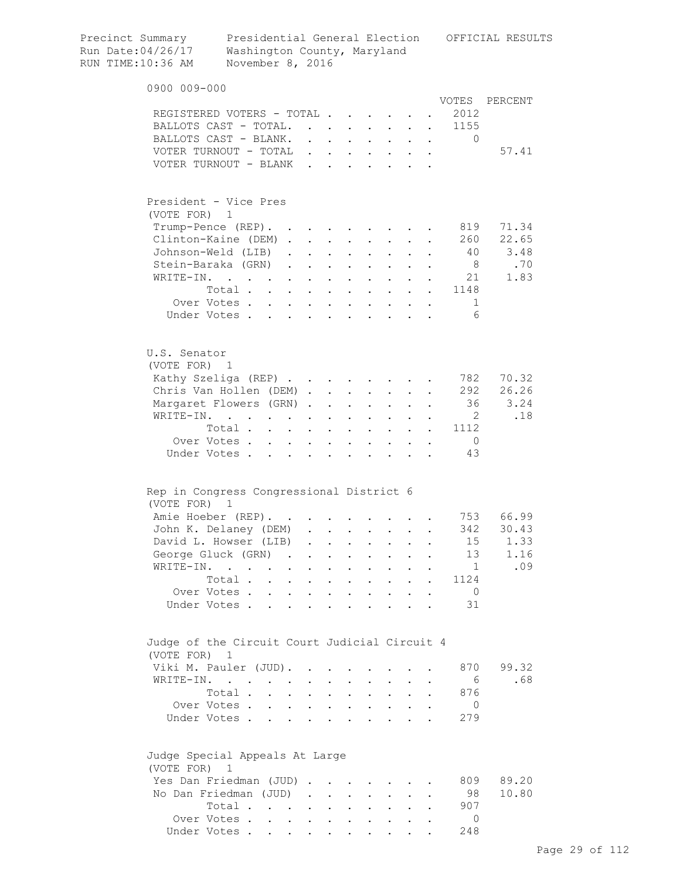| Precinct Summary<br>Run Date:04/26/17<br>RUN TIME:10:36 AM | Washington County, Maryland<br>November 8, 2016                       |                                          |                                   |                                              |                                          |                      |                                                                                                                                                                                                                                                                                                                                                                                                                        |                      |           |                       | Presidential General Election OFFICIAL RESULTS |
|------------------------------------------------------------|-----------------------------------------------------------------------|------------------------------------------|-----------------------------------|----------------------------------------------|------------------------------------------|----------------------|------------------------------------------------------------------------------------------------------------------------------------------------------------------------------------------------------------------------------------------------------------------------------------------------------------------------------------------------------------------------------------------------------------------------|----------------------|-----------|-----------------------|------------------------------------------------|
| 0900 009-000                                               |                                                                       |                                          |                                   |                                              |                                          |                      |                                                                                                                                                                                                                                                                                                                                                                                                                        |                      |           |                       |                                                |
|                                                            |                                                                       |                                          |                                   |                                              |                                          |                      |                                                                                                                                                                                                                                                                                                                                                                                                                        |                      |           |                       | VOTES PERCENT                                  |
| REGISTERED VOTERS - TOTAL                                  |                                                                       |                                          |                                   |                                              |                                          |                      |                                                                                                                                                                                                                                                                                                                                                                                                                        |                      |           | 2012                  |                                                |
| BALLOTS CAST - TOTAL.                                      |                                                                       |                                          |                                   |                                              |                                          |                      |                                                                                                                                                                                                                                                                                                                                                                                                                        |                      |           | 1155                  |                                                |
| BALLOTS CAST - BLANK.                                      |                                                                       |                                          |                                   |                                              |                                          |                      |                                                                                                                                                                                                                                                                                                                                                                                                                        |                      |           | $\Omega$              |                                                |
| VOTER TURNOUT - TOTAL                                      |                                                                       |                                          |                                   | $\mathbf{r}$<br>$\sim$                       |                                          |                      |                                                                                                                                                                                                                                                                                                                                                                                                                        |                      |           |                       | 57.41                                          |
| VOTER TURNOUT - BLANK                                      |                                                                       |                                          |                                   | $\ddot{\phantom{a}}$<br>$\mathbf{r}$         | $\mathbf{L}$                             |                      |                                                                                                                                                                                                                                                                                                                                                                                                                        |                      |           |                       |                                                |
| President - Vice Pres                                      |                                                                       |                                          |                                   |                                              |                                          |                      |                                                                                                                                                                                                                                                                                                                                                                                                                        |                      |           |                       |                                                |
| (VOTE FOR)                                                 | 1                                                                     |                                          |                                   |                                              |                                          |                      |                                                                                                                                                                                                                                                                                                                                                                                                                        |                      |           |                       |                                                |
| Trump-Pence (REP). .                                       |                                                                       |                                          |                                   | $\cdot$                                      |                                          |                      |                                                                                                                                                                                                                                                                                                                                                                                                                        |                      |           | 819                   | 71.34                                          |
| Clinton-Kaine (DEM).                                       |                                                                       |                                          |                                   | $\bullet$                                    |                                          |                      |                                                                                                                                                                                                                                                                                                                                                                                                                        |                      |           | 260                   | 22.65                                          |
| Johnson-Weld (LIB)                                         |                                                                       |                                          | $\ddot{\phantom{0}}$              | $\bullet$                                    | $\ddot{\phantom{a}}$                     |                      |                                                                                                                                                                                                                                                                                                                                                                                                                        |                      |           | 40                    | 3.48                                           |
| Stein-Baraka (GRN)                                         |                                                                       |                                          | $\mathbf{L}$                      | $\sim$                                       | $\ddot{\phantom{0}}$                     |                      |                                                                                                                                                                                                                                                                                                                                                                                                                        |                      |           | 8 <sup>8</sup>        | .70                                            |
| WRITE-IN.                                                  |                                                                       |                                          | $\mathbf{L}$                      | $\ddot{\phantom{0}}$<br>$\ddot{\phantom{a}}$ | $\mathbf{L}$                             |                      | $\mathbf{r} = \mathbf{r}$                                                                                                                                                                                                                                                                                                                                                                                              | $\mathbf{L}$         |           | 21                    | 1.83                                           |
|                                                            | Total                                                                 |                                          |                                   | $\ddot{\phantom{a}}$                         | $\sim$ $\sim$                            |                      | $\mathbf{1}=\mathbf{1}=\mathbf{1}=\mathbf{1}=\mathbf{1}=\mathbf{1}=\mathbf{1}=\mathbf{1}=\mathbf{1}=\mathbf{1}=\mathbf{1}=\mathbf{1}=\mathbf{1}=\mathbf{1}=\mathbf{1}=\mathbf{1}=\mathbf{1}=\mathbf{1}=\mathbf{1}=\mathbf{1}=\mathbf{1}=\mathbf{1}=\mathbf{1}=\mathbf{1}=\mathbf{1}=\mathbf{1}=\mathbf{1}=\mathbf{1}=\mathbf{1}=\mathbf{1}=\mathbf{1}=\mathbf{1}=\mathbf{1}=\mathbf{1}=\mathbf{1}=\mathbf{1}=\mathbf{$ |                      |           | 1148                  |                                                |
|                                                            | Over Votes                                                            |                                          |                                   |                                              |                                          |                      |                                                                                                                                                                                                                                                                                                                                                                                                                        |                      |           | 1                     |                                                |
|                                                            | Under Votes                                                           |                                          |                                   |                                              |                                          |                      |                                                                                                                                                                                                                                                                                                                                                                                                                        |                      |           | 6                     |                                                |
| U.S. Senator<br>(VOTE FOR) 1                               |                                                                       |                                          |                                   |                                              |                                          |                      |                                                                                                                                                                                                                                                                                                                                                                                                                        |                      |           |                       |                                                |
| Kathy Szeliga (REP)                                        |                                                                       |                                          |                                   |                                              |                                          |                      |                                                                                                                                                                                                                                                                                                                                                                                                                        |                      |           | 782                   | 70.32                                          |
| Chris Van Hollen (DEM)                                     |                                                                       |                                          |                                   |                                              |                                          |                      |                                                                                                                                                                                                                                                                                                                                                                                                                        |                      |           | 292                   | 26.26                                          |
| Margaret Flowers (GRN).                                    |                                                                       |                                          |                                   | $\ddot{\phantom{a}}$                         | $\sim$ $\sim$ $\sim$                     |                      | $\mathbf{L} = \mathbf{L}$                                                                                                                                                                                                                                                                                                                                                                                              |                      |           | 36                    | 3.24                                           |
| WRITE-IN.                                                  | $\mathbf{r}$ , and $\mathbf{r}$ , and $\mathbf{r}$ , and $\mathbf{r}$ |                                          |                                   | $\ddot{\phantom{0}}$                         | $\ddot{\phantom{0}}$                     | $\mathbf{L}$         | $\mathbf{L}$                                                                                                                                                                                                                                                                                                                                                                                                           | $\ddot{\phantom{a}}$ |           | $\overline{2}$        | .18                                            |
|                                                            | Total                                                                 |                                          |                                   |                                              | $\mathbf{z} = \mathbf{z} + \mathbf{z}$ . |                      | $\mathbf{z} = \mathbf{z} + \mathbf{z}$ .                                                                                                                                                                                                                                                                                                                                                                               | $\ddot{\phantom{0}}$ |           | 1112                  |                                                |
|                                                            | Over Votes                                                            |                                          | $\mathbf{L}^{\text{max}}$         | $\sim$ $-$<br>$\bullet$                      | $\bullet$                                | $\bullet$            |                                                                                                                                                                                                                                                                                                                                                                                                                        | $\ddot{\phantom{a}}$ | $\bullet$ | $\overline{0}$        |                                                |
|                                                            | Under Votes                                                           |                                          | $\ddot{\phantom{a}}$<br>$\bullet$ | $\ddot{\phantom{0}}$                         | $\bullet$                                |                      |                                                                                                                                                                                                                                                                                                                                                                                                                        |                      |           | 43                    |                                                |
| Rep in Congress Congressional District 6                   |                                                                       |                                          |                                   |                                              |                                          |                      |                                                                                                                                                                                                                                                                                                                                                                                                                        |                      |           |                       |                                                |
| (VOTE FOR)                                                 | $\overline{1}$                                                        |                                          |                                   |                                              |                                          |                      |                                                                                                                                                                                                                                                                                                                                                                                                                        |                      |           |                       |                                                |
| Amie Hoeber (REP).                                         |                                                                       |                                          |                                   |                                              |                                          |                      |                                                                                                                                                                                                                                                                                                                                                                                                                        |                      |           |                       | 753 66.99                                      |
| John K. Delaney (DEM)                                      |                                                                       |                                          |                                   |                                              |                                          |                      |                                                                                                                                                                                                                                                                                                                                                                                                                        |                      |           | 342                   | 30.43                                          |
| David L. Howser (LIB)                                      |                                                                       |                                          |                                   | $\ddot{\phantom{a}}$                         | $\ddot{\phantom{0}}$                     | $\sim$               | $\mathbf{a}$ and $\mathbf{b}$                                                                                                                                                                                                                                                                                                                                                                                          | $\ddot{\phantom{a}}$ |           | 15                    | 1.33                                           |
| George Gluck (GRN) .                                       |                                                                       |                                          |                                   | $\ddot{\phantom{0}}$                         | $\ddot{\phantom{a}}$                     | $\ddot{\phantom{a}}$ | $\ddot{\phantom{0}}$                                                                                                                                                                                                                                                                                                                                                                                                   |                      |           | 13                    | 1.16                                           |
| WRITE-IN.                                                  |                                                                       |                                          | $\ddot{\phantom{a}}$<br>$\bullet$ | $\ddot{\phantom{0}}$                         | $\ddot{\phantom{a}}$                     | $\bullet$            | $\ddot{\phantom{0}}$                                                                                                                                                                                                                                                                                                                                                                                                   |                      |           | $\overline{1}$        | .09                                            |
|                                                            | Total.                                                                | $\ddot{\phantom{a}}$                     | $\ddot{\phantom{0}}$              | $\ddot{\phantom{a}}$                         | $\ddot{\phantom{0}}$                     |                      | $\ddot{\phantom{0}}$                                                                                                                                                                                                                                                                                                                                                                                                   |                      |           | 1124                  |                                                |
|                                                            | Over Votes.                                                           | $\ddot{\phantom{a}}$                     | $\ddot{\phantom{0}}$              | $\ddot{\phantom{a}}$                         | $\ddot{\phantom{a}}$                     |                      | $\ddot{\phantom{0}}$                                                                                                                                                                                                                                                                                                                                                                                                   |                      |           | $\overline{0}$        |                                                |
|                                                            | Under Votes.                                                          |                                          |                                   |                                              |                                          |                      |                                                                                                                                                                                                                                                                                                                                                                                                                        |                      |           | 31                    |                                                |
|                                                            |                                                                       |                                          |                                   |                                              |                                          |                      |                                                                                                                                                                                                                                                                                                                                                                                                                        |                      |           |                       |                                                |
| Judge of the Circuit Court Judicial Circuit 4              |                                                                       |                                          |                                   |                                              |                                          |                      |                                                                                                                                                                                                                                                                                                                                                                                                                        |                      |           |                       |                                                |
| (VOTE FOR) 1                                               |                                                                       |                                          |                                   |                                              |                                          |                      |                                                                                                                                                                                                                                                                                                                                                                                                                        |                      |           |                       | 99.32                                          |
| Viki M. Pauler (JUD).                                      |                                                                       |                                          |                                   |                                              |                                          |                      |                                                                                                                                                                                                                                                                                                                                                                                                                        |                      |           | 870                   |                                                |
| WRITE-IN.                                                  |                                                                       |                                          |                                   |                                              |                                          |                      |                                                                                                                                                                                                                                                                                                                                                                                                                        |                      |           | - 6                   | .68                                            |
|                                                            | Total .                                                               |                                          | $\ddot{\phantom{0}}$              | $\ddot{\phantom{a}}$                         |                                          |                      |                                                                                                                                                                                                                                                                                                                                                                                                                        |                      |           | 876                   |                                                |
|                                                            | Over Votes .<br>Under Votes                                           | $\mathbf{r} = \mathbf{r} + \mathbf{r}$ . | $\mathbf{L}$                      | $\ddot{\phantom{0}}$<br>$\ddot{\phantom{0}}$ | $\ddot{\phantom{a}}$                     |                      | $\bullet$ .                                                                                                                                                                                                                                                                                                                                                                                                            |                      |           | $\overline{0}$<br>279 |                                                |
| Judge Special Appeals At Large                             |                                                                       |                                          |                                   |                                              |                                          |                      |                                                                                                                                                                                                                                                                                                                                                                                                                        |                      |           |                       |                                                |
| (VOTE FOR)                                                 | 1                                                                     |                                          |                                   |                                              |                                          |                      |                                                                                                                                                                                                                                                                                                                                                                                                                        |                      |           |                       |                                                |
| Yes Dan Friedman (JUD).                                    |                                                                       |                                          |                                   | <b>Contract Contract Street</b>              |                                          |                      |                                                                                                                                                                                                                                                                                                                                                                                                                        |                      |           | 809                   | 89.20                                          |
| No Dan Friedman (JUD)                                      |                                                                       |                                          | $\sim$                            | <b>Contract Contract</b>                     |                                          |                      |                                                                                                                                                                                                                                                                                                                                                                                                                        |                      |           | 98                    | 10.80                                          |
|                                                            | Total .                                                               | $\mathbf{L} = \mathbf{L}$                |                                   | $\bullet$                                    |                                          |                      |                                                                                                                                                                                                                                                                                                                                                                                                                        |                      |           | 907                   |                                                |
|                                                            | Over Votes                                                            |                                          |                                   | $\bullet$ .<br>$\bullet$                     |                                          |                      |                                                                                                                                                                                                                                                                                                                                                                                                                        |                      |           | $\circ$               |                                                |
|                                                            | Under Votes                                                           |                                          |                                   |                                              |                                          |                      |                                                                                                                                                                                                                                                                                                                                                                                                                        |                      |           | 248                   |                                                |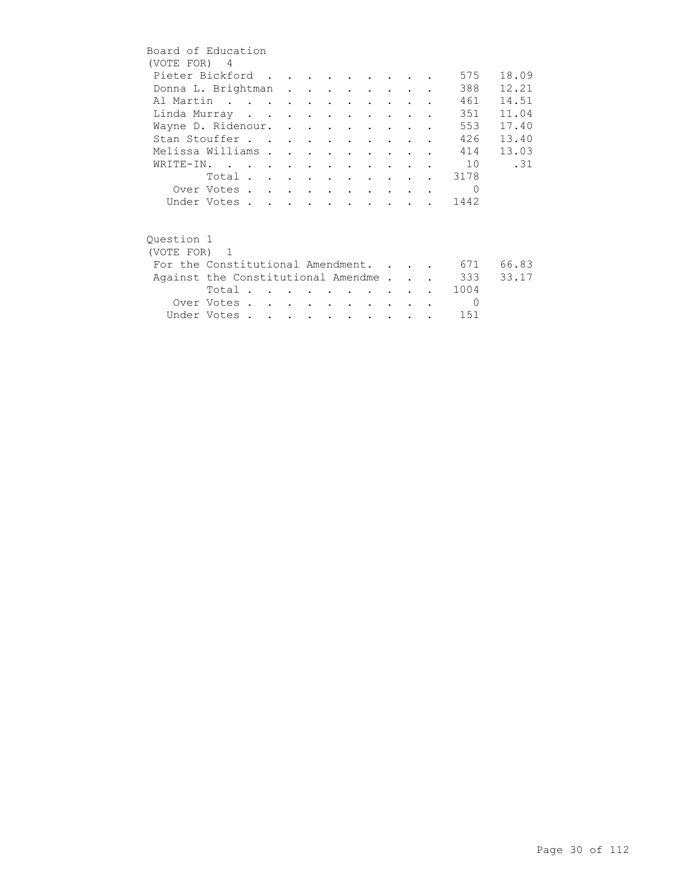| Board of Education                 |             |  |  |                      |        |                                        |  |          |       |
|------------------------------------|-------------|--|--|----------------------|--------|----------------------------------------|--|----------|-------|
| (VOTE FOR) 4                       |             |  |  |                      |        |                                        |  |          |       |
| Pieter Bickford                    |             |  |  |                      |        |                                        |  | 575      | 18.09 |
| Donna L. Brightman                 |             |  |  |                      |        |                                        |  | 388      | 12.21 |
| Al Martin                          |             |  |  |                      |        |                                        |  | 461      | 14.51 |
| Linda Murray                       |             |  |  |                      |        | $\mathbf{r}$ . The set of $\mathbf{r}$ |  | 351      | 11.04 |
| Wayne D. Ridenour.                 |             |  |  |                      |        |                                        |  | 553      | 17.40 |
| Stan Stouffer                      |             |  |  |                      |        |                                        |  | 426      | 13.40 |
| Melissa Williams                   |             |  |  | $\ddot{\phantom{0}}$ | $\sim$ |                                        |  | 414      | 13.03 |
| WRITE-IN.                          |             |  |  |                      |        |                                        |  | 10       | .31   |
|                                    | Total       |  |  |                      |        |                                        |  | 3178     |       |
|                                    | Over Votes  |  |  |                      |        |                                        |  | $\Omega$ |       |
|                                    | Under Votes |  |  |                      |        |                                        |  | 1442     |       |
|                                    |             |  |  |                      |        |                                        |  |          |       |
|                                    |             |  |  |                      |        |                                        |  |          |       |
| Question 1                         |             |  |  |                      |        |                                        |  |          |       |
| (VOTE FOR) 1                       |             |  |  |                      |        |                                        |  |          |       |
| For the Constitutional Amendment.  |             |  |  |                      |        |                                        |  | 671      | 66.83 |
| Against the Constitutional Amendme |             |  |  |                      |        |                                        |  | 333      | 33.17 |
|                                    | Total       |  |  |                      |        |                                        |  | 1004     |       |
|                                    | Over Votes  |  |  | $\sim$ $\sim$ $\sim$ |        | $\sim$                                 |  | $\Omega$ |       |
|                                    | Under Votes |  |  |                      |        |                                        |  | 151      |       |
|                                    |             |  |  |                      |        |                                        |  |          |       |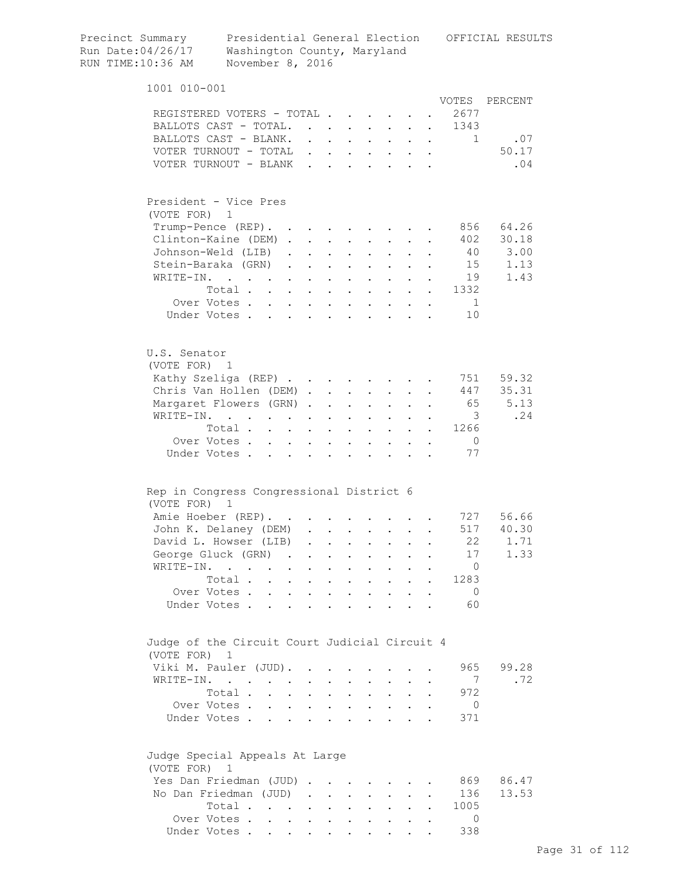|  | Precinct Summary<br>Run Date:04/26/17<br>RUN TIME:10:36 AM  | Washington County, Maryland<br>November 8, 2016                                                           |                                                                               |                 |                                                                          |                                          |                                                             |                                                                                                         |                      |           |                                | Presidential General Election OFFICIAL RESULTS |
|--|-------------------------------------------------------------|-----------------------------------------------------------------------------------------------------------|-------------------------------------------------------------------------------|-----------------|--------------------------------------------------------------------------|------------------------------------------|-------------------------------------------------------------|---------------------------------------------------------------------------------------------------------|----------------------|-----------|--------------------------------|------------------------------------------------|
|  | 1001 010-001                                                |                                                                                                           |                                                                               |                 |                                                                          |                                          |                                                             |                                                                                                         |                      |           |                                |                                                |
|  |                                                             |                                                                                                           |                                                                               |                 |                                                                          |                                          |                                                             |                                                                                                         |                      |           | VOTES                          | PERCENT                                        |
|  | REGISTERED VOTERS - TOTAL                                   |                                                                                                           |                                                                               |                 |                                                                          |                                          |                                                             |                                                                                                         |                      |           | 2677                           |                                                |
|  | BALLOTS CAST - TOTAL.                                       |                                                                                                           |                                                                               |                 |                                                                          |                                          |                                                             | $\mathbf{r} = \mathbf{r} + \mathbf{r} + \mathbf{r} + \mathbf{r} + \mathbf{r} + \mathbf{r}$              |                      |           | 1343<br>$\sim 100$<br>$\sim$ 1 | .07                                            |
|  | BALLOTS CAST - BLANK.<br>VOTER TURNOUT - TOTAL              |                                                                                                           |                                                                               |                 |                                                                          | $\mathbf{L} = \mathbf{L}$                |                                                             | $\mathbf{r} = \mathbf{r} + \mathbf{r} + \mathbf{r} + \mathbf{r} + \mathbf{r} + \mathbf{r} + \mathbf{r}$ |                      |           |                                | 50.17                                          |
|  | VOTER TURNOUT - BLANK                                       |                                                                                                           |                                                                               | $\sim$          |                                                                          |                                          |                                                             | $\mathbf{r} = \mathbf{r} + \mathbf{r}$<br>$\mathbf{z} = \mathbf{z} + \mathbf{z}$ . The $\mathbf{z}$     |                      |           |                                | .04                                            |
|  |                                                             |                                                                                                           |                                                                               |                 |                                                                          |                                          |                                                             |                                                                                                         |                      |           |                                |                                                |
|  | President - Vice Pres                                       |                                                                                                           |                                                                               |                 |                                                                          |                                          |                                                             |                                                                                                         |                      |           |                                |                                                |
|  | (VOTE FOR) 1                                                |                                                                                                           |                                                                               |                 |                                                                          |                                          |                                                             |                                                                                                         |                      |           |                                |                                                |
|  | Trump-Pence (REP).                                          |                                                                                                           |                                                                               |                 |                                                                          |                                          |                                                             |                                                                                                         |                      |           | 856                            | 64.26                                          |
|  | Clinton-Kaine (DEM).                                        |                                                                                                           |                                                                               |                 | $\mathbf{z} = \mathbf{z} + \mathbf{z}$ , where $\mathbf{z} = \mathbf{z}$ |                                          |                                                             | $\mathbf{z} = \mathbf{z} + \mathbf{z}$ .                                                                |                      |           | 402                            | 30.18<br>3.00                                  |
|  | Johnson-Weld (LIB).<br>Stein-Baraka (GRN).                  |                                                                                                           |                                                                               |                 |                                                                          |                                          |                                                             | $\mathbf{r} = \mathbf{r} \times \mathbf{r}$ , where $\mathbf{r} = \mathbf{r} \times \mathbf{r}$         |                      |           | 40<br>15                       | 1.13                                           |
|  | WRITE-IN.                                                   |                                                                                                           |                                                                               | $\sim$ $-$      | $\mathbf{r}$ , $\mathbf{r}$ , $\mathbf{r}$                               |                                          |                                                             | $\mathbf{L} = \mathbf{L} \mathbf{L}$                                                                    |                      |           | 19                             | 1.43                                           |
|  |                                                             | Total                                                                                                     | $\sim$                                                                        |                 |                                                                          | $\mathbf{r} = \mathbf{r} + \mathbf{r}$ . |                                                             | $\mathbf{z} = \mathbf{z} + \mathbf{z}$ .                                                                |                      |           | 1332                           |                                                |
|  |                                                             | Over Votes                                                                                                |                                                                               |                 |                                                                          |                                          |                                                             |                                                                                                         |                      |           | $\overline{1}$                 |                                                |
|  |                                                             | Under Votes                                                                                               |                                                                               |                 |                                                                          |                                          |                                                             |                                                                                                         |                      |           | 10                             |                                                |
|  |                                                             |                                                                                                           |                                                                               |                 |                                                                          |                                          |                                                             |                                                                                                         |                      |           |                                |                                                |
|  | U.S. Senator                                                |                                                                                                           |                                                                               |                 |                                                                          |                                          |                                                             |                                                                                                         |                      |           |                                |                                                |
|  | (VOTE FOR) 1                                                |                                                                                                           |                                                                               |                 |                                                                          |                                          |                                                             |                                                                                                         |                      |           |                                |                                                |
|  | Kathy Szeliga (REP)                                         |                                                                                                           |                                                                               |                 |                                                                          |                                          |                                                             |                                                                                                         |                      |           | 751<br>447                     | 59.32<br>35.31                                 |
|  | Chris Van Hollen (DEM)                                      |                                                                                                           |                                                                               |                 |                                                                          |                                          |                                                             |                                                                                                         |                      |           |                                | 65 5.13                                        |
|  | Margaret Flowers (GRN)<br>WRITE-IN.                         |                                                                                                           |                                                                               |                 |                                                                          |                                          |                                                             |                                                                                                         |                      |           | $\overline{\mathbf{3}}$        | .24                                            |
|  |                                                             | Total                                                                                                     |                                                                               |                 |                                                                          |                                          |                                                             |                                                                                                         |                      |           | 1266                           |                                                |
|  |                                                             | Over Votes                                                                                                |                                                                               |                 |                                                                          |                                          |                                                             |                                                                                                         |                      |           | $\overline{0}$                 |                                                |
|  |                                                             | Under Votes                                                                                               |                                                                               |                 |                                                                          |                                          |                                                             |                                                                                                         |                      |           | 77                             |                                                |
|  | Rep in Congress Congressional District 6                    |                                                                                                           |                                                                               |                 |                                                                          |                                          |                                                             |                                                                                                         |                      |           |                                |                                                |
|  | (VOTE FOR) 1                                                |                                                                                                           |                                                                               |                 |                                                                          |                                          |                                                             |                                                                                                         |                      |           |                                |                                                |
|  | Amie Hoeber (REP).                                          |                                                                                                           |                                                                               |                 |                                                                          |                                          |                                                             |                                                                                                         |                      |           | 727                            | 56.66                                          |
|  | John K. Delaney (DEM)                                       |                                                                                                           |                                                                               |                 |                                                                          |                                          |                                                             |                                                                                                         |                      |           | 517                            | 40.30                                          |
|  | David L. Howser (LIB)                                       |                                                                                                           |                                                                               |                 |                                                                          |                                          |                                                             |                                                                                                         |                      |           | 22<br>17                       | 1.71<br>1.33                                   |
|  | George Gluck (GRN)<br>WRITE-IN.                             |                                                                                                           | $\mathcal{A}=\mathcal{A}=\mathcal{A}=\mathcal{A}=\mathcal{A}$ .               |                 |                                                                          |                                          |                                                             | $\mathbf{z} = \mathbf{z} + \mathbf{z}$ .                                                                | $\ddot{\phantom{0}}$ |           | $\overline{0}$                 |                                                |
|  |                                                             | $\mathcal{A}^{\mathcal{A}}$ , and $\mathcal{A}^{\mathcal{A}}$ , and $\mathcal{A}^{\mathcal{A}}$<br>Total. |                                                                               |                 | $\mathbf{z} = \mathbf{z} + \mathbf{z}$ , where $\mathbf{z} = \mathbf{z}$ |                                          |                                                             | $\mathbf{z} = \mathbf{z} + \mathbf{z}$ .                                                                |                      |           | 1283                           |                                                |
|  |                                                             | Over Votes                                                                                                | $\mathbf{r} = \mathbf{r} + \mathbf{r} + \mathbf{r} + \mathbf{r} + \mathbf{r}$ |                 |                                                                          |                                          |                                                             | $\mathbf{r} = \mathbf{r} + \mathbf{r}$ .<br>$\mathbf{z} = \mathbf{z} + \mathbf{z}$ .                    | $\ddot{\phantom{0}}$ | $\bullet$ | $\overline{0}$                 |                                                |
|  |                                                             | Under Votes                                                                                               |                                                                               | $\sim 10^{-10}$ |                                                                          | $\cdot$ $\cdot$                          |                                                             | <b>Contract Contract</b>                                                                                |                      |           | 60                             |                                                |
|  | Judge of the Circuit Court Judicial Circuit 4<br>(VOTE FOR) | 1                                                                                                         |                                                                               |                 |                                                                          |                                          |                                                             |                                                                                                         |                      |           |                                |                                                |
|  | Viki M. Pauler (JUD).                                       |                                                                                                           |                                                                               |                 |                                                                          |                                          |                                                             |                                                                                                         |                      |           | 965                            | 99.28                                          |
|  | WRITE-IN.                                                   |                                                                                                           |                                                                               |                 |                                                                          |                                          |                                                             | $\bullet$ . In the set of $\bullet$                                                                     |                      |           | 7                              | .72                                            |
|  |                                                             | Total                                                                                                     |                                                                               |                 |                                                                          |                                          |                                                             |                                                                                                         | $\ddot{\phantom{0}}$ |           | 972                            |                                                |
|  |                                                             | Over Votes                                                                                                |                                                                               |                 |                                                                          |                                          | $\bullet$ .<br><br><br><br><br><br><br><br><br><br><br><br> | $\mathbf{L}^{\text{max}}$                                                                               |                      |           | $\overline{0}$                 |                                                |
|  |                                                             | Under Votes                                                                                               |                                                                               |                 | $\mathbf{L}^{\text{max}}$ , and $\mathbf{L}^{\text{max}}$                | $\ddot{\phantom{a}}$                     |                                                             | $\sim$                                                                                                  |                      |           | 371                            |                                                |
|  | Judge Special Appeals At Large<br>(VOTE FOR)                | $\overline{1}$                                                                                            |                                                                               |                 |                                                                          |                                          |                                                             |                                                                                                         |                      |           |                                |                                                |
|  | Yes Dan Friedman (JUD)                                      |                                                                                                           |                                                                               |                 |                                                                          |                                          |                                                             |                                                                                                         |                      |           |                                | 869 86.47                                      |
|  | No Dan Friedman (JUD)                                       |                                                                                                           |                                                                               |                 |                                                                          |                                          |                                                             |                                                                                                         |                      |           | 136                            | 13.53                                          |
|  |                                                             | Total                                                                                                     |                                                                               |                 |                                                                          |                                          |                                                             |                                                                                                         |                      |           | 1005                           |                                                |
|  |                                                             | Over Votes.                                                                                               |                                                                               |                 |                                                                          |                                          |                                                             |                                                                                                         |                      |           | $\Omega$                       |                                                |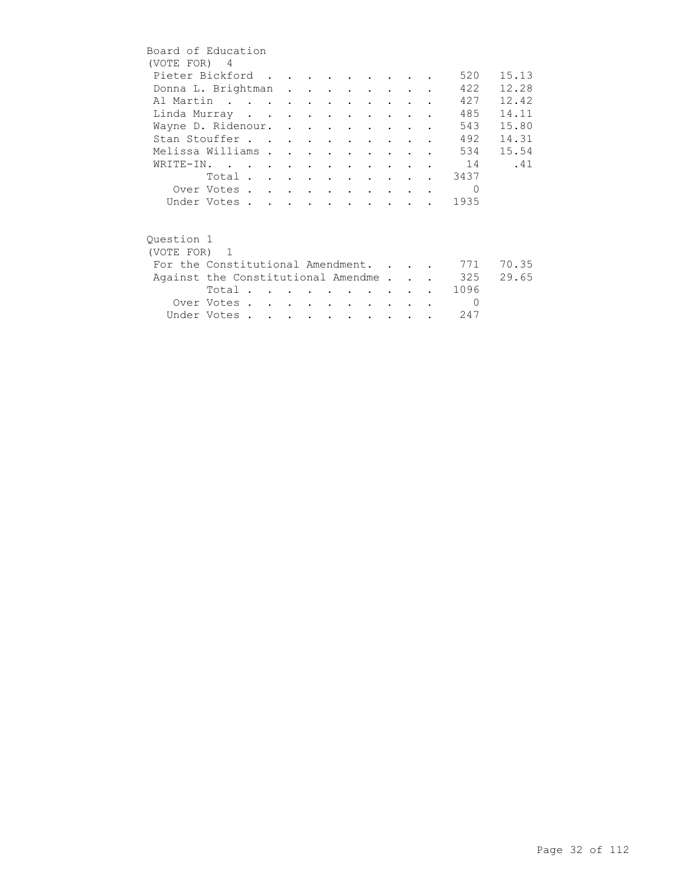|            | Board of Education                     |  |  |  |                                 |  |            |       |
|------------|----------------------------------------|--|--|--|---------------------------------|--|------------|-------|
|            | (VOTE FOR) 4                           |  |  |  |                                 |  |            |       |
|            | Pieter Bickford                        |  |  |  |                                 |  | 520        | 15.13 |
|            | Donna L. Brightman                     |  |  |  |                                 |  | 422        | 12.28 |
|            | Al Martin                              |  |  |  |                                 |  | 427        | 12.42 |
|            | Linda Murray                           |  |  |  | <b>Contract Contract Street</b> |  | 485        | 14.11 |
|            | Wayne D. Ridenour.                     |  |  |  |                                 |  | 543        | 15.80 |
|            | Stan Stouffer                          |  |  |  |                                 |  | 492        | 14.31 |
|            | Melissa Williams                       |  |  |  |                                 |  | 534        | 15.54 |
|            | WRITE-IN. 14                           |  |  |  |                                 |  |            | .41   |
|            |                                        |  |  |  |                                 |  | Total 3437 |       |
|            | Over Votes                             |  |  |  |                                 |  | $\Omega$   |       |
|            | Under Votes                            |  |  |  |                                 |  | 1935       |       |
|            |                                        |  |  |  |                                 |  |            |       |
| Ouestion 1 |                                        |  |  |  |                                 |  |            |       |
|            | (VOTE FOR) 1                           |  |  |  |                                 |  |            |       |
|            | For the Constitutional Amendment.      |  |  |  |                                 |  | 771        | 70.35 |
|            | Against the Constitutional Amendme 325 |  |  |  |                                 |  |            | 29.65 |
|            | Total $\cdots$ $\cdots$                |  |  |  | <b>Contract Contract Street</b> |  | 1096       |       |
|            | Over Votes                             |  |  |  | <b>Contract Contract</b>        |  | $\Omega$   |       |
|            | Under Votes                            |  |  |  |                                 |  | 247        |       |
|            |                                        |  |  |  |                                 |  |            |       |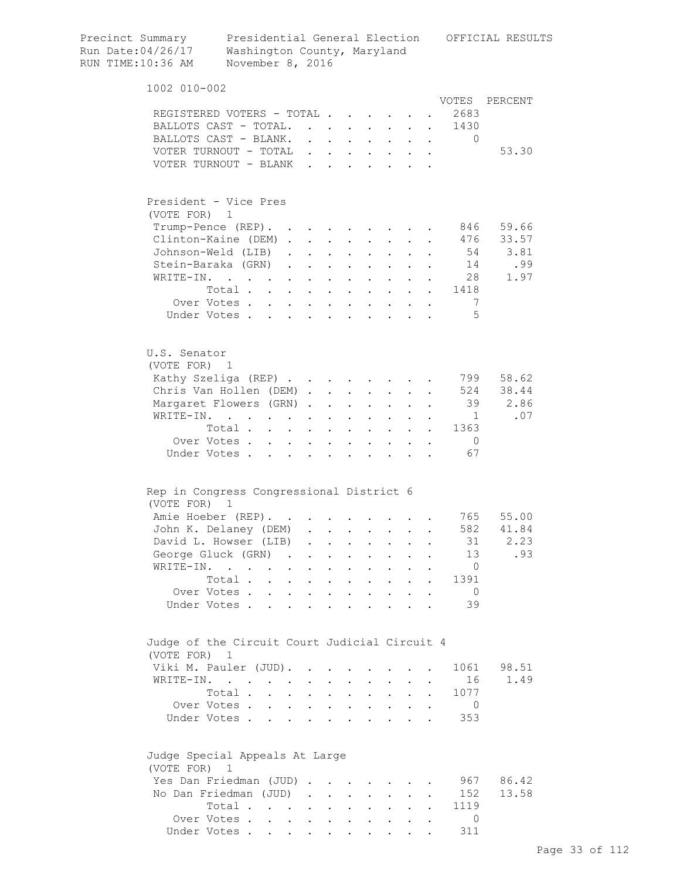| Precinct Summary<br>Run Date:04/26/17<br>RUN TIME:10:36 AM | Washington County, Maryland<br>November 8, 2016                                                                 |              |                           |                                      |                      |                                            |                      |                      |                                                                                                                               | Presidential General Election OFFICIAL RESULTS |
|------------------------------------------------------------|-----------------------------------------------------------------------------------------------------------------|--------------|---------------------------|--------------------------------------|----------------------|--------------------------------------------|----------------------|----------------------|-------------------------------------------------------------------------------------------------------------------------------|------------------------------------------------|
| 1002 010-002                                               |                                                                                                                 |              |                           |                                      |                      |                                            |                      |                      |                                                                                                                               |                                                |
|                                                            |                                                                                                                 |              |                           |                                      |                      |                                            |                      |                      | VOTES                                                                                                                         | PERCENT                                        |
|                                                            | REGISTERED VOTERS - TOTAL                                                                                       |              |                           |                                      |                      |                                            |                      |                      | 2683                                                                                                                          |                                                |
|                                                            | BALLOTS CAST - TOTAL.                                                                                           |              |                           |                                      |                      |                                            |                      |                      | 1430                                                                                                                          |                                                |
|                                                            | BALLOTS CAST - BLANK.                                                                                           |              |                           |                                      |                      |                                            |                      |                      | $\mathbf{r} = \mathbf{r} - \mathbf{r}$ , $\mathbf{r} = \mathbf{r} - \mathbf{r}$ , $\mathbf{r} = \mathbf{r} - \mathbf{r}$<br>0 |                                                |
|                                                            | VOTER TURNOUT - TOTAL                                                                                           |              |                           |                                      |                      |                                            |                      |                      |                                                                                                                               | 53.30                                          |
|                                                            | VOTER TURNOUT - BLANK                                                                                           |              |                           |                                      |                      |                                            |                      |                      |                                                                                                                               |                                                |
| (VOTE FOR) 1                                               | President - Vice Pres                                                                                           |              |                           |                                      |                      |                                            |                      |                      |                                                                                                                               |                                                |
|                                                            | Trump-Pence (REP).                                                                                              |              |                           |                                      |                      |                                            |                      |                      | 846                                                                                                                           | 59.66                                          |
|                                                            | Clinton-Kaine (DEM)                                                                                             |              |                           |                                      |                      |                                            |                      |                      |                                                                                                                               | 476 33.57                                      |
|                                                            | Johnson-Weld (LIB)                                                                                              |              |                           | $\cdot$ $\cdot$ $\cdot$              |                      | $\cdot$ $\cdot$ $\cdot$                    |                      |                      |                                                                                                                               | 54 3.81                                        |
|                                                            | Stein-Baraka (GRN)                                                                                              |              |                           | $\mathbf{L} = \mathbf{L} \mathbf{L}$ |                      | $\mathbf{L} = \mathbf{L} \mathbf{L}$       | $\ddot{\phantom{0}}$ |                      | 14                                                                                                                            | .99                                            |
| WRITE-IN.                                                  | the contract of the contract of the contract of the contract of the contract of the contract of the contract of |              |                           |                                      |                      |                                            |                      |                      | 28                                                                                                                            | 1.97                                           |
|                                                            | Total 1418                                                                                                      |              |                           |                                      |                      |                                            |                      |                      |                                                                                                                               |                                                |
|                                                            | Over Votes                                                                                                      |              |                           |                                      |                      |                                            |                      |                      | - 7                                                                                                                           |                                                |
|                                                            | Under Votes                                                                                                     |              |                           |                                      |                      |                                            |                      |                      | $\overline{5}$                                                                                                                |                                                |
|                                                            |                                                                                                                 |              |                           |                                      |                      |                                            |                      |                      |                                                                                                                               |                                                |
| U.S. Senator<br>(VOTE FOR) 1                               |                                                                                                                 |              |                           |                                      |                      |                                            |                      |                      |                                                                                                                               |                                                |
|                                                            | Kathy Szeliga (REP)                                                                                             |              |                           |                                      |                      |                                            |                      |                      | 799                                                                                                                           | 58.62                                          |
|                                                            | Chris Van Hollen (DEM)                                                                                          |              |                           |                                      |                      |                                            |                      |                      |                                                                                                                               | 524 38.44                                      |
|                                                            | Margaret Flowers (GRN)                                                                                          |              |                           | <b>Contract Contract</b>             | $\sim$ 10 $\pm$      |                                            |                      |                      | 39                                                                                                                            | 2.86                                           |
|                                                            | WRITE-IN.                                                                                                       |              |                           |                                      |                      |                                            |                      |                      | $\overline{1}$                                                                                                                | .07                                            |
|                                                            | Total                                                                                                           |              | $\ddot{\phantom{a}}$      | $\sim$ $\sim$                        | $\ddot{\phantom{0}}$ | $\mathcal{L}^{\text{max}}$                 | $\mathbf{r}$         |                      | 1363                                                                                                                          |                                                |
|                                                            | Over Votes                                                                                                      | $\mathbf{L}$ |                           | $\ddot{\phantom{a}}$                 |                      |                                            |                      |                      | $\overline{0}$                                                                                                                |                                                |
|                                                            | Under Votes                                                                                                     | $\mathbf{L}$ |                           | $\mathbf{r}$                         | $\mathbf{r}$         |                                            |                      |                      | 67                                                                                                                            |                                                |
|                                                            | Rep in Congress Congressional District 6                                                                        |              |                           |                                      |                      |                                            |                      |                      |                                                                                                                               |                                                |
| (VOTE FOR)                                                 | $\mathbf{1}$                                                                                                    |              |                           |                                      |                      |                                            |                      |                      |                                                                                                                               |                                                |
|                                                            | Amie Hoeber (REP).                                                                                              |              |                           |                                      |                      |                                            |                      |                      |                                                                                                                               | 765 55.00                                      |
|                                                            | John K. Delaney (DEM)                                                                                           |              |                           |                                      |                      |                                            |                      |                      |                                                                                                                               | 582 41.84                                      |
|                                                            | David L. Howser (LIB)                                                                                           | $\sim$       |                           |                                      |                      |                                            |                      |                      | 31                                                                                                                            | 2.23                                           |
|                                                            | George Gluck (GRN).                                                                                             |              |                           | $\mathbf{z}$ .                       | $\ddot{\phantom{a}}$ | $\ddot{\phantom{0}}$                       |                      |                      | 13                                                                                                                            | .93                                            |
| WRITE-IN.                                                  | $\ddot{\phantom{0}}$<br>$\ddot{\phantom{0}}$                                                                    |              | $\ddot{\phantom{a}}$      | $\ddot{\phantom{0}}$                 | $\ddot{\phantom{0}}$ | $\ddot{\phantom{0}}$                       |                      |                      | $\overline{0}$                                                                                                                |                                                |
|                                                            | Total                                                                                                           | $\sim$       | $\ddot{\phantom{a}}$      | $\sim$ $\sim$                        |                      | $\mathbf{r} = \mathbf{r}$                  | $\mathbf{L}$         | $\mathbf{r}$         | 1391                                                                                                                          |                                                |
|                                                            | Over Votes                                                                                                      |              | $\ddot{\phantom{a}}$      | $\sim$ $\sim$                        |                      | $\mathbf{r} = \mathbf{r} \cdot \mathbf{r}$ |                      |                      | $\overline{0}$                                                                                                                |                                                |
|                                                            | Under Votes                                                                                                     |              |                           |                                      |                      |                                            |                      |                      | 39                                                                                                                            |                                                |
| (VOTE FOR) 1                                               | Judge of the Circuit Court Judicial Circuit 4                                                                   |              |                           |                                      |                      |                                            |                      |                      |                                                                                                                               |                                                |
|                                                            | Viki M. Pauler (JUD).                                                                                           |              | $\mathbf{r} = \mathbf{r}$ | $\mathbf{A}$                         | $\sim$               |                                            |                      |                      | 1061                                                                                                                          | 98.51                                          |
|                                                            | WRITE-IN.                                                                                                       | $\mathbf{L}$ |                           | $\mathbf{L}$ and $\mathbf{L}$        |                      | $\mathbf{L} = \mathbf{L}$                  | $\mathbf{L}$         |                      | 16                                                                                                                            | 1.49                                           |
|                                                            | Total .<br>$\mathbf{r} = \mathbf{r}$                                                                            | $\mathbf{L}$ |                           | $\mathbf{L}$ and $\mathbf{L}$        |                      | $\mathbf{L} = \mathbf{L}$                  | $\mathbf{L}$         | $\ddot{\phantom{a}}$ | 1077                                                                                                                          |                                                |
|                                                            | Over Votes                                                                                                      |              |                           |                                      |                      |                                            |                      | $\ddot{\phantom{a}}$ | $\overline{0}$                                                                                                                |                                                |
|                                                            | Under Votes                                                                                                     |              |                           |                                      |                      |                                            |                      |                      | 353                                                                                                                           |                                                |
| (VOTE FOR) 1                                               | Judge Special Appeals At Large                                                                                  |              |                           |                                      |                      |                                            |                      |                      |                                                                                                                               |                                                |
|                                                            | Yes Dan Friedman (JUD)                                                                                          |              |                           |                                      |                      |                                            |                      |                      | 967                                                                                                                           | 86.42                                          |
|                                                            | No Dan Friedman (JUD)                                                                                           |              |                           |                                      |                      |                                            |                      |                      | 152                                                                                                                           | 13.58                                          |
|                                                            | Total                                                                                                           |              |                           |                                      |                      |                                            |                      |                      | 1119                                                                                                                          |                                                |
|                                                            | Over Votes                                                                                                      |              |                           |                                      |                      |                                            |                      |                      | $\Omega$                                                                                                                      |                                                |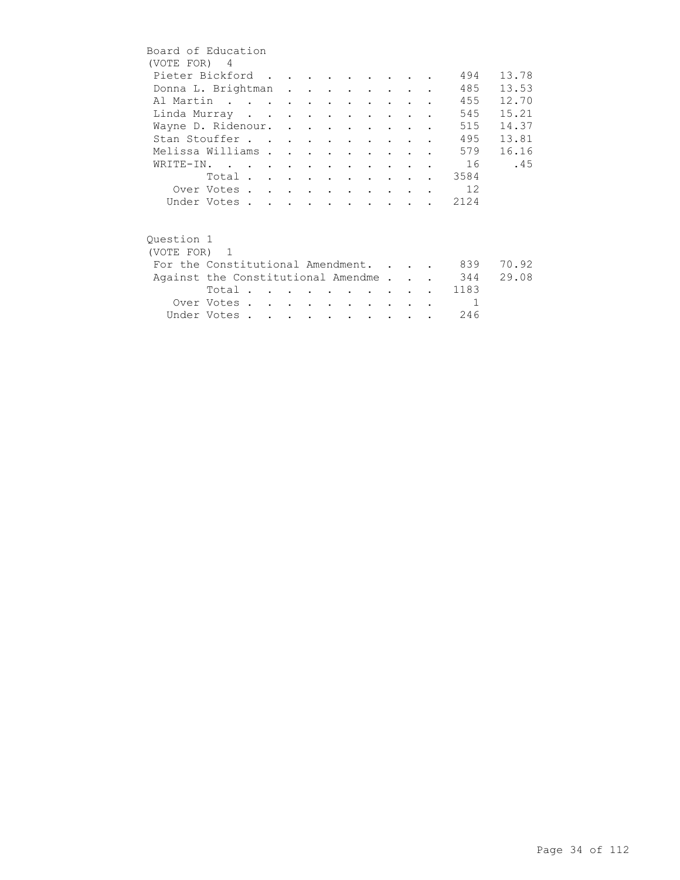| Board of Education                     |             |  |  |  |  |        |                |       |
|----------------------------------------|-------------|--|--|--|--|--------|----------------|-------|
| (VOTE FOR) 4                           |             |  |  |  |  |        |                |       |
| Pieter Bickford                        |             |  |  |  |  |        | 494            | 13.78 |
| Donna L. Brightman                     |             |  |  |  |  |        | 485            | 13.53 |
| Al Martin                              |             |  |  |  |  |        | 455            | 12.70 |
| Linda Murray                           |             |  |  |  |  |        | 545            | 15.21 |
| Wayne D. Ridenour.                     |             |  |  |  |  |        | 515            | 14.37 |
| Stan Stouffer                          |             |  |  |  |  |        | 495            | 13.81 |
| Melissa Williams                       |             |  |  |  |  |        | 579            | 16.16 |
| WRITE-IN.                              |             |  |  |  |  |        | 16             | .45   |
|                                        |             |  |  |  |  |        | Total 3584     |       |
|                                        | Over Votes  |  |  |  |  |        | 12             |       |
|                                        | Under Votes |  |  |  |  |        | 2124           |       |
|                                        |             |  |  |  |  |        |                |       |
|                                        |             |  |  |  |  |        |                |       |
| Ouestion 1                             |             |  |  |  |  |        |                |       |
| (VOTE FOR) 1                           |             |  |  |  |  |        |                |       |
| For the Constitutional Amendment.      |             |  |  |  |  |        | 839            | 70.92 |
| Against the Constitutional Amendme 344 |             |  |  |  |  |        |                | 29.08 |
|                                        |             |  |  |  |  |        |                |       |
|                                        |             |  |  |  |  |        | Total 1183     |       |
|                                        | Over Votes  |  |  |  |  | $\sim$ | $\overline{1}$ |       |
|                                        | Under Votes |  |  |  |  |        | 246            |       |
|                                        |             |  |  |  |  |        |                |       |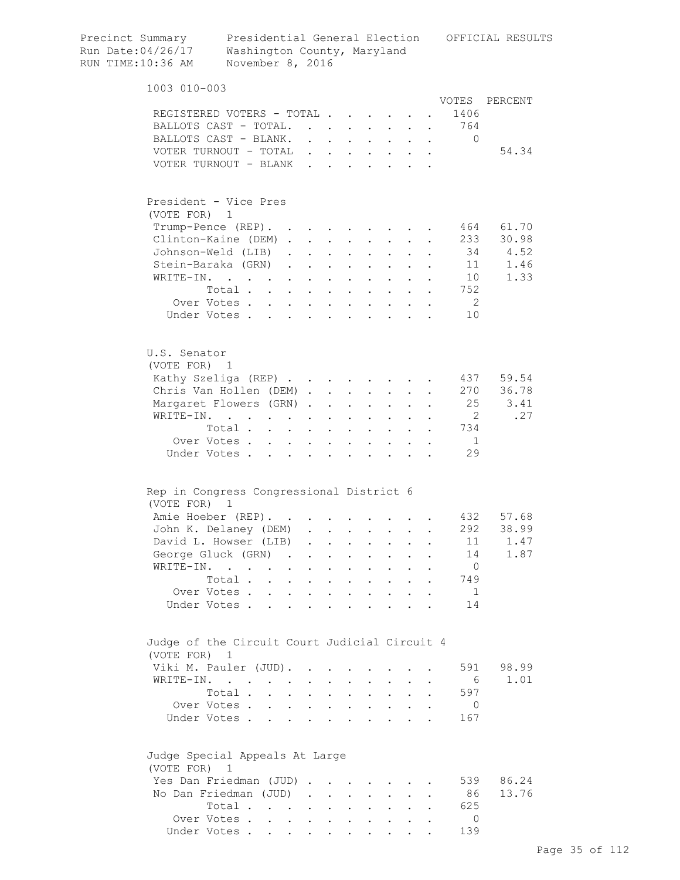| Precinct Summary<br>Run Date:04/26/17<br>RUN TIME:10:36 AM    | Presidential General Election<br>Washington County, Maryland<br>November 8, 2016 |                                     |        |                      |                                                                          |                           |                                                                               |                                          |                      |                   | OFFICIAL RESULTS |
|---------------------------------------------------------------|----------------------------------------------------------------------------------|-------------------------------------|--------|----------------------|--------------------------------------------------------------------------|---------------------------|-------------------------------------------------------------------------------|------------------------------------------|----------------------|-------------------|------------------|
| 1003 010-003                                                  |                                                                                  |                                     |        |                      |                                                                          |                           |                                                                               |                                          |                      |                   |                  |
|                                                               |                                                                                  |                                     |        |                      |                                                                          |                           |                                                                               |                                          |                      | VOTES             | PERCENT          |
| REGISTERED VOTERS - TOTAL                                     |                                                                                  |                                     |        |                      |                                                                          |                           |                                                                               |                                          |                      | 1406              |                  |
| BALLOTS CAST - TOTAL.<br>BALLOTS CAST - BLANK.                |                                                                                  |                                     |        |                      |                                                                          |                           |                                                                               | $\mathbf{L}^{\text{max}}$                |                      | . 764<br>$\Omega$ |                  |
| VOTER TURNOUT - TOTAL                                         |                                                                                  |                                     |        |                      |                                                                          |                           | $\mathbf{r} = \mathbf{r} + \mathbf{r} + \mathbf{r} + \mathbf{r} + \mathbf{r}$ | $\sim$                                   | $\bullet$            |                   | 54.34            |
| VOTER TURNOUT - BLANK.                                        |                                                                                  |                                     |        | $\sim$               | $\ddot{\phantom{a}}$                                                     |                           |                                                                               | $\mathbf{z} = \mathbf{z} + \mathbf{z}$ . |                      |                   |                  |
|                                                               |                                                                                  |                                     |        |                      |                                                                          |                           |                                                                               |                                          |                      |                   |                  |
| President - Vice Pres<br>(VOTE FOR) 1                         |                                                                                  |                                     |        |                      |                                                                          |                           |                                                                               |                                          |                      |                   |                  |
| Trump-Pence (REP).                                            |                                                                                  |                                     |        |                      |                                                                          |                           | <b>Contract Contract</b>                                                      |                                          |                      | 464               | 61.70            |
| Clinton-Kaine (DEM).                                          |                                                                                  |                                     |        |                      | $\mathbf{z} = \mathbf{z} + \mathbf{z}$ , where $\mathbf{z} = \mathbf{z}$ |                           | $\bullet$ .<br><br><br><br><br><br><br><br><br><br><br><br><br><br>           |                                          |                      | 233               | 30.98            |
| Johnson-Weld (LIB).                                           |                                                                                  |                                     |        |                      | $\mathbf{r} = \mathbf{r} + \mathbf{r}$                                   | $\mathbf{A}^{\text{max}}$ | $\mathbf{L}^{\text{max}}$                                                     |                                          |                      | 34                | 4.52             |
| Stein-Baraka (GRN).                                           |                                                                                  |                                     |        |                      | <b>All Carl Carl Control</b>                                             |                           |                                                                               |                                          |                      | 11                | 1.46             |
| WRITE-IN.                                                     |                                                                                  |                                     |        | $\ddot{\phantom{0}}$ |                                                                          |                           |                                                                               |                                          |                      | 10                | 1.33             |
|                                                               | Total                                                                            |                                     | $\sim$ |                      | $\sim$                                                                   | $\ddot{\phantom{0}}$      | $\sim$ $\sim$                                                                 |                                          |                      | 752               |                  |
|                                                               | Over Votes                                                                       |                                     |        |                      |                                                                          |                           |                                                                               | $\mathbf{L}$                             | $\ddot{\phantom{a}}$ | $\overline{2}$    |                  |
| Under Votes                                                   |                                                                                  |                                     |        |                      |                                                                          |                           |                                                                               |                                          |                      | 10                |                  |
| U.S. Senator<br>(VOTE FOR) 1                                  |                                                                                  |                                     |        |                      |                                                                          |                           |                                                                               |                                          |                      |                   |                  |
| Kathy Szeliga (REP)                                           |                                                                                  |                                     |        |                      |                                                                          |                           |                                                                               |                                          |                      | 437               | 59.54            |
| Chris Van Hollen (DEM).                                       |                                                                                  |                                     |        |                      | $\mathbf{L} = \mathbf{L}$                                                | $\sim$                    | $\sim$ 100 $\pm$                                                              |                                          |                      | 270               | 36.78            |
| Margaret Flowers (GRN).                                       |                                                                                  |                                     |        |                      | $\cdot$ $\cdot$                                                          | $\sim$                    | $\sim$                                                                        |                                          |                      | 25                | 3.41             |
| WRITE-IN.                                                     |                                                                                  |                                     |        |                      | $\mathbf{L}$ and $\mathbf{L}$                                            |                           | $\mathbf{L}$ . The set of $\mathbf{L}$                                        | $\mathbf{L}$                             |                      | $\overline{2}$    | .27              |
|                                                               | Total                                                                            |                                     |        | $\ddot{\phantom{a}}$ |                                                                          |                           | $\cdots$                                                                      |                                          |                      | 734               |                  |
|                                                               | Over Votes                                                                       |                                     |        |                      |                                                                          |                           |                                                                               |                                          |                      | $\overline{1}$    |                  |
| Under Votes                                                   |                                                                                  |                                     |        |                      |                                                                          |                           |                                                                               |                                          |                      | 29                |                  |
| Rep in Congress Congressional District 6                      |                                                                                  |                                     |        |                      |                                                                          |                           |                                                                               |                                          |                      |                   |                  |
| (VOTE FOR) 1                                                  |                                                                                  |                                     |        |                      |                                                                          |                           |                                                                               |                                          |                      |                   |                  |
| Amie Hoeber (REP).                                            |                                                                                  |                                     |        |                      |                                                                          |                           |                                                                               |                                          |                      | 432               | 57.68            |
| John K. Delaney (DEM)                                         |                                                                                  |                                     |        |                      |                                                                          |                           |                                                                               |                                          |                      | 292               | 38.99            |
| David L. Howser (LIB)                                         |                                                                                  |                                     |        |                      |                                                                          |                           |                                                                               |                                          |                      | 11                | 1.47             |
| George Gluck (GRN)                                            |                                                                                  | the contract of the contract of the |        |                      |                                                                          |                           |                                                                               | $\ddot{\phantom{0}}$                     |                      | 14                | 1.87             |
| WRITE-IN.                                                     | $\mathcal{A}$ is a set of the set of the set of $\mathcal{A}$ .                  |                                     |        |                      |                                                                          |                           | $\mathbf{z} = \mathbf{z} + \mathbf{z}$ . The $\mathbf{z}$                     | $\ddot{\phantom{0}}$                     |                      | $\overline{0}$    |                  |
|                                                               | Total                                                                            |                                     |        |                      |                                                                          |                           | $\mathbf{z} = \mathbf{z} + \mathbf{z}$ .                                      | $\sim$                                   |                      | 749               |                  |
|                                                               | Over Votes                                                                       |                                     |        |                      |                                                                          |                           |                                                                               |                                          |                      | $\overline{1}$    |                  |
| Under Votes                                                   |                                                                                  |                                     |        |                      |                                                                          |                           |                                                                               |                                          |                      | 14                |                  |
| Judge of the Circuit Court Judicial Circuit 4<br>(VOTE FOR) 1 |                                                                                  |                                     |        |                      |                                                                          |                           |                                                                               |                                          |                      |                   |                  |
| Viki M. Pauler (JUD).                                         |                                                                                  |                                     |        |                      |                                                                          |                           |                                                                               |                                          |                      | 591               | 98.99            |
| WRITE-IN.                                                     |                                                                                  |                                     |        |                      |                                                                          |                           |                                                                               | $\mathbf{L}^{\text{max}}$                |                      | - 6               | 1.01             |
|                                                               | Total                                                                            |                                     |        |                      |                                                                          |                           |                                                                               | $\mathbf{L}^{\text{max}}$                | $\bullet$            | 597               |                  |
|                                                               | Over Votes                                                                       |                                     |        |                      |                                                                          |                           |                                                                               | $\mathbf{L}^{\text{max}}$                |                      | $\overline{0}$    |                  |
| Under Votes                                                   |                                                                                  |                                     |        |                      |                                                                          |                           |                                                                               |                                          |                      | 167               |                  |
| Judge Special Appeals At Large<br>(VOTE FOR)                  | $\overline{1}$                                                                   |                                     |        |                      |                                                                          |                           |                                                                               |                                          |                      |                   |                  |
| Yes Dan Friedman (JUD)                                        |                                                                                  |                                     |        |                      |                                                                          |                           |                                                                               |                                          |                      | 539               | 86.24            |
| No Dan Friedman (JUD)                                         |                                                                                  |                                     |        |                      |                                                                          |                           |                                                                               |                                          |                      | 86                | 13.76            |
|                                                               | Total                                                                            |                                     |        |                      |                                                                          |                           |                                                                               |                                          | $\bullet$            | 625               |                  |
|                                                               | Over Votes.                                                                      |                                     |        |                      |                                                                          |                           |                                                                               |                                          |                      | $\Omega$          |                  |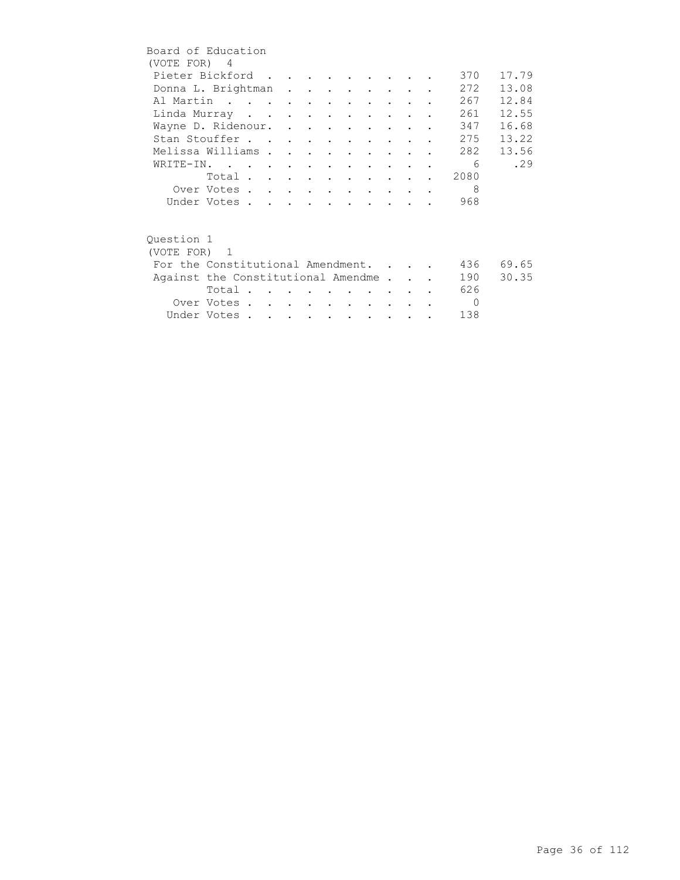|              | Board of Education                 |  |  |                          |                                 |        |  |            |       |
|--------------|------------------------------------|--|--|--------------------------|---------------------------------|--------|--|------------|-------|
| (VOTE FOR) 4 |                                    |  |  |                          |                                 |        |  |            |       |
|              | Pieter Bickford                    |  |  |                          |                                 |        |  | 370        | 17.79 |
|              | Donna L. Brightman                 |  |  |                          |                                 |        |  | 272        | 13.08 |
|              | Al Martin                          |  |  |                          |                                 |        |  | 267        | 12.84 |
|              | Linda Murray                       |  |  |                          |                                 |        |  | 261        | 12.55 |
|              | Wayne D. Ridenour.                 |  |  |                          |                                 |        |  | 347        | 16.68 |
|              | Stan Stouffer                      |  |  |                          |                                 |        |  | 275        | 13.22 |
|              | Melissa Williams                   |  |  |                          | $\cdot$ $\cdot$ $\cdot$ $\cdot$ |        |  | 282        | 13.56 |
|              | WRITE-IN.                          |  |  |                          |                                 |        |  | - 6        | .29   |
|              | Total                              |  |  |                          |                                 |        |  | 2080       |       |
|              | Over Votes                         |  |  |                          |                                 |        |  | 8          |       |
|              | Under Votes                        |  |  |                          |                                 |        |  | 968        |       |
|              |                                    |  |  |                          |                                 |        |  |            |       |
|              |                                    |  |  |                          |                                 |        |  |            |       |
| Ouestion 1   |                                    |  |  |                          |                                 |        |  |            |       |
| (VOTE FOR) 1 |                                    |  |  |                          |                                 |        |  |            |       |
|              | For the Constitutional Amendment.  |  |  |                          |                                 |        |  | 436        | 69.65 |
|              | Against the Constitutional Amendme |  |  |                          |                                 |        |  | 190        | 30.35 |
|              | Total                              |  |  |                          |                                 |        |  | 626        |       |
|              | Over Votes                         |  |  | <b>Contract Contract</b> |                                 | $\sim$ |  | $\bigcirc$ |       |
|              | Under Votes                        |  |  |                          |                                 |        |  | 138        |       |
|              |                                    |  |  |                          |                                 |        |  |            |       |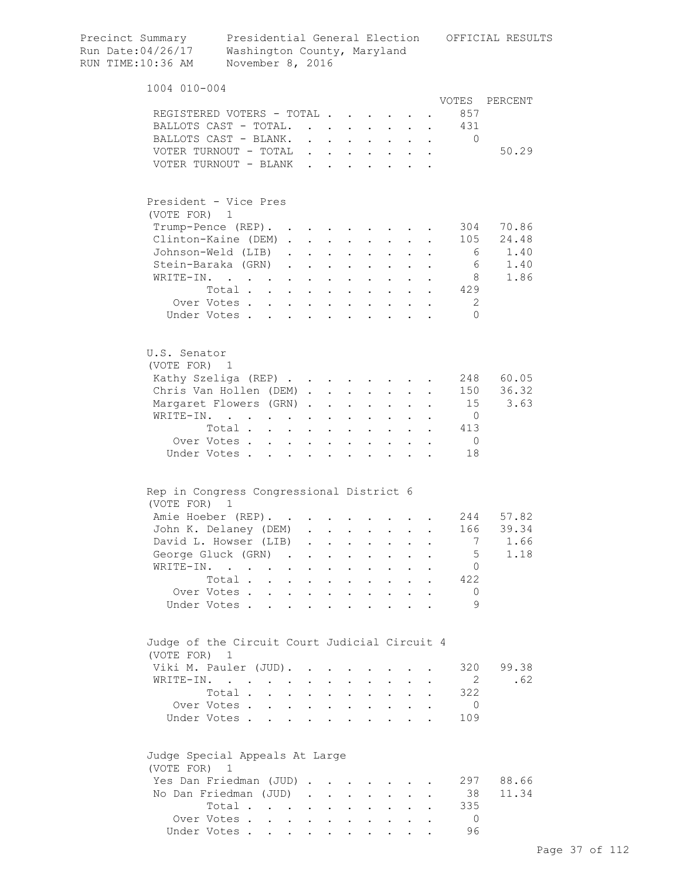| Precinct Summary<br>Run Date:04/26/17<br>RUN TIME:10:36 AM |                                                             | Presidential General Election<br>Washington County, Maryland<br>November 8, 2016 |                               |            |                                                           |                                                           |                             |                                                                                                                           |                                                             |                             |                | OFFICIAL RESULTS |
|------------------------------------------------------------|-------------------------------------------------------------|----------------------------------------------------------------------------------|-------------------------------|------------|-----------------------------------------------------------|-----------------------------------------------------------|-----------------------------|---------------------------------------------------------------------------------------------------------------------------|-------------------------------------------------------------|-----------------------------|----------------|------------------|
|                                                            | 1004 010-004                                                |                                                                                  |                               |            |                                                           |                                                           |                             |                                                                                                                           |                                                             |                             |                |                  |
|                                                            |                                                             |                                                                                  |                               |            |                                                           |                                                           |                             |                                                                                                                           |                                                             |                             | VOTES          | PERCENT          |
|                                                            | REGISTERED VOTERS - TOTAL                                   |                                                                                  |                               |            |                                                           |                                                           |                             |                                                                                                                           |                                                             |                             | 857            |                  |
|                                                            | BALLOTS CAST - TOTAL.                                       |                                                                                  |                               |            |                                                           |                                                           |                             |                                                                                                                           |                                                             |                             | 431            |                  |
|                                                            | BALLOTS CAST - BLANK.                                       |                                                                                  |                               |            |                                                           |                                                           |                             | $\mathbf{r} = \mathbf{r} + \mathbf{r} + \mathbf{r} + \mathbf{r} + \mathbf{r}$                                             |                                                             | $\mathbf{L}^{\text{max}}$   | 0              |                  |
|                                                            | VOTER TURNOUT - TOTAL $\cdot \cdot \cdot \cdot \cdot \cdot$ |                                                                                  |                               |            |                                                           |                                                           |                             |                                                                                                                           |                                                             |                             |                | 50.29            |
|                                                            | VOTER TURNOUT - BLANK                                       |                                                                                  |                               |            |                                                           | $\sim$                                                    |                             |                                                                                                                           |                                                             |                             |                |                  |
|                                                            | President - Vice Pres<br>(VOTE FOR) 1                       |                                                                                  |                               |            |                                                           |                                                           |                             |                                                                                                                           |                                                             |                             |                |                  |
|                                                            | Trump-Pence (REP).                                          |                                                                                  |                               |            |                                                           |                                                           |                             | <b>Contract Contract Contract</b>                                                                                         |                                                             |                             | 304            | 70.86            |
|                                                            | Clinton-Kaine (DEM)                                         |                                                                                  |                               |            |                                                           |                                                           |                             | $\mathbf{z} = \mathbf{z} + \mathbf{z}$ .                                                                                  | $\bullet$ .<br><br><br><br><br><br><br><br><br><br><br><br> |                             | 105            | 24.48            |
|                                                            | Johnson-Weld (LIB).                                         |                                                                                  |                               |            | <b>All Contracts</b>                                      |                                                           |                             | $\mathbf{r} = \mathbf{r} + \mathbf{r}$ .                                                                                  |                                                             |                             | - 6            | 1.40             |
|                                                            | Stein-Baraka (GRN)                                          |                                                                                  |                               |            |                                                           |                                                           | $\mathbf{A}^{\mathrm{max}}$ |                                                                                                                           |                                                             |                             | - 6            | 1.40             |
|                                                            | WRITE-IN.                                                   |                                                                                  |                               |            | $\mathbf{A}^{\text{max}}$ , and $\mathbf{A}^{\text{max}}$ |                                                           |                             |                                                                                                                           |                                                             |                             | 8              | 1.86             |
|                                                            |                                                             | Total .                                                                          | $\mathbf{L}$ and $\mathbf{L}$ | $\sim$ $-$ |                                                           | $\mathbf{r} = \mathbf{r} + \mathbf{r}$ .                  | $\sim$                      | $\mathbf{L}^{\text{max}}$                                                                                                 |                                                             |                             | 429            |                  |
|                                                            |                                                             | Over Votes                                                                       |                               | $\sim$     |                                                           | $\mathbf{L}^{\text{max}}$ , and $\mathbf{L}^{\text{max}}$ |                             | $\mathbf{r} = \mathbf{r} + \mathbf{r}$ .                                                                                  |                                                             |                             | -2             |                  |
|                                                            | Under Votes                                                 |                                                                                  |                               |            |                                                           |                                                           |                             | $\cdot$ $\cdot$ $\cdot$                                                                                                   |                                                             |                             | $\Omega$       |                  |
|                                                            | U.S. Senator<br>(VOTE FOR) 1                                |                                                                                  |                               |            |                                                           |                                                           |                             |                                                                                                                           |                                                             |                             |                |                  |
|                                                            | Kathy Szeliga (REP)                                         |                                                                                  |                               |            |                                                           |                                                           |                             |                                                                                                                           |                                                             |                             | 248            | 60.05            |
|                                                            | Chris Van Hollen (DEM).                                     |                                                                                  |                               |            |                                                           | $\mathbf{L} = \mathbf{L}$                                 | $\ddot{\phantom{0}}$        | $\sim 10^{-10}$                                                                                                           |                                                             |                             | 150            | 36.32            |
|                                                            | Margaret Flowers (GRN)                                      |                                                                                  |                               |            |                                                           |                                                           | $\sim$ 100 $\pm$            | $\sim$ 10 $\pm$                                                                                                           |                                                             |                             | 15             | 3.63             |
|                                                            | WRITE-IN.                                                   |                                                                                  |                               |            |                                                           | <b>Contractor</b>                                         |                             | $\mathbf{z} = \mathbf{z} + \mathbf{z}$ .                                                                                  |                                                             |                             | $\overline{0}$ |                  |
|                                                            |                                                             | Total                                                                            |                               |            |                                                           |                                                           |                             | $\ddot{\phantom{a}}$                                                                                                      |                                                             |                             | 413            |                  |
|                                                            |                                                             | Over Votes                                                                       |                               |            | $\bullet$                                                 | $\sim$ $\sim$                                             |                             | $\mathbf{L}$ and $\mathbf{L}$ and $\mathbf{L}$                                                                            |                                                             |                             | $\overline{0}$ |                  |
|                                                            | Under Votes                                                 |                                                                                  |                               |            |                                                           |                                                           |                             | $\cdot$ $\cdot$ $\cdot$ $\cdot$ $\cdot$ $\cdot$ $\cdot$ $\cdot$                                                           |                                                             |                             | 18             |                  |
|                                                            | Rep in Congress Congressional District 6<br>(VOTE FOR) 1    |                                                                                  |                               |            |                                                           |                                                           |                             |                                                                                                                           |                                                             |                             |                |                  |
|                                                            | Amie Hoeber (REP).                                          |                                                                                  |                               |            |                                                           |                                                           |                             |                                                                                                                           |                                                             |                             | 244            | 57.82            |
|                                                            | John K. Delaney (DEM)                                       |                                                                                  |                               |            |                                                           |                                                           |                             |                                                                                                                           |                                                             |                             | 166            | 39.34            |
|                                                            | David L. Howser (LIB)                                       |                                                                                  |                               |            |                                                           |                                                           |                             |                                                                                                                           |                                                             |                             | 7              | 1.66             |
|                                                            | George Gluck (GRN)                                          |                                                                                  |                               |            |                                                           |                                                           |                             |                                                                                                                           |                                                             |                             | 5              | 1.18             |
|                                                            | WRITE-IN.                                                   | $\mathbf{r}$ , $\mathbf{r}$ , $\mathbf{r}$ , $\mathbf{r}$ , $\mathbf{r}$         |                               |            |                                                           |                                                           |                             | $\mathbf{r} = \mathbf{r} + \mathbf{r} + \mathbf{r} + \mathbf{r}$                                                          | $\ddot{\phantom{0}}$                                        |                             | 0              |                  |
|                                                            |                                                             | Total                                                                            |                               |            |                                                           |                                                           |                             | $\mathbf{z} = \mathbf{z} + \mathbf{z}$ .                                                                                  |                                                             | $\mathbf{L}^{\text{max}}$ . | 422            |                  |
|                                                            |                                                             | Over Votes                                                                       |                               |            |                                                           |                                                           |                             | $\mathbf{z} = \mathbf{z} + \mathbf{z}$ , where $\mathbf{z} = \mathbf{z}$                                                  |                                                             |                             | $\mathbf 0$    |                  |
|                                                            | Under Votes                                                 |                                                                                  |                               |            |                                                           |                                                           |                             |                                                                                                                           |                                                             |                             | 9              |                  |
|                                                            | Judge of the Circuit Court Judicial Circuit 4<br>(VOTE FOR) | 1                                                                                |                               |            |                                                           |                                                           |                             |                                                                                                                           |                                                             |                             |                |                  |
|                                                            | Viki M. Pauler (JUD).                                       |                                                                                  |                               |            |                                                           |                                                           |                             |                                                                                                                           |                                                             |                             | 320            | 99.38            |
|                                                            | WRITE-IN.                                                   |                                                                                  |                               |            |                                                           |                                                           |                             |                                                                                                                           |                                                             |                             | 2              | .62              |
|                                                            |                                                             | Total                                                                            |                               |            |                                                           | $\mathbf{z} = \mathbf{z} + \mathbf{z}$ .                  |                             | $\begin{array}{cccccccccccccc} \bullet & \bullet & \bullet & \bullet & \bullet & \bullet & \bullet & \bullet \end{array}$ |                                                             |                             | 322            |                  |
|                                                            |                                                             | Over Votes                                                                       |                               |            |                                                           |                                                           |                             | $\mathbf{r} = \left\{ \mathbf{r}_1, \ldots, \mathbf{r}_n \right\}$ , where                                                |                                                             |                             | $\overline{0}$ |                  |
|                                                            | Under Votes                                                 |                                                                                  |                               |            |                                                           |                                                           |                             |                                                                                                                           |                                                             |                             | 109            |                  |
|                                                            | Judge Special Appeals At Large<br>(VOTE FOR) 1              |                                                                                  |                               |            |                                                           |                                                           |                             |                                                                                                                           |                                                             |                             |                |                  |
|                                                            | Yes Dan Friedman (JUD)                                      |                                                                                  |                               |            |                                                           |                                                           |                             |                                                                                                                           |                                                             |                             | 297            | 88.66            |
|                                                            | No Dan Friedman (JUD)                                       |                                                                                  |                               |            |                                                           |                                                           |                             |                                                                                                                           |                                                             |                             | 38             | 11.34            |
|                                                            |                                                             | Total                                                                            |                               |            |                                                           |                                                           |                             |                                                                                                                           |                                                             |                             | 335            |                  |
|                                                            |                                                             | Over Votes                                                                       |                               |            |                                                           |                                                           |                             |                                                                                                                           |                                                             |                             | $\Omega$       |                  |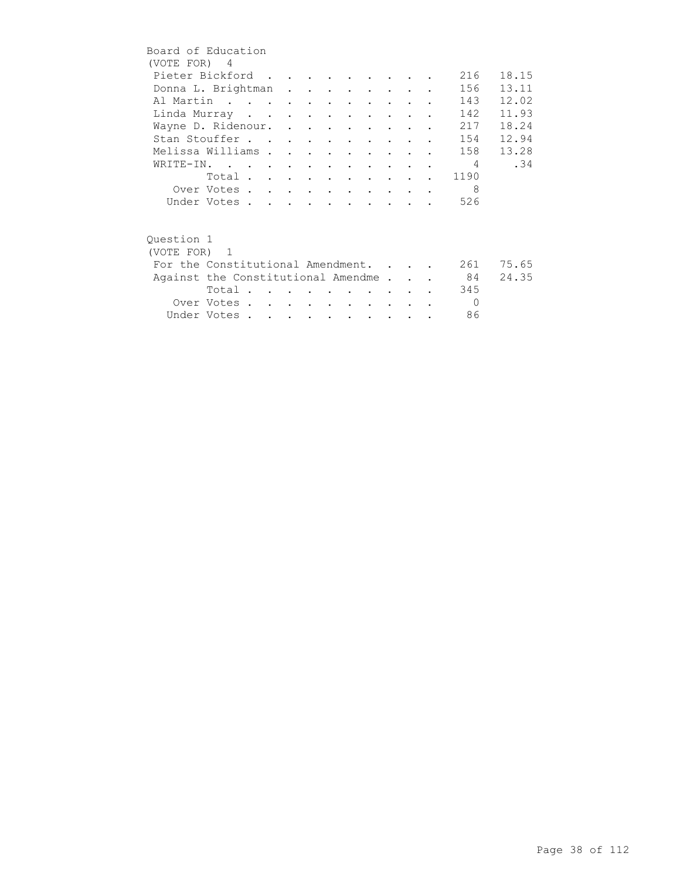|              | Board of Education                 |  |  |  |  |                |       |
|--------------|------------------------------------|--|--|--|--|----------------|-------|
| (VOTE FOR) 4 |                                    |  |  |  |  |                |       |
|              | Pieter Bickford                    |  |  |  |  | 216            | 18.15 |
|              | Donna L. Brightman                 |  |  |  |  | 156            | 13.11 |
|              | Al Martin                          |  |  |  |  | 143            | 12.02 |
|              | Linda Murray                       |  |  |  |  | 142            | 11.93 |
|              | Wayne D. Ridenour.                 |  |  |  |  | 217            | 18.24 |
|              | Stan Stouffer                      |  |  |  |  | 154            | 12.94 |
|              | Melissa Williams                   |  |  |  |  | 158            | 13.28 |
|              | WRITE-IN.                          |  |  |  |  | $\overline{4}$ | .34   |
|              | Total                              |  |  |  |  | 1190           |       |
|              | Over Votes                         |  |  |  |  | 8              |       |
|              | Under Votes                        |  |  |  |  | 526            |       |
|              |                                    |  |  |  |  |                |       |
|              |                                    |  |  |  |  |                |       |
| Ouestion 1   |                                    |  |  |  |  |                |       |
| (VOTE FOR) 1 |                                    |  |  |  |  |                |       |
|              | For the Constitutional Amendment.  |  |  |  |  | 261            | 75.65 |
|              | Against the Constitutional Amendme |  |  |  |  | 84             | 24.35 |
|              | Total.                             |  |  |  |  | 345            |       |
|              | Over Votes                         |  |  |  |  | $\Omega$       |       |
|              | Under Votes                        |  |  |  |  | 86             |       |
|              |                                    |  |  |  |  |                |       |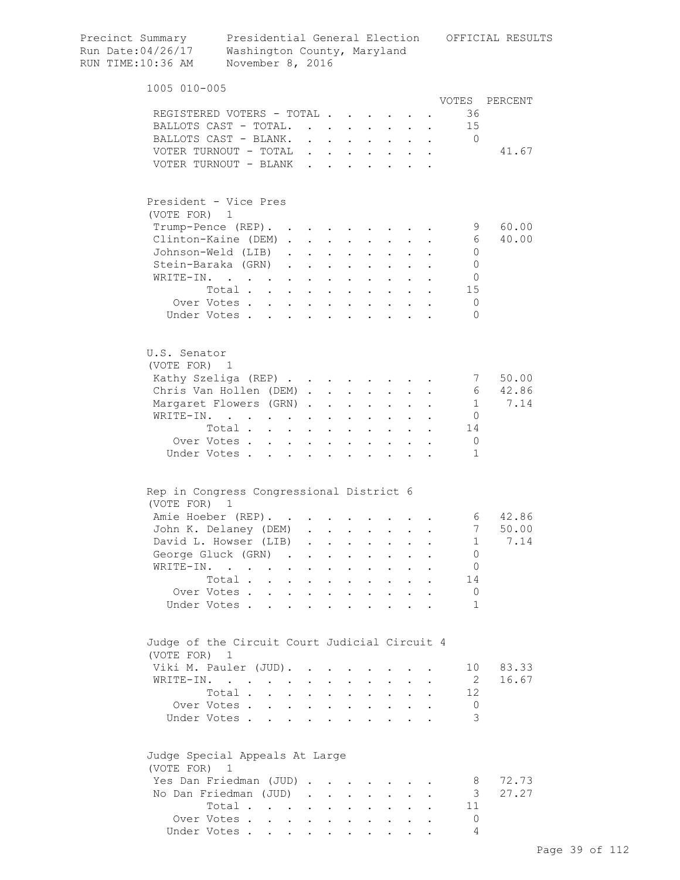| Precinct Summary<br>Run Date: 04/26/17<br>RUN TIME:10:36 AM   | Presidential General Election<br>Washington County, Maryland<br>November 8, 2016          |  |                      |                                          |                                                                  |                           |                             | OFFICIAL RESULTS |
|---------------------------------------------------------------|-------------------------------------------------------------------------------------------|--|----------------------|------------------------------------------|------------------------------------------------------------------|---------------------------|-----------------------------|------------------|
| 1005 010-005                                                  |                                                                                           |  |                      |                                          |                                                                  |                           |                             |                  |
|                                                               |                                                                                           |  |                      |                                          |                                                                  |                           | VOTES                       | PERCENT          |
| REGISTERED VOTERS - TOTAL                                     |                                                                                           |  |                      |                                          |                                                                  |                           | 36                          |                  |
| BALLOTS CAST - TOTAL.                                         |                                                                                           |  |                      |                                          |                                                                  |                           | 15                          |                  |
| BALLOTS CAST - BLANK. 0                                       |                                                                                           |  |                      |                                          |                                                                  |                           |                             |                  |
| VOTER TURNOUT - TOTAL $\cdot \cdot \cdot \cdot \cdot \cdot$   |                                                                                           |  |                      |                                          |                                                                  |                           |                             | 41.67            |
| VOTER TURNOUT - BLANK.                                        |                                                                                           |  | $\mathbf{L}^{(1)}$ . |                                          |                                                                  |                           |                             |                  |
| President - Vice Pres<br>(VOTE FOR) 1                         |                                                                                           |  |                      |                                          |                                                                  |                           |                             |                  |
| Trump-Pence (REP).                                            |                                                                                           |  |                      |                                          |                                                                  |                           | - 9                         | 60.00            |
| Clinton-Kaine (DEM)                                           |                                                                                           |  |                      |                                          | $\bullet$ . In the set of $\bullet$                              |                           | - 6                         | 40.00            |
| Johnson-Weld (LIB)                                            |                                                                                           |  |                      |                                          |                                                                  |                           | $\overline{0}$              |                  |
| Stein-Baraka (GRN)                                            |                                                                                           |  |                      |                                          |                                                                  |                           | $\circ$                     |                  |
| WRITE-IN.                                                     |                                                                                           |  |                      | $\mathbf{r} = \mathbf{r} + \mathbf{r}$ . |                                                                  |                           | $\circ$                     |                  |
|                                                               | Total                                                                                     |  | $\sim$ 100 $\pm$     | $\sim$ $\sim$                            | $\mathbf{z} = \mathbf{z} + \mathbf{z}$ .                         |                           | 15                          |                  |
| Over Votes                                                    |                                                                                           |  |                      |                                          |                                                                  | $\mathbf{L} = \mathbf{L}$ | 0                           |                  |
| Under Votes                                                   |                                                                                           |  |                      |                                          |                                                                  |                           | $\Omega$                    |                  |
| U.S. Senator<br>(VOTE FOR) 1                                  |                                                                                           |  |                      |                                          |                                                                  |                           |                             |                  |
| Kathy Szeliga (REP)                                           |                                                                                           |  |                      |                                          |                                                                  |                           | 7                           | 50.00            |
| Chris Van Hollen (DEM)                                        |                                                                                           |  |                      |                                          | $\mathbf{r} = \mathbf{r} + \mathbf{r}$ .                         |                           | - 6                         | 42.86            |
| Margaret Flowers (GRN)                                        |                                                                                           |  |                      |                                          |                                                                  |                           | 1                           | 7.14             |
| WRITE-IN.                                                     |                                                                                           |  |                      |                                          | $\mathbf{z} = \mathbf{z} + \mathbf{z}$ .                         | $\sim$ $\sim$             | 0                           |                  |
|                                                               | Total                                                                                     |  |                      |                                          |                                                                  |                           | 14                          |                  |
|                                                               |                                                                                           |  |                      |                                          |                                                                  |                           | 0                           |                  |
| Over Votes<br>Under Votes                                     |                                                                                           |  |                      |                                          |                                                                  |                           | 1                           |                  |
| Rep in Congress Congressional District 6                      |                                                                                           |  |                      |                                          |                                                                  |                           |                             |                  |
| (VOTE FOR) 1                                                  |                                                                                           |  |                      |                                          |                                                                  |                           |                             | 6 42.86          |
| Amie Hoeber (REP).                                            |                                                                                           |  |                      |                                          |                                                                  |                           | 7                           |                  |
| John K. Delaney (DEM)                                         |                                                                                           |  |                      |                                          |                                                                  |                           |                             | 50.00            |
| David L. Howser (LIB)                                         |                                                                                           |  |                      |                                          |                                                                  |                           | -1<br>$\circ$               | 7.14             |
| George Gluck (GRN)<br>WRITE-IN.                               |                                                                                           |  |                      |                                          |                                                                  |                           |                             |                  |
|                                                               | $\mathcal{A}$ . The contribution of the contribution of the contribution of $\mathcal{A}$ |  |                      |                                          |                                                                  | $\sim$ 100 $\pm$          | 0                           |                  |
|                                                               | Total                                                                                     |  |                      |                                          | $\mathbf{z} = \mathbf{z} + \mathbf{z}$ .                         | $\sim$ $\sim$             | 14                          |                  |
| Over Votes<br>Under Votes                                     |                                                                                           |  |                      |                                          |                                                                  |                           | $\mathbf 0$<br>$\mathbf{1}$ |                  |
|                                                               |                                                                                           |  |                      |                                          |                                                                  |                           |                             |                  |
| Judge of the Circuit Court Judicial Circuit 4<br>(VOTE FOR) 1 |                                                                                           |  |                      |                                          |                                                                  |                           |                             |                  |
| Viki M. Pauler (JUD).                                         |                                                                                           |  |                      |                                          |                                                                  |                           | 10                          | 83.33            |
| WRITE-IN.                                                     |                                                                                           |  |                      |                                          |                                                                  |                           | - 2                         | 16.67            |
|                                                               | Total $\cdots$ $\cdots$                                                                   |  |                      |                                          | $\mathbf{z} = \mathbf{z} + \mathbf{z} + \mathbf{z} + \mathbf{z}$ |                           | 12                          |                  |
| Over Votes                                                    |                                                                                           |  |                      |                                          |                                                                  |                           | $\circ$                     |                  |
| Under Votes                                                   |                                                                                           |  |                      |                                          |                                                                  |                           | 3                           |                  |
| Judge Special Appeals At Large<br>(VOTE FOR) 1                |                                                                                           |  |                      |                                          |                                                                  |                           |                             |                  |
| Yes Dan Friedman (JUD)                                        |                                                                                           |  |                      |                                          |                                                                  |                           | - 8                         | 72.73            |
| No Dan Friedman (JUD)                                         |                                                                                           |  |                      |                                          |                                                                  |                           | 3                           | 27.27            |
|                                                               | Total                                                                                     |  |                      |                                          |                                                                  |                           | 11                          |                  |
| Over Votes                                                    |                                                                                           |  |                      |                                          |                                                                  |                           | $\Omega$                    |                  |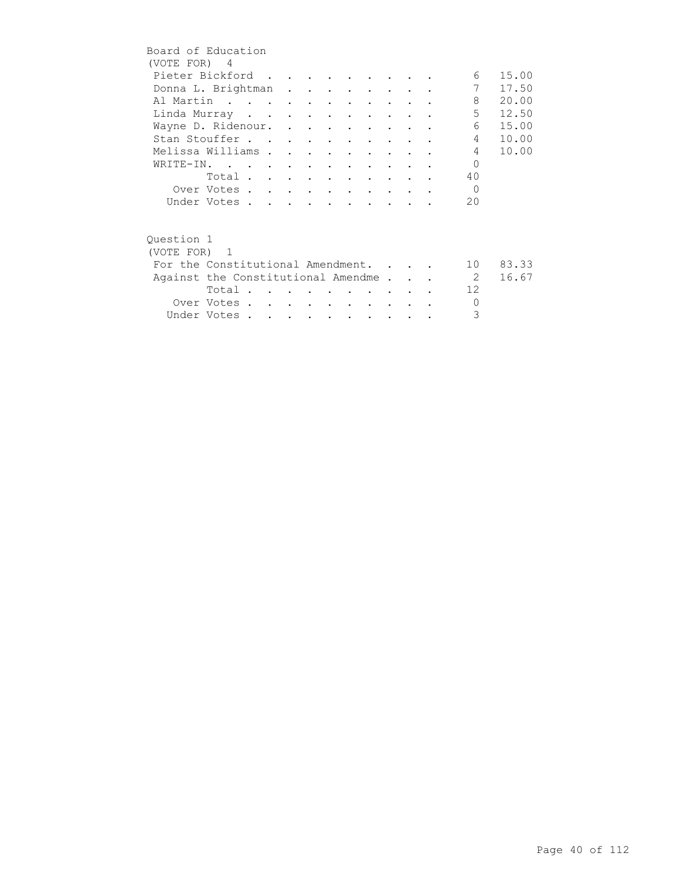| Board of Education |                                    |  |  |  |  |                |          |
|--------------------|------------------------------------|--|--|--|--|----------------|----------|
| (VOTE FOR) 4       |                                    |  |  |  |  |                |          |
|                    | Pieter Bickford                    |  |  |  |  | 6              | 15.00    |
|                    | Donna L. Brightman                 |  |  |  |  | 7              | 17.50    |
|                    | Al Martin                          |  |  |  |  | 8              | 20.00    |
|                    | Linda Murray                       |  |  |  |  | $5 -$          | 12.50    |
|                    | Wayne D. Ridenour.                 |  |  |  |  | 6              | 15.00    |
|                    | Stan Stouffer                      |  |  |  |  | $4 \quad$      | 10.00    |
| Melissa Williams   |                                    |  |  |  |  | $4\phantom{0}$ | 10.00    |
|                    | WRITE-IN.                          |  |  |  |  | $\Omega$       |          |
|                    | Total                              |  |  |  |  | 40             |          |
|                    | Over Votes                         |  |  |  |  | $\Omega$       |          |
|                    | Under Votes                        |  |  |  |  | 20             |          |
|                    |                                    |  |  |  |  |                |          |
|                    |                                    |  |  |  |  |                |          |
| Ouestion 1         |                                    |  |  |  |  |                |          |
| (VOTE FOR) 1       |                                    |  |  |  |  |                |          |
|                    | For the Constitutional Amendment.  |  |  |  |  |                | 10 83.33 |
|                    | Against the Constitutional Amendme |  |  |  |  | $\overline{2}$ | 16.67    |
|                    | Total                              |  |  |  |  | 12             |          |
|                    | Over Votes                         |  |  |  |  | $\Omega$       |          |
|                    | Under Votes                        |  |  |  |  | 3              |          |
|                    |                                    |  |  |  |  |                |          |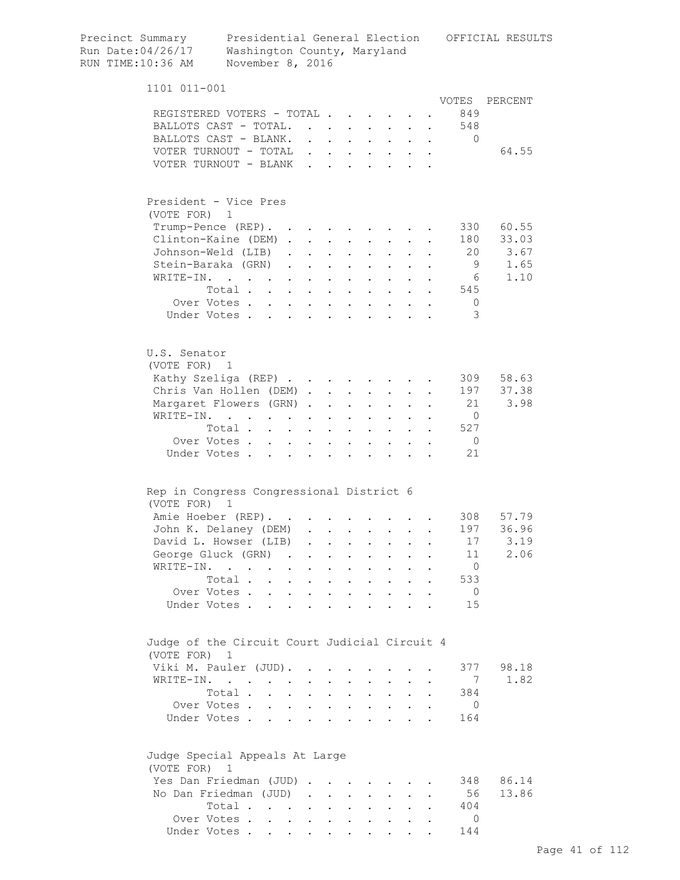| Run Date:04/26/17<br>RUN TIME:10:36 AM                        | Washington County, Maryland<br>November 8, 2016 |                           |                                                             |                                                                                         |                                                             |                                          |                                                           |                                                                  |        |                |           |
|---------------------------------------------------------------|-------------------------------------------------|---------------------------|-------------------------------------------------------------|-----------------------------------------------------------------------------------------|-------------------------------------------------------------|------------------------------------------|-----------------------------------------------------------|------------------------------------------------------------------|--------|----------------|-----------|
| 1101 011-001                                                  |                                                 |                           |                                                             |                                                                                         |                                                             |                                          |                                                           |                                                                  |        |                |           |
|                                                               |                                                 |                           |                                                             |                                                                                         |                                                             |                                          |                                                           |                                                                  |        | VOTES          | PERCENT   |
| REGISTERED VOTERS - TOTAL<br>BALLOTS CAST - TOTAL.            |                                                 |                           |                                                             |                                                                                         |                                                             |                                          |                                                           |                                                                  |        | 849<br>548     |           |
| BALLOTS CAST - BLANK.                                         |                                                 |                           |                                                             |                                                                                         |                                                             |                                          |                                                           |                                                                  | $\sim$ | $\mathbf 0$    |           |
| VOTER TURNOUT - TOTAL .                                       |                                                 |                           |                                                             | $\mathbf{r}$ , $\mathbf{r}$ , $\mathbf{r}$ , $\mathbf{r}$ , $\mathbf{r}$ , $\mathbf{r}$ |                                                             |                                          |                                                           |                                                                  |        |                | 64.55     |
| VOTER TURNOUT - BLANK.                                        |                                                 |                           |                                                             | and the contract of the contract of the contract of                                     |                                                             |                                          |                                                           |                                                                  |        |                |           |
|                                                               |                                                 |                           |                                                             |                                                                                         |                                                             |                                          |                                                           |                                                                  |        |                |           |
| President - Vice Pres<br>(VOTE FOR) 1                         |                                                 |                           |                                                             |                                                                                         |                                                             |                                          |                                                           |                                                                  |        |                |           |
| Trump-Pence (REP).                                            |                                                 |                           |                                                             |                                                                                         |                                                             |                                          |                                                           |                                                                  |        | 330            | 60.55     |
| Clinton-Kaine (DEM)                                           |                                                 |                           |                                                             |                                                                                         |                                                             |                                          |                                                           | $\cdot$ $\cdot$                                                  |        | 180            | 33.03     |
| Johnson-Weld (LIB)                                            |                                                 |                           | $\cdot$ $\cdot$ $\cdot$ $\cdot$                             |                                                                                         |                                                             | $\ddot{\phantom{a}}$                     | $\mathbf{L}$                                              |                                                                  |        |                | 20 3.67   |
| Stein-Baraka (GRN)                                            |                                                 | $\mathbf{L}^{\text{max}}$ |                                                             | $\mathbf{L}$ and $\mathbf{L}$                                                           |                                                             | $\mathbf{L}$ and $\mathbf{L}$            | $\sim$ 100 $\pm$                                          | $\bullet$                                                        |        | 9              | 1.65      |
| WRITE-IN.                                                     | the contract of the contract of the             |                           |                                                             |                                                                                         | $\bullet$                                                   | $\sim 100$                               | $\mathbf{a} = \mathbf{a}$                                 | $\bullet$                                                        |        | - 6            | 1.10      |
|                                                               | Total.                                          |                           |                                                             |                                                                                         |                                                             | $\mathbf{z} = \mathbf{z} + \mathbf{z}$ . | $\mathcal{L}^{\text{max}}$ and $\mathcal{L}^{\text{max}}$ |                                                                  |        | 545            |           |
| Over Votes                                                    |                                                 |                           |                                                             |                                                                                         |                                                             |                                          |                                                           |                                                                  |        | $\mathbf{0}$   |           |
| Under Votes                                                   |                                                 |                           |                                                             |                                                                                         |                                                             | $\sim 100$                               |                                                           |                                                                  |        | 3              |           |
| U.S. Senator<br>(VOTE FOR) 1                                  |                                                 |                           |                                                             |                                                                                         |                                                             |                                          |                                                           |                                                                  |        |                |           |
| Kathy Szeliga (REP)                                           |                                                 |                           |                                                             |                                                                                         |                                                             |                                          |                                                           |                                                                  |        | 309            | 58.63     |
| Chris Van Hollen (DEM)                                        |                                                 |                           |                                                             |                                                                                         |                                                             |                                          |                                                           |                                                                  |        | 197            | 37.38     |
| Margaret Flowers (GRN)                                        |                                                 |                           |                                                             |                                                                                         | $\bullet$ .<br><br><br><br><br><br><br><br><br><br><br><br> | $\sim$ 100 $\pm$                         |                                                           | $\mathbf{z} = \mathbf{z} + \mathbf{z}$ .                         |        | 21             | 3.98      |
| WRITE-IN.                                                     |                                                 |                           |                                                             |                                                                                         |                                                             | $\mathbf{z} = \mathbf{z}$                |                                                           |                                                                  |        | $\overline{0}$ |           |
|                                                               | Total                                           |                           | $\mathcal{L}^{\text{max}}$ , and $\mathcal{L}^{\text{max}}$ |                                                                                         |                                                             | $\mathbf{r} = \mathbf{r} + \mathbf{r}$ . |                                                           |                                                                  |        | 527            |           |
| Over Votes                                                    |                                                 | $\bullet$ .               | $\ddot{\phantom{0}}$                                        | $\bullet$                                                                               | $\bullet$                                                   | $\ddot{\phantom{a}}$                     |                                                           |                                                                  |        | $\overline{0}$ |           |
| Under Votes                                                   |                                                 | $\mathbf{r}$              | $\mathbf{r}$                                                | $\mathbf{L}$                                                                            |                                                             |                                          |                                                           |                                                                  |        | 21             |           |
| Rep in Congress Congressional District 6<br>(VOTE FOR) 1      |                                                 |                           |                                                             |                                                                                         |                                                             |                                          |                                                           |                                                                  |        |                |           |
| Amie Hoeber (REP).                                            |                                                 | $\sim 100$ km s $^{-1}$   |                                                             |                                                                                         |                                                             |                                          |                                                           |                                                                  |        |                | 308 57.79 |
| John K. Delaney (DEM)                                         |                                                 |                           |                                                             |                                                                                         |                                                             |                                          |                                                           |                                                                  |        | 197            | 36.96     |
| David L. Howser (LIB) .                                       |                                                 |                           |                                                             |                                                                                         |                                                             |                                          |                                                           |                                                                  |        | 17             | 3.19      |
| George Gluck (GRN).                                           |                                                 |                           | $\sim$                                                      | $\ddot{\phantom{0}}$                                                                    |                                                             | $\ddot{\phantom{0}}$                     |                                                           |                                                                  |        | 11             | 2.06      |
| WRITE-IN.                                                     | $\mathbf{L}$ and $\mathbf{L}$ and $\mathbf{L}$  | $\bullet$ .               | $\ddot{\phantom{0}}$                                        |                                                                                         |                                                             | $\ddot{\phantom{0}}$                     |                                                           |                                                                  |        | $\overline{0}$ |           |
|                                                               | Total                                           |                           |                                                             |                                                                                         |                                                             | $\mathbf{z} = \mathbf{z} + \mathbf{z}$ . |                                                           | $\cdot$ $\cdot$ $\cdot$                                          |        | 533            |           |
| Over Votes                                                    |                                                 |                           |                                                             |                                                                                         |                                                             |                                          |                                                           | $\mathbf{r} = \mathbf{r} + \mathbf{r} + \mathbf{r} + \mathbf{r}$ |        | $\overline{0}$ |           |
| Under Votes                                                   |                                                 |                           |                                                             |                                                                                         |                                                             |                                          |                                                           |                                                                  |        | 15             |           |
| Judge of the Circuit Court Judicial Circuit 4<br>(VOTE FOR) 1 |                                                 |                           |                                                             |                                                                                         |                                                             |                                          |                                                           |                                                                  |        |                |           |
| Viki M. Pauler (JUD). .                                       |                                                 |                           |                                                             | $\sim$                                                                                  |                                                             |                                          |                                                           |                                                                  |        | 377            | 98.18     |
| WRITE-IN.                                                     |                                                 |                           | $\sim$                                                      | $\sim$                                                                                  | $\ddot{\phantom{0}}$                                        | $\sim$                                   | $\ddot{\phantom{0}}$                                      | $\ddot{\phantom{0}}$                                             |        | 7              | 1.82      |
|                                                               | Total .                                         | $\mathbf{L} = \mathbf{L}$ |                                                             | $\mathbf{L}$ and $\mathbf{L}$                                                           |                                                             | $\mathbf{z} = \mathbf{z} + \mathbf{z}$ . |                                                           | $\cdot$ $\cdot$ $\cdot$                                          |        | 384            |           |
| Over Votes                                                    |                                                 |                           |                                                             |                                                                                         |                                                             |                                          |                                                           | $\cdot$ $\cdot$ $\cdot$ $\cdot$ $\cdot$                          |        | $\mathbf 0$    |           |
| Under Votes.                                                  |                                                 |                           |                                                             |                                                                                         |                                                             |                                          |                                                           |                                                                  |        | 164            |           |
| Judge Special Appeals At Large<br>(VOTE FOR) 1                |                                                 |                           |                                                             |                                                                                         |                                                             |                                          |                                                           |                                                                  |        |                |           |
| Yes Dan Friedman (JUD)                                        |                                                 |                           |                                                             |                                                                                         |                                                             | $\sim$ 100 $\mu$                         |                                                           |                                                                  |        | 348            | 86.14     |
| No Dan Friedman (JUD)                                         |                                                 |                           |                                                             |                                                                                         |                                                             | $\mathbf{r}$ . The set of $\mathbf{r}$   |                                                           | $\mathbf{L}$ and $\mathbf{L}$                                    |        | 56             | 13.86     |
|                                                               | Total                                           |                           |                                                             |                                                                                         |                                                             |                                          |                                                           |                                                                  |        | 404            |           |
| Over Votes                                                    |                                                 |                           |                                                             |                                                                                         |                                                             |                                          |                                                           |                                                                  |        | 0              |           |
| Under Votes                                                   |                                                 |                           |                                                             |                                                                                         |                                                             |                                          |                                                           |                                                                  |        | 144            |           |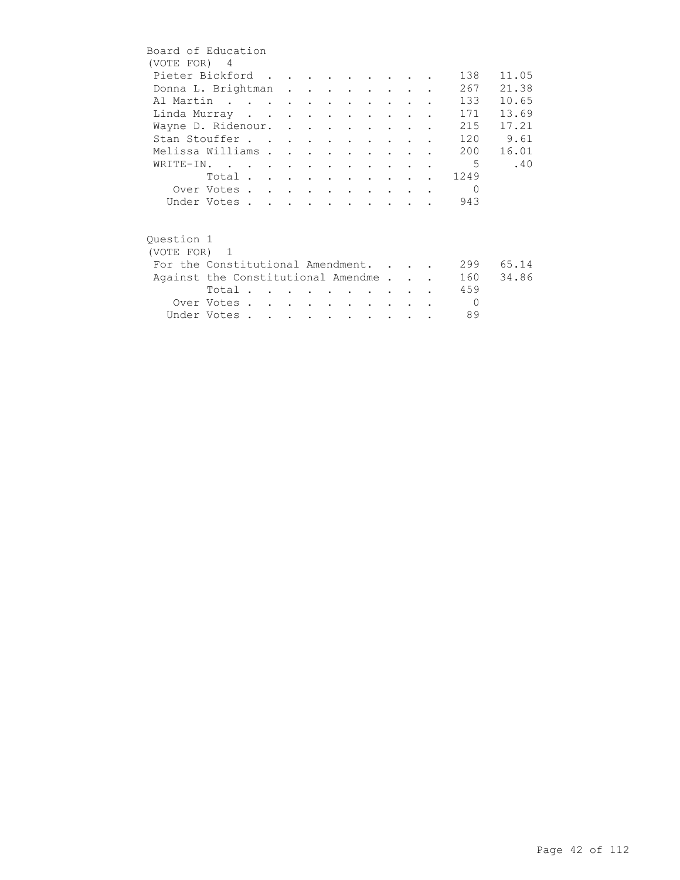| Board of Education                 |             |  |  |                          |                      |        |  |          |       |
|------------------------------------|-------------|--|--|--------------------------|----------------------|--------|--|----------|-------|
| (VOTE FOR) 4                       |             |  |  |                          |                      |        |  |          |       |
| Pieter Bickford                    |             |  |  |                          |                      |        |  | 138      | 11.05 |
| Donna L. Brightman                 |             |  |  |                          |                      |        |  | 267      | 21.38 |
| Al Martin                          |             |  |  |                          |                      |        |  | 133      | 10.65 |
| Linda Murray                       |             |  |  |                          |                      |        |  | 171      | 13.69 |
| Wayne D. Ridenour.                 |             |  |  |                          |                      |        |  | 215      | 17.21 |
| Stan Stouffer                      |             |  |  |                          |                      |        |  | 120      | 9.61  |
| Melissa Williams                   |             |  |  | $\cdot$ $\cdot$          |                      |        |  | 200      | 16.01 |
| WRITE-IN.                          |             |  |  |                          | $\sim$ $\sim$ $\sim$ |        |  | 5        | .40   |
|                                    | Total       |  |  |                          |                      |        |  | 1249     |       |
|                                    | Over Votes  |  |  |                          |                      |        |  | $\Omega$ |       |
|                                    | Under Votes |  |  |                          |                      |        |  | 943      |       |
|                                    |             |  |  |                          |                      |        |  |          |       |
|                                    |             |  |  |                          |                      |        |  |          |       |
| Ouestion 1                         |             |  |  |                          |                      |        |  |          |       |
| (VOTE FOR) 1                       |             |  |  |                          |                      |        |  |          |       |
| For the Constitutional Amendment.  |             |  |  |                          |                      |        |  | 299      | 65.14 |
| Against the Constitutional Amendme |             |  |  |                          |                      |        |  | 160      | 34.86 |
|                                    | Total       |  |  |                          |                      |        |  | 459      |       |
|                                    | Over Votes  |  |  | <b>Contract Contract</b> |                      | $\sim$ |  | $\Omega$ |       |
|                                    | Under Votes |  |  |                          |                      |        |  | 89       |       |
|                                    |             |  |  |                          |                      |        |  |          |       |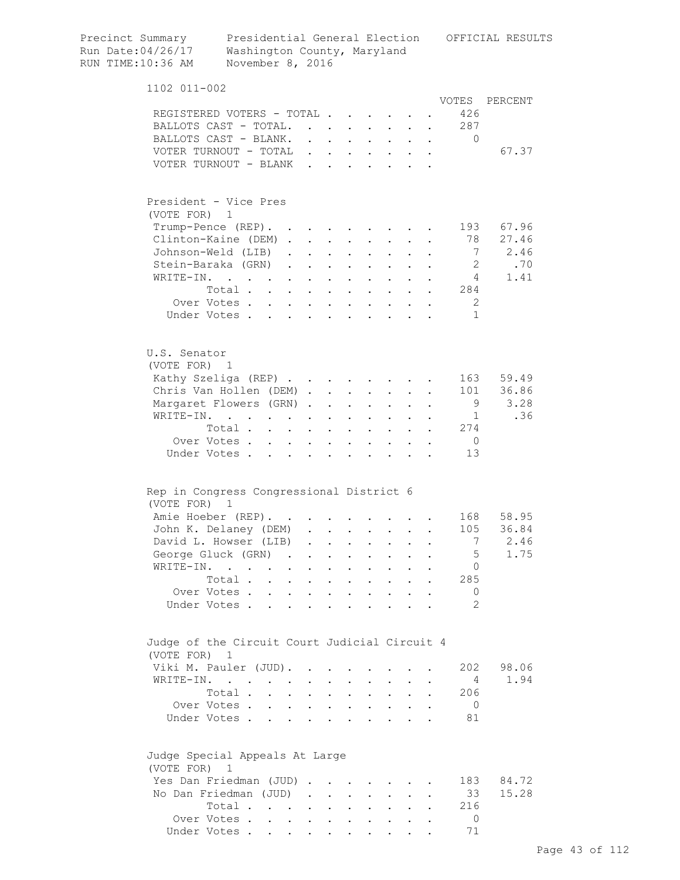| Precinct Summary<br>Run Date: 04/26/17<br>RUN TIME:10:36 AM | Presidential General Election<br>Washington County, Maryland<br>November 8, 2016                  |                      |              |                                                                          |        |                            |                                                                                                                                                                                                                                                                                                                                                                                                                                                                                                              |                                                             |                                        |                | OFFICIAL RESULTS |
|-------------------------------------------------------------|---------------------------------------------------------------------------------------------------|----------------------|--------------|--------------------------------------------------------------------------|--------|----------------------------|--------------------------------------------------------------------------------------------------------------------------------------------------------------------------------------------------------------------------------------------------------------------------------------------------------------------------------------------------------------------------------------------------------------------------------------------------------------------------------------------------------------|-------------------------------------------------------------|----------------------------------------|----------------|------------------|
| 1102 011-002                                                |                                                                                                   |                      |              |                                                                          |        |                            |                                                                                                                                                                                                                                                                                                                                                                                                                                                                                                              |                                                             |                                        |                |                  |
| REGISTERED VOTERS - TOTAL                                   |                                                                                                   |                      |              |                                                                          |        |                            |                                                                                                                                                                                                                                                                                                                                                                                                                                                                                                              |                                                             |                                        | VOTES<br>426   | PERCENT          |
| BALLOTS CAST - TOTAL.                                       |                                                                                                   |                      |              |                                                                          |        |                            | $\mathbf{r} = \mathbf{r} \times \mathbf{r} \times \mathbf{r} \times \mathbf{r} \times \mathbf{r} \times \mathbf{r} \times \mathbf{r} \times \mathbf{r} \times \mathbf{r} \times \mathbf{r} \times \mathbf{r} \times \mathbf{r} \times \mathbf{r} \times \mathbf{r} \times \mathbf{r} \times \mathbf{r} \times \mathbf{r} \times \mathbf{r} \times \mathbf{r} \times \mathbf{r} \times \mathbf{r} \times \mathbf{r} \times \mathbf{r} \times \mathbf{r} \times \mathbf{r} \times \mathbf{r} \times \mathbf{r$ |                                                             |                                        | 287            |                  |
| BALLOTS CAST - BLANK.                                       |                                                                                                   |                      |              |                                                                          |        |                            |                                                                                                                                                                                                                                                                                                                                                                                                                                                                                                              |                                                             |                                        | 0              |                  |
| VOTER TURNOUT - TOTAL                                       |                                                                                                   |                      |              |                                                                          |        |                            | $\mathbf{L} = \mathbf{L} \mathbf{L}$                                                                                                                                                                                                                                                                                                                                                                                                                                                                         |                                                             | $\mathbf{z} = \mathbf{z} + \mathbf{z}$ |                | 67.37            |
| VOTER TURNOUT - BLANK                                       |                                                                                                   |                      |              |                                                                          | $\sim$ | $\ddot{\phantom{a}}$       |                                                                                                                                                                                                                                                                                                                                                                                                                                                                                                              |                                                             |                                        |                |                  |
|                                                             |                                                                                                   |                      |              |                                                                          |        |                            |                                                                                                                                                                                                                                                                                                                                                                                                                                                                                                              |                                                             |                                        |                |                  |
| President - Vice Pres                                       |                                                                                                   |                      |              |                                                                          |        |                            |                                                                                                                                                                                                                                                                                                                                                                                                                                                                                                              |                                                             |                                        |                |                  |
| (VOTE FOR) 1                                                |                                                                                                   |                      |              |                                                                          |        |                            |                                                                                                                                                                                                                                                                                                                                                                                                                                                                                                              |                                                             |                                        |                |                  |
| Trump-Pence (REP).                                          |                                                                                                   |                      |              |                                                                          |        |                            |                                                                                                                                                                                                                                                                                                                                                                                                                                                                                                              |                                                             |                                        | 193            | 67.96            |
| Clinton-Kaine (DEM)                                         |                                                                                                   |                      |              |                                                                          |        |                            | $\mathbf{L} = \mathbf{L} \mathbf{L}$                                                                                                                                                                                                                                                                                                                                                                                                                                                                         | $\bullet$ .<br><br><br><br><br><br><br><br><br><br><br><br> |                                        | 78             | 27.46            |
| Johnson-Weld (LIB).                                         |                                                                                                   |                      |              | $\mathbf{z} = \mathbf{z} + \mathbf{z}$ , where $\mathbf{z} = \mathbf{z}$ |        |                            | $\mathbf{z} = \mathbf{z} + \mathbf{z}$ .                                                                                                                                                                                                                                                                                                                                                                                                                                                                     |                                                             |                                        | 7              | 2.46             |
| Stein-Baraka (GRN).                                         |                                                                                                   |                      |              | $\cdot$ $\cdot$ $\cdot$ $\cdot$                                          |        |                            | $\mathbf{z} = \mathbf{z} + \mathbf{z}$ .                                                                                                                                                                                                                                                                                                                                                                                                                                                                     |                                                             |                                        | 2              | .70              |
| WRITE-IN.                                                   | $\mathcal{L}^{\mathcal{A}}$ . The contribution of the contribution of $\mathcal{L}^{\mathcal{A}}$ |                      |              |                                                                          |        |                            |                                                                                                                                                                                                                                                                                                                                                                                                                                                                                                              |                                                             |                                        | $\overline{4}$ | 1.41             |
|                                                             | Total                                                                                             |                      |              |                                                                          |        |                            |                                                                                                                                                                                                                                                                                                                                                                                                                                                                                                              |                                                             |                                        | 284            |                  |
|                                                             |                                                                                                   | $\sim$               |              | $\ddot{\phantom{a}}$                                                     |        |                            |                                                                                                                                                                                                                                                                                                                                                                                                                                                                                                              |                                                             |                                        | 2              |                  |
|                                                             | Over Votes                                                                                        |                      | $\mathbf{L}$ |                                                                          | $\sim$ | $\bullet$ .                |                                                                                                                                                                                                                                                                                                                                                                                                                                                                                                              |                                                             |                                        |                |                  |
|                                                             | Under Votes                                                                                       |                      |              |                                                                          |        |                            | $\mathbf{r} = \mathbf{r}$ , where $\mathbf{r} = \mathbf{r}$                                                                                                                                                                                                                                                                                                                                                                                                                                                  |                                                             | $\mathbf{r}$                           | $\mathbf{1}$   |                  |
| U.S. Senator<br>(VOTE FOR) 1                                |                                                                                                   |                      |              |                                                                          |        |                            |                                                                                                                                                                                                                                                                                                                                                                                                                                                                                                              |                                                             |                                        |                |                  |
| Kathy Szeliga (REP)                                         |                                                                                                   |                      |              |                                                                          |        |                            |                                                                                                                                                                                                                                                                                                                                                                                                                                                                                                              |                                                             |                                        | 163            | 59.49            |
| Chris Van Hollen (DEM)                                      |                                                                                                   |                      |              |                                                                          |        |                            |                                                                                                                                                                                                                                                                                                                                                                                                                                                                                                              |                                                             |                                        | 101            | 36.86            |
| Margaret Flowers (GRN)                                      |                                                                                                   |                      |              |                                                                          |        | $\mathcal{L}^{\text{max}}$ |                                                                                                                                                                                                                                                                                                                                                                                                                                                                                                              |                                                             |                                        | 9              | 3.28             |
| WRITE-IN.                                                   |                                                                                                   |                      |              |                                                                          |        |                            |                                                                                                                                                                                                                                                                                                                                                                                                                                                                                                              |                                                             |                                        | $\mathbf{1}$   | .36              |
|                                                             |                                                                                                   | $\ddot{\phantom{a}}$ |              |                                                                          |        |                            |                                                                                                                                                                                                                                                                                                                                                                                                                                                                                                              |                                                             |                                        |                |                  |
|                                                             | Total                                                                                             |                      |              |                                                                          |        |                            | $\mathbf{L} = \mathbf{L} \mathbf{L}$                                                                                                                                                                                                                                                                                                                                                                                                                                                                         |                                                             | $\mathbf{L}$                           | 274            |                  |
|                                                             | Over Votes                                                                                        |                      |              | $\cdot$ $\cdot$ $\cdot$                                                  |        |                            | $\cdot$ $\cdot$ $\cdot$                                                                                                                                                                                                                                                                                                                                                                                                                                                                                      | $\ddot{\phantom{0}}$                                        |                                        | $\overline{0}$ |                  |
|                                                             | Under Votes                                                                                       |                      |              |                                                                          |        |                            | $\cdot$ $\cdot$ $\cdot$ $\cdot$ $\cdot$ $\cdot$ $\cdot$                                                                                                                                                                                                                                                                                                                                                                                                                                                      |                                                             |                                        | 13             |                  |
| Rep in Congress Congressional District 6                    |                                                                                                   |                      |              |                                                                          |        |                            |                                                                                                                                                                                                                                                                                                                                                                                                                                                                                                              |                                                             |                                        |                |                  |
| (VOTE FOR) 1                                                |                                                                                                   |                      |              |                                                                          |        |                            |                                                                                                                                                                                                                                                                                                                                                                                                                                                                                                              |                                                             |                                        |                |                  |
| Amie Hoeber (REP).                                          |                                                                                                   |                      |              |                                                                          |        |                            |                                                                                                                                                                                                                                                                                                                                                                                                                                                                                                              |                                                             |                                        |                | 168 58.95        |
| John K. Delaney (DEM)                                       |                                                                                                   |                      |              |                                                                          |        |                            |                                                                                                                                                                                                                                                                                                                                                                                                                                                                                                              |                                                             |                                        |                | 105 36.84        |
| David L. Howser (LIB)                                       |                                                                                                   |                      |              |                                                                          |        |                            |                                                                                                                                                                                                                                                                                                                                                                                                                                                                                                              |                                                             |                                        | 7              | 2.46             |
| George Gluck (GRN)                                          |                                                                                                   |                      |              |                                                                          |        |                            |                                                                                                                                                                                                                                                                                                                                                                                                                                                                                                              | $\mathbf{L}$                                                |                                        | 5              | 1.75             |
| WRITE-IN.                                                   |                                                                                                   |                      |              |                                                                          |        |                            | $\cdot$ $\cdot$ $\cdot$ $\cdot$ $\cdot$                                                                                                                                                                                                                                                                                                                                                                                                                                                                      |                                                             |                                        | 0              |                  |
|                                                             | Total                                                                                             |                      |              | $\mathbf{L} = \mathbf{L} \mathbf{L}$                                     |        |                            | $\mathbf{r} = \mathbf{r} + \mathbf{r}$ .                                                                                                                                                                                                                                                                                                                                                                                                                                                                     | $\bullet$ .<br><br><br><br><br><br><br><br><br><br><br><br> | $\ddot{\phantom{a}}$                   | 285            |                  |
|                                                             | Over Votes                                                                                        |                      |              |                                                                          |        |                            |                                                                                                                                                                                                                                                                                                                                                                                                                                                                                                              |                                                             | $\bullet$                              | 0              |                  |
|                                                             | Under Votes                                                                                       |                      |              |                                                                          |        |                            |                                                                                                                                                                                                                                                                                                                                                                                                                                                                                                              |                                                             |                                        | 2              |                  |
| Judge of the Circuit Court Judicial Circuit 4<br>(VOTE FOR) | 1                                                                                                 |                      |              |                                                                          |        |                            |                                                                                                                                                                                                                                                                                                                                                                                                                                                                                                              |                                                             |                                        |                |                  |
| Viki M. Pauler (JUD).                                       |                                                                                                   |                      |              |                                                                          |        |                            |                                                                                                                                                                                                                                                                                                                                                                                                                                                                                                              |                                                             |                                        | 202            | 98.06            |
| WRITE-IN.                                                   |                                                                                                   |                      |              |                                                                          |        |                            |                                                                                                                                                                                                                                                                                                                                                                                                                                                                                                              |                                                             |                                        | 4              | 1.94             |
|                                                             | Total                                                                                             |                      |              | $\mathbf{L} = \mathbf{L} \mathbf{L}$                                     |        |                            |                                                                                                                                                                                                                                                                                                                                                                                                                                                                                                              |                                                             |                                        | 206            |                  |
|                                                             |                                                                                                   |                      |              |                                                                          |        |                            | $\mathbf{z} = \mathbf{z} + \mathbf{z}$ , where $\mathbf{z} = \mathbf{z}$                                                                                                                                                                                                                                                                                                                                                                                                                                     |                                                             | $\bullet$                              | $\overline{0}$ |                  |
|                                                             | Over Votes<br>Under Votes                                                                         |                      |              |                                                                          |        |                            | $\mathbf{z} = \left\{ \begin{array}{ccc} 1 & 0 & 0 & 0 \\ 0 & 0 & 0 & 0 \\ 0 & 0 & 0 & 0 \\ 0 & 0 & 0 & 0 \\ 0 & 0 & 0 & 0 \\ 0 & 0 & 0 & 0 \\ 0 & 0 & 0 & 0 \\ 0 & 0 & 0 & 0 \\ 0 & 0 & 0 & 0 \\ 0 & 0 & 0 & 0 \\ 0 & 0 & 0 & 0 & 0 \\ 0 & 0 & 0 & 0 & 0 \\ 0 & 0 & 0 & 0 & 0 \\ 0 & 0 & 0 & 0 & 0 & 0 \\ 0 & 0 & 0 & 0 & 0 & 0 \\ $                                                                                                                                                                        |                                                             | $\bullet$                              | 81             |                  |
| Judge Special Appeals At Large                              |                                                                                                   |                      |              |                                                                          |        |                            |                                                                                                                                                                                                                                                                                                                                                                                                                                                                                                              |                                                             |                                        |                |                  |
| (VOTE FOR) 1                                                |                                                                                                   |                      |              |                                                                          |        |                            |                                                                                                                                                                                                                                                                                                                                                                                                                                                                                                              |                                                             |                                        |                |                  |
| Yes Dan Friedman (JUD)                                      |                                                                                                   |                      |              |                                                                          |        |                            |                                                                                                                                                                                                                                                                                                                                                                                                                                                                                                              |                                                             |                                        | 183            | 84.72            |
| No Dan Friedman (JUD)                                       |                                                                                                   |                      |              |                                                                          |        |                            |                                                                                                                                                                                                                                                                                                                                                                                                                                                                                                              |                                                             |                                        | 33             | 15.28            |
|                                                             | Total                                                                                             |                      |              |                                                                          |        |                            |                                                                                                                                                                                                                                                                                                                                                                                                                                                                                                              |                                                             |                                        | 216            |                  |
|                                                             | Over Votes                                                                                        |                      |              |                                                                          |        |                            |                                                                                                                                                                                                                                                                                                                                                                                                                                                                                                              |                                                             |                                        | $\Omega$       |                  |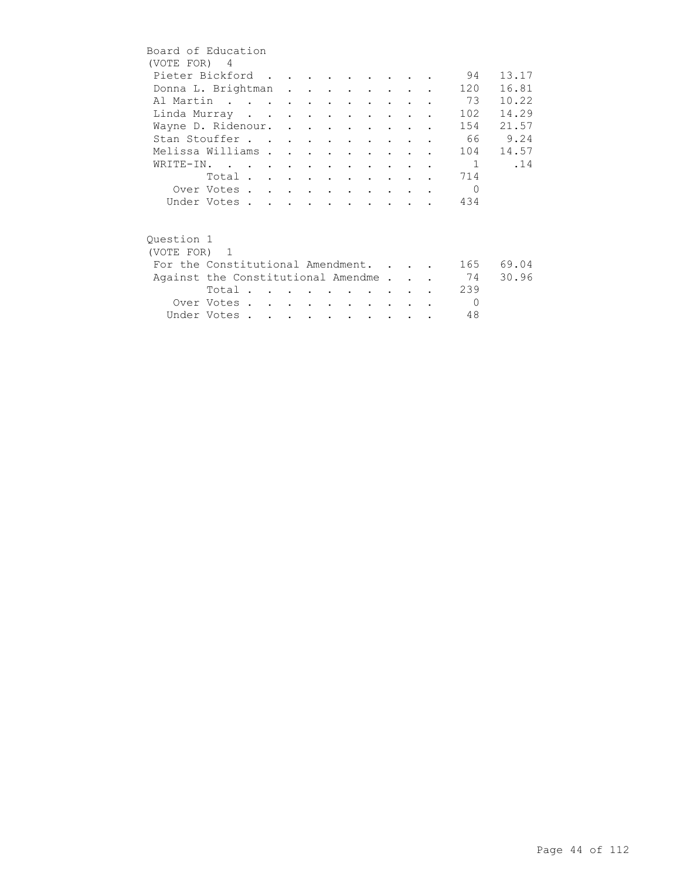| Board of Education                 |                         |  |  |  |                                         |                                 |               |                |           |
|------------------------------------|-------------------------|--|--|--|-----------------------------------------|---------------------------------|---------------|----------------|-----------|
| (VOTE FOR) 4                       |                         |  |  |  |                                         |                                 |               |                |           |
| Pieter Bickford                    |                         |  |  |  |                                         |                                 |               | 94             | 13.17     |
| Donna L. Brightman                 |                         |  |  |  |                                         |                                 |               | 120            | 16.81     |
| Al Martin                          |                         |  |  |  |                                         |                                 |               | 73             | 10.22     |
| Linda Murray                       |                         |  |  |  |                                         |                                 |               | 102            | 14.29     |
| Wayne D. Ridenour.                 |                         |  |  |  |                                         |                                 |               | 154            | 21.57     |
| Stan Stouffer                      |                         |  |  |  |                                         |                                 |               |                | 66 9.24   |
| Melissa Williams                   |                         |  |  |  | $\cdot$ $\cdot$ $\cdot$ $\cdot$ $\cdot$ |                                 |               | 104            | 14.57     |
| WRITE-IN.                          |                         |  |  |  |                                         |                                 |               | $\blacksquare$ | .14       |
|                                    | Total                   |  |  |  |                                         | <b>Contract Contract Street</b> |               | 714            |           |
|                                    | Over Votes              |  |  |  |                                         |                                 |               | $\Omega$       |           |
|                                    | Under Votes             |  |  |  |                                         |                                 |               | 434            |           |
|                                    |                         |  |  |  |                                         |                                 |               |                |           |
|                                    |                         |  |  |  |                                         |                                 |               |                |           |
| Ouestion 1                         |                         |  |  |  |                                         |                                 |               |                |           |
| (VOTE FOR) 1                       |                         |  |  |  |                                         |                                 |               |                |           |
| For the Constitutional Amendment.  |                         |  |  |  |                                         |                                 |               |                | 165 69.04 |
| Against the Constitutional Amendme |                         |  |  |  |                                         |                                 |               | 74             | 30.96     |
|                                    | Total $\cdots$ $\cdots$ |  |  |  |                                         |                                 |               | 239            |           |
|                                    | Over Votes              |  |  |  |                                         | $\sim$                          | $\sim$ $\sim$ | $\Omega$       |           |
|                                    | Under Votes             |  |  |  |                                         |                                 |               | 48             |           |
|                                    |                         |  |  |  |                                         |                                 |               |                |           |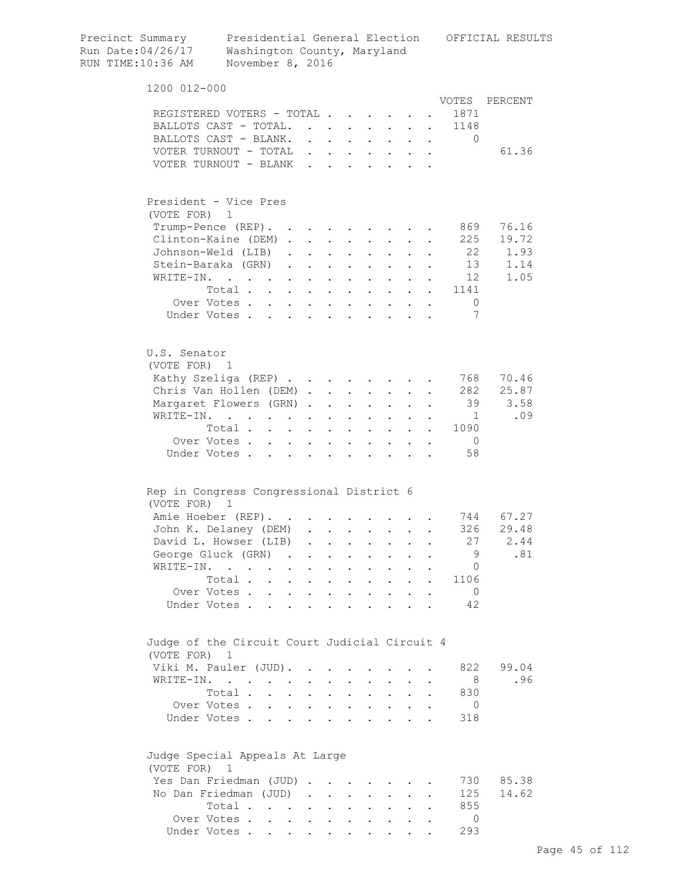| Precinct Summary<br>Run Date:04/26/17<br>RUN TIME:10:36 AM | Washington County, Maryland<br>November 8, 2016                   |                                              |                      |                                              |                                              |                                              |                                                                                                 |                                                   |                           |                    | Presidential General Election OFFICIAL RESULTS |
|------------------------------------------------------------|-------------------------------------------------------------------|----------------------------------------------|----------------------|----------------------------------------------|----------------------------------------------|----------------------------------------------|-------------------------------------------------------------------------------------------------|---------------------------------------------------|---------------------------|--------------------|------------------------------------------------|
| 1200 012-000                                               |                                                                   |                                              |                      |                                              |                                              |                                              |                                                                                                 |                                                   |                           |                    |                                                |
|                                                            |                                                                   |                                              |                      |                                              |                                              |                                              |                                                                                                 |                                                   |                           |                    | VOTES PERCENT                                  |
|                                                            | REGISTERED VOTERS - TOTAL                                         |                                              |                      |                                              |                                              |                                              |                                                                                                 |                                                   |                           | 1871               |                                                |
|                                                            | BALLOTS CAST - TOTAL.                                             |                                              |                      |                                              | $\sim$                                       |                                              |                                                                                                 | $\ddot{\phantom{0}}$                              |                           | 1148               |                                                |
|                                                            | BALLOTS CAST - BLANK.<br>VOTER TURNOUT - TOTAL                    |                                              |                      | $\mathbf{L}$ and $\mathbf{L}$                | $\mathbf{r}$ , $\mathbf{r}$ , $\mathbf{r}$   |                                              |                                                                                                 | $\ddot{\phantom{0}}$                              | $\ddot{\phantom{a}}$      | $\Omega$           | 61.36                                          |
|                                                            | VOTER TURNOUT - BLANK                                             |                                              |                      |                                              |                                              |                                              | $\mathbf{L} = \mathbf{L}$<br>$\mathbf{r} = \mathbf{r}$ and $\mathbf{r} = \mathbf{r}$            |                                                   | $\mathbf{L} = \mathbf{L}$ |                    |                                                |
|                                                            |                                                                   |                                              |                      |                                              |                                              |                                              |                                                                                                 |                                                   |                           |                    |                                                |
| President - Vice Pres                                      |                                                                   |                                              |                      |                                              |                                              |                                              |                                                                                                 |                                                   |                           |                    |                                                |
| (VOTE FOR) 1                                               |                                                                   |                                              |                      |                                              |                                              |                                              |                                                                                                 |                                                   |                           |                    |                                                |
|                                                            | Trump-Pence (REP). .<br>Clinton-Kaine (DEM).                      |                                              | $\mathbf{L}$         |                                              |                                              |                                              |                                                                                                 |                                                   |                           | 869<br>225         | 76.16<br>19.72                                 |
|                                                            | Johnson-Weld (LIB).                                               |                                              | $\mathbf{L}$         | $\sim 10^{-11}$                              | $\ddot{\phantom{0}}$                         |                                              | $\mathcal{L}^{\text{max}}$                                                                      |                                                   |                           | 22                 | 1.93                                           |
|                                                            | Stein-Baraka (GRN)                                                |                                              |                      | $\ddot{\phantom{a}}$                         | $\sim$ $\sim$ $\sim$                         |                                              | $\mathbf{L} = \mathbf{L}$                                                                       |                                                   |                           | 13                 | 1.14                                           |
| WRITE-IN.                                                  | $\mathbf{r}$ . The set of $\mathbf{r}$ is the set of $\mathbf{r}$ |                                              |                      | $\ddot{\phantom{a}}$                         | $\sim$ $\sim$                                |                                              | $\mathbf{r} = \mathbf{r} + \mathbf{r}$                                                          |                                                   |                           | 12                 | 1.05                                           |
|                                                            | Total                                                             |                                              |                      |                                              |                                              |                                              | $\mathbf{r} = \mathbf{r} \times \mathbf{r}$ , where $\mathbf{r} = \mathbf{r} \times \mathbf{r}$ |                                                   |                           | 1141               |                                                |
|                                                            | Over Votes                                                        |                                              |                      |                                              |                                              |                                              |                                                                                                 |                                                   |                           | $\circ$            |                                                |
|                                                            | Under Votes                                                       |                                              |                      |                                              |                                              |                                              |                                                                                                 |                                                   |                           | 7                  |                                                |
| U.S. Senator                                               |                                                                   |                                              |                      |                                              |                                              |                                              |                                                                                                 |                                                   |                           |                    |                                                |
| (VOTE FOR) 1                                               |                                                                   |                                              |                      |                                              |                                              |                                              |                                                                                                 |                                                   |                           |                    |                                                |
|                                                            | Kathy Szeliga (REP)                                               |                                              |                      |                                              |                                              |                                              |                                                                                                 |                                                   |                           | 768                | 70.46                                          |
|                                                            | Chris Van Hollen (DEM)                                            |                                              |                      |                                              |                                              |                                              |                                                                                                 |                                                   |                           | 282                | 25.87                                          |
| WRITE-IN.                                                  | Margaret Flowers (GRN).                                           |                                              |                      | $\ddot{\phantom{a}}$                         | $\sim$ 100 $\sim$                            |                                              | $\mathbf{L} = \mathbf{L}$                                                                       | $\ddot{\phantom{0}}$                              |                           | 39<br>$\mathbf{1}$ | 3.58<br>.09                                    |
|                                                            | and the contract of the contract of<br>Total                      |                                              |                      | $\bullet$                                    | $\mathbf{L}^{\text{max}}$                    | $\bullet$                                    | $\mathbf{z} = \mathbf{z} + \mathbf{z}$ .<br>$\sim$ 100 $\pm$                                    | $\ddot{\phantom{0}}$<br>$\mathbf{L}^{\text{max}}$ | $\ddot{\phantom{0}}$      | 1090               |                                                |
|                                                            | Over Votes                                                        | $\ddot{\phantom{0}}$                         | $\sim$ $-$           | $\ddot{\phantom{a}}$                         | $\bullet$                                    |                                              |                                                                                                 |                                                   |                           | $\overline{0}$     |                                                |
|                                                            | Under Votes.                                                      |                                              |                      |                                              |                                              |                                              |                                                                                                 |                                                   |                           | 58                 |                                                |
| Rep in Congress Congressional District 6                   |                                                                   |                                              |                      |                                              |                                              |                                              |                                                                                                 |                                                   |                           |                    |                                                |
| (VOTE FOR)                                                 | $\overline{1}$                                                    |                                              |                      |                                              |                                              |                                              |                                                                                                 |                                                   |                           |                    |                                                |
|                                                            | Amie Hoeber (REP).                                                |                                              |                      |                                              |                                              |                                              |                                                                                                 |                                                   |                           |                    | 744 67.27                                      |
|                                                            | John K. Delaney (DEM)                                             |                                              |                      |                                              |                                              |                                              |                                                                                                 |                                                   |                           | 326                | 29.48                                          |
|                                                            | David L. Howser (LIB)                                             |                                              |                      | $\ddot{\phantom{a}}$                         | $\ddot{\phantom{a}}$                         | $\bullet$                                    | $\ddot{\phantom{0}}$                                                                            |                                                   |                           | 27<br>9            | 2.44<br>.81                                    |
| WRITE-IN. .                                                | George Gluck (GRN) .                                              |                                              |                      | $\ddot{\phantom{0}}$                         |                                              |                                              |                                                                                                 |                                                   |                           | $\circ$            |                                                |
|                                                            | Total .                                                           | $\ddot{\phantom{a}}$<br>$\ddot{\phantom{0}}$ |                      | $\ddot{\phantom{0}}$                         |                                              |                                              |                                                                                                 | $\ddot{\phantom{a}}$                              |                           | 1106               |                                                |
|                                                            | Over Votes .                                                      | $\mathbf{r}$<br>$\mathbf{L}$                 | $\sim$               | $\bullet$                                    | $\ddot{\phantom{a}}$<br>$\ddot{\phantom{a}}$ | $\ddot{\phantom{a}}$<br>$\ddot{\phantom{a}}$ | $\bullet$ .<br>$\ddot{\phantom{a}}$                                                             |                                                   |                           | $\mathbf{0}$       |                                                |
|                                                            | Under Votes.                                                      | $\mathbf{r}$<br>$\mathbf{L}$                 | $\mathbf{L}$         | $\ddot{\phantom{a}}$                         | $\overline{a}$                               | $\overline{a}$                               | $\ddot{\phantom{a}}$                                                                            |                                                   |                           | 42                 |                                                |
|                                                            |                                                                   |                                              |                      |                                              |                                              |                                              |                                                                                                 |                                                   |                           |                    |                                                |
|                                                            | Judge of the Circuit Court Judicial Circuit 4                     |                                              |                      |                                              |                                              |                                              |                                                                                                 |                                                   |                           |                    |                                                |
| (VOTE FOR) 1                                               |                                                                   |                                              |                      |                                              |                                              |                                              |                                                                                                 |                                                   |                           |                    | 99.04                                          |
|                                                            | Viki M. Pauler (JUD).<br>WRITE-IN.                                |                                              |                      |                                              |                                              |                                              |                                                                                                 |                                                   |                           | 822<br>- 8         | .96                                            |
|                                                            | Total.                                                            |                                              |                      |                                              |                                              |                                              |                                                                                                 |                                                   |                           | 830                |                                                |
|                                                            | Over Votes                                                        | $\ddot{\phantom{a}}$                         | $\ddot{\phantom{a}}$ | $\ddot{\phantom{a}}$<br>$\ddot{\phantom{0}}$ | $\ddot{\phantom{a}}$<br>$\ddot{\phantom{0}}$ | $\ddot{\phantom{0}}$                         | $\ddot{\phantom{0}}$<br>$\sim$                                                                  |                                                   |                           | $\overline{0}$     |                                                |
|                                                            | Under Votes                                                       |                                              | $\mathbf{L}$         | $\ddot{\phantom{a}}$                         | $\mathbf{r}$                                 | $\overline{a}$                               | $\ddot{\phantom{a}}$                                                                            |                                                   |                           | 318                |                                                |
|                                                            | Judge Special Appeals At Large                                    |                                              |                      |                                              |                                              |                                              |                                                                                                 |                                                   |                           |                    |                                                |
| (VOTE FOR)                                                 | 1                                                                 |                                              |                      |                                              |                                              |                                              |                                                                                                 |                                                   |                           |                    |                                                |
|                                                            | Yes Dan Friedman (JUD)                                            |                                              |                      |                                              |                                              |                                              |                                                                                                 |                                                   |                           | 730                | 85.38                                          |
|                                                            | No Dan Friedman (JUD)                                             |                                              | $\ddot{\phantom{a}}$ | $\ddot{\phantom{0}}$                         | $\ddot{\phantom{a}}$                         |                                              |                                                                                                 |                                                   |                           | 125                | 14.62                                          |
|                                                            | Total                                                             |                                              |                      | $\ddot{\phantom{a}}$                         | $\ddot{\phantom{0}}$                         |                                              | $\ddot{\phantom{0}}$                                                                            |                                                   |                           | 855                |                                                |
|                                                            | Over Votes                                                        | $\ddot{\phantom{0}}$                         |                      |                                              |                                              |                                              |                                                                                                 |                                                   |                           | $\circ$            |                                                |
|                                                            | Under Votes                                                       |                                              |                      |                                              |                                              |                                              |                                                                                                 |                                                   |                           | 293                |                                                |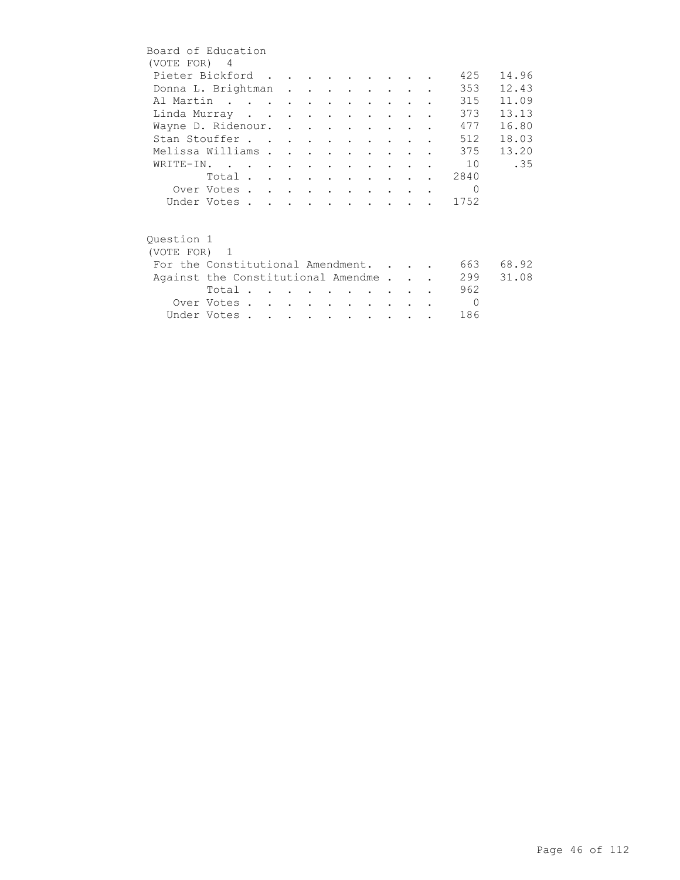| Board of Education                 |             |  |  |                          |                         |                                   |  |          |       |
|------------------------------------|-------------|--|--|--------------------------|-------------------------|-----------------------------------|--|----------|-------|
| (VOTE FOR) 4                       |             |  |  |                          |                         |                                   |  |          |       |
| Pieter Bickford                    |             |  |  |                          |                         |                                   |  | 425      | 14.96 |
| Donna L. Brightman                 |             |  |  |                          |                         |                                   |  | 353      | 12.43 |
| Al Martin                          |             |  |  |                          |                         |                                   |  | 315      | 11.09 |
| Linda Murray                       |             |  |  | $\cdot$ $\cdot$          |                         | <b>Contract Contract Contract</b> |  | 373      | 13.13 |
| Wayne D. Ridenour.                 |             |  |  |                          |                         |                                   |  | 477      | 16.80 |
| Stan Stouffer                      |             |  |  | <b>Contract Contract</b> |                         | <b>Contract Contract Street</b>   |  | 512      | 18.03 |
| Melissa Williams                   |             |  |  | $\bullet$                | $\ddot{\phantom{0}}$    |                                   |  | 375      | 13.20 |
| WRITE-IN.                          |             |  |  | $\sim$                   |                         |                                   |  | 10       | .35   |
|                                    | Total       |  |  |                          |                         |                                   |  | 2840     |       |
|                                    | Over Votes  |  |  |                          | $\cdot$ $\cdot$ $\cdot$ |                                   |  | $\Omega$ |       |
|                                    | Under Votes |  |  |                          |                         |                                   |  | 1752     |       |
|                                    |             |  |  |                          |                         |                                   |  |          |       |
| Question 1                         |             |  |  |                          |                         |                                   |  |          |       |
| (VOTE FOR) 1                       |             |  |  |                          |                         |                                   |  |          |       |
| For the Constitutional Amendment.  |             |  |  |                          |                         |                                   |  | 663      | 68.92 |
| Against the Constitutional Amendme |             |  |  |                          |                         |                                   |  | 299      | 31.08 |
|                                    | Total       |  |  |                          |                         |                                   |  | 962      |       |
|                                    | Over Votes  |  |  | $\sim$                   | $\sim$                  | $\sim$                            |  | $\Omega$ |       |
|                                    | Under Votes |  |  |                          |                         |                                   |  | 186      |       |
|                                    |             |  |  |                          |                         |                                   |  |          |       |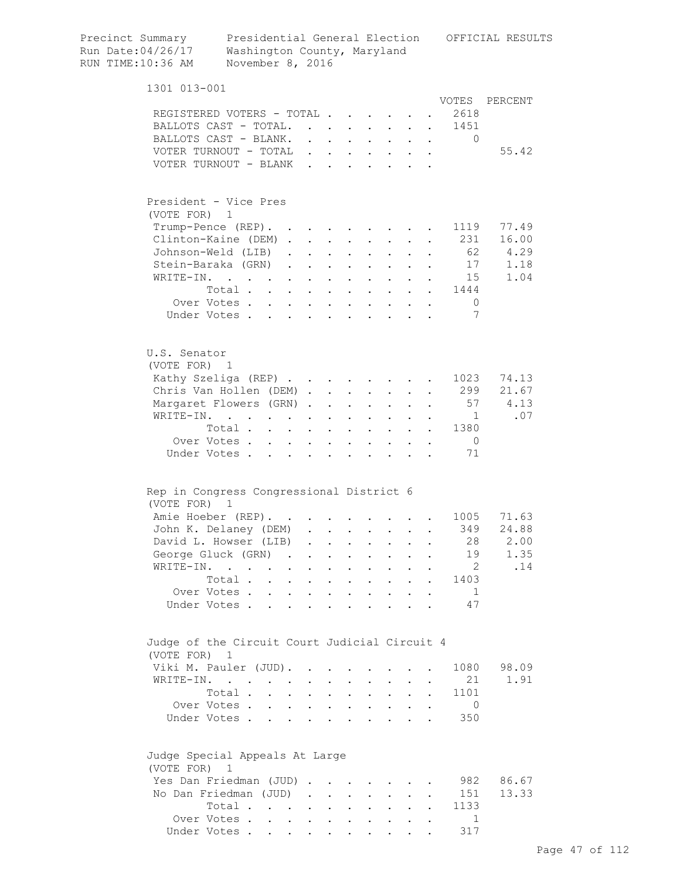| Precinct Summary<br>Run Date:04/26/17<br>RUN TIME:10:36 AM    | Presidential General Election<br>Washington County, Maryland<br>November 8, 2016              |                                          |            |                                                                          |                                          |                               |                                                                 |                      |                      |                | OFFICIAL RESULTS |
|---------------------------------------------------------------|-----------------------------------------------------------------------------------------------|------------------------------------------|------------|--------------------------------------------------------------------------|------------------------------------------|-------------------------------|-----------------------------------------------------------------|----------------------|----------------------|----------------|------------------|
| 1301 013-001                                                  |                                                                                               |                                          |            |                                                                          |                                          |                               |                                                                 |                      |                      |                |                  |
|                                                               |                                                                                               |                                          |            |                                                                          |                                          |                               |                                                                 |                      |                      | VOTES          | PERCENT          |
| REGISTERED VOTERS - TOTAL                                     |                                                                                               |                                          |            |                                                                          |                                          |                               |                                                                 |                      |                      | 2618           |                  |
| BALLOTS CAST - TOTAL.                                         |                                                                                               |                                          |            |                                                                          |                                          |                               |                                                                 |                      |                      | 1451           |                  |
| BALLOTS CAST - BLANK.                                         |                                                                                               |                                          |            |                                                                          |                                          |                               |                                                                 |                      |                      | 0              |                  |
| VOTER TURNOUT - TOTAL                                         |                                                                                               |                                          |            |                                                                          |                                          |                               |                                                                 |                      |                      |                | 55.42            |
| VOTER TURNOUT - BLANK                                         |                                                                                               |                                          |            |                                                                          |                                          |                               |                                                                 |                      |                      |                |                  |
| President - Vice Pres                                         |                                                                                               |                                          |            |                                                                          |                                          |                               |                                                                 |                      |                      |                |                  |
| (VOTE FOR) 1                                                  |                                                                                               |                                          |            |                                                                          |                                          |                               |                                                                 |                      |                      |                |                  |
| Trump-Pence (REP).                                            |                                                                                               |                                          |            |                                                                          |                                          |                               |                                                                 |                      |                      | 1119           | 77.49            |
| Clinton-Kaine (DEM)                                           |                                                                                               |                                          |            |                                                                          |                                          |                               |                                                                 |                      |                      | 231            | 16.00            |
| Johnson-Weld (LIB).                                           |                                                                                               |                                          |            | $\mathbf{r}$ , $\mathbf{r}$ , $\mathbf{r}$                               |                                          |                               | $\mathbf{z} = \mathbf{z} + \mathbf{z}$ .                        | $\ddot{\phantom{0}}$ |                      |                | 62 4.29<br>1.18  |
| Stein-Baraka (GRN).                                           |                                                                                               |                                          |            | $\mathbf{z} = \mathbf{z} + \mathbf{z}$ , where $\mathbf{z} = \mathbf{z}$ |                                          |                               | $\sim$                                                          |                      |                      | 17             |                  |
| WRITE-IN.                                                     | $\mathcal{L}(\mathbf{A})$ . The contribution of the contribution of $\mathcal{L}(\mathbf{A})$ |                                          |            |                                                                          |                                          | $\mathbf{a}$ and $\mathbf{b}$ | $\mathbf{L}^{\text{max}}$                                       |                      |                      | 15             | 1.04             |
|                                                               | Total                                                                                         |                                          |            | $\mathbf{z} = \mathbf{z} + \mathbf{z}$ . The $\mathbf{z}$                |                                          |                               |                                                                 |                      |                      | 1444           |                  |
|                                                               | Over Votes                                                                                    |                                          | $\sim$     |                                                                          | $\mathbf{r} = \mathbf{r} + \mathbf{r}$ . | $\sim$ 100 $\pm$              | $\sim$ $-$                                                      |                      |                      | $\overline{0}$ |                  |
|                                                               | Under Votes                                                                                   |                                          |            | $\mathbf{r}$ and $\mathbf{r}$ and $\mathbf{r}$                           |                                          |                               | $\cdot$ $\cdot$ $\cdot$                                         |                      |                      | 7              |                  |
| U.S. Senator<br>(VOTE FOR) 1                                  |                                                                                               |                                          |            |                                                                          |                                          |                               |                                                                 |                      |                      |                |                  |
| Kathy Szeliga (REP)                                           |                                                                                               |                                          |            |                                                                          |                                          |                               |                                                                 |                      |                      | 1023           | 74.13            |
| Chris Van Hollen (DEM)                                        |                                                                                               |                                          |            |                                                                          |                                          | $\mathcal{L}^{\text{max}}$    | $\mathbf{L}^{\text{max}}$                                       |                      |                      | 299            | 21.67            |
| Margaret Flowers (GRN)                                        |                                                                                               |                                          |            |                                                                          | $\sim$ $\sim$                            |                               |                                                                 |                      |                      | 57             | 4.13             |
| WRITE-IN.                                                     |                                                                                               | $\mathbf{r} = \mathbf{r} + \mathbf{r}$ . | $\sim$     | $\ddot{\phantom{0}}$                                                     | <b>Contract Contract</b>                 | $\sim$ 100 $\pm$              | $\sim$ 100 $\pm$                                                |                      |                      | $\mathbf{1}$   | .07              |
|                                                               | Total                                                                                         |                                          | $\sim$ $-$ |                                                                          | $\cdot$ $\cdot$                          |                               | $\ddot{\phantom{a}}$                                            | $\mathbf{r}$         | $\mathbf{r}$         | 1380           |                  |
|                                                               | Over Votes                                                                                    |                                          |            |                                                                          | $\cdot$ $\cdot$ $\cdot$                  |                               | $\cdot$ $\cdot$ $\cdot$                                         | $\mathbf{L}$         | $\ddot{\phantom{a}}$ | $\overline{0}$ |                  |
|                                                               | Under Votes                                                                                   |                                          |            | $\ddot{\phantom{a}}$                                                     |                                          |                               | $\cdots$                                                        |                      |                      | 71             |                  |
| Rep in Congress Congressional District 6                      |                                                                                               |                                          |            |                                                                          |                                          |                               |                                                                 |                      |                      |                |                  |
| (VOTE FOR) 1                                                  |                                                                                               |                                          |            |                                                                          |                                          |                               |                                                                 |                      |                      | 1005           | 71.63            |
| Amie Hoeber (REP).<br>John K. Delaney (DEM) .                 |                                                                                               |                                          |            |                                                                          |                                          |                               |                                                                 |                      |                      | 349            | 24.88            |
|                                                               |                                                                                               |                                          |            | $\sim 10^{-11}$                                                          |                                          |                               |                                                                 |                      |                      | 28             | 2.00             |
| David L. Howser (LIB)                                         |                                                                                               |                                          |            |                                                                          |                                          |                               | $\mathbf{L} = \mathbf{L} \mathbf{L}$                            |                      |                      | 19             |                  |
| George Gluck (GRN)                                            |                                                                                               |                                          |            |                                                                          |                                          |                               |                                                                 | $\mathbf{r}$         | $\ddot{\phantom{a}}$ |                | 1.35             |
| WRITE-IN.                                                     |                                                                                               |                                          |            |                                                                          |                                          |                               |                                                                 |                      |                      | $\overline{2}$ | .14              |
|                                                               | Total                                                                                         |                                          |            |                                                                          |                                          |                               |                                                                 |                      |                      | 1403           |                  |
|                                                               | Over Votes<br>Under Votes                                                                     |                                          |            |                                                                          |                                          |                               |                                                                 |                      |                      | 1<br>47        |                  |
| Judge of the Circuit Court Judicial Circuit 4<br>(VOTE FOR) 1 |                                                                                               |                                          |            |                                                                          |                                          |                               |                                                                 |                      |                      |                |                  |
| Viki M. Pauler (JUD).                                         |                                                                                               |                                          |            |                                                                          |                                          |                               |                                                                 |                      |                      | 1080           | 98.09            |
| WRITE-IN.                                                     |                                                                                               |                                          |            |                                                                          |                                          |                               |                                                                 |                      |                      | 21             | 1.91             |
|                                                               | Total                                                                                         |                                          |            |                                                                          |                                          |                               | $\cdot$ $\cdot$ $\cdot$ $\cdot$ $\cdot$ $\cdot$ $\cdot$ $\cdot$ |                      |                      | 1101           |                  |
|                                                               | Over Votes                                                                                    |                                          |            |                                                                          |                                          |                               |                                                                 |                      |                      | $\overline{0}$ |                  |
|                                                               | Under Votes                                                                                   |                                          |            |                                                                          |                                          |                               |                                                                 |                      |                      | 350            |                  |
| Judge Special Appeals At Large<br>(VOTE FOR) 1                |                                                                                               |                                          |            |                                                                          |                                          |                               |                                                                 |                      |                      |                |                  |
| Yes Dan Friedman (JUD)                                        |                                                                                               |                                          |            |                                                                          |                                          |                               |                                                                 |                      |                      | 982            | 86.67            |
| No Dan Friedman (JUD)                                         |                                                                                               |                                          |            |                                                                          |                                          |                               |                                                                 |                      |                      | 151            | 13.33            |
|                                                               | Total                                                                                         |                                          |            |                                                                          |                                          |                               |                                                                 |                      |                      | 1133           |                  |
|                                                               | Over Votes                                                                                    |                                          |            |                                                                          |                                          |                               |                                                                 |                      |                      | 1              |                  |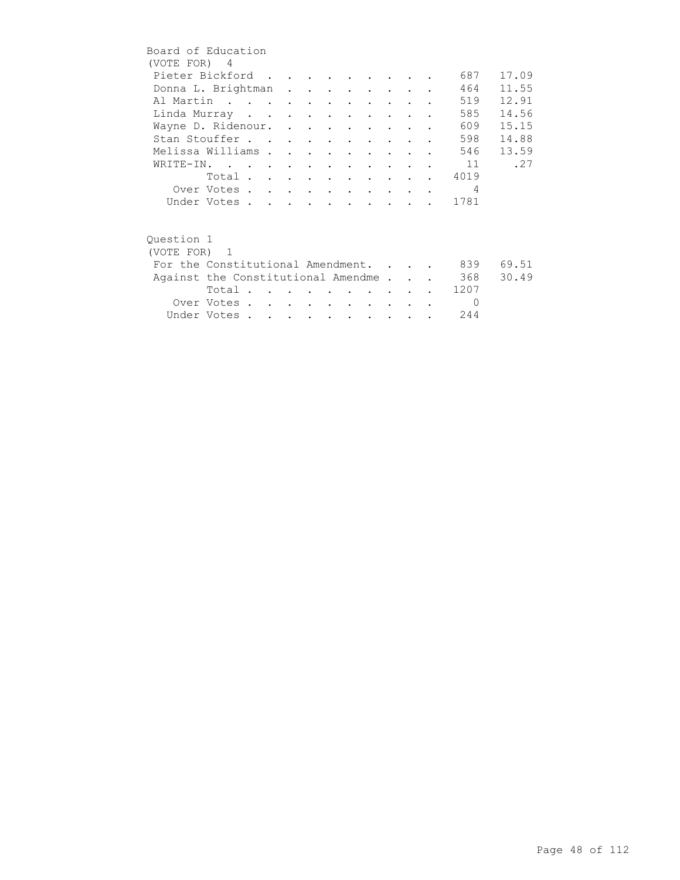|            | Board of Education                     |  |  |                          |                                         |        |  |                |       |
|------------|----------------------------------------|--|--|--------------------------|-----------------------------------------|--------|--|----------------|-------|
|            | (VOTE FOR) 4                           |  |  |                          |                                         |        |  |                |       |
|            | Pieter Bickford                        |  |  |                          |                                         |        |  | 687            | 17.09 |
|            | Donna L. Brightman                     |  |  |                          |                                         |        |  | 464            | 11.55 |
|            | Al Martin                              |  |  |                          |                                         |        |  | 519            | 12.91 |
|            | Linda Murray                           |  |  |                          |                                         |        |  | 585            | 14.56 |
|            | Wayne D. Ridenour.                     |  |  |                          |                                         |        |  | 609            | 15.15 |
|            | Stan Stouffer                          |  |  |                          |                                         |        |  | 598            | 14.88 |
|            | Melissa Williams                       |  |  |                          | $\cdot$ $\cdot$ $\cdot$ $\cdot$ $\cdot$ |        |  | 546            | 13.59 |
|            | WRITE-IN. 11                           |  |  |                          |                                         |        |  |                | .27   |
|            | Total                                  |  |  |                          |                                         |        |  | 4019           |       |
|            | Over Votes                             |  |  |                          |                                         |        |  | $\overline{4}$ |       |
|            | Under Votes                            |  |  |                          |                                         |        |  | 1781           |       |
|            |                                        |  |  |                          |                                         |        |  |                |       |
|            |                                        |  |  |                          |                                         |        |  |                |       |
| Ouestion 1 |                                        |  |  |                          |                                         |        |  |                |       |
|            | (VOTE FOR) 1                           |  |  |                          |                                         |        |  |                |       |
|            | For the Constitutional Amendment.      |  |  |                          |                                         |        |  | 839            | 69.51 |
|            | Against the Constitutional Amendme 368 |  |  |                          |                                         |        |  |                | 30.49 |
|            | Total                                  |  |  |                          |                                         |        |  | 1207           |       |
|            | Over Votes                             |  |  | <b>Contract Contract</b> |                                         | $\sim$ |  | $\Omega$       |       |
|            | Under Votes                            |  |  |                          |                                         |        |  | 244            |       |
|            |                                        |  |  |                          |                                         |        |  |                |       |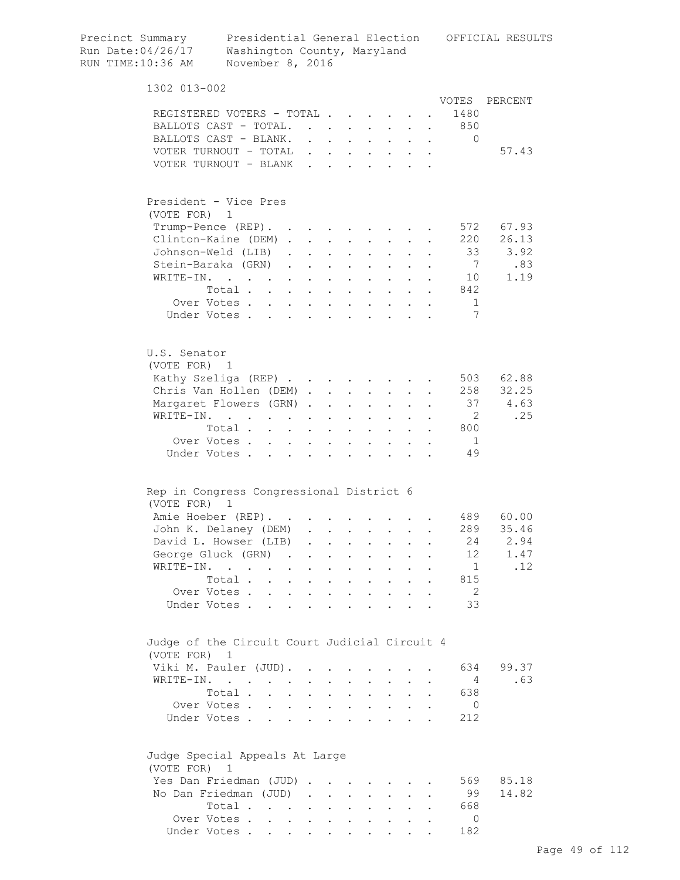| Precinct Summary<br>Run Date: 04/26/17<br>RUN TIME: 10:36 AM  | Washington County, Maryland<br>November 8, 2016                                           |                                                                                   |                      |                                                             |                                                                 |                                                             |                                         |              |                      |                       | Presidential General Election OFFICIAL RESULTS |  |
|---------------------------------------------------------------|-------------------------------------------------------------------------------------------|-----------------------------------------------------------------------------------|----------------------|-------------------------------------------------------------|-----------------------------------------------------------------|-------------------------------------------------------------|-----------------------------------------|--------------|----------------------|-----------------------|------------------------------------------------|--|
| 1302 013-002                                                  |                                                                                           |                                                                                   |                      |                                                             |                                                                 |                                                             |                                         |              |                      |                       |                                                |  |
| REGISTERED VOTERS - TOTAL.<br>BALLOTS CAST - TOTAL.           |                                                                                           |                                                                                   |                      |                                                             | $\cdot$ $\cdot$                                                 |                                                             |                                         |              |                      | VOTES<br>1480<br>850  | PERCENT                                        |  |
| BALLOTS CAST - BLANK.                                         |                                                                                           |                                                                                   |                      |                                                             |                                                                 |                                                             |                                         |              | $\ddot{\phantom{a}}$ | $\mathbf{0}$          |                                                |  |
| VOTER TURNOUT - TOTAL                                         |                                                                                           |                                                                                   | $\mathbf{r}$         | $\mathbf{A}$                                                |                                                                 |                                                             |                                         |              |                      |                       | 57.43                                          |  |
| VOTER TURNOUT - BLANK                                         |                                                                                           |                                                                                   | $\mathbf{L}$         | $\mathbf{r}$                                                |                                                                 |                                                             |                                         |              |                      |                       |                                                |  |
| President - Vice Pres<br>(VOTE FOR)                           | 1                                                                                         |                                                                                   |                      |                                                             |                                                                 |                                                             |                                         |              |                      |                       |                                                |  |
| Trump-Pence (REP). .                                          |                                                                                           |                                                                                   |                      |                                                             |                                                                 |                                                             |                                         |              |                      | 572                   | 67.93                                          |  |
| Clinton-Kaine (DEM).                                          |                                                                                           |                                                                                   |                      | $\ddot{\phantom{0}}$                                        |                                                                 |                                                             |                                         |              |                      | 220                   | 26.13                                          |  |
| Johnson-Weld (LIB)                                            |                                                                                           | $\ddot{\phantom{0}}$                                                              |                      |                                                             | $\ddot{\phantom{a}}$                                            |                                                             |                                         |              |                      | 33                    | 3.92                                           |  |
| Stein-Baraka (GRN)                                            |                                                                                           | $\ddot{\phantom{a}}$                                                              | $\mathbf{L}$         |                                                             |                                                                 |                                                             |                                         |              |                      | $7\overline{ }$       | .83                                            |  |
| $W\text{RITE}-\text{IN}.$                                     |                                                                                           | $\mathbf{r}$                                                                      | $\mathbf{L}$         | $\ddot{\phantom{a}}$                                        | $\mathbf{L}$                                                    | $\ddot{\phantom{a}}$                                        | $\sim$                                  |              |                      | 10                    | 1.19                                           |  |
|                                                               | Total                                                                                     |                                                                                   | $\sim$               | $\ddot{\phantom{a}}$                                        | $\mathbf{L}$                                                    | $\ddot{\phantom{a}}$                                        | $\sim$ $\sim$                           | $\mathbf{r}$ |                      | 842                   |                                                |  |
|                                                               | Over Votes                                                                                |                                                                                   | $\mathbf{L}$         | $\ddot{\phantom{a}}$                                        | $\sim 100$ km s $^{-1}$                                         |                                                             | $\cdot$ $\cdot$ $\cdot$ $\cdot$ $\cdot$ |              |                      | $\mathbf 1$           |                                                |  |
|                                                               | Under Votes                                                                               |                                                                                   |                      |                                                             |                                                                 |                                                             |                                         |              |                      | 7                     |                                                |  |
| U.S. Senator<br>(VOTE FOR) 1                                  |                                                                                           |                                                                                   |                      |                                                             |                                                                 |                                                             |                                         |              |                      |                       |                                                |  |
| Kathy Szeliga (REP)                                           |                                                                                           |                                                                                   |                      |                                                             |                                                                 |                                                             |                                         |              |                      | 503                   | 62.88                                          |  |
| Chris Van Hollen (DEM)                                        |                                                                                           |                                                                                   |                      |                                                             |                                                                 |                                                             | $\mathbf{L}$ and $\mathbf{L}$           |              |                      | 258                   | 32.25                                          |  |
| Margaret Flowers (GRN).                                       |                                                                                           |                                                                                   |                      | $\ddot{\phantom{a}}$                                        | $\sim$ 100 $\sim$                                               | $\mathbf{L}$                                                | $\sim$ $\sim$                           |              |                      |                       | 37 4.63                                        |  |
| WRITE-IN.                                                     | $\mathcal{L}^{\text{max}}$ , where $\mathcal{L}^{\text{max}}$                             | $\mathbf{L} = \mathbf{L}$                                                         | $\sim$               | $\ddot{\phantom{a}}$                                        | $\bullet$                                                       | $\ddot{\phantom{a}}$                                        | $\ddot{\phantom{0}}$                    |              |                      | 2                     | .25                                            |  |
|                                                               | Total .                                                                                   | $\mathbf{r} = \mathbf{r} \cdot \mathbf{r}$ . The set of $\mathbf{r}$              |                      | $\bullet$                                                   | $\sim 100$ km s $^{-1}$                                         | $\bullet$                                                   | $\sim$ 100 $\pm$                        | $\bullet$ .  |                      | 800                   |                                                |  |
| Over Votes.                                                   |                                                                                           | $\sim$<br>$\ddot{\phantom{0}}$                                                    | $\ddot{\phantom{a}}$ | $\bullet$                                                   | $\bullet$                                                       | $\bullet$                                                   |                                         |              |                      | -1                    |                                                |  |
| Under Votes.                                                  | $\ddot{\phantom{a}}$                                                                      |                                                                                   | $\bullet$            | $\ddot{\phantom{0}}$                                        |                                                                 |                                                             |                                         |              |                      | 49                    |                                                |  |
| Rep in Congress Congressional District 6<br>(VOTE FOR)        | 1                                                                                         |                                                                                   |                      |                                                             |                                                                 |                                                             |                                         |              |                      |                       |                                                |  |
| Amie Hoeber (REP).                                            |                                                                                           |                                                                                   |                      |                                                             |                                                                 |                                                             |                                         |              |                      |                       | 489 60.00                                      |  |
| John K. Delaney (DEM)                                         |                                                                                           |                                                                                   |                      |                                                             |                                                                 |                                                             |                                         |              |                      | 289                   | 35.46                                          |  |
| David L. Howser (LIB)                                         |                                                                                           |                                                                                   |                      |                                                             | $\bullet$ .<br><br><br><br><br><br><br><br><br><br><br><br><br> | $\bullet$ .<br><br><br><br><br><br><br><br><br><br><br><br> | $\sim 100$                              | $\bullet$    |                      | 24                    | 2.94                                           |  |
| George Gluck (GRN)                                            |                                                                                           | $\sim$                                                                            |                      | $\ddot{\phantom{0}}$                                        |                                                                 | $\bullet$                                                   | $\bullet$ .                             |              |                      | 12                    | 1.47                                           |  |
| WRITE-IN.                                                     |                                                                                           | $\bullet$                                                                         |                      | $\bullet$                                                   | $\ddot{\phantom{0}}$                                            | $\bullet$                                                   |                                         |              |                      | 1                     | .12                                            |  |
|                                                               | Total.<br>$\ddot{\phantom{a}}$                                                            | $\ddot{\phantom{0}}$                                                              |                      | $\ddot{\phantom{a}}$                                        | $\bullet$                                                       | $\bullet$                                                   |                                         |              |                      | 815                   |                                                |  |
| Over Votes.<br>Under Votes.                                   | $\ddot{\phantom{a}}$                                                                      | $\ddot{\phantom{a}}$                                                              |                      | $\ddot{\phantom{a}}$                                        | $\ddot{\phantom{a}}$                                            |                                                             |                                         |              |                      | - 2<br>33             |                                                |  |
|                                                               |                                                                                           |                                                                                   |                      |                                                             |                                                                 |                                                             |                                         |              |                      |                       |                                                |  |
| Judge of the Circuit Court Judicial Circuit 4<br>(VOTE FOR) 1 |                                                                                           |                                                                                   |                      |                                                             |                                                                 |                                                             |                                         |              |                      | 634                   | 99.37                                          |  |
| Viki M. Pauler (JUD).                                         |                                                                                           |                                                                                   |                      |                                                             |                                                                 |                                                             |                                         |              |                      |                       |                                                |  |
| WRITE-IN.                                                     | $\mathcal{L}(\mathbf{r})$ , and $\mathcal{L}(\mathbf{r})$ , and $\mathcal{L}(\mathbf{r})$ |                                                                                   |                      |                                                             |                                                                 |                                                             |                                         |              |                      | $\overline{4}$        | .63                                            |  |
|                                                               | Total .                                                                                   | $\ddot{\phantom{a}}$                                                              |                      | $\ddot{\phantom{a}}$                                        |                                                                 |                                                             |                                         |              |                      | 638                   |                                                |  |
| Over Votes .<br>Under Votes.                                  |                                                                                           | $\mathbf{L}^{\text{max}}$<br>$\ddot{\phantom{0}}$<br>$\mathbf{r}$<br>$\mathbf{L}$ | $\mathbf{L}$         | $\ddot{\phantom{a}}$                                        | $\ddot{\phantom{a}}$                                            | $\ddot{\phantom{a}}$                                        |                                         |              |                      | $\overline{0}$<br>212 |                                                |  |
| Judge Special Appeals At Large                                |                                                                                           |                                                                                   |                      |                                                             |                                                                 |                                                             |                                         |              |                      |                       |                                                |  |
| (VOTE FOR)                                                    | 1                                                                                         |                                                                                   |                      |                                                             |                                                                 |                                                             |                                         |              |                      |                       |                                                |  |
| Yes Dan Friedman (JUD).                                       |                                                                                           |                                                                                   |                      | $\mathbf{r}$ . The set of $\mathbf{r}$                      |                                                                 |                                                             |                                         |              |                      | 569                   | 85.18                                          |  |
| No Dan Friedman (JUD)                                         |                                                                                           |                                                                                   |                      |                                                             |                                                                 |                                                             | $\ddot{\phantom{1}}$                    |              |                      | 99                    | 14.82                                          |  |
|                                                               | Total                                                                                     |                                                                                   |                      | $\bullet$ .<br><br><br><br><br><br><br><br><br><br><br><br> | $\ddot{\phantom{a}}$                                            |                                                             | $\mathbf{L}^{\text{max}}$               |              |                      | 668                   |                                                |  |
|                                                               | Over Votes.                                                                               |                                                                                   |                      |                                                             |                                                                 |                                                             |                                         |              |                      | $\Omega$              |                                                |  |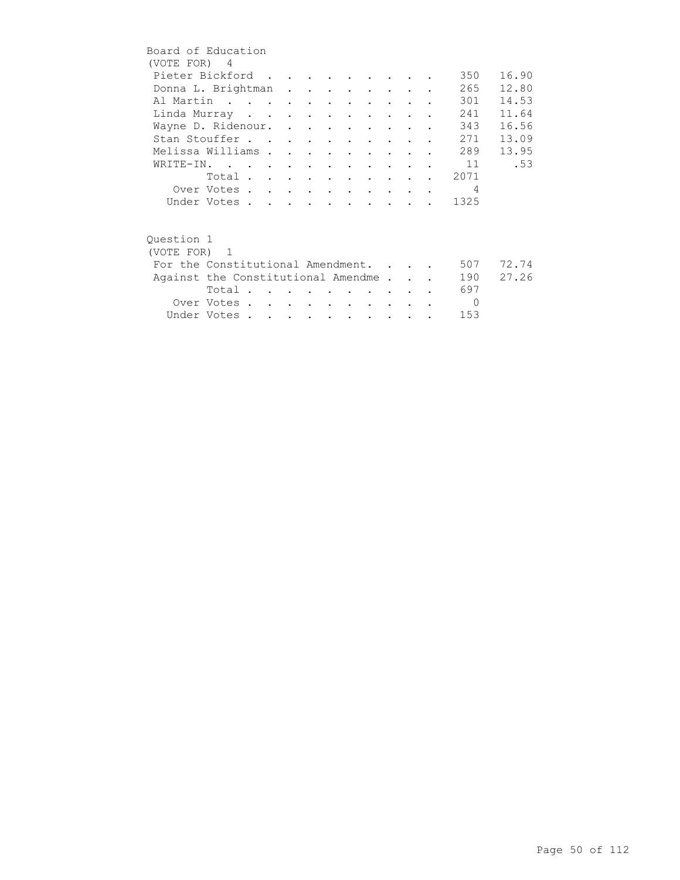|              | Board of Education                 |  |  |  |                                 |                                 |  |                |       |
|--------------|------------------------------------|--|--|--|---------------------------------|---------------------------------|--|----------------|-------|
| (VOTE FOR) 4 |                                    |  |  |  |                                 |                                 |  |                |       |
|              | Pieter Bickford                    |  |  |  |                                 |                                 |  | 350            | 16.90 |
|              | Donna L. Brightman                 |  |  |  |                                 |                                 |  | 265            | 12.80 |
|              | Al Martin                          |  |  |  |                                 |                                 |  | 301            | 14.53 |
|              | Linda Murray                       |  |  |  |                                 | <b>Contract Contract</b>        |  | 241            | 11.64 |
|              | Wayne D. Ridenour.                 |  |  |  |                                 |                                 |  | 343            | 16.56 |
|              | Stan Stouffer                      |  |  |  |                                 |                                 |  | 271            | 13.09 |
|              | Melissa Williams                   |  |  |  | $\cdot$ $\cdot$ $\cdot$ $\cdot$ |                                 |  | 289            | 13.95 |
|              | WRITE-IN.                          |  |  |  |                                 |                                 |  | $\cdot$ 11     | .53   |
|              | Total                              |  |  |  |                                 |                                 |  | . 2071         |       |
|              | Over Votes                         |  |  |  |                                 |                                 |  | $\overline{4}$ |       |
|              | Under Votes                        |  |  |  |                                 |                                 |  | 1325           |       |
|              |                                    |  |  |  |                                 |                                 |  |                |       |
| Ouestion 1   |                                    |  |  |  |                                 |                                 |  |                |       |
| (VOTE FOR) 1 |                                    |  |  |  |                                 |                                 |  |                |       |
|              | For the Constitutional Amendment.  |  |  |  |                                 |                                 |  | 507            | 72.74 |
|              | Against the Constitutional Amendme |  |  |  |                                 |                                 |  | 190            | 27.26 |
|              | Total $\cdots$                     |  |  |  |                                 |                                 |  | 697            |       |
|              | Over Votes                         |  |  |  |                                 | <b>Contract Contract Street</b> |  | $\overline{0}$ |       |
|              | Under Votes                        |  |  |  |                                 |                                 |  | 153            |       |
|              |                                    |  |  |  |                                 |                                 |  |                |       |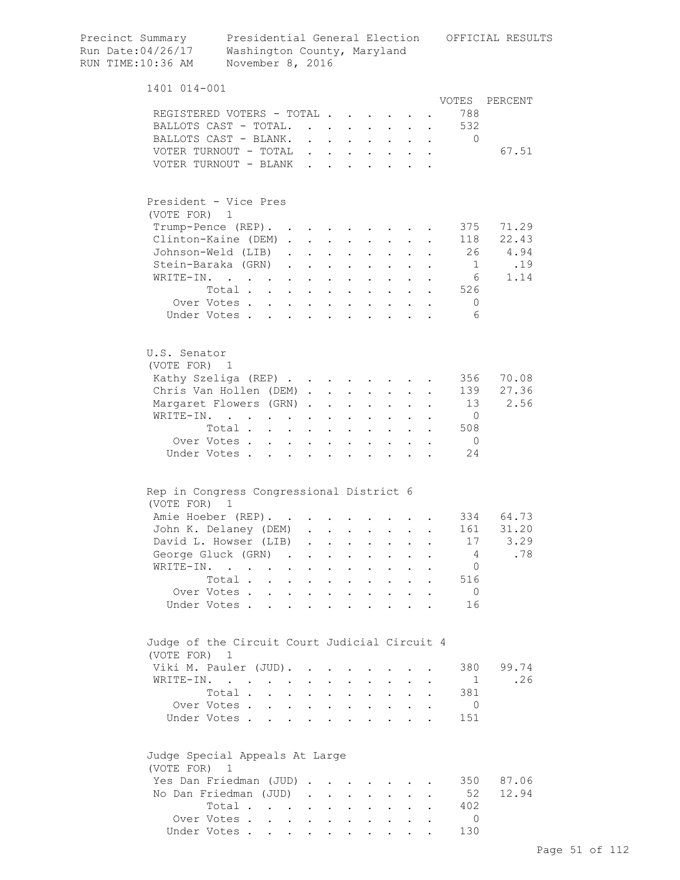| Precinct Summary<br>Run Date: 04/26/17<br>RUN TIME: 10:36 AM | Presidential General Election<br>Washington County, Maryland<br>November 8, 2016                         |                                               |                                                                                   |                                                                 |                                           |                                                                                  |                                                           |           |                             | OFFICIAL RESULTS  |  |
|--------------------------------------------------------------|----------------------------------------------------------------------------------------------------------|-----------------------------------------------|-----------------------------------------------------------------------------------|-----------------------------------------------------------------|-------------------------------------------|----------------------------------------------------------------------------------|-----------------------------------------------------------|-----------|-----------------------------|-------------------|--|
| 1401 014-001                                                 |                                                                                                          |                                               |                                                                                   |                                                                 |                                           |                                                                                  |                                                           |           |                             |                   |  |
|                                                              | REGISTERED VOTERS - TOTAL<br>BALLOTS CAST - TOTAL.<br>BALLOTS CAST - BLANK.<br>VOTER TURNOUT - TOTAL     |                                               | $\mathbf{r} = \mathbf{r} \mathbf{r}$ , where $\mathbf{r} = \mathbf{r} \mathbf{r}$ |                                                                 |                                           |                                                                                  | $\mathbf{r}$ , $\mathbf{r}$ , $\mathbf{r}$ , $\mathbf{r}$ |           | VOTES<br>788<br>532<br>0    | PERCENT<br>67.51  |  |
|                                                              | VOTER TURNOUT - BLANK                                                                                    |                                               |                                                                                   |                                                                 |                                           |                                                                                  |                                                           |           |                             |                   |  |
| President - Vice Pres<br>(VOTE FOR) 1                        |                                                                                                          |                                               |                                                                                   |                                                                 |                                           |                                                                                  |                                                           |           |                             |                   |  |
|                                                              | Trump-Pence (REP).<br>Clinton-Kaine (DEM)                                                                |                                               |                                                                                   |                                                                 |                                           | $\mathbf{L} = \mathbf{L} \mathbf{L}$                                             |                                                           |           | 375<br>118                  | 71.29<br>22.43    |  |
|                                                              | Johnson-Weld (LIB).<br>Stein-Baraka (GRN).                                                               | $\sim$ 100 $\pm$<br>$\mathbf{a} = \mathbf{a}$ |                                                                                   | $\cdot$ $\cdot$ $\cdot$<br>$\mathbf{L} = \mathbf{L} \mathbf{L}$ |                                           | $\mathbf{L} = \mathbf{L} \mathbf{L}$<br>$\mathbf{z} = \mathbf{z} + \mathbf{z}$ . | $\ddot{\phantom{0}}$                                      |           | 26<br>$\overline{1}$        | 4.94<br>.19       |  |
| WRITE-IN.                                                    | $\mathcal{A}^{\mathcal{A}}$ , and $\mathcal{A}^{\mathcal{A}}$ , and $\mathcal{A}^{\mathcal{A}}$<br>Total |                                               | $\mathbf{r}$ , $\mathbf{r}$ , $\mathbf{r}$ , $\mathbf{r}$                         |                                                                 | $\mathbf{A}^{\text{max}}$                 | $\mathbf{z} = \mathbf{z} + \mathbf{z}$ .                                         |                                                           |           | 6<br>526                    | 1.14              |  |
|                                                              | Over Votes<br>Under Votes                                                                                | $\mathbf{L}$<br>$\sim$                        | $\mathbf{L}$                                                                      | $\sim$                                                          | $\bullet$                                 |                                                                                  |                                                           |           | $\circ$<br>6                |                   |  |
| U.S. Senator<br>(VOTE FOR) 1                                 |                                                                                                          |                                               |                                                                                   |                                                                 |                                           |                                                                                  |                                                           |           |                             |                   |  |
|                                                              | Kathy Szeliga (REP)<br>Chris Van Hollen (DEM)                                                            |                                               |                                                                                   |                                                                 |                                           |                                                                                  |                                                           |           | 356<br>139                  | 70.08<br>27.36    |  |
| WRITE-IN.                                                    | Margaret Flowers (GRN)                                                                                   | $\mathbf{r} = \mathbf{r} + \mathbf{r}$        | $\bullet$                                                                         | <b>Contract Contract</b>                                        | $\mathbf{z} = \mathbf{z}$                 |                                                                                  |                                                           |           | 13<br>$\overline{0}$        | 2.56              |  |
|                                                              | Total<br>Over Votes<br>Under Votes                                                                       | $\sim$                                        | $\mathbf{r}$<br>$\ddot{\phantom{a}}$                                              | $\ddot{\phantom{0}}$<br>$\sim$ $\sim$<br>$\sim$ $\sim$ $\sim$   | $\bullet$ .<br>$\mathbf{L}$               | $\sim$                                                                           | $\cdot$ $\cdot$ $\cdot$ $\cdot$ $\cdot$                   |           | 508<br>$\overline{0}$<br>24 |                   |  |
| (VOTE FOR) 1                                                 | Rep in Congress Congressional District 6                                                                 |                                               |                                                                                   |                                                                 |                                           |                                                                                  |                                                           |           |                             |                   |  |
|                                                              | Amie Hoeber (REP).                                                                                       |                                               |                                                                                   |                                                                 |                                           |                                                                                  |                                                           |           |                             | 334 64.73         |  |
|                                                              | John K. Delaney (DEM) .<br>David L. Howser (LIB)                                                         |                                               | $\mathbf{L} = \mathbf{L}$                                                         | $\mathbf{r}$                                                    | $\sim$                                    |                                                                                  |                                                           |           | 17                          | 161 31.20<br>3.29 |  |
|                                                              | George Gluck (GRN).<br>WRITE-IN.                                                                         | $\sim$<br>$\sim$                              | $\ddot{\phantom{0}}$<br>$\ddot{\phantom{a}}$                                      | $\mathbf{r}$<br><b>Contract Contract Street</b>                 | $\mathbf{L}$<br>$\mathbf{L}^{\text{max}}$ | $\sim$<br>$\sim$                                                                 | $\ddot{\phantom{0}}$<br>$\ddot{\phantom{0}}$              |           | 4<br>0                      | .78               |  |
|                                                              | Total<br>Over Votes                                                                                      |                                               | $\ddot{\phantom{0}}$                                                              | $\sim$ $\sim$ $\sim$                                            |                                           | $\mathbf{r} = \mathbf{r} + \mathbf{r}$ .                                         | $\sim$<br>$\mathbf{r} = \mathbf{r} \cdot \mathbf{r}$      | $\bullet$ | 516<br>$\overline{0}$       |                   |  |
|                                                              | Under Votes                                                                                              |                                               |                                                                                   |                                                                 |                                           |                                                                                  |                                                           |           | 16                          |                   |  |
| (VOTE FOR)                                                   | Judge of the Circuit Court Judicial Circuit 4<br>1                                                       |                                               |                                                                                   |                                                                 |                                           |                                                                                  |                                                           |           |                             |                   |  |
|                                                              | Viki M. Pauler (JUD).<br>WRITE-IN.                                                                       |                                               |                                                                                   |                                                                 |                                           |                                                                                  |                                                           |           | 380<br>$\mathbf{1}$         | 99.74<br>.26      |  |
|                                                              | Total .<br>Over Votes                                                                                    | $\mathbf{L} = \mathbf{L} \mathbf{L}$          | $\ddot{\phantom{0}}$                                                              |                                                                 |                                           |                                                                                  | $\mathbf{r}$ , and $\mathbf{r}$ , and $\mathbf{r}$        | $\bullet$ | 381<br>0                    |                   |  |
|                                                              | Under Votes                                                                                              |                                               |                                                                                   |                                                                 |                                           |                                                                                  |                                                           |           | 151                         |                   |  |
| (VOTE FOR) 1                                                 | Judge Special Appeals At Large                                                                           |                                               |                                                                                   |                                                                 |                                           |                                                                                  |                                                           |           |                             |                   |  |
|                                                              | Yes Dan Friedman (JUD)<br>No Dan Friedman (JUD)                                                          |                                               |                                                                                   |                                                                 |                                           |                                                                                  |                                                           |           | 350<br>52                   | 87.06<br>12.94    |  |
|                                                              | Total<br>Over Votes                                                                                      |                                               |                                                                                   |                                                                 |                                           |                                                                                  |                                                           |           | 402<br>$\Omega$             |                   |  |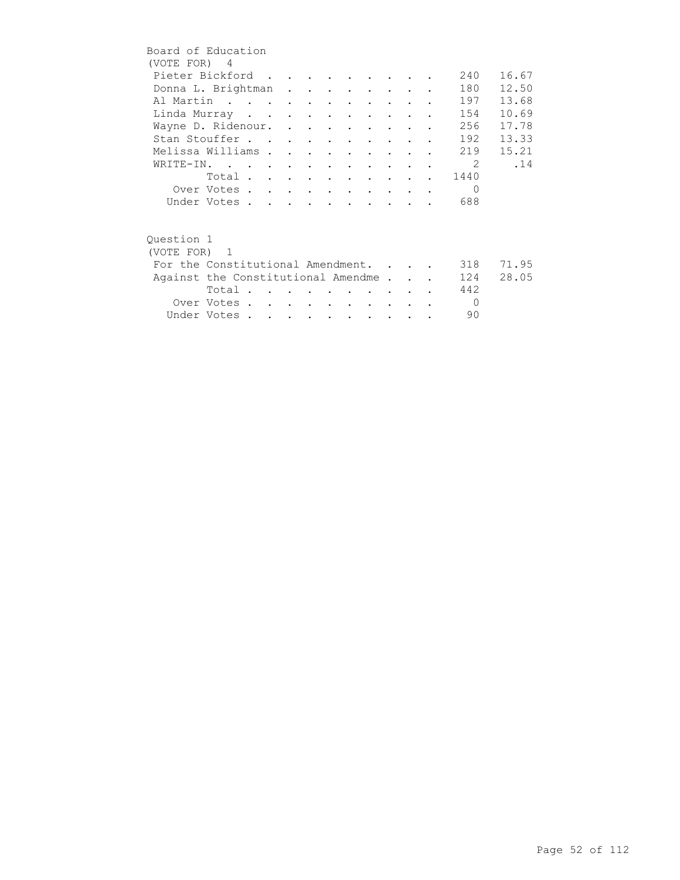| Board of Education<br>(VOTE FOR) 4 |                                    |  |  |                             |                                         |                      |  |                |       |
|------------------------------------|------------------------------------|--|--|-----------------------------|-----------------------------------------|----------------------|--|----------------|-------|
|                                    | Pieter Bickford                    |  |  |                             |                                         |                      |  | 240            | 16.67 |
|                                    |                                    |  |  |                             |                                         |                      |  | 180            | 12.50 |
|                                    | Donna L. Brightman                 |  |  |                             |                                         |                      |  |                |       |
|                                    | Al Martin                          |  |  |                             |                                         |                      |  | 197            | 13.68 |
|                                    | Linda Murray                       |  |  |                             |                                         | $\sim$ $\sim$ $\sim$ |  | 154            | 10.69 |
|                                    | Wayne D. Ridenour.                 |  |  |                             |                                         |                      |  | 256            | 17.78 |
|                                    | Stan Stouffer                      |  |  |                             |                                         |                      |  | 192            | 13.33 |
| Melissa Williams                   |                                    |  |  |                             | $\cdot$ $\cdot$ $\cdot$ $\cdot$ $\cdot$ |                      |  | 219            | 15.21 |
|                                    | WRITE-IN.                          |  |  |                             |                                         |                      |  | $\overline{2}$ | .14   |
|                                    | Total                              |  |  |                             |                                         |                      |  | 1440           |       |
|                                    |                                    |  |  |                             |                                         |                      |  | $\Omega$       |       |
|                                    | Over Votes                         |  |  |                             |                                         |                      |  |                |       |
|                                    | Under Votes                        |  |  |                             |                                         |                      |  | 688            |       |
|                                    |                                    |  |  |                             |                                         |                      |  |                |       |
| Ouestion 1                         |                                    |  |  |                             |                                         |                      |  |                |       |
| (VOTE FOR) 1                       |                                    |  |  |                             |                                         |                      |  |                |       |
|                                    | For the Constitutional Amendment.  |  |  |                             |                                         |                      |  | 318            | 71.95 |
|                                    |                                    |  |  |                             |                                         |                      |  |                | 28.05 |
|                                    | Against the Constitutional Amendme |  |  |                             |                                         |                      |  | 124            |       |
|                                    | Total                              |  |  |                             |                                         |                      |  | 442            |       |
|                                    | Over Votes                         |  |  |                             |                                         |                      |  | $\Omega$       |       |
|                                    | Under Votes                        |  |  | $\sim$ $\sim$ $\sim$ $\sim$ |                                         |                      |  | 90             |       |
|                                    |                                    |  |  |                             |                                         |                      |  |                |       |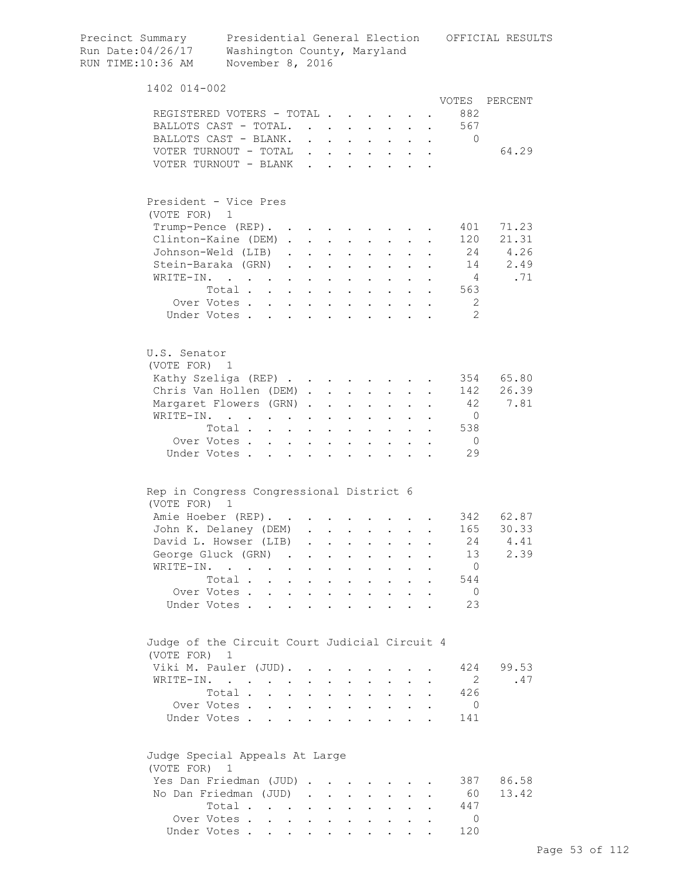| Precinct Summary<br>Run Date: 04/26/17<br>RUN TIME: 10:36 AM | Washington County, Maryland<br>November 8, 2016                                              |                                                             |                                                           |                                              |                                                             |                                                   |                                            |                      |                      |                 | Presidential General Election OFFICIAL RESULTS |
|--------------------------------------------------------------|----------------------------------------------------------------------------------------------|-------------------------------------------------------------|-----------------------------------------------------------|----------------------------------------------|-------------------------------------------------------------|---------------------------------------------------|--------------------------------------------|----------------------|----------------------|-----------------|------------------------------------------------|
| 1402 014-002                                                 |                                                                                              |                                                             |                                                           |                                              |                                                             |                                                   |                                            |                      |                      |                 |                                                |
|                                                              |                                                                                              |                                                             |                                                           |                                              |                                                             |                                                   |                                            |                      |                      | VOTES           | PERCENT                                        |
| REGISTERED VOTERS - TOTAL.                                   |                                                                                              |                                                             |                                                           |                                              |                                                             | $\mathbf{L}$ and $\mathbf{L}$                     |                                            |                      |                      | 882             |                                                |
| BALLOTS CAST - TOTAL.                                        |                                                                                              |                                                             | $\mathbf{L}$                                              |                                              |                                                             |                                                   |                                            |                      |                      | 567             |                                                |
| BALLOTS CAST - BLANK.<br>VOTER TURNOUT - TOTAL               |                                                                                              |                                                             |                                                           | $\ddot{\phantom{a}}$                         |                                                             |                                                   |                                            |                      |                      | $\mathbf 0$     | 64.29                                          |
| VOTER TURNOUT - BLANK                                        |                                                                                              |                                                             | $\mathbf{r}$<br>$\mathbf{L}$                              | $\mathbf{r}$                                 | $\mathbf{L} = \mathbf{L}$<br>$\mathbf{L}$                   |                                                   |                                            |                      |                      |                 |                                                |
|                                                              |                                                                                              |                                                             |                                                           |                                              |                                                             |                                                   |                                            |                      |                      |                 |                                                |
| President - Vice Pres                                        |                                                                                              |                                                             |                                                           |                                              |                                                             |                                                   |                                            |                      |                      |                 |                                                |
| (VOTE FOR)                                                   | 1                                                                                            |                                                             |                                                           |                                              |                                                             |                                                   |                                            |                      |                      |                 |                                                |
| Trump-Pence (REP).                                           |                                                                                              |                                                             |                                                           |                                              |                                                             |                                                   |                                            |                      |                      | 401             | 71.23                                          |
| Clinton-Kaine (DEM).                                         |                                                                                              |                                                             | $\mathbf{L}$                                              | $\ddot{\phantom{a}}$                         |                                                             |                                                   |                                            |                      |                      | 120             | 21.31                                          |
| Johnson-Weld (LIB)<br>Stein-Baraka (GRN)                     |                                                                                              | $\ddot{\phantom{a}}$                                        | $\mathbf{L}^{\text{max}}$                                 | $\ddot{\phantom{a}}$                         | $\ddot{\phantom{a}}$                                        |                                                   |                                            |                      |                      | 24              | 4.26<br>14<br>2.49                             |
| WRITE-IN.                                                    |                                                                                              | $\ddot{\phantom{a}}$                                        | $\sim$<br>$\mathbf{L}$                                    |                                              | $\mathbf{L}$                                                |                                                   | $\mathbf{L}$                               |                      |                      | $4\overline{4}$ | .71                                            |
|                                                              | Total                                                                                        | $\sim$                                                      |                                                           | $\ddot{\phantom{a}}$<br>$\ddot{\phantom{a}}$ | $\sim$                                                      | $\ddot{\phantom{0}}$                              | $\mathbf{L} = \mathbf{L}$                  | $\mathbf{r}$         |                      | 563             |                                                |
|                                                              | Over Votes                                                                                   |                                                             |                                                           |                                              | $\mathbf{L}$ and $\mathbf{L}$                               |                                                   | $\mathbf{r} = \mathbf{r} + \mathbf{r}$     |                      | $\ddot{\phantom{a}}$ | 2               |                                                |
|                                                              | Under Votes                                                                                  |                                                             |                                                           |                                              |                                                             |                                                   |                                            |                      |                      | 2               |                                                |
|                                                              |                                                                                              |                                                             |                                                           |                                              |                                                             |                                                   |                                            |                      |                      |                 |                                                |
| U.S. Senator                                                 |                                                                                              |                                                             |                                                           |                                              |                                                             |                                                   |                                            |                      |                      |                 |                                                |
| (VOTE FOR) 1                                                 |                                                                                              |                                                             |                                                           |                                              |                                                             |                                                   |                                            |                      |                      |                 |                                                |
| Kathy Szeliga (REP)                                          |                                                                                              |                                                             |                                                           |                                              |                                                             |                                                   |                                            |                      |                      | 354<br>142      | 65.80                                          |
| Chris Van Hollen (DEM).                                      |                                                                                              |                                                             |                                                           |                                              |                                                             |                                                   | $\mathbf{r}$ , $\mathbf{r}$ , $\mathbf{r}$ |                      |                      | 42              | 26.39<br>7.81                                  |
| Margaret Flowers (GRN)<br>WRITE-IN.                          |                                                                                              |                                                             | $\ddot{\phantom{a}}$                                      | $\ddot{\phantom{a}}$                         | $\sim$ $\sim$                                               |                                                   | $\mathbf{L}$ and $\mathbf{L}$              |                      |                      | $\circ$         |                                                |
|                                                              | Total                                                                                        | $\mathbf{r} = \mathbf{r}$ , where $\mathbf{r} = \mathbf{r}$ |                                                           | $\ddot{\phantom{0}}$                         | $\ddot{\phantom{a}}$                                        | $\ddot{\phantom{a}}$<br>$\mathbf{L}^{\text{max}}$ | $\mathbf{L}$<br>$\mathbf{a} = \mathbf{b}$  | $\ddot{\phantom{0}}$ |                      | 538             |                                                |
|                                                              | Over Votes                                                                                   | $\bullet$                                                   | $\sim$ $\sim$                                             | $\bullet$                                    | $\bullet$                                                   | $\bullet$                                         |                                            |                      |                      | $\overline{0}$  |                                                |
| Under Votes.                                                 | $\bullet$                                                                                    |                                                             | $\bullet$                                                 | $\ddot{\phantom{0}}$                         |                                                             |                                                   |                                            |                      |                      | 29              |                                                |
|                                                              |                                                                                              |                                                             |                                                           |                                              |                                                             |                                                   |                                            |                      |                      |                 |                                                |
| Rep in Congress Congressional District 6                     | 1                                                                                            |                                                             |                                                           |                                              |                                                             |                                                   |                                            |                      |                      |                 |                                                |
| (VOTE FOR)<br>Amie Hoeber (REP).                             |                                                                                              |                                                             |                                                           |                                              |                                                             |                                                   |                                            |                      |                      |                 | 342 62.87                                      |
| John K. Delaney (DEM)                                        |                                                                                              |                                                             | $\ddot{\phantom{0}}$                                      |                                              |                                                             |                                                   |                                            |                      |                      | 165             | 30.33                                          |
| David L. Howser (LIB)                                        |                                                                                              |                                                             |                                                           |                                              | $\bullet$ .<br><br><br><br><br><br><br><br><br><br><br><br> | $\sim 10^{-10}$                                   | $\sim 100$                                 | $\bullet$            |                      | 24              | 4.41                                           |
| George Gluck (GRN)                                           |                                                                                              | $\sim$                                                      |                                                           | $\ddot{\phantom{0}}$                         | $\ddot{\phantom{0}}$                                        | $\bullet$                                         | $\bullet$ .                                |                      |                      | 13              | 2.39                                           |
| WRITE-IN.                                                    |                                                                                              | $\bullet$                                                   | $\ddot{\phantom{a}}$                                      | $\ddot{\phantom{0}}$                         | $\bullet$                                                   | $\bullet$                                         |                                            |                      |                      | $\Omega$        |                                                |
|                                                              | Total.<br>$\sim$                                                                             | $\sim$                                                      | $\mathbf{a} = \mathbf{a}$                                 | $\ddot{\phantom{a}}$                         | $\bullet$ .<br><br><br><br><br><br><br><br><br><br><br><br> | $\ddot{\phantom{a}}$                              |                                            |                      |                      | 544             |                                                |
| Over Votes .                                                 | $\mathbf{L}$                                                                                 | $\ddot{\phantom{a}}$                                        | $\ddot{\phantom{a}}$                                      | $\ddot{\phantom{a}}$                         | $\ddot{\phantom{0}}$                                        |                                                   |                                            |                      |                      | $\overline{0}$  |                                                |
| Under Votes.                                                 | $\mathbf{L}$                                                                                 |                                                             |                                                           |                                              |                                                             |                                                   |                                            |                      |                      | 23              |                                                |
| Judge of the Circuit Court Judicial Circuit 4                |                                                                                              |                                                             |                                                           |                                              |                                                             |                                                   |                                            |                      |                      |                 |                                                |
| (VOTE FOR) 1                                                 |                                                                                              |                                                             |                                                           |                                              |                                                             |                                                   |                                            |                      |                      |                 |                                                |
| Viki M. Pauler (JUD).                                        |                                                                                              |                                                             |                                                           |                                              |                                                             |                                                   |                                            |                      |                      | 424             | 99.53                                          |
| WRITE-IN.                                                    | $\mathcal{L}(\mathcal{A})$ , and $\mathcal{L}(\mathcal{A})$ , and $\mathcal{L}(\mathcal{A})$ |                                                             |                                                           |                                              |                                                             |                                                   |                                            |                      |                      | 2               | .47                                            |
|                                                              | Total .                                                                                      | $\ddot{\phantom{a}}$                                        |                                                           | $\ddot{\phantom{a}}$                         |                                                             |                                                   |                                            |                      |                      | 426             |                                                |
| Over Votes.                                                  | $\sim$                                                                                       | $\ddot{\phantom{0}}$                                        | $\sim$                                                    | $\ddot{\phantom{a}}$                         | $\ddot{\phantom{a}}$                                        | $\ddot{\phantom{0}}$                              |                                            |                      |                      | $\overline{0}$  |                                                |
| Under Votes.                                                 | $\mathbf{L}$                                                                                 | $\mathbf{L}$                                                |                                                           |                                              |                                                             |                                                   | $\mathbf{r}$                               |                      |                      | 141             |                                                |
| Judge Special Appeals At Large                               |                                                                                              |                                                             |                                                           |                                              |                                                             |                                                   |                                            |                      |                      |                 |                                                |
| (VOTE FOR) 1                                                 |                                                                                              |                                                             |                                                           |                                              |                                                             |                                                   |                                            |                      |                      |                 |                                                |
| Yes Dan Friedman (JUD)                                       |                                                                                              |                                                             |                                                           |                                              |                                                             |                                                   |                                            |                      |                      | 387             | 86.58                                          |
| No Dan Friedman (JUD)                                        |                                                                                              |                                                             | $\mathbf{A}^{\text{max}}$ , and $\mathbf{A}^{\text{max}}$ |                                              |                                                             | $\ddot{\phantom{a}}$                              |                                            |                      |                      | 60              | 13.42                                          |
|                                                              | Total                                                                                        |                                                             | $\sim$ $\sim$ $\sim$                                      |                                              | $\ddot{\phantom{0}}$                                        |                                                   |                                            |                      |                      | 447             |                                                |
|                                                              | Over Votes                                                                                   | $\mathcal{L}^{\text{max}}$                                  | $\sim 10^{-11}$                                           | $\ddot{\phantom{a}}$                         | $\ddot{\phantom{a}}$                                        |                                                   |                                            |                      |                      | $\circ$         |                                                |
|                                                              | Under Votes                                                                                  |                                                             |                                                           |                                              |                                                             |                                                   |                                            |                      |                      | 120             |                                                |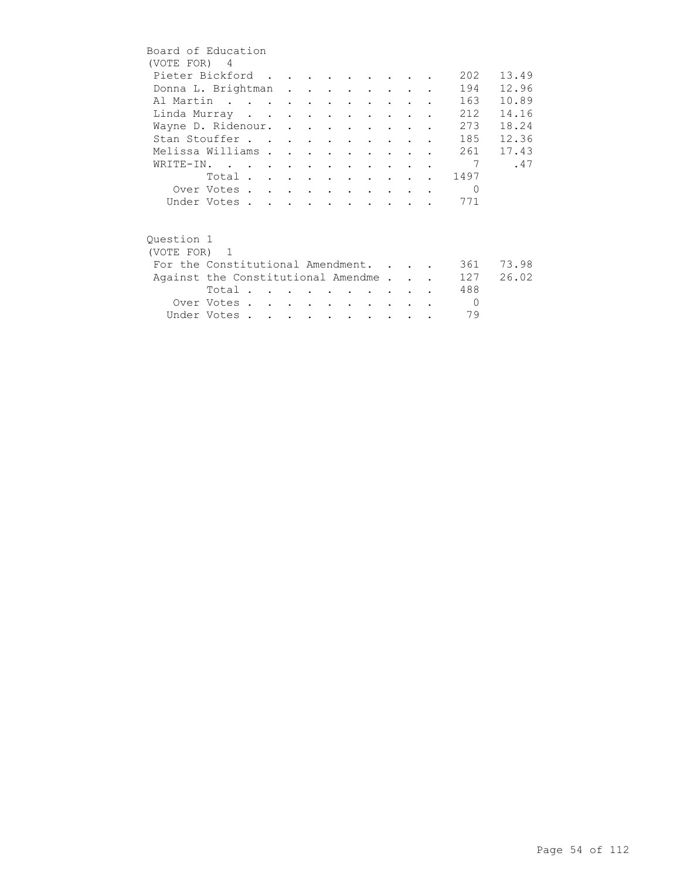| Board of Education |                                    |  |  |               |                                                   |                      |  |           |       |
|--------------------|------------------------------------|--|--|---------------|---------------------------------------------------|----------------------|--|-----------|-------|
| (VOTE FOR) 4       |                                    |  |  |               |                                                   |                      |  |           |       |
|                    | Pieter Bickford                    |  |  |               |                                                   |                      |  | 202       | 13.49 |
|                    | Donna L. Brightman                 |  |  |               |                                                   |                      |  | 194       | 12.96 |
|                    | Al Martin                          |  |  |               |                                                   |                      |  | 163       | 10.89 |
|                    | Linda Murray                       |  |  |               |                                                   | $\sim$ $\sim$ $\sim$ |  | 212       | 14.16 |
|                    | Wayne D. Ridenour.                 |  |  |               |                                                   |                      |  | 273       | 18.24 |
|                    | Stan Stouffer                      |  |  |               |                                                   |                      |  | 185       | 12.36 |
|                    | Melissa Williams                   |  |  |               | $\bullet$ $\bullet$ $\bullet$ $\bullet$ $\bullet$ |                      |  | 261       | 17.43 |
|                    | WRITE-IN.                          |  |  |               |                                                   |                      |  | 7         | .47   |
|                    | Total                              |  |  |               |                                                   |                      |  | 1497      |       |
|                    | Over Votes                         |  |  |               |                                                   |                      |  | $\Omega$  |       |
|                    | Under Votes                        |  |  |               |                                                   |                      |  | 771       |       |
|                    |                                    |  |  |               |                                                   |                      |  |           |       |
| Ouestion 1         |                                    |  |  |               |                                                   |                      |  |           |       |
| (VOTE FOR) 1       |                                    |  |  |               |                                                   |                      |  |           |       |
|                    | For the Constitutional Amendment.  |  |  |               |                                                   |                      |  | 361 —     | 73.98 |
|                    |                                    |  |  |               |                                                   |                      |  |           |       |
|                    | Against the Constitutional Amendme |  |  |               |                                                   |                      |  | 127       | 26.02 |
|                    | Total                              |  |  |               |                                                   |                      |  | 488       |       |
|                    | Over Votes                         |  |  |               |                                                   |                      |  | $\bigcap$ |       |
|                    | Under Votes                        |  |  | $\sim$ $\sim$ | $\sim$                                            | $\sim$ $\sim$ $\sim$ |  | 79        |       |
|                    |                                    |  |  |               |                                                   |                      |  |           |       |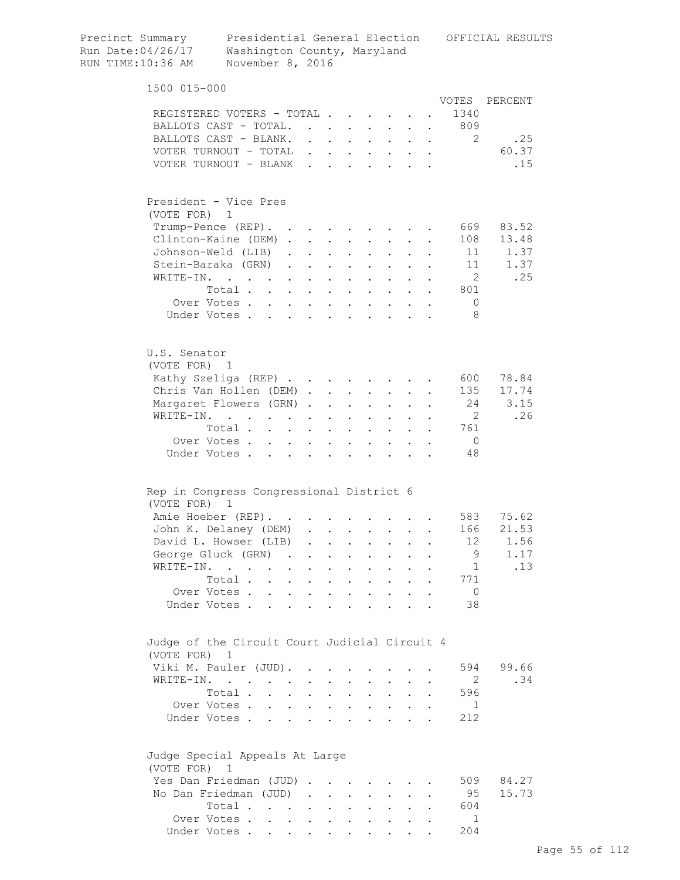| Precinct Summary<br>Run Date:04/26/17<br>RUN TIME:10:36 AM  | Presidential General Election<br>Washington County, Maryland<br>November 8, 2016 |               |                      |                                                                          |                           |                                                                                                    |                      |                      |                | OFFICIAL RESULTS |
|-------------------------------------------------------------|----------------------------------------------------------------------------------|---------------|----------------------|--------------------------------------------------------------------------|---------------------------|----------------------------------------------------------------------------------------------------|----------------------|----------------------|----------------|------------------|
| 1500 015-000                                                |                                                                                  |               |                      |                                                                          |                           |                                                                                                    |                      |                      |                |                  |
|                                                             |                                                                                  |               |                      |                                                                          |                           |                                                                                                    |                      |                      | VOTES          | PERCENT          |
|                                                             | REGISTERED VOTERS - TOTAL                                                        |               |                      |                                                                          |                           |                                                                                                    |                      |                      | 1340           |                  |
|                                                             | BALLOTS CAST - TOTAL.                                                            |               |                      |                                                                          |                           | $\mathbf{r}$ , and $\mathbf{r}$ , and $\mathbf{r}$ , and $\mathbf{r}$                              |                      |                      | . 809          |                  |
|                                                             | BALLOTS CAST - BLANK.                                                            |               |                      |                                                                          |                           |                                                                                                    |                      |                      | 2              | .25              |
|                                                             | VOTER TURNOUT - TOTAL                                                            |               |                      |                                                                          |                           |                                                                                                    |                      |                      |                | 60.37            |
|                                                             | VOTER TURNOUT - BLANK                                                            |               |                      |                                                                          |                           | $\mathbf{r}$ , and $\mathbf{r}$ , and $\mathbf{r}$ , and $\mathbf{r}$                              |                      |                      |                | .15              |
| President - Vice Pres<br>(VOTE FOR) 1                       |                                                                                  |               |                      |                                                                          |                           |                                                                                                    |                      |                      |                |                  |
|                                                             |                                                                                  |               |                      |                                                                          |                           |                                                                                                    |                      |                      |                |                  |
|                                                             | Trump-Pence (REP).                                                               |               |                      |                                                                          |                           |                                                                                                    |                      |                      | 669            | 83.52            |
|                                                             | Clinton-Kaine (DEM)                                                              |               |                      |                                                                          |                           |                                                                                                    |                      |                      | 108            | 13.48            |
|                                                             | Johnson-Weld (LIB).                                                              |               |                      | $\cdot$ $\cdot$ $\cdot$ $\cdot$                                          |                           | $\mathbf{z} = \mathbf{z} + \mathbf{z}$ .                                                           | $\ddot{\phantom{0}}$ |                      | 11             | 1.37             |
|                                                             | Stein-Baraka (GRN).                                                              |               |                      | $\mathbf{z} = \mathbf{z} + \mathbf{z}$ , where $\mathbf{z} = \mathbf{z}$ |                           | $\mathbf{L}^{\text{max}}$                                                                          |                      |                      | 11             | 1.37             |
| WRITE-IN.                                                   | $\mathcal{L}(\mathcal{A})$ . The contribution of $\mathcal{A}(\mathcal{A})$      |               |                      | $\mathbf{r} = \mathbf{r} + \mathbf{r}$                                   | $\mathbf{L}^{\text{max}}$ | $\mathbf{L}^{\text{max}}$                                                                          |                      |                      | $\overline{2}$ | .25              |
|                                                             | Total                                                                            | $\sim$ $\sim$ |                      | $\mathcal{A}^{\mathcal{A}}$ and $\mathcal{A}^{\mathcal{A}}$ and          |                           |                                                                                                    |                      |                      | 801            |                  |
|                                                             | Over Votes                                                                       | $\sim$        |                      | $\mathbf{r} = \mathbf{r} + \mathbf{r}$ .                                 |                           |                                                                                                    |                      |                      | $\mathbf 0$    |                  |
|                                                             | Under Votes                                                                      |               |                      |                                                                          |                           | $\cdot$ $\cdot$ $\cdot$                                                                            |                      |                      | 8              |                  |
| U.S. Senator<br>(VOTE FOR) 1                                |                                                                                  |               |                      |                                                                          |                           |                                                                                                    |                      |                      |                |                  |
|                                                             | Kathy Szeliga (REP)                                                              |               |                      |                                                                          |                           |                                                                                                    |                      |                      | 600            | 78.84            |
|                                                             | Chris Van Hollen (DEM)                                                           |               |                      |                                                                          | $\sim$ $\sim$             | $\bullet$ .                                                                                        |                      |                      | 135            | 17.74            |
|                                                             | Margaret Flowers (GRN)                                                           |               |                      | <b>Contract Contract</b>                                                 |                           |                                                                                                    |                      |                      | 24             | 3.15             |
| WRITE-IN.                                                   | $\mathbf{r} = \mathbf{r} + \mathbf{r}$ .                                         |               | $\bullet$            | $\bullet$ .<br><br><br><br><br><br><br><br><br><br><br><br>              |                           |                                                                                                    |                      |                      | $\overline{2}$ | .26              |
|                                                             | Total                                                                            | $\sim$        | $\mathbf{L}$         | $\sim$                                                                   |                           | $\mathbf{L}^{\text{max}}$ , and $\mathbf{L}^{\text{max}}$                                          |                      |                      | 761            |                  |
|                                                             | Over Votes                                                                       |               | $\mathbf{L}$         | $\ddot{\phantom{0}}$                                                     | $\mathbf{L}^{\text{max}}$ | $\mathbf{L}$                                                                                       |                      |                      | $\overline{0}$ |                  |
|                                                             | Under Votes                                                                      |               | $\ddot{\phantom{a}}$ | $\sim$ $\sim$                                                            |                           | $\cdot$ $\cdot$ $\cdot$ $\cdot$ $\cdot$                                                            |                      |                      | 48             |                  |
| Rep in Congress Congressional District 6                    |                                                                                  |               |                      |                                                                          |                           |                                                                                                    |                      |                      |                |                  |
| (VOTE FOR) 1                                                | Amie Hoeber (REP).                                                               |               |                      |                                                                          |                           |                                                                                                    |                      |                      |                | 583 75.62        |
|                                                             | John K. Delaney (DEM) .                                                          |               |                      |                                                                          |                           |                                                                                                    |                      |                      | 166            | 21.53            |
|                                                             | David L. Howser (LIB)                                                            |               | $\sim 10^{-11}$      |                                                                          |                           |                                                                                                    |                      |                      | 12             | 1.56             |
|                                                             | George Gluck (GRN)                                                               |               |                      |                                                                          | $\sim$                    | $\bullet$ .<br><br><br><br><br><br><br><br><br><br><br><br><br><br>$\mathbf{r}$ , and $\mathbf{r}$ | $\mathbf{L}$         | $\ddot{\phantom{a}}$ | 9              | 1.17             |
|                                                             | WRITE-IN.                                                                        |               |                      |                                                                          |                           | $\mathbf{r}$ , $\mathbf{r}$ , $\mathbf{r}$ , $\mathbf{r}$ , $\mathbf{r}$                           |                      |                      | 1              | .13              |
|                                                             | Total.                                                                           |               |                      |                                                                          |                           |                                                                                                    |                      |                      | 771            |                  |
|                                                             |                                                                                  |               |                      |                                                                          |                           | $\mathbf{r} = \mathbf{r} + \mathbf{r}$                                                             |                      |                      | $\overline{0}$ |                  |
|                                                             | Over Votes<br>Under Votes                                                        |               |                      |                                                                          |                           |                                                                                                    |                      |                      | 38             |                  |
| Judge of the Circuit Court Judicial Circuit 4<br>(VOTE FOR) | 1                                                                                |               |                      |                                                                          |                           |                                                                                                    |                      |                      |                |                  |
|                                                             | Viki M. Pauler (JUD).                                                            |               |                      |                                                                          |                           |                                                                                                    |                      |                      | 594            | 99.66            |
|                                                             | WRITE-IN.                                                                        |               |                      |                                                                          |                           |                                                                                                    |                      |                      | $\overline{2}$ | .34              |
|                                                             | Total                                                                            |               |                      |                                                                          |                           | $\mathbf{r}$ , and $\mathbf{r}$ , and $\mathbf{r}$ , and $\mathbf{r}$                              |                      |                      | 596            |                  |
|                                                             | Over Votes                                                                       |               |                      |                                                                          |                           |                                                                                                    |                      | $\bullet$            | 1              |                  |
|                                                             | Under Votes                                                                      |               |                      |                                                                          |                           |                                                                                                    |                      |                      | 212            |                  |
| Judge Special Appeals At Large                              |                                                                                  |               |                      |                                                                          |                           |                                                                                                    |                      |                      |                |                  |
| (VOTE FOR) 1                                                |                                                                                  |               |                      |                                                                          |                           |                                                                                                    |                      |                      |                |                  |
|                                                             | Yes Dan Friedman (JUD)                                                           |               |                      |                                                                          |                           |                                                                                                    |                      |                      | 509            | 84.27            |
|                                                             | No Dan Friedman (JUD)                                                            |               |                      |                                                                          |                           |                                                                                                    |                      |                      | 95             | 15.73            |
|                                                             | Total                                                                            |               |                      |                                                                          |                           |                                                                                                    |                      |                      | 604            |                  |
|                                                             | Over Votes                                                                       |               |                      |                                                                          |                           |                                                                                                    |                      |                      | 1              |                  |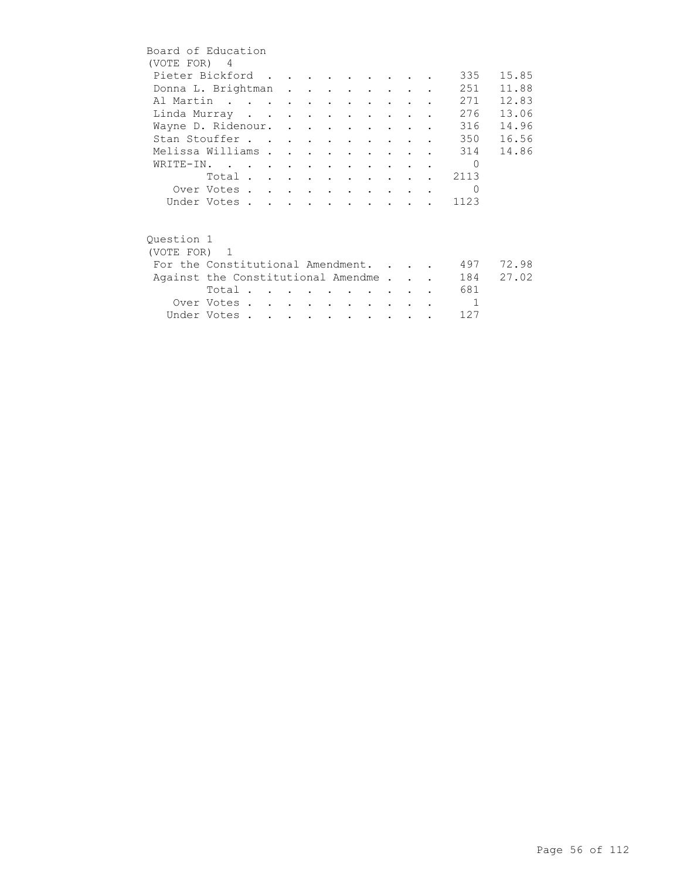| Board of Education                 |             |  |  |  |                                 |                                     |                |           |
|------------------------------------|-------------|--|--|--|---------------------------------|-------------------------------------|----------------|-----------|
| (VOTE FOR) 4                       |             |  |  |  |                                 |                                     |                |           |
| Pieter Bickford                    |             |  |  |  |                                 |                                     | 335            | 15.85     |
| Donna L. Brightman                 |             |  |  |  |                                 |                                     | 251            | 11.88     |
| Al Martin                          |             |  |  |  |                                 |                                     | 271            | 12.83     |
| Linda Murray                       |             |  |  |  |                                 | and the contract of the contract of | 276            | 13.06     |
| Wayne D. Ridenour.                 |             |  |  |  |                                 |                                     | 316            | 14.96     |
| Stan Stouffer                      |             |  |  |  |                                 |                                     | 350            | 16.56     |
| Melissa Williams                   |             |  |  |  |                                 |                                     |                | 314 14.86 |
| WRITE-IN.                          |             |  |  |  |                                 |                                     | $\bigcap$      |           |
|                                    | Total       |  |  |  |                                 |                                     | 2113           |           |
|                                    | Over Votes  |  |  |  |                                 |                                     | $\Omega$       |           |
|                                    | Under Votes |  |  |  |                                 |                                     | 1123           |           |
|                                    |             |  |  |  |                                 |                                     |                |           |
| Ouestion 1                         |             |  |  |  |                                 |                                     |                |           |
| (VOTE FOR) 1                       |             |  |  |  |                                 |                                     |                |           |
| For the Constitutional Amendment.  |             |  |  |  |                                 |                                     | 497            | 72.98     |
| Against the Constitutional Amendme |             |  |  |  |                                 |                                     | 184            | 27.02     |
|                                    | Total       |  |  |  |                                 |                                     | 681            |           |
|                                    | Over Votes  |  |  |  | <b>Contract Contract Avenue</b> |                                     | $\overline{1}$ |           |
|                                    | Under Votes |  |  |  |                                 |                                     | 127            |           |
|                                    |             |  |  |  |                                 |                                     |                |           |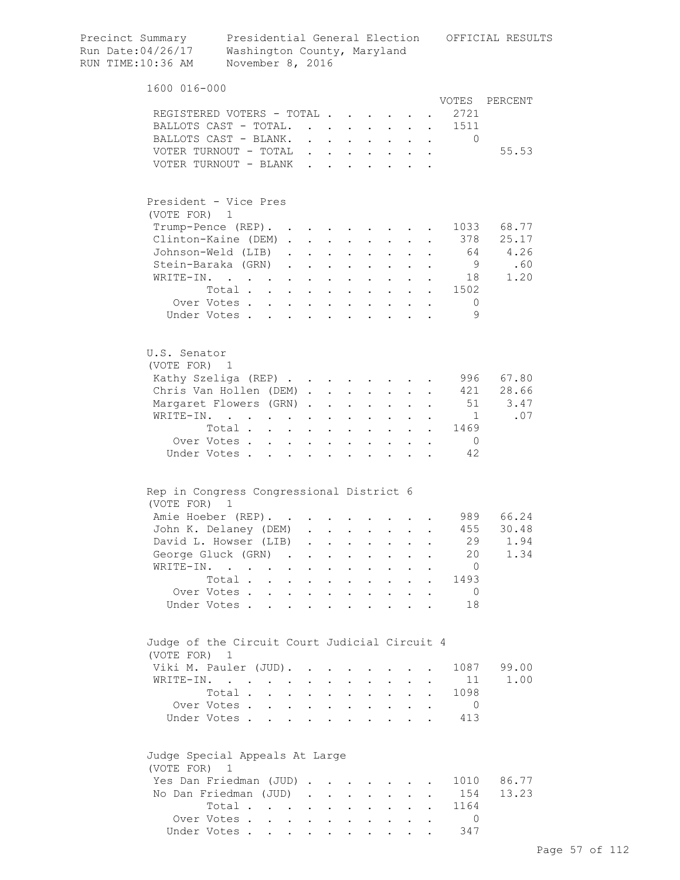| Precinct Summary<br>Run Date:04/26/17<br>RUN TIME:10:36 AM | Washington County, Maryland<br>November 8, 2016           |                                            |               |                                              |                                      |                                              |                                                                  |                      |                      |                      | Presidential General Election OFFICIAL RESULTS |
|------------------------------------------------------------|-----------------------------------------------------------|--------------------------------------------|---------------|----------------------------------------------|--------------------------------------|----------------------------------------------|------------------------------------------------------------------|----------------------|----------------------|----------------------|------------------------------------------------|
| 1600 016-000                                               |                                                           |                                            |               |                                              |                                      |                                              |                                                                  |                      |                      |                      |                                                |
|                                                            |                                                           |                                            |               |                                              |                                      |                                              |                                                                  |                      |                      |                      | VOTES PERCENT                                  |
|                                                            | REGISTERED VOTERS - TOTAL                                 |                                            |               |                                              |                                      |                                              |                                                                  |                      |                      | 2721                 |                                                |
|                                                            | BALLOTS CAST - TOTAL.                                     |                                            |               |                                              | $\sim$                               |                                              |                                                                  |                      |                      | 1511                 |                                                |
|                                                            | BALLOTS CAST - BLANK.                                     |                                            |               | $\mathbf{r} = \mathbf{r} + \mathbf{r}$       |                                      | $\ddot{\phantom{0}}$                         | $\sim$                                                           | $\mathbf{r}$         | $\ddot{\phantom{a}}$ | $\Omega$             |                                                |
|                                                            | VOTER TURNOUT - TOTAL<br>VOTER TURNOUT - BLANK            |                                            |               |                                              |                                      |                                              |                                                                  |                      |                      |                      | 55.53                                          |
|                                                            |                                                           |                                            |               |                                              |                                      |                                              |                                                                  |                      |                      |                      |                                                |
| President - Vice Pres                                      |                                                           |                                            |               |                                              |                                      |                                              |                                                                  |                      |                      |                      |                                                |
| (VOTE FOR) 1                                               |                                                           |                                            |               |                                              |                                      |                                              |                                                                  |                      |                      |                      |                                                |
|                                                            | Trump-Pence (REP).                                        |                                            |               |                                              |                                      |                                              |                                                                  |                      |                      |                      | 1033 68.77                                     |
|                                                            | Clinton-Kaine (DEM).                                      |                                            | $\sim$ $\sim$ | $\sim$                                       |                                      |                                              | $\sim$                                                           |                      |                      | 378                  | 25.17                                          |
|                                                            | Johnson-Weld (LIB)                                        |                                            |               |                                              | $\mathbf{L} = \mathbf{L}$            | $\mathbf{L}$                                 | $\mathbf{L}$                                                     | $\mathbf{L}$         |                      |                      | 64 4.26                                        |
|                                                            | Stein-Baraka (GRN)                                        |                                            |               | $\ddot{\phantom{a}}$                         | $\sim$ $\sim$                        |                                              | $\mathbf{r}$ , and $\mathbf{r}$                                  |                      |                      | - 9                  | .60                                            |
| WRITE-IN.                                                  | $\mathbf{r}$ , $\mathbf{r}$ , $\mathbf{r}$ , $\mathbf{r}$ |                                            | $\mathbf{L}$  | $\ddot{\phantom{a}}$                         | $\sim$ $\sim$ $\sim$                 |                                              | $\cdot$ $\cdot$ $\cdot$                                          |                      |                      | 18                   | 1.20                                           |
|                                                            | Total                                                     |                                            |               |                                              |                                      |                                              | $\mathbf{r}$ , $\mathbf{r}$ , $\mathbf{r}$                       |                      |                      | 1502                 |                                                |
|                                                            | Over Votes                                                |                                            |               |                                              |                                      |                                              | $\mathbf{r} = \mathbf{r} + \mathbf{r} + \mathbf{r} + \mathbf{r}$ |                      |                      | - 0                  |                                                |
|                                                            | Under Votes                                               |                                            |               |                                              |                                      |                                              |                                                                  |                      |                      | 9                    |                                                |
| U.S. Senator<br>(VOTE FOR) 1                               |                                                           |                                            |               |                                              |                                      |                                              |                                                                  |                      |                      |                      |                                                |
|                                                            | Kathy Szeliga (REP)                                       |                                            |               |                                              |                                      |                                              |                                                                  |                      |                      |                      | 996 67.80                                      |
|                                                            | Chris Van Hollen (DEM)                                    |                                            |               |                                              |                                      |                                              |                                                                  |                      |                      |                      | 421 28.66                                      |
|                                                            | Margaret Flowers (GRN).                                   |                                            |               | $\ddot{\phantom{a}}$                         | $\sim 100$ km s $^{-1}$              |                                              | $\mathbf{L} = \mathbf{L} \mathbf{L}$                             | $\ddot{\phantom{0}}$ |                      |                      | 51<br>3.47                                     |
|                                                            | WRITE-IN.                                                 |                                            |               | $\bullet$                                    | $\mathbf{L}^{\text{max}}$            | $\mathbf{L}^{\text{max}}$                    | $\mathbf{L}^{\text{max}}$                                        |                      |                      | $\sim$ 1             | .07                                            |
|                                                            | Total                                                     |                                            |               |                                              |                                      | $\mathbf{a} = \mathbf{a}$                    | $\sim$                                                           | $\ddot{\phantom{0}}$ | $\sim$ 100 $\pm$     | 1469                 |                                                |
|                                                            | Over Votes.<br>$\mathbf{L}^{\text{max}}$                  | $\mathbf{L}$                               | $\sim$        | $\ddot{\phantom{a}}$                         |                                      |                                              |                                                                  |                      |                      | $\overline{0}$       |                                                |
| Under Votes.                                               |                                                           |                                            |               |                                              |                                      |                                              |                                                                  |                      |                      | 42                   |                                                |
| Rep in Congress Congressional District 6<br>(VOTE FOR)     | $\mathbf{1}$                                              |                                            |               |                                              |                                      |                                              |                                                                  |                      |                      |                      |                                                |
|                                                            | Amie Hoeber (REP).                                        |                                            |               |                                              |                                      |                                              |                                                                  |                      |                      |                      | 989 66.24                                      |
|                                                            | John K. Delaney (DEM)                                     |                                            |               |                                              |                                      |                                              |                                                                  |                      |                      | 455                  | 30.48                                          |
|                                                            | David L. Howser (LIB)                                     |                                            |               | $\ddot{\phantom{0}}$                         |                                      |                                              |                                                                  |                      |                      | 29                   | 1.94                                           |
|                                                            | George Gluck (GRN) .                                      |                                            |               |                                              |                                      |                                              |                                                                  |                      |                      | 20                   | 1.34                                           |
| WRITE-IN.                                                  |                                                           | $\ddot{\phantom{a}}$                       |               |                                              |                                      |                                              |                                                                  |                      |                      | $\overline{0}$       |                                                |
|                                                            | Total.<br>$\sim$                                          | $\mathbf{L}$                               |               |                                              | $\ddot{\phantom{a}}$                 |                                              | $\ddot{\phantom{0}}$                                             |                      |                      | 1493                 |                                                |
| Under Votes.                                               | Over Votes<br>$\overline{a}$                              | $\sim$ $\sim$ $\sim$ $\sim$                | $\mathbf{L}$  | $\ddot{\phantom{a}}$<br>$\ddot{\phantom{a}}$ | $\mathbf{r}$<br>$\ddot{\phantom{a}}$ | $\ddot{\phantom{a}}$<br>$\ddot{\phantom{a}}$ | $\sim$<br>$\mathbf{r}$ , $\mathbf{r}$ , $\mathbf{r}$             | $\ddot{\phantom{a}}$ | $\ddot{\phantom{a}}$ | $\overline{0}$<br>18 |                                                |
| Judge of the Circuit Court Judicial Circuit 4              |                                                           |                                            |               |                                              |                                      |                                              |                                                                  |                      |                      |                      |                                                |
| (VOTE FOR) 1                                               |                                                           |                                            |               |                                              |                                      |                                              |                                                                  |                      |                      |                      |                                                |
|                                                            | Viki M. Pauler (JUD).                                     |                                            |               |                                              |                                      |                                              |                                                                  |                      |                      | 1087                 | 99.00                                          |
|                                                            | WRITE-IN.                                                 |                                            |               |                                              |                                      |                                              |                                                                  |                      |                      | 11                   | 1.00                                           |
|                                                            | Total .                                                   | $\ddot{\phantom{a}}$                       |               |                                              |                                      | $\ddot{\phantom{0}}$                         | $\ddot{\phantom{0}}$                                             | $\ddot{\phantom{a}}$ |                      | 1098                 |                                                |
|                                                            | Over Votes                                                |                                            | $\sim$        | $\mathbf{L}$                                 | $\mathbf{r}$                         |                                              | $\mathbf{L}$ and $\mathbf{L}$                                    | $\mathbf{L}$         | $\ddot{\phantom{a}}$ | $\overline{0}$       |                                                |
|                                                            | Under Votes                                               | <b>Contract Contract Contract Contract</b> |               | $\ddot{\phantom{a}}$                         | $\sim$ $\sim$                        |                                              | $\mathbf{r} = \mathbf{r} + \mathbf{r}$ .                         |                      |                      | 413                  |                                                |
| Judge Special Appeals At Large<br>(VOTE FOR) 1             |                                                           |                                            |               |                                              |                                      |                                              |                                                                  |                      |                      |                      |                                                |
|                                                            | Yes Dan Friedman (JUD).                                   |                                            |               |                                              |                                      |                                              |                                                                  |                      |                      | 1010                 | 86.77                                          |
|                                                            | No Dan Friedman (JUD).                                    |                                            |               | $\sim 10^{-11}$                              | $\mathbf{L}$                         | $\mathbf{L}$                                 | $\ddot{\phantom{0}}$                                             |                      |                      | 154                  | 13.23                                          |
|                                                            | Total                                                     |                                            | $\sim$ $-$    | $\sim$ $-$                                   | $\ddot{\phantom{0}}$                 | $\ddot{\phantom{0}}$                         | $\mathbf{L}^{\text{max}}$                                        |                      |                      | 1164                 |                                                |
|                                                            | Over Votes                                                |                                            |               |                                              |                                      |                                              |                                                                  |                      |                      | $\Omega$             |                                                |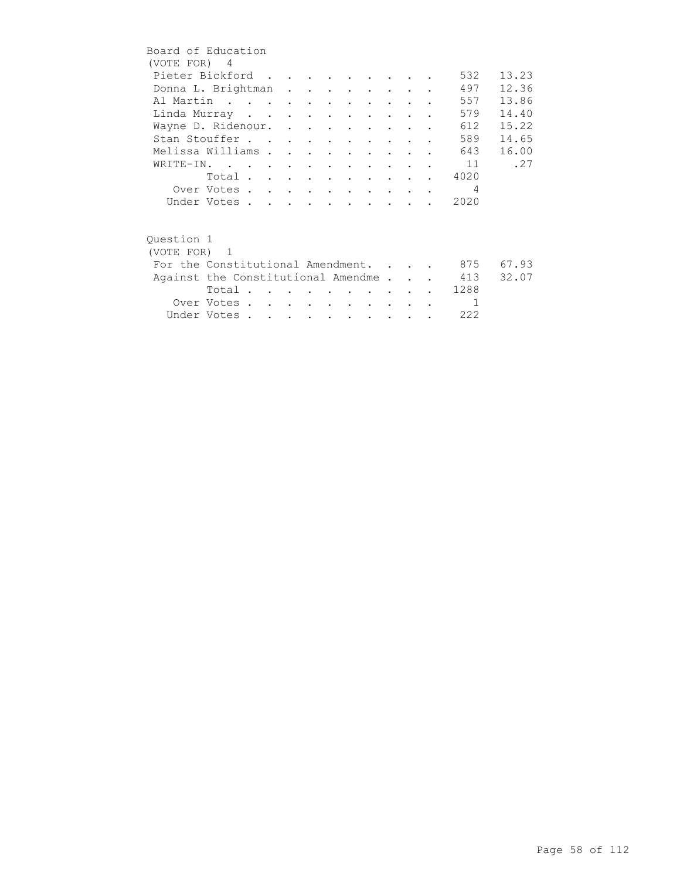| Board of Education                 |             |  |  |                          |        |               |                          |       |
|------------------------------------|-------------|--|--|--------------------------|--------|---------------|--------------------------|-------|
| (VOTE FOR) 4                       |             |  |  |                          |        |               |                          |       |
| Pieter Bickford                    |             |  |  |                          |        |               | 532                      | 13.23 |
| Donna L. Brightman                 |             |  |  |                          |        |               | 497                      | 12.36 |
| Al Martin                          |             |  |  |                          |        |               | 557                      | 13.86 |
| Linda Murray                       |             |  |  |                          |        |               | 579                      | 14.40 |
| Wayne D. Ridenour.                 |             |  |  |                          |        |               | 612                      | 15.22 |
| Stan Stouffer                      |             |  |  |                          |        |               | 589                      | 14.65 |
| Melissa Williams                   |             |  |  |                          |        |               | 643                      | 16.00 |
| WRITE-IN.                          |             |  |  |                          |        |               | 11                       | .27   |
|                                    | Total       |  |  |                          |        |               | 4020                     |       |
|                                    | Over Votes  |  |  |                          |        |               | $\overline{4}$           |       |
|                                    | Under Votes |  |  |                          |        |               | 2020                     |       |
|                                    |             |  |  |                          |        |               |                          |       |
|                                    |             |  |  |                          |        |               |                          |       |
| Ouestion 1                         |             |  |  |                          |        |               |                          |       |
| (VOTE FOR) 1                       |             |  |  |                          |        |               |                          |       |
| For the Constitutional Amendment.  |             |  |  |                          |        |               | 875                      | 67.93 |
| Against the Constitutional Amendme |             |  |  |                          |        |               | 413                      | 32.07 |
|                                    | Total       |  |  |                          |        |               | 1288                     |       |
|                                    | Over Votes  |  |  | <b>Contract Contract</b> | $\sim$ | $\sim$ $\sim$ | $\overline{\phantom{a}}$ |       |
|                                    | Under Votes |  |  |                          |        |               | 222                      |       |
|                                    |             |  |  |                          |        |               |                          |       |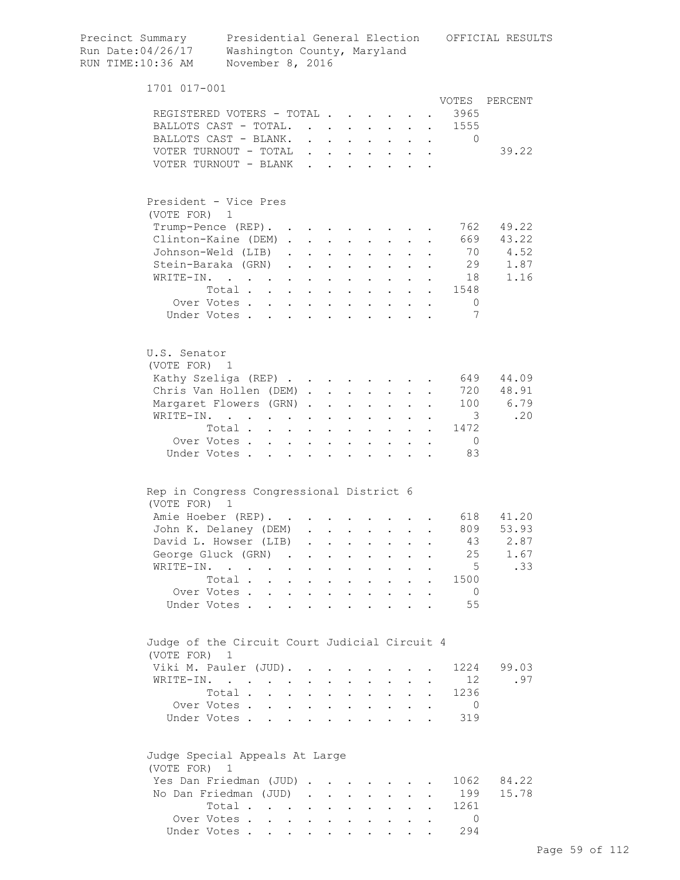| Precinct Summary<br>Run Date: 04/26/17<br>RUN TIME:10:36 AM | Washington County, Maryland<br>November 8, 2016 |                                                             |                                                             |                           |                           |                                            |                         |                      |                                                                                       | Presidential General Election OFFICIAL RESULTS |
|-------------------------------------------------------------|-------------------------------------------------|-------------------------------------------------------------|-------------------------------------------------------------|---------------------------|---------------------------|--------------------------------------------|-------------------------|----------------------|---------------------------------------------------------------------------------------|------------------------------------------------|
| 1701 017-001                                                |                                                 |                                                             |                                                             |                           |                           |                                            |                         |                      |                                                                                       |                                                |
|                                                             |                                                 |                                                             |                                                             |                           |                           |                                            |                         |                      | VOTES                                                                                 | PERCENT                                        |
| REGISTERED VOTERS - TOTAL<br>BALLOTS CAST - TOTAL.          |                                                 |                                                             |                                                             |                           |                           |                                            |                         |                      | 3965                                                                                  |                                                |
| BALLOTS CAST - BLANK.                                       |                                                 |                                                             |                                                             |                           |                           | $\cdot$ $\cdot$                            |                         |                      | 1555<br>$\bullet$ .<br><br><br><br><br><br><br><br><br><br><br><br><br>$\overline{0}$ |                                                |
| VOTER TURNOUT - TOTAL                                       |                                                 | $\bullet$ .<br><br><br><br><br><br><br><br><br><br><br><br> | $\sim$ 100 $\pm$<br>$\mathbf{r} = \mathbf{r} + \mathbf{r}$  | $\sim$ 10 $\pm$           | $\bullet$                 | $\mathbf{L}^{\text{max}}$                  |                         | $\ddot{\phantom{0}}$ |                                                                                       | 39.22                                          |
| VOTER TURNOUT - BLANK.                                      |                                                 |                                                             |                                                             |                           |                           |                                            |                         |                      |                                                                                       |                                                |
|                                                             |                                                 |                                                             |                                                             |                           |                           |                                            |                         |                      |                                                                                       |                                                |
| President - Vice Pres<br>(VOTE FOR) 1                       |                                                 |                                                             |                                                             |                           |                           |                                            |                         |                      |                                                                                       |                                                |
| Trump-Pence (REP).                                          |                                                 |                                                             |                                                             |                           |                           | <b>Contract Contract Contract</b>          |                         |                      | 762                                                                                   | 49.22                                          |
| Clinton-Kaine (DEM).                                        |                                                 |                                                             | $\mathbf{z} = \mathbf{z} + \mathbf{z}$ . The $\mathbf{z}$   |                           | $\mathbf{L}^{\text{max}}$ | $\bullet$ .                                |                         |                      | 669                                                                                   | 43.22                                          |
| Johnson-Weld (LIB)                                          |                                                 | $\sim$<br>$\sim$                                            | $\bullet$ .<br><br><br><br><br><br><br><br><br><br><br><br> | $\sim$                    | $\bullet$                 |                                            |                         |                      | 70                                                                                    | 4.52                                           |
| Stein-Baraka (GRN)                                          |                                                 | $\ddot{\phantom{a}}$<br>$\ddot{\phantom{0}}$                | $\ddot{\phantom{0}}$                                        |                           |                           |                                            |                         |                      | 29                                                                                    | 1.87                                           |
| WRITE-IN.                                                   |                                                 |                                                             |                                                             |                           |                           |                                            |                         |                      | 18                                                                                    | 1.16                                           |
|                                                             | Total                                           | $\mathbf{L}$                                                | $\ddot{\phantom{a}}$                                        | $\ddot{\phantom{a}}$      |                           |                                            |                         | $\mathbf{L}$         | 1548                                                                                  |                                                |
|                                                             | Over Votes                                      |                                                             | $\ddot{\phantom{a}}$                                        | $\ddot{\phantom{a}}$      | $\ddot{\phantom{a}}$      | $\ddot{\phantom{a}}$                       |                         | $\ddot{\phantom{a}}$ | $\circ$                                                                               |                                                |
|                                                             | Under Votes,                                    | $\mathbf{L}$                                                | $\ddot{\phantom{a}}$                                        | $\sim$ $\sim$             | $\mathbf{r}$              | $\sim$ $\sim$                              |                         |                      | 7                                                                                     |                                                |
|                                                             |                                                 |                                                             |                                                             |                           |                           |                                            |                         |                      |                                                                                       |                                                |
| U.S. Senator                                                |                                                 |                                                             |                                                             |                           |                           |                                            |                         |                      |                                                                                       |                                                |
| (VOTE FOR) 1                                                |                                                 |                                                             |                                                             |                           |                           |                                            |                         |                      |                                                                                       |                                                |
| Kathy Szeliga (REP)                                         |                                                 |                                                             |                                                             |                           |                           |                                            |                         |                      | 649                                                                                   | 44.09                                          |
| Chris Van Hollen (DEM).                                     |                                                 |                                                             | $\mathbf{r}$                                                | $\mathbf{L}$              |                           |                                            |                         |                      | 720                                                                                   | 48.91                                          |
| Margaret Flowers (GRN).                                     |                                                 |                                                             | $\ddot{\phantom{a}}$                                        | $\bullet$                 |                           |                                            |                         |                      | 100                                                                                   | 6.79                                           |
| WRITE-IN.                                                   |                                                 |                                                             | $\ddot{\phantom{a}}$                                        | $\mathbf{r}$              | $\mathbf{L}$              | $\mathbf{L}$                               |                         |                      | $\overline{\phantom{a}}$                                                              | .20                                            |
|                                                             | Total                                           |                                                             | $\ddot{\phantom{a}}$                                        | $\sim$                    | $\ddot{\phantom{a}}$      | $\mathbf{r}$ , $\mathbf{r}$ , $\mathbf{r}$ |                         |                      | 1472                                                                                  |                                                |
|                                                             | Over Votes                                      |                                                             | $\ddot{\phantom{a}}$                                        | $\mathbf{L}^{\text{max}}$ | $\ddot{\phantom{a}}$      |                                            | $\cdot$ $\cdot$ $\cdot$ | $\ddot{\phantom{a}}$ | $\overline{0}$                                                                        |                                                |
|                                                             | Under Votes                                     |                                                             |                                                             |                           |                           |                                            |                         |                      | 83                                                                                    |                                                |
|                                                             |                                                 |                                                             |                                                             |                           |                           |                                            |                         |                      |                                                                                       |                                                |
| Rep in Congress Congressional District 6                    |                                                 |                                                             |                                                             |                           |                           |                                            |                         |                      |                                                                                       |                                                |
| (VOTE FOR) 1                                                |                                                 |                                                             |                                                             |                           |                           |                                            |                         |                      |                                                                                       |                                                |
| Amie Hoeber (REP).                                          |                                                 |                                                             |                                                             |                           |                           |                                            | $\sim$                  |                      | 618                                                                                   | 41.20                                          |
| John K. Delaney (DEM)                                       |                                                 |                                                             |                                                             |                           |                           |                                            |                         |                      | 809                                                                                   | 53.93                                          |
| David L. Howser (LIB)                                       |                                                 |                                                             |                                                             | $\mathbf{L}$              | $\sim$                    | $\ddot{\phantom{0}}$                       | $\ddot{\phantom{a}}$    |                      | 43                                                                                    | 2.87                                           |
| George Gluck (GRN)                                          |                                                 | $\sim$<br>$\ddot{\phantom{0}}$                              | $\ddot{\phantom{a}}$                                        | $\ddot{\phantom{0}}$      | $\mathbf{L}$              | $\mathbf{L}$                               | $\ddot{\phantom{0}}$    |                      | 25                                                                                    | 1.67                                           |
| WRITE-IN.                                                   |                                                 | $\bullet$<br>$\ddot{\phantom{a}}$                           | $\ddot{\phantom{0}}$                                        | $\bullet$                 | $\ddot{\phantom{a}}$      | $\bullet$ .                                |                         |                      | 5                                                                                     | .33                                            |
|                                                             | Total .<br>$\ddot{\phantom{a}}$                 | $\bullet$<br>$\sim 100$ km s $^{-1}$                        | $\bullet$                                                   | $\mathbf{L}^{\text{max}}$ | $\mathbf{L}^{\text{max}}$ | $\mathbf{L}^{\text{max}}$                  | $\ddot{\phantom{a}}$    | $\ddot{\phantom{0}}$ | 1500                                                                                  |                                                |
| Over Votes.<br>Under Votes.                                 | $\bullet$ .                                     | $\mathbf{z} = \mathbf{z} + \mathbf{z}$ .                    | $\ddot{\phantom{a}}$                                        | $\ddot{\phantom{0}}$      | $\bullet$                 | $\bullet$ .                                |                         |                      | $\overline{0}$<br>55                                                                  |                                                |
|                                                             | $\ddot{\phantom{a}}$                            | $\ddot{\phantom{a}}$                                        | $\ddot{\phantom{a}}$                                        |                           |                           |                                            |                         |                      |                                                                                       |                                                |
| Judge of the Circuit Court Judicial Circuit 4               |                                                 |                                                             |                                                             |                           |                           |                                            |                         |                      |                                                                                       |                                                |
| (VOTE FOR) 1                                                |                                                 |                                                             |                                                             |                           |                           |                                            |                         |                      |                                                                                       |                                                |
| Viki M. Pauler (JUD).                                       |                                                 |                                                             |                                                             |                           |                           |                                            |                         |                      | 1224                                                                                  | 99.03                                          |
| WRITE-IN.                                                   | and the contract of the contract of             | $\bullet$ .<br><br><br><br><br><br><br><br><br><br><br><br> | $\ddot{\phantom{0}}$                                        | $\bullet$                 |                           | $\sim$                                     |                         |                      | 12                                                                                    | .97                                            |
|                                                             | Total .<br>$\mathbf{L} = \mathbf{L} \mathbf{L}$ | $\sim$                                                      | $\bullet$                                                   | $\ddot{\phantom{0}}$      | $\ddot{\phantom{0}}$      | $\mathbf{L}^{\text{max}}$                  |                         | $\bullet$            | 1236                                                                                  |                                                |
| Over Votes.                                                 | $\mathbf{L}^{\text{max}}$                       | $\mathbf{L}^{\text{max}}$ , and $\mathbf{L}^{\text{max}}$   | $\bullet$                                                   | $\bullet$ .               | $\bullet$                 | $\bullet$ .                                |                         |                      | $\overline{0}$                                                                        |                                                |
| Under Votes.                                                |                                                 | $\sim 100$ km s $^{-1}$                                     |                                                             | $\ddot{\phantom{a}}$      |                           | $\ddot{\phantom{a}}$                       |                         |                      | 319                                                                                   |                                                |
|                                                             |                                                 |                                                             |                                                             |                           |                           |                                            |                         |                      |                                                                                       |                                                |
| Judge Special Appeals At Large                              |                                                 |                                                             |                                                             |                           |                           |                                            |                         |                      |                                                                                       |                                                |
| (VOTE FOR) 1<br>Yes Dan Friedman (JUD)                      |                                                 |                                                             |                                                             |                           |                           |                                            |                         |                      | 1062                                                                                  | 84.22                                          |
| No Dan Friedman (JUD)                                       |                                                 |                                                             |                                                             |                           |                           | <b>Contract Contract Contract</b>          |                         |                      | 199                                                                                   | 15.78                                          |
|                                                             | Total                                           |                                                             |                                                             |                           |                           |                                            | $\ddot{\phantom{a}}$    | $\bullet$            | 1261                                                                                  |                                                |
|                                                             | Over Votes                                      |                                                             |                                                             | $\mathbf{z} = \mathbf{z}$ |                           | $\mathbf{z} = \mathbf{z} + \mathbf{z}$ .   |                         |                      | $\Omega$                                                                              |                                                |
|                                                             |                                                 |                                                             |                                                             |                           |                           |                                            |                         |                      |                                                                                       |                                                |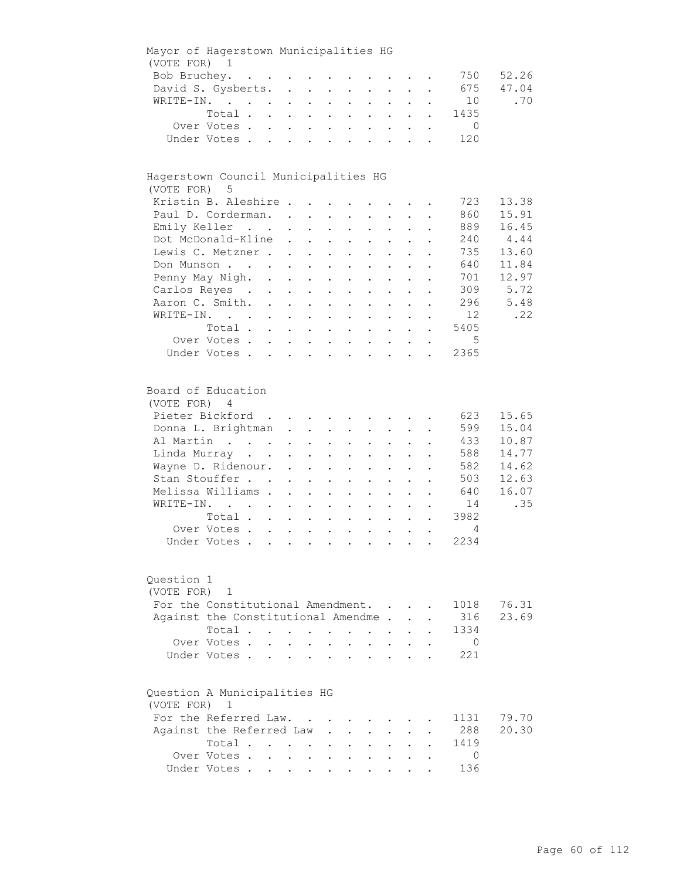| Mayor of Hagerstown Municipalities HG        |                                                                                                                                                                     |                     |                                                                                                                              |                                                                       |                                                                                                                                        |                                                                            |                                                                                                                                                                         |                                                                        |                                                                                     |             |                                                                  |                                                                    |
|----------------------------------------------|---------------------------------------------------------------------------------------------------------------------------------------------------------------------|---------------------|------------------------------------------------------------------------------------------------------------------------------|-----------------------------------------------------------------------|----------------------------------------------------------------------------------------------------------------------------------------|----------------------------------------------------------------------------|-------------------------------------------------------------------------------------------------------------------------------------------------------------------------|------------------------------------------------------------------------|-------------------------------------------------------------------------------------|-------------|------------------------------------------------------------------|--------------------------------------------------------------------|
| (VOTE FOR) 1                                 |                                                                                                                                                                     |                     |                                                                                                                              |                                                                       |                                                                                                                                        |                                                                            |                                                                                                                                                                         |                                                                        |                                                                                     |             |                                                                  |                                                                    |
|                                              | Bob Bruchey.                                                                                                                                                        |                     |                                                                                                                              |                                                                       |                                                                                                                                        |                                                                            |                                                                                                                                                                         |                                                                        |                                                                                     |             | 750                                                              | 52.26                                                              |
|                                              | David S. Gysberts.                                                                                                                                                  |                     |                                                                                                                              |                                                                       |                                                                                                                                        |                                                                            |                                                                                                                                                                         |                                                                        |                                                                                     |             | 675                                                              | 47.04                                                              |
|                                              | WRITE-IN.                                                                                                                                                           |                     |                                                                                                                              |                                                                       |                                                                                                                                        |                                                                            | $\mathbf{r}$ , $\mathbf{r}$ , $\mathbf{r}$ , $\mathbf{r}$                                                                                                               |                                                                        |                                                                                     |             | 10                                                               | .70                                                                |
|                                              | Total                                                                                                                                                               |                     |                                                                                                                              |                                                                       |                                                                                                                                        |                                                                            |                                                                                                                                                                         |                                                                        |                                                                                     |             | 1435                                                             |                                                                    |
|                                              | Over Votes                                                                                                                                                          |                     |                                                                                                                              |                                                                       |                                                                                                                                        |                                                                            |                                                                                                                                                                         |                                                                        |                                                                                     | $\bullet$ . | $\overline{0}$                                                   |                                                                    |
|                                              | Under Votes                                                                                                                                                         |                     |                                                                                                                              |                                                                       |                                                                                                                                        |                                                                            |                                                                                                                                                                         |                                                                        |                                                                                     |             | 120                                                              |                                                                    |
|                                              |                                                                                                                                                                     |                     |                                                                                                                              |                                                                       |                                                                                                                                        |                                                                            |                                                                                                                                                                         |                                                                        |                                                                                     |             |                                                                  |                                                                    |
| Hagerstown Council Municipalities HG         |                                                                                                                                                                     |                     |                                                                                                                              |                                                                       |                                                                                                                                        |                                                                            |                                                                                                                                                                         |                                                                        |                                                                                     |             |                                                                  |                                                                    |
| (VOTE FOR) 5                                 |                                                                                                                                                                     |                     |                                                                                                                              |                                                                       |                                                                                                                                        |                                                                            |                                                                                                                                                                         |                                                                        |                                                                                     |             |                                                                  |                                                                    |
|                                              | Kristin B. Aleshire                                                                                                                                                 |                     |                                                                                                                              |                                                                       |                                                                                                                                        |                                                                            |                                                                                                                                                                         |                                                                        |                                                                                     |             | 723                                                              | 13.38                                                              |
|                                              | Paul D. Corderman.                                                                                                                                                  |                     |                                                                                                                              |                                                                       |                                                                                                                                        |                                                                            |                                                                                                                                                                         |                                                                        |                                                                                     |             | 860                                                              | 15.91                                                              |
|                                              | Emily Keller                                                                                                                                                        |                     |                                                                                                                              |                                                                       | $\mathbf{r} = \mathbf{r} + \mathbf{r} + \mathbf{r} + \mathbf{r}$                                                                       |                                                                            |                                                                                                                                                                         |                                                                        | $\mathbf{L}^{\text{max}}$ , and $\mathbf{L}^{\text{max}}$                           |             | 889                                                              | 16.45                                                              |
|                                              | Dot McDonald-Kline                                                                                                                                                  |                     | $\mathbf{L}^{\text{max}}$                                                                                                    |                                                                       | $\mathbf{z} = \mathbf{z} + \mathbf{z}$ , where $\mathbf{z} = \mathbf{z}$                                                               |                                                                            | $\mathbf{L}^{\text{max}}$                                                                                                                                               | $\bullet$ .                                                            | $\mathbf{L}^{\text{max}}$                                                           |             | 240                                                              | 4.44                                                               |
|                                              | Lewis C. Metzner.                                                                                                                                                   |                     | $\sim$ 100 $\pm$                                                                                                             |                                                                       | $\mathbf{A}^{\text{max}}$ , $\mathbf{A}^{\text{max}}$                                                                                  | $\bullet$ .                                                                | $\mathbf{L}^{\text{max}}$                                                                                                                                               | $\mathbf{L}^{\text{max}}$                                              |                                                                                     |             | 735                                                              | 13.60                                                              |
|                                              | Don Munson                                                                                                                                                          |                     |                                                                                                                              |                                                                       |                                                                                                                                        |                                                                            |                                                                                                                                                                         |                                                                        |                                                                                     |             | 640                                                              | 11.84                                                              |
|                                              |                                                                                                                                                                     |                     |                                                                                                                              |                                                                       |                                                                                                                                        |                                                                            |                                                                                                                                                                         |                                                                        |                                                                                     |             |                                                                  | 12.97                                                              |
|                                              | Penny May Nigh. .                                                                                                                                                   |                     | $\mathcal{A}^{\text{max}}$ , $\mathcal{A}^{\text{max}}$                                                                      |                                                                       | $\sim 10^{-10}$                                                                                                                        |                                                                            | $\ddot{\phantom{a}}$                                                                                                                                                    |                                                                        |                                                                                     |             | 701                                                              |                                                                    |
|                                              | Carlos Reyes .                                                                                                                                                      | $\mathcal{L}^{(1)}$ | $\mathbf{L}^{\text{max}}$ , $\mathbf{L}^{\text{max}}$                                                                        |                                                                       | $\sim$ $-$                                                                                                                             | $\bullet$                                                                  | $\bullet$ .                                                                                                                                                             |                                                                        |                                                                                     |             | 309                                                              | 5.72                                                               |
|                                              | Aaron C. Smith.                                                                                                                                                     |                     |                                                                                                                              |                                                                       |                                                                                                                                        |                                                                            | $\mathbf{r} = \mathbf{r}$                                                                                                                                               | $\ddot{\phantom{a}}$                                                   | $\sim$                                                                              |             | 296                                                              | 5.48                                                               |
|                                              | WRITE-IN.                                                                                                                                                           |                     |                                                                                                                              |                                                                       |                                                                                                                                        |                                                                            |                                                                                                                                                                         |                                                                        |                                                                                     |             | 12                                                               | .22                                                                |
|                                              | Total                                                                                                                                                               |                     |                                                                                                                              |                                                                       |                                                                                                                                        |                                                                            |                                                                                                                                                                         |                                                                        |                                                                                     |             | 5405                                                             |                                                                    |
|                                              | Over Votes                                                                                                                                                          |                     |                                                                                                                              |                                                                       |                                                                                                                                        |                                                                            |                                                                                                                                                                         |                                                                        |                                                                                     | $\bullet$   | $5^{\circ}$                                                      |                                                                    |
|                                              | Under Votes                                                                                                                                                         |                     |                                                                                                                              |                                                                       |                                                                                                                                        |                                                                            |                                                                                                                                                                         |                                                                        |                                                                                     |             | 2365                                                             |                                                                    |
| Board of Education<br>(VOTE FOR) 4           | Pieter Bickford<br>Donna L. Brightman<br>Al Martin<br>Linda Murray<br>Wayne D. Ridenour.<br>Stan Stouffer<br>Melissa Williams .<br>WRITE-IN.<br>Total<br>Over Votes |                     | $\mathbf{z} = \mathbf{z} + \mathbf{z}$ , where $\mathbf{z} = \mathbf{z}$<br>$\ddotsc$<br>$\mathbf{L}^{\text{max}}$<br>$\sim$ | $\bullet$ .<br>$\mathbf{L}^{\text{max}}$<br>$\mathbf{L}^{\text{max}}$ | $\mathbf{L}^{\text{max}}$ , and $\mathbf{L}^{\text{max}}$<br>$\mathbf{L}^{\text{max}}$<br>$\ddot{\phantom{1}}$<br>$\ddot{\phantom{0}}$ | $\mathcal{L}^{\text{max}}$<br>$\ddot{\phantom{0}}$<br>$\ddot{\phantom{a}}$ | $\mathbf{z} = \mathbf{z} + \mathbf{z}$ .<br>$\mathbf{z} = \mathbf{z}$<br>$\bullet$ .<br>$\mathbf{L}^{\text{max}}$<br>$\sim$<br>$\mathbf{z} = \mathbf{z} + \mathbf{z}$ . | $\mathcal{L}^{\text{max}}$<br>$\bullet$ .<br>$\mathbf{L}^{\text{max}}$ | $\bullet$ .<br><br><br><br><br><br><br><br><br><br><br><br><br>$\ddot{\phantom{0}}$ |             | 623<br>599<br>433<br>588<br>582<br>503<br>640<br>14<br>3982<br>4 | 15.65<br>15.04<br>10.87<br>14.77<br>14.62<br>12.63<br>16.07<br>.35 |
| Question 1                                   | Under Votes                                                                                                                                                         |                     |                                                                                                                              |                                                                       |                                                                                                                                        |                                                                            |                                                                                                                                                                         |                                                                        |                                                                                     |             | 2234                                                             |                                                                    |
| (VOTE FOR)                                   | 1                                                                                                                                                                   |                     |                                                                                                                              |                                                                       |                                                                                                                                        |                                                                            |                                                                                                                                                                         |                                                                        |                                                                                     |             |                                                                  |                                                                    |
|                                              | For the Constitutional Amendment.                                                                                                                                   |                     |                                                                                                                              |                                                                       |                                                                                                                                        |                                                                            |                                                                                                                                                                         |                                                                        |                                                                                     |             | 1018                                                             | 76.31                                                              |
|                                              | Against the Constitutional Amendme.                                                                                                                                 |                     |                                                                                                                              |                                                                       |                                                                                                                                        |                                                                            |                                                                                                                                                                         |                                                                        |                                                                                     |             | 316                                                              | 23.69                                                              |
|                                              | Total                                                                                                                                                               |                     |                                                                                                                              |                                                                       |                                                                                                                                        |                                                                            |                                                                                                                                                                         |                                                                        |                                                                                     |             | 1334                                                             |                                                                    |
|                                              |                                                                                                                                                                     |                     |                                                                                                                              |                                                                       | $\sim$                                                                                                                                 | $\ddot{\phantom{a}}$                                                       | $\bullet$ .                                                                                                                                                             |                                                                        |                                                                                     |             |                                                                  |                                                                    |
|                                              | Over Votes.                                                                                                                                                         |                     |                                                                                                                              |                                                                       |                                                                                                                                        |                                                                            |                                                                                                                                                                         |                                                                        |                                                                                     |             | $\overline{0}$                                                   |                                                                    |
|                                              | Under Votes.                                                                                                                                                        |                     |                                                                                                                              |                                                                       | $\ddot{\phantom{a}}$                                                                                                                   |                                                                            | $\ddot{\phantom{a}}$                                                                                                                                                    |                                                                        |                                                                                     |             | 221                                                              |                                                                    |
| Question A Municipalities HG<br>(VOTE FOR) 1 |                                                                                                                                                                     |                     |                                                                                                                              |                                                                       |                                                                                                                                        |                                                                            |                                                                                                                                                                         |                                                                        |                                                                                     |             |                                                                  |                                                                    |
|                                              | For the Referred Law.                                                                                                                                               |                     |                                                                                                                              |                                                                       |                                                                                                                                        |                                                                            |                                                                                                                                                                         |                                                                        |                                                                                     |             | 1131                                                             | 79.70                                                              |
|                                              | Against the Referred Law                                                                                                                                            |                     |                                                                                                                              |                                                                       |                                                                                                                                        |                                                                            |                                                                                                                                                                         |                                                                        |                                                                                     |             | 288                                                              | 20.30                                                              |
|                                              | Total                                                                                                                                                               |                     |                                                                                                                              |                                                                       |                                                                                                                                        |                                                                            |                                                                                                                                                                         |                                                                        |                                                                                     |             | 1419                                                             |                                                                    |
|                                              | Over Votes .                                                                                                                                                        |                     | $\mathbf{L} = \mathbf{L}$                                                                                                    | $\sim$                                                                |                                                                                                                                        |                                                                            |                                                                                                                                                                         |                                                                        |                                                                                     |             | 0                                                                |                                                                    |
|                                              | Under Votes                                                                                                                                                         |                     |                                                                                                                              |                                                                       |                                                                                                                                        |                                                                            |                                                                                                                                                                         |                                                                        |                                                                                     |             | 136                                                              |                                                                    |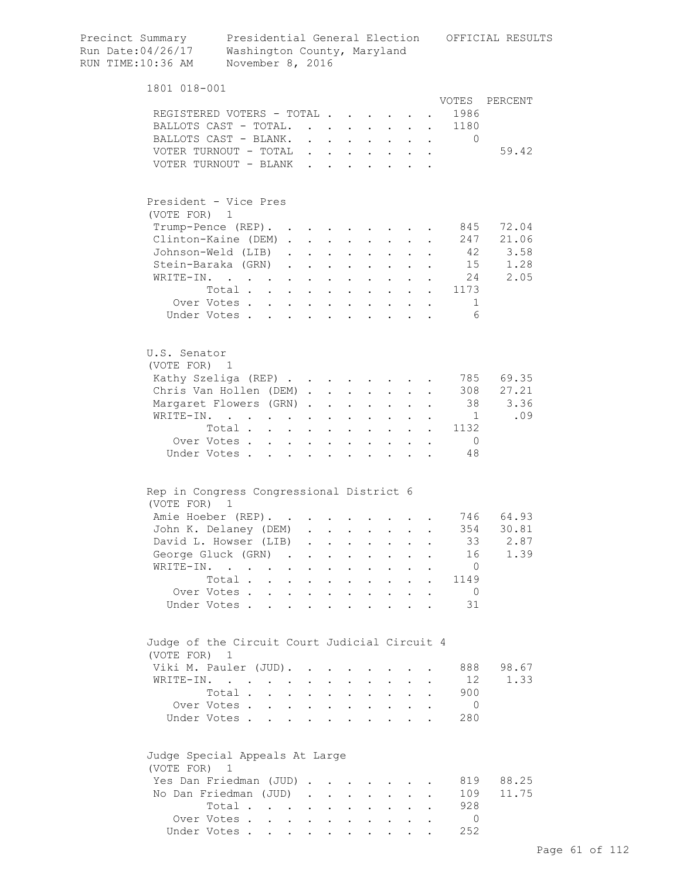| Precinct Summary<br>Run Date:04/26/17<br>RUN TIME:10:36 AM | Presidential General Election<br>Washington County, Maryland<br>November 8, 2016 |                                                                          |                                            |                           |                           |                                                                                                                           |                      |                      |                                                                                                                                                                                                                                                                                                                                                                                                                                   | OFFICIAL RESULTS |
|------------------------------------------------------------|----------------------------------------------------------------------------------|--------------------------------------------------------------------------|--------------------------------------------|---------------------------|---------------------------|---------------------------------------------------------------------------------------------------------------------------|----------------------|----------------------|-----------------------------------------------------------------------------------------------------------------------------------------------------------------------------------------------------------------------------------------------------------------------------------------------------------------------------------------------------------------------------------------------------------------------------------|------------------|
| 1801 018-001                                               |                                                                                  |                                                                          |                                            |                           |                           |                                                                                                                           |                      |                      |                                                                                                                                                                                                                                                                                                                                                                                                                                   |                  |
|                                                            |                                                                                  |                                                                          |                                            |                           |                           |                                                                                                                           |                      |                      | VOTES                                                                                                                                                                                                                                                                                                                                                                                                                             | PERCENT          |
|                                                            | REGISTERED VOTERS - TOTAL<br>BALLOTS CAST - TOTAL.                               |                                                                          |                                            |                           |                           |                                                                                                                           |                      |                      | 1986<br>1180                                                                                                                                                                                                                                                                                                                                                                                                                      |                  |
|                                                            | BALLOTS CAST - BLANK.                                                            |                                                                          |                                            |                           |                           |                                                                                                                           |                      |                      | 0<br>$\mathbf{r} = \mathbf{r} + \mathbf{r} + \mathbf{r} + \mathbf{r} + \mathbf{r} + \mathbf{r} + \mathbf{r} + \mathbf{r} + \mathbf{r} + \mathbf{r} + \mathbf{r} + \mathbf{r} + \mathbf{r} + \mathbf{r} + \mathbf{r} + \mathbf{r} + \mathbf{r} + \mathbf{r} + \mathbf{r} + \mathbf{r} + \mathbf{r} + \mathbf{r} + \mathbf{r} + \mathbf{r} + \mathbf{r} + \mathbf{r} + \mathbf{r} + \mathbf{r} + \mathbf{r} + \mathbf{r} + \mathbf$ |                  |
|                                                            | VOTER TURNOUT - TOTAL                                                            |                                                                          |                                            |                           |                           |                                                                                                                           |                      |                      |                                                                                                                                                                                                                                                                                                                                                                                                                                   | 59.42            |
|                                                            | VOTER TURNOUT - BLANK                                                            |                                                                          |                                            |                           |                           |                                                                                                                           |                      |                      |                                                                                                                                                                                                                                                                                                                                                                                                                                   |                  |
|                                                            |                                                                                  |                                                                          |                                            |                           |                           |                                                                                                                           |                      |                      |                                                                                                                                                                                                                                                                                                                                                                                                                                   |                  |
| (VOTE FOR) 1                                               | President - Vice Pres                                                            |                                                                          |                                            |                           |                           |                                                                                                                           |                      |                      |                                                                                                                                                                                                                                                                                                                                                                                                                                   |                  |
|                                                            | Trump-Pence (REP).                                                               |                                                                          |                                            |                           |                           |                                                                                                                           |                      |                      | 845                                                                                                                                                                                                                                                                                                                                                                                                                               | 72.04            |
|                                                            | Clinton-Kaine (DEM)                                                              |                                                                          |                                            |                           |                           |                                                                                                                           | $\mathbf{L}$         |                      | 247                                                                                                                                                                                                                                                                                                                                                                                                                               | 21.06            |
|                                                            | Johnson-Weld (LIB)                                                               |                                                                          |                                            |                           |                           | $\mathbf{z} = \mathbf{z} + \mathbf{z}$ .                                                                                  | $\ddot{\phantom{0}}$ |                      | 42                                                                                                                                                                                                                                                                                                                                                                                                                                | 3.58             |
|                                                            | Stein-Baraka (GRN).                                                              |                                                                          | $\mathbf{r} = \mathbf{r} \cdot \mathbf{r}$ |                           |                           |                                                                                                                           |                      |                      | 15                                                                                                                                                                                                                                                                                                                                                                                                                                | 1.28             |
| WRITE-IN.                                                  |                                                                                  |                                                                          |                                            |                           |                           | $\mathbf{z} = \mathbf{z} + \mathbf{z}$ .                                                                                  |                      |                      | 24                                                                                                                                                                                                                                                                                                                                                                                                                                | 2.05             |
|                                                            | $\mathcal{A}$ and $\mathcal{A}$ are also associated as a set of $\mathcal{A}$    |                                                                          |                                            |                           |                           | $\mathbf{z} = \mathbf{z} + \mathbf{z}$ .                                                                                  |                      |                      |                                                                                                                                                                                                                                                                                                                                                                                                                                   |                  |
|                                                            | Total                                                                            |                                                                          |                                            |                           |                           | $\mathbf{L}^{\text{max}}$ , and $\mathbf{L}^{\text{max}}$                                                                 |                      |                      | 1173<br>$\sim 10^{-11}$                                                                                                                                                                                                                                                                                                                                                                                                           |                  |
|                                                            | Over Votes                                                                       |                                                                          |                                            |                           |                           |                                                                                                                           |                      |                      | 1                                                                                                                                                                                                                                                                                                                                                                                                                                 |                  |
|                                                            | Under Votes                                                                      | $\ddot{\phantom{0}}$                                                     | $\sim$ $-$                                 | $\sim$ 100 $\pm$          |                           |                                                                                                                           |                      |                      | 6                                                                                                                                                                                                                                                                                                                                                                                                                                 |                  |
| U.S. Senator<br>(VOTE FOR) 1                               |                                                                                  |                                                                          |                                            |                           |                           |                                                                                                                           |                      |                      |                                                                                                                                                                                                                                                                                                                                                                                                                                   |                  |
|                                                            | Kathy Szeliga (REP)                                                              |                                                                          |                                            |                           |                           |                                                                                                                           |                      |                      | 785                                                                                                                                                                                                                                                                                                                                                                                                                               | 69.35            |
|                                                            | Chris Van Hollen (DEM)                                                           |                                                                          |                                            |                           |                           | $\mathbf{L}^{\text{max}}$                                                                                                 |                      |                      | 308                                                                                                                                                                                                                                                                                                                                                                                                                               | 27.21            |
|                                                            | Margaret Flowers (GRN)                                                           |                                                                          |                                            |                           | $\sim$ 100 $\pm$          |                                                                                                                           |                      |                      | 38                                                                                                                                                                                                                                                                                                                                                                                                                                | 3.36             |
| WRITE-IN.                                                  |                                                                                  | $\mathbf{r} = \mathbf{r} + \mathbf{r}$ , where $\mathbf{r} = \mathbf{r}$ | $\bullet$                                  |                           |                           |                                                                                                                           |                      |                      | $\mathbf{1}$                                                                                                                                                                                                                                                                                                                                                                                                                      | .09              |
|                                                            | Total                                                                            |                                                                          |                                            | $\ddot{\phantom{0}}$      |                           | $\sim$ $\sim$                                                                                                             |                      |                      | 1132                                                                                                                                                                                                                                                                                                                                                                                                                              |                  |
|                                                            | Over Votes                                                                       |                                                                          |                                            | $\cdot$ $\cdot$ $\cdot$   | $\mathbf{L}^{\text{max}}$ | $\mathbf{L}$                                                                                                              | $\mathbf{L}$         |                      | $\overline{0}$                                                                                                                                                                                                                                                                                                                                                                                                                    |                  |
|                                                            | Under Votes                                                                      |                                                                          | $\ddot{\phantom{a}}$                       |                           |                           | $\cdots$                                                                                                                  |                      |                      | 48                                                                                                                                                                                                                                                                                                                                                                                                                                |                  |
|                                                            | Rep in Congress Congressional District 6                                         |                                                                          |                                            |                           |                           |                                                                                                                           |                      |                      |                                                                                                                                                                                                                                                                                                                                                                                                                                   |                  |
| (VOTE FOR) 1                                               |                                                                                  |                                                                          |                                            |                           |                           |                                                                                                                           |                      |                      |                                                                                                                                                                                                                                                                                                                                                                                                                                   |                  |
|                                                            | Amie Hoeber (REP).                                                               |                                                                          |                                            |                           |                           |                                                                                                                           |                      |                      |                                                                                                                                                                                                                                                                                                                                                                                                                                   | 746 64.93        |
|                                                            | John K. Delaney (DEM) .                                                          |                                                                          |                                            |                           |                           |                                                                                                                           |                      |                      |                                                                                                                                                                                                                                                                                                                                                                                                                                   | 354 30.81        |
|                                                            | David L. Howser (LIB)                                                            |                                                                          |                                            | $\mathbf{L}^{\text{max}}$ | $\sim$                    | $\sim 100$                                                                                                                |                      |                      | 33                                                                                                                                                                                                                                                                                                                                                                                                                                | 2.87             |
|                                                            | George Gluck (GRN).                                                              | $\sim$                                                                   | $\ddot{\phantom{0}}$                       | $\mathbf{L}^{\text{max}}$ |                           | $\cdot$ $\cdot$ $\cdot$                                                                                                   | $\ddot{\phantom{0}}$ | $\ddot{\phantom{a}}$ | 16                                                                                                                                                                                                                                                                                                                                                                                                                                | 1.39             |
|                                                            | WRITE-IN.                                                                        | $\mathcal{L}^{\text{max}}$                                               | $\bullet$                                  | $\sim$ 100 $\sim$         |                           | $\mathbf{L} = \mathbf{L}$                                                                                                 | $\ddot{\phantom{0}}$ | $\ddot{\phantom{a}}$ | $\overline{0}$                                                                                                                                                                                                                                                                                                                                                                                                                    |                  |
|                                                            | Total                                                                            |                                                                          | $\ddot{\phantom{0}}$                       | $\sim$ $\sim$             |                           | $\begin{array}{cccccccccccccc} \bullet & \bullet & \bullet & \bullet & \bullet & \bullet & \bullet & \bullet \end{array}$ |                      |                      | 1149                                                                                                                                                                                                                                                                                                                                                                                                                              |                  |
|                                                            | Over Votes.                                                                      |                                                                          |                                            |                           |                           |                                                                                                                           |                      | $\ddot{\phantom{a}}$ | $\overline{0}$                                                                                                                                                                                                                                                                                                                                                                                                                    |                  |
|                                                            | Under Votes                                                                      |                                                                          |                                            |                           |                           |                                                                                                                           |                      |                      | 31                                                                                                                                                                                                                                                                                                                                                                                                                                |                  |
| (VOTE FOR)                                                 | Judge of the Circuit Court Judicial Circuit 4<br>1                               |                                                                          |                                            |                           |                           |                                                                                                                           |                      |                      |                                                                                                                                                                                                                                                                                                                                                                                                                                   |                  |
|                                                            | Viki M. Pauler (JUD).                                                            |                                                                          |                                            |                           |                           |                                                                                                                           |                      |                      | 888                                                                                                                                                                                                                                                                                                                                                                                                                               | 98.67            |
|                                                            | WRITE-IN.                                                                        |                                                                          |                                            |                           |                           |                                                                                                                           |                      | $\bullet$            | 12                                                                                                                                                                                                                                                                                                                                                                                                                                | 1.33             |
|                                                            | Total                                                                            |                                                                          |                                            |                           |                           | $\mathbf{r}$ , and $\mathbf{r}$ , and $\mathbf{r}$ , and $\mathbf{r}$                                                     |                      |                      | 900                                                                                                                                                                                                                                                                                                                                                                                                                               |                  |
|                                                            | Over Votes                                                                       |                                                                          |                                            |                           |                           |                                                                                                                           |                      | $\bullet$            | $\overline{0}$                                                                                                                                                                                                                                                                                                                                                                                                                    |                  |
|                                                            | Under Votes                                                                      |                                                                          |                                            |                           |                           |                                                                                                                           |                      |                      | 280                                                                                                                                                                                                                                                                                                                                                                                                                               |                  |
| (VOTE FOR) 1                                               | Judge Special Appeals At Large                                                   |                                                                          |                                            |                           |                           |                                                                                                                           |                      |                      |                                                                                                                                                                                                                                                                                                                                                                                                                                   |                  |
|                                                            | Yes Dan Friedman (JUD)                                                           |                                                                          |                                            |                           |                           |                                                                                                                           |                      |                      | 819                                                                                                                                                                                                                                                                                                                                                                                                                               | 88.25            |
|                                                            | No Dan Friedman (JUD)                                                            |                                                                          |                                            |                           |                           |                                                                                                                           |                      |                      | 109                                                                                                                                                                                                                                                                                                                                                                                                                               | 11.75            |
|                                                            | Total                                                                            |                                                                          |                                            |                           |                           |                                                                                                                           |                      |                      | 928                                                                                                                                                                                                                                                                                                                                                                                                                               |                  |
|                                                            | Over Votes                                                                       |                                                                          |                                            |                           |                           |                                                                                                                           |                      |                      | $\Omega$                                                                                                                                                                                                                                                                                                                                                                                                                          |                  |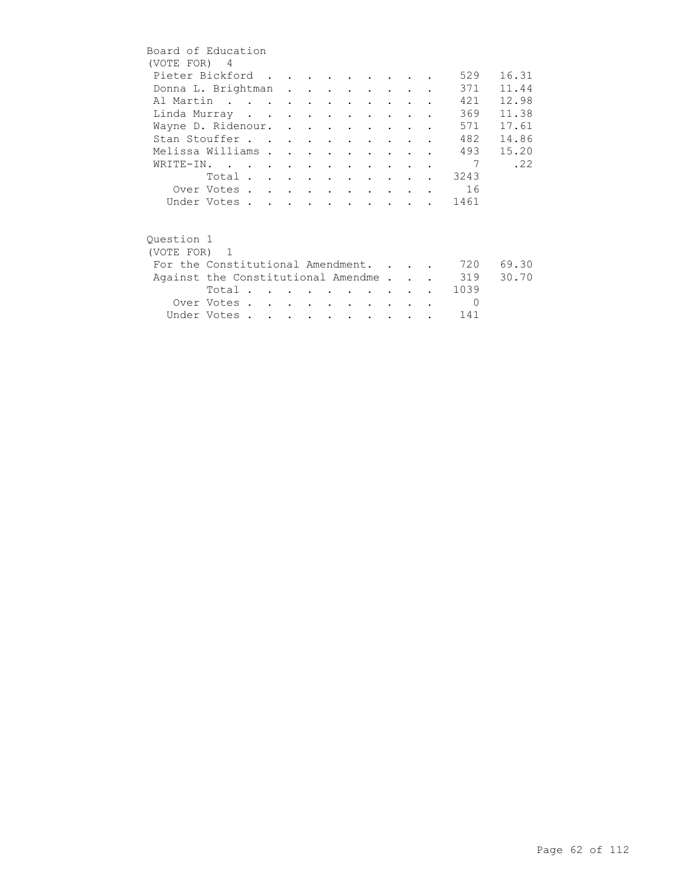| Board of Education                     |                         |  |  |  |                                 |                      |  |          |       |
|----------------------------------------|-------------------------|--|--|--|---------------------------------|----------------------|--|----------|-------|
| (VOTE FOR) 4                           |                         |  |  |  |                                 |                      |  |          |       |
| Pieter Bickford                        |                         |  |  |  |                                 |                      |  | 529      | 16.31 |
| Donna L. Brightman                     |                         |  |  |  |                                 |                      |  | 371      | 11.44 |
| Al Martin                              |                         |  |  |  |                                 |                      |  | 421      | 12.98 |
| Linda Murray                           |                         |  |  |  |                                 |                      |  | 369      | 11.38 |
| Wayne D. Ridenour.                     |                         |  |  |  |                                 |                      |  | 571      | 17.61 |
| Stan Stouffer                          |                         |  |  |  |                                 |                      |  | 482      | 14.86 |
| Melissa Williams                       |                         |  |  |  | $\cdot$ $\cdot$ $\cdot$ $\cdot$ |                      |  | 493      | 15.20 |
| WRITE-IN.                              |                         |  |  |  |                                 |                      |  | 7        | .22   |
|                                        | Total                   |  |  |  |                                 |                      |  | . 3243   |       |
|                                        | Over Votes 16           |  |  |  |                                 |                      |  |          |       |
|                                        | Under Votes             |  |  |  |                                 |                      |  | . 1461   |       |
|                                        |                         |  |  |  |                                 |                      |  |          |       |
| Ouestion 1                             |                         |  |  |  |                                 |                      |  |          |       |
| (VOTE FOR) 1                           |                         |  |  |  |                                 |                      |  |          |       |
| For the Constitutional Amendment.      |                         |  |  |  |                                 |                      |  | 720      | 69.30 |
| Against the Constitutional Amendme 319 |                         |  |  |  |                                 |                      |  |          | 30.70 |
|                                        | Total $\cdots$ $\cdots$ |  |  |  |                                 |                      |  | 1039     |       |
|                                        | Over Votes              |  |  |  |                                 | $\sim$ $\sim$ $\sim$ |  | $\Omega$ |       |
|                                        | Under Votes             |  |  |  |                                 |                      |  | 141      |       |
|                                        |                         |  |  |  |                                 |                      |  |          |       |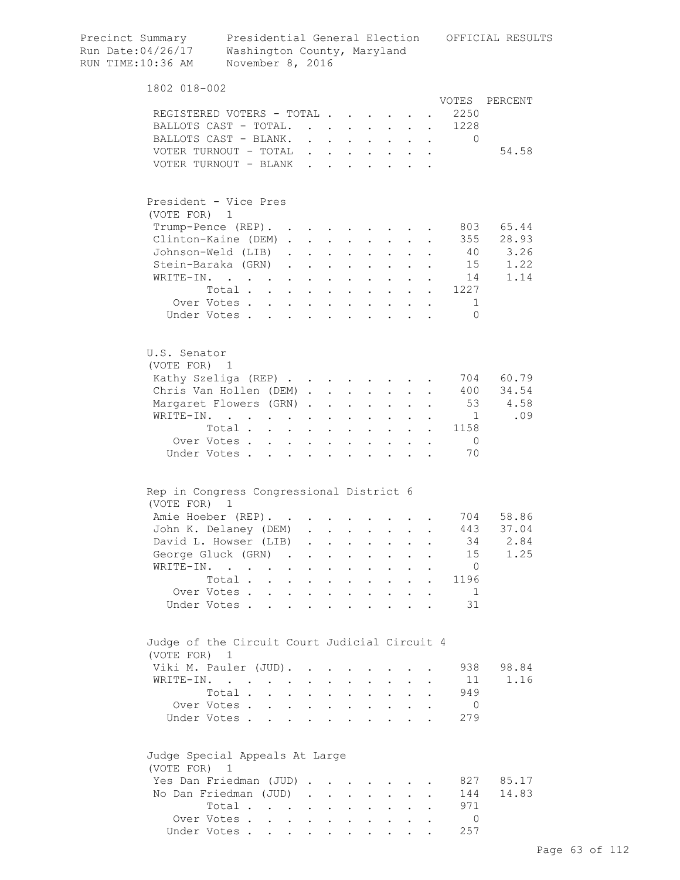| Precinct Summary<br>Run Date:04/26/17<br>RUN TIME:10:36 AM | Presidential General Election OFFICIAL RESULTS<br>Washington County, Maryland<br>November 8, 2016        |                                |                                                                          |                                          |                           |                                                                          |                                                             |                      |                                                                                                                                                                                                                                                                                                                                                                                                                                              |            |
|------------------------------------------------------------|----------------------------------------------------------------------------------------------------------|--------------------------------|--------------------------------------------------------------------------|------------------------------------------|---------------------------|--------------------------------------------------------------------------|-------------------------------------------------------------|----------------------|----------------------------------------------------------------------------------------------------------------------------------------------------------------------------------------------------------------------------------------------------------------------------------------------------------------------------------------------------------------------------------------------------------------------------------------------|------------|
| 1802 018-002                                               |                                                                                                          |                                |                                                                          |                                          |                           |                                                                          |                                                             |                      |                                                                                                                                                                                                                                                                                                                                                                                                                                              |            |
|                                                            |                                                                                                          |                                |                                                                          |                                          |                           |                                                                          |                                                             |                      | VOTES                                                                                                                                                                                                                                                                                                                                                                                                                                        | PERCENT    |
|                                                            | REGISTERED VOTERS - TOTAL                                                                                |                                |                                                                          |                                          |                           |                                                                          |                                                             |                      | 2250                                                                                                                                                                                                                                                                                                                                                                                                                                         |            |
|                                                            | BALLOTS CAST - TOTAL.                                                                                    |                                |                                                                          |                                          |                           |                                                                          |                                                             |                      | 1228                                                                                                                                                                                                                                                                                                                                                                                                                                         |            |
|                                                            | BALLOTS CAST - BLANK.                                                                                    |                                |                                                                          |                                          |                           |                                                                          |                                                             |                      | $\mathbf{0}$<br>$\mathbf{r} = \mathbf{r} + \mathbf{r} + \mathbf{r} + \mathbf{r} + \mathbf{r} + \mathbf{r} + \mathbf{r} + \mathbf{r} + \mathbf{r} + \mathbf{r} + \mathbf{r} + \mathbf{r} + \mathbf{r} + \mathbf{r} + \mathbf{r} + \mathbf{r} + \mathbf{r} + \mathbf{r} + \mathbf{r} + \mathbf{r} + \mathbf{r} + \mathbf{r} + \mathbf{r} + \mathbf{r} + \mathbf{r} + \mathbf{r} + \mathbf{r} + \mathbf{r} + \mathbf{r} + \mathbf{r} + \mathbf$ |            |
|                                                            | VOTER TURNOUT - TOTAL                                                                                    |                                |                                                                          |                                          |                           |                                                                          |                                                             |                      |                                                                                                                                                                                                                                                                                                                                                                                                                                              | 54.58      |
|                                                            | VOTER TURNOUT - BLANK                                                                                    |                                |                                                                          |                                          |                           |                                                                          |                                                             |                      |                                                                                                                                                                                                                                                                                                                                                                                                                                              |            |
| (VOTE FOR) 1                                               | President - Vice Pres                                                                                    |                                |                                                                          |                                          |                           |                                                                          |                                                             |                      |                                                                                                                                                                                                                                                                                                                                                                                                                                              |            |
|                                                            | Trump-Pence (REP).                                                                                       |                                |                                                                          |                                          |                           |                                                                          |                                                             |                      | 803                                                                                                                                                                                                                                                                                                                                                                                                                                          | 65.44      |
|                                                            | Clinton-Kaine (DEM)                                                                                      |                                |                                                                          |                                          |                           |                                                                          |                                                             |                      | 355                                                                                                                                                                                                                                                                                                                                                                                                                                          | 28.93      |
|                                                            | Johnson-Weld (LIB)                                                                                       |                                |                                                                          |                                          |                           | $\cdot$ $\cdot$                                                          | $\mathbf{r}$                                                |                      |                                                                                                                                                                                                                                                                                                                                                                                                                                              | 40 3.26    |
|                                                            | Stein-Baraka (GRN).                                                                                      | $\sim$                         |                                                                          | $\mathbf{z} = \mathbf{z} + \mathbf{z}$ . |                           | $\mathbf{z} = \mathbf{z} + \mathbf{z}$ .                                 | $\bullet$ .<br><br><br><br><br><br><br><br><br><br><br><br> |                      |                                                                                                                                                                                                                                                                                                                                                                                                                                              | 15<br>1.22 |
| WRITE-IN.                                                  |                                                                                                          |                                |                                                                          |                                          |                           |                                                                          |                                                             |                      | 14                                                                                                                                                                                                                                                                                                                                                                                                                                           | 1.14       |
|                                                            | $\mathcal{A}^{\mathcal{A}}$ , and $\mathcal{A}^{\mathcal{A}}$ , and $\mathcal{A}^{\mathcal{A}}$<br>Total |                                | $\mathbf{r} = \mathbf{r} + \mathbf{r}$ , where $\mathbf{r} = \mathbf{r}$ |                                          |                           | $\mathbf{z} = \mathbf{z} + \mathbf{z}$ .                                 |                                                             |                      | 1227                                                                                                                                                                                                                                                                                                                                                                                                                                         |            |
|                                                            | Over Votes                                                                                               |                                |                                                                          |                                          |                           | $\mathbf{A}^{(1)}$ and $\mathbf{A}^{(2)}$ and                            | $\sim$                                                      |                      | $\mathbf{A}^{(1)}$ and $\mathbf{A}^{(2)}$<br>1                                                                                                                                                                                                                                                                                                                                                                                               |            |
|                                                            | Under Votes                                                                                              | $\sim$                         |                                                                          | $\sim$                                   |                           |                                                                          |                                                             |                      | $\Omega$                                                                                                                                                                                                                                                                                                                                                                                                                                     |            |
|                                                            |                                                                                                          |                                | $\ddot{\phantom{0}}$                                                     |                                          |                           |                                                                          |                                                             |                      |                                                                                                                                                                                                                                                                                                                                                                                                                                              |            |
| U.S. Senator<br>(VOTE FOR) 1                               |                                                                                                          |                                |                                                                          |                                          |                           |                                                                          |                                                             |                      |                                                                                                                                                                                                                                                                                                                                                                                                                                              |            |
|                                                            | Kathy Szeliga (REP)                                                                                      |                                |                                                                          |                                          |                           |                                                                          |                                                             |                      | 704                                                                                                                                                                                                                                                                                                                                                                                                                                          | 60.79      |
|                                                            | Chris Van Hollen (DEM)                                                                                   |                                |                                                                          |                                          |                           | $\mathbf{a} = \mathbf{b}$                                                |                                                             |                      | 400                                                                                                                                                                                                                                                                                                                                                                                                                                          | 34.54      |
|                                                            | Margaret Flowers (GRN)                                                                                   |                                |                                                                          |                                          | $\mathbf{L}^{\text{max}}$ | $\mathbf{L}^{\text{max}}$                                                |                                                             |                      | 53                                                                                                                                                                                                                                                                                                                                                                                                                                           | 4.58       |
|                                                            | WRITE-IN.                                                                                                |                                |                                                                          |                                          |                           |                                                                          |                                                             |                      | $\overline{1}$                                                                                                                                                                                                                                                                                                                                                                                                                               | .09        |
|                                                            | Total                                                                                                    | $\sim$ $-$                     |                                                                          | $\mathbf{z} = \mathbf{z} + \mathbf{z}$ . | $\mathbf{L}^{\text{max}}$ | $\sim$ 10 $\pm$                                                          | $\mathbf{L}$                                                |                      | 1158                                                                                                                                                                                                                                                                                                                                                                                                                                         |            |
|                                                            | Over Votes                                                                                               | $\sim$<br>$\ddot{\phantom{0}}$ |                                                                          | $\ddot{\phantom{0}}$                     |                           |                                                                          |                                                             |                      | $\overline{0}$                                                                                                                                                                                                                                                                                                                                                                                                                               |            |
|                                                            | Under Votes                                                                                              |                                | $\ddot{\phantom{a}}$                                                     | $\mathbf{r}$                             | $\mathbf{r}$              |                                                                          |                                                             |                      | 70                                                                                                                                                                                                                                                                                                                                                                                                                                           |            |
|                                                            | Rep in Congress Congressional District 6                                                                 |                                |                                                                          |                                          |                           |                                                                          |                                                             |                      |                                                                                                                                                                                                                                                                                                                                                                                                                                              |            |
| (VOTE FOR) 1                                               |                                                                                                          |                                |                                                                          |                                          |                           |                                                                          |                                                             |                      |                                                                                                                                                                                                                                                                                                                                                                                                                                              |            |
|                                                            | Amie Hoeber (REP).                                                                                       |                                |                                                                          |                                          |                           |                                                                          |                                                             |                      |                                                                                                                                                                                                                                                                                                                                                                                                                                              | 704 58.86  |
|                                                            | John K. Delaney (DEM)                                                                                    |                                |                                                                          |                                          |                           |                                                                          |                                                             |                      |                                                                                                                                                                                                                                                                                                                                                                                                                                              | 443 37.04  |
|                                                            | David L. Howser (LIB)                                                                                    | $\sim$                         | $\sim$                                                                   |                                          |                           |                                                                          |                                                             |                      | 34                                                                                                                                                                                                                                                                                                                                                                                                                                           | 2.84       |
|                                                            | George Gluck (GRN).                                                                                      | $\sim$                         | $\ddot{\phantom{0}}$                                                     | $\ddot{\phantom{0}}$                     | $\ddot{\phantom{0}}$      | $\ddot{\phantom{0}}$                                                     | $\mathbf{L}$                                                |                      | 15                                                                                                                                                                                                                                                                                                                                                                                                                                           | 1.25       |
|                                                            | WRITE-IN.                                                                                                | $\sim$<br>$\ddot{\phantom{0}}$ | $\ddot{\phantom{a}}$                                                     | $\sim 100$ km s $^{-1}$                  |                           | $\ddot{\phantom{1}}$                                                     | $\mathbf{L}$                                                |                      | $\overline{0}$                                                                                                                                                                                                                                                                                                                                                                                                                               |            |
|                                                            | Total                                                                                                    |                                | $\ddot{\phantom{a}}$                                                     | $\sim$ $\sim$                            |                           | $\cdot$ $\cdot$ $\cdot$ $\cdot$ $\cdot$                                  |                                                             |                      | 1196                                                                                                                                                                                                                                                                                                                                                                                                                                         |            |
|                                                            | Over Votes                                                                                               |                                |                                                                          |                                          |                           |                                                                          |                                                             | $\ddot{\phantom{a}}$ | $\overline{1}$                                                                                                                                                                                                                                                                                                                                                                                                                               |            |
|                                                            | Under Votes                                                                                              |                                |                                                                          |                                          |                           |                                                                          |                                                             |                      | 31                                                                                                                                                                                                                                                                                                                                                                                                                                           |            |
| (VOTE FOR)                                                 | Judge of the Circuit Court Judicial Circuit 4<br>1                                                       |                                |                                                                          |                                          |                           |                                                                          |                                                             |                      |                                                                                                                                                                                                                                                                                                                                                                                                                                              |            |
|                                                            | Viki M. Pauler (JUD).                                                                                    |                                |                                                                          | $\mathbf{L}$                             | $\ddot{\phantom{0}}$      |                                                                          |                                                             |                      | 938                                                                                                                                                                                                                                                                                                                                                                                                                                          | 98.84      |
|                                                            | WRITE-IN.                                                                                                |                                | $\mathbf{r}$ , $\mathbf{r}$ , $\mathbf{r}$                               |                                          |                           | $\cdot$ $\cdot$                                                          | $\mathbf{L}$                                                |                      | 11                                                                                                                                                                                                                                                                                                                                                                                                                                           | 1.16       |
|                                                            | Total                                                                                                    |                                |                                                                          |                                          |                           | $\mathbf{r}$ , $\mathbf{r}$ , $\mathbf{r}$ , $\mathbf{r}$ , $\mathbf{r}$ |                                                             |                      | 949                                                                                                                                                                                                                                                                                                                                                                                                                                          |            |
|                                                            | Over Votes                                                                                               |                                |                                                                          |                                          |                           |                                                                          |                                                             |                      | $\overline{0}$                                                                                                                                                                                                                                                                                                                                                                                                                               |            |
|                                                            | Under Votes                                                                                              |                                |                                                                          |                                          |                           |                                                                          |                                                             |                      | 279                                                                                                                                                                                                                                                                                                                                                                                                                                          |            |
| (VOTE FOR) 1                                               | Judge Special Appeals At Large                                                                           |                                |                                                                          |                                          |                           |                                                                          |                                                             |                      |                                                                                                                                                                                                                                                                                                                                                                                                                                              |            |
|                                                            | Yes Dan Friedman (JUD)                                                                                   |                                |                                                                          |                                          |                           |                                                                          |                                                             |                      | 827                                                                                                                                                                                                                                                                                                                                                                                                                                          | 85.17      |
|                                                            | No Dan Friedman (JUD)                                                                                    |                                |                                                                          |                                          |                           |                                                                          |                                                             |                      | 144                                                                                                                                                                                                                                                                                                                                                                                                                                          | 14.83      |
|                                                            | Total                                                                                                    |                                |                                                                          |                                          |                           |                                                                          |                                                             |                      | 971                                                                                                                                                                                                                                                                                                                                                                                                                                          |            |
|                                                            | Over Votes                                                                                               |                                |                                                                          |                                          |                           |                                                                          |                                                             |                      | $\Omega$                                                                                                                                                                                                                                                                                                                                                                                                                                     |            |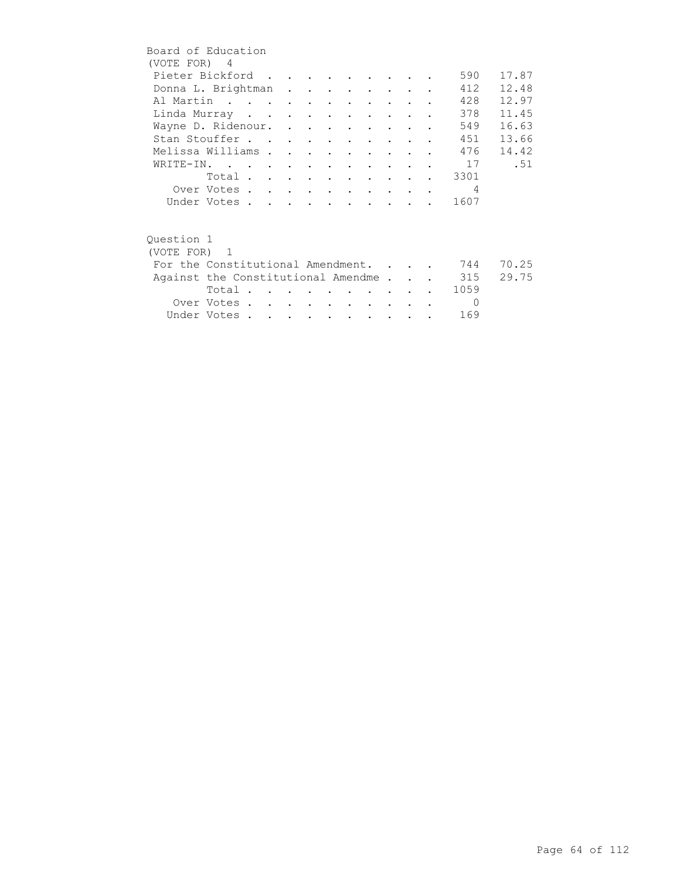| Board of Education                     |                |  |  |                                 |                                        |  |                |       |
|----------------------------------------|----------------|--|--|---------------------------------|----------------------------------------|--|----------------|-------|
| (VOTE FOR) 4                           |                |  |  |                                 |                                        |  |                |       |
| Pieter Bickford                        |                |  |  |                                 |                                        |  | 590            | 17.87 |
| Donna L. Brightman                     |                |  |  |                                 |                                        |  | 412            | 12.48 |
| Al Martin                              |                |  |  |                                 |                                        |  | 428            | 12.97 |
| Linda Murray                           |                |  |  |                                 |                                        |  | 378            | 11.45 |
| Wayne D. Ridenour.                     |                |  |  |                                 |                                        |  | 549            | 16.63 |
| Stan Stouffer                          |                |  |  |                                 |                                        |  | 451            | 13.66 |
| Melissa Williams                       |                |  |  | $\cdot$ $\cdot$ $\cdot$ $\cdot$ |                                        |  | 476            | 14.42 |
| WRITE-IN.                              |                |  |  |                                 |                                        |  | 17             | .51   |
|                                        | Total 3301     |  |  |                                 |                                        |  |                |       |
|                                        | Over Votes     |  |  |                                 |                                        |  | $\overline{4}$ |       |
|                                        | Under Votes    |  |  |                                 |                                        |  | 1607           |       |
|                                        |                |  |  |                                 |                                        |  |                |       |
| Ouestion 1                             |                |  |  |                                 |                                        |  |                |       |
| (VOTE FOR) 1                           |                |  |  |                                 |                                        |  |                |       |
| For the Constitutional Amendment.      |                |  |  |                                 |                                        |  | 744            | 70.25 |
| Against the Constitutional Amendme 315 |                |  |  |                                 |                                        |  |                | 29.75 |
|                                        | Total $\cdots$ |  |  |                                 | <b>Contract Contract Street</b>        |  | 1059           |       |
|                                        | Over Votes     |  |  |                                 | $\mathbf{r}$ . The set of $\mathbf{r}$ |  | $\Omega$       |       |
|                                        | Under Votes    |  |  |                                 |                                        |  | 169            |       |
|                                        |                |  |  |                                 |                                        |  |                |       |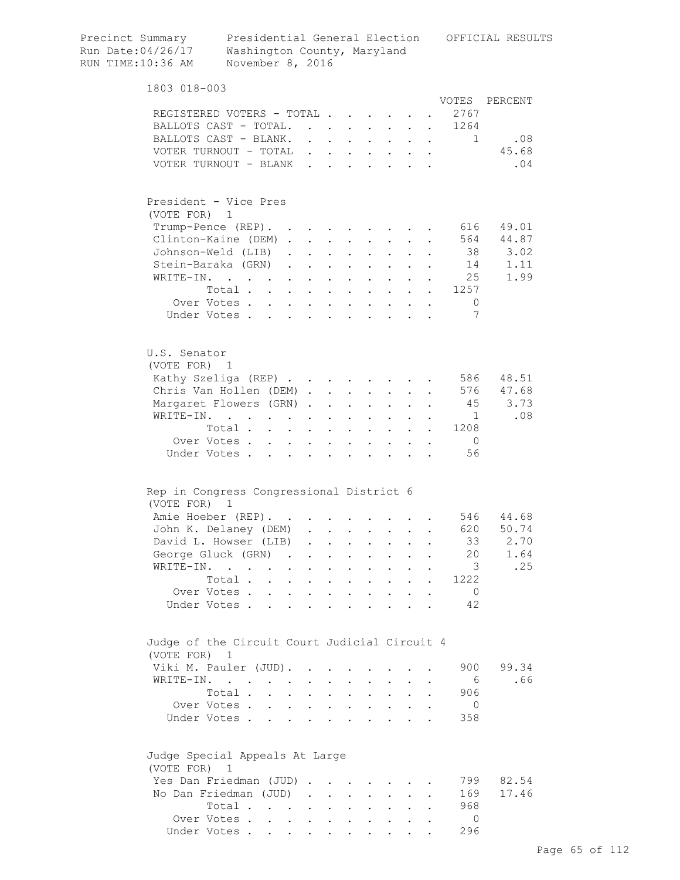| Precinct Summary<br>Run Date:04/26/17<br>RUN TIME:10:36 AM | Presidential General Election<br>Washington County, Maryland<br>November 8, 2016                            |        |           |                                                                      |                            |                                                                      |              |                      |                                   | OFFICIAL RESULTS |
|------------------------------------------------------------|-------------------------------------------------------------------------------------------------------------|--------|-----------|----------------------------------------------------------------------|----------------------------|----------------------------------------------------------------------|--------------|----------------------|-----------------------------------|------------------|
| 1803 018-003                                               |                                                                                                             |        |           |                                                                      |                            |                                                                      |              |                      |                                   |                  |
|                                                            |                                                                                                             |        |           |                                                                      |                            |                                                                      |              |                      | VOTES                             | PERCENT          |
|                                                            | REGISTERED VOTERS - TOTAL                                                                                   |        |           |                                                                      |                            |                                                                      |              |                      | 2767                              |                  |
|                                                            | BALLOTS CAST - TOTAL.                                                                                       |        |           |                                                                      |                            |                                                                      |              |                      | 1264<br>$\mathbf{L}^{\text{max}}$ |                  |
|                                                            | BALLOTS CAST - BLANK.<br>VOTER TURNOUT - TOTAL $\cdot \cdot \cdot \cdot \cdot \cdot$                        |        |           |                                                                      |                            |                                                                      |              |                      | 1                                 | .08<br>45.68     |
|                                                            | VOTER TURNOUT - BLANK                                                                                       |        |           |                                                                      |                            |                                                                      |              |                      |                                   | .04              |
|                                                            |                                                                                                             |        |           |                                                                      |                            |                                                                      |              |                      |                                   |                  |
|                                                            | President - Vice Pres                                                                                       |        |           |                                                                      |                            |                                                                      |              |                      |                                   |                  |
| (VOTE FOR) 1                                               |                                                                                                             |        |           |                                                                      |                            |                                                                      |              |                      |                                   |                  |
|                                                            | Trump-Pence (REP).                                                                                          |        |           |                                                                      |                            |                                                                      |              |                      | 616                               | 49.01            |
|                                                            | Clinton-Kaine (DEM)                                                                                         |        |           |                                                                      |                            |                                                                      |              |                      |                                   | 564 44.87        |
|                                                            | Johnson-Weld (LIB).                                                                                         |        |           | $\mathbf{z} = \left\{ \mathbf{z}_1, \ldots, \mathbf{z}_n \right\}$ . |                            | $\mathbf{r} = \mathbf{r} + \mathbf{r}$ .                             |              |                      |                                   | 38 3.02          |
| WRITE-IN.                                                  | Stein-Baraka (GRN)                                                                                          |        |           |                                                                      | $\mathbf{A}^{\text{max}}$  | $\sim$ $-$                                                           |              |                      | 14                                | 1.11             |
|                                                            | $\mathcal{L}^{\mathcal{A}}(\mathcal{A})$ . The contribution of the contribution of $\mathcal{A}$<br>Total . |        |           |                                                                      |                            | $\mathbf{z} = \mathbf{z} + \mathbf{z}$ .                             |              |                      | 25<br>1257                        | 1.99             |
|                                                            | $\mathbf{L} = \mathbf{L}$<br>Over Votes                                                                     | $\sim$ | $\bullet$ | $\sim$<br>$\mathbf{r} = \mathbf{r} + \mathbf{r}$ .                   | $\mathcal{L}^{\text{max}}$ | $\sim$<br>$\sim$ $-$                                                 |              |                      | $\overline{0}$                    |                  |
|                                                            | Under Votes                                                                                                 |        |           |                                                                      |                            |                                                                      | $\mathbf{L}$ | $\mathbf{r}$         | 7                                 |                  |
|                                                            |                                                                                                             |        |           |                                                                      |                            |                                                                      |              |                      |                                   |                  |
| U.S. Senator<br>(VOTE FOR) 1                               |                                                                                                             |        |           |                                                                      |                            |                                                                      |              |                      |                                   |                  |
|                                                            | Kathy Szeliga (REP)                                                                                         |        |           |                                                                      |                            |                                                                      |              |                      |                                   | 586 48.51        |
|                                                            | Chris Van Hollen (DEM)                                                                                      |        |           |                                                                      |                            |                                                                      |              |                      |                                   | 576 47.68        |
|                                                            | Margaret Flowers (GRN)                                                                                      |        |           |                                                                      | $\sim$                     | $\sim 10^{-10}$                                                      |              |                      | 45                                | 3.73             |
| WRITE-IN.                                                  | $\mathbf{r} = \mathbf{r} \cdot \mathbf{r}$ .                                                                |        |           | $\ddot{\phantom{0}}$                                                 |                            | $\sim$ 100 $\pm$                                                     |              |                      | $\mathbf{1}$                      | .08              |
|                                                            | Total                                                                                                       |        |           |                                                                      |                            | $\mathbf{r}$ , $\mathbf{r}$ , $\mathbf{r}$                           |              |                      | 1208                              |                  |
|                                                            | Over Votes                                                                                                  |        |           |                                                                      |                            | $\cdot$ $\cdot$ $\cdot$ $\cdot$ $\cdot$ $\cdot$ $\cdot$              |              | $\ddot{\phantom{a}}$ | $\overline{0}$                    |                  |
|                                                            | Under Votes                                                                                                 |        |           |                                                                      |                            |                                                                      |              |                      | 56                                |                  |
|                                                            | Rep in Congress Congressional District 6                                                                    |        |           |                                                                      |                            |                                                                      |              |                      |                                   |                  |
| (VOTE FOR) 1                                               |                                                                                                             |        |           |                                                                      |                            |                                                                      |              |                      |                                   |                  |
|                                                            | Amie Hoeber (REP).                                                                                          |        |           |                                                                      |                            |                                                                      |              |                      |                                   | 546 44.68        |
|                                                            | John K. Delaney (DEM)<br>David L. Howser (LIB)                                                              |        |           |                                                                      |                            |                                                                      |              |                      | 620<br>33                         | 50.74<br>2.70    |
|                                                            | George Gluck (GRN)                                                                                          |        |           |                                                                      |                            |                                                                      |              |                      | 20                                | 1.64             |
| WRITE-IN.                                                  | $\mathbf{r}$ , $\mathbf{r}$ , $\mathbf{r}$ , $\mathbf{r}$ , $\mathbf{r}$                                    |        |           |                                                                      |                            | $\cdot$ $\cdot$ $\cdot$ $\cdot$ $\cdot$                              |              |                      | $\overline{\mathbf{3}}$           | .25              |
|                                                            | Total $\cdots$ $\cdots$                                                                                     |        |           |                                                                      |                            | $\cdot$ $\cdot$ $\cdot$ $\cdot$                                      |              |                      | 1222                              |                  |
|                                                            | Over Votes                                                                                                  |        |           |                                                                      |                            | and a strategic state                                                |              | $\bullet$            | $\overline{0}$                    |                  |
|                                                            | Under Votes                                                                                                 |        |           |                                                                      |                            |                                                                      |              |                      | 42                                |                  |
| (VOTE FOR)                                                 | Judge of the Circuit Court Judicial Circuit 4<br>1                                                          |        |           |                                                                      |                            |                                                                      |              |                      |                                   |                  |
|                                                            | Viki M. Pauler (JUD).                                                                                       |        |           |                                                                      |                            |                                                                      |              |                      | 900                               | 99.34            |
|                                                            | WRITE-IN.                                                                                                   |        |           |                                                                      |                            |                                                                      |              |                      | - 6                               | .66              |
|                                                            | Total                                                                                                       |        |           |                                                                      |                            |                                                                      |              |                      | 906                               |                  |
|                                                            | Over Votes                                                                                                  |        |           |                                                                      |                            | $\mathbf{z} = \left\{ \mathbf{z}_1, \ldots, \mathbf{z}_n \right\}$ . |              |                      | - 0                               |                  |
|                                                            | Under Votes                                                                                                 |        |           |                                                                      |                            |                                                                      |              |                      | 358                               |                  |
| (VOTE FOR)                                                 | Judge Special Appeals At Large<br>$\mathbf 1$                                                               |        |           |                                                                      |                            |                                                                      |              |                      |                                   |                  |
|                                                            | Yes Dan Friedman (JUD)                                                                                      |        |           |                                                                      |                            |                                                                      |              |                      | 799                               | 82.54            |
|                                                            | No Dan Friedman (JUD)                                                                                       |        |           |                                                                      |                            |                                                                      |              |                      | 169                               | 17.46            |
|                                                            | Total                                                                                                       |        |           |                                                                      |                            |                                                                      |              |                      | 968                               |                  |
|                                                            | Over Votes                                                                                                  |        |           |                                                                      |                            |                                                                      |              |                      | $\Omega$                          |                  |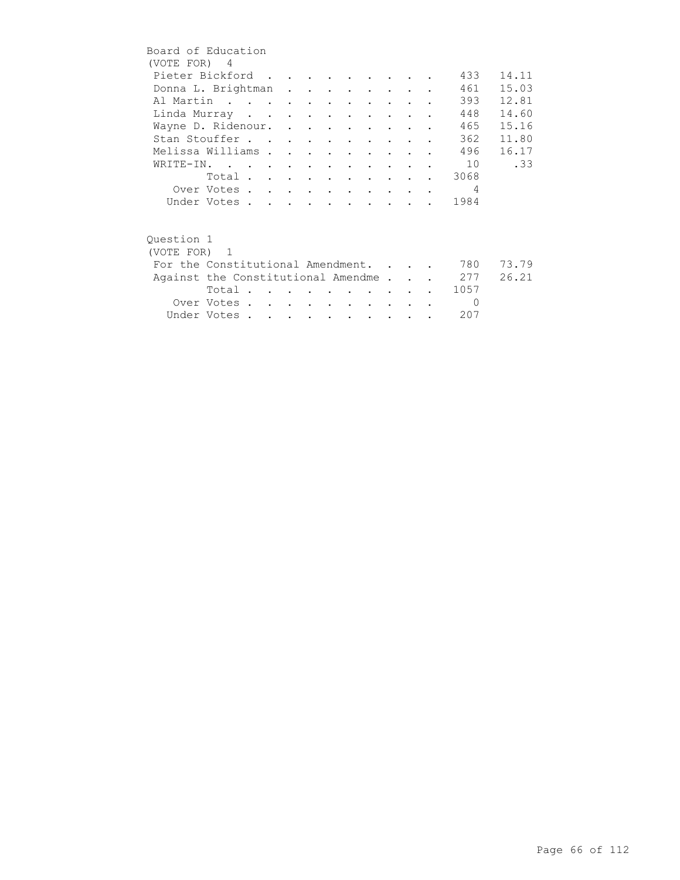| Board of Education |                                    |  |  |                                     |                                         |                      |               |            |       |
|--------------------|------------------------------------|--|--|-------------------------------------|-----------------------------------------|----------------------|---------------|------------|-------|
| (VOTE FOR) 4       |                                    |  |  |                                     |                                         |                      |               |            |       |
|                    | Pieter Bickford                    |  |  |                                     |                                         |                      |               | 433        | 14.11 |
|                    | Donna L. Brightman                 |  |  |                                     |                                         |                      |               | 461        | 15.03 |
|                    | Al Martin                          |  |  |                                     |                                         |                      |               | 393        | 12.81 |
|                    | Linda Murray                       |  |  |                                     |                                         | $\sim$ $\sim$ $\sim$ |               | 448        | 14.60 |
|                    | Wayne D. Ridenour.                 |  |  |                                     |                                         |                      |               | 465        | 15.16 |
|                    | Stan Stouffer                      |  |  |                                     |                                         |                      |               | 362        | 11.80 |
|                    | Melissa Williams                   |  |  |                                     | $\cdot$ $\cdot$ $\cdot$ $\cdot$ $\cdot$ |                      |               | 496        | 16.17 |
|                    | WRITE-IN.                          |  |  |                                     |                                         |                      |               | 10         | .33   |
|                    | Total                              |  |  |                                     |                                         |                      |               | 3068       |       |
|                    | Over Votes                         |  |  |                                     |                                         |                      |               | - 4        |       |
|                    | Under Votes                        |  |  |                                     |                                         |                      |               | 1984       |       |
|                    |                                    |  |  |                                     |                                         |                      |               |            |       |
| Ouestion 1         |                                    |  |  |                                     |                                         |                      |               |            |       |
| (VOTE FOR) 1       |                                    |  |  |                                     |                                         |                      |               |            |       |
|                    | For the Constitutional Amendment.  |  |  |                                     |                                         |                      |               | 780        | 73.79 |
|                    | Against the Constitutional Amendme |  |  |                                     |                                         |                      |               | . 277      | 26.21 |
|                    | Total                              |  |  |                                     |                                         |                      |               | 1057       |       |
|                    | Over Votes                         |  |  |                                     |                                         |                      |               | $\bigcirc$ |       |
|                    |                                    |  |  |                                     |                                         |                      |               | 207        |       |
|                    | Under Votes                        |  |  | and the contract of the contract of |                                         | $\sim$               | $\sim$ $\sim$ |            |       |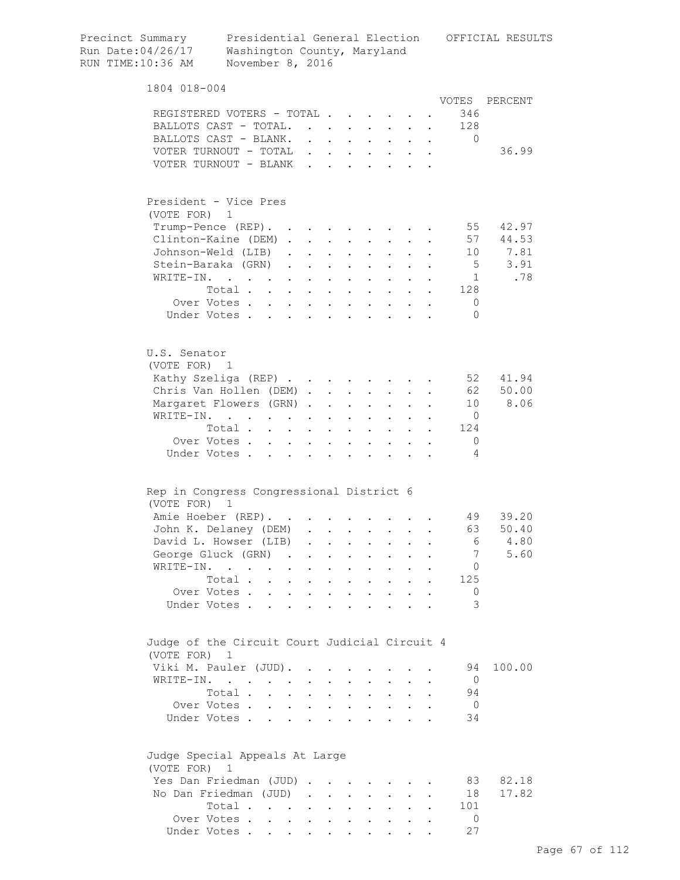| Precinct Summary<br>Run Date: 04/26/17<br>RUN TIME: 10:36 AM | Washington County, Maryland<br>November 8, 2016                       |                                   |                                                                          |                                              |                                                      |                           |                                                             |                      |           |                          | Presidential General Election OFFICIAL RESULTS |
|--------------------------------------------------------------|-----------------------------------------------------------------------|-----------------------------------|--------------------------------------------------------------------------|----------------------------------------------|------------------------------------------------------|---------------------------|-------------------------------------------------------------|----------------------|-----------|--------------------------|------------------------------------------------|
| 1804 018-004                                                 |                                                                       |                                   |                                                                          |                                              |                                                      |                           |                                                             |                      |           |                          |                                                |
|                                                              |                                                                       |                                   |                                                                          |                                              |                                                      |                           |                                                             |                      |           | VOTES                    | PERCENT                                        |
| REGISTERED VOTERS - TOTAL.                                   |                                                                       |                                   |                                                                          |                                              | $\mathbf{L} = \mathbf{L}$                            |                           |                                                             |                      |           | 346                      |                                                |
| BALLOTS CAST - TOTAL.                                        |                                                                       |                                   | $\mathbf{r}$                                                             |                                              |                                                      |                           |                                                             |                      |           | 128                      |                                                |
| BALLOTS CAST - BLANK.                                        |                                                                       |                                   |                                                                          |                                              |                                                      |                           |                                                             |                      |           | $\Omega$                 |                                                |
| VOTER TURNOUT - TOTAL<br>VOTER TURNOUT - BLANK               |                                                                       |                                   | $\mathbf{L}$<br>$\mathbf{r}$                                             | $\mathbf{r}$                                 | $\cdot$ $\cdot$ $\cdot$<br>$\mathbf{L}^{\text{max}}$ |                           |                                                             |                      |           |                          | 36.99                                          |
|                                                              |                                                                       |                                   |                                                                          |                                              |                                                      |                           |                                                             |                      |           |                          |                                                |
| President - Vice Pres                                        |                                                                       |                                   |                                                                          |                                              |                                                      |                           |                                                             |                      |           |                          |                                                |
| (VOTE FOR)                                                   | 1                                                                     |                                   |                                                                          |                                              |                                                      |                           |                                                             |                      |           |                          |                                                |
| Trump-Pence (REP).                                           |                                                                       | $\bullet$                         |                                                                          | $\bullet$                                    |                                                      |                           |                                                             |                      |           | 55                       | 42.97                                          |
| Clinton-Kaine (DEM) .                                        |                                                                       |                                   | $\ddot{\phantom{0}}$                                                     | $\ddot{\phantom{0}}$                         |                                                      |                           |                                                             |                      |           | 57                       | 44.53                                          |
| Johnson-Weld (LIB)                                           |                                                                       | $\ddot{\phantom{a}}$              |                                                                          | $\bullet$                                    | $\ddot{\phantom{a}}$                                 |                           |                                                             |                      |           | 10                       | 7.81<br>3.91                                   |
| Stein-Baraka (GRN)                                           |                                                                       | $\ddot{\phantom{a}}$              | $\mathbf{L}$                                                             |                                              |                                                      |                           |                                                             |                      |           | $5^{\circ}$              |                                                |
| WRITE-IN.                                                    | Total                                                                 | $\mathbf{L}$                      | $\mathbf{L}$                                                             | $\ddot{\phantom{a}}$                         | $\mathbf{r}$                                         | $\ddot{\phantom{a}}$      | $\mathbf{r}$                                                |                      |           | 1<br>128                 | .78                                            |
|                                                              | Over Votes                                                            |                                   |                                                                          | $\ddot{\phantom{a}}$<br>$\ddot{\phantom{a}}$ | $\sim$<br>$\sim 100$ km s $^{-1}$                    | $\bullet$                 | $\sim$ $\sim$ $\sim$<br>$\cdot$ $\cdot$ $\cdot$ $\cdot$     |                      |           | 0                        |                                                |
|                                                              | Under Votes                                                           |                                   |                                                                          |                                              |                                                      |                           |                                                             |                      |           | $\Omega$                 |                                                |
|                                                              |                                                                       |                                   |                                                                          |                                              |                                                      |                           |                                                             |                      |           |                          |                                                |
| U.S. Senator                                                 |                                                                       |                                   |                                                                          |                                              |                                                      |                           |                                                             |                      |           |                          |                                                |
| (VOTE FOR) 1                                                 |                                                                       |                                   |                                                                          |                                              |                                                      |                           |                                                             |                      |           |                          |                                                |
| Kathy Szeliga (REP)                                          |                                                                       |                                   |                                                                          |                                              |                                                      |                           |                                                             |                      |           | 52                       | 41.94                                          |
| Chris Van Hollen (DEM).                                      |                                                                       |                                   |                                                                          |                                              |                                                      |                           | $\cdot$ $\cdot$ $\cdot$ $\cdot$                             | $\mathbf{r}$         |           | 62                       | 50.00                                          |
| Margaret Flowers (GRN).                                      |                                                                       |                                   |                                                                          | $\ddot{\phantom{a}}$                         | $\mathbf{L}$                                         |                           | $\cdot$ $\cdot$ $\cdot$                                     |                      |           | 10                       | 8.06                                           |
| WRITE-IN.                                                    | $\mathbf{r}$ , and $\mathbf{r}$ , and $\mathbf{r}$ , and $\mathbf{r}$ |                                   |                                                                          | $\ddot{\phantom{0}}$                         | $\ddot{\phantom{a}}$                                 | $\ddot{\phantom{a}}$      | $\mathbf{L}$                                                |                      |           | $\circ$<br>124           |                                                |
|                                                              | Total<br>Over Votes                                                   |                                   |                                                                          | $\bullet$                                    | $\sim 100$ km s $^{-1}$                              | $\mathbf{L}^{\text{max}}$ | $\bullet$ .                                                 | $\sim$ $-$           | $\bullet$ | 0                        |                                                |
| Under Votes                                                  |                                                                       | $\ddot{\phantom{0}}$<br>$\bullet$ | $\ddot{\phantom{a}}$<br>$\bullet$                                        | $\bullet$<br>$\ddot{\phantom{0}}$            | $\bullet$                                            | $\bullet$                 |                                                             |                      |           | 4                        |                                                |
|                                                              |                                                                       |                                   |                                                                          |                                              |                                                      |                           |                                                             |                      |           |                          |                                                |
| Rep in Congress Congressional District 6<br>(VOTE FOR)       | $\overline{1}$                                                        |                                   |                                                                          |                                              |                                                      |                           |                                                             |                      |           |                          |                                                |
| Amie Hoeber (REP).                                           |                                                                       |                                   |                                                                          |                                              |                                                      |                           |                                                             |                      |           |                          | 49 39.20                                       |
| John K. Delaney (DEM)                                        |                                                                       |                                   |                                                                          |                                              |                                                      |                           |                                                             |                      |           | 63                       | 50.40                                          |
| David L. Howser (LIB)                                        |                                                                       |                                   |                                                                          |                                              | $\ddot{\phantom{0}}$                                 | $\bullet$ .               | $\bullet$ .<br><br><br><br><br><br><br><br><br><br><br><br> | $\ddot{\phantom{0}}$ |           | 6                        | 4.80                                           |
| George Gluck (GRN)                                           |                                                                       | $\sim$ $\sim$                     |                                                                          | $\ddot{\phantom{0}}$                         | $\ddot{\phantom{0}}$                                 | $\bullet$                 |                                                             |                      |           | 7                        | 5.60                                           |
| WRITE-IN.                                                    |                                                                       | $\bullet$                         | $\ddot{\phantom{0}}$                                                     | $\ddot{\phantom{0}}$                         | $\ddot{\phantom{a}}$                                 | $\bullet$                 |                                                             |                      |           | 0                        |                                                |
|                                                              | Total                                                                 | $\sim$ $-$                        | $\mathcal{L}^{\text{max}}$                                               | $\bullet$                                    | $\ddot{\phantom{0}}$                                 |                           |                                                             |                      |           | 125                      |                                                |
| Over Votes.                                                  | $\mathbf{L}$                                                          | $\ddot{\phantom{0}}$              | $\ddot{\phantom{0}}$                                                     | $\ddot{\phantom{a}}$                         | $\ddot{\phantom{a}}$                                 |                           |                                                             |                      |           | 0                        |                                                |
| Under Votes.                                                 | $\overline{a}$                                                        |                                   |                                                                          |                                              |                                                      |                           |                                                             |                      |           | 3                        |                                                |
| Judge of the Circuit Court Judicial Circuit 4                |                                                                       |                                   |                                                                          |                                              |                                                      |                           |                                                             |                      |           |                          |                                                |
| (VOTE FOR) 1                                                 |                                                                       |                                   |                                                                          |                                              |                                                      |                           |                                                             |                      |           |                          |                                                |
| Viki M. Pauler (JUD).                                        |                                                                       |                                   | $\ddot{\phantom{a}}$                                                     |                                              |                                                      |                           |                                                             |                      |           | 94                       | 100.00                                         |
| WRITE-IN.                                                    | and the contract of the contract of                                   |                                   |                                                                          |                                              |                                                      |                           |                                                             |                      |           | $\overline{0}$           |                                                |
|                                                              | Total .                                                               |                                   |                                                                          | $\bullet$                                    |                                                      |                           |                                                             |                      |           | 94                       |                                                |
|                                                              | Over Votes                                                            | $\sim$                            | $\ddot{\phantom{0}}$                                                     | $\ddot{\phantom{a}}$                         | $\ddot{\phantom{a}}$                                 |                           |                                                             |                      |           | $\overline{\phantom{0}}$ |                                                |
| Under Votes.                                                 | $\mathbf{r}$                                                          |                                   |                                                                          |                                              |                                                      |                           |                                                             |                      |           | 34                       |                                                |
| Judge Special Appeals At Large                               |                                                                       |                                   |                                                                          |                                              |                                                      |                           |                                                             |                      |           |                          |                                                |
| (VOTE FOR)                                                   | 1                                                                     |                                   |                                                                          |                                              |                                                      |                           |                                                             |                      |           |                          |                                                |
| Yes Dan Friedman (JUD)                                       |                                                                       |                                   |                                                                          |                                              |                                                      |                           |                                                             |                      |           | 83                       | 82.18                                          |
| No Dan Friedman (JUD)                                        |                                                                       |                                   | $\mathbf{u} = \mathbf{u} + \mathbf{u}$ , where $\mathbf{u} = \mathbf{u}$ |                                              |                                                      | $\ddot{\phantom{a}}$      |                                                             |                      |           | 18                       | 17.82                                          |
|                                                              | Total                                                                 |                                   |                                                                          | $\ddot{\phantom{a}}$                         | $\ddot{\phantom{a}}$                                 |                           | $\bullet$ .<br><br><br><br><br><br><br><br><br><br><br><br> |                      |           | 101                      |                                                |
|                                                              | Over Votes                                                            | $\sim$ $-$                        | $\sim 10^{-11}$                                                          | $\ddot{\phantom{a}}$                         | $\ddot{\phantom{0}}$                                 |                           | $\bullet$ .                                                 |                      |           | 0                        |                                                |
|                                                              | Under Votes                                                           |                                   |                                                                          |                                              |                                                      |                           |                                                             |                      |           | 27                       |                                                |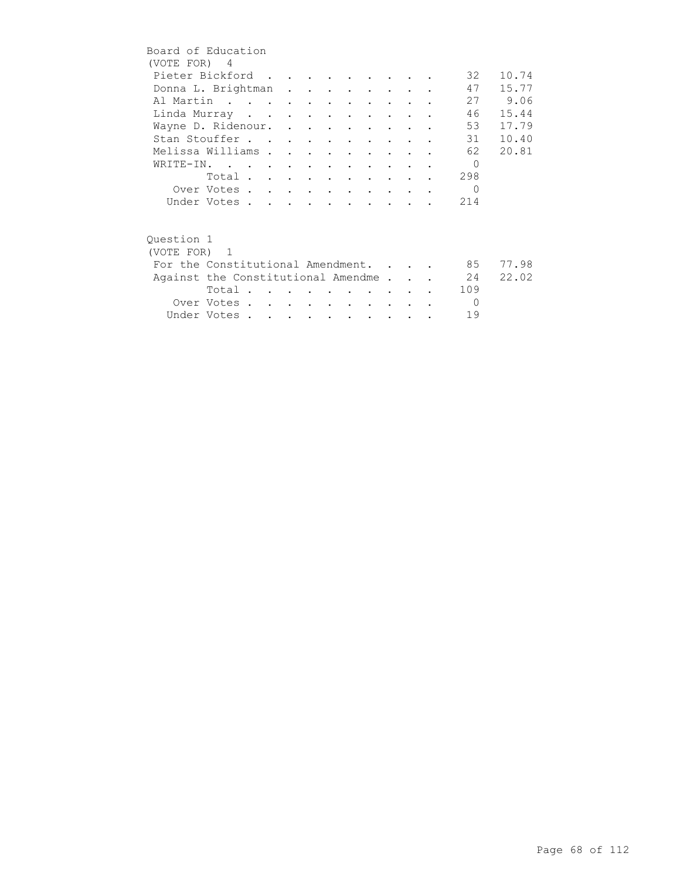| Board of Education |                                    |  |  |  |                      |  |           |       |
|--------------------|------------------------------------|--|--|--|----------------------|--|-----------|-------|
| (VOTE FOR) 4       |                                    |  |  |  |                      |  |           |       |
|                    | Pieter Bickford                    |  |  |  |                      |  | 32        | 10.74 |
|                    | Donna L. Brightman                 |  |  |  |                      |  | 47        | 15.77 |
|                    | Al Martin                          |  |  |  |                      |  | 27        | 9.06  |
|                    | Linda Murray                       |  |  |  |                      |  | 46        | 15.44 |
|                    | Wayne D. Ridenour.                 |  |  |  |                      |  | 53        | 17.79 |
|                    | Stan Stouffer                      |  |  |  |                      |  | 31        | 10.40 |
|                    | Melissa Williams                   |  |  |  |                      |  | 62        | 20.81 |
|                    | WRITE-IN.                          |  |  |  |                      |  | $\bigcap$ |       |
|                    | Total                              |  |  |  |                      |  | 298       |       |
|                    | Over Votes                         |  |  |  |                      |  | $\Omega$  |       |
|                    | Under Votes                        |  |  |  |                      |  | 214       |       |
|                    |                                    |  |  |  |                      |  |           |       |
|                    |                                    |  |  |  |                      |  |           |       |
| Ouestion 1         |                                    |  |  |  |                      |  |           |       |
| (VOTE FOR) 1       |                                    |  |  |  |                      |  |           |       |
|                    | For the Constitutional Amendment.  |  |  |  |                      |  | 85        | 77.98 |
|                    | Against the Constitutional Amendme |  |  |  |                      |  | 24        | 22.02 |
|                    | Total.                             |  |  |  |                      |  | 109       |       |
|                    | Over Votes                         |  |  |  | $\sim$ $\sim$ $\sim$ |  | $\Omega$  |       |
|                    | Under Votes                        |  |  |  |                      |  | 19        |       |
|                    |                                    |  |  |  |                      |  |           |       |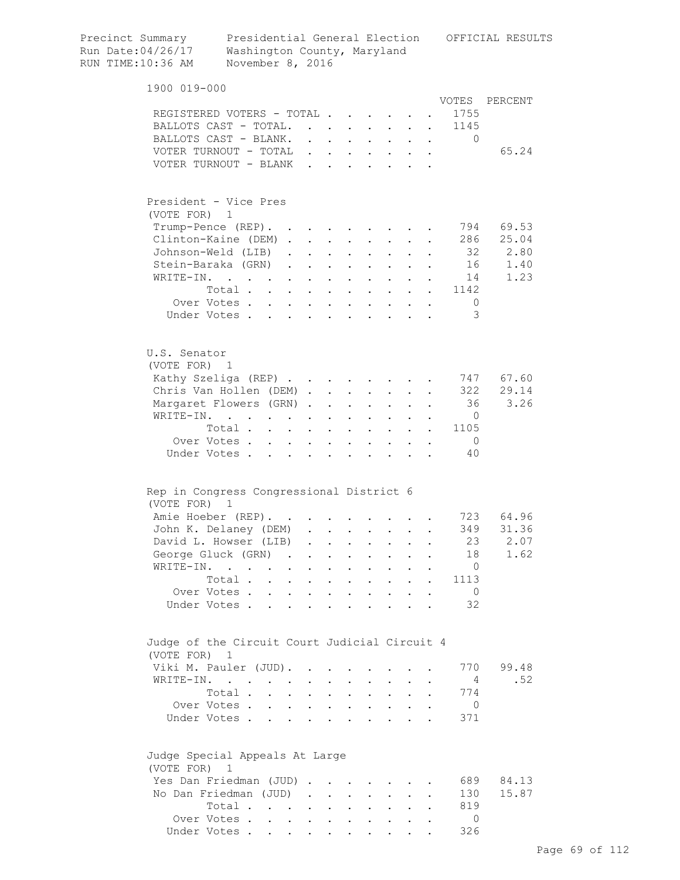| Precinct Summary<br>Run Date:04/26/17<br>RUN TIME:10:36 AM | Washington County, Maryland<br>November 8, 2016                                         |                                   |                      |                      |                                                |                           |                                                                          |                           |        |                                                                 | Presidential General Election OFFICIAL RESULTS |
|------------------------------------------------------------|-----------------------------------------------------------------------------------------|-----------------------------------|----------------------|----------------------|------------------------------------------------|---------------------------|--------------------------------------------------------------------------|---------------------------|--------|-----------------------------------------------------------------|------------------------------------------------|
| 1900 019-000                                               |                                                                                         |                                   |                      |                      |                                                |                           |                                                                          |                           |        |                                                                 |                                                |
|                                                            |                                                                                         |                                   |                      |                      |                                                |                           |                                                                          |                           |        |                                                                 | VOTES PERCENT                                  |
|                                                            | REGISTERED VOTERS - TOTAL                                                               |                                   |                      |                      |                                                |                           |                                                                          |                           |        | 1755                                                            |                                                |
|                                                            | BALLOTS CAST - TOTAL.                                                                   |                                   |                      |                      |                                                |                           |                                                                          | $\mathbf{r}$              |        | 1145                                                            |                                                |
|                                                            | BALLOTS CAST - BLANK.                                                                   |                                   |                      |                      | $\mathbf{r}$ and $\mathbf{r}$ and $\mathbf{r}$ | $\ddot{\phantom{0}}$      | $\mathbf{L}$                                                             | $\mathbf{L}$              | $\sim$ | $\Omega$                                                        |                                                |
|                                                            | VOTER TURNOUT - TOTAL                                                                   |                                   |                      |                      |                                                |                           | $\mathbf{r}$ , $\mathbf{r}$ , $\mathbf{r}$ , $\mathbf{r}$ , $\mathbf{r}$ |                           |        |                                                                 | 65.24                                          |
|                                                            | VOTER TURNOUT - BLANK                                                                   |                                   |                      |                      |                                                |                           |                                                                          |                           |        |                                                                 |                                                |
| (VOTE FOR) 1                                               | President - Vice Pres                                                                   |                                   |                      |                      |                                                |                           |                                                                          |                           |        |                                                                 |                                                |
|                                                            | Trump-Pence (REP).                                                                      |                                   |                      |                      |                                                |                           |                                                                          |                           |        |                                                                 | 794 69.53                                      |
|                                                            | Clinton-Kaine (DEM)                                                                     |                                   |                      |                      |                                                |                           | $\sim$                                                                   |                           |        |                                                                 | 286 25.04                                      |
|                                                            | Johnson-Weld (LIB)                                                                      |                                   |                      |                      | $\mathbf{L}$ and $\mathbf{L}$                  |                           | $\mathbf{L}$ and $\mathbf{L}$                                            | $\mathbf{L}$              |        |                                                                 | 32 2.80                                        |
|                                                            | Stein-Baraka (GRN)                                                                      |                                   |                      | $\ddot{\phantom{a}}$ |                                                |                           |                                                                          |                           |        |                                                                 | 16<br>1.40                                     |
| WRITE-IN.                                                  | $\mathbf{r}$ , $\mathbf{r}$ , $\mathbf{r}$ , $\mathbf{r}$ , $\mathbf{r}$ , $\mathbf{r}$ |                                   |                      | $\ddot{\phantom{a}}$ | $\sim$ $\sim$ $\sim$                           |                           | $\mathbf{L}$ and $\mathbf{L}$                                            |                           |        | 14                                                              | 1.23                                           |
|                                                            | Total                                                                                   |                                   |                      |                      |                                                |                           |                                                                          |                           |        | 1142                                                            |                                                |
|                                                            | Over Votes                                                                              |                                   |                      |                      |                                                |                           |                                                                          |                           |        | - 0                                                             |                                                |
|                                                            | Under Votes                                                                             |                                   |                      |                      |                                                |                           |                                                                          |                           |        | 3                                                               |                                                |
| U.S. Senator                                               |                                                                                         |                                   |                      |                      |                                                |                           |                                                                          |                           |        |                                                                 |                                                |
| (VOTE FOR) 1                                               |                                                                                         |                                   |                      |                      |                                                |                           |                                                                          |                           |        |                                                                 | 747 67.60                                      |
|                                                            | Kathy Szeliga (REP)                                                                     |                                   |                      |                      |                                                |                           |                                                                          |                           |        |                                                                 | 322 29.14                                      |
|                                                            | Chris Van Hollen (DEM)                                                                  |                                   |                      |                      |                                                |                           |                                                                          |                           |        | 36                                                              | 3.26                                           |
|                                                            | Margaret Flowers (GRN).                                                                 |                                   |                      | $\ddot{\phantom{a}}$ | $\sim$ $\sim$ $\sim$                           |                           | $\mathbf{z} = \mathbf{z} + \mathbf{z}$ .                                 | $\sim$                    |        | $\overline{0}$                                                  |                                                |
|                                                            | WRITE-IN.                                                                               |                                   |                      | $\bullet$            | $\mathbf{L}^{\text{max}}$                      | $\mathbf{z} = \mathbf{z}$ | $\mathbf{L}^{\text{max}}$                                                |                           |        | 1105                                                            |                                                |
|                                                            | Total                                                                                   |                                   |                      |                      |                                                | $\bullet$ .               | $\mathbf{L}^{\text{max}}$                                                | $\mathbf{L}^{\text{max}}$ |        | $\bullet$ .<br><br><br><br><br><br><br><br><br><br><br><br><br> |                                                |
|                                                            | Over Votes<br>Under Votes.                                                              | $\mathbf{L}$                      | $\sim$ $-$           | $\bullet$            |                                                |                           |                                                                          |                           |        | $\overline{0}$<br>40                                            |                                                |
| (VOTE FOR)                                                 | Rep in Congress Congressional District 6<br>1                                           |                                   |                      |                      |                                                |                           |                                                                          |                           |        |                                                                 |                                                |
|                                                            | Amie Hoeber (REP).                                                                      |                                   |                      |                      |                                                |                           |                                                                          |                           |        |                                                                 | 723 64.96                                      |
|                                                            | John K. Delaney (DEM)                                                                   |                                   |                      |                      |                                                |                           |                                                                          |                           |        | 349                                                             | 31.36                                          |
|                                                            | David L. Howser (LIB)                                                                   |                                   | $\ddot{\phantom{a}}$ | $\ddot{\phantom{0}}$ |                                                |                           | $\ddot{\phantom{0}}$                                                     |                           |        | 23                                                              | 2.07                                           |
|                                                            | George Gluck (GRN) .                                                                    |                                   |                      |                      |                                                |                           |                                                                          |                           |        | 18                                                              | 1.62                                           |
|                                                            | WRITE-IN.                                                                               | $\ddot{\phantom{a}}$              |                      |                      |                                                |                           |                                                                          |                           |        | $\mathbf{0}$                                                    |                                                |
|                                                            | Total.                                                                                  | $\sim$<br>$\mathbf{L}$            |                      |                      | $\ddot{\phantom{a}}$                           |                           | $\ddot{\phantom{0}}$                                                     |                           |        | 1113                                                            |                                                |
|                                                            | Over Votes                                                                              |                                   | $\sim$               | $\ddot{\phantom{a}}$ | $\mathbf{L}$                                   | $\ddot{\phantom{a}}$      | $\sim$                                                                   | $\mathbf{r}$              |        | $\overline{0}$                                                  |                                                |
|                                                            | Under Votes.<br>$\ddot{\phantom{a}}$                                                    | <b>Contract Contract Contract</b> |                      | $\ddot{\phantom{a}}$ | $\ddot{\phantom{a}}$                           | $\ddot{\phantom{a}}$      | $\sim$                                                                   |                           |        | 32                                                              |                                                |
| (VOTE FOR) 1                                               | Judge of the Circuit Court Judicial Circuit 4                                           |                                   |                      |                      |                                                |                           |                                                                          |                           |        |                                                                 |                                                |
|                                                            | Viki M. Pauler (JUD).                                                                   |                                   |                      |                      |                                                |                           |                                                                          |                           |        | 770                                                             | 99.48                                          |
|                                                            | WRITE-IN.                                                                               |                                   |                      |                      |                                                |                           |                                                                          |                           |        | $\overline{4}$                                                  | .52                                            |
|                                                            | Total.                                                                                  | $\ddot{\phantom{a}}$              |                      |                      |                                                | $\ddot{\phantom{a}}$      | $\ddot{\phantom{0}}$                                                     |                           |        | 774                                                             |                                                |
|                                                            | Over Votes                                                                              |                                   | $\sim$               | $\mathbf{r}$         | $\mathbf{L}$                                   | $\sim$                    | $\sim$                                                                   | $\mathbf{L}$              |        | $\mathbf{0}$                                                    |                                                |
|                                                            | Under Votes                                                                             | $\mathbf{r}$ and $\mathbf{r}$     |                      | $\ddot{\phantom{a}}$ | $\ddot{\phantom{a}}$                           | $\ddot{\phantom{a}}$      | $\cdots$ $\cdots$                                                        |                           |        | 371                                                             |                                                |
| (VOTE FOR) 1                                               | Judge Special Appeals At Large                                                          |                                   |                      |                      |                                                |                           |                                                                          |                           |        |                                                                 |                                                |
|                                                            | Yes Dan Friedman (JUD).                                                                 |                                   |                      |                      |                                                |                           |                                                                          |                           |        | 689                                                             | 84.13                                          |
|                                                            | No Dan Friedman (JUD)                                                                   |                                   | $\ddot{\phantom{a}}$ | $\ddot{\phantom{0}}$ | $\ddot{\phantom{a}}$                           |                           |                                                                          |                           |        | 130                                                             | 15.87                                          |
|                                                            | Total                                                                                   |                                   |                      |                      | $\ddot{\phantom{a}}$                           |                           | $\ddot{\phantom{0}}$                                                     |                           |        | 819                                                             |                                                |
|                                                            | Over Votes                                                                              |                                   |                      |                      | $\ddot{\phantom{0}}$                           | $\ddot{\phantom{a}}$      | $\ddot{\phantom{0}}$                                                     |                           |        | $\circ$                                                         |                                                |
|                                                            | Under Votes                                                                             |                                   |                      |                      |                                                |                           |                                                                          |                           |        | 326                                                             |                                                |
|                                                            |                                                                                         |                                   |                      |                      |                                                |                           |                                                                          |                           |        |                                                                 |                                                |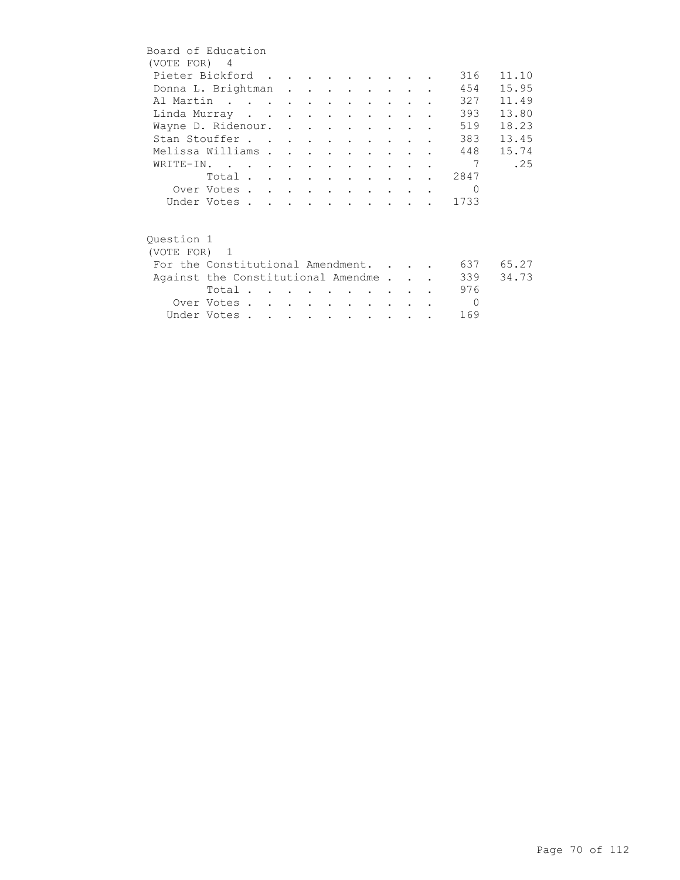| Board of Education                 |             |  |  |                                 |                      |  |          |       |
|------------------------------------|-------------|--|--|---------------------------------|----------------------|--|----------|-------|
| (VOTE FOR) 4                       |             |  |  |                                 |                      |  |          |       |
| Pieter Bickford                    |             |  |  |                                 |                      |  | 316      | 11.10 |
| Donna L. Brightman                 |             |  |  |                                 |                      |  | 454      | 15.95 |
| Al Martin                          |             |  |  |                                 |                      |  | 327      | 11.49 |
| Linda Murray                       |             |  |  | $\cdot$ $\cdot$                 |                      |  | 393      | 13.80 |
| Wayne D. Ridenour.                 |             |  |  |                                 |                      |  | 519      | 18.23 |
| Stan Stouffer                      |             |  |  |                                 |                      |  | 383      | 13.45 |
| Melissa Williams                   |             |  |  | $\sim$ $\sim$                   |                      |  | 448      | 15.74 |
| WRITE-IN.                          |             |  |  |                                 |                      |  | 7        | .25   |
|                                    | Total       |  |  |                                 |                      |  | 2847     |       |
|                                    | Over Votes  |  |  |                                 |                      |  | $\Omega$ |       |
|                                    | Under Votes |  |  |                                 |                      |  | 1733     |       |
|                                    |             |  |  |                                 |                      |  |          |       |
| Ouestion 1                         |             |  |  |                                 |                      |  |          |       |
| (VOTE FOR) 1                       |             |  |  |                                 |                      |  |          |       |
| For the Constitutional Amendment.  |             |  |  |                                 |                      |  | 637 —    | 65.27 |
| Against the Constitutional Amendme |             |  |  |                                 |                      |  | 339      | 34.73 |
|                                    | Total       |  |  |                                 |                      |  | 976      |       |
|                                    | Over Votes  |  |  | <b>Contract Contract Avenue</b> | $\sim$ $\sim$ $\sim$ |  | $\Omega$ |       |
|                                    | Under Votes |  |  |                                 |                      |  | 169      |       |
|                                    |             |  |  |                                 |                      |  |          |       |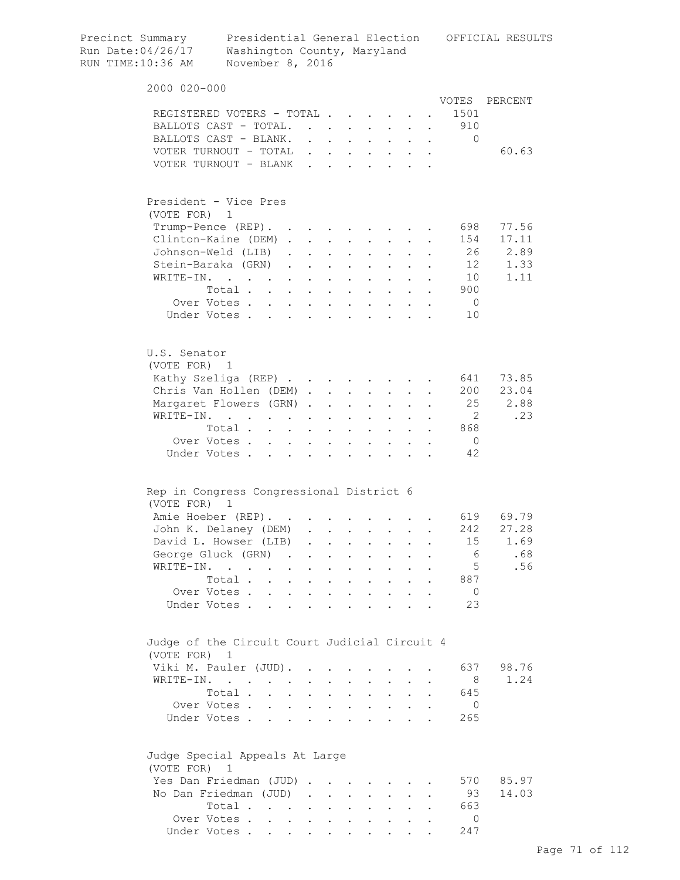| Precinct Summary<br>Run Date:04/26/17<br>RUN TIME:10:36 AM    | Washington County, Maryland<br>November 8, 2016    |                           |                      |                                                                       |                                          |                                                                       |                                                                  |                                        |                      |                | Presidential General Election OFFICIAL RESULTS |
|---------------------------------------------------------------|----------------------------------------------------|---------------------------|----------------------|-----------------------------------------------------------------------|------------------------------------------|-----------------------------------------------------------------------|------------------------------------------------------------------|----------------------------------------|----------------------|----------------|------------------------------------------------|
| 2000 020-000                                                  |                                                    |                           |                      |                                                                       |                                          |                                                                       |                                                                  |                                        |                      |                |                                                |
|                                                               |                                                    |                           |                      |                                                                       |                                          |                                                                       |                                                                  |                                        |                      |                | VOTES PERCENT                                  |
| REGISTERED VOTERS - TOTAL                                     |                                                    |                           |                      |                                                                       |                                          |                                                                       |                                                                  |                                        |                      | 1501           |                                                |
| BALLOTS CAST - TOTAL.                                         |                                                    |                           |                      |                                                                       |                                          |                                                                       |                                                                  |                                        | $\ddot{\phantom{a}}$ | 910            |                                                |
| BALLOTS CAST - BLANK.                                         |                                                    |                           |                      |                                                                       |                                          | $\cdot$ $\cdot$ $\cdot$ $\cdot$ $\cdot$ $\cdot$ $\cdot$ $\cdot$       |                                                                  |                                        |                      | $\mathbf{0}$   |                                                |
| VOTER TURNOUT - TOTAL                                         |                                                    |                           |                      |                                                                       |                                          | $\mathbf{r}$ , and $\mathbf{r}$ , and $\mathbf{r}$ , and $\mathbf{r}$ |                                                                  |                                        |                      |                | 60.63                                          |
| VOTER TURNOUT - BLANK                                         |                                                    |                           |                      |                                                                       |                                          |                                                                       |                                                                  |                                        |                      |                |                                                |
| President - Vice Pres                                         |                                                    |                           |                      |                                                                       |                                          |                                                                       |                                                                  |                                        |                      |                |                                                |
| (VOTE FOR) 1                                                  |                                                    |                           |                      |                                                                       |                                          |                                                                       |                                                                  |                                        |                      |                |                                                |
| Trump-Pence (REP).                                            |                                                    |                           |                      |                                                                       |                                          |                                                                       |                                                                  |                                        |                      | 698            | 77.56                                          |
| Clinton-Kaine (DEM)                                           |                                                    |                           |                      |                                                                       |                                          |                                                                       |                                                                  | $\sim$                                 |                      | 154            | 17.11                                          |
| Johnson-Weld (LIB)                                            |                                                    |                           |                      |                                                                       |                                          | $\cdot$ $\cdot$ $\cdot$ $\cdot$ $\cdot$                               |                                                                  |                                        |                      |                | 26 2.89                                        |
| Stein-Baraka (GRN)                                            |                                                    |                           |                      | $\ddot{\phantom{a}}$                                                  | $\sim$ $\sim$ $\sim$                     |                                                                       | $\mathbf{L} = \mathbf{L} \mathbf{L}$                             |                                        |                      |                | 12<br>1.33                                     |
| WRITE-IN.                                                     | $\mathbf{r}$ , and $\mathbf{r}$ , and $\mathbf{r}$ |                           | $\sim$ 100 $\pm$     |                                                                       | $\mathbf{z} = \mathbf{z} + \mathbf{z}$ . |                                                                       | $\mathbf{L}$ and $\mathbf{L}$                                    | $\ddot{\phantom{0}}$                   |                      | 10             | 1.11                                           |
|                                                               | Total                                              |                           |                      |                                                                       |                                          |                                                                       | $\mathbf{z} = \mathbf{z} + \mathbf{z}$ .                         | $\mathbf{L}^{\text{max}}$              | $\bullet$            | 900            |                                                |
|                                                               | Over Votes                                         |                           |                      |                                                                       |                                          |                                                                       | $\mathbf{A}^{(1)}$ and $\mathbf{A}^{(2)}$ and $\mathbf{A}^{(3)}$ |                                        |                      | $\overline{0}$ |                                                |
|                                                               | Under Votes                                        |                           |                      |                                                                       | $\sim$                                   |                                                                       |                                                                  |                                        |                      | 10             |                                                |
| U.S. Senator<br>(VOTE FOR) 1                                  |                                                    |                           |                      |                                                                       |                                          |                                                                       |                                                                  |                                        |                      |                |                                                |
| Kathy Szeliga (REP)                                           |                                                    |                           |                      |                                                                       |                                          |                                                                       |                                                                  |                                        |                      | 641            | 73.85                                          |
| Chris Van Hollen (DEM)                                        |                                                    |                           |                      |                                                                       |                                          |                                                                       |                                                                  |                                        |                      | 200            | 23.04                                          |
| Margaret Flowers (GRN).                                       |                                                    |                           |                      | $\bullet$                                                             | $\sim 100$ km s $^{-1}$                  | $\mathbf{L}^{\text{max}}$                                             | $\mathbf{L}^{\text{max}}$                                        |                                        |                      | 25             | 2.88                                           |
| WRITE-IN.                                                     |                                                    |                           |                      |                                                                       | $\mathbf{z} = \mathbf{z}$                | $\mathbf{L}^{\text{max}}$                                             |                                                                  |                                        |                      | $\overline{2}$ | .23                                            |
|                                                               | Total                                              |                           |                      |                                                                       |                                          |                                                                       |                                                                  |                                        |                      | 868            |                                                |
|                                                               | Over Votes                                         | $\ddot{\phantom{0}}$      |                      |                                                                       | $\ddot{\phantom{a}}$                     |                                                                       |                                                                  |                                        |                      | $\overline{0}$ |                                                |
|                                                               | Under Votes                                        |                           |                      |                                                                       |                                          |                                                                       |                                                                  |                                        |                      | 42             |                                                |
| Rep in Congress Congressional District 6<br>(VOTE FOR)        | $\mathbf{1}$                                       |                           |                      |                                                                       |                                          |                                                                       |                                                                  |                                        |                      |                |                                                |
| Amie Hoeber (REP).                                            |                                                    |                           |                      |                                                                       |                                          |                                                                       |                                                                  |                                        |                      |                | 619 69.79                                      |
| John K. Delaney (DEM)                                         |                                                    |                           |                      |                                                                       |                                          |                                                                       |                                                                  |                                        |                      | 242            | 27.28                                          |
| David L. Howser (LIB)                                         |                                                    |                           |                      |                                                                       |                                          |                                                                       |                                                                  |                                        |                      | 15             | 1.69                                           |
| George Gluck (GRN) .                                          |                                                    |                           |                      | $\ddot{\phantom{a}}$                                                  | $\ddot{\phantom{a}}$                     | $\ddot{\phantom{a}}$                                                  | $\ddot{\phantom{0}}$                                             | $\ddot{\phantom{0}}$                   |                      | 6              | .68                                            |
| WRITE-IN.                                                     |                                                    | $\ddot{\phantom{0}}$      | $\ddot{\phantom{0}}$ | $\ddot{\phantom{a}}$                                                  | $\ddot{\phantom{0}}$                     |                                                                       | $\ddot{\phantom{0}}$                                             |                                        |                      | 5              | .56                                            |
|                                                               | Total                                              |                           | $\sim$               | $\ddot{\phantom{a}}$                                                  | $\mathbf{L}$                             | $\ddot{\phantom{0}}$                                                  | $\sim$                                                           | $\mathbf{L}$                           |                      | 887            |                                                |
|                                                               | Over Votes                                         |                           |                      | $\ddot{\phantom{a}}$                                                  | $\sim$ $\sim$                            |                                                                       |                                                                  | $\cdot$ $\cdot$ $\cdot$ $\cdot$        | $\ddot{\phantom{a}}$ | $\overline{0}$ |                                                |
|                                                               | Under Votes                                        |                           |                      |                                                                       |                                          |                                                                       |                                                                  |                                        |                      | 23             |                                                |
| Judge of the Circuit Court Judicial Circuit 4<br>(VOTE FOR) 1 |                                                    |                           |                      |                                                                       |                                          |                                                                       |                                                                  |                                        |                      |                |                                                |
| Viki M. Pauler (JUD).                                         |                                                    |                           |                      |                                                                       |                                          |                                                                       |                                                                  |                                        |                      | 637            | 98.76                                          |
| WRITE-IN.                                                     |                                                    |                           |                      |                                                                       |                                          |                                                                       |                                                                  |                                        |                      | - 8            | 1.24                                           |
|                                                               | Total .                                            | $\mathbf{r} = \mathbf{r}$ | $\mathbf{L}$         |                                                                       | $\mathbf{L}$ $\mathbf{L}$                |                                                                       | $\mathbf{L}$ and $\mathbf{L}$                                    | $\sim$                                 |                      | 645            |                                                |
|                                                               | Over Votes.                                        |                           |                      |                                                                       |                                          |                                                                       |                                                                  |                                        |                      | $\circ$        |                                                |
|                                                               | Under Votes.                                       |                           |                      |                                                                       |                                          |                                                                       |                                                                  |                                        |                      | 265            |                                                |
| Judge Special Appeals At Large<br>(VOTE FOR) 1                |                                                    |                           |                      |                                                                       |                                          |                                                                       |                                                                  |                                        |                      |                |                                                |
| Yes Dan Friedman (JUD)                                        |                                                    |                           |                      |                                                                       |                                          |                                                                       |                                                                  |                                        |                      | 570            | 85.97                                          |
| No Dan Friedman (JUD).                                        |                                                    |                           |                      | $\sim$                                                                | $\ddot{\phantom{0}}$                     | $\mathbf{L}$                                                          | $\ddot{\phantom{0}}$                                             |                                        |                      | 93             | 14.03                                          |
|                                                               | Total                                              |                           |                      | $\mathbf{r} = \mathbf{r} \times \mathbf{r}$ . The set of $\mathbf{r}$ |                                          |                                                                       | $\mathbf{L} = \mathbf{L}$                                        |                                        |                      | 663            |                                                |
|                                                               | Over Votes                                         |                           |                      |                                                                       |                                          |                                                                       |                                                                  | $\mathbf{r} = \mathbf{r} + \mathbf{r}$ |                      | 0              |                                                |
|                                                               | Under Votes                                        |                           |                      |                                                                       |                                          |                                                                       |                                                                  |                                        |                      | 247            |                                                |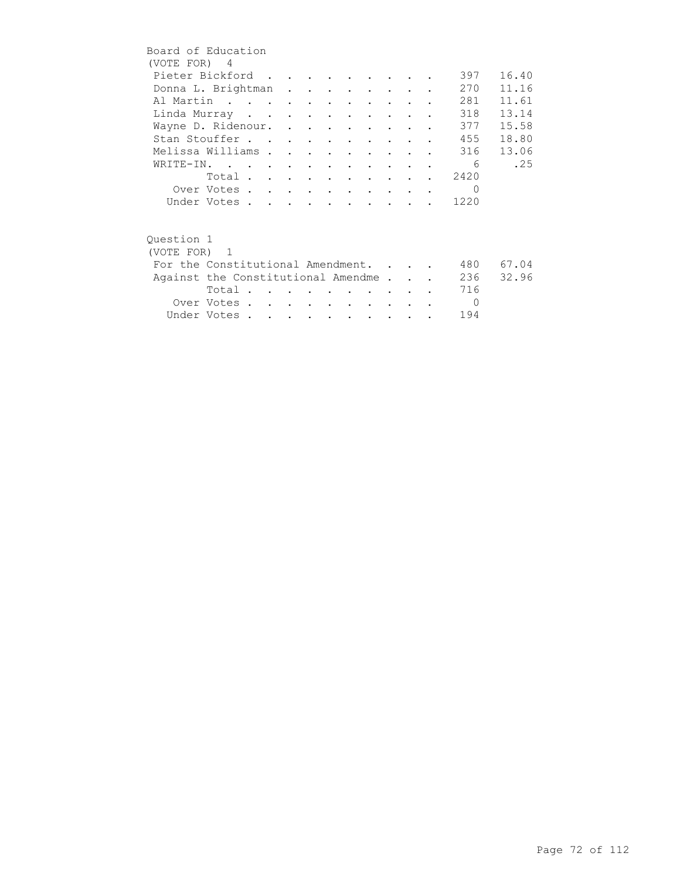|              | Board of Education                 |  |  |                                                   |                      |  |            |       |
|--------------|------------------------------------|--|--|---------------------------------------------------|----------------------|--|------------|-------|
| (VOTE FOR) 4 |                                    |  |  |                                                   |                      |  |            |       |
|              | Pieter Bickford                    |  |  |                                                   |                      |  | 397        | 16.40 |
|              | Donna L. Brightman                 |  |  |                                                   |                      |  | 270        | 11.16 |
|              | Al Martin                          |  |  |                                                   |                      |  | 281        | 11.61 |
|              | Linda Murray                       |  |  |                                                   |                      |  | 318        | 13.14 |
|              | Wayne D. Ridenour.                 |  |  |                                                   |                      |  | 377        | 15.58 |
|              | Stan Stouffer                      |  |  |                                                   |                      |  | 455        | 18.80 |
|              | Melissa Williams                   |  |  | $\bullet$ $\bullet$ $\bullet$ $\bullet$ $\bullet$ |                      |  | 316        | 13.06 |
|              | WRITE-IN.                          |  |  |                                                   |                      |  | - 6        | .25   |
|              | Total                              |  |  |                                                   |                      |  | 2420       |       |
|              | Over Votes                         |  |  |                                                   |                      |  | $\Omega$   |       |
|              | Under Votes                        |  |  |                                                   |                      |  | 1220       |       |
|              |                                    |  |  |                                                   |                      |  |            |       |
| Ouestion 1   |                                    |  |  |                                                   |                      |  |            |       |
| (VOTE FOR) 1 |                                    |  |  |                                                   |                      |  |            |       |
|              | For the Constitutional Amendment.  |  |  |                                                   |                      |  | 480        | 67.04 |
|              | Against the Constitutional Amendme |  |  |                                                   |                      |  | 236        | 32.96 |
|              | Total $\cdots$                     |  |  |                                                   |                      |  | 716        |       |
|              | Over Votes                         |  |  |                                                   | $\sim$ $\sim$ $\sim$ |  | $\bigcirc$ |       |
|              | Under Votes                        |  |  |                                                   |                      |  | 194        |       |
|              |                                    |  |  |                                                   |                      |  |            |       |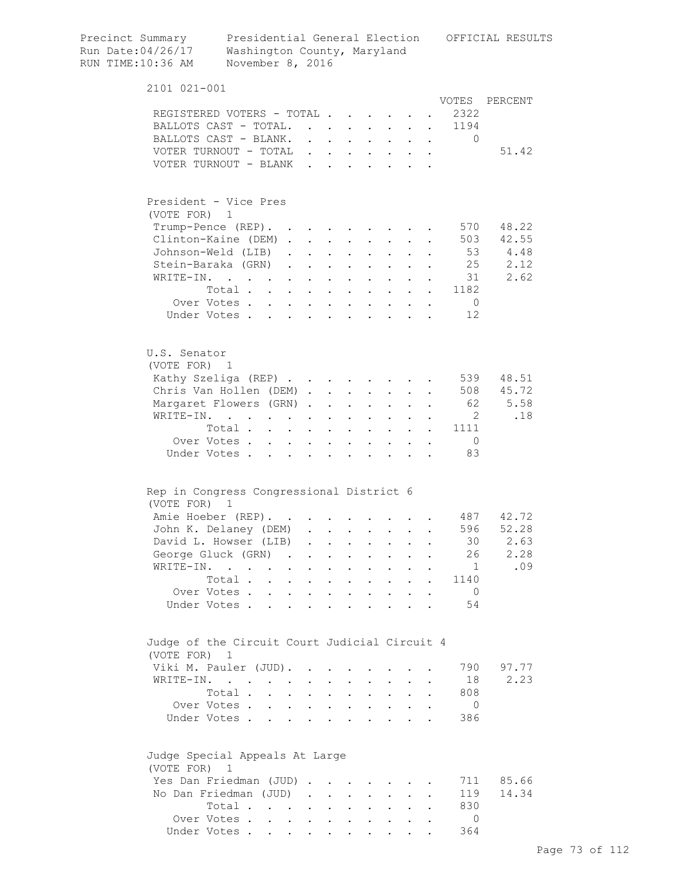| Precinct Summary<br>Run Date:04/26/17<br>RUN TIME:10:36 AM    | Washington County, Maryland<br>November 8, 2016                          |                                                                         |                      |                                              |                                                                        |                      |                                                                          |                                                             |                      |                      | Presidential General Election OFFICIAL RESULTS |
|---------------------------------------------------------------|--------------------------------------------------------------------------|-------------------------------------------------------------------------|----------------------|----------------------------------------------|------------------------------------------------------------------------|----------------------|--------------------------------------------------------------------------|-------------------------------------------------------------|----------------------|----------------------|------------------------------------------------|
| 2101 021-001                                                  |                                                                          |                                                                         |                      |                                              |                                                                        |                      |                                                                          |                                                             |                      |                      |                                                |
|                                                               |                                                                          |                                                                         |                      |                                              |                                                                        |                      |                                                                          |                                                             |                      |                      | VOTES PERCENT                                  |
| REGISTERED VOTERS - TOTAL                                     |                                                                          |                                                                         |                      |                                              |                                                                        |                      |                                                                          | $\sim$ 10 $\pm$                                             |                      | 2322                 |                                                |
| BALLOTS CAST - TOTAL.                                         |                                                                          |                                                                         |                      |                                              |                                                                        |                      | $\mathbf{L}$ and $\mathbf{L}$                                            | $\mathbf{L}$                                                | $\mathbf{L}$         | 1194                 |                                                |
| BALLOTS CAST - BLANK.                                         |                                                                          |                                                                         |                      |                                              |                                                                        |                      | $\mathbf{r}$ , $\mathbf{r}$ , $\mathbf{r}$ , $\mathbf{r}$ , $\mathbf{r}$ |                                                             |                      | $\Omega$             |                                                |
| VOTER TURNOUT - TOTAL                                         |                                                                          |                                                                         |                      |                                              |                                                                        |                      |                                                                          |                                                             |                      |                      | 51.42                                          |
| VOTER TURNOUT - BLANK                                         |                                                                          |                                                                         |                      |                                              |                                                                        |                      |                                                                          |                                                             |                      |                      |                                                |
| President - Vice Pres<br>(VOTE FOR) 1                         |                                                                          |                                                                         |                      |                                              |                                                                        |                      |                                                                          |                                                             |                      |                      |                                                |
| Trump-Pence (REP).                                            |                                                                          |                                                                         |                      |                                              |                                                                        |                      | <b>All Cards</b>                                                         |                                                             |                      | 570                  | 48.22                                          |
| Clinton-Kaine (DEM)                                           |                                                                          |                                                                         |                      |                                              |                                                                        |                      | $\mathbf{L} = \mathbf{L} \mathbf{L}$                                     |                                                             |                      |                      | 503 42.55                                      |
| Johnson-Weld (LIB)                                            |                                                                          |                                                                         |                      |                                              | $\cdot$ $\cdot$ $\cdot$                                                |                      | $\mathbf{L} = \mathbf{L}$                                                |                                                             |                      |                      | 53 4.48                                        |
| Stein-Baraka (GRN)                                            |                                                                          |                                                                         |                      | $\ddot{\phantom{a}}$                         |                                                                        |                      | $\cdot$ $\cdot$ $\cdot$ $\cdot$ $\cdot$                                  |                                                             |                      | 25                   | 2.12                                           |
| WRITE-IN.                                                     | $\mathbf{r}$ , $\mathbf{r}$ , $\mathbf{r}$ , $\mathbf{r}$ , $\mathbf{r}$ |                                                                         |                      | $\ddot{\phantom{a}}$                         | <b>Contract Contract Contract</b>                                      |                      | $\cdot$ $\cdot$                                                          |                                                             |                      | 31                   | 2.62                                           |
|                                                               | Total                                                                    |                                                                         |                      |                                              |                                                                        |                      |                                                                          |                                                             |                      | 1182                 |                                                |
|                                                               | Over Votes                                                               |                                                                         |                      |                                              |                                                                        |                      |                                                                          |                                                             |                      | $\overline{0}$       |                                                |
|                                                               | Under Votes                                                              |                                                                         |                      |                                              |                                                                        |                      |                                                                          |                                                             |                      | 12                   |                                                |
| U.S. Senator<br>(VOTE FOR) 1                                  |                                                                          |                                                                         |                      |                                              |                                                                        |                      |                                                                          |                                                             |                      |                      |                                                |
| Kathy Szeliga (REP)                                           |                                                                          |                                                                         |                      |                                              |                                                                        |                      |                                                                          |                                                             |                      | 539                  | 48.51                                          |
| Chris Van Hollen (DEM)                                        |                                                                          |                                                                         |                      |                                              |                                                                        |                      |                                                                          |                                                             |                      |                      | 508 45.72                                      |
| Margaret Flowers (GRN).                                       |                                                                          |                                                                         |                      | $\ddot{\phantom{a}}$                         | $\sim 100$ km s $^{-1}$                                                |                      | $\mathbf{z} = \mathbf{z} + \mathbf{z}$ .                                 | $\bullet$ .<br><br><br><br><br><br><br><br><br><br><br><br> |                      | 62                   | 5.58                                           |
| WRITE-IN.                                                     |                                                                          |                                                                         |                      |                                              | $\bullet$ .<br><br><br><br><br><br><br><br><br><br><br><br>            | $\bullet$            |                                                                          |                                                             |                      | $\overline{2}$       | .18                                            |
|                                                               | Total $\cdots$ $\cdots$                                                  |                                                                         |                      |                                              |                                                                        | $\bullet$            | $\sim$ 100 $\pm$                                                         |                                                             |                      | 1111                 |                                                |
|                                                               | Over Votes                                                               |                                                                         |                      | $\ddot{\phantom{a}}$                         | $\ddot{\phantom{a}}$                                                   |                      |                                                                          |                                                             |                      | $\overline{0}$       |                                                |
| Under Votes.                                                  |                                                                          |                                                                         |                      |                                              |                                                                        |                      |                                                                          |                                                             |                      | 83                   |                                                |
| Rep in Congress Congressional District 6                      |                                                                          |                                                                         |                      |                                              |                                                                        |                      |                                                                          |                                                             |                      |                      |                                                |
| (VOTE FOR)                                                    | - 1                                                                      |                                                                         |                      |                                              |                                                                        |                      |                                                                          |                                                             |                      |                      |                                                |
| Amie Hoeber (REP).                                            |                                                                          |                                                                         |                      |                                              |                                                                        |                      |                                                                          |                                                             |                      |                      | 487 42.72                                      |
| John K. Delaney (DEM)                                         |                                                                          |                                                                         |                      |                                              |                                                                        |                      |                                                                          |                                                             |                      | 596                  | 52.28                                          |
| David L. Howser (LIB)                                         |                                                                          |                                                                         |                      |                                              |                                                                        |                      |                                                                          |                                                             |                      | 30                   | 2.63                                           |
| George Gluck (GRN) .                                          |                                                                          |                                                                         |                      |                                              |                                                                        |                      |                                                                          |                                                             |                      | 26                   | 2.28                                           |
| WRITE-IN.                                                     |                                                                          | $\ddot{\phantom{a}}$                                                    |                      | $\bullet$                                    | $\ddot{\phantom{a}}$                                                   |                      | $\ddot{\phantom{0}}$                                                     |                                                             |                      | 1                    | .09                                            |
|                                                               | Total .<br>$\sim$                                                        | $\ddot{\phantom{0}}$                                                    | $\ddot{\phantom{0}}$ |                                              | $\ddot{\phantom{a}}$                                                   | $\ddot{\phantom{a}}$ | $\ddot{\phantom{0}}$                                                     | $\ddot{\phantom{a}}$                                        |                      | 1140                 |                                                |
| Under Votes .                                                 | Over Votes.<br>$\ddot{\phantom{a}}$                                      | $\mathbf{L} = \mathbf{L}$<br>$\mathbf{r}$ , $\mathbf{r}$ , $\mathbf{r}$ | $\mathbf{r}$         | $\ddot{\phantom{a}}$<br>$\ddot{\phantom{a}}$ | <b>Contract Contract</b><br>$\sim$ $\sim$                              |                      | $\cdot$ $\cdot$ $\cdot$<br>$\mathbf{r}$ , $\mathbf{r}$ , $\mathbf{r}$    | $\mathbf{L}$                                                | $\ddot{\phantom{a}}$ | $\overline{0}$<br>54 |                                                |
|                                                               |                                                                          |                                                                         |                      |                                              |                                                                        |                      |                                                                          |                                                             |                      |                      |                                                |
| Judge of the Circuit Court Judicial Circuit 4<br>(VOTE FOR) 1 |                                                                          |                                                                         |                      |                                              |                                                                        |                      |                                                                          |                                                             |                      |                      |                                                |
| Viki M. Pauler (JUD).                                         |                                                                          |                                                                         |                      |                                              |                                                                        |                      |                                                                          |                                                             |                      | 790                  | 97.77                                          |
| WRITE-IN.                                                     |                                                                          |                                                                         |                      |                                              |                                                                        |                      |                                                                          |                                                             |                      | 18                   | 2.23                                           |
|                                                               | Total .                                                                  | $\sim$                                                                  |                      | $\ddot{\phantom{a}}$                         | $\ddot{\phantom{0}}$                                                   | $\ddot{\phantom{0}}$ | $\sim$                                                                   | $\ddot{\phantom{0}}$                                        |                      | 808                  |                                                |
|                                                               | Over Votes.                                                              |                                                                         |                      |                                              |                                                                        |                      | $\mathbf{L}$ . The set of $\mathbf{L}$                                   | $\mathbf{L}$                                                | $\ddot{\phantom{a}}$ | $\overline{0}$       |                                                |
|                                                               | Under Votes                                                              |                                                                         |                      | $\ddot{\phantom{a}}$                         |                                                                        |                      |                                                                          |                                                             |                      | 386                  |                                                |
| Judge Special Appeals At Large<br>(VOTE FOR) 1                |                                                                          |                                                                         |                      |                                              |                                                                        |                      |                                                                          |                                                             |                      |                      |                                                |
| Yes Dan Friedman (JUD)                                        |                                                                          |                                                                         |                      |                                              |                                                                        |                      |                                                                          |                                                             |                      | 711                  | 85.66                                          |
| No Dan Friedman (JUD).                                        |                                                                          |                                                                         |                      | $\sim$                                       | $\sim$                                                                 | $\ddot{\phantom{0}}$ | $\sim$ $-$                                                               |                                                             |                      | 119                  | 14.34                                          |
|                                                               | Total                                                                    |                                                                         |                      |                                              | $\mathbf{r} = \mathbf{r} \mathbf{r}$ , where $\mathbf{r} = \mathbf{r}$ |                      | $\cdot$ $\cdot$ $\cdot$                                                  | $\mathbf{L}$                                                |                      | 830                  |                                                |
|                                                               | Over Votes                                                               |                                                                         |                      |                                              |                                                                        |                      |                                                                          |                                                             |                      | $\Omega$             |                                                |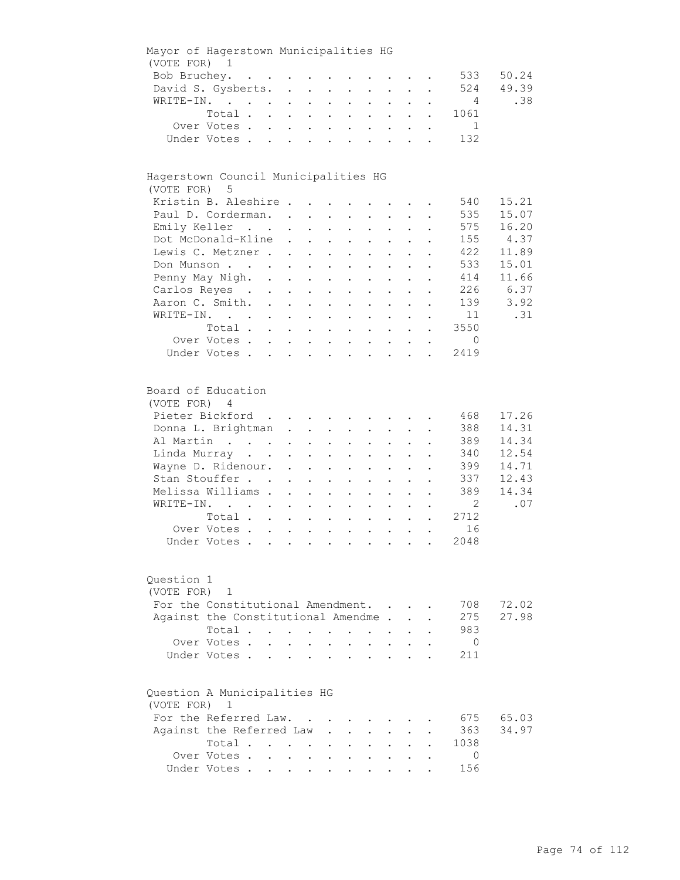| Mayor of Hagerstown Municipalities HG                |                                                                                                                                                                                    |                            |                                                             |                                                                                                                                                                  |                                                                              |                                                                                                                                                                                                                                            |                                         |                                                                                   |                           |                                                                          |                                                                    |
|------------------------------------------------------|------------------------------------------------------------------------------------------------------------------------------------------------------------------------------------|----------------------------|-------------------------------------------------------------|------------------------------------------------------------------------------------------------------------------------------------------------------------------|------------------------------------------------------------------------------|--------------------------------------------------------------------------------------------------------------------------------------------------------------------------------------------------------------------------------------------|-----------------------------------------|-----------------------------------------------------------------------------------|---------------------------|--------------------------------------------------------------------------|--------------------------------------------------------------------|
| (VOTE FOR) 1                                         |                                                                                                                                                                                    |                            |                                                             |                                                                                                                                                                  |                                                                              |                                                                                                                                                                                                                                            |                                         |                                                                                   |                           |                                                                          |                                                                    |
|                                                      | Bob Bruchey.                                                                                                                                                                       |                            |                                                             |                                                                                                                                                                  |                                                                              |                                                                                                                                                                                                                                            |                                         |                                                                                   |                           | 533                                                                      | 50.24                                                              |
|                                                      | David S. Gysberts.                                                                                                                                                                 |                            |                                                             |                                                                                                                                                                  |                                                                              |                                                                                                                                                                                                                                            |                                         |                                                                                   |                           | 524                                                                      | 49.39                                                              |
|                                                      | WRITE-IN.                                                                                                                                                                          |                            |                                                             |                                                                                                                                                                  |                                                                              | $\mathbf{r} = \mathbf{r} \times \mathbf{r}$ , where $\mathbf{r} = \mathbf{r} \times \mathbf{r}$                                                                                                                                            |                                         |                                                                                   |                           | $\overline{4}$                                                           | .38                                                                |
|                                                      | Total                                                                                                                                                                              |                            |                                                             |                                                                                                                                                                  |                                                                              |                                                                                                                                                                                                                                            |                                         |                                                                                   | $\mathbf{L}^{\text{max}}$ | 1061                                                                     |                                                                    |
|                                                      | Over Votes                                                                                                                                                                         |                            |                                                             |                                                                                                                                                                  |                                                                              |                                                                                                                                                                                                                                            |                                         |                                                                                   |                           | $\sim$ 1                                                                 |                                                                    |
|                                                      | Under Votes                                                                                                                                                                        |                            |                                                             |                                                                                                                                                                  |                                                                              |                                                                                                                                                                                                                                            |                                         |                                                                                   |                           | 132                                                                      |                                                                    |
|                                                      |                                                                                                                                                                                    |                            |                                                             |                                                                                                                                                                  |                                                                              |                                                                                                                                                                                                                                            |                                         |                                                                                   |                           |                                                                          |                                                                    |
| Hagerstown Council Municipalities HG<br>(VOTE FOR) 5 |                                                                                                                                                                                    |                            |                                                             |                                                                                                                                                                  |                                                                              |                                                                                                                                                                                                                                            |                                         |                                                                                   |                           |                                                                          |                                                                    |
|                                                      | Kristin B. Aleshire                                                                                                                                                                |                            |                                                             |                                                                                                                                                                  |                                                                              |                                                                                                                                                                                                                                            |                                         |                                                                                   |                           | 540                                                                      | 15.21                                                              |
|                                                      | Paul D. Corderman.                                                                                                                                                                 |                            |                                                             |                                                                                                                                                                  |                                                                              |                                                                                                                                                                                                                                            |                                         |                                                                                   |                           | 535                                                                      | 15.07                                                              |
|                                                      | Emily Keller                                                                                                                                                                       |                            |                                                             |                                                                                                                                                                  |                                                                              |                                                                                                                                                                                                                                            |                                         | $\mathbf{L}^{\text{max}}$ , and $\mathbf{L}^{\text{max}}$                         |                           | 575                                                                      | 16.20                                                              |
|                                                      | Dot McDonald-Kline                                                                                                                                                                 |                            | $\bullet$ .<br><br><br><br><br><br><br><br><br><br><br><br> | $\mathbf{r} = \mathbf{r} + \mathbf{r} + \mathbf{r} + \mathbf{r}$                                                                                                 |                                                                              |                                                                                                                                                                                                                                            |                                         | $\mathbf{L}^{\text{max}}$ , and $\mathbf{L}^{\text{max}}$                         |                           | 155                                                                      | 4.37                                                               |
|                                                      | Lewis C. Metzner                                                                                                                                                                   |                            |                                                             | $\mathbf{L}^{\text{max}}$ , and $\mathbf{L}^{\text{max}}$                                                                                                        | $\bullet$ .                                                                  | $\mathbf{L}^{\text{max}}$                                                                                                                                                                                                                  |                                         |                                                                                   |                           | 422                                                                      | 11.89                                                              |
|                                                      | Don Munson                                                                                                                                                                         |                            |                                                             |                                                                                                                                                                  | $\bullet$                                                                    | $\bullet$                                                                                                                                                                                                                                  |                                         |                                                                                   |                           | 533                                                                      | 15.01                                                              |
|                                                      | Penny May Nigh. .                                                                                                                                                                  |                            |                                                             |                                                                                                                                                                  |                                                                              |                                                                                                                                                                                                                                            |                                         |                                                                                   |                           | 414                                                                      | 11.66                                                              |
|                                                      |                                                                                                                                                                                    |                            | $\mathbf{L}^{\text{max}}$ , and $\mathbf{L}^{\text{max}}$   | $\sim$ 100 $\pm$                                                                                                                                                 |                                                                              | $\ddot{\phantom{a}}$                                                                                                                                                                                                                       |                                         |                                                                                   |                           |                                                                          |                                                                    |
|                                                      | Carlos Reyes .                                                                                                                                                                     | $\mathcal{L}^{\text{max}}$ | $\mathbf{z} = \mathbf{z} + \mathbf{z}$ .                    | $\sim$ $-$                                                                                                                                                       | $\bullet$                                                                    | $\ddot{\phantom{0}}$                                                                                                                                                                                                                       |                                         |                                                                                   |                           | 226                                                                      | 6.37                                                               |
|                                                      | Aaron C. Smith.                                                                                                                                                                    |                            |                                                             |                                                                                                                                                                  |                                                                              | $\cdot$ $\cdot$ $\cdot$                                                                                                                                                                                                                    | $\ddot{\phantom{0}}$                    | $\mathbf{L}$                                                                      | $\ddot{\phantom{a}}$      | 139                                                                      | 3.92                                                               |
|                                                      | WRITE-IN.                                                                                                                                                                          |                            |                                                             |                                                                                                                                                                  |                                                                              |                                                                                                                                                                                                                                            |                                         | $\ddot{\phantom{a}}$                                                              |                           | 11                                                                       | .31                                                                |
|                                                      | Total                                                                                                                                                                              |                            |                                                             |                                                                                                                                                                  |                                                                              |                                                                                                                                                                                                                                            |                                         |                                                                                   | $\ddot{\phantom{0}}$      | 3550                                                                     |                                                                    |
|                                                      | Over Votes                                                                                                                                                                         |                            |                                                             |                                                                                                                                                                  |                                                                              |                                                                                                                                                                                                                                            |                                         |                                                                                   | $\bullet$                 | $\overline{0}$                                                           |                                                                    |
|                                                      | Under Votes                                                                                                                                                                        |                            |                                                             |                                                                                                                                                                  |                                                                              |                                                                                                                                                                                                                                            |                                         |                                                                                   |                           | 2419                                                                     |                                                                    |
| Board of Education<br>(VOTE FOR) 4<br>Question 1     | Pieter Bickford<br>Donna L. Brightman<br>Al Martin<br>Linda Murray<br>Wayne D. Ridenour.<br>Stan Stouffer<br>Melissa Williams .<br>WRITE-IN.<br>Total<br>Over Votes<br>Under Votes |                            | $\ddot{\phantom{0}}$<br>$\ddot{\phantom{a}}$<br>$\sim$      | $\mathbf{z} = \mathbf{z} + \mathbf{z}$ .<br>$\mathbf{L}^{\text{max}}$<br>$\bullet$ .<br>$\sim$<br>$\bullet$<br>$\mathbf{L}^{\text{max}}$<br>$\ddot{\phantom{0}}$ | $\mathcal{L}^{\text{max}}$<br>$\bullet$<br>$\ddot{\phantom{0}}$<br>$\bullet$ | $\cdot$ $\cdot$ $\cdot$<br>$\mathbf{z} = \mathbf{z} + \mathbf{z}$ .<br>$\mathbf{L}^{\text{max}}$<br>$\mathbf{z} = \mathbf{z}$<br>$\ddot{\phantom{0}}$<br>$\ddot{\phantom{0}}$<br>$\mathbf{L}^{\text{max}}$ , and $\mathbf{L}^{\text{max}}$ | $\bullet$ .<br>$\bullet$ .<br>$\bullet$ | $\cdot$ $\cdot$ $\cdot$<br>$\mathbf{z} = \mathbf{z} + \mathbf{z}$ .<br>$\sim 100$ |                           | 468<br>388<br>389<br>340<br>399<br>337<br>389<br>2<br>2712<br>16<br>2048 | 17.26<br>14.31<br>14.34<br>12.54<br>14.71<br>12.43<br>14.34<br>.07 |
| (VOTE FOR)                                           | $\mathbf{1}$                                                                                                                                                                       |                            |                                                             |                                                                                                                                                                  |                                                                              |                                                                                                                                                                                                                                            |                                         |                                                                                   |                           |                                                                          |                                                                    |
|                                                      | For the Constitutional Amendment.                                                                                                                                                  |                            |                                                             |                                                                                                                                                                  |                                                                              |                                                                                                                                                                                                                                            |                                         |                                                                                   |                           | 708                                                                      | 72.02                                                              |
|                                                      | Against the Constitutional Amendme.                                                                                                                                                |                            |                                                             |                                                                                                                                                                  |                                                                              |                                                                                                                                                                                                                                            |                                         |                                                                                   |                           | 275                                                                      | 27.98                                                              |
|                                                      | Total.                                                                                                                                                                             |                            | $\mathbf{r} = \mathbf{r} + \mathbf{r}$ .                    |                                                                                                                                                                  | $\sim$<br>$\ddot{\phantom{a}}$                                               |                                                                                                                                                                                                                                            |                                         |                                                                                   |                           | 983                                                                      |                                                                    |
|                                                      | Over Votes.                                                                                                                                                                        | $\mathbf{L}$               |                                                             |                                                                                                                                                                  |                                                                              |                                                                                                                                                                                                                                            |                                         |                                                                                   |                           | $\overline{0}$                                                           |                                                                    |
|                                                      | Under Votes.                                                                                                                                                                       |                            |                                                             |                                                                                                                                                                  |                                                                              |                                                                                                                                                                                                                                            |                                         |                                                                                   |                           | 211                                                                      |                                                                    |
|                                                      |                                                                                                                                                                                    |                            |                                                             |                                                                                                                                                                  |                                                                              |                                                                                                                                                                                                                                            |                                         |                                                                                   |                           |                                                                          |                                                                    |
| Question A Municipalities HG<br>(VOTE FOR) 1         |                                                                                                                                                                                    |                            |                                                             |                                                                                                                                                                  |                                                                              |                                                                                                                                                                                                                                            |                                         |                                                                                   |                           |                                                                          |                                                                    |
|                                                      | For the Referred Law.                                                                                                                                                              |                            |                                                             |                                                                                                                                                                  |                                                                              |                                                                                                                                                                                                                                            |                                         |                                                                                   |                           | 675                                                                      | 65.03                                                              |
|                                                      | Against the Referred Law                                                                                                                                                           |                            |                                                             |                                                                                                                                                                  |                                                                              |                                                                                                                                                                                                                                            |                                         |                                                                                   |                           | 363                                                                      | 34.97                                                              |
|                                                      | Total                                                                                                                                                                              |                            |                                                             |                                                                                                                                                                  |                                                                              |                                                                                                                                                                                                                                            |                                         |                                                                                   |                           | 1038                                                                     |                                                                    |
|                                                      | Over Votes.                                                                                                                                                                        |                            | $\mathbf{L} = \mathbf{L}$                                   | $\ddot{\phantom{0}}$                                                                                                                                             |                                                                              |                                                                                                                                                                                                                                            |                                         |                                                                                   |                           | 0                                                                        |                                                                    |
|                                                      | Under Votes                                                                                                                                                                        |                            |                                                             |                                                                                                                                                                  |                                                                              |                                                                                                                                                                                                                                            |                                         |                                                                                   |                           | 156                                                                      |                                                                    |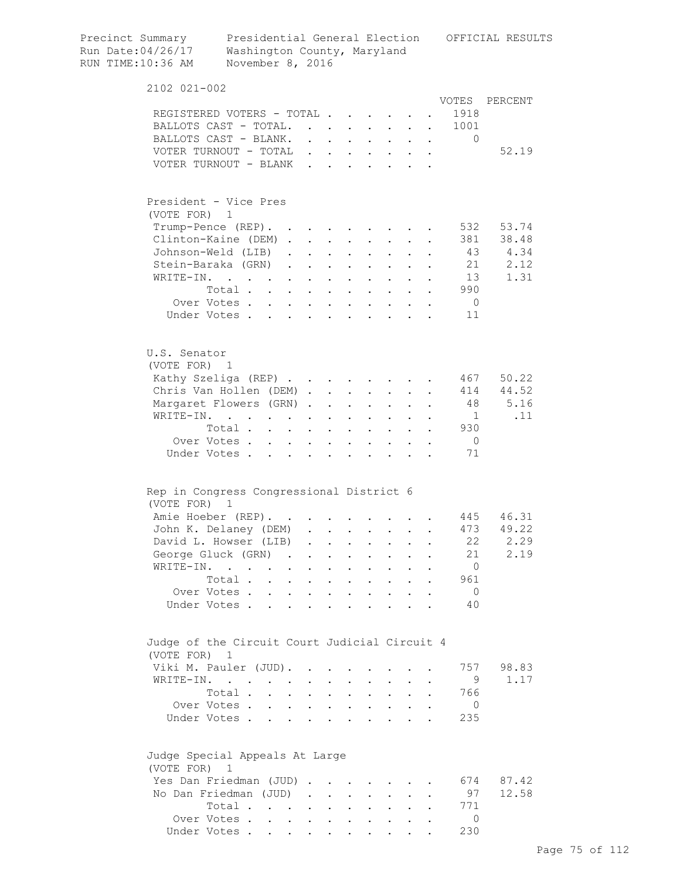| Precinct Summary<br>Run Date:04/26/17<br>RUN TIME:10:36 AM | Presidential General Election<br>Washington County, Maryland<br>November 8, 2016                                                         |            |                                                                          |                                                           |                                                                      |                                                             |                  | OFFICIAL RESULTS  |
|------------------------------------------------------------|------------------------------------------------------------------------------------------------------------------------------------------|------------|--------------------------------------------------------------------------|-----------------------------------------------------------|----------------------------------------------------------------------|-------------------------------------------------------------|------------------|-------------------|
| 2102 021-002                                               |                                                                                                                                          |            |                                                                          |                                                           |                                                                      |                                                             |                  |                   |
|                                                            |                                                                                                                                          |            |                                                                          |                                                           |                                                                      |                                                             | VOTES            | PERCENT           |
|                                                            | REGISTERED VOTERS - TOTAL                                                                                                                |            |                                                                          |                                                           |                                                                      |                                                             | 1918             |                   |
|                                                            | BALLOTS CAST - TOTAL.                                                                                                                    |            |                                                                          |                                                           |                                                                      |                                                             | 1001<br>$\Omega$ |                   |
|                                                            | BALLOTS CAST - BLANK.<br>VOTER TURNOUT - TOTAL $\cdot \cdot \cdot \cdot \cdot \cdot$                                                     |            |                                                                          |                                                           |                                                                      |                                                             |                  | 52.19             |
|                                                            |                                                                                                                                          |            |                                                                          |                                                           |                                                                      |                                                             |                  |                   |
|                                                            |                                                                                                                                          |            |                                                                          |                                                           |                                                                      |                                                             |                  |                   |
|                                                            | President - Vice Pres                                                                                                                    |            |                                                                          |                                                           |                                                                      |                                                             |                  |                   |
| (VOTE FOR) 1                                               |                                                                                                                                          |            |                                                                          |                                                           |                                                                      |                                                             |                  |                   |
|                                                            | Trump-Pence (REP).                                                                                                                       |            |                                                                          |                                                           |                                                                      |                                                             | 532              | 53.74             |
|                                                            | Clinton-Kaine (DEM)                                                                                                                      |            |                                                                          |                                                           |                                                                      | $\sim$                                                      |                  | 381 38.48         |
|                                                            | Johnson-Weld (LIB).<br>Stein-Baraka (GRN)                                                                                                |            | $\mathbf{z} = \mathbf{z} + \mathbf{z}$ , where $\mathbf{z} = \mathbf{z}$ |                                                           | $\mathbf{r} = \mathbf{r} + \mathbf{r}$ .                             |                                                             | 43<br>21         | 4.34<br>2.12      |
| WRITE-IN.                                                  |                                                                                                                                          |            |                                                                          |                                                           | $\mathbf{r} = \mathbf{r} + \mathbf{r}$ .                             |                                                             | 13               | 1.31              |
|                                                            | $\mathcal{L}^{\mathcal{A}}(\mathcal{A})$ . The contribution of the contribution of $\mathcal{A}$<br>Total .<br>$\mathbf{L} = \mathbf{L}$ | $\sim$ $-$ |                                                                          |                                                           | $\mathbf{L} = \mathbf{L} \mathbf{L}$                                 |                                                             | 990              |                   |
|                                                            | Over Votes                                                                                                                               | $\sim$     | $\sim$                                                                   | $\sim$ $\sim$<br>$\mathbf{r} = \mathbf{r} + \mathbf{r}$ . | $\mathbf{r} = \mathbf{r} + \mathbf{r}$ .                             |                                                             | $\overline{0}$   |                   |
|                                                            | Under Votes.                                                                                                                             |            |                                                                          |                                                           |                                                                      |                                                             | 11               |                   |
|                                                            |                                                                                                                                          |            |                                                                          |                                                           |                                                                      |                                                             |                  |                   |
| U.S. Senator<br>(VOTE FOR) 1                               |                                                                                                                                          |            |                                                                          |                                                           |                                                                      |                                                             |                  |                   |
|                                                            | Kathy Szeliga (REP)                                                                                                                      |            |                                                                          |                                                           |                                                                      |                                                             | 467              | 50.22             |
|                                                            | Chris Van Hollen (DEM)                                                                                                                   |            |                                                                          |                                                           |                                                                      |                                                             | 414              | 44.52             |
|                                                            | Margaret Flowers (GRN)                                                                                                                   |            |                                                                          |                                                           | $\mathbf{z} = \mathbf{z} + \mathbf{z}$ .                             |                                                             | 48               | 5.16              |
| WRITE-IN.                                                  | $\mathcal{L}^{\text{max}}$ , where $\mathcal{L}^{\text{max}}$                                                                            | $\sim$     | $\ddot{\phantom{0}}$                                                     | $\sim$                                                    | $\mathbf{r} = \mathbf{r} + \mathbf{r}$ .                             |                                                             | $\mathbf{1}$     | .11               |
|                                                            | Total                                                                                                                                    |            |                                                                          |                                                           | $\mathbf{r}$ , $\mathbf{r}$ , $\mathbf{r}$                           |                                                             | 930              |                   |
|                                                            | Over Votes                                                                                                                               |            |                                                                          |                                                           | $\cdot$ $\cdot$ $\cdot$ $\cdot$ $\cdot$ $\cdot$ $\cdot$              |                                                             | $\overline{0}$   |                   |
|                                                            | Under Votes                                                                                                                              |            |                                                                          |                                                           |                                                                      |                                                             | 71               |                   |
|                                                            | Rep in Congress Congressional District 6                                                                                                 |            |                                                                          |                                                           |                                                                      |                                                             |                  |                   |
| (VOTE FOR) 1                                               |                                                                                                                                          |            |                                                                          |                                                           |                                                                      |                                                             |                  |                   |
|                                                            | Amie Hoeber (REP).                                                                                                                       |            |                                                                          |                                                           |                                                                      |                                                             |                  | 445 46.31         |
|                                                            | John K. Delaney (DEM)                                                                                                                    |            |                                                                          |                                                           |                                                                      |                                                             |                  | 473 49.22<br>2.29 |
|                                                            | David L. Howser (LIB)                                                                                                                    |            |                                                                          |                                                           |                                                                      | $\sim$                                                      | 22<br>21         | 2.19              |
| WRITE-IN.                                                  | George Gluck (GRN)                                                                                                                       |            |                                                                          |                                                           |                                                                      |                                                             | $\overline{0}$   |                   |
|                                                            | $\mathbf{r}$ , $\mathbf{r}$ , $\mathbf{r}$ , $\mathbf{r}$ , $\mathbf{r}$ , $\mathbf{r}$<br>Total                                         |            | $\ddot{\phantom{a}}$                                                     | $\sim$ $\sim$                                             | $\mathbf{z} = \mathbf{z} + \mathbf{z}$ .                             |                                                             | 961              |                   |
|                                                            |                                                                                                                                          |            |                                                                          |                                                           | $\mathbf{L} = \mathbf{L} \mathbf{L}$                                 | $\bullet$ .<br><br><br><br><br><br><br><br><br><br><br><br> | $\overline{0}$   |                   |
|                                                            | Over Votes<br>Under Votes                                                                                                                |            |                                                                          |                                                           | $\mathbf{z} = \left\{ \mathbf{z}_1, \ldots, \mathbf{z}_n \right\}$ . |                                                             | 40               |                   |
| (VOTE FOR)                                                 | Judge of the Circuit Court Judicial Circuit 4<br>1                                                                                       |            |                                                                          |                                                           |                                                                      |                                                             |                  |                   |
|                                                            | Viki M. Pauler (JUD).                                                                                                                    |            |                                                                          |                                                           |                                                                      |                                                             | 757              | 98.83             |
|                                                            | WRITE-IN.                                                                                                                                |            |                                                                          |                                                           |                                                                      |                                                             | 9                | 1.17              |
|                                                            | Total                                                                                                                                    |            |                                                                          | $\mathbf{z} = \mathbf{z} + \mathbf{z}$ .                  | <b>All Contracts</b>                                                 |                                                             | 766              |                   |
|                                                            | Over Votes                                                                                                                               |            |                                                                          |                                                           | $\mathbf{z} = \mathbf{z} + \mathbf{z}$ .                             | $\mathbf{L}^{\text{max}}$                                   | $\mathbf{0}$     |                   |
|                                                            | Under Votes                                                                                                                              |            |                                                                          |                                                           |                                                                      |                                                             | 235              |                   |
| (VOTE FOR)                                                 | Judge Special Appeals At Large<br>$\mathbf 1$                                                                                            |            |                                                                          |                                                           |                                                                      |                                                             |                  |                   |
|                                                            | Yes Dan Friedman (JUD)                                                                                                                   |            |                                                                          |                                                           |                                                                      |                                                             | 674              | 87.42             |
|                                                            | No Dan Friedman (JUD)                                                                                                                    |            |                                                                          |                                                           |                                                                      |                                                             | 97               | 12.58             |
|                                                            | Total                                                                                                                                    |            |                                                                          |                                                           |                                                                      |                                                             | 771              |                   |
|                                                            | Over Votes                                                                                                                               |            |                                                                          |                                                           |                                                                      |                                                             | $\Omega$         |                   |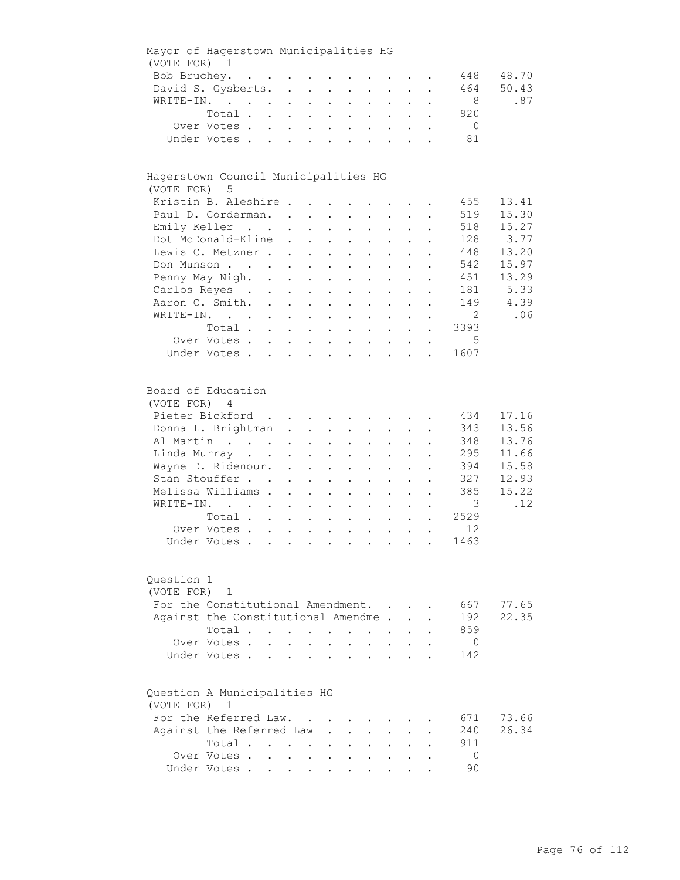| Mayor of Hagerstown Municipalities HG |              |                            |                                                                |                                                                      |                                        |                                                                                                 |                      |                                                             |                           |                |       |
|---------------------------------------|--------------|----------------------------|----------------------------------------------------------------|----------------------------------------------------------------------|----------------------------------------|-------------------------------------------------------------------------------------------------|----------------------|-------------------------------------------------------------|---------------------------|----------------|-------|
| (VOTE FOR) 1                          |              |                            |                                                                |                                                                      |                                        |                                                                                                 |                      |                                                             |                           |                |       |
| Bob Bruchey.                          |              |                            |                                                                |                                                                      |                                        |                                                                                                 |                      |                                                             |                           | 448            | 48.70 |
| David S. Gysberts.                    |              |                            |                                                                |                                                                      |                                        |                                                                                                 |                      |                                                             |                           | 464            | 50.43 |
| WRITE-IN.                             |              |                            |                                                                |                                                                      |                                        | $\mathbf{r} = \mathbf{r} \times \mathbf{r}$ , where $\mathbf{r} = \mathbf{r} \times \mathbf{r}$ |                      |                                                             |                           | 8              | .87   |
|                                       | Total        |                            |                                                                |                                                                      |                                        |                                                                                                 |                      |                                                             | $\mathbf{L}^{\text{max}}$ | 920            |       |
|                                       | Over Votes   |                            |                                                                |                                                                      |                                        |                                                                                                 |                      |                                                             |                           | $\overline{0}$ |       |
|                                       | Under Votes  |                            |                                                                |                                                                      |                                        |                                                                                                 |                      |                                                             |                           | 81             |       |
|                                       |              |                            |                                                                |                                                                      |                                        |                                                                                                 |                      |                                                             |                           |                |       |
| Hagerstown Council Municipalities HG  |              |                            |                                                                |                                                                      |                                        |                                                                                                 |                      |                                                             |                           |                |       |
| (VOTE FOR) 5                          |              |                            |                                                                |                                                                      |                                        |                                                                                                 |                      |                                                             |                           |                |       |
| Kristin B. Aleshire                   |              |                            |                                                                |                                                                      |                                        |                                                                                                 |                      |                                                             |                           | 455            | 13.41 |
| Paul D. Corderman.                    |              |                            |                                                                |                                                                      |                                        |                                                                                                 |                      |                                                             |                           | 519            | 15.30 |
| Emily Keller                          |              |                            |                                                                | $\mathbf{z} = \mathbf{z} + \mathbf{z}$ .                             |                                        | $\mathbf{L}^{\text{max}}$ , and $\mathbf{L}^{\text{max}}$                                       |                      | $\mathbf{z} = \mathbf{z} + \mathbf{z}$ .                    |                           | 518            | 15.27 |
| Dot McDonald-Kline                    |              |                            | $\sim$                                                         | $\mathbf{r} = \mathbf{r} + \mathbf{r} + \mathbf{r} + \mathbf{r}$     |                                        |                                                                                                 | $\bullet$ .          | $\bullet$ .<br><br><br><br><br><br><br><br><br><br><br><br> |                           | 128            | 3.77  |
| Lewis C. Metzner                      |              |                            |                                                                | $\mathbf{z} = \mathbf{z} + \mathbf{z}$ .                             | $\mathbf{z} = \mathbf{z}$              | $\mathbf{L}^{\text{max}}$                                                                       |                      |                                                             |                           | 448            | 13.20 |
| Don Munson                            |              |                            |                                                                |                                                                      |                                        | $\ddot{\phantom{a}}$                                                                            |                      |                                                             |                           | 542            | 15.97 |
| Penny May Nigh. .                     |              |                            | $\mathbf{r} = \mathbf{r} + \mathbf{r}$                         |                                                                      | $\sim$ 100 $\pm$                       |                                                                                                 |                      |                                                             |                           | 451            | 13.29 |
| Carlos Reyes .                        |              | $\mathcal{L}^{\text{max}}$ | $\mathbf{z} = \mathbf{z} + \mathbf{z}$ .                       |                                                                      | $\sim$ $-$<br>$\ddot{\phantom{a}}$     | $\ddot{\phantom{0}}$                                                                            |                      |                                                             |                           | 181            | 5.33  |
| Aaron C. Smith.                       |              |                            |                                                                |                                                                      |                                        | $\cdot$ $\cdot$ $\cdot$                                                                         | $\ddot{\phantom{0}}$ | $\mathbf{L}$                                                | $\ddot{\phantom{a}}$      | 149            | 4.39  |
| WRITE-IN.                             |              |                            |                                                                |                                                                      |                                        | $\mathbf{r} = \mathbf{r}$ and $\mathbf{r} = \mathbf{r}$                                         |                      | $\ddot{\phantom{a}}$                                        |                           | $\overline{2}$ | .06   |
|                                       | Total        |                            |                                                                |                                                                      |                                        |                                                                                                 |                      |                                                             |                           | 3393           |       |
|                                       | Over Votes   |                            |                                                                |                                                                      |                                        |                                                                                                 |                      |                                                             | $\bullet$                 | - 5            |       |
|                                       | Under Votes  |                            |                                                                |                                                                      |                                        |                                                                                                 |                      |                                                             |                           | 1607           |       |
|                                       |              |                            |                                                                |                                                                      |                                        |                                                                                                 |                      |                                                             |                           |                |       |
| Board of Education                    |              |                            |                                                                |                                                                      |                                        |                                                                                                 |                      |                                                             |                           |                |       |
| (VOTE FOR) 4                          |              |                            |                                                                |                                                                      |                                        |                                                                                                 |                      |                                                             |                           |                |       |
| Pieter Bickford                       |              |                            |                                                                |                                                                      |                                        |                                                                                                 |                      |                                                             |                           | 434            | 17.16 |
| Donna L. Brightman                    |              |                            |                                                                |                                                                      |                                        |                                                                                                 |                      |                                                             |                           | 343            | 13.56 |
| Al Martin                             |              |                            |                                                                |                                                                      |                                        | $\cdot$ $\cdot$ $\cdot$                                                                         |                      | $\cdot$ $\cdot$ $\cdot$                                     |                           | 348            | 13.76 |
| Linda Murray                          |              |                            |                                                                |                                                                      |                                        |                                                                                                 |                      | $\mathbf{z} = \mathbf{z} + \mathbf{z}$ .                    |                           | 295            | 11.66 |
| Wayne D. Ridenour.                    |              |                            |                                                                | $\mathbf{z} = \left\{ \mathbf{z}_1, \ldots, \mathbf{z}_n \right\}$ . |                                        | $\mathbf{z} = \mathbf{z} + \mathbf{z}$ .                                                        | $\bullet$ .          | $\bullet$                                                   |                           | 394            | 15.58 |
| Stan Stouffer                         |              |                            | $\ddot{\phantom{0}}$                                           | $\mathbf{L}^{\text{max}}$ , and $\mathbf{L}^{\text{max}}$            | $\mathcal{L}^{\text{max}}$             | $\mathbf{L}^{\text{max}}$                                                                       | $\bullet$ .          |                                                             |                           | 327            | 12.93 |
| Melissa Williams .                    |              |                            | $\ddot{\phantom{a}}$                                           | $\mathbf{L}^{\text{max}}$                                            | $\mathbf{L}^{\text{max}}$<br>$\bullet$ | $\ddot{\phantom{0}}$                                                                            |                      |                                                             |                           | 385            | 15.22 |
| WRITE-IN.                             |              |                            | $\sim$                                                         | $\mathbf{L}^{\text{max}}$<br>$\bullet$                               | $\bullet$                              | $\ddot{\phantom{0}}$                                                                            |                      |                                                             |                           | $\mathcal{E}$  | .12   |
|                                       | Total        |                            |                                                                | $\mathbf{L}^{\text{max}}$                                            | $\ddot{\phantom{a}}$                   |                                                                                                 |                      |                                                             |                           | 2529           |       |
|                                       | Over Votes   |                            |                                                                |                                                                      |                                        | $\cdot$ $\cdot$ $\cdot$                                                                         | $\ddot{\phantom{0}}$ | $\ddot{\phantom{a}}$                                        |                           | 12             |       |
|                                       | Under Votes  |                            |                                                                |                                                                      |                                        |                                                                                                 |                      |                                                             |                           | 1463           |       |
|                                       |              |                            |                                                                |                                                                      |                                        |                                                                                                 |                      |                                                             |                           |                |       |
| Question 1                            |              |                            |                                                                |                                                                      |                                        |                                                                                                 |                      |                                                             |                           |                |       |
| (VOTE FOR)                            | $\mathbf{1}$ |                            |                                                                |                                                                      |                                        |                                                                                                 |                      |                                                             |                           |                |       |
| For the Constitutional Amendment.     |              |                            |                                                                |                                                                      |                                        |                                                                                                 |                      |                                                             |                           | 667            | 77.65 |
| Against the Constitutional Amendme.   |              |                            |                                                                |                                                                      |                                        |                                                                                                 |                      |                                                             |                           | 192            | 22.35 |
|                                       | Total .      |                            | $\mathbf{r} = \mathbf{r} \times \mathbf{r}$ . The $\mathbf{r}$ |                                                                      | $\sim$<br>$\ddot{\phantom{a}}$         |                                                                                                 |                      |                                                             |                           | 859            |       |
|                                       | Over Votes.  | $\ddot{\phantom{0}}$       |                                                                |                                                                      |                                        |                                                                                                 |                      |                                                             |                           | 0              |       |
|                                       | Under Votes. |                            |                                                                |                                                                      |                                        |                                                                                                 |                      |                                                             |                           | 142            |       |
|                                       |              |                            |                                                                |                                                                      |                                        |                                                                                                 |                      |                                                             |                           |                |       |
| Question A Municipalities HG          |              |                            |                                                                |                                                                      |                                        |                                                                                                 |                      |                                                             |                           |                |       |
| (VOTE FOR) 1                          |              |                            |                                                                |                                                                      |                                        |                                                                                                 |                      |                                                             |                           |                |       |
| For the Referred Law.                 |              |                            |                                                                |                                                                      |                                        |                                                                                                 |                      |                                                             |                           | 671            | 73.66 |
| Against the Referred Law              |              |                            |                                                                |                                                                      |                                        |                                                                                                 |                      |                                                             |                           | 240            | 26.34 |
|                                       | Total        |                            |                                                                |                                                                      |                                        |                                                                                                 |                      |                                                             |                           | 911            |       |
|                                       | Over Votes.  |                            | $\mathbf{L} = \mathbf{L}$                                      | $\ddot{\phantom{0}}$                                                 |                                        |                                                                                                 |                      |                                                             |                           | $\mathbf 0$    |       |
|                                       | Under Votes  |                            |                                                                |                                                                      |                                        |                                                                                                 |                      |                                                             |                           | 90             |       |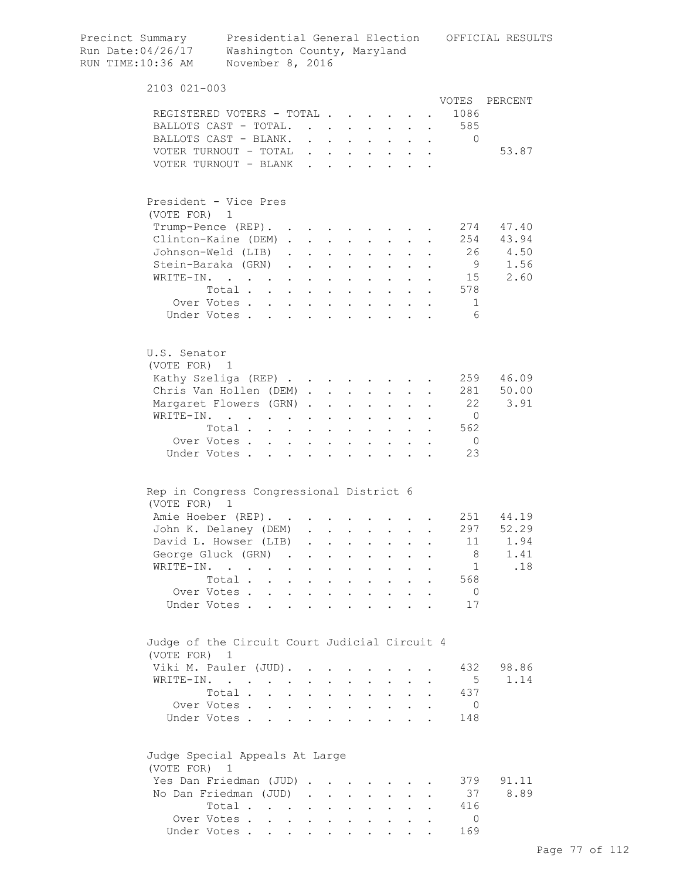| Precinct Summary<br>Run Date: 04/26/17<br>RUN TIME:10:36 AM                 | Washington County, Maryland<br>November 8, 2016                                           |                                              |                                                                  |                                                           |                      |                                            |                      |                      |                                        | Presidential General Election OFFICIAL RESULTS |
|-----------------------------------------------------------------------------|-------------------------------------------------------------------------------------------|----------------------------------------------|------------------------------------------------------------------|-----------------------------------------------------------|----------------------|--------------------------------------------|----------------------|----------------------|----------------------------------------|------------------------------------------------|
| $2103$ $021 - 003$                                                          |                                                                                           |                                              |                                                                  |                                                           |                      |                                            |                      |                      |                                        |                                                |
| REGISTERED VOTERS - TOTAL<br>BALLOTS CAST - TOTAL.<br>BALLOTS CAST - BLANK. |                                                                                           |                                              | $\mathbf{L}$                                                     | $\mathbf{L}$<br>$\mathbf{L}$                              |                      |                                            |                      | $\ddot{\phantom{0}}$ | VOTES<br>1086<br>585<br>$\overline{0}$ | PERCENT                                        |
| VOTER TURNOUT - TOTAL<br>VOTER TURNOUT - BLANK                              |                                                                                           |                                              | $\mathbf{1}$ $\mathbf{1}$ $\mathbf{1}$ $\mathbf{1}$ $\mathbf{1}$ |                                                           |                      | $\mathbf{r}$ , $\mathbf{r}$ , $\mathbf{r}$ |                      | $\sim$               |                                        | 53.87                                          |
| President - Vice Pres<br>(VOTE FOR) 1                                       |                                                                                           |                                              |                                                                  |                                                           |                      |                                            |                      |                      |                                        |                                                |
| Trump-Pence (REP). .                                                        |                                                                                           |                                              |                                                                  |                                                           |                      |                                            |                      |                      | 274                                    | 47.40                                          |
| Clinton-Kaine (DEM).                                                        |                                                                                           |                                              | $\mathbf{L}$                                                     | $\sim$<br>$\ddot{\phantom{a}}$                            |                      | $\ddot{\phantom{a}}$                       |                      |                      |                                        | 254 43.94                                      |
| Johnson-Weld (LIB)                                                          |                                                                                           | $\ddot{\phantom{0}}$                         | $\mathbf{L}$                                                     |                                                           |                      |                                            |                      |                      | 26                                     | 4.50                                           |
| Stein-Baraka (GRN)                                                          |                                                                                           | $\cdot$ $\cdot$ $\cdot$                      | $\ddot{\phantom{a}}$                                             | $\sim$ $\sim$                                             | $\ddot{\phantom{a}}$ | $\sim$                                     |                      |                      | 9                                      | 1.56                                           |
| $WRTTET-TN$ .                                                               | $\mathcal{L}(\mathbf{r})$ , and $\mathcal{L}(\mathbf{r})$ , and $\mathcal{L}(\mathbf{r})$ |                                              | $\sim$<br>$\ddot{\phantom{a}}$                                   | $\mathbf{r}$                                              |                      | $\cdot$ $\cdot$ $\cdot$                    |                      |                      | 15                                     | 2.60                                           |
|                                                                             | Total                                                                                     |                                              | $\ddot{\phantom{a}}$                                             | $\sim$ $\sim$                                             |                      | $\cdot$ $\cdot$ $\cdot$ $\cdot$            |                      |                      | 578                                    |                                                |
|                                                                             | Over Votes                                                                                |                                              |                                                                  |                                                           |                      |                                            |                      |                      | 1                                      |                                                |
|                                                                             | Under Votes                                                                               |                                              |                                                                  |                                                           |                      |                                            |                      |                      | $6 \sqrt{25}$                          |                                                |
|                                                                             |                                                                                           |                                              |                                                                  |                                                           |                      |                                            |                      |                      |                                        |                                                |
| U.S. Senator<br>(VOTE FOR) 1                                                |                                                                                           |                                              |                                                                  |                                                           |                      |                                            |                      |                      |                                        |                                                |
| Kathy Szeliga (REP)                                                         |                                                                                           |                                              |                                                                  |                                                           |                      |                                            |                      |                      | 259                                    | 46.09                                          |
| Chris Van Hollen (DEM).                                                     |                                                                                           |                                              |                                                                  | $\mathbf{r}$ , $\mathbf{r}$ , $\mathbf{r}$ , $\mathbf{r}$ |                      |                                            |                      |                      | 281                                    | 50.00                                          |
|                                                                             |                                                                                           |                                              |                                                                  |                                                           |                      |                                            |                      |                      | 22                                     | 3.91                                           |
| Margaret Flowers (GRN).                                                     |                                                                                           |                                              | $\ddot{\phantom{a}}$                                             | $\mathbf{L}$                                              |                      | $\cdot$ $\cdot$ $\cdot$                    | $\ddot{\phantom{a}}$ |                      | $\Omega$                               |                                                |
| WRITE-IN.                                                                   |                                                                                           |                                              | $\bullet$                                                        | $\ddot{\phantom{0}}$                                      | $\bullet$            | $\bullet$ .                                |                      |                      | 562                                    |                                                |
| Over Votes .                                                                | Total                                                                                     |                                              | $\bullet$                                                        | $\sim$                                                    | $\bullet$            | $\mathbf{L}^{\text{max}}$                  |                      | $\ddot{\phantom{a}}$ | $\overline{0}$                         |                                                |
| Under Votes.                                                                | $\ddot{\phantom{0}}$                                                                      | $\ddot{\phantom{0}}$<br>$\ddot{\phantom{a}}$ | $\bullet$                                                        | $\bullet$                                                 |                      |                                            |                      |                      | 23                                     |                                                |
|                                                                             |                                                                                           |                                              |                                                                  |                                                           |                      |                                            |                      |                      |                                        |                                                |
| Rep in Congress Congressional District 6<br>(VOTE FOR)                      | $\overline{1}$                                                                            |                                              |                                                                  |                                                           |                      |                                            |                      |                      |                                        |                                                |
| Amie Hoeber (REP).                                                          |                                                                                           |                                              |                                                                  |                                                           |                      |                                            |                      |                      |                                        | 251 44.19                                      |
| John K. Delaney (DEM)                                                       |                                                                                           |                                              |                                                                  |                                                           |                      |                                            |                      |                      | 297                                    | 52.29                                          |
| David L. Howser (LIB)                                                       |                                                                                           | $\ddot{\phantom{a}}$                         |                                                                  |                                                           |                      |                                            |                      |                      | 11                                     | 1.94                                           |
| George Gluck (GRN)                                                          |                                                                                           | $\sim$                                       | $\ddot{\phantom{0}}$                                             |                                                           |                      |                                            |                      |                      | 8                                      | 1.41                                           |
| WRITE-IN.                                                                   |                                                                                           |                                              |                                                                  |                                                           |                      |                                            |                      |                      | 1                                      | .18                                            |
|                                                                             | Total.<br>$\ddot{\phantom{a}}$                                                            | $\ddot{\phantom{0}}$                         | $\ddot{\phantom{0}}$<br>$\bullet$                                | $\ddot{\phantom{a}}$                                      | $\bullet$            |                                            |                      |                      | 568                                    |                                                |
| Over Votes.                                                                 | $\mathbf{L}$                                                                              | $\mathbf{L}$                                 | $\mathbf{L}$                                                     | $\mathbf{L}$                                              |                      | $\ddot{\phantom{a}}$                       |                      |                      | $\overline{0}$                         |                                                |
| Under Votes.                                                                |                                                                                           | and a state                                  | $\mathbf{r}$<br>$\ddot{\phantom{a}}$                             | $\mathbf{r}$                                              |                      | $\overline{a}$                             |                      |                      | 17                                     |                                                |
| Judge of the Circuit Court Judicial Circuit 4<br>(VOTE FOR) 1               |                                                                                           |                                              |                                                                  |                                                           |                      |                                            |                      |                      |                                        |                                                |
| Viki M. Pauler (JUD).                                                       |                                                                                           |                                              |                                                                  |                                                           |                      |                                            |                      |                      | 432                                    | 98.86                                          |
| WRITE-IN.                                                                   |                                                                                           |                                              |                                                                  |                                                           |                      |                                            |                      |                      | 5                                      | 1.14                                           |
|                                                                             | Total.<br>$\ddot{\phantom{0}}$                                                            | $\ddot{\phantom{0}}$                         | $\ddot{\phantom{a}}$                                             | $\ddot{\phantom{a}}$                                      | $\ddot{\phantom{a}}$ | $\ddot{\phantom{0}}$                       |                      |                      | 437                                    |                                                |
|                                                                             | Over Votes                                                                                | $\sim$                                       | $\mathbf{L}$<br>$\ddot{\phantom{0}}$                             | $\mathbf{L}$                                              | $\ddot{\phantom{0}}$ | $\mathbf{L}$                               |                      |                      | $\circ$                                |                                                |
|                                                                             | Under Votes                                                                               |                                              | $\sim$<br>$\ddot{\phantom{a}}$                                   | $\ddot{\phantom{a}}$                                      | $\overline{a}$       | $\sim$                                     |                      |                      | 148                                    |                                                |
| Judge Special Appeals At Large<br>(VOTE FOR) 1                              |                                                                                           |                                              |                                                                  |                                                           |                      |                                            |                      |                      |                                        |                                                |
| Yes Dan Friedman (JUD)                                                      |                                                                                           |                                              |                                                                  |                                                           |                      |                                            |                      |                      | 379                                    | 91.11                                          |
| No Dan Friedman (JUD)                                                       |                                                                                           |                                              |                                                                  |                                                           | $\mathbf{L}$         | $\sim$                                     |                      |                      | 37                                     | 8.89                                           |
|                                                                             | Total                                                                                     |                                              | $\sim 100$<br>$\bullet$                                          | $\ddot{\phantom{0}}$                                      | $\ddot{\phantom{0}}$ | $\mathbf{L}^{\text{max}}$                  |                      |                      | 416                                    |                                                |
|                                                                             | Over Votes                                                                                |                                              |                                                                  |                                                           |                      |                                            |                      |                      | $\mathbf{0}$                           |                                                |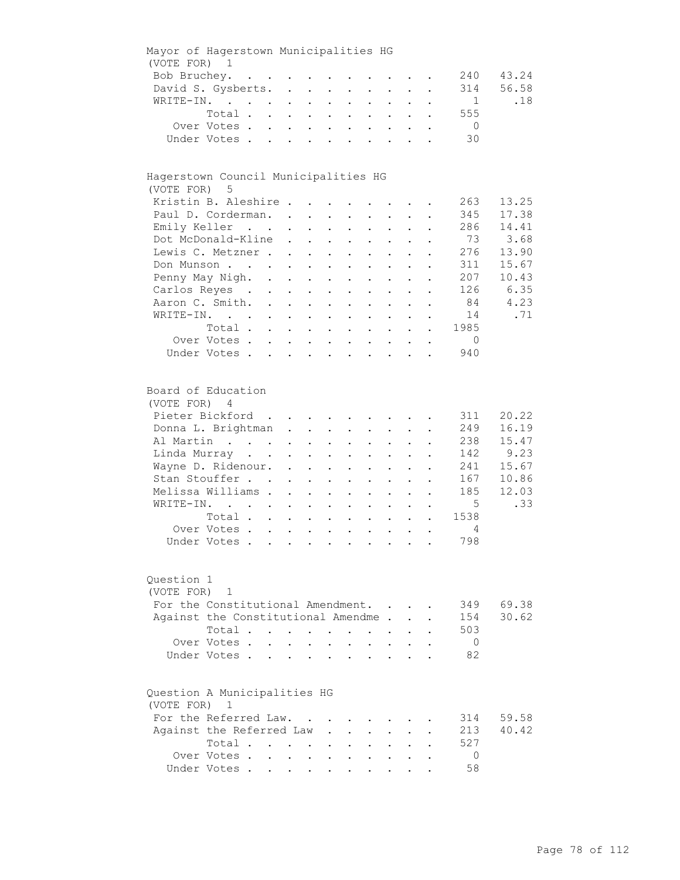| Mayor of Hagerstown Municipalities HG                 |              |                                                                          |                           |                      |                                                                                               |                           |                                                                               |                           |                                          |                           |                |       |
|-------------------------------------------------------|--------------|--------------------------------------------------------------------------|---------------------------|----------------------|-----------------------------------------------------------------------------------------------|---------------------------|-------------------------------------------------------------------------------|---------------------------|------------------------------------------|---------------------------|----------------|-------|
| (VOTE FOR) 1                                          |              |                                                                          |                           |                      |                                                                                               |                           |                                                                               |                           |                                          |                           |                |       |
| Bob Bruchey.                                          |              | $\mathcal{A}$ is a set of the set of the set of the set of $\mathcal{A}$ |                           |                      |                                                                                               |                           |                                                                               |                           |                                          |                           | 240            | 43.24 |
| David S. Gysberts.                                    |              |                                                                          |                           |                      |                                                                                               |                           |                                                                               |                           |                                          |                           | 314            | 56.58 |
| WRITE-IN.                                             |              |                                                                          |                           |                      |                                                                                               |                           | $\mathbf{r} = \mathbf{r} \times \mathbf{r}$ , where $\mathbf{r} = \mathbf{r}$ |                           | $\sim$ 100 $\pm$                         |                           | $\mathbf{1}$   | .18   |
|                                                       | Total.       |                                                                          |                           |                      |                                                                                               |                           | $\mathbf{r}$ , and $\mathbf{r}$ , and $\mathbf{r}$                            |                           |                                          | $\mathbf{L}^{\text{max}}$ | 555            |       |
|                                                       | Over Votes   |                                                                          |                           |                      |                                                                                               |                           |                                                                               |                           |                                          |                           | $\overline{0}$ |       |
|                                                       | Under Votes  |                                                                          |                           |                      |                                                                                               |                           |                                                                               |                           |                                          |                           | 30             |       |
|                                                       |              |                                                                          |                           |                      |                                                                                               |                           |                                                                               |                           |                                          |                           |                |       |
| Hagerstown Council Municipalities HG<br>(VOTE FOR)    | 5            |                                                                          |                           |                      |                                                                                               |                           |                                                                               |                           |                                          |                           |                |       |
| Kristin B. Aleshire                                   |              |                                                                          |                           |                      |                                                                                               |                           |                                                                               |                           |                                          |                           | 263            | 13.25 |
| Paul D. Corderman.                                    |              |                                                                          |                           |                      |                                                                                               |                           |                                                                               |                           |                                          |                           | 345            | 17.38 |
| Emily Keller                                          |              |                                                                          |                           |                      | $\mathbf{z} = \mathbf{z} + \mathbf{z}$ .                                                      |                           | $\mathbf{L}^{\text{max}}$ , and $\mathbf{L}^{\text{max}}$                     |                           | $\mathbf{z} = \mathbf{z} + \mathbf{z}$ . |                           | 286            | 14.41 |
| Dot McDonald-Kline                                    |              |                                                                          | $\ddot{\phantom{0}}$      |                      | $\mathbf{z} = \mathbf{z} + \mathbf{z}$ .                                                      |                           | $\mathbf{z} = \mathbf{z} + \mathbf{z}$ .                                      | $\bullet$ .               | $\bullet$                                |                           | 73             | 3.68  |
| Lewis C. Metzner.                                     |              |                                                                          | $\sim$ 100 $\pm$          |                      |                                                                                               |                           |                                                                               |                           |                                          |                           | 276            | 13.90 |
| Don Munson                                            |              |                                                                          |                           |                      | $\mathbf{z} = \mathbf{z} + \mathbf{z}$ .                                                      | $\mathbf{L}^{\text{max}}$ | $\mathbf{L}^{\text{max}}$                                                     |                           |                                          |                           | 311            | 15.67 |
|                                                       |              |                                                                          | $\mathbf{L}^{\text{max}}$ | $\bullet$ .          | $\sim 100$                                                                                    |                           |                                                                               |                           |                                          |                           |                |       |
| Penny May Nigh. .                                     |              |                                                                          | $\mathbf{L}$              | $\sim$               | $\sim$                                                                                        |                           |                                                                               |                           |                                          |                           | 207            | 10.43 |
| Carlos Reyes .                                        |              | $\sim 10^{-11}$                                                          | $\mathbf{L}^{\text{max}}$ | $\sim$               | $\sim$ $-$                                                                                    | $\bullet$                 | $\bullet$                                                                     |                           |                                          |                           | 126            | 6.35  |
| Aaron C. Smith.                                       |              |                                                                          |                           |                      |                                                                                               | $\mathbf{L}$              | $\sim$                                                                        | $\mathbf{L}$              | $\ddot{\phantom{a}}$                     |                           | 84             | 4.23  |
| WRITE-IN.                                             |              |                                                                          |                           |                      |                                                                                               |                           |                                                                               |                           | $\ddot{\phantom{a}}$                     |                           | 14             | .71   |
|                                                       | Total        |                                                                          |                           |                      |                                                                                               |                           |                                                                               |                           |                                          | $\ddot{\phantom{a}}$      | 1985           |       |
|                                                       | Over Votes   |                                                                          |                           |                      |                                                                                               |                           |                                                                               |                           |                                          | $\ddot{\phantom{0}}$      | $\overline{0}$ |       |
|                                                       | Under Votes  |                                                                          |                           |                      |                                                                                               |                           |                                                                               |                           |                                          |                           | 940            |       |
|                                                       |              |                                                                          |                           |                      |                                                                                               |                           |                                                                               |                           |                                          |                           |                |       |
| Board of Education<br>(VOTE FOR) 4<br>Pieter Bickford |              |                                                                          |                           |                      |                                                                                               |                           |                                                                               |                           |                                          |                           | 311            | 20.22 |
|                                                       |              |                                                                          |                           |                      |                                                                                               |                           |                                                                               |                           |                                          |                           |                |       |
| Donna L. Brightman                                    |              |                                                                          |                           |                      |                                                                                               |                           |                                                                               |                           |                                          |                           | 249            | 16.19 |
| Al Martin                                             |              |                                                                          |                           |                      |                                                                                               |                           | $\mathbf{L} = \mathbf{L}$                                                     | $\sim$ 100 $\pm$          | $\sim$ 100 $\pm$                         |                           | 238            | 15.47 |
| Linda Murray                                          |              |                                                                          |                           |                      |                                                                                               |                           | $\mathbf{z} = \mathbf{z} + \mathbf{z}$ .                                      | $\mathbf{L}^{\text{max}}$ | $\sim 100$                               |                           | 142            | 9.23  |
| Wayne D. Ridenour.                                    |              |                                                                          |                           |                      | $\mathbf{r} = \mathbf{r} \cdot \mathbf{r}$ , where $\mathbf{r} = \mathbf{r} \cdot \mathbf{r}$ |                           | $\mathbf{r} = \mathbf{r} + \mathbf{r}$ .                                      | $\bullet$                 | $\bullet$                                |                           | 241            | 15.67 |
| Stan Stouffer                                         |              |                                                                          | $\ddot{\phantom{0}}$      | $\ddot{\phantom{a}}$ | $\sim 100$                                                                                    | $\bullet$ .               | $\mathbf{L}^{\text{max}}$                                                     | $\ddot{\phantom{0}}$      |                                          |                           | 167            | 10.86 |
| Melissa Williams .                                    |              |                                                                          | $\ddot{\phantom{a}}$      | $\ddot{\phantom{a}}$ | $\mathbf{a} = \mathbf{a}$                                                                     | $\bullet$                 | $\ddot{\phantom{0}}$                                                          |                           |                                          |                           | 185            | 12.03 |
| WRITE-IN.                                             |              |                                                                          | $\ddot{\phantom{0}}$      | $\ddot{\phantom{0}}$ | $\ddot{\phantom{0}}$                                                                          | $\ddot{\phantom{a}}$      | $\ddot{\phantom{a}}$                                                          |                           |                                          |                           | 5              | .33   |
|                                                       | Total        |                                                                          |                           | $\ddot{\phantom{0}}$ |                                                                                               | $\ddot{\phantom{a}}$      |                                                                               |                           |                                          |                           | 1538           |       |
|                                                       | Over Votes   |                                                                          |                           |                      |                                                                                               |                           | $\ddot{\phantom{0}}$                                                          | $\ddot{\phantom{a}}$      |                                          |                           | 4              |       |
|                                                       | Under Votes  |                                                                          |                           |                      |                                                                                               |                           |                                                                               |                           |                                          |                           | 798            |       |
|                                                       |              |                                                                          |                           |                      |                                                                                               |                           |                                                                               |                           |                                          |                           |                |       |
| Question 1<br>(VOTE FOR)                              | $\mathbf{1}$ |                                                                          |                           |                      |                                                                                               |                           |                                                                               |                           |                                          |                           |                |       |
| For the Constitutional Amendment.                     |              |                                                                          |                           |                      |                                                                                               |                           |                                                                               |                           |                                          |                           | 349            | 69.38 |
| Against the Constitutional Amendme.                   |              |                                                                          |                           |                      |                                                                                               |                           |                                                                               |                           |                                          |                           | 154            | 30.62 |
|                                                       | Total        |                                                                          |                           |                      | $\sim$ 100 $\pm$                                                                              | $\ddot{\phantom{a}}$      |                                                                               |                           |                                          |                           | 503            |       |
|                                                       | Over Votes.  | $\ddot{\phantom{0}}$                                                     |                           |                      |                                                                                               |                           |                                                                               |                           |                                          |                           | $\overline{0}$ |       |
|                                                       | Under Votes. |                                                                          |                           |                      |                                                                                               |                           |                                                                               |                           |                                          |                           | 82             |       |
|                                                       |              |                                                                          |                           |                      |                                                                                               |                           |                                                                               |                           |                                          |                           |                |       |
| Question A Municipalities HG<br>(VOTE FOR) 1          |              |                                                                          |                           |                      |                                                                                               |                           |                                                                               |                           |                                          |                           |                |       |
| For the Referred Law.                                 |              |                                                                          |                           |                      |                                                                                               |                           |                                                                               |                           |                                          |                           | 314            | 59.58 |
| Against the Referred Law                              |              |                                                                          |                           |                      |                                                                                               |                           |                                                                               |                           |                                          |                           | 213            | 40.42 |
|                                                       | Total        |                                                                          |                           |                      |                                                                                               |                           |                                                                               |                           |                                          |                           | 527            |       |
|                                                       | Over Votes.  |                                                                          | $\cdot$ $\cdot$ $\cdot$   | $\sim$               |                                                                                               |                           |                                                                               |                           |                                          |                           | 0              |       |
|                                                       | Under Votes  |                                                                          |                           |                      |                                                                                               |                           |                                                                               |                           |                                          |                           | 58             |       |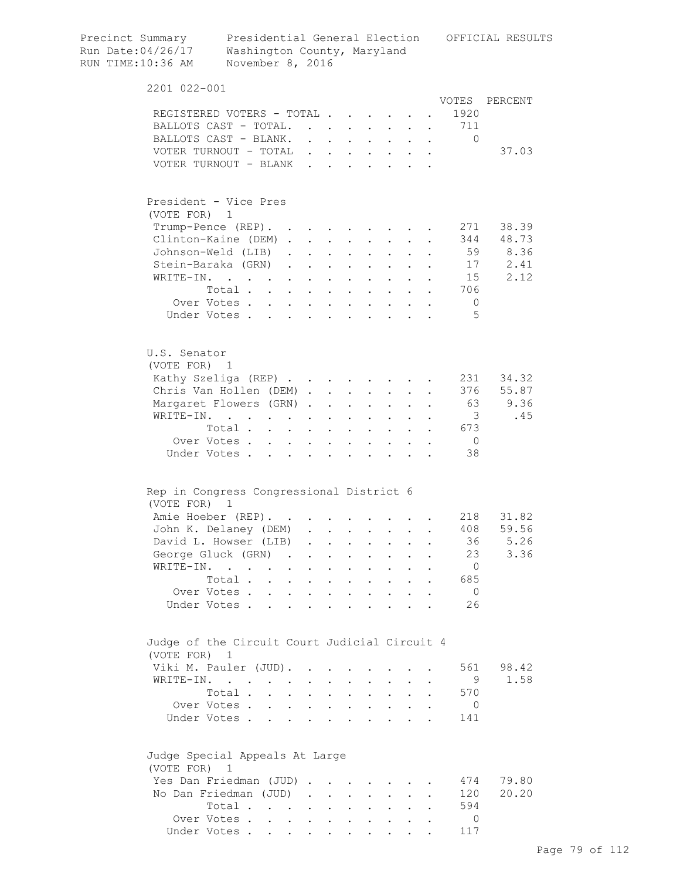| Precinct Summary<br>Run Date:04/26/17<br>RUN TIME:10:36 AM | Presidential General Election OFFICIAL RESULTS<br>Washington County, Maryland<br>November 8, 2016 |                                      |                      |                                              |                      |                                                                       |                                                             |                         |            |
|------------------------------------------------------------|---------------------------------------------------------------------------------------------------|--------------------------------------|----------------------|----------------------------------------------|----------------------|-----------------------------------------------------------------------|-------------------------------------------------------------|-------------------------|------------|
| 2201 022-001                                               |                                                                                                   |                                      |                      |                                              |                      |                                                                       |                                                             |                         |            |
|                                                            |                                                                                                   |                                      |                      |                                              |                      |                                                                       |                                                             | VOTES                   | PERCENT    |
|                                                            | REGISTERED VOTERS - TOTAL                                                                         |                                      |                      |                                              |                      |                                                                       |                                                             | 1920                    |            |
|                                                            | BALLOTS CAST - TOTAL.                                                                             |                                      |                      |                                              |                      |                                                                       |                                                             | . 711                   |            |
|                                                            | BALLOTS CAST - BLANK.                                                                             |                                      |                      |                                              |                      | $\mathbf{r}$ , and $\mathbf{r}$ , and $\mathbf{r}$ , and $\mathbf{r}$ |                                                             | $\mathbf{0}$            |            |
|                                                            | VOTER TURNOUT - TOTAL                                                                             |                                      |                      |                                              |                      |                                                                       |                                                             |                         | 37.03      |
|                                                            | VOTER TURNOUT - BLANK                                                                             |                                      |                      |                                              |                      |                                                                       |                                                             |                         |            |
| (VOTE FOR) 1                                               | President - Vice Pres                                                                             |                                      |                      |                                              |                      |                                                                       |                                                             |                         |            |
|                                                            | Trump-Pence (REP).                                                                                |                                      |                      |                                              |                      |                                                                       |                                                             | 271                     | 38.39      |
|                                                            | Clinton-Kaine (DEM)                                                                               |                                      |                      |                                              |                      |                                                                       | $\mathbf{L}$                                                |                         | 344 48.73  |
|                                                            | Johnson-Weld (LIB)                                                                                |                                      |                      | $\mathbf{L}$ and $\mathbf{L}$                |                      | $\ddot{\phantom{a}}$                                                  |                                                             |                         | 59 8.36    |
|                                                            | Stein-Baraka (GRN)                                                                                |                                      |                      | $\mathbf{L} = \mathbf{L} \mathbf{L}$         |                      | $\mathbf{L} = \mathbf{L} \mathbf{L}$                                  | $\ddot{\phantom{0}}$                                        |                         | 17<br>2.41 |
| WRITE-IN.                                                  | and the contract of the contract of                                                               | $\sim 100$                           | $\bullet$            | <b>Contractor</b>                            |                      | $\mathbf{z} = \mathbf{z} + \mathbf{z}$ .                              | $\bullet$ .<br><br><br><br><br><br><br><br><br><br><br><br> | 15                      | 2.12       |
|                                                            | Total                                                                                             |                                      |                      |                                              |                      | $\mathbf{z} = \mathbf{z} + \mathbf{z}$ .                              |                                                             | 706                     |            |
|                                                            | Over Votes                                                                                        |                                      |                      |                                              |                      |                                                                       |                                                             | $\overline{0}$          |            |
|                                                            | Under Votes                                                                                       |                                      |                      | $\sim$ $\sim$                                |                      |                                                                       |                                                             | 5                       |            |
| U.S. Senator<br>(VOTE FOR) 1                               |                                                                                                   |                                      |                      |                                              |                      |                                                                       |                                                             |                         |            |
|                                                            | Kathy Szeliga (REP)                                                                               |                                      |                      |                                              |                      |                                                                       |                                                             |                         | 231 34.32  |
|                                                            | Chris Van Hollen (DEM)                                                                            |                                      |                      |                                              |                      |                                                                       |                                                             |                         | 376 55.87  |
|                                                            |                                                                                                   |                                      |                      |                                              |                      |                                                                       |                                                             | 63                      | 9.36       |
|                                                            | Margaret Flowers (GRN)                                                                            |                                      |                      | <b>Contract Contract</b>                     | $\sim$ 100 $\pm$     |                                                                       |                                                             |                         |            |
|                                                            | WRITE-IN.                                                                                         |                                      |                      |                                              |                      |                                                                       |                                                             | $\overline{\mathbf{3}}$ | .45        |
|                                                            | Total                                                                                             |                                      | $\ddot{\phantom{a}}$ | $\sim$                                       |                      |                                                                       |                                                             | 673                     |            |
|                                                            | Over Votes<br>$\mathbf{L}$<br>Under Votes                                                         | $\ddot{\phantom{0}}$<br>$\mathbf{L}$ |                      | $\ddot{\phantom{a}}$<br>$\ddot{\phantom{a}}$ | $\mathbf{r}$         |                                                                       |                                                             | $\overline{0}$<br>38    |            |
|                                                            | Rep in Congress Congressional District 6                                                          |                                      |                      |                                              |                      |                                                                       |                                                             |                         |            |
| (VOTE FOR)                                                 | $\mathbf{1}$                                                                                      |                                      |                      |                                              |                      |                                                                       |                                                             |                         |            |
|                                                            | Amie Hoeber (REP).                                                                                |                                      |                      |                                              |                      |                                                                       |                                                             |                         | 218 31.82  |
|                                                            | John K. Delaney (DEM)                                                                             |                                      |                      |                                              |                      |                                                                       |                                                             |                         | 408 59.56  |
|                                                            | David L. Howser (LIB)                                                                             | $\sim$                               |                      |                                              |                      |                                                                       |                                                             | 36                      | 5.26       |
|                                                            | George Gluck (GRN).                                                                               |                                      | $\ddot{\phantom{a}}$ | $\mathbf{z}$ .                               | $\ddot{\phantom{0}}$ | $\ddot{\phantom{0}}$                                                  |                                                             | 23                      | 3.36       |
| WRITE-IN.                                                  | $\ddot{\phantom{0}}$<br>$\bullet$                                                                 |                                      | $\ddot{\phantom{a}}$ | $\ddot{\phantom{0}}$                         | $\ddot{\phantom{0}}$ | $\ddot{\phantom{0}}$                                                  |                                                             | $\overline{0}$          |            |
|                                                            | Total                                                                                             | $\sim$ 100 $\mu$                     | $\ddot{\phantom{a}}$ | <b>Contract Contract</b>                     |                      | $\cdot$ $\cdot$ $\cdot$                                               | $\mathbf{L}$                                                | 685                     |            |
|                                                            | Over Votes                                                                                        |                                      |                      | $\mathbf{L} = \mathbf{L} \mathbf{L}$         |                      | $\mathbf{r} = \mathbf{r} \cdot \mathbf{r}$                            |                                                             | $\overline{0}$          |            |
|                                                            | Under Votes                                                                                       |                                      |                      |                                              |                      |                                                                       |                                                             | 26                      |            |
| (VOTE FOR) 1                                               | Judge of the Circuit Court Judicial Circuit 4                                                     |                                      |                      |                                              |                      |                                                                       |                                                             |                         |            |
|                                                            | Viki M. Pauler (JUD).                                                                             |                                      |                      |                                              | $\ddot{\phantom{0}}$ |                                                                       |                                                             | 561                     | 98.42      |
|                                                            | WRITE-IN.                                                                                         | $\mathbf{L}$                         |                      | $\mathbf{L}$ and $\mathbf{L}$                |                      | $\mathbf{L} = \mathbf{L}$                                             | $\mathbf{L}$                                                | 9                       | 1.58       |
|                                                            | Total                                                                                             | $\ddot{\phantom{0}}$                 |                      | $\mathbf{L}$ and $\mathbf{L}$                |                      | $\mathbf{L} = \mathbf{L}$                                             | $\ddot{\phantom{0}}$                                        | 570                     |            |
|                                                            | Over Votes.                                                                                       |                                      |                      |                                              |                      |                                                                       |                                                             | $\circ$                 |            |
|                                                            | Under Votes                                                                                       |                                      |                      |                                              |                      |                                                                       |                                                             | 141                     |            |
| (VOTE FOR) 1                                               | Judge Special Appeals At Large                                                                    |                                      |                      |                                              |                      |                                                                       |                                                             |                         |            |
|                                                            | Yes Dan Friedman (JUD)                                                                            |                                      |                      |                                              |                      |                                                                       |                                                             | 474                     | 79.80      |
|                                                            | No Dan Friedman (JUD)                                                                             |                                      |                      |                                              |                      |                                                                       |                                                             | 120                     | 20.20      |
|                                                            | Total                                                                                             |                                      |                      |                                              |                      |                                                                       |                                                             | 594                     |            |
|                                                            | Over Votes.                                                                                       |                                      |                      |                                              |                      |                                                                       |                                                             | $\Omega$                |            |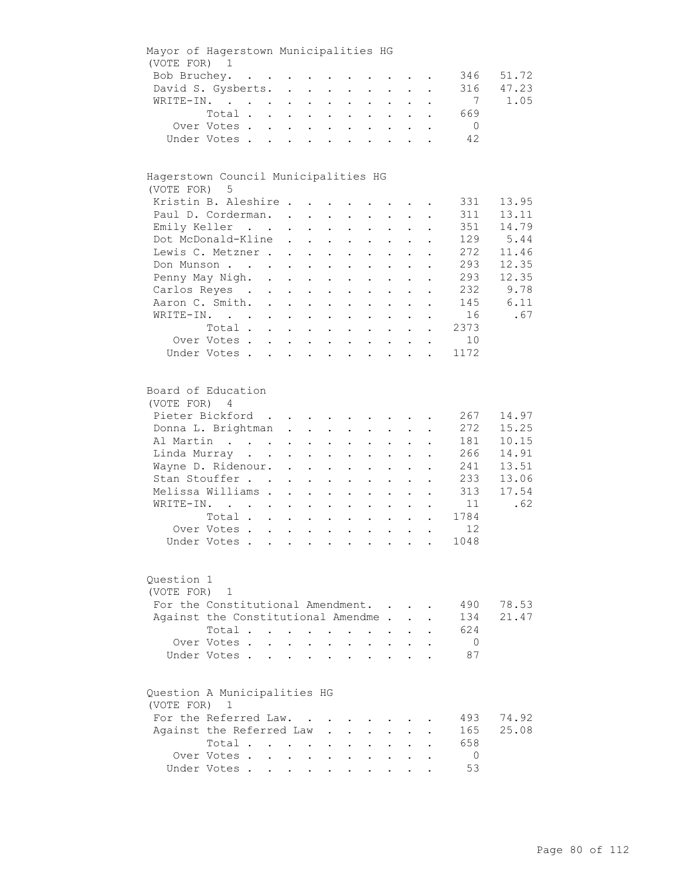|              | Mayor of Hagerstown Municipalities HG |                     |                                                                                                                 |                            |                                                                                   |                           |                                                           |                           |                                                             |                      |                |       |
|--------------|---------------------------------------|---------------------|-----------------------------------------------------------------------------------------------------------------|----------------------------|-----------------------------------------------------------------------------------|---------------------------|-----------------------------------------------------------|---------------------------|-------------------------------------------------------------|----------------------|----------------|-------|
| (VOTE FOR) 1 |                                       |                     |                                                                                                                 |                            |                                                                                   |                           |                                                           |                           |                                                             |                      |                |       |
| Bob Bruchey. |                                       |                     | the contract of the contract of the contract of the contract of the contract of the contract of the contract of |                            |                                                                                   |                           |                                                           |                           |                                                             |                      | 346            | 51.72 |
|              | David S. Gysberts.                    |                     |                                                                                                                 |                            |                                                                                   |                           |                                                           |                           |                                                             | $\ddot{\phantom{a}}$ | 316            | 47.23 |
|              | WRITE-IN.                             |                     |                                                                                                                 |                            |                                                                                   |                           |                                                           |                           |                                                             |                      | 7              | 1.05  |
|              | Total                                 |                     |                                                                                                                 |                            |                                                                                   |                           |                                                           |                           |                                                             |                      | 669            |       |
|              | Over Votes                            |                     |                                                                                                                 |                            |                                                                                   |                           |                                                           |                           |                                                             |                      | $\overline{0}$ |       |
|              | Under Votes                           |                     |                                                                                                                 |                            |                                                                                   |                           |                                                           |                           |                                                             |                      | 42             |       |
|              |                                       |                     |                                                                                                                 |                            |                                                                                   |                           |                                                           |                           |                                                             |                      |                |       |
|              | Hagerstown Council Municipalities HG  |                     |                                                                                                                 |                            |                                                                                   |                           |                                                           |                           |                                                             |                      |                |       |
| (VOTE FOR) 5 |                                       |                     |                                                                                                                 |                            |                                                                                   |                           |                                                           |                           |                                                             |                      |                |       |
|              | Kristin B. Aleshire                   |                     |                                                                                                                 |                            |                                                                                   |                           |                                                           |                           |                                                             |                      | 331            | 13.95 |
|              | Paul D. Corderman.                    |                     |                                                                                                                 |                            |                                                                                   |                           |                                                           |                           |                                                             |                      | 311            | 13.11 |
|              | Emily Keller                          |                     |                                                                                                                 |                            |                                                                                   |                           |                                                           |                           |                                                             |                      | 351            | 14.79 |
|              | Dot McDonald-Kline                    |                     |                                                                                                                 |                            | and a strong control of the strong strong and                                     |                           |                                                           |                           |                                                             |                      | 129            | 5.44  |
|              | Lewis C. Metzner                      |                     |                                                                                                                 |                            |                                                                                   |                           |                                                           |                           |                                                             |                      | 272            | 11.46 |
|              |                                       |                     |                                                                                                                 |                            |                                                                                   | $\bullet$                 | $\mathbf{L}^{\text{max}}$                                 | $\mathbf{z} = \mathbf{z}$ | $\bullet$ .<br><br><br><br><br><br><br><br><br><br><br><br> |                      | 293            | 12.35 |
|              | Don Munson                            |                     |                                                                                                                 |                            |                                                                                   | $\ddot{\phantom{a}}$      |                                                           |                           |                                                             |                      |                |       |
|              | Penny May Nigh. .                     |                     | $\mathcal{L}^{\text{max}}$                                                                                      | $\sim$                     | $\mathbf{L}^{\text{max}}$                                                         |                           |                                                           |                           |                                                             |                      | 293            | 12.35 |
|              | Carlos Reyes.                         | $\mathcal{L}^{(1)}$ | $\bullet$ .                                                                                                     | $\sim$                     | $\sim$ $-$                                                                        | $\bullet$                 | $\ddot{\phantom{a}}$                                      |                           |                                                             |                      | 232            | 9.78  |
|              | Aaron C. Smith. .                     |                     | $\bullet$ .                                                                                                     | $\mathcal{L}^{\text{max}}$ | $\sim$ $-$                                                                        | $\mathbf{L}^{\text{max}}$ | $\ddotsc$                                                 |                           |                                                             |                      | 145            | 6.11  |
|              | WRITE-IN.                             |                     |                                                                                                                 |                            |                                                                                   |                           | $\mathbf{z} = \mathbf{z} + \mathbf{z}$ .                  | $\mathbf{L}$              | $\ddot{\phantom{a}}$                                        |                      | 16             | .67   |
|              | Total                                 |                     |                                                                                                                 |                            |                                                                                   |                           |                                                           |                           |                                                             |                      | 2373           |       |
|              | Over Votes.                           |                     |                                                                                                                 |                            |                                                                                   |                           |                                                           |                           |                                                             |                      | 10             |       |
|              | Under Votes                           |                     |                                                                                                                 |                            |                                                                                   |                           |                                                           |                           |                                                             |                      | 1172           |       |
|              |                                       |                     |                                                                                                                 |                            |                                                                                   |                           |                                                           |                           |                                                             |                      |                |       |
| (VOTE FOR) 4 | Board of Education                    |                     |                                                                                                                 |                            |                                                                                   |                           |                                                           |                           |                                                             |                      |                |       |
|              | Pieter Bickford                       |                     |                                                                                                                 |                            |                                                                                   |                           |                                                           |                           |                                                             |                      | 267            | 14.97 |
|              | Donna L. Brightman                    |                     |                                                                                                                 |                            |                                                                                   |                           |                                                           |                           |                                                             |                      | 272            | 15.25 |
|              |                                       |                     |                                                                                                                 |                            |                                                                                   |                           |                                                           |                           |                                                             |                      |                |       |
|              | Al Martin                             |                     |                                                                                                                 |                            |                                                                                   | $\sim$ 100 $\pm$          | $\mathbf{L}^{\text{max}}$                                 | $\sim$ 100 $\pm$          | $\mathbf{L}^{\text{max}}$                                   |                      | 181            | 10.15 |
|              | Linda Murray                          |                     |                                                                                                                 |                            | $\mathbf{L}^{\text{max}}$ , and $\mathbf{L}^{\text{max}}$                         |                           | $\mathbf{L}^{\text{max}}$ , and $\mathbf{L}^{\text{max}}$ | $\mathbf{a} = \mathbf{a}$ | $\mathbf{a}$ and $\mathbf{b}$                               |                      | 266            | 14.91 |
|              | Wayne D. Ridenour.                    |                     |                                                                                                                 |                            | $\mathbf{r} = \mathbf{r} \mathbf{r}$ , where $\mathbf{r} = \mathbf{r} \mathbf{r}$ |                           | $\mathbf{z} = \mathbf{z} + \mathbf{z}$ .                  | $\mathbf{A}^{\text{max}}$ | $\bullet$ .<br><br><br><br><br><br><br><br><br><br><br><br> |                      | 241            | 13.51 |
|              | Stan Stouffer                         |                     | $\ddot{\phantom{0}}$                                                                                            |                            | $\mathbf{z} = \mathbf{z} + \mathbf{z}$ .                                          | $\bullet$                 | $\mathbf{L}^{\text{max}}$                                 | $\mathbf{L}^{\text{max}}$ | $\bullet$                                                   |                      | 233            | 13.06 |
|              | Melissa Williams .                    |                     | $\ddot{\phantom{a}}$                                                                                            |                            | $\mathbf{z} = \mathbf{z} + \mathbf{z}$ .                                          | $\bullet$                 | $\bullet$ .                                               |                           |                                                             |                      | 313            | 17.54 |
|              | WRITE-IN.                             |                     | $\ddot{\phantom{0}}$                                                                                            | $\ddot{\phantom{0}}$       | $\ddot{\phantom{a}}$                                                              |                           | $\ddot{\phantom{a}}$                                      |                           |                                                             |                      | 11             | .62   |
|              | Total                                 |                     | $\mathbf{L}^{\text{max}}$                                                                                       | $\mathbf{L}^{\text{max}}$  | $\ddot{\phantom{a}}$                                                              | $\bullet$                 | $\ddot{\phantom{0}}$                                      |                           |                                                             |                      | 1784           |       |
|              | Over Votes                            |                     |                                                                                                                 |                            |                                                                                   |                           | $\mathbf{L} = \mathbf{L} \mathbf{L}$                      | $\bullet$                 |                                                             |                      | 12             |       |
|              | Under Votes                           |                     |                                                                                                                 |                            |                                                                                   |                           |                                                           |                           |                                                             |                      | 1048           |       |
|              |                                       |                     |                                                                                                                 |                            |                                                                                   |                           |                                                           |                           |                                                             |                      |                |       |
| Question 1   |                                       |                     |                                                                                                                 |                            |                                                                                   |                           |                                                           |                           |                                                             |                      |                |       |
| (VOTE FOR)   | 1                                     |                     |                                                                                                                 |                            |                                                                                   |                           |                                                           |                           |                                                             |                      |                |       |
|              | For the Constitutional Amendment.     |                     |                                                                                                                 |                            |                                                                                   |                           |                                                           |                           |                                                             |                      | 490            | 78.53 |
|              | Against the Constitutional Amendme.   |                     |                                                                                                                 |                            |                                                                                   |                           |                                                           |                           |                                                             |                      | 134            | 21.47 |
|              | Total.                                | $\mathbf{L}$        | $\sim$                                                                                                          | $\sim$ $-$                 | $\ddot{\phantom{0}}$                                                              |                           |                                                           |                           |                                                             |                      | 624            |       |
|              | Over Votes.                           |                     |                                                                                                                 |                            |                                                                                   |                           |                                                           |                           |                                                             |                      | $\overline{0}$ |       |
|              | Under Votes.                          |                     |                                                                                                                 | $\mathbf{L}$               |                                                                                   |                           |                                                           |                           |                                                             |                      | 87             |       |
|              |                                       |                     |                                                                                                                 |                            |                                                                                   |                           |                                                           |                           |                                                             |                      |                |       |
| (VOTE FOR)   | Question A Municipalities HG<br>1     |                     |                                                                                                                 |                            |                                                                                   |                           |                                                           |                           |                                                             |                      |                |       |
|              | For the Referred Law.                 |                     |                                                                                                                 |                            |                                                                                   |                           |                                                           |                           |                                                             |                      | 493            | 74.92 |
|              |                                       |                     |                                                                                                                 |                            |                                                                                   |                           |                                                           |                           |                                                             |                      |                | 25.08 |
|              | Against the Referred Law              |                     |                                                                                                                 |                            |                                                                                   |                           |                                                           |                           |                                                             |                      | 165            |       |
|              | Total .                               |                     |                                                                                                                 | $\sim$                     |                                                                                   |                           |                                                           |                           |                                                             |                      | 658            |       |
|              | Over Votes .                          |                     | $\ddot{\phantom{0}}$                                                                                            |                            |                                                                                   |                           |                                                           |                           |                                                             |                      | $\mathbf 0$    |       |
|              | Under Votes                           |                     |                                                                                                                 |                            |                                                                                   |                           |                                                           |                           |                                                             |                      | 53             |       |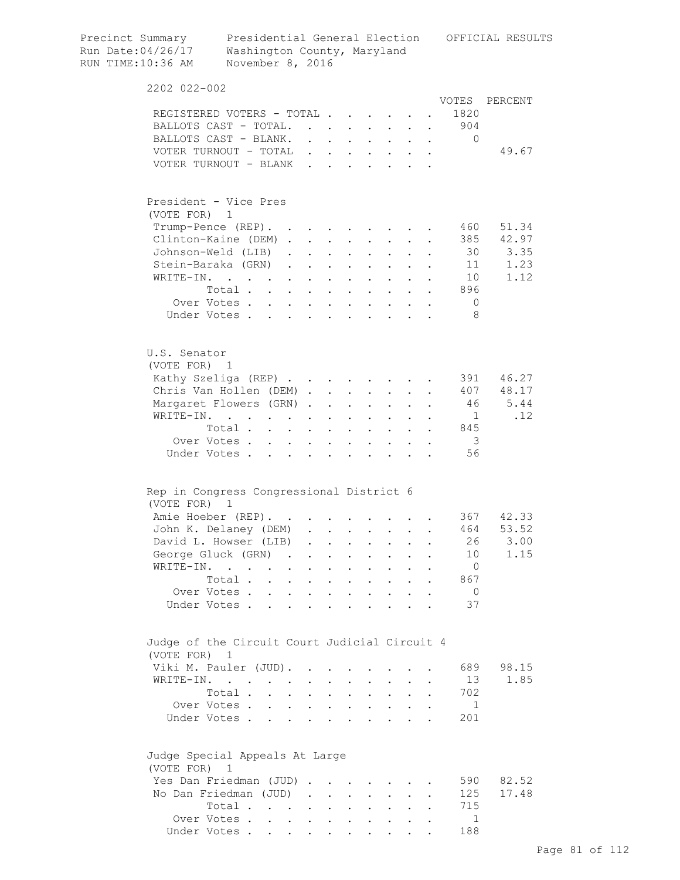| Precinct Summary<br>Run Date:04/26/17<br>RUN TIME:10:36 AM | Presidential General Election<br>Washington County, Maryland<br>November 8, 2016              |            |                                                                                                                       |                                          |                           |                                                                               |                                                             |              |                         | OFFICIAL RESULTS |
|------------------------------------------------------------|-----------------------------------------------------------------------------------------------|------------|-----------------------------------------------------------------------------------------------------------------------|------------------------------------------|---------------------------|-------------------------------------------------------------------------------|-------------------------------------------------------------|--------------|-------------------------|------------------|
| 2202 022-002                                               |                                                                                               |            |                                                                                                                       |                                          |                           |                                                                               |                                                             |              |                         |                  |
|                                                            |                                                                                               |            |                                                                                                                       |                                          |                           |                                                                               |                                                             |              | VOTES                   | PERCENT          |
| REGISTERED VOTERS - TOTAL                                  |                                                                                               |            |                                                                                                                       |                                          |                           |                                                                               |                                                             |              | 1820                    |                  |
| BALLOTS CAST - TOTAL.                                      |                                                                                               |            |                                                                                                                       |                                          |                           |                                                                               |                                                             |              | . 904                   |                  |
| BALLOTS CAST - BLANK.                                      |                                                                                               |            |                                                                                                                       |                                          |                           |                                                                               |                                                             |              | 0                       |                  |
| VOTER TURNOUT - TOTAL                                      |                                                                                               |            |                                                                                                                       |                                          |                           |                                                                               |                                                             |              |                         | 49.67            |
| VOTER TURNOUT - BLANK                                      |                                                                                               |            |                                                                                                                       |                                          |                           | $\sim$                                                                        |                                                             |              |                         |                  |
| President - Vice Pres                                      |                                                                                               |            |                                                                                                                       |                                          |                           |                                                                               |                                                             |              |                         |                  |
| (VOTE FOR) 1                                               |                                                                                               |            |                                                                                                                       |                                          |                           |                                                                               |                                                             |              |                         |                  |
|                                                            | Trump-Pence (REP).                                                                            |            |                                                                                                                       |                                          |                           |                                                                               |                                                             |              | 460                     | 51.34            |
| Clinton-Kaine (DEM)                                        |                                                                                               |            |                                                                                                                       |                                          |                           |                                                                               |                                                             |              | 385                     | 42.97            |
|                                                            | Johnson-Weld (LIB)                                                                            |            |                                                                                                                       |                                          |                           |                                                                               | $\bullet$ .<br><br><br><br><br><br><br><br><br><br><br><br> | $\bullet$    | 30                      | 3.35             |
|                                                            | Stein-Baraka (GRN).                                                                           |            | $\mathbf{r} = \mathbf{r} + \mathbf{r}$                                                                                |                                          |                           | $\mathbf{L}^{\text{max}}$                                                     |                                                             |              | 11                      | 1.23             |
| WRITE-IN.                                                  | $\mathcal{A}$ , and $\mathcal{A}$ , and $\mathcal{A}$ , and $\mathcal{A}$ , and $\mathcal{A}$ |            |                                                                                                                       |                                          | $\mathbf{A}^{\text{max}}$ | $\mathbf{L}^{\text{max}}$                                                     |                                                             |              | 10                      | 1.12             |
|                                                            | Total                                                                                         |            | $\mathbf{1}^{\prime}$ , $\mathbf{1}^{\prime}$ , $\mathbf{1}^{\prime}$ , $\mathbf{1}^{\prime}$ , $\mathbf{1}^{\prime}$ |                                          |                           |                                                                               |                                                             |              | 896                     |                  |
|                                                            | Over Votes                                                                                    | $\sim$     |                                                                                                                       | $\mathbf{r} = \mathbf{r} + \mathbf{r}$ . |                           |                                                                               |                                                             |              | $\overline{0}$          |                  |
|                                                            | Under Votes                                                                                   |            | $\mathbf{r}$ and $\mathbf{r}$ and $\mathbf{r}$                                                                        |                                          |                           | $\cdot$ $\cdot$ $\cdot$                                                       |                                                             |              | -8                      |                  |
| U.S. Senator<br>(VOTE FOR) 1                               |                                                                                               |            |                                                                                                                       |                                          |                           |                                                                               |                                                             |              |                         |                  |
| Kathy Szeliga (REP)                                        |                                                                                               |            |                                                                                                                       |                                          |                           |                                                                               |                                                             |              | 391                     | 46.27            |
| Chris Van Hollen (DEM)                                     |                                                                                               |            |                                                                                                                       |                                          |                           | $\mathbf{L}^{\text{max}}$                                                     |                                                             |              | 407                     | 48.17            |
| Margaret Flowers (GRN)                                     |                                                                                               |            |                                                                                                                       |                                          |                           | $\mathbf{a} = \mathbf{a}$                                                     |                                                             |              | 46                      | 5.44             |
| WRITE-IN.                                                  | $\mathbf{r} = \mathbf{r} + \mathbf{r}$ .                                                      | $\sim 10$  | $\ddot{\phantom{0}}$                                                                                                  | $\sim 100$ km s $^{-1}$                  | $\mathbf{L}^{\text{max}}$ | $\sim$                                                                        |                                                             |              | $\overline{1}$          | .12              |
|                                                            | Total                                                                                         | $\sim$ $-$ |                                                                                                                       | $\cdot$ $\cdot$                          |                           | $\mathbf{r} = \mathbf{r} + \mathbf{r}$ .                                      |                                                             |              | 845                     |                  |
|                                                            | Over Votes                                                                                    |            |                                                                                                                       | $\cdot$ $\cdot$                          |                           | $\mathbf{L} = \mathbf{L}$                                                     |                                                             |              | $\overline{\mathbf{3}}$ |                  |
|                                                            | Under Votes                                                                                   |            | $\ddot{\phantom{a}}$                                                                                                  |                                          |                           |                                                                               |                                                             |              | 56                      |                  |
| Rep in Congress Congressional District 6                   |                                                                                               |            |                                                                                                                       |                                          |                           |                                                                               |                                                             |              |                         |                  |
| (VOTE FOR) 1<br>Amie Hoeber (REP).                         |                                                                                               |            |                                                                                                                       |                                          |                           |                                                                               |                                                             |              |                         | 367 42.33        |
|                                                            | John K. Delaney (DEM) .                                                                       |            |                                                                                                                       |                                          |                           |                                                                               |                                                             |              | 464                     | 53.52            |
|                                                            | David L. Howser (LIB)                                                                         |            | $\sim$ $-$                                                                                                            |                                          |                           |                                                                               |                                                             |              | 26                      | 3.00             |
|                                                            |                                                                                               |            |                                                                                                                       |                                          |                           | $\mathbf{z} = \mathbf{z} + \mathbf{z}$ .                                      |                                                             |              | 10 <sup>°</sup>         | 1.15             |
|                                                            | George Gluck (GRN)                                                                            |            |                                                                                                                       |                                          |                           |                                                                               | $\mathbf{r}$                                                | $\mathbf{r}$ |                         |                  |
|                                                            | WRITE-IN.                                                                                     |            |                                                                                                                       |                                          |                           |                                                                               |                                                             |              | $\overline{0}$          |                  |
|                                                            | Total                                                                                         |            |                                                                                                                       |                                          |                           |                                                                               |                                                             |              | 867                     |                  |
|                                                            | Over Votes<br>Under Votes                                                                     |            |                                                                                                                       |                                          |                           |                                                                               |                                                             |              | $\overline{0}$<br>37    |                  |
| Judge of the Circuit Court Judicial Circuit 4              |                                                                                               |            |                                                                                                                       |                                          |                           |                                                                               |                                                             |              |                         |                  |
| (VOTE FOR) 1                                               |                                                                                               |            |                                                                                                                       |                                          |                           |                                                                               |                                                             |              |                         |                  |
| Viki M. Pauler (JUD).                                      |                                                                                               |            |                                                                                                                       |                                          |                           |                                                                               |                                                             |              | 689<br>13               | 98.15<br>1.85    |
| WRITE-IN.                                                  |                                                                                               |            |                                                                                                                       |                                          |                           |                                                                               |                                                             |              |                         |                  |
|                                                            | Total                                                                                         |            |                                                                                                                       |                                          |                           | $\mathbf{r} = \mathbf{r} + \mathbf{r} + \mathbf{r} + \mathbf{r} + \mathbf{r}$ |                                                             |              | 702                     |                  |
|                                                            | Over Votes                                                                                    |            |                                                                                                                       |                                          |                           |                                                                               |                                                             | $\bullet$    | $\mathbf{1}$            |                  |
|                                                            | Under Votes                                                                                   |            |                                                                                                                       |                                          |                           |                                                                               |                                                             |              | 201                     |                  |
| Judge Special Appeals At Large<br>(VOTE FOR) 1             |                                                                                               |            |                                                                                                                       |                                          |                           |                                                                               |                                                             |              |                         |                  |
| Yes Dan Friedman (JUD)                                     |                                                                                               |            |                                                                                                                       |                                          |                           |                                                                               |                                                             |              | 590                     | 82.52            |
| No Dan Friedman (JUD)                                      |                                                                                               |            |                                                                                                                       |                                          |                           |                                                                               |                                                             |              | 125                     | 17.48            |
|                                                            | Total                                                                                         |            |                                                                                                                       |                                          |                           |                                                                               |                                                             |              | 715                     |                  |
|                                                            | Over Votes                                                                                    |            |                                                                                                                       |                                          |                           |                                                                               |                                                             |              | $\mathbf{1}$            |                  |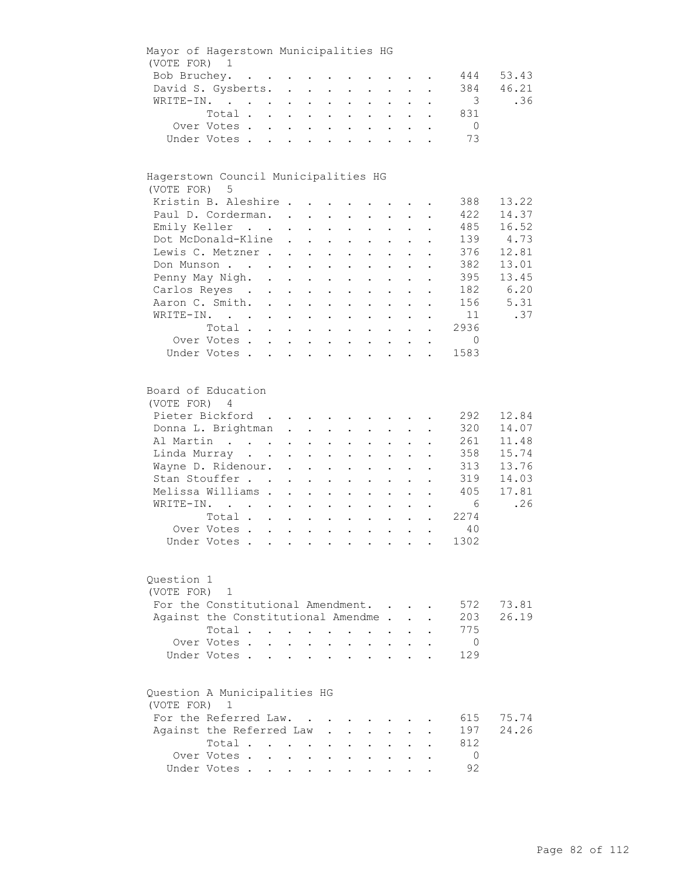| Mayor of Hagerstown Municipalities HG |                                                                                          |                     |                                                       |                           |                                                                          |                            |                                          |                                                                          |                                                             |        |                                 |                                           |
|---------------------------------------|------------------------------------------------------------------------------------------|---------------------|-------------------------------------------------------|---------------------------|--------------------------------------------------------------------------|----------------------------|------------------------------------------|--------------------------------------------------------------------------|-------------------------------------------------------------|--------|---------------------------------|-------------------------------------------|
| (VOTE FOR) 1                          |                                                                                          |                     |                                                       |                           |                                                                          |                            |                                          |                                                                          |                                                             |        |                                 |                                           |
|                                       | Bob Bruchey.                                                                             |                     |                                                       |                           |                                                                          |                            |                                          |                                                                          |                                                             |        | 444                             | 53.43                                     |
|                                       | David S. Gysberts.                                                                       |                     |                                                       |                           |                                                                          |                            |                                          |                                                                          |                                                             |        | 384                             | 46.21                                     |
|                                       | WRITE-IN.                                                                                |                     |                                                       |                           |                                                                          | $\mathcal{L}^{\text{max}}$ |                                          | $\mathbf{r} = \mathbf{r}$ and $\mathbf{r} = \mathbf{r}$                  |                                                             |        | $\overline{\phantom{a}}$        | .36                                       |
|                                       | Total                                                                                    |                     |                                                       |                           |                                                                          |                            |                                          |                                                                          |                                                             |        | 831                             |                                           |
|                                       | Over Votes                                                                               |                     |                                                       |                           |                                                                          |                            |                                          |                                                                          |                                                             |        | $\overline{0}$                  |                                           |
|                                       | Under Votes                                                                              |                     |                                                       |                           |                                                                          |                            |                                          |                                                                          |                                                             |        | 73                              |                                           |
|                                       |                                                                                          |                     |                                                       |                           |                                                                          |                            |                                          |                                                                          |                                                             |        |                                 |                                           |
| Hagerstown Council Municipalities HG  |                                                                                          |                     |                                                       |                           |                                                                          |                            |                                          |                                                                          |                                                             |        |                                 |                                           |
| (VOTE FOR) 5                          |                                                                                          |                     |                                                       |                           |                                                                          |                            |                                          |                                                                          |                                                             |        |                                 |                                           |
|                                       | Kristin B. Aleshire                                                                      |                     |                                                       |                           |                                                                          |                            |                                          |                                                                          |                                                             |        | 388                             | 13.22                                     |
|                                       | Paul D. Corderman.                                                                       |                     |                                                       |                           |                                                                          |                            |                                          |                                                                          |                                                             |        | 422                             | 14.37                                     |
|                                       | Emily Keller                                                                             |                     |                                                       |                           | $\mathbf{r} = \mathbf{r} + \mathbf{r} + \mathbf{r} + \mathbf{r}$         |                            |                                          |                                                                          | $\mathbf{L}^{\text{max}}$ , and $\mathbf{L}^{\text{max}}$   |        | 485                             | 16.52                                     |
|                                       | Dot McDonald-Kline                                                                       |                     | $\ddot{\phantom{0}}$                                  |                           | $\mathbf{L}^{\text{max}}$ , and $\mathbf{L}^{\text{max}}$                | $\mathbf{a} = \mathbf{a}$  | $\mathbf{L}^{\text{max}}$                | $\bullet$ .                                                              | $\mathbf{L}^{\text{max}}$                                   |        | 139                             | 4.73                                      |
|                                       | Lewis C. Metzner.                                                                        |                     | $\sim$ 100 $\pm$                                      |                           | $\mathbf{L}^{\text{max}}$ , $\mathbf{L}^{\text{max}}$                    | $\bullet$ .                | $\mathbf{L}^{\text{max}}$                | $\mathbf{L}^{\text{max}}$                                                |                                                             |        | 376                             | 12.81                                     |
|                                       | Don Munson                                                                               |                     |                                                       |                           |                                                                          |                            |                                          |                                                                          |                                                             |        | 382                             | 13.01                                     |
|                                       |                                                                                          |                     |                                                       |                           |                                                                          |                            |                                          |                                                                          |                                                             |        | 395                             | 13.45                                     |
|                                       | Penny May Nigh. .                                                                        |                     | $\mathbf{L}^{\text{max}}$ , $\mathbf{L}^{\text{max}}$ |                           | $\sim$ $-$                                                               |                            |                                          |                                                                          |                                                             |        |                                 |                                           |
|                                       | Carlos Reyes .                                                                           | $\mathcal{L}^{(1)}$ | $\mathbf{a} = \mathbf{b}$                             | $\sim$                    | $\sim$ 100 $\pm$                                                         | $\bullet$                  | $\ddot{\phantom{0}}$                     |                                                                          |                                                             |        | 182                             | 6.20                                      |
|                                       | Aaron C. Smith.                                                                          |                     |                                                       |                           |                                                                          |                            | $\mathbf{r} = \mathbf{r}$                | $\ddot{\phantom{0}}$                                                     | $\sim$                                                      |        | 156                             | 5.31                                      |
|                                       | WRITE-IN.                                                                                |                     |                                                       |                           |                                                                          |                            |                                          |                                                                          |                                                             |        | 11                              | .37                                       |
|                                       | Total                                                                                    |                     |                                                       |                           |                                                                          |                            |                                          |                                                                          |                                                             |        | 2936                            |                                           |
|                                       | Over Votes                                                                               |                     |                                                       |                           |                                                                          |                            |                                          |                                                                          |                                                             | $\sim$ | $\overline{0}$                  |                                           |
|                                       | Under Votes                                                                              |                     |                                                       |                           |                                                                          |                            |                                          |                                                                          |                                                             |        | 1583                            |                                           |
| Board of Education<br>(VOTE FOR) 4    | Pieter Bickford<br>Donna L. Brightman<br>Al Martin<br>Linda Murray<br>Wayne D. Ridenour. |                     |                                                       |                           | $\mathbf{z} = \mathbf{z} + \mathbf{z}$ , where $\mathbf{z} = \mathbf{z}$ | $\mathbf{L}^{\text{max}}$  | $\mathbf{L}^{\text{max}}$                | $\mathbf{r}$ , $\mathbf{r}$ , $\mathbf{r}$ , $\mathbf{r}$<br>$\bullet$ . | $\bullet$ .<br><br><br><br><br><br><br><br><br><br><br><br> |        | 292<br>320<br>261<br>358<br>313 | 12.84<br>14.07<br>11.48<br>15.74<br>13.76 |
|                                       | Stan Stouffer                                                                            |                     | $\ddot{\phantom{0}}$                                  |                           | $\mathbf{z} = \mathbf{z} + \mathbf{z}$ .                                 | $\bullet$ .                | $\mathbf{z} = \mathbf{z}$                | $\bullet$ .                                                              |                                                             |        | 319                             | 14.03                                     |
|                                       | Melissa Williams .                                                                       |                     | $\ddot{\phantom{0}}$                                  | $\bullet$ .               | $\mathbf{L}^{\text{max}}$                                                |                            | $\ddot{\phantom{0}}$                     |                                                                          |                                                             |        | 405                             | 17.81                                     |
|                                       | WRITE-IN.                                                                                |                     | $\sim$                                                | $\ddot{\phantom{0}}$      | $\bullet$                                                                | $\ddot{\phantom{0}}$       | $\ddotsc$                                |                                                                          |                                                             |        | 6                               | .26                                       |
|                                       | Total                                                                                    |                     |                                                       | $\mathbf{L}^{\text{max}}$ | $\ddot{\phantom{a}}$                                                     | $\ddot{\phantom{a}}$       | $\ddot{\phantom{0}}$                     |                                                                          |                                                             |        | 2274                            |                                           |
|                                       | Over Votes                                                                               |                     |                                                       |                           |                                                                          |                            |                                          |                                                                          |                                                             |        | 40                              |                                           |
|                                       | Under Votes                                                                              |                     |                                                       |                           |                                                                          |                            | $\mathbf{z} = \mathbf{z} + \mathbf{z}$ . | $\bullet$                                                                | $\ddot{\phantom{a}}$                                        |        | 1302                            |                                           |
|                                       |                                                                                          |                     |                                                       |                           |                                                                          |                            |                                          |                                                                          |                                                             |        |                                 |                                           |
| Question 1<br>(VOTE FOR)              | 1                                                                                        |                     |                                                       |                           |                                                                          |                            |                                          |                                                                          |                                                             |        |                                 |                                           |
|                                       | For the Constitutional Amendment.                                                        |                     |                                                       |                           |                                                                          |                            |                                          |                                                                          |                                                             |        | 572                             | 73.81                                     |
|                                       | Against the Constitutional Amendme.                                                      |                     |                                                       |                           |                                                                          |                            |                                          |                                                                          |                                                             |        | 203                             | 26.19                                     |
|                                       | Total                                                                                    |                     |                                                       |                           | $\sim$                                                                   | $\ddot{\phantom{a}}$       |                                          |                                                                          |                                                             |        | 775                             |                                           |
|                                       | Over Votes.                                                                              | $\mathbf{L}$        |                                                       |                           |                                                                          |                            |                                          |                                                                          |                                                             |        | 0                               |                                           |
|                                       | Under Votes.                                                                             |                     |                                                       |                           | $\ddot{\phantom{a}}$                                                     |                            | $\ddot{\phantom{a}}$                     |                                                                          |                                                             |        | 129                             |                                           |
|                                       |                                                                                          |                     |                                                       |                           |                                                                          |                            |                                          |                                                                          |                                                             |        |                                 |                                           |
| (VOTE FOR)                            | Question A Municipalities HG<br>1                                                        |                     |                                                       |                           |                                                                          |                            |                                          |                                                                          |                                                             |        |                                 |                                           |
|                                       | For the Referred Law.                                                                    |                     |                                                       |                           |                                                                          |                            |                                          |                                                                          |                                                             |        | 615                             | 75.74                                     |
|                                       | Against the Referred Law                                                                 |                     |                                                       |                           |                                                                          |                            |                                          |                                                                          |                                                             |        | 197                             | 24.26                                     |
|                                       | Total                                                                                    |                     |                                                       |                           |                                                                          |                            |                                          |                                                                          |                                                             |        | 812                             |                                           |
|                                       | Over Votes .                                                                             |                     | $\mathbf{L} = \mathbf{L}$                             | $\sim$                    |                                                                          |                            |                                          |                                                                          |                                                             |        | 0                               |                                           |
|                                       | Under Votes                                                                              |                     |                                                       |                           |                                                                          |                            |                                          |                                                                          |                                                             |        | 92                              |                                           |
|                                       |                                                                                          |                     |                                                       |                           |                                                                          |                            |                                          |                                                                          |                                                             |        |                                 |                                           |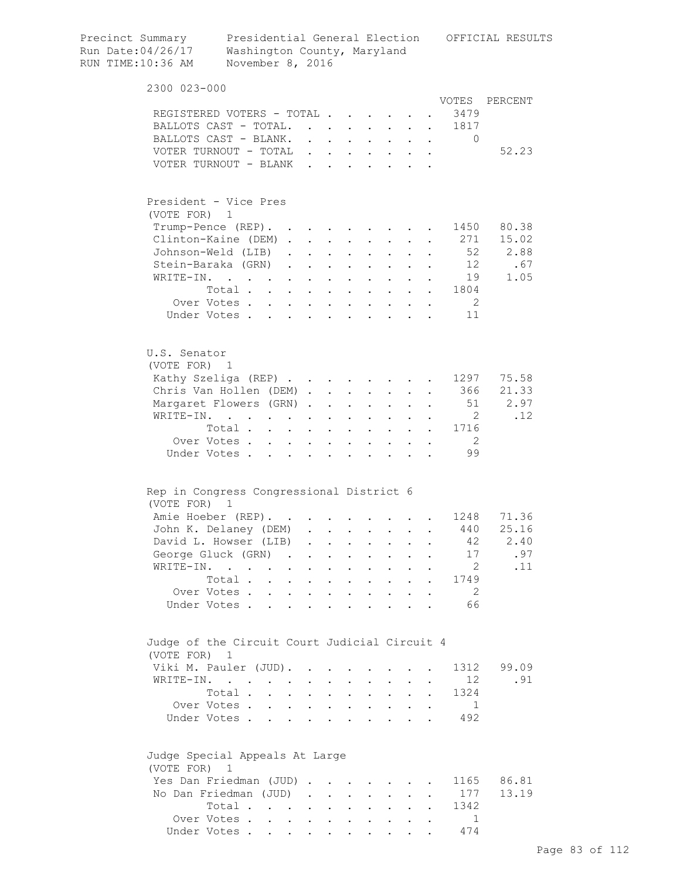| Precinct Summary<br>Run Date:04/26/17<br>RUN TIME:10:36 AM | Washington County, Maryland<br>November 8, 2016                             |                                                                                                                                                                                                                                        |                           |                                          |                           |                                                                                                             |                                                   |                  |                                                                                     | Presidential General Election OFFICIAL RESULTS |
|------------------------------------------------------------|-----------------------------------------------------------------------------|----------------------------------------------------------------------------------------------------------------------------------------------------------------------------------------------------------------------------------------|---------------------------|------------------------------------------|---------------------------|-------------------------------------------------------------------------------------------------------------|---------------------------------------------------|------------------|-------------------------------------------------------------------------------------|------------------------------------------------|
| 2300 023-000                                               |                                                                             |                                                                                                                                                                                                                                        |                           |                                          |                           |                                                                                                             |                                                   |                  |                                                                                     |                                                |
|                                                            |                                                                             |                                                                                                                                                                                                                                        |                           |                                          |                           |                                                                                                             |                                                   |                  |                                                                                     | VOTES PERCENT                                  |
|                                                            | REGISTERED VOTERS - TOTAL                                                   |                                                                                                                                                                                                                                        |                           |                                          |                           |                                                                                                             |                                                   |                  | 3479                                                                                |                                                |
|                                                            | BALLOTS CAST - TOTAL.<br>BALLOTS CAST - BLANK.                              |                                                                                                                                                                                                                                        |                           |                                          |                           |                                                                                                             |                                                   |                  | 1817<br>$\bullet$ .<br><br><br><br><br><br><br><br><br><br><br><br><br><br>$\Omega$ |                                                |
|                                                            | VOTER TURNOUT - TOTAL                                                       | $\ddot{\phantom{0}}$                                                                                                                                                                                                                   |                           |                                          |                           |                                                                                                             |                                                   |                  |                                                                                     | 52.23                                          |
|                                                            | VOTER TURNOUT - BLANK                                                       | $\mathbf{r}$                                                                                                                                                                                                                           |                           | $\mathbf{L}$ and $\mathbf{L}$            |                           |                                                                                                             |                                                   |                  |                                                                                     |                                                |
|                                                            |                                                                             |                                                                                                                                                                                                                                        |                           |                                          |                           |                                                                                                             |                                                   |                  |                                                                                     |                                                |
| (VOTE FOR)                                                 | President - Vice Pres<br>1                                                  |                                                                                                                                                                                                                                        |                           |                                          |                           |                                                                                                             |                                                   |                  |                                                                                     |                                                |
|                                                            | Trump-Pence (REP).                                                          |                                                                                                                                                                                                                                        |                           |                                          |                           | $\mathcal{L}^{\mathcal{L}}(\mathbf{X},\mathbf{X})$ . The $\mathcal{L}^{\mathcal{L}}(\mathbf{X},\mathbf{X})$ |                                                   | $\sim$ 100 $\pm$ | 1450                                                                                | 80.38                                          |
|                                                            | Clinton-Kaine (DEM).                                                        | $\mathcal{L}^{\text{max}}$                                                                                                                                                                                                             | $\mathbf{L}^{\text{max}}$ |                                          |                           | $\mathbf{L}^{\text{max}}$                                                                                   |                                                   |                  | 271                                                                                 | 15.02                                          |
|                                                            | Johnson-Weld (LIB)                                                          | $\ddot{\phantom{0}}$                                                                                                                                                                                                                   | $\ddot{\phantom{a}}$      |                                          |                           |                                                                                                             |                                                   |                  | 52                                                                                  | 2.88                                           |
|                                                            | Stein-Baraka (GRN)                                                          | $\mathbf{L}$<br>$\ddot{\phantom{0}}$                                                                                                                                                                                                   | $\ddot{\phantom{a}}$      | $\ddot{\phantom{0}}$                     |                           |                                                                                                             |                                                   |                  | 12                                                                                  | .67                                            |
|                                                            | WRITE-IN.                                                                   | $\ddot{\phantom{0}}$                                                                                                                                                                                                                   |                           | $\ddot{\phantom{0}}$                     | $\ddot{\phantom{a}}$      | $\sim$                                                                                                      |                                                   |                  | 19                                                                                  | 1.05                                           |
|                                                            | Total                                                                       |                                                                                                                                                                                                                                        | $\ddot{\phantom{a}}$      | $\mathbf{L}$                             |                           | $\mathbf{L} = \mathbf{L}$                                                                                   |                                                   |                  | . 1804                                                                              |                                                |
|                                                            | Over Votes                                                                  |                                                                                                                                                                                                                                        | $\ddot{\phantom{a}}$      | $\sim$ $\sim$                            |                           | $\mathbf{r} = \mathbf{r} + \mathbf{r} + \mathbf{r} + \mathbf{r}$                                            |                                                   |                  | $\overline{\phantom{0}}$ 2                                                          |                                                |
|                                                            | Under Votes                                                                 |                                                                                                                                                                                                                                        |                           |                                          |                           |                                                                                                             |                                                   |                  | 11                                                                                  |                                                |
|                                                            |                                                                             |                                                                                                                                                                                                                                        |                           |                                          |                           |                                                                                                             |                                                   |                  |                                                                                     |                                                |
| U.S. Senator<br>(VOTE FOR) 1                               |                                                                             |                                                                                                                                                                                                                                        |                           |                                          |                           |                                                                                                             |                                                   |                  |                                                                                     |                                                |
|                                                            | Kathy Szeliga (REP)                                                         |                                                                                                                                                                                                                                        |                           |                                          |                           |                                                                                                             |                                                   |                  |                                                                                     | 1297 75.58                                     |
|                                                            | Chris Van Hollen (DEM).                                                     |                                                                                                                                                                                                                                        |                           | $\mathbf{L}$ and $\mathbf{L}$            |                           | $\mathbf{L}$ and $\mathbf{L}$                                                                               | $\mathbf{L}$                                      | $\sim$ 100 $\pm$ | . 366                                                                               | 21.33                                          |
|                                                            | Margaret Flowers (GRN).                                                     |                                                                                                                                                                                                                                        | $\ddot{\phantom{a}}$      | $\sim$ $\sim$                            | $\mathbf{L}$              | $\mathbf{L}$                                                                                                | $\mathbf{r}$                                      | $\mathbf{L}$     | 51                                                                                  | 2.97                                           |
|                                                            | WRITE-IN.                                                                   |                                                                                                                                                                                                                                        |                           | $\sim$                                   | $\mathbf{L}$              | $\mathbf{L}$                                                                                                | $\mathbf{L}$                                      |                  | $\overline{2}$                                                                      | .12                                            |
|                                                            | Total                                                                       |                                                                                                                                                                                                                                        | $\ddot{\phantom{0}}$      | $\ddot{\phantom{a}}$                     |                           | $\mathbf{L}^{\text{max}}$                                                                                   | $\mathbf{L}$                                      |                  | 1716                                                                                |                                                |
|                                                            | Over Votes                                                                  |                                                                                                                                                                                                                                        |                           | $\mathbf{z} = \mathbf{z} + \mathbf{z}$ . | $\mathbf{L}^{\text{max}}$ |                                                                                                             |                                                   |                  | $\overline{2}$                                                                      |                                                |
|                                                            | Under Votes                                                                 | $\ddot{\phantom{a}}$ . The contract of the contract of the contract of the contract of the contract of the contract of the contract of the contract of the contract of the contract of the contract of the contract of the contract of |                           | $\sim$                                   | $\bullet$<br>$\bullet$    | $\mathbf{L}^{\text{max}}$<br>$\ddot{\phantom{0}}$                                                           | $\mathbf{L}^{\text{max}}$<br>$\ddot{\phantom{a}}$ | $\bullet$        | 99                                                                                  |                                                |
|                                                            | Rep in Congress Congressional District 6                                    |                                                                                                                                                                                                                                        |                           |                                          |                           |                                                                                                             |                                                   |                  |                                                                                     |                                                |
| (VOTE FOR)                                                 | $\mathbf{1}$                                                                |                                                                                                                                                                                                                                        |                           |                                          |                           |                                                                                                             |                                                   |                  |                                                                                     |                                                |
|                                                            | Amie Hoeber (REP).                                                          |                                                                                                                                                                                                                                        |                           |                                          |                           |                                                                                                             |                                                   |                  |                                                                                     | 1248 71.36                                     |
|                                                            | John K. Delaney (DEM)                                                       |                                                                                                                                                                                                                                        |                           |                                          |                           |                                                                                                             |                                                   |                  | 440                                                                                 | 25.16                                          |
|                                                            | David L. Howser (LIB)                                                       |                                                                                                                                                                                                                                        |                           | $\ddot{\phantom{0}}$                     | $\ddot{\phantom{0}}$      | $\bullet$ .<br><br><br><br><br><br><br><br><br><br><br><br>                                                 | $\ddot{\phantom{a}}$                              |                  | 42                                                                                  | 2.40                                           |
|                                                            | George Gluck (GRN)                                                          | $\sim$                                                                                                                                                                                                                                 | $\ddot{\phantom{0}}$      | $\ddot{\phantom{a}}$                     | $\ddot{\phantom{a}}$      | $\mathbf{L}^{\text{max}}$                                                                                   | $\ddot{\phantom{a}}$                              |                  | 17                                                                                  | .97                                            |
|                                                            | WRITE-IN.                                                                   | $\ddot{\phantom{a}}$<br>$\bullet$                                                                                                                                                                                                      | $\ddot{\phantom{0}}$      | $\bullet$                                | $\ddot{\phantom{0}}$      | $\ddot{\phantom{0}}$                                                                                        |                                                   |                  | 2                                                                                   | .11                                            |
|                                                            | Total .<br>$\ddot{\phantom{0}}$                                             | $\ddot{\phantom{0}}$<br>$\bullet$                                                                                                                                                                                                      | $\ddot{\phantom{0}}$      | $\bullet$                                | $\bullet$                 | $\ddot{\phantom{0}}$                                                                                        |                                                   | $\bullet$        | 1749                                                                                |                                                |
|                                                            | Over Votes .                                                                | $\ddot{\phantom{a}}$                                                                                                                                                                                                                   |                           | $\ddot{\phantom{a}}$                     |                           |                                                                                                             |                                                   |                  | -2                                                                                  |                                                |
|                                                            | Under Votes.                                                                |                                                                                                                                                                                                                                        |                           |                                          |                           |                                                                                                             |                                                   |                  | 66                                                                                  |                                                |
|                                                            | Judge of the Circuit Court Judicial Circuit 4                               |                                                                                                                                                                                                                                        |                           |                                          |                           |                                                                                                             |                                                   |                  |                                                                                     |                                                |
| (VOTE FOR)                                                 | $\mathbf{1}$                                                                |                                                                                                                                                                                                                                        |                           |                                          |                           |                                                                                                             |                                                   |                  |                                                                                     |                                                |
|                                                            | Viki M. Pauler (JUD).                                                       |                                                                                                                                                                                                                                        |                           |                                          |                           |                                                                                                             |                                                   |                  | 1312                                                                                | 99.09                                          |
| WRITE-IN.                                                  | $\mathcal{L}(\mathcal{A})$ . The contribution of $\mathcal{A}(\mathcal{A})$ |                                                                                                                                                                                                                                        | $\ddot{\phantom{0}}$      |                                          |                           | $\ddot{\phantom{0}}$                                                                                        |                                                   |                  | 12 <sup>°</sup>                                                                     | .91                                            |
|                                                            | Total .                                                                     | $\sim$ $\sim$<br>$\ddot{\phantom{a}}$                                                                                                                                                                                                  | $\ddot{\phantom{0}}$      |                                          | $\bullet$                 | $\ddot{\phantom{0}}$                                                                                        |                                                   |                  | 1324                                                                                |                                                |
|                                                            | Over Votes.<br>$\cdot$ $\cdot$ $\cdot$                                      |                                                                                                                                                                                                                                        |                           |                                          |                           |                                                                                                             |                                                   |                  | 1                                                                                   |                                                |
|                                                            | Under Votes.                                                                |                                                                                                                                                                                                                                        |                           |                                          |                           |                                                                                                             |                                                   |                  | 492                                                                                 |                                                |
| (VOTE FOR)                                                 | Judge Special Appeals At Large<br>1                                         |                                                                                                                                                                                                                                        |                           |                                          |                           |                                                                                                             |                                                   |                  |                                                                                     |                                                |
|                                                            | Yes Dan Friedman (JUD)                                                      | $\bullet$                                                                                                                                                                                                                              |                           |                                          |                           |                                                                                                             |                                                   |                  | 1165                                                                                | 86.81                                          |
|                                                            | No Dan Friedman (JUD)                                                       | $\sim$                                                                                                                                                                                                                                 | <b>Contractor</b>         | $\sim$ $-$                               | $\ddot{\phantom{a}}$      | $\sim$                                                                                                      |                                                   |                  | 177                                                                                 | 13.19                                          |
|                                                            | Total                                                                       | $\mathcal{L}(\mathcal{A})$ . The contract of $\mathcal{A}(\mathcal{A})$                                                                                                                                                                |                           | $\ddot{\phantom{a}}$                     |                           |                                                                                                             |                                                   |                  | 1342                                                                                |                                                |
|                                                            | Over Votes                                                                  | $\sim$                                                                                                                                                                                                                                 | $\bullet$                 |                                          |                           |                                                                                                             |                                                   |                  | $\mathbf{1}$                                                                        |                                                |
|                                                            | Under Votes                                                                 |                                                                                                                                                                                                                                        |                           |                                          |                           |                                                                                                             |                                                   |                  | 474                                                                                 |                                                |
|                                                            |                                                                             |                                                                                                                                                                                                                                        |                           |                                          |                           |                                                                                                             |                                                   |                  |                                                                                     |                                                |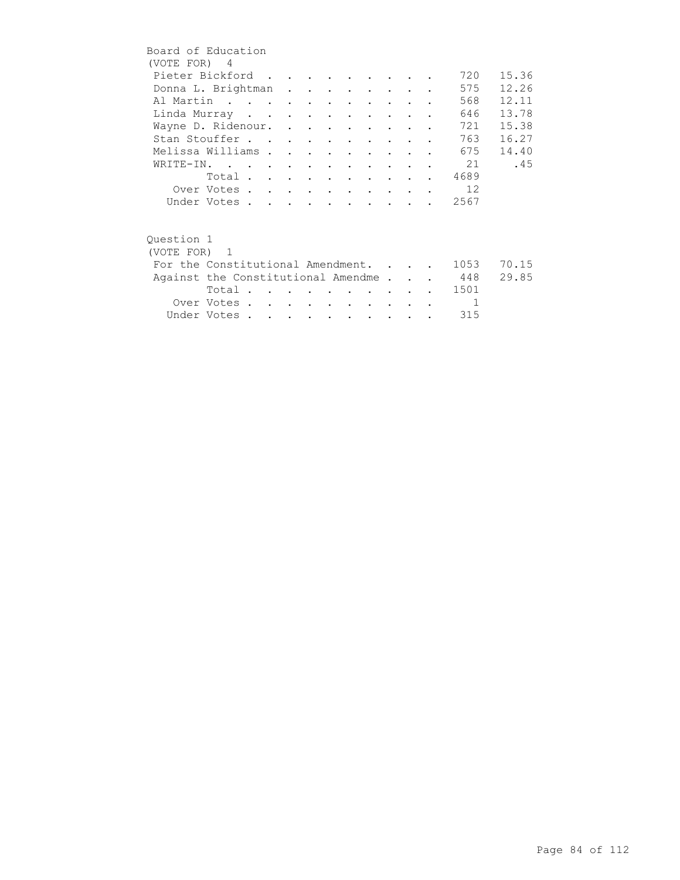| Board of Education |                                        |  |  |  |                                 |                                                    |                |       |
|--------------------|----------------------------------------|--|--|--|---------------------------------|----------------------------------------------------|----------------|-------|
| (VOTE FOR) 4       |                                        |  |  |  |                                 |                                                    |                |       |
|                    | Pieter Bickford                        |  |  |  |                                 |                                                    | 720            | 15.36 |
|                    | Donna L. Brightman                     |  |  |  |                                 |                                                    | 575            | 12.26 |
|                    | Al Martin                              |  |  |  |                                 |                                                    | 568            | 12.11 |
|                    | Linda Murray                           |  |  |  | <b><i>Contract Artists</i></b>  |                                                    | 646            | 13.78 |
|                    | Wayne D. Ridenour.                     |  |  |  |                                 |                                                    | 721            | 15.38 |
|                    | Stan Stouffer                          |  |  |  |                                 |                                                    | 763            | 16.27 |
|                    | Melissa Williams                       |  |  |  |                                 |                                                    | 675            | 14.40 |
|                    | WRITE-IN.                              |  |  |  |                                 |                                                    | 21             | .45   |
|                    | Total 4689                             |  |  |  |                                 |                                                    |                |       |
|                    | Over Votes                             |  |  |  |                                 |                                                    | 12             |       |
|                    | Under Votes                            |  |  |  |                                 | $\mathbf{r}$ , and $\mathbf{r}$ , and $\mathbf{r}$ | 2567           |       |
|                    |                                        |  |  |  |                                 |                                                    |                |       |
| Ouestion 1         |                                        |  |  |  |                                 |                                                    |                |       |
| (VOTE FOR) 1       |                                        |  |  |  |                                 |                                                    |                |       |
|                    | For the Constitutional Amendment.      |  |  |  |                                 |                                                    | 1053           | 70.15 |
|                    | Against the Constitutional Amendme 448 |  |  |  |                                 |                                                    |                | 29.85 |
|                    | Total $\cdots$                         |  |  |  | <b>Contract Contract Street</b> |                                                    | . 1501         |       |
|                    | Over Votes                             |  |  |  | <b>Contract Contract</b>        |                                                    | $\overline{1}$ |       |
|                    | Under Votes                            |  |  |  |                                 |                                                    | 315            |       |
|                    |                                        |  |  |  |                                 |                                                    |                |       |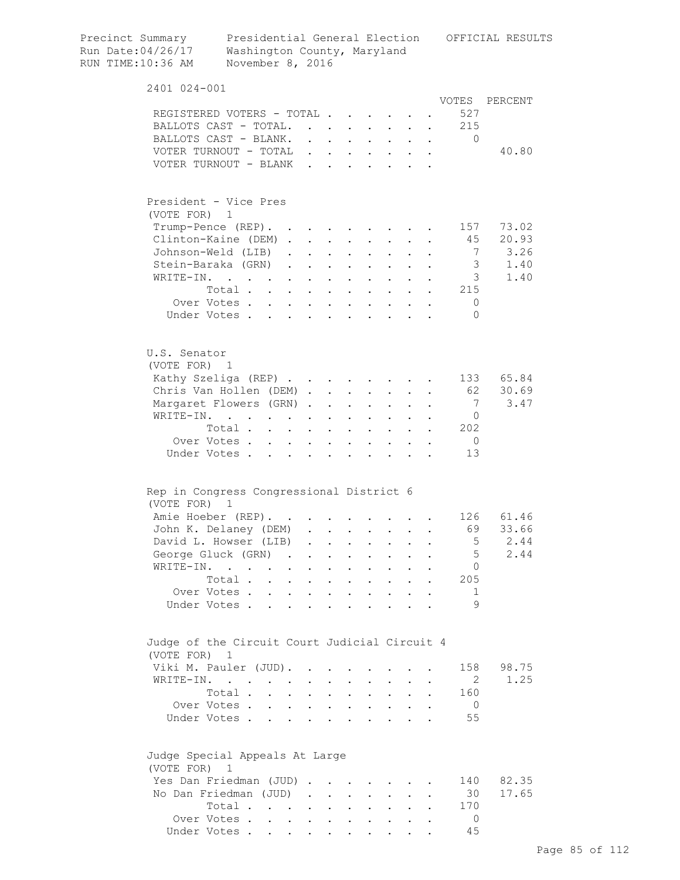| Precinct Summary<br>Run Date:04/26/17<br>RUN TIME:10:36 AM | Presidential General Election<br>Washington County, Maryland<br>November 8, 2016   |                      |           |                                                                          |                               |                                                                                                                           |                                                             |              |                      | OFFICIAL RESULTS |
|------------------------------------------------------------|------------------------------------------------------------------------------------|----------------------|-----------|--------------------------------------------------------------------------|-------------------------------|---------------------------------------------------------------------------------------------------------------------------|-------------------------------------------------------------|--------------|----------------------|------------------|
| 2401 024-001                                               |                                                                                    |                      |           |                                                                          |                               |                                                                                                                           |                                                             |              |                      |                  |
|                                                            |                                                                                    |                      |           |                                                                          |                               |                                                                                                                           |                                                             |              | VOTES                | PERCENT          |
|                                                            | REGISTERED VOTERS - TOTAL                                                          |                      |           |                                                                          |                               |                                                                                                                           |                                                             |              | 527                  |                  |
|                                                            | BALLOTS CAST - TOTAL.<br>BALLOTS CAST - BLANK.                                     |                      |           |                                                                          |                               |                                                                                                                           |                                                             |              | . 215<br>$\Omega$    |                  |
|                                                            | VOTER TURNOUT - TOTAL                                                              |                      |           |                                                                          |                               | $\mathbf{r} = \mathbf{r} + \mathbf{r} + \mathbf{r} + \mathbf{r}$                                                          |                                                             |              |                      | 40.80            |
|                                                            | VOTER TURNOUT - BLANK                                                              |                      |           |                                                                          |                               | $\begin{array}{cccccccccccccc} \bullet & \bullet & \bullet & \bullet & \bullet & \bullet & \bullet & \bullet \end{array}$ |                                                             |              |                      |                  |
|                                                            | President - Vice Pres                                                              |                      |           |                                                                          |                               |                                                                                                                           |                                                             |              |                      |                  |
|                                                            | (VOTE FOR) 1                                                                       |                      |           |                                                                          |                               |                                                                                                                           |                                                             |              |                      |                  |
|                                                            | $Trump-Pence (REF)$ .                                                              |                      |           |                                                                          |                               |                                                                                                                           |                                                             |              | 157                  | 73.02            |
|                                                            | Clinton-Kaine (DEM)                                                                |                      |           |                                                                          |                               | $\mathbf{L} = \mathbf{L} \mathbf{L}$                                                                                      | $\bullet$ .<br><br><br><br><br><br><br><br><br><br><br><br> |              | 45                   | 20.93            |
|                                                            | Johnson-Weld (LIB).                                                                |                      |           | $\mathbf{z} = \mathbf{z} + \mathbf{z}$ , where $\mathbf{z} = \mathbf{z}$ |                               | $\mathbf{z} = \mathbf{z} + \mathbf{z}$ .                                                                                  |                                                             |              | 7                    | 3.26             |
|                                                            | Stein-Baraka (GRN)                                                                 |                      |           |                                                                          | $\mathbf{a}$ and $\mathbf{b}$ |                                                                                                                           |                                                             |              | $\mathcal{S}$        | 1.40             |
| WRITE-IN.                                                  | $\mathcal{L}(\mathcal{A})$ . The contribution of the contribution of $\mathcal{A}$ |                      |           |                                                                          |                               |                                                                                                                           |                                                             |              | 3                    | 1.40             |
|                                                            | Total .<br>$\mathbf{L} = \mathbf{L}$                                               |                      | $\bullet$ |                                                                          |                               |                                                                                                                           |                                                             |              | 215                  |                  |
|                                                            | Over Votes                                                                         | $\ddot{\phantom{0}}$ |           | $\sim$                                                                   |                               |                                                                                                                           |                                                             |              | $\mathbf 0$          |                  |
|                                                            | Under Votes                                                                        |                      |           |                                                                          |                               |                                                                                                                           | $\mathbf{L}$                                                |              | $\bigcap$            |                  |
| U.S. Senator                                               | (VOTE FOR) 1                                                                       |                      |           |                                                                          |                               |                                                                                                                           |                                                             |              |                      |                  |
|                                                            | Kathy Szeliga (REP)                                                                |                      |           |                                                                          |                               |                                                                                                                           |                                                             |              | 133                  | 65.84            |
|                                                            | Chris Van Hollen (DEM)                                                             |                      |           |                                                                          |                               |                                                                                                                           |                                                             |              | 62                   | 30.69            |
|                                                            | Margaret Flowers (GRN)                                                             |                      |           |                                                                          | $\sim$                        |                                                                                                                           |                                                             |              | 7                    | 3.47             |
|                                                            | WRITE-IN.<br>$\mathbf{z} = \mathbf{z} + \mathbf{z}$ .                              |                      |           |                                                                          |                               | $\sim$ 100 $\pm$                                                                                                          |                                                             |              | $\overline{0}$       |                  |
|                                                            | Total                                                                              |                      |           |                                                                          |                               | $\mathbf{r}$ , $\mathbf{r}$ , $\mathbf{r}$                                                                                |                                                             | $\mathbf{r}$ | 202                  |                  |
|                                                            | Over Votes<br>Under Votes                                                          |                      |           | $\mathbf{L}$ and $\mathbf{L}$                                            |                               | $\cdot$ $\cdot$ $\cdot$ $\cdot$                                                                                           |                                                             |              | $\overline{0}$<br>13 |                  |
|                                                            | Rep in Congress Congressional District 6<br>(VOTE FOR) 1                           |                      |           |                                                                          |                               |                                                                                                                           |                                                             |              |                      |                  |
|                                                            | Amie Hoeber (REP).                                                                 |                      |           |                                                                          |                               |                                                                                                                           |                                                             |              |                      | 126 61.46        |
|                                                            | John K. Delaney (DEM)                                                              |                      |           |                                                                          |                               |                                                                                                                           |                                                             |              | 69                   | 33.66            |
|                                                            | David L. Howser (LIB)                                                              |                      |           |                                                                          |                               |                                                                                                                           |                                                             |              | 5                    | 2.44             |
|                                                            | George Gluck (GRN)                                                                 |                      |           |                                                                          |                               |                                                                                                                           |                                                             |              | 5                    | 2.44             |
|                                                            | WRITE-IN.                                                                          |                      |           |                                                                          |                               |                                                                                                                           |                                                             |              | 0                    |                  |
|                                                            | Total                                                                              |                      |           |                                                                          |                               | $\cdot$ $\cdot$ $\cdot$ $\cdot$ $\cdot$                                                                                   |                                                             |              | 205                  |                  |
|                                                            | Over Votes                                                                         |                      |           |                                                                          |                               |                                                                                                                           |                                                             |              | 1                    |                  |
|                                                            | Under Votes                                                                        |                      |           |                                                                          |                               |                                                                                                                           |                                                             |              | 9                    |                  |
| (VOTE FOR)                                                 | Judge of the Circuit Court Judicial Circuit 4<br>1                                 |                      |           |                                                                          |                               |                                                                                                                           |                                                             |              |                      |                  |
|                                                            | Viki M. Pauler (JUD).                                                              |                      |           |                                                                          |                               |                                                                                                                           |                                                             |              | 158                  | 98.75            |
|                                                            | WRITE-IN.                                                                          |                      |           |                                                                          |                               |                                                                                                                           |                                                             |              | 2                    | 1.25             |
|                                                            | Total                                                                              |                      |           |                                                                          |                               |                                                                                                                           |                                                             |              | 160                  |                  |
|                                                            | Over Votes                                                                         |                      |           |                                                                          |                               | $\mathbf{r} = \left\{ \mathbf{r}_1, \ldots, \mathbf{r}_n \right\}$ , where                                                |                                                             |              | $\overline{0}$       |                  |
|                                                            | Under Votes                                                                        |                      |           |                                                                          |                               |                                                                                                                           |                                                             |              | 55                   |                  |
| (VOTE FOR)                                                 | Judge Special Appeals At Large<br>$\mathbf 1$                                      |                      |           |                                                                          |                               |                                                                                                                           |                                                             |              |                      |                  |
|                                                            | Yes Dan Friedman (JUD)                                                             |                      |           |                                                                          |                               |                                                                                                                           |                                                             |              | 140                  | 82.35            |
|                                                            | No Dan Friedman (JUD)                                                              |                      |           |                                                                          |                               |                                                                                                                           |                                                             |              | 30                   | 17.65            |
|                                                            | Total                                                                              |                      |           |                                                                          |                               |                                                                                                                           |                                                             |              | 170                  |                  |
|                                                            | Over Votes                                                                         |                      |           |                                                                          |                               |                                                                                                                           |                                                             |              | $\Omega$             |                  |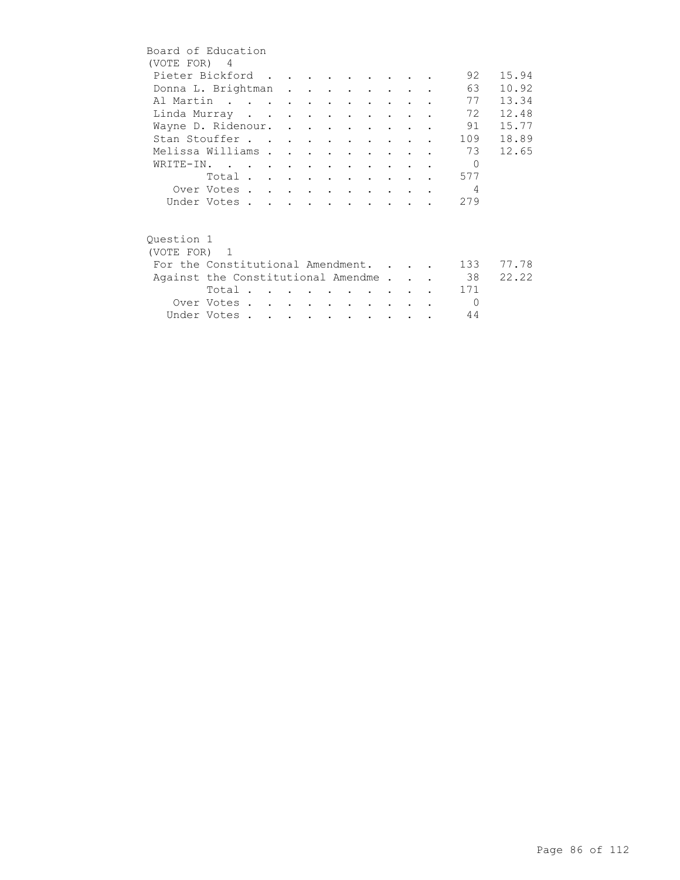| Board of Education                 |             |  |  |  |  |  |                |       |
|------------------------------------|-------------|--|--|--|--|--|----------------|-------|
| (VOTE FOR) 4                       |             |  |  |  |  |  |                |       |
| Pieter Bickford                    |             |  |  |  |  |  | 92             | 15.94 |
| Donna L. Brightman                 |             |  |  |  |  |  | 63             | 10.92 |
| Al Martin                          |             |  |  |  |  |  | 77             | 13.34 |
| Linda Murray                       |             |  |  |  |  |  | 72             | 12.48 |
| Wayne D. Ridenour.                 |             |  |  |  |  |  | 91             | 15.77 |
| Stan Stouffer                      |             |  |  |  |  |  | 109            | 18.89 |
| Melissa Williams                   |             |  |  |  |  |  | 73             | 12.65 |
| WRITE-IN.                          |             |  |  |  |  |  | $\bigcap$      |       |
|                                    | Total       |  |  |  |  |  | 577            |       |
|                                    | Over Votes  |  |  |  |  |  | $\overline{4}$ |       |
|                                    | Under Votes |  |  |  |  |  | 279            |       |
|                                    |             |  |  |  |  |  |                |       |
|                                    |             |  |  |  |  |  |                |       |
| Ouestion 1                         |             |  |  |  |  |  |                |       |
| (VOTE FOR) 1                       |             |  |  |  |  |  |                |       |
| For the Constitutional Amendment.  |             |  |  |  |  |  | 133            | 77.78 |
| Against the Constitutional Amendme |             |  |  |  |  |  | 38             | 22.22 |
|                                    | Total.      |  |  |  |  |  | 171            |       |
|                                    | Over Votes  |  |  |  |  |  | $\bigcirc$     |       |
|                                    | Under Votes |  |  |  |  |  | 44             |       |
|                                    |             |  |  |  |  |  |                |       |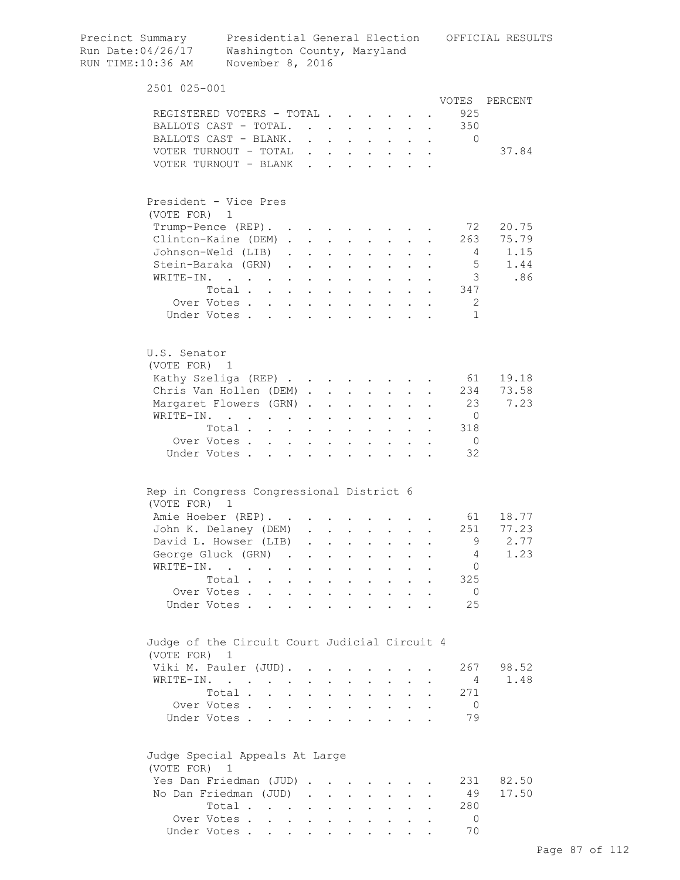| Precinct Summary<br>Run Date:04/26/17<br>RUN TIME:10:36 AM | Presidential General Election<br>Washington County, Maryland<br>November 8, 2016                |                                                                          |                                                                              |                                          |                           |                                                                                                                                                                    |                      |                      |                | OFFICIAL RESULTS |
|------------------------------------------------------------|-------------------------------------------------------------------------------------------------|--------------------------------------------------------------------------|------------------------------------------------------------------------------|------------------------------------------|---------------------------|--------------------------------------------------------------------------------------------------------------------------------------------------------------------|----------------------|----------------------|----------------|------------------|
| 2501 025-001                                               |                                                                                                 |                                                                          |                                                                              |                                          |                           |                                                                                                                                                                    |                      |                      |                |                  |
|                                                            |                                                                                                 |                                                                          |                                                                              |                                          |                           |                                                                                                                                                                    |                      |                      | VOTES          | PERCENT          |
|                                                            | REGISTERED VOTERS - TOTAL<br>BALLOTS CAST - TOTAL.                                              |                                                                          |                                                                              |                                          |                           |                                                                                                                                                                    |                      |                      | 925<br>350     |                  |
|                                                            | BALLOTS CAST - BLANK.                                                                           |                                                                          |                                                                              |                                          |                           | $\mathbf{r}$ , and $\mathbf{r}$ , and $\mathbf{r}$ , and $\mathbf{r}$<br>$\begin{array}{cccccccccccccccccc} . & . & . & . & . & . & . & . & . & . & . \end{array}$ |                      |                      | 0              |                  |
|                                                            | VOTER TURNOUT - TOTAL                                                                           |                                                                          |                                                                              |                                          |                           |                                                                                                                                                                    |                      |                      |                | 37.84            |
|                                                            | VOTER TURNOUT - BLANK                                                                           |                                                                          |                                                                              |                                          |                           | $\sim$ $\sim$ $\sim$ $\sim$ $\sim$ $\sim$                                                                                                                          |                      |                      |                |                  |
|                                                            |                                                                                                 |                                                                          |                                                                              |                                          |                           |                                                                                                                                                                    |                      |                      |                |                  |
|                                                            | President - Vice Pres                                                                           |                                                                          |                                                                              |                                          |                           |                                                                                                                                                                    |                      |                      |                |                  |
| (VOTE FOR) 1                                               |                                                                                                 |                                                                          |                                                                              |                                          |                           |                                                                                                                                                                    |                      |                      |                |                  |
|                                                            | Trump-Pence (REP).                                                                              |                                                                          |                                                                              |                                          |                           |                                                                                                                                                                    |                      |                      | 72             | 20.75            |
|                                                            | Clinton-Kaine (DEM)                                                                             |                                                                          |                                                                              |                                          |                           |                                                                                                                                                                    |                      |                      | 263            | 75.79            |
|                                                            | Johnson-Weld (LIB).                                                                             | $\sim$ 100 $\pm$                                                         |                                                                              | $\mathbf{r} = \mathbf{r} + \mathbf{r}$ . |                           | $\mathbf{z} = \mathbf{z} + \mathbf{z}$ .                                                                                                                           |                      |                      | 4              | 1.15             |
|                                                            | Stein-Baraka (GRN).                                                                             | $\mathbf{a} = \mathbf{a}$                                                |                                                                              | $\mathbf{z} = \mathbf{z} + \mathbf{z}$ . |                           | $\mathbf{r} = \mathbf{r} + \mathbf{r}$ .                                                                                                                           |                      |                      | 5              | 1.44             |
| WRITE-IN.                                                  | $\mathcal{A}^{\mathcal{A}}$ , and $\mathcal{A}^{\mathcal{A}}$ , and $\mathcal{A}^{\mathcal{A}}$ |                                                                          | $\mathbf{r} = \mathbf{r} \cdot \mathbf{r}$ , where $\mathbf{r} = \mathbf{r}$ |                                          |                           |                                                                                                                                                                    |                      |                      | 3              | .86              |
|                                                            | Total                                                                                           |                                                                          |                                                                              |                                          | $\mathbf{A}^{\text{max}}$ |                                                                                                                                                                    |                      |                      | 347            |                  |
|                                                            | Over Votes                                                                                      |                                                                          |                                                                              |                                          |                           |                                                                                                                                                                    |                      |                      | -2             |                  |
|                                                            | Under Votes                                                                                     | $\ddot{\phantom{0}}$                                                     | $\bullet$                                                                    | $\ddot{\phantom{a}}$                     |                           |                                                                                                                                                                    |                      |                      | $\mathbf{1}$   |                  |
| U.S. Senator<br>(VOTE FOR) 1                               |                                                                                                 |                                                                          |                                                                              |                                          |                           |                                                                                                                                                                    |                      |                      |                |                  |
|                                                            | Kathy Szeliga (REP)                                                                             |                                                                          |                                                                              |                                          |                           |                                                                                                                                                                    |                      |                      | 61             | 19.18            |
|                                                            | Chris Van Hollen (DEM)                                                                          |                                                                          |                                                                              |                                          | $\sim$ $-$                | $\mathbf{L}^{\text{max}}$                                                                                                                                          |                      |                      | 234            | 73.58            |
|                                                            | Margaret Flowers (GRN)                                                                          |                                                                          |                                                                              |                                          |                           |                                                                                                                                                                    |                      |                      | 23             | 7.23             |
| WRITE-IN.                                                  |                                                                                                 | $\mathbf{r} = \mathbf{r} + \mathbf{r}$ , where $\mathbf{r} = \mathbf{r}$ | $\ddot{\phantom{a}}$                                                         |                                          |                           |                                                                                                                                                                    |                      |                      | $\overline{0}$ |                  |
|                                                            | Total                                                                                           |                                                                          |                                                                              | $\ddot{\phantom{0}}$                     |                           | $\sim$                                                                                                                                                             |                      |                      | 318            |                  |
|                                                            | Over Votes                                                                                      | $\sim$                                                                   |                                                                              | $\cdot$ $\cdot$ $\cdot$                  | $\mathbf{L}^{\text{max}}$ | $\mathbf{L}$                                                                                                                                                       | $\mathbf{L}$         |                      | $\overline{0}$ |                  |
|                                                            | Under Votes                                                                                     |                                                                          | $\ddot{\phantom{a}}$                                                         |                                          |                           | $\cdots$                                                                                                                                                           |                      |                      | 32             |                  |
|                                                            | Rep in Congress Congressional District 6                                                        |                                                                          |                                                                              |                                          |                           |                                                                                                                                                                    |                      |                      |                |                  |
| (VOTE FOR) 1                                               |                                                                                                 |                                                                          |                                                                              |                                          |                           |                                                                                                                                                                    |                      |                      |                |                  |
|                                                            | Amie Hoeber (REP).                                                                              |                                                                          |                                                                              |                                          |                           |                                                                                                                                                                    |                      |                      | 61             | 18.77            |
|                                                            | John K. Delaney (DEM) .                                                                         |                                                                          |                                                                              |                                          |                           |                                                                                                                                                                    |                      |                      | 251            | 77.23            |
|                                                            | David L. Howser (LIB)                                                                           |                                                                          |                                                                              | $\ddot{\phantom{0}}$                     | $\sim$                    | $\bullet$ .<br><br><br><br><br><br><br><br><br><br><br><br>                                                                                                        |                      |                      | -9             | 2.77             |
|                                                            | George Gluck (GRN).                                                                             | $\sim$                                                                   | $\ddot{\phantom{0}}$                                                         | $\mathbf{L}$                             | $\ddot{\phantom{0}}$      | $\sim$                                                                                                                                                             | $\mathbf{L}$         |                      | 4              | 1.23             |
|                                                            | WRITE-IN.                                                                                       | $\sim$ 100 $\pm$                                                         | $\bullet$                                                                    | $\sim$ $\sim$                            |                           | $\mathbf{L}^{\text{max}}$ , and $\mathbf{L}^{\text{max}}$                                                                                                          | $\ddot{\phantom{0}}$ |                      | $\mathbf{0}$   |                  |
|                                                            | Total                                                                                           |                                                                          | $\ddot{\phantom{0}}$                                                         | $\sim$ $\sim$                            |                           | <b>All Contracts</b>                                                                                                                                               |                      |                      | 325            |                  |
|                                                            | Over Votes.                                                                                     |                                                                          |                                                                              |                                          |                           |                                                                                                                                                                    |                      | $\bullet$            | $\overline{0}$ |                  |
|                                                            | Under Votes                                                                                     |                                                                          |                                                                              |                                          |                           |                                                                                                                                                                    |                      |                      | 25             |                  |
| (VOTE FOR)                                                 | Judge of the Circuit Court Judicial Circuit 4<br>1                                              |                                                                          |                                                                              |                                          |                           |                                                                                                                                                                    |                      |                      |                |                  |
|                                                            | Viki M. Pauler (JUD).                                                                           |                                                                          |                                                                              |                                          |                           |                                                                                                                                                                    |                      |                      | 267            | 98.52            |
|                                                            | WRITE-IN.                                                                                       |                                                                          |                                                                              |                                          |                           |                                                                                                                                                                    |                      | $\ddot{\phantom{a}}$ | 4              | 1.48             |
|                                                            | Total                                                                                           |                                                                          |                                                                              |                                          |                           | $\mathbf{r}$ , and $\mathbf{r}$ , and $\mathbf{r}$ , and $\mathbf{r}$                                                                                              |                      |                      | 271            |                  |
|                                                            | Over Votes                                                                                      |                                                                          |                                                                              |                                          |                           |                                                                                                                                                                    |                      | $\bullet$            | $\overline{0}$ |                  |
|                                                            | Under Votes                                                                                     |                                                                          |                                                                              |                                          |                           |                                                                                                                                                                    |                      |                      | 79             |                  |
| (VOTE FOR) 1                                               | Judge Special Appeals At Large                                                                  |                                                                          |                                                                              |                                          |                           |                                                                                                                                                                    |                      |                      |                |                  |
|                                                            | Yes Dan Friedman (JUD)                                                                          |                                                                          |                                                                              |                                          |                           |                                                                                                                                                                    |                      |                      | 231            | 82.50            |
|                                                            | No Dan Friedman (JUD)                                                                           |                                                                          |                                                                              |                                          |                           |                                                                                                                                                                    |                      |                      | 49             | 17.50            |
|                                                            | Total                                                                                           |                                                                          |                                                                              |                                          |                           |                                                                                                                                                                    |                      |                      | 280            |                  |
|                                                            | Over Votes                                                                                      |                                                                          |                                                                              |                                          |                           |                                                                                                                                                                    |                      |                      | $\Omega$       |                  |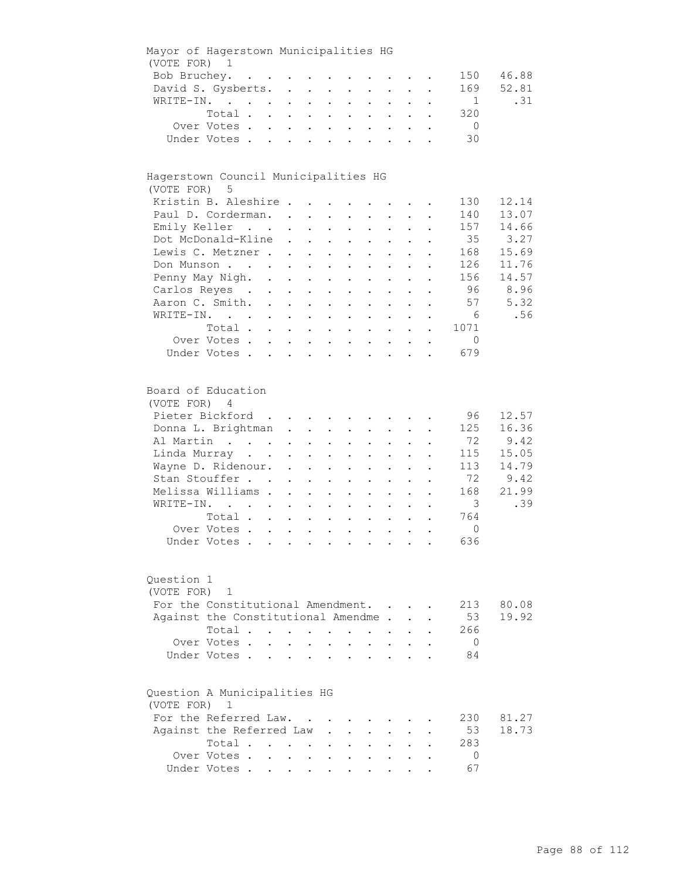| Mayor of Hagerstown Municipalities HG        |                                                                                                                                                                                    |                                                                                           |                                                                                                   |                                                                                                   |                                                                                                                       |                                                                           |                                                                                                                                                                                               |                                                                                                   |                                                                                                           |           |                                                                                        |                                                                  |
|----------------------------------------------|------------------------------------------------------------------------------------------------------------------------------------------------------------------------------------|-------------------------------------------------------------------------------------------|---------------------------------------------------------------------------------------------------|---------------------------------------------------------------------------------------------------|-----------------------------------------------------------------------------------------------------------------------|---------------------------------------------------------------------------|-----------------------------------------------------------------------------------------------------------------------------------------------------------------------------------------------|---------------------------------------------------------------------------------------------------|-----------------------------------------------------------------------------------------------------------|-----------|----------------------------------------------------------------------------------------|------------------------------------------------------------------|
| (VOTE FOR) 1                                 |                                                                                                                                                                                    |                                                                                           |                                                                                                   |                                                                                                   |                                                                                                                       |                                                                           |                                                                                                                                                                                               |                                                                                                   |                                                                                                           |           |                                                                                        |                                                                  |
| Bob Bruchey.                                 |                                                                                                                                                                                    | $\mathcal{A}$ . The contribution of the contribution of the contribution of $\mathcal{A}$ |                                                                                                   |                                                                                                   |                                                                                                                       |                                                                           |                                                                                                                                                                                               |                                                                                                   |                                                                                                           |           | 150                                                                                    | 46.88                                                            |
|                                              | David S. Gysberts.                                                                                                                                                                 |                                                                                           |                                                                                                   |                                                                                                   |                                                                                                                       |                                                                           |                                                                                                                                                                                               |                                                                                                   |                                                                                                           |           | 169                                                                                    | 52.81                                                            |
|                                              | WRITE-IN.                                                                                                                                                                          |                                                                                           | $\bullet$ .<br><br><br><br><br><br><br><br><br><br><br><br>                                       |                                                                                                   | $\mathbf{L}^{\text{max}}$ , and $\mathbf{L}^{\text{max}}$                                                             | $\mathcal{L}^{\text{max}}$                                                | $\mathbf{L}$                                                                                                                                                                                  | $\mathbf{L}^{\text{max}}$                                                                         | $\mathbf{L}^{\text{max}}$                                                                                 |           | 1                                                                                      | .31                                                              |
|                                              | Total.                                                                                                                                                                             |                                                                                           |                                                                                                   |                                                                                                   |                                                                                                                       |                                                                           |                                                                                                                                                                                               |                                                                                                   | $\mathbf{r}$ , $\mathbf{r}$ , $\mathbf{r}$ , $\mathbf{r}$                                                 | $\bullet$ | 320                                                                                    |                                                                  |
|                                              | Over Votes                                                                                                                                                                         |                                                                                           | $\mathbf{r} = \mathbf{r} + \mathbf{r} + \mathbf{r} + \mathbf{r}$                                  |                                                                                                   |                                                                                                                       |                                                                           |                                                                                                                                                                                               |                                                                                                   | $\mathbf{z} = \left\{ \mathbf{z}_1, \ldots, \mathbf{z}_n \right\}$ .                                      |           | $\overline{0}$                                                                         |                                                                  |
|                                              | Under Votes                                                                                                                                                                        |                                                                                           | and a strain and a strain of                                                                      |                                                                                                   |                                                                                                                       |                                                                           |                                                                                                                                                                                               |                                                                                                   | $\ddotsc$                                                                                                 |           | 30                                                                                     |                                                                  |
|                                              |                                                                                                                                                                                    |                                                                                           |                                                                                                   |                                                                                                   |                                                                                                                       |                                                                           |                                                                                                                                                                                               |                                                                                                   |                                                                                                           |           |                                                                                        |                                                                  |
| Hagerstown Council Municipalities HG         |                                                                                                                                                                                    |                                                                                           |                                                                                                   |                                                                                                   |                                                                                                                       |                                                                           |                                                                                                                                                                                               |                                                                                                   |                                                                                                           |           |                                                                                        |                                                                  |
| (VOTE FOR)                                   | 5                                                                                                                                                                                  |                                                                                           |                                                                                                   |                                                                                                   |                                                                                                                       |                                                                           |                                                                                                                                                                                               |                                                                                                   |                                                                                                           |           |                                                                                        |                                                                  |
|                                              | Kristin B. Aleshire                                                                                                                                                                |                                                                                           |                                                                                                   |                                                                                                   |                                                                                                                       |                                                                           |                                                                                                                                                                                               |                                                                                                   |                                                                                                           |           | 130                                                                                    | 12.14                                                            |
|                                              | Paul D. Corderman.                                                                                                                                                                 |                                                                                           |                                                                                                   |                                                                                                   |                                                                                                                       |                                                                           |                                                                                                                                                                                               |                                                                                                   |                                                                                                           |           | 140                                                                                    | 13.07                                                            |
|                                              | Emily Keller                                                                                                                                                                       |                                                                                           | $\sim$ 100 $\pm$                                                                                  |                                                                                                   | $\mathbf{L}^{\text{max}}$ , and $\mathbf{L}^{\text{max}}$                                                             |                                                                           | $\mathbf{z} = \mathbf{z} + \mathbf{z}$ .                                                                                                                                                      | $\bullet$ .<br><br><br><br><br><br><br><br><br><br><br><br>                                       | $\mathbf{L}^{\text{max}}$                                                                                 |           | 157                                                                                    | 14.66                                                            |
|                                              | Dot McDonald-Kline                                                                                                                                                                 |                                                                                           | $\ddot{\phantom{0}}$                                                                              |                                                                                                   | $\mathbf{L}^{\text{max}}$ , and $\mathbf{L}^{\text{max}}$                                                             | $\bullet$ .                                                               | $\bullet$ .                                                                                                                                                                                   | $\mathbf{L}^{\text{max}}$                                                                         | $\ddot{\phantom{0}}$                                                                                      |           | 35                                                                                     | 3.27                                                             |
|                                              | Lewis C. Metzner .                                                                                                                                                                 |                                                                                           | $\sim$                                                                                            |                                                                                                   | $\mathbf{z} = \mathbf{z} + \mathbf{z}$ .                                                                              | $\ddot{\phantom{a}}$                                                      | $\mathbf{L}^{\text{max}}$                                                                                                                                                                     |                                                                                                   |                                                                                                           |           | 168                                                                                    | 15.69                                                            |
|                                              | Don Munson                                                                                                                                                                         |                                                                                           | $\mathbf{L}^{\text{max}}$                                                                         | $\mathbf{L}^{\text{max}}$                                                                         | $\sim 100$                                                                                                            |                                                                           |                                                                                                                                                                                               |                                                                                                   |                                                                                                           |           | 126                                                                                    | 11.76                                                            |
|                                              | Penny May Nigh. .                                                                                                                                                                  |                                                                                           | $\mathbf{L}^{\text{max}}$                                                                         |                                                                                                   |                                                                                                                       |                                                                           |                                                                                                                                                                                               |                                                                                                   |                                                                                                           |           | 156                                                                                    | 14.57                                                            |
|                                              | Carlos Reyes .                                                                                                                                                                     |                                                                                           |                                                                                                   | $\mathbf{L}^{\text{max}}$                                                                         | $\bullet$                                                                                                             |                                                                           |                                                                                                                                                                                               |                                                                                                   |                                                                                                           |           | - 96                                                                                   | 8.96                                                             |
|                                              |                                                                                                                                                                                    | $\mathcal{L}^{\text{max}}$                                                                | $\mathbf{z} = \mathbf{z}$                                                                         | $\bullet$ .                                                                                       | $\ddot{\phantom{0}}$                                                                                                  | $\ddot{\phantom{0}}$                                                      | $\ddot{\phantom{a}}$                                                                                                                                                                          |                                                                                                   |                                                                                                           |           |                                                                                        |                                                                  |
|                                              | Aaron C. Smith.                                                                                                                                                                    |                                                                                           |                                                                                                   |                                                                                                   | $\cdot$ $\cdot$                                                                                                       | $\mathbf{L}$                                                              | $\sim$                                                                                                                                                                                        | $\ddot{\phantom{0}}$                                                                              | $\ddot{\phantom{a}}$                                                                                      |           | 57                                                                                     | 5.32                                                             |
|                                              | WRITE-IN.                                                                                                                                                                          |                                                                                           |                                                                                                   |                                                                                                   |                                                                                                                       |                                                                           | $\mathbf{r}$ , $\mathbf{r}$ , $\mathbf{r}$                                                                                                                                                    |                                                                                                   | $\ddot{\phantom{a}}$                                                                                      |           | 6                                                                                      | .56                                                              |
|                                              | Total                                                                                                                                                                              |                                                                                           |                                                                                                   |                                                                                                   |                                                                                                                       |                                                                           |                                                                                                                                                                                               |                                                                                                   |                                                                                                           |           | 1071                                                                                   |                                                                  |
|                                              | Over Votes                                                                                                                                                                         |                                                                                           |                                                                                                   |                                                                                                   |                                                                                                                       |                                                                           |                                                                                                                                                                                               |                                                                                                   |                                                                                                           | $\bullet$ | $\mathbf 0$                                                                            |                                                                  |
|                                              | Under Votes                                                                                                                                                                        |                                                                                           |                                                                                                   |                                                                                                   |                                                                                                                       |                                                                           |                                                                                                                                                                                               |                                                                                                   |                                                                                                           |           | 679                                                                                    |                                                                  |
| Board of Education<br>(VOTE FOR) 4           | Pieter Bickford<br>Donna L. Brightman<br>Al Martin<br>Linda Murray<br>Wayne D. Ridenour.<br>Stan Stouffer<br>Melissa Williams .<br>WRITE-IN.<br>Total<br>Over Votes<br>Under Votes |                                                                                           | $\ddot{\phantom{0}}$<br>$\ddot{\phantom{a}}$<br>$\ddot{\phantom{0}}$<br>$\mathbf{L}^{\text{max}}$ | $\ddot{\phantom{a}}$<br>$\ddot{\phantom{0}}$<br>$\mathbf{L}^{\text{max}}$<br>$\ddot{\phantom{0}}$ | $\mathbf{z} = \mathbf{z} + \mathbf{z}$ .<br>$\mathbf{a} = \mathbf{a}$<br>$\ddot{\phantom{a}}$<br>$\ddot{\phantom{0}}$ | $\mathbf{z} = \mathbf{z}$<br>$\ddot{\phantom{a}}$<br>$\ddot{\phantom{a}}$ | $\mathbf{L} = \mathbf{L}$<br>$\bullet$ . In the set of $\bullet$<br>$\bullet$ .<br>$\mathbf{L}^{\text{max}}$<br>$\bullet$<br>$\ddot{\phantom{a}}$<br>$\mathbf{z} = \mathbf{z} + \mathbf{z}$ . | $\mathbf{z} = \mathbf{z}$<br>$\ddot{\phantom{0}}$<br>$\ddot{\phantom{0}}$<br>$\ddot{\phantom{a}}$ | $\mathbf{L}$ and $\mathbf{L}$<br>$\bullet$ .<br><br><br><br><br><br><br><br><br><br><br><br><br>$\bullet$ |           | 96<br>125<br>72<br>115<br>113<br>72<br>168<br>$\overline{3}$<br>764<br>$\Omega$<br>636 | 12.57<br>16.36<br>9.42<br>15.05<br>14.79<br>9.42<br>21.99<br>.39 |
| Question 1<br>(VOTE FOR)                     | 1<br>For the Constitutional Amendment.<br>Against the Constitutional Amendme.<br>Total<br>Over Votes.<br>Under Votes.                                                              | $\mathbf{L}$                                                                              |                                                                                                   |                                                                                                   | $\sim$<br>$\ddot{\phantom{a}}$                                                                                        | $\ddot{\phantom{0}}$                                                      | $\ddot{\phantom{a}}$                                                                                                                                                                          |                                                                                                   |                                                                                                           |           | 213<br>53<br>266<br>$\overline{0}$<br>84                                               | 80.08<br>19.92                                                   |
| Question A Municipalities HG<br>(VOTE FOR) 1 | For the Referred Law.<br>Against the Referred Law<br>Total<br>Over Votes .                                                                                                         |                                                                                           | $\cdot$ $\cdot$ $\cdot$                                                                           | $\sim$                                                                                            |                                                                                                                       |                                                                           |                                                                                                                                                                                               |                                                                                                   |                                                                                                           |           | 230<br>53<br>283<br>0                                                                  | 81.27<br>18.73                                                   |
|                                              | Under Votes                                                                                                                                                                        |                                                                                           |                                                                                                   |                                                                                                   |                                                                                                                       |                                                                           |                                                                                                                                                                                               |                                                                                                   |                                                                                                           |           | 67                                                                                     |                                                                  |
|                                              |                                                                                                                                                                                    |                                                                                           |                                                                                                   |                                                                                                   |                                                                                                                       |                                                                           |                                                                                                                                                                                               |                                                                                                   |                                                                                                           |           |                                                                                        |                                                                  |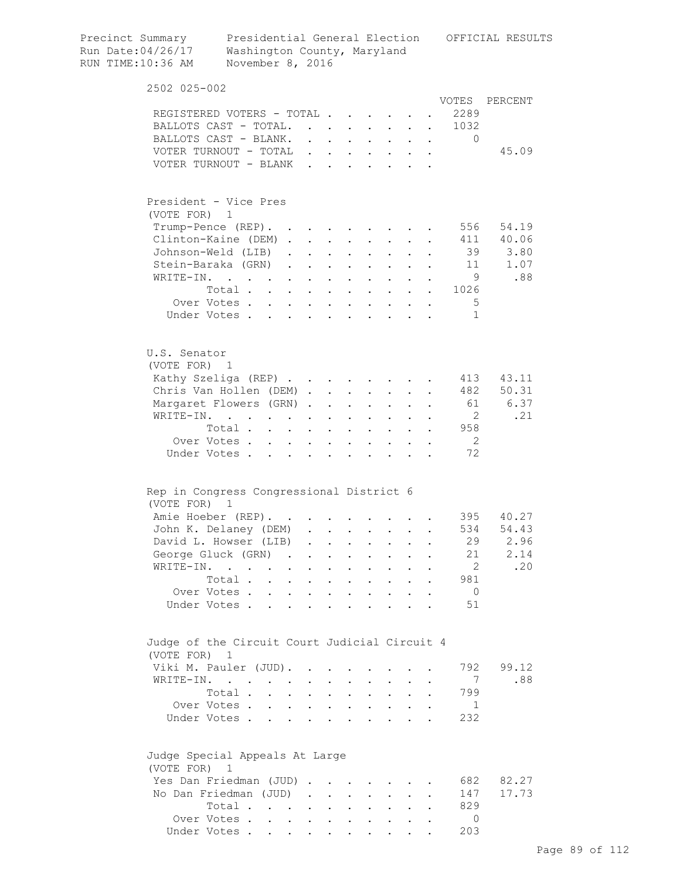| Precinct Summary<br>Run Date:04/26/17<br>RUN TIME:10:36 AM | Washington County, Maryland<br>November 8, 2016                          |                                            |                      |                      |                                                                  |                      |                                                           |                      |                      |                | Presidential General Election OFFICIAL RESULTS |
|------------------------------------------------------------|--------------------------------------------------------------------------|--------------------------------------------|----------------------|----------------------|------------------------------------------------------------------|----------------------|-----------------------------------------------------------|----------------------|----------------------|----------------|------------------------------------------------|
| 2502 025-002                                               |                                                                          |                                            |                      |                      |                                                                  |                      |                                                           |                      |                      |                |                                                |
|                                                            |                                                                          |                                            |                      |                      |                                                                  |                      |                                                           |                      |                      |                | VOTES PERCENT                                  |
|                                                            | REGISTERED VOTERS - TOTAL                                                |                                            |                      |                      |                                                                  |                      |                                                           | $\bullet$            |                      | 2289           |                                                |
|                                                            | BALLOTS CAST - TOTAL.                                                    |                                            |                      |                      |                                                                  |                      | $\cdot$ $\cdot$ $\cdot$                                   | $\mathbf{L}$         | $\mathbf{r}$         | 1032           |                                                |
|                                                            | BALLOTS CAST - BLANK.                                                    |                                            |                      |                      | $\mathbf{1}$ $\mathbf{1}$ $\mathbf{1}$ $\mathbf{1}$ $\mathbf{1}$ |                      | $\cdot$ $\cdot$ $\cdot$ $\cdot$ $\cdot$                   |                      |                      | $\Omega$       |                                                |
|                                                            | VOTER TURNOUT - TOTAL                                                    |                                            |                      |                      |                                                                  |                      |                                                           |                      |                      |                | 45.09                                          |
|                                                            | VOTER TURNOUT - BLANK                                                    |                                            |                      |                      |                                                                  |                      |                                                           |                      |                      |                |                                                |
| President - Vice Pres                                      |                                                                          |                                            |                      |                      |                                                                  |                      |                                                           |                      |                      |                |                                                |
| (VOTE FOR) 1                                               |                                                                          |                                            |                      |                      |                                                                  |                      |                                                           |                      |                      |                |                                                |
|                                                            | Trump-Pence (REP).                                                       |                                            |                      |                      |                                                                  |                      |                                                           |                      |                      | 556            | 54.19                                          |
|                                                            | Clinton-Kaine (DEM)                                                      |                                            |                      |                      |                                                                  | $\sim$               | $\sim$ $-$                                                |                      |                      |                | 411 40.06                                      |
|                                                            | Johnson-Weld (LIB)                                                       |                                            |                      |                      | $\mathbf{L}$ and $\mathbf{L}$                                    |                      | $\mathbf{L}$ and $\mathbf{L}$                             |                      |                      |                | 39 3.80                                        |
|                                                            | Stein-Baraka (GRN)                                                       |                                            |                      | $\ddot{\phantom{a}}$ | $\sim$ 100 $\sim$                                                |                      | $\mathbf{L} = \mathbf{L}$                                 |                      |                      |                | 1.07<br>11                                     |
| WRITE-IN.                                                  | $\mathbf{r}$ , $\mathbf{r}$ , $\mathbf{r}$ , $\mathbf{r}$ , $\mathbf{r}$ |                                            |                      | $\ddot{\phantom{a}}$ | $\sim$ $\sim$                                                    |                      | $\mathbf{L} = \mathbf{L} \mathbf{L}$                      |                      |                      | - 9            | .88                                            |
|                                                            | Total                                                                    |                                            |                      |                      |                                                                  |                      |                                                           |                      |                      | 1026           |                                                |
|                                                            | Over Votes                                                               |                                            |                      |                      |                                                                  |                      |                                                           |                      |                      | -5             |                                                |
|                                                            | Under Votes                                                              |                                            |                      |                      |                                                                  |                      |                                                           |                      |                      | 1              |                                                |
| U.S. Senator<br>(VOTE FOR) 1                               |                                                                          |                                            |                      |                      |                                                                  |                      |                                                           |                      |                      |                |                                                |
|                                                            | Kathy Szeliga (REP)                                                      |                                            |                      |                      |                                                                  |                      |                                                           |                      |                      | 413            | 43.11                                          |
|                                                            | Chris Van Hollen (DEM)                                                   |                                            |                      |                      |                                                                  |                      |                                                           |                      |                      | 482            | 50.31                                          |
|                                                            | Margaret Flowers (GRN).                                                  |                                            |                      | $\ddot{\phantom{a}}$ | $\sim 100$ km s $^{-1}$                                          |                      | $\mathbf{z} = \mathbf{z} + \mathbf{z}$ .                  | $\ddot{\phantom{0}}$ |                      |                | 61 6.37                                        |
|                                                            | WRITE-IN.                                                                |                                            |                      | $\bullet$            | $\bullet$                                                        |                      |                                                           |                      |                      | $\overline{2}$ | .21                                            |
|                                                            | Total.                                                                   |                                            |                      |                      |                                                                  | $\ddot{\phantom{a}}$ |                                                           |                      |                      | 958            |                                                |
|                                                            | Over Votes                                                               |                                            |                      | $\bullet$            |                                                                  |                      |                                                           |                      |                      | $\overline{2}$ |                                                |
| Under Votes.                                               |                                                                          |                                            |                      |                      |                                                                  |                      |                                                           |                      |                      | 72             |                                                |
| Rep in Congress Congressional District 6                   |                                                                          |                                            |                      |                      |                                                                  |                      |                                                           |                      |                      |                |                                                |
| (VOTE FOR)                                                 | - 1                                                                      |                                            |                      |                      |                                                                  |                      |                                                           |                      |                      |                |                                                |
|                                                            | Amie Hoeber (REP).                                                       |                                            |                      |                      |                                                                  |                      |                                                           |                      |                      |                | 395 40.27                                      |
|                                                            | John K. Delaney (DEM)                                                    |                                            |                      |                      |                                                                  |                      |                                                           |                      |                      | 534            | 54.43                                          |
|                                                            | David L. Howser (LIB)                                                    |                                            | $\ddot{\phantom{0}}$ |                      |                                                                  |                      |                                                           |                      |                      | 29             | 2.96                                           |
|                                                            | George Gluck (GRN) .                                                     |                                            |                      |                      |                                                                  |                      |                                                           |                      |                      | 21             | 2.14                                           |
| WRITE-IN.                                                  |                                                                          | $\ddot{\phantom{a}}$                       |                      | $\bullet$            | $\ddot{\phantom{a}}$                                             |                      | $\ddot{\phantom{0}}$                                      |                      |                      | $\overline{2}$ | .20                                            |
|                                                            | Total .<br>$\sim$                                                        | $\ddot{\phantom{0}}$                       | $\ddot{\phantom{0}}$ |                      | $\ddot{\phantom{a}}$                                             | $\ddot{\phantom{a}}$ | $\ddot{\phantom{0}}$                                      |                      |                      | 981            |                                                |
|                                                            | Over Votes                                                               |                                            | $\mathbf{r}$         | $\ddot{\phantom{a}}$ | $\sim$ $\sim$                                                    |                      | $\cdot$ $\cdot$ $\cdot$                                   | $\mathbf{L}$         |                      | $\overline{0}$ |                                                |
|                                                            | Under Votes.                                                             | $\mathbf{r}$ , $\mathbf{r}$ , $\mathbf{r}$ |                      | $\ddot{\phantom{a}}$ | $\sim$ $\sim$                                                    |                      |                                                           |                      |                      | 51             |                                                |
| Judge of the Circuit Court Judicial Circuit 4              |                                                                          |                                            |                      |                      |                                                                  |                      |                                                           |                      |                      |                |                                                |
| (VOTE FOR) 1                                               |                                                                          |                                            |                      |                      |                                                                  |                      |                                                           |                      |                      |                |                                                |
|                                                            | Viki M. Pauler (JUD).                                                    |                                            | $\sim$               |                      |                                                                  |                      |                                                           |                      |                      | 792            | 99.12                                          |
|                                                            | WRITE-IN.                                                                |                                            |                      |                      |                                                                  |                      |                                                           |                      |                      | 7              | .88                                            |
|                                                            | Total .                                                                  | $\ddot{\phantom{a}}$                       |                      | $\ddot{\phantom{a}}$ | $\ddot{\phantom{0}}$                                             | $\ddot{\phantom{0}}$ | $\ddot{\phantom{0}}$                                      | $\ddot{\phantom{0}}$ |                      | 799            |                                                |
|                                                            | Over Votes                                                               |                                            |                      |                      |                                                                  |                      | $\mathbf{L}$ . The set of $\mathbf{L}$                    | $\mathbf{L}$         | $\ddot{\phantom{a}}$ | - 1            |                                                |
|                                                            | Under Votes                                                              |                                            |                      | $\ddot{\phantom{a}}$ |                                                                  |                      | $\mathbf{r}$ , $\mathbf{r}$ , $\mathbf{r}$ , $\mathbf{r}$ |                      |                      | 232            |                                                |
| Judge Special Appeals At Large                             |                                                                          |                                            |                      |                      |                                                                  |                      |                                                           |                      |                      |                |                                                |
| (VOTE FOR) 1                                               |                                                                          |                                            |                      |                      |                                                                  |                      |                                                           |                      |                      |                |                                                |
|                                                            | Yes Dan Friedman (JUD)                                                   |                                            |                      |                      |                                                                  |                      |                                                           |                      |                      | 682            | 82.27                                          |
|                                                            | No Dan Friedman (JUD)                                                    |                                            | $\sim$               | $\ddot{\phantom{0}}$ | $\ddot{\phantom{0}}$                                             | $\ddot{\phantom{0}}$ | $\ddot{\phantom{0}}$                                      |                      |                      | 147            | 17.73                                          |
|                                                            | Total                                                                    |                                            | $\ddot{\phantom{0}}$ |                      | $\cdot$ $\cdot$                                                  |                      | $\cdot$ $\cdot$ $\cdot$                                   | $\mathbf{L}$         |                      | 829            |                                                |
|                                                            | Over Votes                                                               |                                            |                      |                      |                                                                  |                      | $\mathbf{L} = \mathbf{L} \mathbf{L}$                      | $\ddot{\phantom{0}}$ |                      | $\circ$        |                                                |
|                                                            | Under Votes                                                              |                                            |                      |                      |                                                                  |                      |                                                           |                      |                      | 203            |                                                |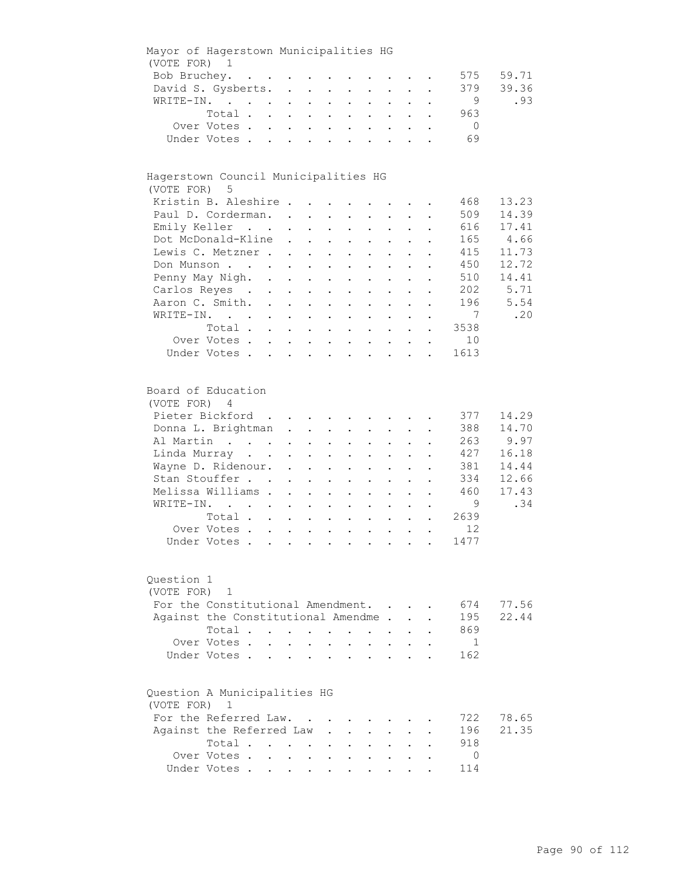| Mayor of Hagerstown Municipalities HG                                                                                                                                                            |                                    |                            |                                                        |                                                                                                                                                                                                |                                                                                                                         |                                                                                                                                                                                                                         |                                         |                                                                                                          |                      |                                                                            |                                                                   |
|--------------------------------------------------------------------------------------------------------------------------------------------------------------------------------------------------|------------------------------------|----------------------------|--------------------------------------------------------|------------------------------------------------------------------------------------------------------------------------------------------------------------------------------------------------|-------------------------------------------------------------------------------------------------------------------------|-------------------------------------------------------------------------------------------------------------------------------------------------------------------------------------------------------------------------|-----------------------------------------|----------------------------------------------------------------------------------------------------------|----------------------|----------------------------------------------------------------------------|-------------------------------------------------------------------|
| (VOTE FOR) 1                                                                                                                                                                                     |                                    |                            |                                                        |                                                                                                                                                                                                |                                                                                                                         |                                                                                                                                                                                                                         |                                         |                                                                                                          |                      |                                                                            |                                                                   |
| Bob Bruchey.                                                                                                                                                                                     |                                    |                            |                                                        |                                                                                                                                                                                                |                                                                                                                         |                                                                                                                                                                                                                         |                                         |                                                                                                          |                      | 575                                                                        | 59.71                                                             |
| David S. Gysberts.                                                                                                                                                                               |                                    |                            |                                                        |                                                                                                                                                                                                |                                                                                                                         |                                                                                                                                                                                                                         |                                         |                                                                                                          |                      | 379                                                                        | 39.36                                                             |
| WRITE-IN.                                                                                                                                                                                        |                                    |                            |                                                        |                                                                                                                                                                                                |                                                                                                                         | $\mathbf{r} = \mathbf{r} \times \mathbf{r}$ , where $\mathbf{r} = \mathbf{r} \times \mathbf{r}$                                                                                                                         |                                         |                                                                                                          |                      | 9                                                                          | .93                                                               |
|                                                                                                                                                                                                  | Total                              |                            |                                                        |                                                                                                                                                                                                |                                                                                                                         |                                                                                                                                                                                                                         |                                         |                                                                                                          | $\ddot{\phantom{0}}$ | 963                                                                        |                                                                   |
|                                                                                                                                                                                                  | Over Votes                         |                            |                                                        |                                                                                                                                                                                                |                                                                                                                         |                                                                                                                                                                                                                         |                                         |                                                                                                          |                      | $\overline{0}$                                                             |                                                                   |
|                                                                                                                                                                                                  | Under Votes                        |                            |                                                        |                                                                                                                                                                                                |                                                                                                                         |                                                                                                                                                                                                                         |                                         |                                                                                                          |                      | 69                                                                         |                                                                   |
|                                                                                                                                                                                                  |                                    |                            |                                                        |                                                                                                                                                                                                |                                                                                                                         |                                                                                                                                                                                                                         |                                         |                                                                                                          |                      |                                                                            |                                                                   |
| Hagerstown Council Municipalities HG<br>(VOTE FOR) 5                                                                                                                                             |                                    |                            |                                                        |                                                                                                                                                                                                |                                                                                                                         |                                                                                                                                                                                                                         |                                         |                                                                                                          |                      |                                                                            |                                                                   |
| Kristin B. Aleshire                                                                                                                                                                              |                                    |                            |                                                        |                                                                                                                                                                                                |                                                                                                                         |                                                                                                                                                                                                                         |                                         |                                                                                                          |                      | 468                                                                        | 13.23                                                             |
| Paul D. Corderman.                                                                                                                                                                               |                                    |                            |                                                        |                                                                                                                                                                                                |                                                                                                                         |                                                                                                                                                                                                                         |                                         |                                                                                                          |                      | 509                                                                        | 14.39                                                             |
| Emily Keller                                                                                                                                                                                     |                                    |                            |                                                        | $\mathbf{z} = \mathbf{z} + \mathbf{z}$ .                                                                                                                                                       |                                                                                                                         | $\mathbf{L}^{\text{max}}$ , and $\mathbf{L}^{\text{max}}$                                                                                                                                                               |                                         | $\mathbf{z} = \mathbf{z} + \mathbf{z}$ .                                                                 |                      | 616                                                                        | 17.41                                                             |
| Dot McDonald-Kline                                                                                                                                                                               |                                    |                            | $\sim$                                                 | $\mathbf{L}^{\text{max}}$ , and $\mathbf{L}^{\text{max}}$                                                                                                                                      |                                                                                                                         | $\mathbf{z} = \mathbf{z} + \mathbf{z}$ .                                                                                                                                                                                | $\bullet$ .                             | $\bullet$ .<br><br><br><br><br><br><br><br><br><br><br><br>                                              |                      | 165                                                                        | 4.66                                                              |
| Lewis C. Metzner                                                                                                                                                                                 |                                    |                            |                                                        | $\mathbf{z} = \mathbf{z} + \mathbf{z}$ .                                                                                                                                                       | $\mathbf{z} = \mathbf{z}$                                                                                               | $\mathbf{L}^{\text{max}}$                                                                                                                                                                                               |                                         |                                                                                                          |                      | 415                                                                        | 11.73                                                             |
| Don Munson                                                                                                                                                                                       |                                    |                            |                                                        |                                                                                                                                                                                                |                                                                                                                         | $\ddot{\phantom{a}}$                                                                                                                                                                                                    |                                         |                                                                                                          |                      | 450                                                                        | 12.72                                                             |
| Penny May Nigh. .                                                                                                                                                                                |                                    |                            |                                                        |                                                                                                                                                                                                |                                                                                                                         |                                                                                                                                                                                                                         |                                         |                                                                                                          |                      | 510                                                                        | 14.41                                                             |
| Carlos Reyes .                                                                                                                                                                                   |                                    |                            | $\mathbf{r} = \mathbf{r} + \mathbf{r}$                 |                                                                                                                                                                                                | $\sim$ 100 $\pm$                                                                                                        |                                                                                                                                                                                                                         |                                         |                                                                                                          |                      | 202                                                                        | 5.71                                                              |
|                                                                                                                                                                                                  |                                    | $\mathcal{L}^{\text{max}}$ | $\mathbf{z} = \mathbf{z} + \mathbf{z}$ .               |                                                                                                                                                                                                | $\sim$<br>$\ddot{\phantom{a}}$                                                                                          | $\ddot{\phantom{0}}$                                                                                                                                                                                                    |                                         |                                                                                                          |                      |                                                                            |                                                                   |
| Aaron C. Smith.                                                                                                                                                                                  |                                    |                            |                                                        |                                                                                                                                                                                                |                                                                                                                         | $\cdot$ $\cdot$ $\cdot$                                                                                                                                                                                                 | $\mathbf{L}$                            | $\ddot{\phantom{a}}$                                                                                     | $\ddot{\phantom{a}}$ | 196                                                                        | 5.54                                                              |
| WRITE-IN.                                                                                                                                                                                        |                                    |                            |                                                        |                                                                                                                                                                                                |                                                                                                                         | $\mathbf{r} = \mathbf{r}$ and $\mathbf{r} = \mathbf{r}$                                                                                                                                                                 |                                         | $\ddot{\phantom{a}}$                                                                                     |                      | 7                                                                          | .20                                                               |
|                                                                                                                                                                                                  | Total                              |                            |                                                        |                                                                                                                                                                                                |                                                                                                                         |                                                                                                                                                                                                                         |                                         |                                                                                                          |                      | 3538                                                                       |                                                                   |
|                                                                                                                                                                                                  | Over Votes                         |                            |                                                        |                                                                                                                                                                                                |                                                                                                                         |                                                                                                                                                                                                                         |                                         |                                                                                                          |                      | 10                                                                         |                                                                   |
|                                                                                                                                                                                                  | Under Votes                        |                            |                                                        |                                                                                                                                                                                                |                                                                                                                         |                                                                                                                                                                                                                         |                                         |                                                                                                          |                      | 1613                                                                       |                                                                   |
| Board of Education<br>(VOTE FOR) 4<br>Pieter Bickford<br>Donna L. Brightman<br>Al Martin<br>Linda Murray<br>Wayne D. Ridenour.<br>Stan Stouffer<br>Melissa Williams .<br>WRITE-IN.<br>Question 1 | Total<br>Over Votes<br>Under Votes |                            | $\ddot{\phantom{0}}$<br>$\ddot{\phantom{a}}$<br>$\sim$ | $\mathbf{z} = \mathbf{z} + \mathbf{z}$ . The $\mathbf{z}$<br>$\mathbf{z} = \mathbf{z}$<br>$\mathbf{L}^{\text{max}}$<br>$\ddot{\phantom{0}}$<br>$\bullet$<br>$\mathbb{Z}^{\mathbb{Z}^{\times}}$ | $\sim 100$<br>$\mathcal{L}^{\text{max}}$<br>$\mathbf{L}^{\text{max}}$<br>$\bullet$<br>$\bullet$<br>$\ddot{\phantom{a}}$ | $\cdot$ $\cdot$ $\cdot$<br>$\mathbf{z} = \mathbf{z} + \mathbf{z}$ .<br>$\mathbf{z} = \mathbf{z} + \mathbf{z}$ .<br>$\mathbf{L}^{\text{max}}$<br>$\ddot{\phantom{0}}$<br>$\ddot{\phantom{0}}$<br>$\cdot$ $\cdot$ $\cdot$ | $\bullet$ .<br>$\bullet$ .<br>$\bullet$ | $\cdot$ $\cdot$ $\cdot$<br>$\mathbf{z} = \mathbf{z} + \mathbf{z}$ .<br>$\bullet$<br>$\ddot{\phantom{a}}$ |                      | 377<br>388<br>263<br>427<br>381<br>334<br>460<br>- 9<br>2639<br>12<br>1477 | 14.29<br>14.70<br>9.97<br>16.18<br>14.44<br>12.66<br>17.43<br>.34 |
| (VOTE FOR)                                                                                                                                                                                       | $\mathbf{1}$                       |                            |                                                        |                                                                                                                                                                                                |                                                                                                                         |                                                                                                                                                                                                                         |                                         |                                                                                                          |                      |                                                                            |                                                                   |
| For the Constitutional Amendment.                                                                                                                                                                |                                    |                            |                                                        |                                                                                                                                                                                                |                                                                                                                         |                                                                                                                                                                                                                         |                                         |                                                                                                          |                      | 674                                                                        | 77.56                                                             |
| Against the Constitutional Amendme.                                                                                                                                                              |                                    |                            |                                                        |                                                                                                                                                                                                |                                                                                                                         |                                                                                                                                                                                                                         |                                         |                                                                                                          |                      | 195                                                                        | 22.44                                                             |
|                                                                                                                                                                                                  | Total                              |                            |                                                        |                                                                                                                                                                                                | $\mathbf{L}^{\text{max}}$<br>$\ddot{\phantom{a}}$                                                                       |                                                                                                                                                                                                                         |                                         |                                                                                                          |                      | 869                                                                        |                                                                   |
|                                                                                                                                                                                                  | Over Votes.                        | $\mathbf{L}$               |                                                        |                                                                                                                                                                                                |                                                                                                                         |                                                                                                                                                                                                                         |                                         |                                                                                                          |                      | $\overline{1}$                                                             |                                                                   |
|                                                                                                                                                                                                  | Under Votes.                       |                            |                                                        |                                                                                                                                                                                                |                                                                                                                         | $\ddot{\phantom{a}}$                                                                                                                                                                                                    |                                         |                                                                                                          |                      | 162                                                                        |                                                                   |
| Question A Municipalities HG<br>(VOTE FOR) 1<br>For the Referred Law.                                                                                                                            |                                    |                            |                                                        |                                                                                                                                                                                                |                                                                                                                         |                                                                                                                                                                                                                         |                                         |                                                                                                          |                      | 722                                                                        | 78.65                                                             |
| Against the Referred Law                                                                                                                                                                         |                                    |                            |                                                        |                                                                                                                                                                                                |                                                                                                                         |                                                                                                                                                                                                                         |                                         |                                                                                                          |                      | 196                                                                        | 21.35                                                             |
|                                                                                                                                                                                                  | Total                              |                            |                                                        |                                                                                                                                                                                                |                                                                                                                         |                                                                                                                                                                                                                         |                                         |                                                                                                          |                      | 918                                                                        |                                                                   |
|                                                                                                                                                                                                  | Over Votes.                        |                            | $\mathbf{L} = \mathbf{L}$                              | $\sim$                                                                                                                                                                                         |                                                                                                                         |                                                                                                                                                                                                                         |                                         |                                                                                                          |                      | 0                                                                          |                                                                   |
|                                                                                                                                                                                                  | Under Votes                        |                            |                                                        |                                                                                                                                                                                                |                                                                                                                         |                                                                                                                                                                                                                         |                                         |                                                                                                          |                      | 114                                                                        |                                                                   |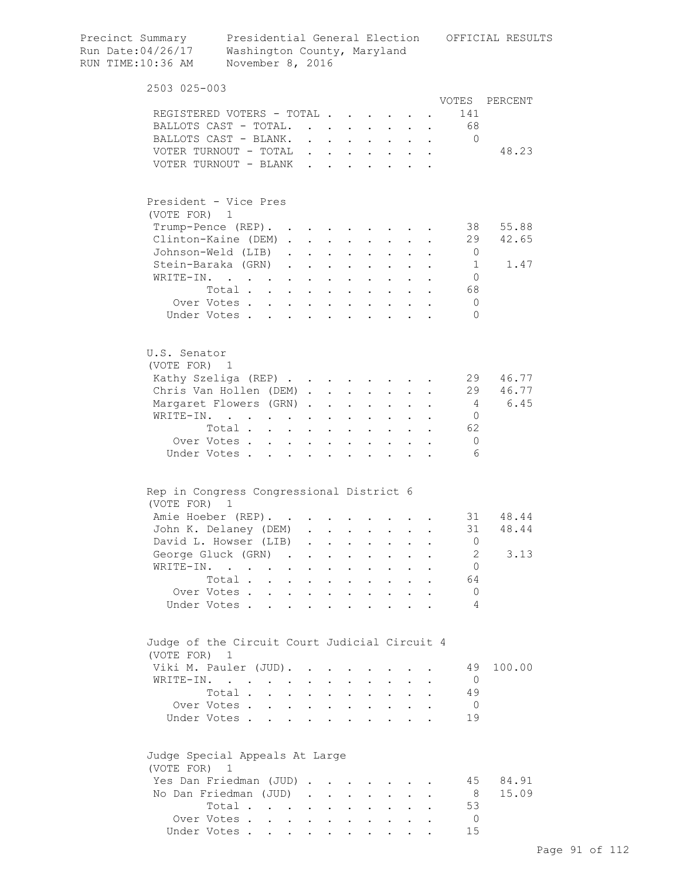| Precinct Summary<br>Run Date:04/26/17<br>RUN TIME:10:36 AM | Washington County, Maryland<br>November 8, 2016                                                                                                                                                                                      |                                   |                 |                                                |                                                                      |                           |                                                             |                                                                                         |                  | Presidential General Election OFFICIAL RESULTS |
|------------------------------------------------------------|--------------------------------------------------------------------------------------------------------------------------------------------------------------------------------------------------------------------------------------|-----------------------------------|-----------------|------------------------------------------------|----------------------------------------------------------------------|---------------------------|-------------------------------------------------------------|-----------------------------------------------------------------------------------------|------------------|------------------------------------------------|
| 2503 025-003                                               |                                                                                                                                                                                                                                      |                                   |                 |                                                |                                                                      |                           |                                                             |                                                                                         |                  |                                                |
| REGISTERED VOTERS - TOTAL                                  |                                                                                                                                                                                                                                      |                                   |                 |                                                |                                                                      |                           |                                                             |                                                                                         | VOTES<br>141     | PERCENT                                        |
| BALLOTS CAST - TOTAL.                                      |                                                                                                                                                                                                                                      |                                   |                 |                                                | $\mathbf{r} = \mathbf{r} + \mathbf{r}$                               |                           | $\mathbf{z} = \mathbf{z} + \mathbf{z}$ .                    |                                                                                         | - 68             |                                                |
| BALLOTS CAST - BLANK.                                      |                                                                                                                                                                                                                                      |                                   |                 |                                                | $\mathbf{L} = \mathbf{L} \mathbf{L}$                                 |                           |                                                             | $\mathbf{z} = \mathbf{z} + \mathbf{z}$ , where $\mathbf{z} = \mathbf{z}$                | $\Omega$         |                                                |
| VOTER TURNOUT - TOTAL                                      |                                                                                                                                                                                                                                      |                                   | $\mathbf{L}$    |                                                | $\mathbf{r}$ , $\mathbf{r}$                                          |                           | $\mathbf{z} = \mathbf{z} + \mathbf{z}$ .                    |                                                                                         |                  | 48.23                                          |
| VOTER TURNOUT - BLANK                                      |                                                                                                                                                                                                                                      |                                   |                 |                                                |                                                                      |                           |                                                             | $\mathbf{r}$ , $\mathbf{r}$ , $\mathbf{r}$ , $\mathbf{r}$ , $\mathbf{r}$ , $\mathbf{r}$ |                  |                                                |
| President - Vice Pres                                      |                                                                                                                                                                                                                                      |                                   |                 |                                                |                                                                      |                           |                                                             |                                                                                         |                  |                                                |
| (VOTE FOR) 1                                               |                                                                                                                                                                                                                                      |                                   |                 |                                                |                                                                      |                           |                                                             |                                                                                         |                  |                                                |
| Trump-Pence (REP). .                                       |                                                                                                                                                                                                                                      |                                   |                 |                                                | $\mathbf{r} = \mathbf{r} + \mathbf{r} + \mathbf{r} + \mathbf{r}$     |                           |                                                             |                                                                                         | 38               | 55.88                                          |
| Clinton-Kaine (DEM).                                       |                                                                                                                                                                                                                                      |                                   |                 |                                                | $\mathcal{A}^{\mathcal{A}}$ and $\mathcal{A}^{\mathcal{A}}$ and      |                           |                                                             |                                                                                         | 29               | 42.65                                          |
| Johnson-Weld (LIB).                                        |                                                                                                                                                                                                                                      |                                   |                 |                                                | $\mathbf{z} = \left\{ \mathbf{z}_1, \ldots, \mathbf{z}_n \right\}$ . |                           |                                                             |                                                                                         | $\overline{0}$   |                                                |
| Stein-Baraka (GRN)                                         |                                                                                                                                                                                                                                      |                                   |                 |                                                |                                                                      |                           | $\cdot$ $\cdot$                                             |                                                                                         | 1                | 1.47                                           |
| WRITE-IN.                                                  | Total                                                                                                                                                                                                                                |                                   |                 |                                                |                                                                      |                           |                                                             |                                                                                         | $\bigcirc$<br>68 |                                                |
| Over Votes.                                                |                                                                                                                                                                                                                                      |                                   |                 |                                                |                                                                      |                           |                                                             |                                                                                         | $\overline{0}$   |                                                |
| Under Votes                                                |                                                                                                                                                                                                                                      |                                   |                 |                                                |                                                                      |                           |                                                             |                                                                                         | $\Omega$         |                                                |
|                                                            |                                                                                                                                                                                                                                      |                                   |                 |                                                |                                                                      |                           |                                                             |                                                                                         |                  |                                                |
| U.S. Senator                                               |                                                                                                                                                                                                                                      |                                   |                 |                                                |                                                                      |                           |                                                             |                                                                                         |                  |                                                |
| (VOTE FOR) 1<br>Kathy Szeliga (REP)                        |                                                                                                                                                                                                                                      |                                   |                 |                                                |                                                                      |                           |                                                             |                                                                                         | 29               | 46.77                                          |
| Chris Van Hollen (DEM)                                     |                                                                                                                                                                                                                                      |                                   |                 |                                                |                                                                      |                           |                                                             |                                                                                         | 29               | 46.77                                          |
| Margaret Flowers (GRN)                                     |                                                                                                                                                                                                                                      |                                   |                 |                                                |                                                                      |                           |                                                             |                                                                                         | 4                | 6.45                                           |
| WRITE-IN.                                                  | <u>in the contract of the contract of the contract of the contract of the contract of the contract of the contract of the contract of the contract of the contract of the contract of the contract of the contract of the contra</u> |                                   |                 |                                                |                                                                      |                           |                                                             |                                                                                         | $\mathbf{0}$     |                                                |
|                                                            | Total                                                                                                                                                                                                                                |                                   |                 |                                                |                                                                      |                           |                                                             |                                                                                         | 62               |                                                |
| Over Votes                                                 |                                                                                                                                                                                                                                      |                                   |                 |                                                |                                                                      |                           |                                                             |                                                                                         | $\Omega$         |                                                |
| Under Votes                                                |                                                                                                                                                                                                                                      |                                   |                 |                                                |                                                                      |                           |                                                             |                                                                                         | 6                |                                                |
| Rep in Congress Congressional District 6                   |                                                                                                                                                                                                                                      |                                   |                 |                                                |                                                                      |                           |                                                             |                                                                                         |                  |                                                |
| (VOTE FOR) 1                                               |                                                                                                                                                                                                                                      |                                   |                 |                                                |                                                                      |                           |                                                             |                                                                                         |                  |                                                |
| Amie Hoeber (REP).                                         |                                                                                                                                                                                                                                      |                                   |                 |                                                |                                                                      |                           |                                                             |                                                                                         |                  | 31 48.44                                       |
| John K. Delanev (DEM)                                      |                                                                                                                                                                                                                                      |                                   |                 |                                                |                                                                      |                           |                                                             |                                                                                         | 31               | 48.44                                          |
| David L. Howser (LIB)                                      |                                                                                                                                                                                                                                      |                                   |                 |                                                |                                                                      |                           |                                                             |                                                                                         | 0                |                                                |
| George Gluck (GRN)                                         |                                                                                                                                                                                                                                      |                                   |                 |                                                |                                                                      |                           |                                                             |                                                                                         | 2                | 3.13                                           |
| WRITE-IN.                                                  | $\mathcal{L}(\mathcal{A})$ . The contribution of the contribution of $\mathcal{A}$                                                                                                                                                   |                                   |                 |                                                |                                                                      | $\mathbf{A}^{\text{max}}$ |                                                             |                                                                                         | $\mathbf{0}$     |                                                |
|                                                            | Total .                                                                                                                                                                                                                              | and a series of the series of the |                 |                                                |                                                                      |                           |                                                             |                                                                                         | 64               |                                                |
| Over Votes                                                 |                                                                                                                                                                                                                                      |                                   | $\sim 10^{-11}$ |                                                | $\cdot$ $\cdot$                                                      | $\ddot{\phantom{0}}$      | $\bullet$ .<br><br><br><br><br><br><br><br><br><br><br><br> |                                                                                         | $\mathbf 0$      |                                                |
| Under Votes                                                |                                                                                                                                                                                                                                      |                                   |                 | $\cdot$ $\cdot$ $\cdot$                        | $\ddot{\phantom{0}}$                                                 |                           | $\ddot{\phantom{0}}$                                        |                                                                                         | 4                |                                                |
| Judge of the Circuit Court Judicial Circuit 4              |                                                                                                                                                                                                                                      |                                   |                 |                                                |                                                                      |                           |                                                             |                                                                                         |                  |                                                |
| (VOTE FOR)                                                 | ı                                                                                                                                                                                                                                    |                                   |                 |                                                |                                                                      |                           |                                                             |                                                                                         |                  |                                                |
| Viki M. Pauler (JUD).                                      |                                                                                                                                                                                                                                      |                                   |                 |                                                |                                                                      |                           |                                                             |                                                                                         | 49               | 100.00                                         |
| WRITE-IN.                                                  |                                                                                                                                                                                                                                      |                                   |                 |                                                |                                                                      |                           |                                                             |                                                                                         | $\overline{0}$   |                                                |
|                                                            | Total                                                                                                                                                                                                                                |                                   |                 |                                                |                                                                      |                           |                                                             |                                                                                         | 49               |                                                |
| Over Votes                                                 |                                                                                                                                                                                                                                      |                                   | $\sim$          | $\sim 100$                                     | $\mathbf{L}^{\text{max}}$                                            | $\ddot{\phantom{0}}$      | $\bullet$ .<br><br><br><br><br><br><br><br><br><br><br><br> |                                                                                         | $\overline{0}$   |                                                |
| Under Votes                                                |                                                                                                                                                                                                                                      |                                   |                 | $\mathbf{r}$ and $\mathbf{r}$                  | $\mathbf{r}$                                                         |                           | $\mathbf{r}$ $\mathbf{r}$                                   |                                                                                         | 19               |                                                |
| Judge Special Appeals At Large<br>(VOTE FOR) 1             |                                                                                                                                                                                                                                      |                                   |                 |                                                |                                                                      |                           |                                                             |                                                                                         |                  |                                                |
| Yes Dan Friedman (JUD)                                     |                                                                                                                                                                                                                                      |                                   |                 |                                                |                                                                      |                           |                                                             |                                                                                         | 45               | 84.91                                          |
| No Dan Friedman (JUD)                                      |                                                                                                                                                                                                                                      |                                   |                 |                                                |                                                                      | $\sim$ $-$                |                                                             |                                                                                         | 8                | 15.09                                          |
|                                                            | Total                                                                                                                                                                                                                                |                                   |                 |                                                |                                                                      |                           |                                                             |                                                                                         | 53               |                                                |
| Over Votes                                                 |                                                                                                                                                                                                                                      |                                   |                 | $\mathbf{A}$ and $\mathbf{A}$ and $\mathbf{A}$ | $\bullet$ .<br><br><br><br><br><br><br><br><br><br><br><br>          |                           |                                                             |                                                                                         | $\overline{0}$   |                                                |
| Under Votes                                                |                                                                                                                                                                                                                                      |                                   |                 |                                                |                                                                      |                           |                                                             |                                                                                         | 15               |                                                |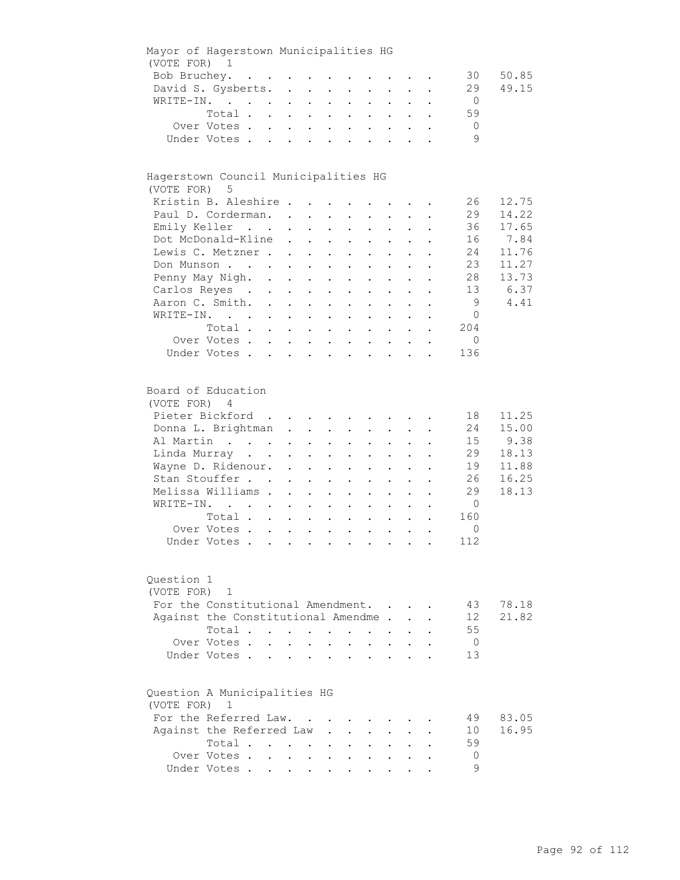| Mayor of Hagerstown Municipalities HG        |                                     |              |                                                       |                      |                                                                    |                                              |                            |             |                                                     |                |       |
|----------------------------------------------|-------------------------------------|--------------|-------------------------------------------------------|----------------------|--------------------------------------------------------------------|----------------------------------------------|----------------------------|-------------|-----------------------------------------------------|----------------|-------|
| (VOTE FOR) 1                                 |                                     |              |                                                       |                      |                                                                    |                                              |                            |             |                                                     |                |       |
|                                              | Bob Bruchey.                        |              |                                                       |                      |                                                                    |                                              |                            |             |                                                     | 30             | 50.85 |
|                                              | David S. Gysberts.                  |              |                                                       |                      |                                                                    |                                              |                            |             |                                                     | 29             | 49.15 |
|                                              | WRITE-IN.                           |              |                                                       |                      |                                                                    |                                              |                            |             |                                                     | $\overline{0}$ |       |
|                                              | Total                               |              |                                                       |                      |                                                                    |                                              |                            |             |                                                     | 59             |       |
|                                              | Over Votes                          |              |                                                       |                      |                                                                    |                                              |                            |             |                                                     | $\overline{0}$ |       |
|                                              | Under Votes                         |              |                                                       |                      |                                                                    |                                              |                            |             |                                                     | 9              |       |
|                                              |                                     |              |                                                       |                      |                                                                    |                                              |                            |             |                                                     |                |       |
| Hagerstown Council Municipalities HG         |                                     |              |                                                       |                      |                                                                    |                                              |                            |             |                                                     |                |       |
| (VOTE FOR) 5                                 |                                     |              |                                                       |                      |                                                                    |                                              |                            |             |                                                     |                |       |
|                                              | Kristin B. Aleshire                 |              |                                                       |                      |                                                                    |                                              |                            |             |                                                     | 26             | 12.75 |
|                                              | Paul D. Corderman.                  |              |                                                       |                      |                                                                    |                                              |                            |             |                                                     | 29             | 14.22 |
|                                              | Emily Keller                        |              |                                                       |                      |                                                                    |                                              |                            |             |                                                     | 36             | 17.65 |
|                                              | Dot McDonald-Kline                  |              |                                                       |                      |                                                                    |                                              |                            |             | $\mathbf{r} = \mathbf{r} + \mathbf{r}$ .            | 16             | 7.84  |
|                                              | Lewis C. Metzner                    |              |                                                       |                      |                                                                    |                                              |                            |             |                                                     | 24             | 11.76 |
|                                              | Don Munson                          |              |                                                       |                      |                                                                    |                                              |                            |             |                                                     | 23             | 11.27 |
|                                              | Penny May Nigh.                     |              |                                                       |                      | $\sim 10^{-11}$                                                    | $\ddot{\phantom{a}}$                         |                            |             |                                                     | 28             | 13.73 |
|                                              | Carlos Reyes                        |              | $\mathbf{L}^{\text{max}}$ , $\mathbf{L}^{\text{max}}$ |                      | $\sim$ $-$                                                         | $\ddot{\phantom{0}}$                         |                            |             |                                                     | 13             | 6.37  |
|                                              | Aaron C. Smith.                     |              |                                                       |                      |                                                                    |                                              |                            |             | $\sim$ $\sim$                                       | 9              | 4.41  |
|                                              | WRITE-IN.                           |              |                                                       |                      |                                                                    |                                              |                            |             |                                                     | $\circ$        |       |
|                                              | Total                               |              |                                                       |                      |                                                                    |                                              |                            |             |                                                     | 204            |       |
|                                              | Over Votes.                         |              |                                                       |                      |                                                                    |                                              |                            |             |                                                     | $\mathbf{0}$   |       |
|                                              | Under Votes                         |              |                                                       |                      |                                                                    |                                              |                            |             |                                                     | 136            |       |
| Board of Education                           |                                     |              |                                                       |                      |                                                                    |                                              |                            |             |                                                     |                |       |
| (VOTE FOR) 4                                 |                                     |              |                                                       |                      |                                                                    |                                              |                            |             |                                                     |                |       |
|                                              | Pieter Bickford                     |              |                                                       |                      |                                                                    |                                              |                            |             |                                                     | 18             | 11.25 |
|                                              | Donna L. Brightman                  |              |                                                       |                      |                                                                    |                                              |                            |             |                                                     | 24             | 15.00 |
|                                              | Al Martin                           |              |                                                       |                      |                                                                    |                                              |                            |             |                                                     | 15             | 9.38  |
|                                              |                                     |              |                                                       |                      |                                                                    |                                              |                            |             |                                                     | 29             | 18.13 |
|                                              | Linda Murray                        |              |                                                       |                      |                                                                    |                                              |                            |             |                                                     |                |       |
|                                              | Wayne D. Ridenour.                  |              |                                                       |                      |                                                                    |                                              |                            |             | $\mathbf{r} = \mathbf{r} + \mathbf{r} + \mathbf{r}$ | 19             | 11.88 |
|                                              | Stan Stouffer                       |              |                                                       |                      | $\mathbf{r} = \mathbf{r} + \mathbf{r} + \mathbf{r} + \mathbf{r}$ . |                                              |                            | $\bullet$ . |                                                     | 26             | 16.25 |
|                                              | Melissa Williams                    |              |                                                       |                      |                                                                    | $\mathbf{r} = \mathbf{r} \cdot \mathbf{r}$ . | $\sim$ $-$                 |             |                                                     | 29             | 18.13 |
|                                              | WRITE-IN.                           |              |                                                       | $\sim$               | $\sim$                                                             | $\ddot{\phantom{0}}$                         | $\mathcal{L}^{\text{max}}$ | $\sim$      |                                                     | $\overline{0}$ |       |
|                                              | Total                               |              |                                                       | $\ddot{\phantom{0}}$ |                                                                    | $\ddot{\phantom{0}}$                         |                            |             |                                                     | 160            |       |
|                                              | Over Votes                          |              |                                                       |                      |                                                                    |                                              |                            |             | $\ddot{\phantom{a}}$                                | $\circ$        |       |
|                                              | Under Votes                         |              |                                                       |                      |                                                                    |                                              |                            |             |                                                     | 112            |       |
| Question 1<br>(VOTE FOR)                     | $\mathbf{1}$                        |              |                                                       |                      |                                                                    |                                              |                            |             |                                                     |                |       |
|                                              | For the Constitutional Amendment. . |              |                                                       |                      |                                                                    |                                              |                            |             |                                                     | 43             | 78.18 |
|                                              | Against the Constitutional Amendme. |              |                                                       |                      |                                                                    |                                              |                            |             |                                                     | 12             | 21.82 |
|                                              | Total                               |              |                                                       |                      | $\sim$ 100 $\pm$                                                   | $\ddot{\phantom{a}}$                         |                            |             |                                                     | 55             |       |
|                                              | Over Votes.                         | $\mathbf{L}$ | $\mathbf{L}$                                          | $\ddot{\phantom{a}}$ |                                                                    |                                              | $\ddot{\phantom{a}}$       |             |                                                     | $\overline{0}$ |       |
|                                              | Under Votes.                        |              |                                                       |                      |                                                                    |                                              | $\ddot{\phantom{a}}$       |             |                                                     | 13             |       |
|                                              |                                     |              |                                                       |                      |                                                                    |                                              |                            |             |                                                     |                |       |
| Question A Municipalities HG<br>(VOTE FOR) 1 |                                     |              |                                                       |                      |                                                                    |                                              |                            |             |                                                     |                |       |
|                                              | For the Referred Law.               |              |                                                       |                      |                                                                    |                                              |                            |             |                                                     | 49             | 83.05 |
|                                              | Against the Referred Law            |              |                                                       |                      |                                                                    |                                              |                            |             |                                                     | 10             | 16.95 |
|                                              | Total                               |              |                                                       |                      |                                                                    |                                              |                            |             |                                                     | 59             |       |
|                                              | Over Votes.                         |              | $\mathbf{L} = \mathbf{L} \times \mathbf{L}$           |                      | $\ddot{\phantom{a}}$                                               |                                              |                            |             |                                                     | 0              |       |
|                                              | Under Votes                         |              |                                                       |                      |                                                                    |                                              |                            |             |                                                     | 9              |       |
|                                              |                                     |              |                                                       |                      |                                                                    |                                              |                            |             |                                                     |                |       |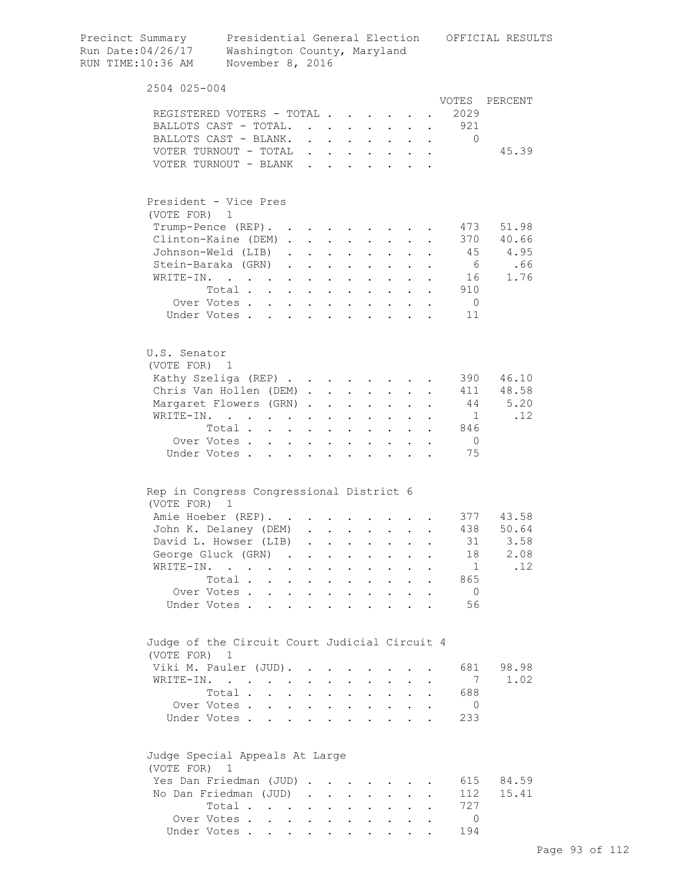| Precinct Summary<br>Run Date:04/26/17<br>RUN TIME:10:36 AM | Presidential General Election<br>Washington County, Maryland<br>November 8, 2016        |                           |                                                                      |                               |                               |                                                                               |                                                             |        |                | OFFICIAL RESULTS |
|------------------------------------------------------------|-----------------------------------------------------------------------------------------|---------------------------|----------------------------------------------------------------------|-------------------------------|-------------------------------|-------------------------------------------------------------------------------|-------------------------------------------------------------|--------|----------------|------------------|
| 2504 025-004                                               |                                                                                         |                           |                                                                      |                               |                               |                                                                               |                                                             |        |                |                  |
|                                                            |                                                                                         |                           |                                                                      |                               |                               |                                                                               |                                                             |        | VOTES          | PERCENT          |
|                                                            | REGISTERED VOTERS - TOTAL                                                               |                           |                                                                      |                               |                               |                                                                               |                                                             |        | 2029           |                  |
|                                                            | BALLOTS CAST - TOTAL.                                                                   |                           |                                                                      |                               |                               |                                                                               |                                                             |        | . 921          |                  |
|                                                            | BALLOTS CAST - BLANK.                                                                   |                           |                                                                      |                               |                               | $\mathbf{r} = \mathbf{r} + \mathbf{r} + \mathbf{r} + \mathbf{r} + \mathbf{r}$ | $\sim$ 100 $\pm$                                            | $\sim$ | $\mathbf{0}$   |                  |
|                                                            | VOTER TURNOUT - TOTAL                                                                   |                           |                                                                      |                               |                               |                                                                               | $\sim$ $\sim$ $\sim$                                        |        |                | 45.39            |
|                                                            | VOTER TURNOUT - BLANK                                                                   |                           |                                                                      | $\sim$                        |                               |                                                                               |                                                             |        |                |                  |
| (VOTE FOR) 1                                               | President - Vice Pres                                                                   |                           |                                                                      |                               |                               |                                                                               |                                                             |        |                |                  |
|                                                            | Trump-Pence (REP).                                                                      |                           |                                                                      |                               |                               | <b>Contract Contract Contract</b>                                             |                                                             |        | 473            | 51.98            |
|                                                            | Clinton-Kaine (DEM)                                                                     |                           |                                                                      |                               |                               | $\mathbf{z} = \mathbf{z} + \mathbf{z}$ .                                      | $\bullet$ .                                                 |        | 370            | 40.66            |
|                                                            | Johnson-Weld (LIB).                                                                     |                           | <b>All Contracts</b>                                                 |                               | $\mathbf{a}$ and $\mathbf{b}$ | $\sim 100$                                                                    |                                                             |        | 45             | 4.95             |
|                                                            | Stein-Baraka (GRN).                                                                     |                           | $\mathbf{A}^{(1)}$ and $\mathbf{A}^{(2)}$ and $\mathbf{A}^{(3)}$ and |                               | $\sim$ $-$                    |                                                                               |                                                             |        | 6              | .66              |
|                                                            | WRITE-IN.                                                                               | $\mathbf{L}^{\text{max}}$ | $\bullet$                                                            |                               |                               |                                                                               |                                                             |        | 16             | 1.76             |
|                                                            | Total .<br>$\sim$<br>$\sim$                                                             | $\sim$ $-$                | $\ddot{\phantom{0}}$                                                 | <b>Contractor</b>             | $\bullet$ .                   | $\sim$ $-$                                                                    |                                                             |        | 910            |                  |
|                                                            | Over Votes                                                                              | $\ddot{\phantom{0}}$      |                                                                      | $\mathbf{L} = \mathbf{L}$     |                               | $\mathbf{r} = \mathbf{r} + \mathbf{r}$ .                                      |                                                             |        | $\bigcirc$     |                  |
|                                                            | Under Votes                                                                             |                           |                                                                      |                               |                               | $\cdot$ $\cdot$ $\cdot$ $\cdot$ $\cdot$                                       |                                                             |        | 11             |                  |
| U.S. Senator<br>(VOTE FOR) 1                               |                                                                                         |                           |                                                                      |                               |                               |                                                                               |                                                             |        |                |                  |
|                                                            | Kathy Szeliga (REP)                                                                     |                           |                                                                      |                               |                               |                                                                               |                                                             |        | 390            | 46.10            |
|                                                            | Chris Van Hollen (DEM).                                                                 |                           |                                                                      | $\mathbf{L} = \mathbf{L}$     | $\ddot{\phantom{0}}$          | $\sim$ 10 $\pm$                                                               |                                                             |        | 411            | 48.58            |
|                                                            | Margaret Flowers (GRN).                                                                 |                           |                                                                      | $\cdot$ $\cdot$               | $\sim$                        | $\bullet$ .                                                                   |                                                             |        | 44             | 5.20             |
| WRITE-IN.                                                  | $\mathbf{L} = \mathbf{L}$                                                               |                           |                                                                      | $\sim$ $-$                    | $\sim 10^{-10}$               |                                                                               |                                                             |        | $\mathbf{1}$   | .12              |
|                                                            | Total                                                                                   |                           |                                                                      | $\mathbf{L}$ and $\mathbf{L}$ |                               | $\cdot$ $\cdot$ $\cdot$ $\cdot$                                               |                                                             |        | 846            |                  |
|                                                            | Over Votes                                                                              |                           | $\bullet$                                                            | $\sim$ $\sim$                 |                               | $\mathbf{r}$ , $\mathbf{r}$ , $\mathbf{r}$                                    |                                                             |        | $\overline{0}$ |                  |
|                                                            | Under Votes                                                                             |                           |                                                                      |                               |                               | $\cdot$ $\cdot$ $\cdot$ $\cdot$ $\cdot$ $\cdot$ $\cdot$ $\cdot$               |                                                             |        | 75             |                  |
| (VOTE FOR) 1                                               | Rep in Congress Congressional District 6                                                |                           |                                                                      |                               |                               |                                                                               |                                                             |        |                |                  |
|                                                            | Amie Hoeber (REP).                                                                      |                           |                                                                      |                               |                               |                                                                               |                                                             |        |                | 377 43.58        |
|                                                            | John K. Delaney (DEM)                                                                   |                           |                                                                      |                               |                               |                                                                               |                                                             |        | 438            | 50.64            |
|                                                            | David L. Howser (LIB)                                                                   |                           |                                                                      |                               |                               |                                                                               |                                                             |        | 31             | 3.58             |
|                                                            | George Gluck (GRN)                                                                      |                           |                                                                      |                               |                               |                                                                               |                                                             |        | 18             | 2.08             |
| WRITE-IN.                                                  | $\mathbf{r}$ , $\mathbf{r}$ , $\mathbf{r}$ , $\mathbf{r}$ , $\mathbf{r}$ , $\mathbf{r}$ |                           |                                                                      |                               |                               | $\mathbf{r}$ , and $\mathbf{r}$ , and $\mathbf{r}$                            | $\ddot{\phantom{0}}$                                        |        | $\overline{1}$ | .12              |
|                                                            | Total                                                                                   |                           |                                                                      |                               |                               | $\cdot$ $\cdot$ $\cdot$                                                       | $\bullet$ .<br><br><br><br><br><br><br><br><br><br><br><br> |        | 865            |                  |
|                                                            | Over Votes                                                                              |                           |                                                                      |                               |                               | $\mathbf{r} = \left\{ \mathbf{r}_1, \ldots, \mathbf{r}_n \right\}$ , where    |                                                             |        | $\overline{0}$ |                  |
|                                                            | Under Votes                                                                             |                           |                                                                      |                               |                               |                                                                               |                                                             |        | 56             |                  |
| (VOTE FOR)                                                 | Judge of the Circuit Court Judicial Circuit 4<br>1                                      |                           |                                                                      |                               |                               |                                                                               |                                                             |        |                |                  |
|                                                            | Viki M. Pauler (JUD).                                                                   |                           |                                                                      |                               |                               |                                                                               |                                                             |        | 681            | 98.98            |
|                                                            | WRITE-IN.                                                                               |                           |                                                                      |                               |                               |                                                                               |                                                             |        | 7              | 1.02             |
|                                                            | Total                                                                                   |                           |                                                                      |                               |                               | and a strong control of the strong strong                                     |                                                             |        | 688            |                  |
|                                                            | Over Votes                                                                              |                           |                                                                      |                               |                               | $\mathbf{r} = \left\{ \mathbf{r}_1, \ldots, \mathbf{r}_n \right\}$ , where    |                                                             |        | $\overline{0}$ |                  |
|                                                            | Under Votes                                                                             |                           |                                                                      |                               |                               |                                                                               |                                                             |        | 233            |                  |
| (VOTE FOR) 1                                               | Judge Special Appeals At Large                                                          |                           |                                                                      |                               |                               |                                                                               |                                                             |        |                |                  |
|                                                            | Yes Dan Friedman (JUD)                                                                  |                           |                                                                      |                               |                               |                                                                               |                                                             |        | 615            | 84.59            |
|                                                            | No Dan Friedman (JUD)                                                                   |                           |                                                                      |                               |                               |                                                                               |                                                             |        | 112            | 15.41            |
|                                                            | Total                                                                                   |                           |                                                                      |                               |                               |                                                                               |                                                             |        | 727            |                  |
|                                                            | Over Votes                                                                              |                           |                                                                      |                               |                               |                                                                               |                                                             |        | $\Omega$       |                  |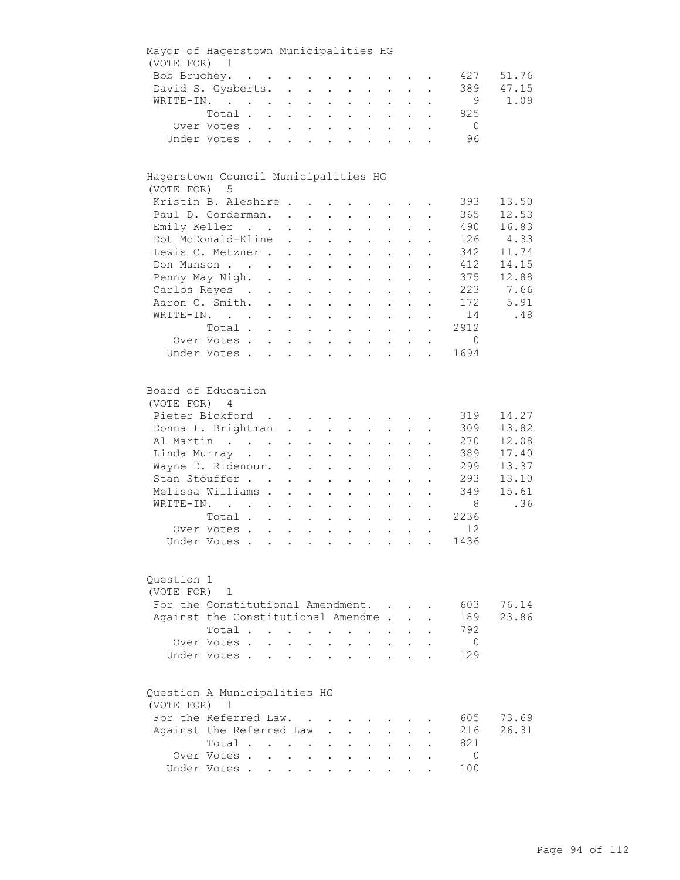|                          | Mayor of Hagerstown Municipalities HG |                      |                                                                          |                           |                                                                          |                            |                                          |                                                         |                                                             |             |                |       |
|--------------------------|---------------------------------------|----------------------|--------------------------------------------------------------------------|---------------------------|--------------------------------------------------------------------------|----------------------------|------------------------------------------|---------------------------------------------------------|-------------------------------------------------------------|-------------|----------------|-------|
| (VOTE FOR) 1             |                                       |                      |                                                                          |                           |                                                                          |                            |                                          |                                                         |                                                             |             |                |       |
|                          | Bob Bruchey.                          |                      |                                                                          |                           |                                                                          |                            |                                          |                                                         |                                                             |             | 427            | 51.76 |
|                          | David S. Gysberts.                    |                      |                                                                          |                           |                                                                          |                            |                                          |                                                         |                                                             |             | 389            | 47.15 |
|                          | WRITE-IN.                             |                      |                                                                          |                           |                                                                          | $\mathcal{L}^{\text{max}}$ |                                          | $\mathbf{r} = \mathbf{r}$ and $\mathbf{r} = \mathbf{r}$ |                                                             |             | 9              | 1.09  |
|                          | Total                                 |                      |                                                                          |                           |                                                                          |                            |                                          |                                                         |                                                             |             | 825            |       |
|                          | Over Votes                            |                      |                                                                          |                           |                                                                          |                            |                                          |                                                         |                                                             |             | $\overline{0}$ |       |
|                          | Under Votes                           |                      |                                                                          |                           |                                                                          |                            |                                          |                                                         |                                                             |             | 96             |       |
|                          |                                       |                      |                                                                          |                           |                                                                          |                            |                                          |                                                         |                                                             |             |                |       |
| (VOTE FOR) 5             | Hagerstown Council Municipalities HG  |                      |                                                                          |                           |                                                                          |                            |                                          |                                                         |                                                             |             |                |       |
|                          | Kristin B. Aleshire                   |                      |                                                                          |                           |                                                                          |                            |                                          |                                                         |                                                             |             | 393            | 13.50 |
|                          | Paul D. Corderman.                    |                      |                                                                          |                           |                                                                          |                            |                                          |                                                         |                                                             |             | 365            | 12.53 |
|                          |                                       |                      |                                                                          |                           |                                                                          |                            |                                          |                                                         |                                                             |             |                |       |
|                          | Emily Keller                          |                      |                                                                          |                           | $\mathbf{r} = \mathbf{r} + \mathbf{r} + \mathbf{r} + \mathbf{r}$         |                            |                                          |                                                         | $\mathbf{L}^{\text{max}}$ , and $\mathbf{L}^{\text{max}}$   |             | 490            | 16.83 |
|                          | Dot McDonald-Kline                    |                      | $\mathbf{L}^{\text{max}}$                                                |                           | $\mathbf{z} = \mathbf{z} + \mathbf{z}$ , where $\mathbf{z} = \mathbf{z}$ |                            | $\mathbf{L}^{\text{max}}$                | $\bullet$ .                                             | $\mathbf{L}^{\text{max}}$                                   |             | 126            | 4.33  |
|                          | Lewis C. Metzner.                     |                      | $\sim$ 100 $\pm$                                                         |                           | $\mathbf{A}^{\text{max}}$ , $\mathbf{A}^{\text{max}}$                    | $\bullet$ .                | $\mathbf{L}^{\text{max}}$                | $\mathbf{L}^{\text{max}}$                               |                                                             |             | 342            | 11.74 |
|                          | Don Munson                            |                      |                                                                          |                           |                                                                          |                            |                                          |                                                         |                                                             |             | 412            | 14.15 |
|                          | Penny May Nigh. .                     |                      | $\mathbf{L}^{\text{max}}$ , $\mathbf{L}^{\text{max}}$                    |                           | $\sim 10^{-10}$                                                          |                            |                                          |                                                         |                                                             |             | 375            | 12.88 |
|                          | Carlos Reyes .                        | $\mathcal{L}^{(1)}$  | $\mathbf{a}$ and $\mathbf{b}$                                            | $\sim$                    | $\sim$ 100 $\pm$                                                         | $\bullet$                  | $\ddot{\phantom{0}}$                     |                                                         |                                                             |             | 223            | 7.66  |
|                          | Aaron C. Smith.                       |                      |                                                                          |                           |                                                                          |                            | $\mathbf{r} = \mathbf{r}$                | $\ddot{\phantom{0}}$                                    | $\sim$                                                      |             | 172            | 5.91  |
|                          | WRITE-IN.                             |                      |                                                                          |                           |                                                                          |                            |                                          |                                                         |                                                             |             | 14             | .48   |
|                          | Total                                 |                      |                                                                          |                           |                                                                          |                            |                                          |                                                         |                                                             |             | 2912           |       |
|                          | Over Votes                            |                      |                                                                          |                           |                                                                          |                            |                                          |                                                         |                                                             | $\bullet$ . | $\overline{0}$ |       |
|                          | Under Votes                           |                      |                                                                          |                           |                                                                          |                            |                                          |                                                         |                                                             |             | 1694           |       |
|                          |                                       |                      |                                                                          |                           |                                                                          |                            |                                          |                                                         |                                                             |             |                |       |
| (VOTE FOR) 4             | Board of Education<br>Pieter Bickford |                      |                                                                          |                           |                                                                          |                            |                                          |                                                         |                                                             |             | 319            | 14.27 |
|                          | Donna L. Brightman                    |                      |                                                                          |                           |                                                                          |                            |                                          |                                                         |                                                             |             | 309            | 13.82 |
|                          | Al Martin                             |                      |                                                                          |                           |                                                                          |                            |                                          |                                                         |                                                             |             | 270            | 12.08 |
|                          | Linda Murray                          |                      |                                                                          |                           |                                                                          |                            |                                          |                                                         |                                                             |             | 389            | 17.40 |
|                          | Wayne D. Ridenour.                    |                      |                                                                          |                           | $\mathbf{z} = \mathbf{z} + \mathbf{z}$ , where $\mathbf{z} = \mathbf{z}$ |                            | $\mathbf{z} = \mathbf{z} + \mathbf{z}$ . | $\bullet$ .                                             | $\bullet$ .<br><br><br><br><br><br><br><br><br><br><br><br> |             | 299            | 13.37 |
|                          | Stan Stouffer                         |                      | $\ddot{\phantom{0}}$                                                     |                           | $\mathbf{z} = \mathbf{z} + \mathbf{z}$ .                                 | $\bullet$ .                | $\mathbf{z} = \mathbf{z}$                | $\bullet$ .                                             |                                                             |             | 293            | 13.10 |
|                          | Melissa Williams .                    |                      | $\mathbf{L}^{\text{max}}$                                                | $\bullet$ .               | $\mathbf{L}^{\text{max}}$                                                |                            | $\ddot{\phantom{a}}$                     |                                                         |                                                             |             | 349            | 15.61 |
|                          | WRITE-IN.                             |                      | $\sim$                                                                   | $\ddot{\phantom{0}}$      | $\bullet$                                                                | $\ddot{\phantom{0}}$       | $\mathcal{L}^{\text{max}}$               |                                                         |                                                             |             | - 8            | .36   |
|                          | Total                                 |                      |                                                                          | $\mathbf{L}^{\text{max}}$ | $\ddot{\phantom{a}}$                                                     | $\ddot{\phantom{a}}$       | $\ddot{\phantom{0}}$                     |                                                         |                                                             |             | 2236           |       |
|                          | Over Votes                            |                      |                                                                          |                           |                                                                          |                            | $\mathbf{z} = \mathbf{z} + \mathbf{z}$ . | $\bullet$                                               | $\ddot{\phantom{a}}$                                        |             | 12             |       |
|                          | Under Votes                           |                      |                                                                          |                           |                                                                          |                            |                                          |                                                         |                                                             |             | 1436           |       |
|                          |                                       |                      |                                                                          |                           |                                                                          |                            |                                          |                                                         |                                                             |             |                |       |
| Question 1<br>(VOTE FOR) | 1                                     |                      |                                                                          |                           |                                                                          |                            |                                          |                                                         |                                                             |             |                |       |
|                          | For the Constitutional Amendment.     |                      |                                                                          |                           |                                                                          |                            |                                          |                                                         |                                                             |             | 603            | 76.14 |
|                          | Against the Constitutional Amendme.   |                      |                                                                          |                           |                                                                          |                            |                                          |                                                         |                                                             |             | 189            | 23.86 |
|                          | Total .                               |                      | $\mathbf{z} = \mathbf{z} + \mathbf{z}$ , where $\mathbf{z} = \mathbf{z}$ |                           | $\sim$                                                                   | $\ddot{\phantom{0}}$       |                                          |                                                         |                                                             |             | 792            |       |
|                          | Over Votes.                           | $\ddot{\phantom{0}}$ |                                                                          |                           |                                                                          |                            |                                          |                                                         |                                                             |             | $\circ$        |       |
|                          | Under Votes.                          |                      |                                                                          |                           | $\ddot{\phantom{a}}$                                                     |                            | $\ddot{\phantom{a}}$                     |                                                         |                                                             |             | 129            |       |
|                          |                                       |                      |                                                                          |                           |                                                                          |                            |                                          |                                                         |                                                             |             |                |       |
| (VOTE FOR) 1             | Question A Municipalities HG          |                      |                                                                          |                           |                                                                          |                            |                                          |                                                         |                                                             |             |                |       |
|                          | For the Referred Law.                 |                      |                                                                          |                           |                                                                          |                            |                                          |                                                         |                                                             |             | 605            | 73.69 |
|                          | Against the Referred Law              |                      |                                                                          |                           |                                                                          |                            |                                          |                                                         |                                                             |             | 216            | 26.31 |
|                          | Total                                 |                      |                                                                          |                           |                                                                          |                            |                                          |                                                         |                                                             |             | 821            |       |
|                          | Over Votes .                          |                      | $\mathbf{L}$ and $\mathbf{L}$                                            | $\sim$                    |                                                                          |                            |                                          |                                                         |                                                             |             | 0              |       |
|                          | Under Votes                           |                      |                                                                          |                           |                                                                          |                            |                                          |                                                         |                                                             |             | 100            |       |
|                          |                                       |                      |                                                                          |                           |                                                                          |                            |                                          |                                                         |                                                             |             |                |       |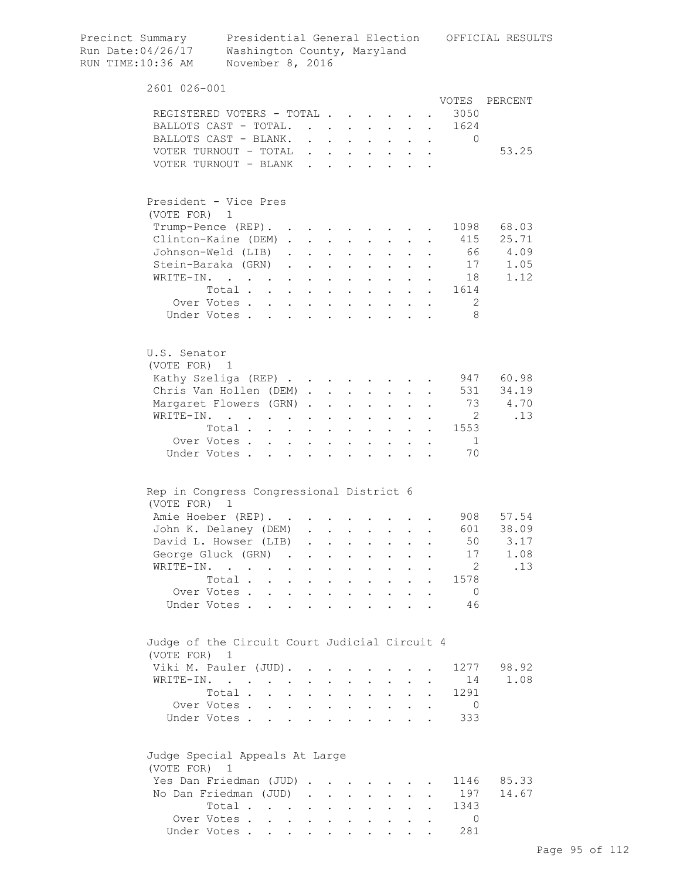| Precinct Summary<br>Run Date:04/26/17<br>RUN TIME:10:36 AM                                                     | Washington County, Maryland<br>November 8, 2016 |                                                           |                            |                           |                                      |                  |                                                                                                                                                                                                                                                                                                                                                                                                                        |                      |           |                       | Presidential General Election OFFICIAL RESULTS |
|----------------------------------------------------------------------------------------------------------------|-------------------------------------------------|-----------------------------------------------------------|----------------------------|---------------------------|--------------------------------------|------------------|------------------------------------------------------------------------------------------------------------------------------------------------------------------------------------------------------------------------------------------------------------------------------------------------------------------------------------------------------------------------------------------------------------------------|----------------------|-----------|-----------------------|------------------------------------------------|
| 2601 026-001                                                                                                   |                                                 |                                                           |                            |                           |                                      |                  |                                                                                                                                                                                                                                                                                                                                                                                                                        |                      |           |                       |                                                |
|                                                                                                                |                                                 |                                                           |                            |                           |                                      |                  |                                                                                                                                                                                                                                                                                                                                                                                                                        |                      |           |                       | VOTES PERCENT                                  |
| REGISTERED VOTERS - TOTAL                                                                                      |                                                 |                                                           |                            |                           |                                      |                  |                                                                                                                                                                                                                                                                                                                                                                                                                        |                      |           | 3050                  |                                                |
| BALLOTS CAST - TOTAL                                                                                           |                                                 |                                                           |                            |                           |                                      |                  |                                                                                                                                                                                                                                                                                                                                                                                                                        |                      |           | 1624                  |                                                |
| BALLOTS CAST - BLANK.                                                                                          |                                                 |                                                           |                            |                           |                                      |                  |                                                                                                                                                                                                                                                                                                                                                                                                                        |                      |           | $\Omega$              |                                                |
| VOTER TURNOUT - TOTAL                                                                                          |                                                 |                                                           |                            |                           | $\mathbf{L} = \mathbf{L} \mathbf{L}$ | $\sim$ 100 $\pm$ | $\mathbf{L}^{\text{max}}$                                                                                                                                                                                                                                                                                                                                                                                              | $\mathbf{L}$         | $\sim$    |                       | 53.25                                          |
| VOTER TURNOUT - BLANK                                                                                          |                                                 |                                                           |                            | $\mathbf{r}$ $\mathbf{r}$ |                                      |                  | $\mathbf{L} = \mathbf{L}$                                                                                                                                                                                                                                                                                                                                                                                              |                      |           |                       |                                                |
| President - Vice Pres<br>(VOTE FOR) 1                                                                          |                                                 |                                                           |                            |                           |                                      |                  |                                                                                                                                                                                                                                                                                                                                                                                                                        |                      |           |                       |                                                |
| Trump-Pence (REP).                                                                                             |                                                 |                                                           |                            |                           |                                      |                  | <b>Contract Contract Street</b>                                                                                                                                                                                                                                                                                                                                                                                        |                      | $\bullet$ | 1098                  | 68.03                                          |
| Clinton-Kaine (DEM).                                                                                           |                                                 |                                                           | $\sim$                     | $\ddot{\phantom{a}}$      |                                      |                  | $\mathbf{L}^{\text{max}}$                                                                                                                                                                                                                                                                                                                                                                                              |                      |           | 415                   | 25.71                                          |
| Johnson-Weld (LIB)                                                                                             |                                                 | $\mathbf{L}$                                              |                            |                           |                                      |                  |                                                                                                                                                                                                                                                                                                                                                                                                                        |                      |           | 66                    | 4.09<br>17                                     |
| Stein-Baraka (GRN)                                                                                             |                                                 | $\mathbf{L}$                                              | $\mathcal{L}^{\text{max}}$ | $\ddot{\phantom{a}}$      | $\sim 100$ km s $^{-1}$              | $\sim$           | $\ddot{\phantom{0}}$                                                                                                                                                                                                                                                                                                                                                                                                   | $\mathbf{L}$         |           |                       | 1.05                                           |
| WRITE-IN.                                                                                                      | $\mathbf{r}$ , $\mathbf{r}$ , $\mathbf{r}$      | $\mathbf{L}^{\text{max}}$                                 | $\sim$                     | $\ddot{\phantom{a}}$      | $\sim 100$ km s $^{-1}$              |                  | $\mathbf{r} = \mathbf{r} + \mathbf{r}$ .                                                                                                                                                                                                                                                                                                                                                                               | $\mathbf{L}$         |           | 18                    | 1.12                                           |
|                                                                                                                | Total                                           |                                                           |                            | $\ddot{\phantom{a}}$      | $\sim$ $\sim$ $\sim$                 |                  | $\mathbf{1}=\mathbf{1}=\mathbf{1}=\mathbf{1}=\mathbf{1}=\mathbf{1}=\mathbf{1}=\mathbf{1}=\mathbf{1}=\mathbf{1}=\mathbf{1}=\mathbf{1}=\mathbf{1}=\mathbf{1}=\mathbf{1}=\mathbf{1}=\mathbf{1}=\mathbf{1}=\mathbf{1}=\mathbf{1}=\mathbf{1}=\mathbf{1}=\mathbf{1}=\mathbf{1}=\mathbf{1}=\mathbf{1}=\mathbf{1}=\mathbf{1}=\mathbf{1}=\mathbf{1}=\mathbf{1}=\mathbf{1}=\mathbf{1}=\mathbf{1}=\mathbf{1}=\mathbf{1}=\mathbf{$ |                      |           | 1614                  |                                                |
|                                                                                                                | Over Votes                                      |                                                           |                            |                           |                                      |                  |                                                                                                                                                                                                                                                                                                                                                                                                                        |                      |           | 2                     |                                                |
|                                                                                                                | Under Votes                                     |                                                           |                            |                           |                                      |                  |                                                                                                                                                                                                                                                                                                                                                                                                                        |                      |           | -8                    |                                                |
| U.S. Senator<br>(VOTE FOR) 1                                                                                   |                                                 |                                                           |                            |                           |                                      |                  |                                                                                                                                                                                                                                                                                                                                                                                                                        |                      |           |                       |                                                |
| Kathy Szeliga (REP)                                                                                            |                                                 |                                                           |                            |                           |                                      |                  |                                                                                                                                                                                                                                                                                                                                                                                                                        |                      |           |                       | 947 60.98                                      |
| Chris Van Hollen (DEM)                                                                                         |                                                 |                                                           |                            |                           |                                      |                  |                                                                                                                                                                                                                                                                                                                                                                                                                        |                      |           | 531                   | 34.19                                          |
| Margaret Flowers (GRN).                                                                                        |                                                 |                                                           |                            | $\ddot{\phantom{a}}$      | $\mathbf{L}$                         | $\mathbf{L}$     | $\mathbf{L}^{\text{max}}$                                                                                                                                                                                                                                                                                                                                                                                              |                      |           | 73                    | 4.70                                           |
| WRITE-IN.                                                                                                      | the contract of the contract of the contract of |                                                           |                            | $\bullet$                 | $\sim$                               | $\sim$ $-$       | $\sim$ 100 $\pm$                                                                                                                                                                                                                                                                                                                                                                                                       | $\ddot{\phantom{0}}$ |           | $\overline{2}$        | .13                                            |
|                                                                                                                | Total                                           |                                                           |                            |                           |                                      | $\bullet$ .      | $\mathbf{z} = \mathbf{z}$                                                                                                                                                                                                                                                                                                                                                                                              | $\ddot{\phantom{0}}$ |           | 1553                  |                                                |
|                                                                                                                | Over Votes                                      | $\ddot{\phantom{0}}$                                      | $\mathbf{A}^{\text{max}}$  | $\bullet$ .               | $\bullet$ .                          |                  |                                                                                                                                                                                                                                                                                                                                                                                                                        |                      |           | $\overline{1}$        |                                                |
|                                                                                                                | Under Votes                                     |                                                           |                            |                           |                                      |                  |                                                                                                                                                                                                                                                                                                                                                                                                                        |                      |           | 70                    |                                                |
| Rep in Congress Congressional District 6                                                                       |                                                 |                                                           |                            |                           |                                      |                  |                                                                                                                                                                                                                                                                                                                                                                                                                        |                      |           |                       |                                                |
| (VOTE FOR)                                                                                                     | $\mathbf{1}$                                    |                                                           |                            |                           |                                      |                  |                                                                                                                                                                                                                                                                                                                                                                                                                        |                      |           |                       |                                                |
| Amie Hoeber (REP).                                                                                             |                                                 |                                                           |                            |                           |                                      |                  |                                                                                                                                                                                                                                                                                                                                                                                                                        |                      |           | 908 —                 | 57.54                                          |
| John K. Delaney (DEM)                                                                                          |                                                 |                                                           |                            |                           |                                      |                  |                                                                                                                                                                                                                                                                                                                                                                                                                        |                      |           | 601                   | 38.09                                          |
| David L. Howser (LIB)                                                                                          |                                                 |                                                           |                            |                           |                                      | $\bullet$        | $\mathbf{L}^{\text{max}}$                                                                                                                                                                                                                                                                                                                                                                                              | $\ddot{\phantom{a}}$ |           | 50                    | 3.17                                           |
| George Gluck (GRN) .                                                                                           |                                                 |                                                           |                            | $\ddot{\phantom{0}}$      | $\ddot{\phantom{a}}$                 | $\bullet$        | $\ddot{\phantom{0}}$                                                                                                                                                                                                                                                                                                                                                                                                   |                      |           | 17                    | 1.08                                           |
| WRITE-IN.                                                                                                      |                                                 | $\bullet$                                                 |                            | $\ddot{\phantom{0}}$      |                                      |                  |                                                                                                                                                                                                                                                                                                                                                                                                                        |                      |           | $\overline{2}$        | .13                                            |
|                                                                                                                | Total.<br>$\mathbf{r}$                          | $\ddot{\phantom{0}}$                                      |                            | $\ddot{\phantom{a}}$      | $\ddot{\phantom{a}}$                 |                  | $\ddot{\phantom{a}}$                                                                                                                                                                                                                                                                                                                                                                                                   | $\ddot{\phantom{a}}$ |           | 1578                  |                                                |
|                                                                                                                | Over Votes.<br>$\ddot{\phantom{a}}$             | $\mathbf{r}$                                              | $\ddot{\phantom{a}}$       |                           | $\ddot{\phantom{a}}$                 |                  |                                                                                                                                                                                                                                                                                                                                                                                                                        |                      |           | $\overline{0}$        |                                                |
| Under Votes.                                                                                                   | $\overline{a}$                                  | $\mathbf{r}$                                              | $\mathbf{L}$               | $\overline{a}$            | $\mathbf{r}$                         | $\overline{a}$   | $\ddot{\phantom{a}}$                                                                                                                                                                                                                                                                                                                                                                                                   |                      |           | 46                    |                                                |
| Judge of the Circuit Court Judicial Circuit 4                                                                  |                                                 |                                                           |                            |                           |                                      |                  |                                                                                                                                                                                                                                                                                                                                                                                                                        |                      |           |                       |                                                |
| (VOTE FOR) 1                                                                                                   |                                                 |                                                           |                            |                           |                                      |                  |                                                                                                                                                                                                                                                                                                                                                                                                                        |                      |           |                       |                                                |
| Viki M. Pauler (JUD).                                                                                          |                                                 |                                                           |                            |                           |                                      |                  |                                                                                                                                                                                                                                                                                                                                                                                                                        |                      |           | 1277                  | 98.92                                          |
| $\texttt{WRITE-IN.}\qquad \qquad \qquad \qquad \qquad \qquad \qquad \qquad \qquad \qquad \qquad \qquad \qquad$ |                                                 |                                                           |                            |                           |                                      |                  |                                                                                                                                                                                                                                                                                                                                                                                                                        |                      |           | 14                    | 1.08                                           |
|                                                                                                                | Total .                                         | $\ddot{\phantom{a}}$                                      |                            | $\ddot{\phantom{a}}$      |                                      |                  | $\ddot{\phantom{0}}$                                                                                                                                                                                                                                                                                                                                                                                                   |                      |           | 1291                  |                                                |
|                                                                                                                | Over Votes<br>Under Votes                       | $\ddot{\phantom{0}}$                                      | $\sim$<br>$\mathbf{L}$     |                           | $\ddot{\phantom{a}}$<br>$\mathbf{r}$ | $\mathbf{r}$     | $\ddot{\phantom{0}}$<br>$\sim$                                                                                                                                                                                                                                                                                                                                                                                         | $\mathbf{r}$         |           | $\overline{0}$<br>333 |                                                |
| Judge Special Appeals At Large                                                                                 |                                                 |                                                           |                            |                           |                                      |                  |                                                                                                                                                                                                                                                                                                                                                                                                                        |                      |           |                       |                                                |
| (VOTE FOR)                                                                                                     | $\overline{1}$                                  |                                                           |                            |                           |                                      |                  |                                                                                                                                                                                                                                                                                                                                                                                                                        |                      |           | 1146                  | 85.33                                          |
| Yes Dan Friedman (JUD).                                                                                        |                                                 |                                                           |                            | $\ddot{\phantom{a}}$      |                                      |                  |                                                                                                                                                                                                                                                                                                                                                                                                                        |                      |           | 197                   | 14.67                                          |
| No Dan Friedman (JUD)                                                                                          |                                                 |                                                           | $\ddot{\phantom{a}}$       | $\mathbf{L}^{\text{max}}$ | $\ddot{\phantom{a}}$                 |                  |                                                                                                                                                                                                                                                                                                                                                                                                                        |                      |           |                       |                                                |
|                                                                                                                | Total.                                          | $\mathbf{L}^{\text{max}}$ , and $\mathbf{L}^{\text{max}}$ | $\bullet$                  | $\ddot{\phantom{a}}$      | $\ddot{\phantom{a}}$                 |                  | $\ddot{\phantom{0}}$                                                                                                                                                                                                                                                                                                                                                                                                   |                      |           | 1343                  |                                                |
|                                                                                                                | Over Votes                                      | $\sim$                                                    | $\ddot{\phantom{0}}$       |                           |                                      |                  |                                                                                                                                                                                                                                                                                                                                                                                                                        |                      |           | $\circ$               |                                                |
|                                                                                                                | Under Votes                                     |                                                           |                            |                           |                                      |                  |                                                                                                                                                                                                                                                                                                                                                                                                                        |                      |           | 281                   |                                                |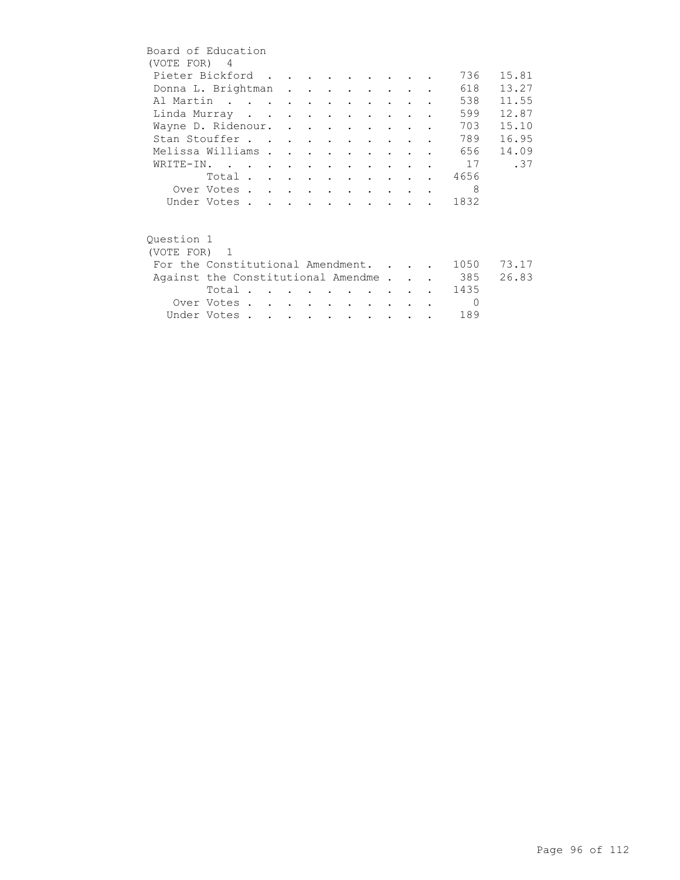| Board of Education |                                    |  |  |                                 |                                 |        |  |          |       |
|--------------------|------------------------------------|--|--|---------------------------------|---------------------------------|--------|--|----------|-------|
| (VOTE FOR) 4       |                                    |  |  |                                 |                                 |        |  |          |       |
|                    | Pieter Bickford                    |  |  |                                 |                                 |        |  | 736      | 15.81 |
|                    | Donna L. Brightman                 |  |  |                                 |                                 |        |  | 618      | 13.27 |
|                    | Al Martin                          |  |  |                                 |                                 |        |  | 538      | 11.55 |
|                    | Linda Murray                       |  |  |                                 |                                 |        |  | 599      | 12.87 |
|                    | Wayne D. Ridenour.                 |  |  |                                 |                                 |        |  | 703      | 15.10 |
|                    | Stan Stouffer                      |  |  |                                 |                                 |        |  | 789      | 16.95 |
| Melissa Williams   |                                    |  |  |                                 | $\cdot$ $\cdot$ $\cdot$ $\cdot$ |        |  | 656      | 14.09 |
|                    | WRITE-IN.                          |  |  |                                 |                                 |        |  | 17       | .37   |
|                    | Total                              |  |  |                                 |                                 |        |  | 4656     |       |
|                    | Over Votes                         |  |  |                                 |                                 |        |  | 8        |       |
|                    | Under Votes                        |  |  |                                 |                                 |        |  | 1832     |       |
|                    |                                    |  |  |                                 |                                 |        |  |          |       |
|                    |                                    |  |  |                                 |                                 |        |  |          |       |
| Ouestion 1         |                                    |  |  |                                 |                                 |        |  |          |       |
| (VOTE FOR) 1       |                                    |  |  |                                 |                                 |        |  |          |       |
|                    | For the Constitutional Amendment.  |  |  |                                 |                                 |        |  | 1050     | 73.17 |
|                    | Against the Constitutional Amendme |  |  |                                 |                                 |        |  | . 385    | 26.83 |
|                    | Total                              |  |  |                                 |                                 |        |  | 1435     |       |
|                    | Over Votes                         |  |  | <b>Contract Contract Street</b> |                                 | $\sim$ |  | $\Omega$ |       |
|                    | Under Votes                        |  |  |                                 |                                 |        |  | 189      |       |
|                    |                                    |  |  |                                 |                                 |        |  |          |       |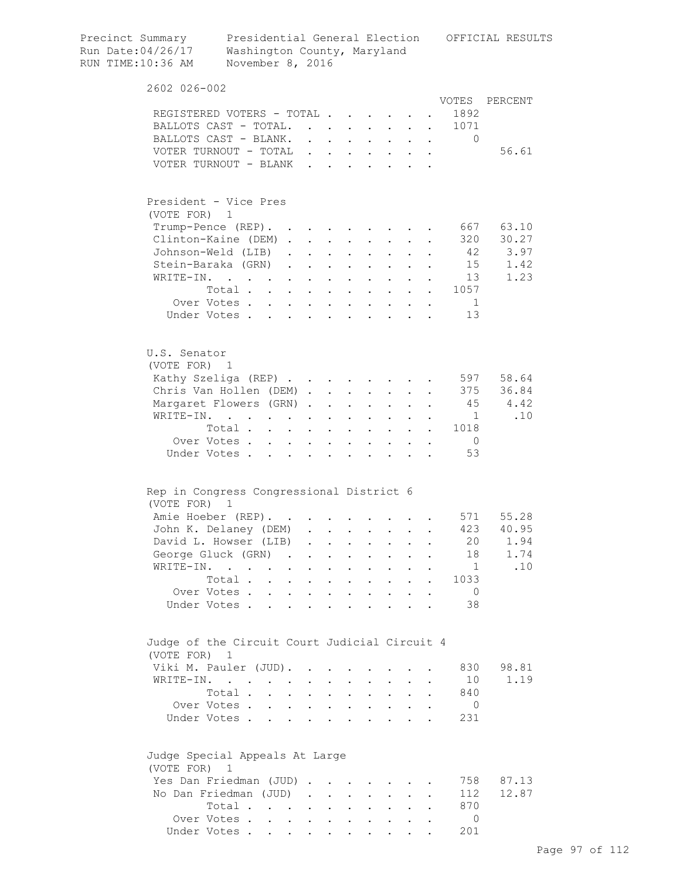| Precinct Summary<br>Run Date:04/26/17<br>RUN TIME:10:36 AM | Presidential General Election OFFICIAL RESULTS<br>Washington County, Maryland<br>November 8, 2016 |                        |                         |                                      |                      |                                                                                                        |                      |                      |                                       |            |
|------------------------------------------------------------|---------------------------------------------------------------------------------------------------|------------------------|-------------------------|--------------------------------------|----------------------|--------------------------------------------------------------------------------------------------------|----------------------|----------------------|---------------------------------------|------------|
| 2602 026-002                                               |                                                                                                   |                        |                         |                                      |                      |                                                                                                        |                      |                      |                                       |            |
|                                                            |                                                                                                   |                        |                         |                                      |                      |                                                                                                        |                      |                      | VOTES                                 | PERCENT    |
|                                                            | REGISTERED VOTERS - TOTAL                                                                         |                        |                         |                                      |                      |                                                                                                        |                      |                      | 1892                                  |            |
|                                                            | BALLOTS CAST - TOTAL.                                                                             |                        |                         |                                      |                      |                                                                                                        |                      |                      | 1071                                  |            |
|                                                            | BALLOTS CAST - BLANK.                                                                             |                        |                         |                                      |                      | $\mathbf{r}$ , $\mathbf{r}$ , $\mathbf{r}$ , $\mathbf{r}$ , $\mathbf{r}$ , $\mathbf{r}$ , $\mathbf{r}$ |                      |                      | 0                                     |            |
|                                                            | VOTER TURNOUT - TOTAL                                                                             |                        |                         |                                      |                      |                                                                                                        |                      |                      |                                       | 56.61      |
|                                                            | VOTER TURNOUT - BLANK                                                                             |                        |                         |                                      |                      |                                                                                                        |                      |                      |                                       |            |
| (VOTE FOR) 1                                               | President - Vice Pres                                                                             |                        |                         |                                      |                      |                                                                                                        |                      |                      |                                       |            |
|                                                            | Trump-Pence (REP).                                                                                |                        |                         |                                      |                      |                                                                                                        |                      |                      | 667                                   | 63.10      |
|                                                            | Clinton-Kaine (DEM)                                                                               |                        |                         |                                      |                      |                                                                                                        | $\mathbf{L}$         |                      | 320                                   | 30.27      |
|                                                            | Johnson-Weld (LIB)                                                                                |                        |                         | $\mathbf{L}$ and $\mathbf{L}$        |                      | $\ddot{\phantom{a}}$                                                                                   |                      |                      |                                       | 42<br>3.97 |
|                                                            | Stein-Baraka (GRN).                                                                               | $\sim$ 100 $\pm$       |                         | $\mathbf{L} = \mathbf{L} \mathbf{L}$ |                      | $\mathbf{L} = \mathbf{L} \mathbf{L}$                                                                   |                      |                      |                                       | 15<br>1.42 |
| WRITE-IN.                                                  | $\mathcal{L}(\mathbf{r})$ , and $\mathcal{L}(\mathbf{r})$ , and $\mathcal{L}(\mathbf{r})$         | $\mathbf{A}^{(1)}$ and | $\bullet$               | <b>Contractor</b>                    |                      | $\mathbf{z} = \mathbf{z} + \mathbf{z}$ .                                                               |                      |                      | 13                                    | 1.23       |
|                                                            | Total                                                                                             |                        |                         |                                      |                      | $\mathbf{L}^{\text{max}}$ , and $\mathbf{L}^{\text{max}}$                                              | $\sim 10^{-10}$      |                      | 1057<br>$\mathbf{a}$ and $\mathbf{a}$ |            |
|                                                            | Over Votes                                                                                        |                        |                         |                                      |                      |                                                                                                        |                      |                      | $\overline{1}$                        |            |
|                                                            | Under Votes                                                                                       |                        |                         | $\sim$                               |                      |                                                                                                        |                      |                      | 13                                    |            |
| U.S. Senator<br>(VOTE FOR) 1                               |                                                                                                   |                        |                         |                                      |                      |                                                                                                        |                      |                      |                                       |            |
|                                                            | Kathy Szeliga (REP)                                                                               |                        |                         |                                      |                      |                                                                                                        |                      |                      |                                       | 597 58.64  |
|                                                            | Chris Van Hollen (DEM)                                                                            |                        |                         |                                      |                      |                                                                                                        |                      |                      |                                       | 375 36.84  |
|                                                            | Margaret Flowers (GRN)                                                                            |                        |                         | <b>Contractor</b>                    | $\sim$ 100 $\pm$     |                                                                                                        |                      |                      | 45                                    | 4.42       |
|                                                            | WRITE-IN.                                                                                         |                        |                         |                                      |                      |                                                                                                        |                      |                      | $\overline{1}$                        | .10        |
|                                                            | Total                                                                                             |                        | $\ddot{\phantom{a}}$    | $\sim$                               |                      | $\mathbf{L}$                                                                                           |                      |                      | 1018                                  |            |
|                                                            | Over Votes                                                                                        |                        |                         |                                      |                      |                                                                                                        |                      |                      | $\overline{0}$                        |            |
|                                                            | $\ddot{\phantom{0}}$<br>Under Votes<br>$\mathbf{L}$                                               | $\mathbf{L}$           |                         | $\ddot{\phantom{a}}$<br>$\mathbf{r}$ | $\mathbf{r}$         |                                                                                                        |                      |                      | 53                                    |            |
| (VOTE FOR)                                                 | Rep in Congress Congressional District 6<br>$\mathbf{1}$                                          |                        |                         |                                      |                      |                                                                                                        |                      |                      |                                       |            |
|                                                            | Amie Hoeber (REP).                                                                                |                        |                         |                                      |                      |                                                                                                        |                      |                      |                                       | 571 55.28  |
|                                                            | John K. Delaney (DEM)                                                                             |                        |                         |                                      |                      |                                                                                                        |                      |                      |                                       | 423 40.95  |
|                                                            | David L. Howser (LIB)                                                                             | $\sim$                 |                         |                                      |                      |                                                                                                        |                      |                      | 20                                    | 1.94       |
|                                                            | George Gluck (GRN).                                                                               |                        | $\ddot{\phantom{0}}$    | $\mathbf{L}^{\text{max}}$            | $\ddot{\phantom{0}}$ | $\ddot{\phantom{0}}$                                                                                   |                      |                      | 18                                    | 1.74       |
|                                                            | WRITE-IN.<br>$\ddot{\phantom{0}}$<br>$\ddot{\phantom{0}}$                                         |                        | $\ddot{\phantom{a}}$    | $\ddot{\phantom{0}}$                 | $\ddot{\phantom{0}}$ | $\ddot{\phantom{0}}$                                                                                   |                      |                      | 1                                     | .10        |
|                                                            | Total                                                                                             | $\sim$                 | $\ddot{\phantom{a}}$    | $\sim 100$ km s $^{-1}$              |                      | $\mathbf{r} = \mathbf{r}$                                                                              | $\mathbf{r}$         | $\ddot{\phantom{a}}$ | 1033                                  |            |
|                                                            | Over Votes                                                                                        |                        | $\ddot{\phantom{a}}$    | $\sim$ $\sim$                        |                      | $\mathbf{r} = \mathbf{r} \cdot \mathbf{r}$                                                             |                      |                      | $\overline{0}$                        |            |
|                                                            | Under Votes                                                                                       |                        |                         |                                      |                      |                                                                                                        |                      |                      | 38                                    |            |
| (VOTE FOR) 1                                               | Judge of the Circuit Court Judicial Circuit 4                                                     |                        |                         |                                      |                      |                                                                                                        |                      |                      |                                       |            |
|                                                            | Viki M. Pauler (JUD).                                                                             |                        | $\cdot$ $\cdot$ $\cdot$ | $\sim$                               | $\ddot{\phantom{0}}$ |                                                                                                        |                      |                      | 830                                   | 98.81      |
|                                                            | WRITE-IN.                                                                                         | $\ddot{\phantom{0}}$   |                         | $\mathbf{L}$ and $\mathbf{L}$        |                      | $\mathbf{L}$ and $\mathbf{L}$                                                                          | $\mathbf{L}$         |                      | 10                                    | 1.19       |
|                                                            | Total .<br>$\mathbf{r} = \mathbf{r}$                                                              | $\ddot{\phantom{0}}$   |                         | $\mathbf{L}$ and $\mathbf{L}$        |                      | $\mathbf{L} = \mathbf{L}$                                                                              | $\ddot{\phantom{0}}$ | $\ddot{\phantom{a}}$ | 840                                   |            |
|                                                            | Over Votes                                                                                        |                        |                         |                                      |                      |                                                                                                        |                      | $\ddot{\phantom{a}}$ | - 0                                   |            |
|                                                            | Under Votes                                                                                       |                        |                         |                                      |                      |                                                                                                        |                      |                      | 231                                   |            |
| (VOTE FOR) 1                                               | Judge Special Appeals At Large                                                                    |                        |                         |                                      |                      |                                                                                                        |                      |                      |                                       |            |
|                                                            | Yes Dan Friedman (JUD)                                                                            |                        |                         |                                      |                      |                                                                                                        |                      |                      | 758                                   | 87.13      |
|                                                            | No Dan Friedman (JUD)                                                                             |                        |                         |                                      |                      |                                                                                                        |                      |                      | 112                                   | 12.87      |
|                                                            | Total                                                                                             |                        |                         |                                      |                      |                                                                                                        |                      |                      | 870                                   |            |
|                                                            | Over Votes                                                                                        |                        |                         |                                      |                      |                                                                                                        |                      |                      | $\Omega$                              |            |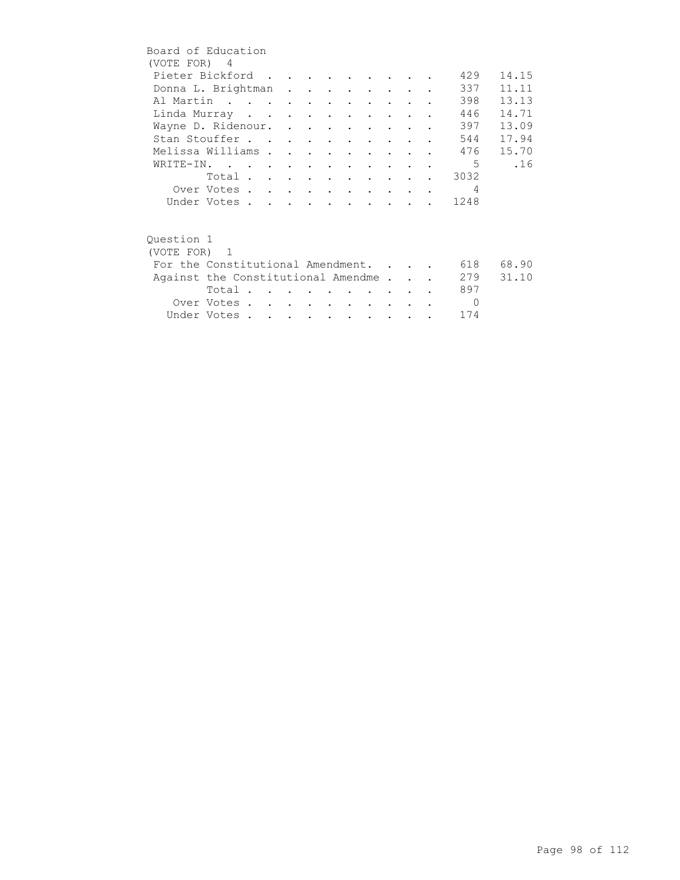| Board of Education                 |                         |  |  |                          |                      |  |                |       |
|------------------------------------|-------------------------|--|--|--------------------------|----------------------|--|----------------|-------|
| (VOTE FOR) 4                       |                         |  |  |                          |                      |  |                |       |
| Pieter Bickford                    |                         |  |  |                          |                      |  | 429            | 14.15 |
| Donna L. Brightman                 |                         |  |  |                          |                      |  | 337            | 11.11 |
| Al Martin                          |                         |  |  |                          |                      |  | 398            | 13.13 |
| Linda Murray                       |                         |  |  |                          |                      |  | 446            | 14.71 |
| Wayne D. Ridenour.                 |                         |  |  |                          |                      |  | 397            | 13.09 |
| Stan Stouffer                      |                         |  |  |                          |                      |  | 544            | 17.94 |
| Melissa Williams                   |                         |  |  | $\sim$ $\sim$            |                      |  | 476            | 15.70 |
| WRITE-IN.                          |                         |  |  |                          |                      |  | .5             | .16   |
|                                    | Total                   |  |  |                          |                      |  | 3032           |       |
|                                    | Over Votes              |  |  |                          |                      |  | $\overline{4}$ |       |
|                                    | Under Votes             |  |  |                          |                      |  | . 1248         |       |
|                                    |                         |  |  |                          |                      |  |                |       |
| Ouestion 1                         |                         |  |  |                          |                      |  |                |       |
| (VOTE FOR) 1                       |                         |  |  |                          |                      |  |                |       |
| For the Constitutional Amendment.  |                         |  |  |                          |                      |  | 618            | 68.90 |
| Against the Constitutional Amendme |                         |  |  |                          |                      |  | 279            | 31.10 |
|                                    | Total $\cdots$ $\cdots$ |  |  |                          |                      |  | 897            |       |
|                                    | Over Votes              |  |  | <b>Contract Contract</b> | $\sim$ $\sim$ $\sim$ |  | $\Omega$       |       |
|                                    | Under Votes             |  |  |                          |                      |  | 174            |       |
|                                    |                         |  |  |                          |                      |  |                |       |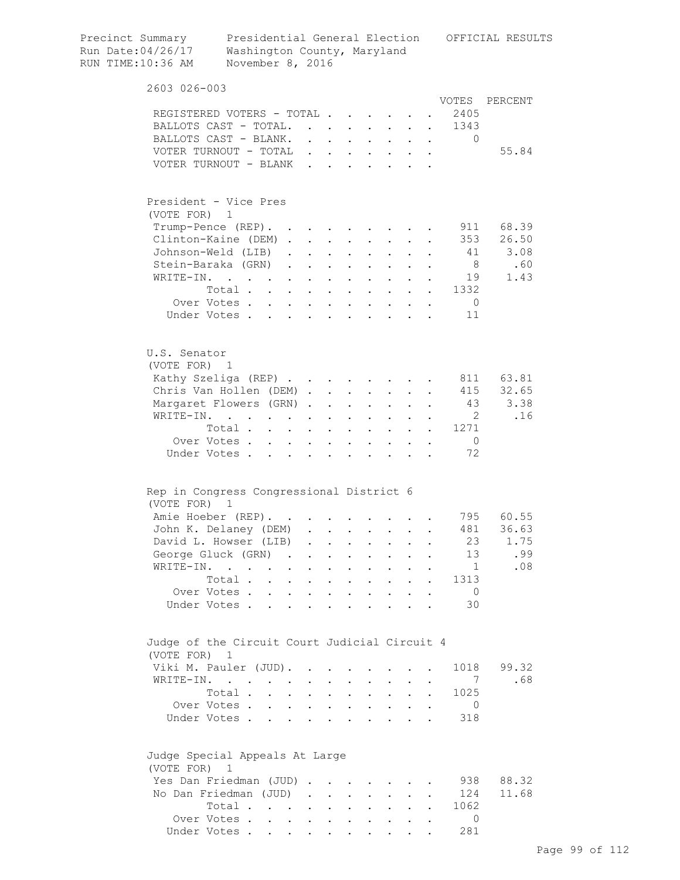| Precinct Summary<br>Run Date:04/26/17<br>RUN TIME:10:36 AM    | Washington County, Maryland<br>November 8, 2016 |                                        |                                        |                                                             |                                |                                                                                                        |                                           |                                                                                                            |                      | Presidential General Election OFFICIAL RESULTS |
|---------------------------------------------------------------|-------------------------------------------------|----------------------------------------|----------------------------------------|-------------------------------------------------------------|--------------------------------|--------------------------------------------------------------------------------------------------------|-------------------------------------------|------------------------------------------------------------------------------------------------------------|----------------------|------------------------------------------------|
| 2603 026-003                                                  |                                                 |                                        |                                        |                                                             |                                |                                                                                                        |                                           |                                                                                                            |                      |                                                |
|                                                               |                                                 |                                        |                                        |                                                             |                                |                                                                                                        |                                           |                                                                                                            |                      | VOTES PERCENT                                  |
|                                                               | REGISTERED VOTERS - TOTAL                       |                                        |                                        |                                                             |                                |                                                                                                        |                                           |                                                                                                            | 2405                 |                                                |
|                                                               | BALLOTS CAST - TOTAL.                           |                                        |                                        |                                                             | $\sim$                         |                                                                                                        |                                           |                                                                                                            | 1343                 |                                                |
|                                                               | BALLOTS CAST - BLANK.<br>VOTER TURNOUT - TOTAL  |                                        | $\mathbf{r} = \mathbf{r} + \mathbf{r}$ |                                                             |                                | $\sim$                                                                                                 | $\sim$                                    | $\mathbf{L}$<br>$\ddot{\phantom{a}}$                                                                       | $\Omega$             | 55.84                                          |
|                                                               | VOTER TURNOUT - BLANK                           |                                        |                                        |                                                             |                                |                                                                                                        |                                           | $\cdot$ $\cdot$ $\cdot$ $\cdot$ $\cdot$ $\cdot$ $\cdot$ $\cdot$<br>$\cdot$ $\cdot$ $\cdot$ $\cdot$ $\cdot$ |                      |                                                |
|                                                               |                                                 |                                        |                                        |                                                             |                                |                                                                                                        |                                           |                                                                                                            |                      |                                                |
| President - Vice Pres                                         |                                                 |                                        |                                        |                                                             |                                |                                                                                                        |                                           |                                                                                                            |                      |                                                |
| (VOTE FOR) 1                                                  | Trump-Pence (REP).                              |                                        |                                        |                                                             |                                |                                                                                                        |                                           |                                                                                                            |                      | 911 68.39                                      |
|                                                               | Clinton-Kaine (DEM).                            |                                        | $\sim$                                 | $\sim$ $-$                                                  |                                |                                                                                                        | $\sim$                                    |                                                                                                            | 353                  | 26.50                                          |
|                                                               | Johnson-Weld (LIB).                             |                                        | $\sim$                                 | $\mathbf{L} = \mathbf{L}$                                   |                                | $\mathbf{L}$                                                                                           | $\mathbf{L}$                              | $\mathbf{L}$                                                                                               | 41                   | 3.08                                           |
|                                                               | Stein-Baraka (GRN)                              |                                        |                                        | $\ddot{\phantom{a}}$                                        | $\sim$ $\sim$ $\sim$           | $\mathbf{L} = \mathbf{L}$                                                                              |                                           |                                                                                                            | 8 <sup>1</sup>       | .60                                            |
| WRITE-IN.                                                     | $\cdot$                                         |                                        | $\sim$                                 | $\ddot{\phantom{0}}$                                        | $\sim$ $\sim$                  | $\mathbf{L} = \mathbf{L}$                                                                              |                                           |                                                                                                            |                      | 1.43<br>19                                     |
|                                                               | Total                                           |                                        |                                        |                                                             |                                | $\mathbf{1}$ $\mathbf{1}$ $\mathbf{1}$ $\mathbf{1}$ $\mathbf{1}$ $\mathbf{1}$                          |                                           |                                                                                                            | 1332<br>$\mathbf{L}$ |                                                |
|                                                               | Over Votes                                      |                                        |                                        |                                                             |                                | <b>All Carl Carl Control</b>                                                                           |                                           | $\bullet$                                                                                                  | $\overline{0}$       |                                                |
|                                                               | Under Votes                                     |                                        |                                        |                                                             |                                |                                                                                                        |                                           |                                                                                                            | 11                   |                                                |
|                                                               |                                                 |                                        |                                        |                                                             |                                |                                                                                                        |                                           |                                                                                                            |                      |                                                |
| U.S. Senator<br>(VOTE FOR) 1                                  |                                                 |                                        |                                        |                                                             |                                |                                                                                                        |                                           |                                                                                                            |                      |                                                |
|                                                               | Kathy Szeliga (REP)                             |                                        |                                        |                                                             |                                |                                                                                                        |                                           |                                                                                                            |                      | 811 63.81                                      |
|                                                               | Chris Van Hollen (DEM).                         |                                        |                                        |                                                             |                                | $\mathbf{1}$ , $\mathbf{1}$ , $\mathbf{1}$ , $\mathbf{1}$ , $\mathbf{1}$ , $\mathbf{1}$ , $\mathbf{1}$ |                                           |                                                                                                            | 415                  | 32.65                                          |
|                                                               | Margaret Flowers (GRN).                         |                                        |                                        | $\ddot{\phantom{a}}$                                        | $\mathbf{L}^{\text{max}}$      | $\mathbf{z} = \mathbf{z} + \mathbf{z}$ .                                                               |                                           | $\ddot{\phantom{a}}$                                                                                       | 43                   | 3.38                                           |
|                                                               | WRITE-IN.                                       |                                        |                                        | $\bullet$                                                   | $\mathbf{L}^{\text{max}}$      | $\mathbf{L}^{\text{max}}$                                                                              | $\mathbf{L}^{\text{max}}$                 |                                                                                                            | $\overline{2}$       | .16                                            |
|                                                               | Total                                           |                                        |                                        |                                                             |                                | $\bullet$ .                                                                                            | $\sim$                                    | $\ddot{\phantom{0}}$                                                                                       | 1271                 |                                                |
|                                                               | Over Votes .<br>$\ddot{\phantom{a}}$            | $\ddot{\phantom{0}}$                   | $\sim$                                 | $\ddot{\phantom{a}}$                                        |                                |                                                                                                        |                                           |                                                                                                            | $\overline{0}$       |                                                |
| Under Votes.                                                  |                                                 |                                        |                                        |                                                             |                                |                                                                                                        |                                           |                                                                                                            | 72                   |                                                |
| Rep in Congress Congressional District 6                      |                                                 |                                        |                                        |                                                             |                                |                                                                                                        |                                           |                                                                                                            |                      |                                                |
| (VOTE FOR)                                                    | 1                                               |                                        |                                        |                                                             |                                |                                                                                                        |                                           |                                                                                                            |                      |                                                |
|                                                               | Amie Hoeber (REP).                              |                                        |                                        |                                                             |                                |                                                                                                        |                                           |                                                                                                            |                      | 795 60.55                                      |
|                                                               | John K. Delaney (DEM)                           |                                        |                                        |                                                             |                                |                                                                                                        |                                           |                                                                                                            | 481                  | 36.63                                          |
|                                                               | David L. Howser (LIB)                           |                                        | $\ddot{\phantom{a}}$                   | $\ddot{\phantom{0}}$                                        |                                |                                                                                                        |                                           |                                                                                                            | 23                   | 1.75                                           |
|                                                               | George Gluck (GRN) .                            |                                        |                                        |                                                             |                                |                                                                                                        |                                           |                                                                                                            | 13                   | .99                                            |
| WRITE-IN.                                                     |                                                 | $\ddot{\phantom{a}}$                   |                                        |                                                             |                                |                                                                                                        |                                           |                                                                                                            | $\mathbf{1}$         | .08                                            |
|                                                               | Total .<br>$\sim$                               | $\mathbf{L}$                           |                                        |                                                             | $\ddot{\phantom{a}}$           |                                                                                                        | $\ddot{\phantom{0}}$                      |                                                                                                            | 1313                 |                                                |
|                                                               | Over Votes<br>Under Votes.<br>$\overline{a}$    | $\mathbf{r}$ . The set of $\mathbf{r}$ | $\mathbf{r}$                           | $\ddot{\phantom{a}}$<br>$\ddot{\phantom{a}}$                | $\sim$<br>$\ddot{\phantom{a}}$ | $\ddot{\phantom{a}}$<br>$\ddot{\phantom{a}}$                                                           | $\sim$<br><b>Contract Contract Street</b> | $\mathbf{A}$                                                                                               | $\overline{0}$<br>30 |                                                |
|                                                               |                                                 |                                        |                                        |                                                             |                                |                                                                                                        |                                           |                                                                                                            |                      |                                                |
| Judge of the Circuit Court Judicial Circuit 4<br>(VOTE FOR) 1 |                                                 |                                        |                                        |                                                             |                                |                                                                                                        |                                           |                                                                                                            |                      |                                                |
|                                                               | Viki M. Pauler (JUD).                           |                                        |                                        |                                                             |                                |                                                                                                        |                                           |                                                                                                            | 1018                 | 99.32                                          |
|                                                               | WRITE-IN.                                       |                                        |                                        |                                                             |                                |                                                                                                        |                                           |                                                                                                            | 7                    | .68                                            |
|                                                               | Total.                                          | $\ddot{\phantom{a}}$                   |                                        |                                                             |                                | $\ddot{\phantom{0}}$                                                                                   | $\ddot{\phantom{0}}$                      | $\ddot{\phantom{a}}$                                                                                       | 1025                 |                                                |
|                                                               | Over Votes                                      |                                        | $\mathbf{L}$                           | $\mathbf{r}$                                                | $\mathbf{L}$                   | $\ddot{\phantom{1}}$                                                                                   |                                           | $\mathbf{L}$<br>$\ddot{\phantom{a}}$                                                                       | $\overline{0}$       |                                                |
|                                                               | Under Votes                                     | $\mathbf{r}$ and $\mathbf{r}$          |                                        | $\ddot{\phantom{a}}$                                        | $\sim$ $\sim$                  | $\mathbf{L} = \mathbf{L} \mathbf{L} + \mathbf{L} \mathbf{L}$                                           |                                           |                                                                                                            | 318                  |                                                |
| Judge Special Appeals At Large                                |                                                 |                                        |                                        |                                                             |                                |                                                                                                        |                                           |                                                                                                            |                      |                                                |
| (VOTE FOR) 1                                                  |                                                 |                                        |                                        |                                                             |                                |                                                                                                        |                                           |                                                                                                            |                      |                                                |
|                                                               | Yes Dan Friedman (JUD)                          |                                        |                                        |                                                             |                                |                                                                                                        |                                           |                                                                                                            | 938                  | 88.32                                          |
|                                                               | No Dan Friedman (JUD).                          |                                        |                                        | $\sim$ $-$                                                  | $\mathbf{L}$                   | $\ddot{\phantom{0}}$                                                                                   | $\mathbf{L}$                              |                                                                                                            | 124                  | 11.68                                          |
|                                                               | Total                                           |                                        | $\sim$ $-$                             | $\bullet$ .<br><br><br><br><br><br><br><br><br><br><br><br> | $\ddot{\phantom{0}}$           | $\ddot{\phantom{0}}$                                                                                   | $\mathbf{L}^{\text{max}}$                 |                                                                                                            | 1062                 |                                                |
|                                                               | Over Votes                                      |                                        |                                        |                                                             |                                |                                                                                                        |                                           |                                                                                                            | $\Omega$             |                                                |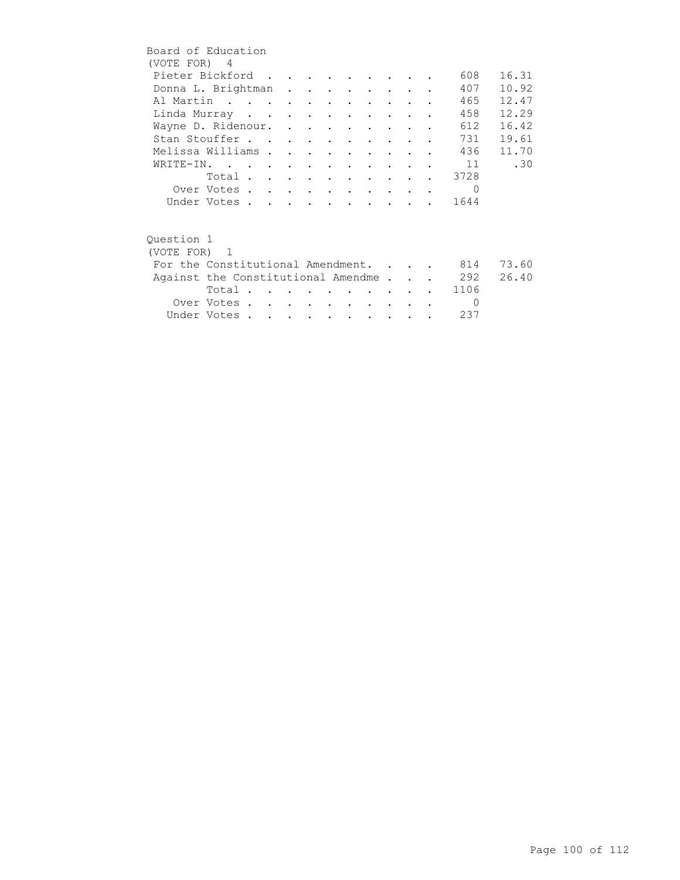| Board of Education                     |             |  |  |                          |                                                   |               |  |            |       |
|----------------------------------------|-------------|--|--|--------------------------|---------------------------------------------------|---------------|--|------------|-------|
| (VOTE FOR) 4                           |             |  |  |                          |                                                   |               |  |            |       |
| Pieter Bickford                        |             |  |  |                          |                                                   |               |  | 608        | 16.31 |
| Donna L. Brightman                     |             |  |  |                          |                                                   |               |  | 407        | 10.92 |
| Al Martin                              |             |  |  |                          |                                                   |               |  | 465        | 12.47 |
| Linda Murray                           |             |  |  |                          |                                                   |               |  | 458        | 12.29 |
| Wayne D. Ridenour.                     |             |  |  |                          |                                                   |               |  | 612        | 16.42 |
| Stan Stouffer                          |             |  |  |                          |                                                   |               |  | 731        | 19.61 |
| Melissa Williams                       |             |  |  |                          | $\bullet$ $\bullet$ $\bullet$ $\bullet$ $\bullet$ |               |  | 436        | 11.70 |
| WRITE-IN.                              |             |  |  |                          |                                                   |               |  | 11         | .30   |
|                                        | Total       |  |  |                          |                                                   |               |  | 3728       |       |
|                                        | Over Votes  |  |  |                          |                                                   |               |  | $\Omega$   |       |
|                                        | Under Votes |  |  |                          |                                                   |               |  | 1644       |       |
|                                        |             |  |  |                          |                                                   |               |  |            |       |
| Ouestion 1                             |             |  |  |                          |                                                   |               |  |            |       |
| (VOTE FOR) 1                           |             |  |  |                          |                                                   |               |  |            |       |
| For the Constitutional Amendment.      |             |  |  |                          |                                                   |               |  | 814        | 73.60 |
|                                        |             |  |  |                          |                                                   |               |  |            | 26.40 |
| Against the Constitutional Amendme 292 |             |  |  |                          |                                                   |               |  | 1106       |       |
|                                        | Total       |  |  |                          |                                                   |               |  |            |       |
|                                        | Over Votes  |  |  | <b>Contract Contract</b> |                                                   | $\sim$ $\sim$ |  | $\bigcirc$ |       |
|                                        | Under Votes |  |  |                          |                                                   |               |  | 237        |       |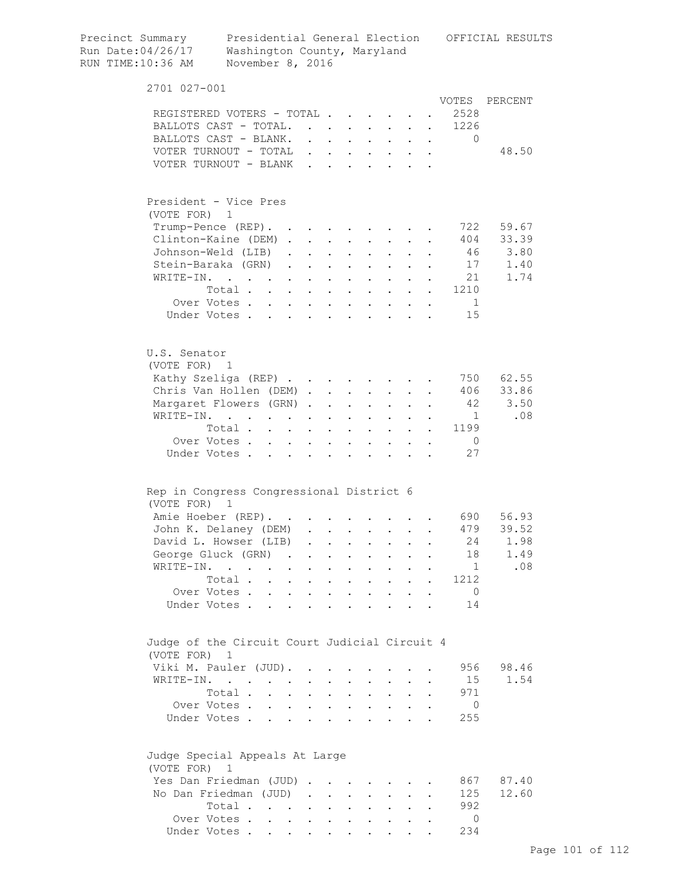| Precinct Summary<br>Run Date:04/26/17<br>RUN TIME:10:36 AM    | Presidential General Election<br>Washington County, Maryland<br>November 8, 2016              |            |                                                                          |                                                                          |                               |                                                                 |                      |                      |                | OFFICIAL RESULTS |
|---------------------------------------------------------------|-----------------------------------------------------------------------------------------------|------------|--------------------------------------------------------------------------|--------------------------------------------------------------------------|-------------------------------|-----------------------------------------------------------------|----------------------|----------------------|----------------|------------------|
| 2701 027-001                                                  |                                                                                               |            |                                                                          |                                                                          |                               |                                                                 |                      |                      |                |                  |
|                                                               |                                                                                               |            |                                                                          |                                                                          |                               |                                                                 |                      |                      | VOTES          | PERCENT          |
|                                                               | REGISTERED VOTERS - TOTAL                                                                     |            |                                                                          |                                                                          |                               |                                                                 |                      |                      | 2528           |                  |
|                                                               | BALLOTS CAST - TOTAL.                                                                         |            |                                                                          |                                                                          |                               |                                                                 |                      |                      | 1226           |                  |
|                                                               | BALLOTS CAST - BLANK.                                                                         |            |                                                                          |                                                                          |                               |                                                                 |                      |                      | $\Omega$       |                  |
|                                                               | VOTER TURNOUT - TOTAL                                                                         |            |                                                                          |                                                                          |                               |                                                                 |                      |                      |                | 48.50            |
|                                                               | VOTER TURNOUT - BLANK                                                                         |            |                                                                          | $\cdots$                                                                 |                               |                                                                 |                      |                      |                |                  |
| President - Vice Pres<br>(VOTE FOR) 1                         |                                                                                               |            |                                                                          |                                                                          |                               |                                                                 |                      |                      |                |                  |
|                                                               | Trump-Pence (REP).                                                                            |            |                                                                          |                                                                          |                               |                                                                 |                      |                      | 722            | 59.67            |
|                                                               | Clinton-Kaine (DEM)                                                                           |            |                                                                          |                                                                          |                               |                                                                 |                      |                      |                | 404 33.39        |
|                                                               | Johnson-Weld (LIB).                                                                           |            |                                                                          |                                                                          |                               |                                                                 |                      |                      |                | 46 3.80          |
|                                                               | Stein-Baraka (GRN).                                                                           |            | $\mathbf{r}$ , $\mathbf{r}$ , $\mathbf{r}$                               |                                                                          |                               | $\mathbf{z} = \mathbf{z} + \mathbf{z}$ .                        | $\ddot{\phantom{0}}$ |                      | 17             | 1.40             |
| WRITE-IN.                                                     |                                                                                               |            | $\mathbf{z} = \mathbf{z} + \mathbf{z}$ , where $\mathbf{z} = \mathbf{z}$ |                                                                          |                               |                                                                 |                      |                      | 21             | 1.74             |
|                                                               | $\mathcal{L}(\mathbf{A})$ . The contribution of the contribution of $\mathcal{L}(\mathbf{A})$ |            |                                                                          |                                                                          | $\mathbf{a}$ and $\mathbf{b}$ | $\mathbf{L}^{\text{max}}$                                       |                      |                      | 1210           |                  |
|                                                               | Total                                                                                         |            | $\sim$ $\sim$                                                            | $\mathcal{A}^{\mathcal{A}}$ and $\mathcal{A}^{\mathcal{A}}$ and          |                               |                                                                 |                      |                      | $\blacksquare$ |                  |
|                                                               | Over Votes<br>Under Votes                                                                     |            | $\sim$                                                                   | $\mathbf{r} = \mathbf{r} + \mathbf{r}$ .                                 |                               | $\sim$                                                          |                      |                      | 15             |                  |
|                                                               |                                                                                               |            | $\mathbf{r}$ , $\mathbf{r}$ , $\mathbf{r}$                               |                                                                          |                               | $\cdot$ $\cdot$ $\cdot$                                         |                      |                      |                |                  |
| U.S. Senator<br>(VOTE FOR) 1                                  |                                                                                               |            |                                                                          |                                                                          |                               |                                                                 |                      |                      |                |                  |
|                                                               | Kathy Szeliga (REP)                                                                           |            |                                                                          |                                                                          |                               |                                                                 |                      |                      | 750            | 62.55            |
|                                                               | Chris Van Hollen (DEM)                                                                        |            |                                                                          |                                                                          | $\sim 10^{-11}$               | $\mathbf{L}^{\text{max}}$                                       |                      |                      | 406            | 33.86            |
|                                                               | Margaret Flowers (GRN)                                                                        |            |                                                                          | <b>Contract Contract</b>                                                 |                               |                                                                 |                      |                      | 42             | 3.50             |
| WRITE-IN.                                                     | $\mathbf{r} = \mathbf{r} + \mathbf{r}$ .                                                      | $\sim$ $-$ | $\ddot{\phantom{0}}$                                                     | <b>Contract Contract</b>                                                 | $\sim 10^{-10}$               | $\sim$                                                          |                      |                      | $\mathbf{1}$   | .08              |
|                                                               | Total                                                                                         | $\sim$ $-$ |                                                                          | $\cdot$ $\cdot$                                                          |                               | $\mathbf{L} = \mathbf{L}$                                       | $\mathbf{r}$         |                      | 1199           |                  |
|                                                               | Over Votes                                                                                    |            |                                                                          | $\cdot$ $\cdot$ $\cdot$                                                  |                               | $\cdot$ $\cdot$ $\cdot$                                         | $\mathbf{L}$         | $\ddot{\phantom{a}}$ | $\overline{0}$ |                  |
|                                                               | Under Votes                                                                                   |            | $\ddot{\phantom{a}}$                                                     | $\sim$ $\sim$                                                            |                               | $\cdot$ $\cdot$ $\cdot$ $\cdot$                                 |                      |                      | 27             |                  |
| Rep in Congress Congressional District 6                      |                                                                                               |            |                                                                          |                                                                          |                               |                                                                 |                      |                      |                |                  |
| (VOTE FOR) 1                                                  | Amie Hoeber (REP).                                                                            |            |                                                                          |                                                                          |                               |                                                                 |                      |                      | 690 —          | 56.93            |
|                                                               | John K. Delaney (DEM) .                                                                       |            |                                                                          |                                                                          |                               |                                                                 |                      |                      | 479            | 39.52            |
|                                                               | David L. Howser (LIB)                                                                         |            | $\sim 10^{-11}$                                                          |                                                                          | $\sim$                        |                                                                 |                      |                      | 24             | 1.98             |
|                                                               | George Gluck (GRN)                                                                            |            |                                                                          |                                                                          |                               | $\bullet$ .<br><br><br><br><br><br><br><br><br><br><br><br><br> | $\mathbf{r}$         | $\ddot{\phantom{a}}$ | 18             | 1.49             |
|                                                               | WRITE-IN.                                                                                     |            |                                                                          | $\mathbf{r}$ , $\mathbf{r}$ , $\mathbf{r}$ , $\mathbf{r}$ , $\mathbf{r}$ |                               |                                                                 |                      |                      | $\overline{1}$ | .08              |
|                                                               | Total.                                                                                        |            |                                                                          |                                                                          |                               | $\mathbf{r} = \mathbf{r} + \mathbf{r}$                          |                      |                      | 1212           |                  |
|                                                               |                                                                                               |            |                                                                          |                                                                          |                               |                                                                 |                      |                      | $\overline{0}$ |                  |
|                                                               | Over Votes<br>Under Votes                                                                     |            |                                                                          |                                                                          |                               |                                                                 |                      | $\bullet$            | 14             |                  |
| Judge of the Circuit Court Judicial Circuit 4<br>(VOTE FOR) 1 |                                                                                               |            |                                                                          |                                                                          |                               |                                                                 |                      |                      |                |                  |
|                                                               | Viki M. Pauler (JUD).                                                                         |            |                                                                          |                                                                          |                               |                                                                 |                      |                      | 956            | 98.46            |
|                                                               | WRITE-IN.                                                                                     |            |                                                                          |                                                                          |                               |                                                                 |                      |                      | 15             | 1.54             |
|                                                               | Total                                                                                         |            |                                                                          | $\mathbf{r}$ , and $\mathbf{r}$ , and $\mathbf{r}$                       |                               |                                                                 |                      |                      | 971            |                  |
|                                                               | Over Votes                                                                                    |            |                                                                          |                                                                          |                               |                                                                 |                      | $\bullet$            | $\overline{0}$ |                  |
|                                                               | Under Votes                                                                                   |            |                                                                          |                                                                          |                               |                                                                 |                      |                      | 255            |                  |
| Judge Special Appeals At Large<br>(VOTE FOR) 1                |                                                                                               |            |                                                                          |                                                                          |                               |                                                                 |                      |                      |                |                  |
|                                                               | Yes Dan Friedman (JUD)                                                                        |            |                                                                          |                                                                          |                               |                                                                 |                      |                      | 867            | 87.40            |
|                                                               | No Dan Friedman (JUD)                                                                         |            |                                                                          |                                                                          |                               |                                                                 |                      |                      | 125            | 12.60            |
|                                                               | Total                                                                                         |            |                                                                          |                                                                          |                               |                                                                 |                      |                      | 992            |                  |
|                                                               | Over Votes                                                                                    |            |                                                                          |                                                                          |                               |                                                                 |                      |                      | 0              |                  |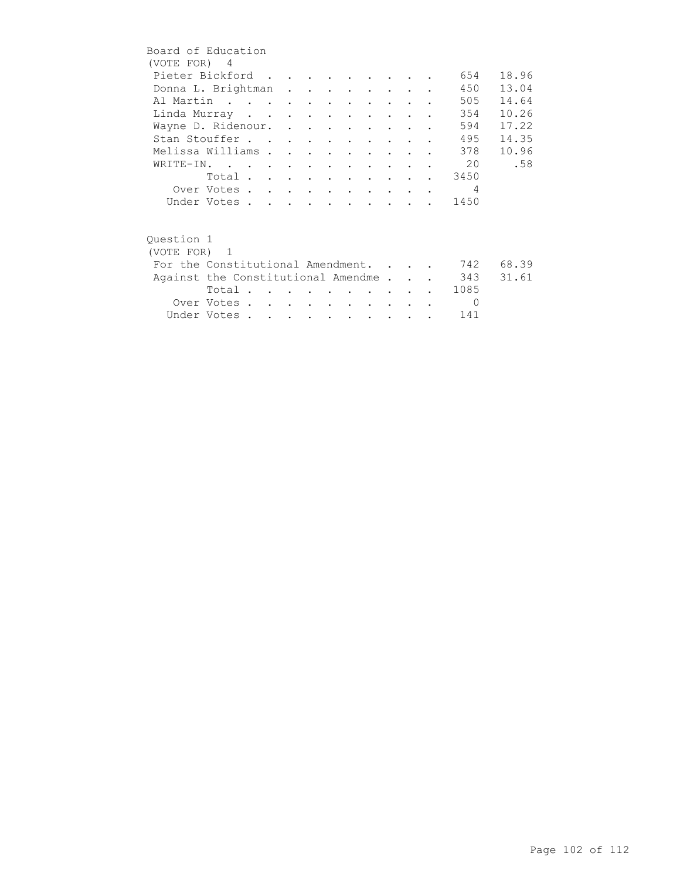| Board of Education                     |             |  |  |                          |                                 |                                 |  |          |       |
|----------------------------------------|-------------|--|--|--------------------------|---------------------------------|---------------------------------|--|----------|-------|
| (VOTE FOR) 4                           |             |  |  |                          |                                 |                                 |  |          |       |
| Pieter Bickford                        |             |  |  |                          |                                 |                                 |  | 654      | 18.96 |
| Donna L. Brightman                     |             |  |  |                          |                                 |                                 |  | 450      | 13.04 |
| Al Martin                              |             |  |  |                          |                                 |                                 |  | 505      | 14.64 |
| Linda Murray                           |             |  |  |                          |                                 |                                 |  | 354      | 10.26 |
| Wayne D. Ridenour.                     |             |  |  |                          |                                 |                                 |  | 594      | 17.22 |
| Stan Stouffer                          |             |  |  |                          |                                 |                                 |  | 495      | 14.35 |
| Melissa Williams                       |             |  |  |                          | $\cdot$ $\cdot$ $\cdot$ $\cdot$ |                                 |  | 378      | 10.96 |
| WRITE-IN.                              |             |  |  |                          |                                 |                                 |  | 20       | .58   |
|                                        | Total 3450  |  |  |                          |                                 |                                 |  |          |       |
|                                        | Over Votes  |  |  |                          |                                 |                                 |  | 4        |       |
|                                        | Under Votes |  |  |                          |                                 |                                 |  | 1450     |       |
|                                        |             |  |  |                          |                                 |                                 |  |          |       |
|                                        |             |  |  |                          |                                 |                                 |  |          |       |
| Ouestion 1                             |             |  |  |                          |                                 |                                 |  |          |       |
| (VOTE FOR) 1                           |             |  |  |                          |                                 |                                 |  |          |       |
| For the Constitutional Amendment.      |             |  |  |                          |                                 |                                 |  | 742      | 68.39 |
| Against the Constitutional Amendme 343 |             |  |  |                          |                                 |                                 |  |          | 31.61 |
|                                        | Total       |  |  |                          |                                 | <b>Contract Contract Street</b> |  | 1085     |       |
|                                        | Over Votes  |  |  | <b>Contract Contract</b> |                                 | $\sim$ $\sim$ $\sim$            |  | $\Omega$ |       |
|                                        | Under Votes |  |  |                          |                                 |                                 |  | 141      |       |
|                                        |             |  |  |                          |                                 |                                 |  |          |       |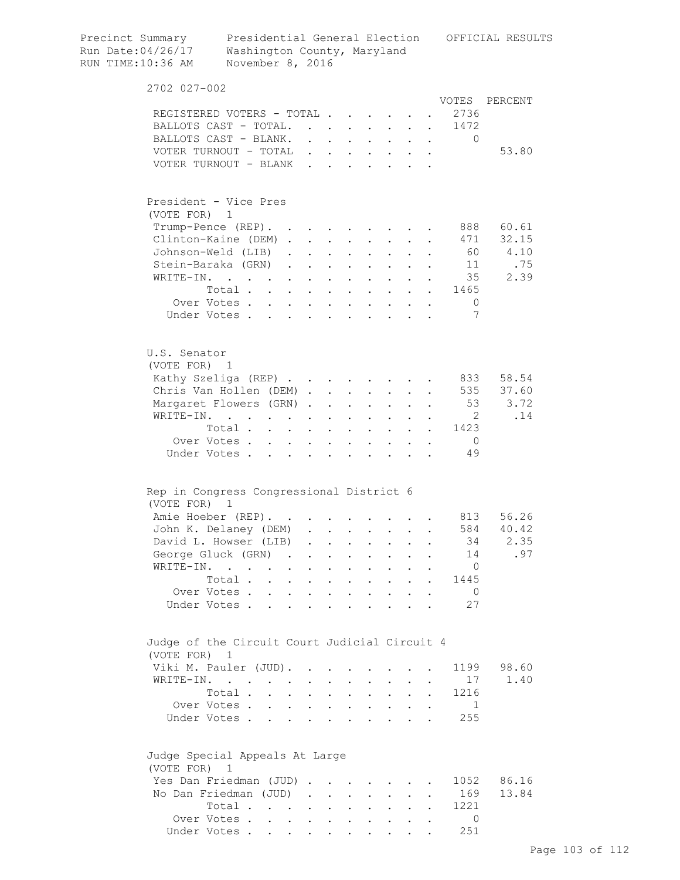| Precinct Summary<br>Run Date:04/26/17<br>RUN TIME:10:36 AM | Presidential General Election<br>Washington County, Maryland<br>November 8, 2016   |                                          |                                                                          |                                          |                           |                                                                          |              |              |                                       | OFFICIAL RESULTS |
|------------------------------------------------------------|------------------------------------------------------------------------------------|------------------------------------------|--------------------------------------------------------------------------|------------------------------------------|---------------------------|--------------------------------------------------------------------------|--------------|--------------|---------------------------------------|------------------|
| 2702 027-002                                               |                                                                                    |                                          |                                                                          |                                          |                           |                                                                          |              |              |                                       |                  |
|                                                            |                                                                                    |                                          |                                                                          |                                          |                           |                                                                          |              |              | VOTES                                 | PERCENT          |
|                                                            | REGISTERED VOTERS - TOTAL                                                          |                                          |                                                                          |                                          |                           |                                                                          |              |              | 2736                                  |                  |
|                                                            | BALLOTS CAST - TOTAL.                                                              |                                          |                                                                          |                                          |                           |                                                                          |              |              | 1472<br>$\mathbf{L}^{\text{max}}$     |                  |
|                                                            | BALLOTS CAST - BLANK.                                                              |                                          |                                                                          |                                          |                           |                                                                          |              |              | $\Omega$<br>$\mathbf{A}^{\text{max}}$ | 53.80            |
|                                                            | VOTER TURNOUT - TOTAL<br>VOTER TURNOUT - BLANK                                     |                                          |                                                                          | $\sim$                                   |                           |                                                                          |              |              |                                       |                  |
|                                                            |                                                                                    |                                          |                                                                          |                                          |                           | $\mathbf{r}$ , and $\mathbf{r}$ , and $\mathbf{r}$                       |              |              |                                       |                  |
|                                                            | President - Vice Pres                                                              |                                          |                                                                          |                                          |                           |                                                                          |              |              |                                       |                  |
| (VOTE FOR) 1                                               |                                                                                    |                                          |                                                                          |                                          |                           |                                                                          |              |              |                                       |                  |
|                                                            | Trump-Pence (REP).                                                                 |                                          |                                                                          |                                          |                           |                                                                          |              |              |                                       | 888 60.61        |
|                                                            | Clinton-Kaine (DEM)                                                                |                                          |                                                                          |                                          |                           | $\mathbf{L}$ and $\mathbf{L}$                                            | $\sim$       |              |                                       | 471 32.15        |
|                                                            | Johnson-Weld (LIB).                                                                |                                          | $\mathbf{z} = \mathbf{z} + \mathbf{z}$ , where $\mathbf{z} = \mathbf{z}$ |                                          |                           | $\mathbf{z} = \mathbf{z} + \mathbf{z}$ .                                 |              |              | 60                                    | 4.10             |
|                                                            | Stein-Baraka (GRN)                                                                 |                                          |                                                                          |                                          | $\mathbf{a} = \mathbf{a}$ | $\sim$ $-$                                                               |              |              | 11                                    | .75              |
| WRITE-IN.                                                  | $\mathcal{L}(\mathcal{A})$ . The contribution of the contribution of $\mathcal{A}$ |                                          |                                                                          |                                          |                           | $\mathbf{z} = \mathbf{z} + \mathbf{z}$ .                                 |              |              | 35                                    | 2.39             |
|                                                            | Total .<br>$\mathbf{L} = \mathbf{L}$                                               |                                          | $\bullet$                                                                | $\ddot{\phantom{a}}$                     |                           |                                                                          |              |              | 1465                                  |                  |
|                                                            | Over Votes<br>Under Votes                                                          | $\sim$                                   |                                                                          | $\mathbf{z} = \mathbf{z} + \mathbf{z}$ . | $\sim$ $\sim$             | $\sim$ $-$                                                               | $\mathbf{L}$ |              | $\overline{0}$<br>7                   |                  |
|                                                            |                                                                                    |                                          |                                                                          |                                          |                           |                                                                          |              | $\mathbf{r}$ |                                       |                  |
| U.S. Senator<br>(VOTE FOR) 1                               |                                                                                    |                                          |                                                                          |                                          |                           |                                                                          |              |              |                                       |                  |
|                                                            | Kathy Szeliga (REP)                                                                |                                          |                                                                          |                                          |                           |                                                                          |              |              | 833                                   | 58.54            |
|                                                            | Chris Van Hollen (DEM)                                                             |                                          |                                                                          |                                          | $\sim$ 100 $\pm$          |                                                                          |              |              | 535                                   | 37.60            |
|                                                            | Margaret Flowers (GRN)                                                             |                                          |                                                                          |                                          | $\sim$                    |                                                                          |              |              | 53                                    | 3.72             |
| WRITE-IN.                                                  |                                                                                    | $\mathbf{z} = \mathbf{z} + \mathbf{z}$ . |                                                                          |                                          |                           | $\sim 10^{-11}$                                                          |              |              | $\overline{2}$                        | .14              |
|                                                            | Total $\cdots$                                                                     |                                          |                                                                          |                                          |                           | $\mathbf{r}$ , $\mathbf{r}$ , $\mathbf{r}$                               |              |              | 1423                                  |                  |
|                                                            | Over Votes                                                                         |                                          | $\ddot{\phantom{a}}$                                                     | <b>Contract Contract Contract</b>        |                           | $\mathbf{r} = \mathbf{r} \cdot \mathbf{r}$                               |              |              | $\overline{0}$                        |                  |
|                                                            | Under Votes                                                                        |                                          |                                                                          |                                          |                           |                                                                          |              |              | 49                                    |                  |
| (VOTE FOR) 1                                               | Rep in Congress Congressional District 6                                           |                                          |                                                                          |                                          |                           |                                                                          |              |              |                                       |                  |
|                                                            | Amie Hoeber (REP).                                                                 |                                          |                                                                          |                                          |                           |                                                                          |              |              |                                       | 813 56.26        |
|                                                            | John K. Delaney (DEM)                                                              |                                          |                                                                          |                                          |                           |                                                                          |              |              |                                       | 584 40.42        |
|                                                            | David L. Howser (LIB)                                                              |                                          |                                                                          |                                          |                           |                                                                          |              |              | 34                                    | 2.35             |
|                                                            | George Gluck (GRN)                                                                 |                                          |                                                                          |                                          |                           |                                                                          |              |              | 14                                    | .97              |
| WRITE-IN.                                                  | $\mathbf{r}$ , $\mathbf{r}$ , $\mathbf{r}$ , $\mathbf{r}$                          |                                          |                                                                          |                                          |                           | $\cdot$ $\cdot$ $\cdot$ $\cdot$ $\cdot$                                  |              |              | $\overline{0}$                        |                  |
|                                                            | Total $\cdots$ $\cdots$                                                            |                                          |                                                                          |                                          |                           | $\mathbf{r}$ , $\mathbf{r}$ , $\mathbf{r}$                               |              | $\sim$       | 1445                                  |                  |
|                                                            | Over Votes                                                                         |                                          |                                                                          |                                          |                           | $\mathbf{z} = \mathbf{z} + \mathbf{z}$ , where $\mathbf{z} = \mathbf{z}$ |              | $\bullet$    | $\overline{0}$                        |                  |
|                                                            | Under Votes                                                                        |                                          |                                                                          |                                          |                           |                                                                          |              |              | 27                                    |                  |
| (VOTE FOR)                                                 | Judge of the Circuit Court Judicial Circuit 4<br>1                                 |                                          |                                                                          |                                          |                           |                                                                          |              |              |                                       |                  |
|                                                            | Viki M. Pauler (JUD).                                                              |                                          |                                                                          |                                          |                           |                                                                          |              |              | 1199                                  | 98.60            |
|                                                            | WRITE-IN.                                                                          |                                          |                                                                          |                                          |                           |                                                                          |              |              | 17                                    | 1.40             |
|                                                            | Total                                                                              |                                          |                                                                          |                                          |                           |                                                                          |              |              | 1216                                  |                  |
|                                                            | Over Votes                                                                         |                                          |                                                                          |                                          |                           | $\mathbf{z} = \mathbf{z} + \mathbf{z} + \mathbf{z}$ .                    |              | $\bullet$    | -1                                    |                  |
|                                                            | Under Votes                                                                        |                                          |                                                                          |                                          |                           |                                                                          |              |              | 255                                   |                  |
| (VOTE FOR)                                                 | Judge Special Appeals At Large<br>$\mathbf 1$                                      |                                          |                                                                          |                                          |                           |                                                                          |              |              |                                       |                  |
|                                                            | Yes Dan Friedman (JUD)                                                             |                                          |                                                                          |                                          |                           |                                                                          |              |              | 1052                                  | 86.16            |
|                                                            | No Dan Friedman (JUD)                                                              |                                          |                                                                          |                                          |                           |                                                                          |              |              | 169                                   | 13.84            |
|                                                            | Total                                                                              |                                          |                                                                          |                                          |                           |                                                                          |              |              | 1221                                  |                  |
|                                                            | Over Votes                                                                         |                                          |                                                                          |                                          |                           |                                                                          |              |              | $\Omega$                              |                  |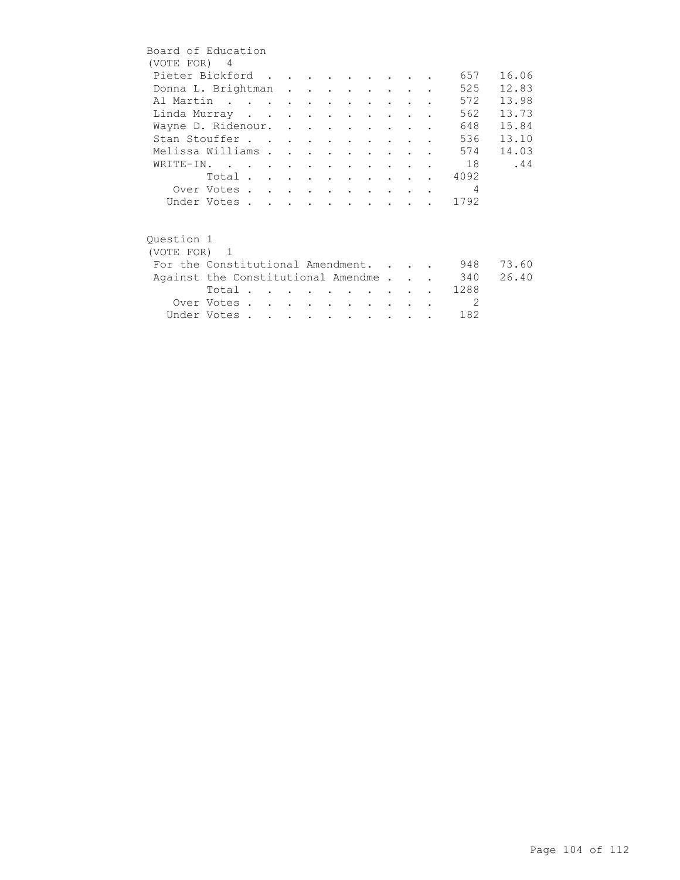| Board of Education                 |             |  |  |                          |                                 |        |               |                            |       |
|------------------------------------|-------------|--|--|--------------------------|---------------------------------|--------|---------------|----------------------------|-------|
| (VOTE FOR) 4                       |             |  |  |                          |                                 |        |               |                            |       |
| Pieter Bickford                    |             |  |  |                          |                                 |        |               | 657                        | 16.06 |
| Donna L. Brightman                 |             |  |  |                          |                                 |        |               | 525                        | 12.83 |
| Al Martin                          |             |  |  |                          |                                 |        |               | 572                        | 13.98 |
| Linda Murray                       |             |  |  |                          |                                 |        |               | 562                        | 13.73 |
| Wayne D. Ridenour.                 |             |  |  |                          |                                 |        |               | 648                        | 15.84 |
| Stan Stouffer                      |             |  |  |                          |                                 |        |               | 536                        | 13.10 |
| Melissa Williams                   |             |  |  |                          | $\cdot$ $\cdot$ $\cdot$ $\cdot$ |        |               | 574                        | 14.03 |
| WRITE-IN.                          |             |  |  |                          |                                 |        |               | 18                         | .44   |
|                                    | Total       |  |  |                          |                                 |        |               | 4092                       |       |
|                                    | Over Votes  |  |  |                          |                                 |        |               | $\overline{4}$             |       |
|                                    | Under Votes |  |  |                          |                                 |        |               | 1792                       |       |
|                                    |             |  |  |                          |                                 |        |               |                            |       |
|                                    |             |  |  |                          |                                 |        |               |                            |       |
| Ouestion 1                         |             |  |  |                          |                                 |        |               |                            |       |
| (VOTE FOR) 1                       |             |  |  |                          |                                 |        |               |                            |       |
| For the Constitutional Amendment.  |             |  |  |                          |                                 |        |               | 948                        | 73.60 |
| Against the Constitutional Amendme |             |  |  |                          |                                 |        |               | 340                        | 26.40 |
|                                    | Total       |  |  |                          |                                 |        |               | 1288                       |       |
|                                    | Over Votes  |  |  | <b>Contract Contract</b> |                                 | $\sim$ | $\sim$ $\sim$ | $\overline{\phantom{0}}^2$ |       |
|                                    | Under Votes |  |  |                          |                                 |        |               | 182                        |       |
|                                    |             |  |  |                          |                                 |        |               |                            |       |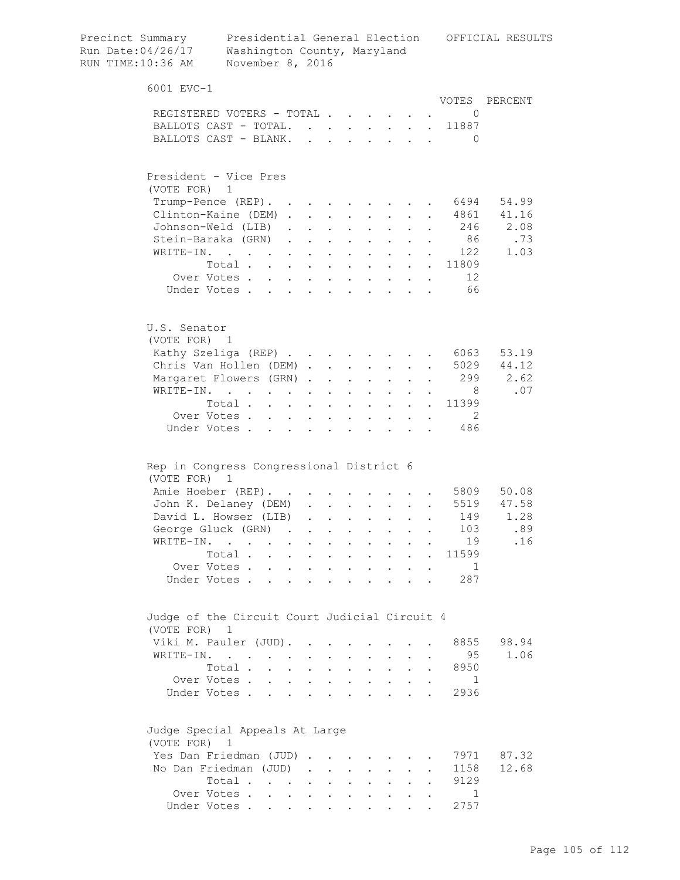| Precinct Summary<br>Run Date: 04/26/17<br>RUN TIME:10:36 AM   | Washington County, Maryland<br>November 8, 2016 |                           |                                                             |                           |                                          |                                                             |                                          |                      |                                          |                            | Presidential General Election OFFICIAL RESULTS |
|---------------------------------------------------------------|-------------------------------------------------|---------------------------|-------------------------------------------------------------|---------------------------|------------------------------------------|-------------------------------------------------------------|------------------------------------------|----------------------|------------------------------------------|----------------------------|------------------------------------------------|
| 6001 EVC-1                                                    |                                                 |                           |                                                             |                           |                                          |                                                             |                                          |                      |                                          |                            |                                                |
|                                                               |                                                 |                           |                                                             |                           |                                          |                                                             |                                          |                      |                                          |                            | VOTES PERCENT                                  |
| REGISTERED VOTERS - TOTAL<br>BALLOTS CAST - TOTAL. 11887      |                                                 |                           |                                                             |                           |                                          |                                                             |                                          |                      |                                          | $\overline{0}$             |                                                |
| BALLOTS CAST - BLANK.                                         |                                                 |                           |                                                             |                           |                                          |                                                             |                                          |                      |                                          |                            |                                                |
|                                                               |                                                 |                           |                                                             |                           |                                          |                                                             |                                          |                      |                                          | - 0                        |                                                |
| President - Vice Pres<br>(VOTE FOR) 1                         |                                                 |                           |                                                             |                           |                                          |                                                             |                                          |                      |                                          |                            |                                                |
| Trump-Pence (REP).                                            |                                                 |                           |                                                             |                           |                                          |                                                             | <b>Contractor</b>                        |                      |                                          |                            | . 6494 54.99                                   |
| Clinton-Kaine (DEM)                                           |                                                 |                           |                                                             |                           | $\sim$ $-$                               | $\bullet$ .<br><br><br><br><br><br><br><br><br><br><br><br> | $\sim$ $-$                               |                      | $\mathbf{L}^{\text{max}}$                |                            | 4861 41.16                                     |
| Johnson-Weld (LIB)                                            |                                                 |                           |                                                             | $\mathbf{L}^{\text{max}}$ | $\ddot{\phantom{0}}$                     |                                                             | $\ddot{\phantom{0}}$                     |                      |                                          |                            | 246 2.08                                       |
| Stein-Baraka (GRN)                                            |                                                 |                           |                                                             |                           | $\mathbf{L}$ and $\mathbf{L}$            |                                                             | $\cdot$ $\cdot$ $\cdot$                  |                      |                                          | 86                         | .73                                            |
| WRITE-IN.                                                     |                                                 |                           |                                                             |                           | $\mathbf{L}$ and $\mathbf{L}$            |                                                             | $\mathbf{L} = \mathbf{L} \mathbf{L}$     |                      |                                          | 122                        | 1.03                                           |
|                                                               | Total                                           |                           |                                                             |                           |                                          |                                                             |                                          |                      |                                          | $\cdot$ 11809              |                                                |
|                                                               | Over Votes                                      |                           |                                                             |                           |                                          |                                                             |                                          |                      |                                          | 12                         |                                                |
|                                                               | Under Votes 66                                  |                           |                                                             |                           |                                          |                                                             |                                          |                      |                                          |                            |                                                |
|                                                               |                                                 |                           |                                                             |                           |                                          |                                                             |                                          |                      |                                          |                            |                                                |
| U.S. Senator                                                  |                                                 |                           |                                                             |                           |                                          |                                                             |                                          |                      |                                          |                            |                                                |
| (VOTE FOR) 1                                                  |                                                 |                           |                                                             |                           |                                          |                                                             |                                          |                      |                                          |                            |                                                |
| Kathy Szeliga (REP) 6063                                      |                                                 |                           |                                                             |                           |                                          |                                                             |                                          |                      |                                          |                            | 53.19                                          |
| Chris Van Hollen (DEM).                                       |                                                 |                           |                                                             |                           |                                          |                                                             |                                          |                      |                                          |                            | $\cdot$ 5029 44.12                             |
| Margaret Flowers (GRN).                                       |                                                 |                           |                                                             | $\ddot{\phantom{0}}$      | <b>Contract Contract</b>                 |                                                             | $\mathbf{z} = \mathbf{z} + \mathbf{z}$ . | $\sim$ 100 $\pm$     |                                          | . 299                      | 2.62                                           |
| WRITE-IN.                                                     |                                                 |                           |                                                             |                           | $\mathbf{z} = \mathbf{z} + \mathbf{z}$ . | $\mathbf{L}^{\text{max}}$                                   | $\mathbf{L}^{\text{max}}$                | $\sim 100$           | $\sim$ $-$                               | 8 <sup>8</sup>             | .07                                            |
|                                                               | Total                                           |                           |                                                             |                           |                                          | $\bullet$ .                                                 | $\sim$ 100 $\pm$                         |                      | $\mathbf{r} = \mathbf{r} + \mathbf{r}$ . | 11399                      |                                                |
|                                                               | Over Votes                                      |                           |                                                             |                           |                                          | $\ddot{\phantom{0}}$                                        |                                          |                      |                                          | $\overline{\phantom{0}}^2$ |                                                |
|                                                               | Under Votes                                     |                           |                                                             |                           |                                          |                                                             |                                          |                      |                                          | 486                        |                                                |
| Rep in Congress Congressional District 6<br>(VOTE FOR) 1      |                                                 |                           |                                                             |                           |                                          |                                                             |                                          |                      |                                          |                            | . 5809 50.08                                   |
| Amie Hoeber (REP).                                            |                                                 |                           |                                                             |                           |                                          |                                                             |                                          |                      |                                          |                            |                                                |
| John K. Delaney (DEM) 5519 47.58                              |                                                 |                           |                                                             |                           |                                          |                                                             |                                          |                      |                                          |                            |                                                |
| David L. Howser (LIB)                                         |                                                 |                           |                                                             |                           |                                          |                                                             |                                          |                      |                                          | 149                        | 1.28                                           |
| George Gluck (GRN).                                           |                                                 |                           |                                                             |                           |                                          |                                                             |                                          |                      |                                          | 103                        | .89                                            |
| WRITE-IN.                                                     | $\mathbf{r}$ . The set of $\mathbf{r}$          |                           |                                                             |                           |                                          |                                                             |                                          |                      |                                          | 19                         | .16                                            |
|                                                               | Total.                                          | $\mathbf{r}$<br>$\sim$    | $\mathbf{L}$                                                | $\ddot{\phantom{a}}$      | $\bullet$                                | $\mathbf{L}$                                                | $\ddot{\phantom{0}}$                     | $\mathbf{L}$         |                                          | 11599                      |                                                |
|                                                               | Over Votes.                                     | $\mathbf{L}$<br>$\sim$    | $\ddot{\phantom{0}}$                                        | $\ddot{\phantom{0}}$      | $\ddot{\phantom{0}}$                     | $\ddot{\phantom{0}}$                                        | $\ddot{\phantom{0}}$                     |                      |                                          | 1                          |                                                |
| Under Votes.                                                  |                                                 | $\mathbf{L} = \mathbf{L}$ | $\mathbf{r}$                                                | $\mathbf{r}$              | $\mathbf{r}$                             |                                                             | $\mathbf{L}$                             | $\sim$               |                                          | 287                        |                                                |
| Judge of the Circuit Court Judicial Circuit 4<br>(VOTE FOR) 1 |                                                 |                           |                                                             |                           |                                          |                                                             |                                          |                      |                                          |                            |                                                |
| Viki M. Pauler (JUD).                                         |                                                 |                           |                                                             |                           |                                          |                                                             |                                          |                      |                                          | 8855                       | 98.94                                          |
| WRITE-IN.                                                     |                                                 |                           |                                                             |                           |                                          |                                                             |                                          |                      |                                          | 95                         | 1.06                                           |
|                                                               | Total .                                         | $\ddot{\phantom{a}}$      |                                                             | $\ddot{\phantom{a}}$      | $\ddot{\phantom{a}}$                     | $\ddot{\phantom{0}}$                                        | $\ddot{\phantom{0}}$                     |                      |                                          | 8950                       |                                                |
|                                                               | Over Votes                                      |                           |                                                             | $\mathbf{L}$              | $\sim$                                   |                                                             | $\mathbf{L}$ and $\mathbf{L}$            | $\ddot{\phantom{0}}$ |                                          | $\mathbf{1}$               |                                                |
|                                                               | Under Votes                                     |                           |                                                             | $\ddot{\phantom{a}}$      |                                          | $\mathbf{r}$ , $\mathbf{r}$ , $\mathbf{r}$ , $\mathbf{r}$   |                                          |                      |                                          | 2936                       |                                                |
| Judge Special Appeals At Large<br>(VOTE FOR) 1                |                                                 |                           |                                                             |                           |                                          |                                                             |                                          |                      |                                          |                            |                                                |
| Yes Dan Friedman (JUD)                                        |                                                 |                           |                                                             |                           |                                          |                                                             |                                          |                      |                                          | 7971                       | 87.32                                          |
| No Dan Friedman (JUD)                                         |                                                 |                           |                                                             |                           | $\sim$                                   | $\ddot{\phantom{a}}$                                        | $\ddot{\phantom{0}}$                     |                      |                                          | 1158                       | 12.68                                          |
|                                                               | Total                                           |                           | $\bullet$ .<br><br><br><br><br><br><br><br><br><br><br><br> | $\ddot{\phantom{0}}$      | $\ddot{\phantom{0}}$                     | $\ddot{\phantom{0}}$                                        | $\ddot{\phantom{0}}$                     |                      |                                          | 9129                       |                                                |
|                                                               | Over Votes                                      |                           |                                                             |                           |                                          |                                                             | $\mathbf{L} = \mathbf{L}$                |                      |                                          | $\overline{1}$             |                                                |
|                                                               | Under Votes                                     |                           |                                                             |                           |                                          |                                                             |                                          |                      |                                          | 2757                       |                                                |
|                                                               |                                                 |                           |                                                             |                           |                                          |                                                             |                                          |                      |                                          |                            |                                                |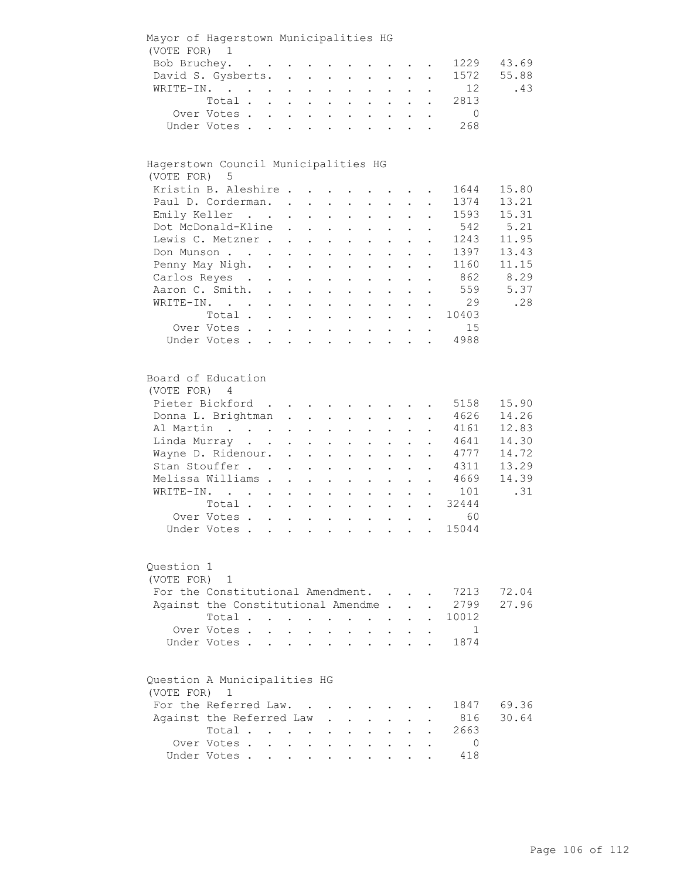| Mayor of Hagerstown Municipalities HG<br>(VOTE FOR)  | $\overline{1}$                                            |                                                                       |                           |                                                                                   |                                            |                           |                                                 |                                          |                           |                           |                                                             |                 |       |
|------------------------------------------------------|-----------------------------------------------------------|-----------------------------------------------------------------------|---------------------------|-----------------------------------------------------------------------------------|--------------------------------------------|---------------------------|-------------------------------------------------|------------------------------------------|---------------------------|---------------------------|-------------------------------------------------------------|-----------------|-------|
| Bob Bruchey.                                         |                                                           | $\mathbf{r}$ , and $\mathbf{r}$ , and $\mathbf{r}$ , and $\mathbf{r}$ |                           |                                                                                   |                                            |                           |                                                 |                                          |                           |                           |                                                             | 1229            | 43.69 |
| David S. Gysberts.                                   |                                                           |                                                                       |                           |                                                                                   |                                            |                           | $\ddot{\phantom{0}}$                            |                                          |                           |                           |                                                             | 1572            | 55.88 |
| WRITE-IN.                                            |                                                           |                                                                       |                           |                                                                                   |                                            |                           |                                                 |                                          |                           |                           |                                                             | 12 <sup>°</sup> | .43   |
|                                                      | Total .                                                   |                                                                       |                           |                                                                                   | $\sim$                                     | $\mathbf{L}^{\text{max}}$ | $\ddot{\phantom{a}}$                            |                                          |                           |                           |                                                             | 2813            |       |
|                                                      | Over Votes .                                              |                                                                       | $\mathbf{L}$              | $\mathbf{A}$ and $\mathbf{A}$ and $\mathbf{A}$                                    |                                            | $\sim$                    | $\ddot{\phantom{0}}$                            | $\sim$ $\sim$                            | $\ddot{\phantom{0}}$      |                           |                                                             | $\overline{0}$  |       |
|                                                      | Under Votes .                                             |                                                                       | $\mathbf{r}$              | $\ddot{\phantom{a}}$                                                              | $\mathbf{r}$ , $\mathbf{r}$ , $\mathbf{r}$ |                           | $\ddot{\phantom{0}}$                            |                                          | $\sim$ $\sim$             | $\ddot{\phantom{a}}$      |                                                             | 268             |       |
|                                                      |                                                           |                                                                       |                           |                                                                                   |                                            |                           |                                                 |                                          |                           |                           |                                                             |                 |       |
| Hagerstown Council Municipalities HG<br>(VOTE FOR) 5 |                                                           |                                                                       |                           |                                                                                   |                                            |                           |                                                 |                                          |                           |                           |                                                             |                 |       |
| Kristin B. Aleshire                                  |                                                           |                                                                       |                           |                                                                                   |                                            |                           |                                                 |                                          |                           |                           |                                                             | 1644            | 15.80 |
| Paul D. Corderman. .                                 |                                                           |                                                                       |                           |                                                                                   |                                            |                           |                                                 |                                          |                           |                           |                                                             | 1374            | 13.21 |
| Emily Keller                                         |                                                           |                                                                       |                           |                                                                                   | $\ddot{\phantom{0}}$                       |                           | $\ddot{\phantom{0}}$                            |                                          |                           |                           |                                                             | 1593            | 15.31 |
|                                                      |                                                           |                                                                       |                           | $\ddot{\phantom{a}}$                                                              | $\ddot{\phantom{0}}$                       |                           | $\bullet$                                       |                                          |                           |                           |                                                             | 542             | 5.21  |
| Dot McDonald-Kline                                   |                                                           |                                                                       |                           | $\ddot{\phantom{a}}$                                                              | $\mathbf{r}$                               | $\mathbf{L}$              | $\ddot{\phantom{a}}$                            | $\ddot{\phantom{a}}$                     |                           |                           |                                                             |                 |       |
| Lewis C. Metzner                                     |                                                           |                                                                       |                           |                                                                                   |                                            |                           | $\ddot{\phantom{0}}$                            | $\sim$                                   | $\ddot{\phantom{0}}$      | $\ddot{\phantom{a}}$      |                                                             | 1243            | 11.95 |
| Don Munson                                           |                                                           |                                                                       |                           |                                                                                   |                                            |                           |                                                 | $\ddotsc$ $\ddotsc$                      | $\mathbf{L}$              |                           |                                                             | 1397            | 13.43 |
| Penny May Nigh. .                                    |                                                           |                                                                       |                           | $\mathbf{r} = \mathbf{r} \mathbf{r}$ , where $\mathbf{r} = \mathbf{r} \mathbf{r}$ |                                            |                           |                                                 | $\mathbf{z} = \mathbf{z} + \mathbf{z}$ . | $\ddot{\phantom{0}}$      | $\sim$ 100 $\pm$          | $\ddot{\phantom{0}}$                                        | 1160            | 11.15 |
| Carlos Reyes .                                       |                                                           |                                                                       | $\mathbf{L}^{\text{max}}$ | $\mathbf{r} = \mathbf{r} \mathbf{r}$ , where $\mathbf{r} = \mathbf{r} \mathbf{r}$ |                                            |                           | $\bullet$                                       | <b>Contractor</b>                        | $\bullet$ .               |                           | $\mathcal{L}^{\text{max}}$ , and $\mathcal{L}^{\text{max}}$ | 862             | 8.29  |
| Aaron C. Smith.                                      |                                                           |                                                                       | $\mathbf{L}$              | $\ddot{\phantom{a}}$                                                              | $\mathbf{z} = \mathbf{z} + \mathbf{z}$ .   |                           | $\ddot{\phantom{0}}$                            | $\mathbf{L}^{\text{max}}$                | $\ddot{\phantom{0}}$      |                           |                                                             | 559             | 5.37  |
| WRITE-IN.                                            |                                                           |                                                                       |                           |                                                                                   | $\mathbf{z} = \mathbf{z} + \mathbf{z}$ .   |                           | $\ddot{\phantom{0}}$                            | $\ddot{\phantom{a}}$                     |                           |                           |                                                             | 29              | .28   |
|                                                      | Total .                                                   |                                                                       |                           |                                                                                   | $\mathbf{L}$                               | $\ddot{\phantom{0}}$      | $\ddot{\phantom{a}}$                            |                                          |                           |                           | $\sim$                                                      | 10403           |       |
|                                                      | Over Votes.                                               |                                                                       | $\mathbf{r}$              | $\mathbf{L}^{\text{max}}$                                                         | $\sim$                                     |                           | $\ddot{\phantom{a}}$                            |                                          |                           |                           |                                                             | 15              |       |
|                                                      | Under Votes.                                              |                                                                       | $\sim$ $\sim$             | $\mathbf{z} = \mathbf{z} + \mathbf{z}$ , where $\mathbf{z} = \mathbf{z}$          |                                            |                           |                                                 | $\mathbf{L} = \mathbf{L} \mathbf{L}$     | $\sim$ $-$                | $\sim$                    | $\mathbf{L}$                                                | 4988            |       |
| Board of Education<br>(VOTE FOR)                     | 4                                                         |                                                                       |                           |                                                                                   |                                            |                           |                                                 |                                          |                           |                           |                                                             |                 |       |
| Pieter Bickford                                      |                                                           |                                                                       |                           |                                                                                   |                                            |                           | the contract of the contract of the contract of |                                          |                           |                           |                                                             | 5158            | 15.90 |
| Donna L. Brightman.                                  |                                                           |                                                                       |                           |                                                                                   | $\mathbf{L}^{\text{max}}$                  | $\bullet$ .               | $\mathbf{L}^{\text{max}}$                       | $\ddot{\phantom{0}}$                     |                           |                           |                                                             | 4626            | 14.26 |
| Al Martin                                            |                                                           |                                                                       |                           |                                                                                   | $\ddot{\phantom{a}}$                       |                           |                                                 |                                          |                           |                           |                                                             | 4161            | 12.83 |
| Linda Murray                                         |                                                           |                                                                       |                           | $\sim$ $-$                                                                        |                                            |                           | $\ddot{\phantom{a}}$                            |                                          |                           |                           | $\ddot{\phantom{a}}$                                        | 4641            | 14.30 |
| Wayne D. Ridenour. .                                 |                                                           |                                                                       |                           |                                                                                   | $\ddot{\phantom{a}}$                       | $\ddot{\phantom{a}}$      | $\ddot{\phantom{a}}$                            | $\ddot{\phantom{a}}$                     | $\ddot{\phantom{0}}$      | $\ddot{\phantom{0}}$      | $\ddot{\phantom{a}}$                                        | 4777            | 14.72 |
| Stan Stouffer                                        |                                                           |                                                                       |                           | $\ddot{\phantom{a}}$                                                              | $\ddot{\phantom{a}}$                       | $\ddot{\phantom{a}}$      | $\ddot{\phantom{0}}$                            | $\sim$ $-$                               | $\ddot{\phantom{0}}$      | $\mathbf{L}$              | $\ddot{\phantom{a}}$                                        | 4311            | 13.29 |
| Melissa Williams.                                    |                                                           |                                                                       |                           | $\ddot{\phantom{a}}$                                                              | $\ddot{\phantom{a}}$                       | $\ddot{\phantom{a}}$      | $\ddot{\phantom{a}}$                            | $\sim 100$ km s $^{-1}$                  | $\mathbf{L}$              |                           | $\ddotsc$                                                   | 4669            | 14.39 |
| WRITE-IN.                                            | $\mathbf{r}$ , $\mathbf{r}$ , $\mathbf{r}$ , $\mathbf{r}$ |                                                                       |                           | $\sim 10^{-10}$                                                                   | $\mathbf{L}^{\text{max}}$                  | $\mathbf{L}^{\text{max}}$ |                                                 | $\mathbf{z} = \mathbf{z} + \mathbf{z}$ . | $\ddot{\phantom{0}}$      |                           | $\cdot$ $\cdot$ $\cdot$                                     | 101             | .31   |
|                                                      | Total                                                     |                                                                       |                           |                                                                                   |                                            |                           | $\bullet$                                       | $\sim 100$ km s $^{-1}$                  | $\mathbf{L}^{\text{max}}$ | $\mathbf{L}^{\text{max}}$ |                                                             | . 32444         |       |
|                                                      | Over Votes                                                |                                                                       |                           |                                                                                   |                                            |                           |                                                 | and a strong product of the strong       |                           |                           |                                                             | 60              |       |
|                                                      | Under Votes.                                              |                                                                       |                           |                                                                                   | <b>Contract Contract</b>                   |                           | $\bullet$                                       |                                          |                           |                           |                                                             | 15044           |       |
| Question 1<br>(VOTE FOR)                             | $\mathbf{1}$                                              |                                                                       |                           |                                                                                   |                                            |                           |                                                 |                                          |                           |                           |                                                             |                 |       |
| For the Constitutional Amendment.                    |                                                           |                                                                       |                           |                                                                                   |                                            |                           |                                                 |                                          |                           |                           |                                                             | 7213            | 72.04 |
| Against the Constitutional Amendme                   |                                                           |                                                                       |                           |                                                                                   |                                            |                           |                                                 |                                          |                           |                           |                                                             | 2799            | 27.96 |
|                                                      | Total .                                                   |                                                                       |                           |                                                                                   | $\bullet$                                  |                           |                                                 |                                          |                           |                           |                                                             | 10012           |       |
|                                                      | Over Votes.                                               |                                                                       |                           |                                                                                   |                                            |                           |                                                 |                                          |                           |                           |                                                             | $\mathbf{1}$    |       |
|                                                      | Under Votes.                                              |                                                                       |                           |                                                                                   |                                            |                           |                                                 |                                          |                           |                           |                                                             | 1874            |       |
| Question A Municipalities HG<br>(VOTE FOR)           | 1                                                         |                                                                       |                           |                                                                                   |                                            |                           |                                                 |                                          |                           |                           |                                                             |                 |       |
| For the Referred Law.                                |                                                           |                                                                       |                           |                                                                                   |                                            |                           |                                                 |                                          |                           |                           |                                                             | 1847            | 69.36 |
| Against the Referred Law                             |                                                           |                                                                       |                           |                                                                                   |                                            |                           |                                                 |                                          |                           |                           |                                                             | 816             | 30.64 |
|                                                      | Total .                                                   |                                                                       |                           |                                                                                   |                                            |                           |                                                 |                                          |                           |                           |                                                             | 2663            |       |
|                                                      | Over Votes.                                               |                                                                       | $\ddot{\phantom{0}}$      | $\bullet$ .<br><br><br><br><br><br><br><br><br><br><br><br>                       | $\bullet$                                  |                           |                                                 |                                          |                           |                           |                                                             | 0               |       |
|                                                      | Under Votes                                               |                                                                       |                           |                                                                                   |                                            |                           |                                                 |                                          |                           |                           |                                                             | 418             |       |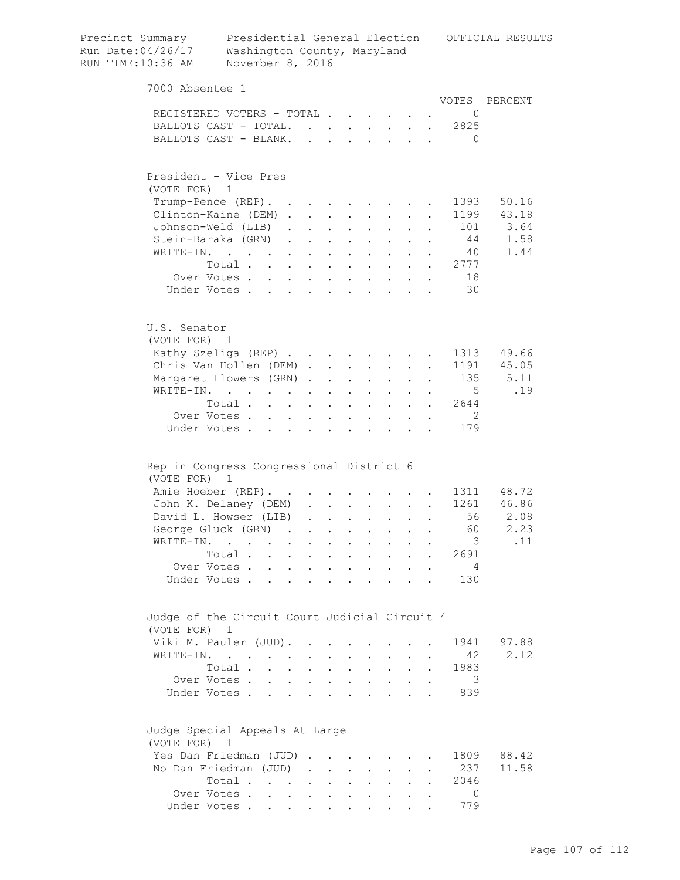| Precinct Summary<br>Run Date: 04/26/17<br>RUN TIME:10:36 AM   | Washington County, Maryland<br>November 8, 2016 |                              |                                                           |                           |                                          |                                                                          |                                          |                                                                  |                          |                         | Presidential General Election OFFICIAL RESULTS |
|---------------------------------------------------------------|-------------------------------------------------|------------------------------|-----------------------------------------------------------|---------------------------|------------------------------------------|--------------------------------------------------------------------------|------------------------------------------|------------------------------------------------------------------|--------------------------|-------------------------|------------------------------------------------|
| 7000 Absentee 1                                               |                                                 |                              |                                                           |                           |                                          |                                                                          |                                          |                                                                  |                          |                         |                                                |
|                                                               |                                                 |                              |                                                           |                           |                                          |                                                                          |                                          |                                                                  |                          |                         | VOTES PERCENT                                  |
| REGISTERED VOTERS - TOTAL<br>BALLOTS CAST - TOTAL. 2825       |                                                 |                              |                                                           |                           |                                          |                                                                          |                                          |                                                                  |                          | $\overline{0}$          |                                                |
| BALLOTS CAST - BLANK.                                         |                                                 |                              |                                                           |                           |                                          |                                                                          |                                          |                                                                  |                          | - 0                     |                                                |
|                                                               |                                                 |                              |                                                           |                           |                                          |                                                                          |                                          |                                                                  |                          |                         |                                                |
| President - Vice Pres                                         |                                                 |                              |                                                           |                           |                                          |                                                                          |                                          |                                                                  |                          |                         |                                                |
| (VOTE FOR) 1                                                  |                                                 |                              |                                                           |                           |                                          |                                                                          |                                          |                                                                  |                          |                         |                                                |
| Trump-Pence (REP).                                            |                                                 |                              |                                                           |                           |                                          |                                                                          | <b>Contract Contract</b>                 |                                                                  |                          | 1393                    | 50.16                                          |
| Clinton-Kaine (DEM)                                           |                                                 |                              |                                                           |                           | $\sim$ $-$                               | $\ddot{\phantom{0}}$                                                     | $\sim$                                   |                                                                  |                          |                         | 1199 43.18                                     |
| Johnson-Weld (LIB)                                            |                                                 |                              |                                                           | $\sim$                    | $\ddot{\phantom{0}}$                     |                                                                          | $\ddot{\phantom{0}}$                     |                                                                  |                          |                         | 101 3.64                                       |
| Stein-Baraka (GRN)                                            |                                                 |                              |                                                           |                           | $\mathbf{L}$ and $\mathbf{L}$            |                                                                          | $\cdot$ $\cdot$ $\cdot$                  | $\sim$                                                           |                          | 44                      | 1.58                                           |
| WRITE-IN.                                                     |                                                 |                              |                                                           |                           | $\ddot{\phantom{a}}$                     |                                                                          | $\mathbf{L}$ and $\mathbf{L}$            |                                                                  |                          | 40                      | 1.44                                           |
|                                                               | Total                                           |                              |                                                           |                           |                                          | $\mathbf{r}$ , and $\mathbf{r}$ , and $\mathbf{r}$                       |                                          | $\sim$ 100 $\pm$                                                 |                          | 2777                    |                                                |
| Over Votes                                                    |                                                 |                              |                                                           |                           |                                          |                                                                          |                                          |                                                                  |                          | 18                      |                                                |
| Under Votes                                                   |                                                 |                              |                                                           |                           |                                          |                                                                          |                                          |                                                                  |                          | 30                      |                                                |
| U.S. Senator                                                  |                                                 |                              |                                                           |                           |                                          |                                                                          |                                          |                                                                  |                          |                         |                                                |
| (VOTE FOR) 1                                                  |                                                 |                              |                                                           |                           |                                          |                                                                          |                                          |                                                                  |                          |                         |                                                |
| Kathy Szeliga (REP)                                           |                                                 |                              |                                                           |                           |                                          |                                                                          |                                          |                                                                  |                          |                         | 1313 49.66                                     |
| Chris Van Hollen (DEM).                                       |                                                 |                              |                                                           |                           |                                          | $\mathbf{r}$ , $\mathbf{r}$ , $\mathbf{r}$ , $\mathbf{r}$ , $\mathbf{r}$ |                                          |                                                                  |                          |                         | 1191 45.05                                     |
| Margaret Flowers (GRN).                                       |                                                 |                              |                                                           | $\ddot{\phantom{a}}$      | <b>Contract Contract</b>                 |                                                                          | $\mathbf{z} = \mathbf{z} + \mathbf{z}$ . | $\sim$ 100 $\pm$                                                 | $\mathbf{L}$             |                         | 135 5.11                                       |
| WRITE-IN.                                                     |                                                 |                              |                                                           |                           | $\mathbf{z} = \mathbf{z} + \mathbf{z}$ . | $\mathbf{L}^{\text{max}}$                                                | $\mathbf{L}^{\text{max}}$                | $\sim 10^{-11}$                                                  |                          | $5\overline{)}$         | .19                                            |
|                                                               | Total                                           |                              |                                                           |                           |                                          | $\sim$                                                                   |                                          | $\mathbf{r} = \mathbf{r} + \mathbf{r}$ . The set of $\mathbf{r}$ |                          | 2644                    |                                                |
| Over Votes                                                    |                                                 |                              | $\mathbf{r}$ , $\mathbf{r}$ , $\mathbf{r}$ , $\mathbf{r}$ |                           |                                          | $\ddot{\phantom{0}}$                                                     |                                          |                                                                  |                          | $\overline{2}$          |                                                |
| Under Votes                                                   |                                                 |                              |                                                           |                           |                                          |                                                                          |                                          |                                                                  |                          | 179                     |                                                |
| Rep in Congress Congressional District 6<br>(VOTE FOR) 1      |                                                 |                              |                                                           |                           |                                          |                                                                          |                                          |                                                                  |                          |                         |                                                |
| Amie Hoeber (REP).                                            |                                                 |                              |                                                           |                           |                                          |                                                                          |                                          |                                                                  | <b>Contract Contract</b> |                         | 1311 48.72                                     |
| John K. Delaney (DEM)                                         |                                                 |                              |                                                           |                           |                                          |                                                                          |                                          |                                                                  |                          |                         | 1261 46.86                                     |
| David L. Howser (LIB)                                         |                                                 |                              |                                                           |                           |                                          |                                                                          |                                          |                                                                  |                          | 56                      | 2.08                                           |
| George Gluck (GRN).                                           |                                                 |                              |                                                           |                           |                                          |                                                                          |                                          |                                                                  |                          | 60                      | 2.23                                           |
| WRITE-IN.                                                     | $\sim$ $\sim$                                   |                              |                                                           |                           |                                          |                                                                          |                                          |                                                                  |                          | $\overline{3}$          | .11                                            |
|                                                               | Total.                                          | $\mathbf{r}$<br>$\mathbf{L}$ | $\mathbf{L}^{\text{max}}$                                 | $\ddot{\phantom{a}}$      | $\ddot{\phantom{0}}$                     |                                                                          | $\ddot{\phantom{0}}$                     |                                                                  |                          | 2691                    |                                                |
| Over Votes.                                                   |                                                 | $\mathbf{L}$<br>$\sim$       | $\ddot{\phantom{0}}$                                      | $\mathbf{L}$              | $\ddot{\phantom{0}}$                     | $\ddot{\phantom{0}}$                                                     | $\ddot{\phantom{0}}$                     |                                                                  |                          | $\overline{4}$          |                                                |
| Under Votes.                                                  |                                                 | $\mathbf{L} = \mathbf{L}$    | $\mathbf{L}$                                              | $\mathbf{r}$              | $\sim$                                   | $\mathbf{r}$                                                             | $\mathbf{L}$                             | $\mathbf{L}$                                                     |                          | 130                     |                                                |
| Judge of the Circuit Court Judicial Circuit 4<br>(VOTE FOR) 1 |                                                 |                              |                                                           |                           |                                          |                                                                          |                                          |                                                                  |                          |                         |                                                |
| Viki M. Pauler (JUD).                                         |                                                 |                              |                                                           |                           |                                          |                                                                          |                                          |                                                                  |                          | 1941                    | 97.88                                          |
| WRITE-IN.                                                     |                                                 |                              |                                                           |                           |                                          |                                                                          |                                          |                                                                  |                          | 42                      | 2.12                                           |
|                                                               | Total .                                         | $\ddot{\phantom{a}}$         |                                                           | $\ddot{\phantom{a}}$      |                                          | $\ddot{\phantom{0}}$                                                     | $\ddot{\phantom{0}}$                     |                                                                  |                          | 1983                    |                                                |
| Over Votes                                                    |                                                 |                              |                                                           | $\mathbf{L}$              | $\sim$                                   | $\mathbf{L}$                                                             | $\sim$                                   | $\bullet$                                                        | $\ddot{\phantom{a}}$     | $\overline{\mathbf{3}}$ |                                                |
| Under Votes                                                   |                                                 |                              |                                                           |                           | $\mathbf{L} = \mathbf{L}$                |                                                                          | $\mathbf{L} = \mathbf{L} \mathbf{L}$     | $\sim$                                                           |                          | 839                     |                                                |
| Judge Special Appeals At Large<br>(VOTE FOR) 1                |                                                 |                              |                                                           |                           |                                          |                                                                          |                                          |                                                                  |                          |                         |                                                |
| Yes Dan Friedman (JUD)                                        |                                                 |                              |                                                           |                           |                                          |                                                                          |                                          |                                                                  |                          | 1809                    | 88.42                                          |
| No Dan Friedman (JUD).                                        |                                                 |                              |                                                           | $\mathbf{L}^{\text{max}}$ |                                          |                                                                          |                                          |                                                                  |                          | 237                     | 11.58                                          |
|                                                               | Total                                           |                              | $\ddot{\phantom{0}}$                                      | $\ddot{\phantom{a}}$      |                                          |                                                                          | $\ddot{\phantom{0}}$                     |                                                                  |                          | 2046                    |                                                |
| Over Votes                                                    |                                                 |                              |                                                           | $\ddot{\phantom{0}}$      | $\sim$                                   | $\sim$                                                                   | $\ddot{\phantom{0}}$                     |                                                                  |                          | $\overline{0}$          |                                                |
| Under Votes                                                   |                                                 |                              |                                                           |                           |                                          |                                                                          |                                          |                                                                  |                          | 779                     |                                                |
|                                                               |                                                 |                              |                                                           |                           |                                          |                                                                          |                                          |                                                                  |                          |                         |                                                |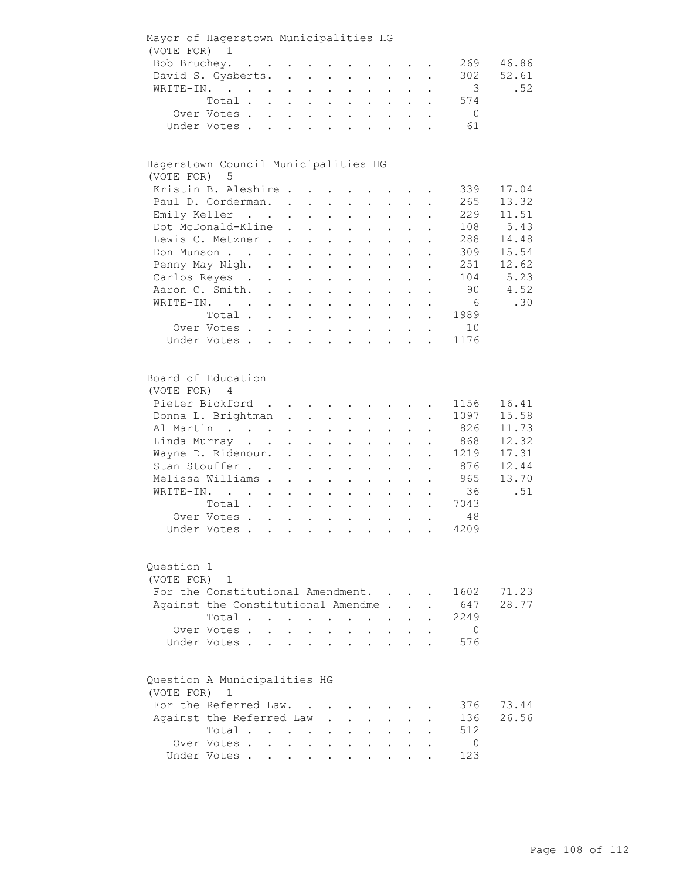| (VOTE FOR)               | Mayor of Hagerstown Municipalities HG<br>$\overline{1}$                                    |                                                                                                 |                                                                            |                               |                      |                                          |                      |                      |               |                |       |
|--------------------------|--------------------------------------------------------------------------------------------|-------------------------------------------------------------------------------------------------|----------------------------------------------------------------------------|-------------------------------|----------------------|------------------------------------------|----------------------|----------------------|---------------|----------------|-------|
| Bob Bruchey.             |                                                                                            |                                                                                                 |                                                                            |                               |                      |                                          |                      |                      |               | 269            | 46.86 |
|                          |                                                                                            | $\mathcal{A}(\mathbf{z})$ , and $\mathcal{A}(\mathbf{z})$ , and $\mathcal{A}(\mathbf{z})$ , and |                                                                            |                               |                      |                                          |                      |                      |               |                |       |
|                          | David S. Gysberts.                                                                         | $\ddot{\phantom{a}}$                                                                            | $\mathbf{z} = \mathbf{z}$                                                  | $\mathbf{L}^{\text{max}}$     |                      |                                          |                      |                      |               | 302            | 52.61 |
| WRITE-IN.                | $\mathcal{L}(\mathcal{A})$ and $\mathcal{L}(\mathcal{A})$ . The $\mathcal{L}(\mathcal{A})$ | $\ddot{\phantom{0}}$                                                                            | $\bullet$                                                                  | $\ddot{\phantom{0}}$          |                      |                                          |                      |                      |               | 3              | .52   |
|                          | Total.                                                                                     |                                                                                                 |                                                                            |                               |                      |                                          |                      |                      |               | 574            |       |
|                          | Over Votes.                                                                                | $\mathbf{L}$                                                                                    | $\sim$<br>$\ddot{\phantom{0}}$                                             |                               |                      |                                          |                      |                      |               | $\overline{0}$ |       |
|                          | Under Votes.                                                                               | $\mathbf{L}$                                                                                    | $\ddot{\phantom{a}}$                                                       | $\ddot{\phantom{a}}$          |                      | $\ddot{\phantom{a}}$                     |                      |                      |               | 61             |       |
|                          |                                                                                            |                                                                                                 |                                                                            |                               |                      |                                          |                      |                      |               |                |       |
|                          | Hagerstown Council Municipalities HG                                                       |                                                                                                 |                                                                            |                               |                      |                                          |                      |                      |               |                |       |
| (VOTE FOR)               | 5                                                                                          |                                                                                                 |                                                                            |                               |                      |                                          |                      |                      |               |                |       |
|                          | Kristin B. Aleshire                                                                        |                                                                                                 |                                                                            |                               |                      |                                          |                      |                      |               | 339            | 17.04 |
|                          | Paul D. Corderman. .                                                                       |                                                                                                 | $\ddot{\phantom{a}}$                                                       |                               |                      | $\ddot{\phantom{0}}$                     |                      |                      |               | 265            | 13.32 |
|                          | Emily Keller                                                                               |                                                                                                 |                                                                            |                               |                      |                                          |                      |                      |               | 229            | 11.51 |
|                          | Dot McDonald-Kline                                                                         | $\ddot{\phantom{a}}$                                                                            | $\ddot{\phantom{a}}$                                                       |                               | $\ddot{\phantom{a}}$ |                                          |                      |                      |               | 108            | 5.43  |
|                          | Lewis C. Metzner                                                                           |                                                                                                 | $\sim$                                                                     | $\sim$                        | $\ddot{\phantom{a}}$ | $\ddot{\phantom{a}}$                     |                      |                      |               | 288            | 14.48 |
|                          | Don Munson                                                                                 |                                                                                                 | $\mathbf{r} = \mathbf{r}$                                                  | $\ddot{\phantom{a}}$          | $\ddot{\phantom{a}}$ | $\ddot{\phantom{a}}$                     |                      | $\ddot{\phantom{a}}$ |               | 309            | 15.54 |
|                          | Penny May Nigh. .                                                                          |                                                                                                 | $\mathbf{L}^{\text{max}}$<br>$\mathbf{L}$                                  | $\mathcal{L}^{\text{max}}$    | $\ddot{\phantom{a}}$ | $\bullet$                                | $\ddot{\phantom{a}}$ | $\ddot{\phantom{a}}$ |               | 251            | 12.62 |
|                          | Carlos Reyes.                                                                              | $\sim$<br>$\ddot{\phantom{0}}$                                                                  |                                                                            | $\mathbf{L}$ and $\mathbf{L}$ | $\ddot{\phantom{a}}$ | $\ddot{\phantom{a}}$                     | $\ddot{\phantom{0}}$ | $\ddot{\phantom{a}}$ |               | 104            | 5.23  |
|                          | Aaron C. Smith.                                                                            | $\ddot{\phantom{0}}$<br>$\ddot{\phantom{0}}$                                                    | $\bullet$                                                                  | $\sim 100$                    | $\bullet$            | $\bullet$                                | $\bullet$            | $\bullet$            | $\bullet$     | 90             | 4.52  |
|                          | WRITE-IN.                                                                                  | $\ddot{\phantom{0}}$                                                                            | $\mathbf{L}^{\text{max}}$                                                  | $\bullet$ .                   | $\ddot{\phantom{a}}$ | $\ddot{\phantom{0}}$                     |                      |                      |               | - 6            | .30   |
|                          | Total .                                                                                    |                                                                                                 |                                                                            |                               |                      |                                          |                      |                      |               | 1989           |       |
|                          | Over Votes.                                                                                |                                                                                                 | $\ddot{\phantom{a}}$                                                       | $\bullet$                     |                      |                                          |                      |                      |               | 10             |       |
|                          |                                                                                            |                                                                                                 | $\ddot{\phantom{0}}$                                                       |                               |                      |                                          |                      |                      |               |                |       |
|                          | Under Votes.                                                                               | $\ddot{\phantom{a}}$                                                                            | $\sim$                                                                     | $\bullet$                     | $\bullet$            |                                          |                      |                      |               | 1176           |       |
| (VOTE FOR)               | Board of Education<br>4                                                                    |                                                                                                 |                                                                            |                               |                      |                                          |                      |                      |               |                |       |
|                          | Pieter Bickford.                                                                           |                                                                                                 | $\bullet$                                                                  |                               |                      |                                          |                      |                      |               | 1156           | 16.41 |
|                          | Donna L. Brightman                                                                         | $\ddot{\phantom{0}}$                                                                            | $\bullet$ .                                                                | $\mathbf{L}^{\text{max}}$     | $\ddot{\phantom{a}}$ | $\ddot{\phantom{0}}$                     |                      |                      |               | 1097           | 15.58 |
|                          | Al Martin                                                                                  | $\ddot{\phantom{0}}$                                                                            | $\ddot{\phantom{0}}$                                                       |                               |                      |                                          |                      |                      |               | 826            | 11.73 |
|                          | Linda Murray                                                                               |                                                                                                 |                                                                            |                               |                      |                                          |                      |                      |               | 868            | 12.32 |
|                          | Wayne D. Ridenour. .                                                                       |                                                                                                 | $\ddot{\phantom{a}}$                                                       |                               | $\bullet$            |                                          |                      |                      |               | 1219           | 17.31 |
|                          | Stan Stouffer                                                                              |                                                                                                 | $\ddot{\phantom{a}}$                                                       | $\ddot{\phantom{a}}$          | $\ddot{\phantom{a}}$ | $\ddot{\phantom{a}}$                     | $\ddot{\phantom{a}}$ |                      |               | 876            | 12.44 |
|                          | Melissa Williams.                                                                          | $\ddot{\phantom{a}}$                                                                            | $\ddot{\phantom{a}}$                                                       | $\ddot{\phantom{a}}$          | $\ddot{\phantom{a}}$ | $\ddot{\phantom{0}}$                     | $\ddot{\phantom{a}}$ | $\ddot{\phantom{a}}$ |               | 965            | 13.70 |
| WRITE-IN.                | $\mathbf{r}$ . The set of $\mathbf{r}$                                                     |                                                                                                 | $\ddot{\phantom{a}}$<br>$\mathbf{L}$                                       | $\ddot{\phantom{a}}$          | $\ddot{\phantom{0}}$ | $\ddot{\phantom{a}}$                     | $\ddot{\phantom{a}}$ | $\ddot{\phantom{0}}$ |               | 36             | .51   |
|                          | Total                                                                                      |                                                                                                 |                                                                            |                               | $\bullet$            | $\mathbf{a}$ and $\mathbf{b}$            | $\bullet$            | $\bullet$            | $\bullet$     | 7043           |       |
|                          | Over Votes                                                                                 |                                                                                                 |                                                                            |                               |                      | $\mathbf{z} = \mathbf{z} + \mathbf{z}$ . |                      |                      |               | 48             |       |
|                          | Under Votes                                                                                |                                                                                                 | $\mathbf{A}^{(n)}$ and $\mathbf{A}^{(n)}$ and $\mathbf{A}^{(n)}$ and       |                               |                      |                                          | $\sim 100$           | $\bullet$            | $\sim$ $\sim$ | 4209           |       |
|                          |                                                                                            |                                                                                                 |                                                                            |                               |                      |                                          |                      |                      |               |                |       |
| Question 1<br>(VOTE FOR) | $\mathbf{1}$                                                                               |                                                                                                 |                                                                            |                               |                      |                                          |                      |                      |               |                |       |
|                          | For the Constitutional Amendment.                                                          |                                                                                                 |                                                                            |                               |                      |                                          |                      |                      |               | 1602           | 71.23 |
|                          | Against the Constitutional Amendme                                                         |                                                                                                 |                                                                            |                               |                      |                                          |                      |                      |               | 647            | 28.77 |
|                          | Total .                                                                                    |                                                                                                 |                                                                            |                               |                      |                                          |                      |                      |               | 2249           |       |
|                          |                                                                                            | $\sim$ $\sim$                                                                                   | $\sim 10$                                                                  |                               |                      |                                          |                      |                      |               |                |       |
|                          | Over Votes.                                                                                |                                                                                                 |                                                                            |                               |                      |                                          |                      |                      |               | $\overline{0}$ |       |
|                          | Under Votes .                                                                              |                                                                                                 | $\bullet$                                                                  | $\bullet$                     |                      |                                          |                      |                      |               | 576            |       |
| (VOTE FOR)               | Question A Municipalities HG<br>1                                                          |                                                                                                 |                                                                            |                               |                      |                                          |                      |                      |               |                |       |
|                          | For the Referred Law.                                                                      |                                                                                                 |                                                                            |                               |                      |                                          |                      |                      |               | 376            | 73.44 |
|                          | Against the Referred Law                                                                   |                                                                                                 |                                                                            |                               |                      |                                          |                      |                      |               | 136            | 26.56 |
|                          | Total .                                                                                    |                                                                                                 |                                                                            |                               |                      |                                          |                      |                      |               | 512            |       |
|                          | Over Votes.                                                                                |                                                                                                 |                                                                            |                               |                      |                                          |                      |                      |               | 0              |       |
|                          |                                                                                            | $\ddot{\phantom{a}}$                                                                            | $\bullet$ .<br><br><br><br><br><br><br><br><br><br><br><br><br>$\bullet$   |                               |                      |                                          |                      |                      |               |                |       |
|                          | Under Votes.                                                                               | $\bullet$ .<br><br><br><br><br><br><br><br><br><br><br><br>                                     | $\bullet$ .<br><br><br><br><br><br><br><br><br><br><br><br><br>$\bullet$ . | $\bullet$ .                   |                      |                                          |                      |                      |               | 123            |       |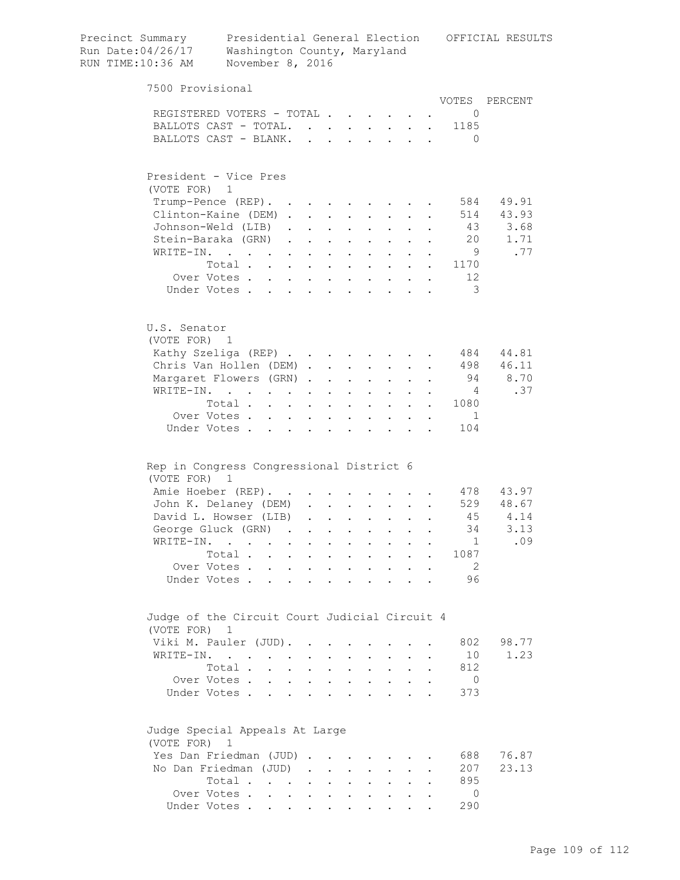| 7500 Provisional<br>VOTES<br>PERCENT<br>REGISTERED VOTERS - TOTAL<br>0<br>BALLOTS CAST - TOTAL.<br>1185<br>BALLOTS CAST - BLANK.<br>$\Omega$<br>President - Vice Pres<br>(VOTE FOR) 1<br>584<br>49.91<br>Trump-Pence (REP).<br>Clinton-Kaine (DEM)<br>514 43.93<br>$\sim$<br>Johnson-Weld (LIB).<br>43 3.68<br>$\sim$ $\sim$ $\sim$<br>$\mathbf{L}$ and $\mathbf{L}$<br>$\mathbf{L}$ and $\mathbf{L}$<br>20<br>1.71<br>Stein-Baraka (GRN).<br>$\mathbf{L}^{\text{max}}$<br>$\mathbf{z} = \mathbf{z} + \mathbf{z}$ .<br>$\bullet$ .<br><br><br><br><br><br><br><br><br><br><br><br><br>$\ddot{\phantom{0}}$<br>$\ddot{\phantom{0}}$<br>- 9<br>.77<br>WRITE-IN.<br>$\mathcal{L}(\mathbf{z})$ . The contribution of the $\mathcal{L}(\mathbf{z})$<br>$\bullet$ . In the set of $\bullet$<br>$\mathbf{L}^{\text{max}}$<br>$\bullet$ .<br><br><br><br><br><br><br><br><br><br><br><br><br>1170<br>Total $\cdots$ $\cdots$<br>$\mathbf{L}^{\text{max}}$<br>$\mathbf{L}^{\text{max}}$<br>$\sim$<br>$\mathbf{L} = \mathbf{0}$ , and<br>12<br>Over Votes<br>$\ddot{\phantom{a}}$<br>- 3<br>Under Votes<br>$\ddot{\phantom{a}}$<br>$\ddot{\phantom{a}}$<br>$\ddot{\phantom{a}}$<br>U.S. Senator<br>(VOTE FOR) 1<br>Kathy Szeliga (REP)<br>484<br>44.81<br>498 46.11<br>Chris Van Hollen (DEM).<br>$\mathbf{L}^{\text{max}}$ , and $\mathbf{L}^{\text{max}}$<br>$\mathbf{z} = \mathbf{z}$<br>$\bullet$ .<br>$\mathbf{L}^{\text{max}}$<br>Margaret Flowers (GRN).<br>94<br>8.70<br>$\mathbf{z}^{\text{max}}$ , $\mathbf{z}^{\text{max}}$<br>$\mathbf{L}^{\text{max}}$<br>$\ddot{\phantom{0}}$<br>.37<br>WRITE-IN.<br>4<br>$\ddot{\phantom{0}}$<br>1080<br>Total<br>$\ddot{\phantom{a}}$<br>$\cdot$ $\cdot$ $\cdot$<br>$\sim$<br>Over Votes.<br>$\overline{1}$<br>$\ddot{\phantom{0}}$<br>$\ddot{\phantom{0}}$<br>$\sim$<br>$\ddot{\phantom{a}}$<br>104<br>Under Votes<br>$\mathbf{r}$<br>$\mathbf{r}$<br>$\mathbf{L}$<br>$\mathbf{r}$<br>$\overline{a}$<br>$\overline{a}$<br>Rep in Congress Congressional District 6<br>(VOTE FOR) 1<br>Amie Hoeber (REP).<br>478 43.97<br>$\sim 100$ km s $^{-1}$<br>529 48.67<br>John K. Delaney (DEM)<br>$\mathbf{L}^{\text{max}}$<br>David L. Howser (LIB)<br>45<br>4.14<br>$\mathbf{z} = \mathbf{z} + \mathbf{z}$ .<br>$\sim$<br>3.13<br>George Gluck (GRN)<br>34<br>.09<br>WRITE-IN.<br>1<br>$\cdot$ $\cdot$ $\cdot$ $\cdot$<br>$\sim$ 100 $\mu$<br>Total<br>1087<br>Over Votes.<br>$\overline{2}$<br>96<br>Under Votes<br>Judge of the Circuit Court Judicial Circuit 4<br>(VOTE FOR) 1<br>Viki M. Pauler (JUD).<br>98.77<br>802<br>$\sim$<br>$\sim$<br>WRITE-IN.<br>10<br>1.23<br>$\ddot{\phantom{0}}$<br>812<br>Total<br>Over Votes<br>$\overline{0}$<br>$\ddot{\phantom{a}}$<br>373<br>Under Votes<br>Judge Special Appeals At Large<br>(VOTE FOR) 1<br>Yes Dan Friedman (JUD)<br>688<br>76.87<br>No Dan Friedman (JUD)<br>207<br>23.13<br>$\mathbf{r}$<br>895<br>Total<br>Over Votes<br>$\overline{0}$<br>290<br>Under Votes | Precinct Summary<br>Run Date: 04/26/17<br>RUN TIME:10:36 AM | Presidential General Election<br>OFFICIAL RESULTS<br>Washington County, Maryland<br>November 8, 2016 |  |  |  |  |  |  |  |  |  |  |
|--------------------------------------------------------------------------------------------------------------------------------------------------------------------------------------------------------------------------------------------------------------------------------------------------------------------------------------------------------------------------------------------------------------------------------------------------------------------------------------------------------------------------------------------------------------------------------------------------------------------------------------------------------------------------------------------------------------------------------------------------------------------------------------------------------------------------------------------------------------------------------------------------------------------------------------------------------------------------------------------------------------------------------------------------------------------------------------------------------------------------------------------------------------------------------------------------------------------------------------------------------------------------------------------------------------------------------------------------------------------------------------------------------------------------------------------------------------------------------------------------------------------------------------------------------------------------------------------------------------------------------------------------------------------------------------------------------------------------------------------------------------------------------------------------------------------------------------------------------------------------------------------------------------------------------------------------------------------------------------------------------------------------------------------------------------------------------------------------------------------------------------------------------------------------------------------------------------------------------------------------------------------------------------------------------------------------------------------------------------------------------------------------------------------------------------------------------------------------------------------------------------------------------------------------------------------------------------------------------------------------------------------------------------------------------------------------------------------------------------------------------------------------------------------------------------------------------------------------------------------------------------------------------------------------------------------------------------|-------------------------------------------------------------|------------------------------------------------------------------------------------------------------|--|--|--|--|--|--|--|--|--|--|
|                                                                                                                                                                                                                                                                                                                                                                                                                                                                                                                                                                                                                                                                                                                                                                                                                                                                                                                                                                                                                                                                                                                                                                                                                                                                                                                                                                                                                                                                                                                                                                                                                                                                                                                                                                                                                                                                                                                                                                                                                                                                                                                                                                                                                                                                                                                                                                                                                                                                                                                                                                                                                                                                                                                                                                                                                                                                                                                                                              |                                                             |                                                                                                      |  |  |  |  |  |  |  |  |  |  |
|                                                                                                                                                                                                                                                                                                                                                                                                                                                                                                                                                                                                                                                                                                                                                                                                                                                                                                                                                                                                                                                                                                                                                                                                                                                                                                                                                                                                                                                                                                                                                                                                                                                                                                                                                                                                                                                                                                                                                                                                                                                                                                                                                                                                                                                                                                                                                                                                                                                                                                                                                                                                                                                                                                                                                                                                                                                                                                                                                              |                                                             |                                                                                                      |  |  |  |  |  |  |  |  |  |  |
|                                                                                                                                                                                                                                                                                                                                                                                                                                                                                                                                                                                                                                                                                                                                                                                                                                                                                                                                                                                                                                                                                                                                                                                                                                                                                                                                                                                                                                                                                                                                                                                                                                                                                                                                                                                                                                                                                                                                                                                                                                                                                                                                                                                                                                                                                                                                                                                                                                                                                                                                                                                                                                                                                                                                                                                                                                                                                                                                                              |                                                             |                                                                                                      |  |  |  |  |  |  |  |  |  |  |
|                                                                                                                                                                                                                                                                                                                                                                                                                                                                                                                                                                                                                                                                                                                                                                                                                                                                                                                                                                                                                                                                                                                                                                                                                                                                                                                                                                                                                                                                                                                                                                                                                                                                                                                                                                                                                                                                                                                                                                                                                                                                                                                                                                                                                                                                                                                                                                                                                                                                                                                                                                                                                                                                                                                                                                                                                                                                                                                                                              |                                                             |                                                                                                      |  |  |  |  |  |  |  |  |  |  |
|                                                                                                                                                                                                                                                                                                                                                                                                                                                                                                                                                                                                                                                                                                                                                                                                                                                                                                                                                                                                                                                                                                                                                                                                                                                                                                                                                                                                                                                                                                                                                                                                                                                                                                                                                                                                                                                                                                                                                                                                                                                                                                                                                                                                                                                                                                                                                                                                                                                                                                                                                                                                                                                                                                                                                                                                                                                                                                                                                              |                                                             |                                                                                                      |  |  |  |  |  |  |  |  |  |  |
|                                                                                                                                                                                                                                                                                                                                                                                                                                                                                                                                                                                                                                                                                                                                                                                                                                                                                                                                                                                                                                                                                                                                                                                                                                                                                                                                                                                                                                                                                                                                                                                                                                                                                                                                                                                                                                                                                                                                                                                                                                                                                                                                                                                                                                                                                                                                                                                                                                                                                                                                                                                                                                                                                                                                                                                                                                                                                                                                                              |                                                             |                                                                                                      |  |  |  |  |  |  |  |  |  |  |
|                                                                                                                                                                                                                                                                                                                                                                                                                                                                                                                                                                                                                                                                                                                                                                                                                                                                                                                                                                                                                                                                                                                                                                                                                                                                                                                                                                                                                                                                                                                                                                                                                                                                                                                                                                                                                                                                                                                                                                                                                                                                                                                                                                                                                                                                                                                                                                                                                                                                                                                                                                                                                                                                                                                                                                                                                                                                                                                                                              |                                                             |                                                                                                      |  |  |  |  |  |  |  |  |  |  |
|                                                                                                                                                                                                                                                                                                                                                                                                                                                                                                                                                                                                                                                                                                                                                                                                                                                                                                                                                                                                                                                                                                                                                                                                                                                                                                                                                                                                                                                                                                                                                                                                                                                                                                                                                                                                                                                                                                                                                                                                                                                                                                                                                                                                                                                                                                                                                                                                                                                                                                                                                                                                                                                                                                                                                                                                                                                                                                                                                              |                                                             |                                                                                                      |  |  |  |  |  |  |  |  |  |  |
|                                                                                                                                                                                                                                                                                                                                                                                                                                                                                                                                                                                                                                                                                                                                                                                                                                                                                                                                                                                                                                                                                                                                                                                                                                                                                                                                                                                                                                                                                                                                                                                                                                                                                                                                                                                                                                                                                                                                                                                                                                                                                                                                                                                                                                                                                                                                                                                                                                                                                                                                                                                                                                                                                                                                                                                                                                                                                                                                                              |                                                             |                                                                                                      |  |  |  |  |  |  |  |  |  |  |
|                                                                                                                                                                                                                                                                                                                                                                                                                                                                                                                                                                                                                                                                                                                                                                                                                                                                                                                                                                                                                                                                                                                                                                                                                                                                                                                                                                                                                                                                                                                                                                                                                                                                                                                                                                                                                                                                                                                                                                                                                                                                                                                                                                                                                                                                                                                                                                                                                                                                                                                                                                                                                                                                                                                                                                                                                                                                                                                                                              |                                                             |                                                                                                      |  |  |  |  |  |  |  |  |  |  |
|                                                                                                                                                                                                                                                                                                                                                                                                                                                                                                                                                                                                                                                                                                                                                                                                                                                                                                                                                                                                                                                                                                                                                                                                                                                                                                                                                                                                                                                                                                                                                                                                                                                                                                                                                                                                                                                                                                                                                                                                                                                                                                                                                                                                                                                                                                                                                                                                                                                                                                                                                                                                                                                                                                                                                                                                                                                                                                                                                              |                                                             |                                                                                                      |  |  |  |  |  |  |  |  |  |  |
|                                                                                                                                                                                                                                                                                                                                                                                                                                                                                                                                                                                                                                                                                                                                                                                                                                                                                                                                                                                                                                                                                                                                                                                                                                                                                                                                                                                                                                                                                                                                                                                                                                                                                                                                                                                                                                                                                                                                                                                                                                                                                                                                                                                                                                                                                                                                                                                                                                                                                                                                                                                                                                                                                                                                                                                                                                                                                                                                                              |                                                             |                                                                                                      |  |  |  |  |  |  |  |  |  |  |
|                                                                                                                                                                                                                                                                                                                                                                                                                                                                                                                                                                                                                                                                                                                                                                                                                                                                                                                                                                                                                                                                                                                                                                                                                                                                                                                                                                                                                                                                                                                                                                                                                                                                                                                                                                                                                                                                                                                                                                                                                                                                                                                                                                                                                                                                                                                                                                                                                                                                                                                                                                                                                                                                                                                                                                                                                                                                                                                                                              |                                                             |                                                                                                      |  |  |  |  |  |  |  |  |  |  |
|                                                                                                                                                                                                                                                                                                                                                                                                                                                                                                                                                                                                                                                                                                                                                                                                                                                                                                                                                                                                                                                                                                                                                                                                                                                                                                                                                                                                                                                                                                                                                                                                                                                                                                                                                                                                                                                                                                                                                                                                                                                                                                                                                                                                                                                                                                                                                                                                                                                                                                                                                                                                                                                                                                                                                                                                                                                                                                                                                              |                                                             |                                                                                                      |  |  |  |  |  |  |  |  |  |  |
|                                                                                                                                                                                                                                                                                                                                                                                                                                                                                                                                                                                                                                                                                                                                                                                                                                                                                                                                                                                                                                                                                                                                                                                                                                                                                                                                                                                                                                                                                                                                                                                                                                                                                                                                                                                                                                                                                                                                                                                                                                                                                                                                                                                                                                                                                                                                                                                                                                                                                                                                                                                                                                                                                                                                                                                                                                                                                                                                                              |                                                             |                                                                                                      |  |  |  |  |  |  |  |  |  |  |
|                                                                                                                                                                                                                                                                                                                                                                                                                                                                                                                                                                                                                                                                                                                                                                                                                                                                                                                                                                                                                                                                                                                                                                                                                                                                                                                                                                                                                                                                                                                                                                                                                                                                                                                                                                                                                                                                                                                                                                                                                                                                                                                                                                                                                                                                                                                                                                                                                                                                                                                                                                                                                                                                                                                                                                                                                                                                                                                                                              |                                                             |                                                                                                      |  |  |  |  |  |  |  |  |  |  |
|                                                                                                                                                                                                                                                                                                                                                                                                                                                                                                                                                                                                                                                                                                                                                                                                                                                                                                                                                                                                                                                                                                                                                                                                                                                                                                                                                                                                                                                                                                                                                                                                                                                                                                                                                                                                                                                                                                                                                                                                                                                                                                                                                                                                                                                                                                                                                                                                                                                                                                                                                                                                                                                                                                                                                                                                                                                                                                                                                              |                                                             |                                                                                                      |  |  |  |  |  |  |  |  |  |  |
|                                                                                                                                                                                                                                                                                                                                                                                                                                                                                                                                                                                                                                                                                                                                                                                                                                                                                                                                                                                                                                                                                                                                                                                                                                                                                                                                                                                                                                                                                                                                                                                                                                                                                                                                                                                                                                                                                                                                                                                                                                                                                                                                                                                                                                                                                                                                                                                                                                                                                                                                                                                                                                                                                                                                                                                                                                                                                                                                                              |                                                             |                                                                                                      |  |  |  |  |  |  |  |  |  |  |
|                                                                                                                                                                                                                                                                                                                                                                                                                                                                                                                                                                                                                                                                                                                                                                                                                                                                                                                                                                                                                                                                                                                                                                                                                                                                                                                                                                                                                                                                                                                                                                                                                                                                                                                                                                                                                                                                                                                                                                                                                                                                                                                                                                                                                                                                                                                                                                                                                                                                                                                                                                                                                                                                                                                                                                                                                                                                                                                                                              |                                                             |                                                                                                      |  |  |  |  |  |  |  |  |  |  |
|                                                                                                                                                                                                                                                                                                                                                                                                                                                                                                                                                                                                                                                                                                                                                                                                                                                                                                                                                                                                                                                                                                                                                                                                                                                                                                                                                                                                                                                                                                                                                                                                                                                                                                                                                                                                                                                                                                                                                                                                                                                                                                                                                                                                                                                                                                                                                                                                                                                                                                                                                                                                                                                                                                                                                                                                                                                                                                                                                              |                                                             |                                                                                                      |  |  |  |  |  |  |  |  |  |  |
|                                                                                                                                                                                                                                                                                                                                                                                                                                                                                                                                                                                                                                                                                                                                                                                                                                                                                                                                                                                                                                                                                                                                                                                                                                                                                                                                                                                                                                                                                                                                                                                                                                                                                                                                                                                                                                                                                                                                                                                                                                                                                                                                                                                                                                                                                                                                                                                                                                                                                                                                                                                                                                                                                                                                                                                                                                                                                                                                                              |                                                             |                                                                                                      |  |  |  |  |  |  |  |  |  |  |
|                                                                                                                                                                                                                                                                                                                                                                                                                                                                                                                                                                                                                                                                                                                                                                                                                                                                                                                                                                                                                                                                                                                                                                                                                                                                                                                                                                                                                                                                                                                                                                                                                                                                                                                                                                                                                                                                                                                                                                                                                                                                                                                                                                                                                                                                                                                                                                                                                                                                                                                                                                                                                                                                                                                                                                                                                                                                                                                                                              |                                                             |                                                                                                      |  |  |  |  |  |  |  |  |  |  |
|                                                                                                                                                                                                                                                                                                                                                                                                                                                                                                                                                                                                                                                                                                                                                                                                                                                                                                                                                                                                                                                                                                                                                                                                                                                                                                                                                                                                                                                                                                                                                                                                                                                                                                                                                                                                                                                                                                                                                                                                                                                                                                                                                                                                                                                                                                                                                                                                                                                                                                                                                                                                                                                                                                                                                                                                                                                                                                                                                              |                                                             |                                                                                                      |  |  |  |  |  |  |  |  |  |  |
|                                                                                                                                                                                                                                                                                                                                                                                                                                                                                                                                                                                                                                                                                                                                                                                                                                                                                                                                                                                                                                                                                                                                                                                                                                                                                                                                                                                                                                                                                                                                                                                                                                                                                                                                                                                                                                                                                                                                                                                                                                                                                                                                                                                                                                                                                                                                                                                                                                                                                                                                                                                                                                                                                                                                                                                                                                                                                                                                                              |                                                             |                                                                                                      |  |  |  |  |  |  |  |  |  |  |
|                                                                                                                                                                                                                                                                                                                                                                                                                                                                                                                                                                                                                                                                                                                                                                                                                                                                                                                                                                                                                                                                                                                                                                                                                                                                                                                                                                                                                                                                                                                                                                                                                                                                                                                                                                                                                                                                                                                                                                                                                                                                                                                                                                                                                                                                                                                                                                                                                                                                                                                                                                                                                                                                                                                                                                                                                                                                                                                                                              |                                                             |                                                                                                      |  |  |  |  |  |  |  |  |  |  |
|                                                                                                                                                                                                                                                                                                                                                                                                                                                                                                                                                                                                                                                                                                                                                                                                                                                                                                                                                                                                                                                                                                                                                                                                                                                                                                                                                                                                                                                                                                                                                                                                                                                                                                                                                                                                                                                                                                                                                                                                                                                                                                                                                                                                                                                                                                                                                                                                                                                                                                                                                                                                                                                                                                                                                                                                                                                                                                                                                              |                                                             |                                                                                                      |  |  |  |  |  |  |  |  |  |  |
|                                                                                                                                                                                                                                                                                                                                                                                                                                                                                                                                                                                                                                                                                                                                                                                                                                                                                                                                                                                                                                                                                                                                                                                                                                                                                                                                                                                                                                                                                                                                                                                                                                                                                                                                                                                                                                                                                                                                                                                                                                                                                                                                                                                                                                                                                                                                                                                                                                                                                                                                                                                                                                                                                                                                                                                                                                                                                                                                                              |                                                             |                                                                                                      |  |  |  |  |  |  |  |  |  |  |
|                                                                                                                                                                                                                                                                                                                                                                                                                                                                                                                                                                                                                                                                                                                                                                                                                                                                                                                                                                                                                                                                                                                                                                                                                                                                                                                                                                                                                                                                                                                                                                                                                                                                                                                                                                                                                                                                                                                                                                                                                                                                                                                                                                                                                                                                                                                                                                                                                                                                                                                                                                                                                                                                                                                                                                                                                                                                                                                                                              |                                                             |                                                                                                      |  |  |  |  |  |  |  |  |  |  |
|                                                                                                                                                                                                                                                                                                                                                                                                                                                                                                                                                                                                                                                                                                                                                                                                                                                                                                                                                                                                                                                                                                                                                                                                                                                                                                                                                                                                                                                                                                                                                                                                                                                                                                                                                                                                                                                                                                                                                                                                                                                                                                                                                                                                                                                                                                                                                                                                                                                                                                                                                                                                                                                                                                                                                                                                                                                                                                                                                              |                                                             |                                                                                                      |  |  |  |  |  |  |  |  |  |  |
|                                                                                                                                                                                                                                                                                                                                                                                                                                                                                                                                                                                                                                                                                                                                                                                                                                                                                                                                                                                                                                                                                                                                                                                                                                                                                                                                                                                                                                                                                                                                                                                                                                                                                                                                                                                                                                                                                                                                                                                                                                                                                                                                                                                                                                                                                                                                                                                                                                                                                                                                                                                                                                                                                                                                                                                                                                                                                                                                                              |                                                             |                                                                                                      |  |  |  |  |  |  |  |  |  |  |
|                                                                                                                                                                                                                                                                                                                                                                                                                                                                                                                                                                                                                                                                                                                                                                                                                                                                                                                                                                                                                                                                                                                                                                                                                                                                                                                                                                                                                                                                                                                                                                                                                                                                                                                                                                                                                                                                                                                                                                                                                                                                                                                                                                                                                                                                                                                                                                                                                                                                                                                                                                                                                                                                                                                                                                                                                                                                                                                                                              |                                                             |                                                                                                      |  |  |  |  |  |  |  |  |  |  |
|                                                                                                                                                                                                                                                                                                                                                                                                                                                                                                                                                                                                                                                                                                                                                                                                                                                                                                                                                                                                                                                                                                                                                                                                                                                                                                                                                                                                                                                                                                                                                                                                                                                                                                                                                                                                                                                                                                                                                                                                                                                                                                                                                                                                                                                                                                                                                                                                                                                                                                                                                                                                                                                                                                                                                                                                                                                                                                                                                              |                                                             |                                                                                                      |  |  |  |  |  |  |  |  |  |  |
|                                                                                                                                                                                                                                                                                                                                                                                                                                                                                                                                                                                                                                                                                                                                                                                                                                                                                                                                                                                                                                                                                                                                                                                                                                                                                                                                                                                                                                                                                                                                                                                                                                                                                                                                                                                                                                                                                                                                                                                                                                                                                                                                                                                                                                                                                                                                                                                                                                                                                                                                                                                                                                                                                                                                                                                                                                                                                                                                                              |                                                             |                                                                                                      |  |  |  |  |  |  |  |  |  |  |
|                                                                                                                                                                                                                                                                                                                                                                                                                                                                                                                                                                                                                                                                                                                                                                                                                                                                                                                                                                                                                                                                                                                                                                                                                                                                                                                                                                                                                                                                                                                                                                                                                                                                                                                                                                                                                                                                                                                                                                                                                                                                                                                                                                                                                                                                                                                                                                                                                                                                                                                                                                                                                                                                                                                                                                                                                                                                                                                                                              |                                                             |                                                                                                      |  |  |  |  |  |  |  |  |  |  |
|                                                                                                                                                                                                                                                                                                                                                                                                                                                                                                                                                                                                                                                                                                                                                                                                                                                                                                                                                                                                                                                                                                                                                                                                                                                                                                                                                                                                                                                                                                                                                                                                                                                                                                                                                                                                                                                                                                                                                                                                                                                                                                                                                                                                                                                                                                                                                                                                                                                                                                                                                                                                                                                                                                                                                                                                                                                                                                                                                              |                                                             |                                                                                                      |  |  |  |  |  |  |  |  |  |  |
|                                                                                                                                                                                                                                                                                                                                                                                                                                                                                                                                                                                                                                                                                                                                                                                                                                                                                                                                                                                                                                                                                                                                                                                                                                                                                                                                                                                                                                                                                                                                                                                                                                                                                                                                                                                                                                                                                                                                                                                                                                                                                                                                                                                                                                                                                                                                                                                                                                                                                                                                                                                                                                                                                                                                                                                                                                                                                                                                                              |                                                             |                                                                                                      |  |  |  |  |  |  |  |  |  |  |
|                                                                                                                                                                                                                                                                                                                                                                                                                                                                                                                                                                                                                                                                                                                                                                                                                                                                                                                                                                                                                                                                                                                                                                                                                                                                                                                                                                                                                                                                                                                                                                                                                                                                                                                                                                                                                                                                                                                                                                                                                                                                                                                                                                                                                                                                                                                                                                                                                                                                                                                                                                                                                                                                                                                                                                                                                                                                                                                                                              |                                                             |                                                                                                      |  |  |  |  |  |  |  |  |  |  |
|                                                                                                                                                                                                                                                                                                                                                                                                                                                                                                                                                                                                                                                                                                                                                                                                                                                                                                                                                                                                                                                                                                                                                                                                                                                                                                                                                                                                                                                                                                                                                                                                                                                                                                                                                                                                                                                                                                                                                                                                                                                                                                                                                                                                                                                                                                                                                                                                                                                                                                                                                                                                                                                                                                                                                                                                                                                                                                                                                              |                                                             |                                                                                                      |  |  |  |  |  |  |  |  |  |  |
|                                                                                                                                                                                                                                                                                                                                                                                                                                                                                                                                                                                                                                                                                                                                                                                                                                                                                                                                                                                                                                                                                                                                                                                                                                                                                                                                                                                                                                                                                                                                                                                                                                                                                                                                                                                                                                                                                                                                                                                                                                                                                                                                                                                                                                                                                                                                                                                                                                                                                                                                                                                                                                                                                                                                                                                                                                                                                                                                                              |                                                             |                                                                                                      |  |  |  |  |  |  |  |  |  |  |
|                                                                                                                                                                                                                                                                                                                                                                                                                                                                                                                                                                                                                                                                                                                                                                                                                                                                                                                                                                                                                                                                                                                                                                                                                                                                                                                                                                                                                                                                                                                                                                                                                                                                                                                                                                                                                                                                                                                                                                                                                                                                                                                                                                                                                                                                                                                                                                                                                                                                                                                                                                                                                                                                                                                                                                                                                                                                                                                                                              |                                                             |                                                                                                      |  |  |  |  |  |  |  |  |  |  |
|                                                                                                                                                                                                                                                                                                                                                                                                                                                                                                                                                                                                                                                                                                                                                                                                                                                                                                                                                                                                                                                                                                                                                                                                                                                                                                                                                                                                                                                                                                                                                                                                                                                                                                                                                                                                                                                                                                                                                                                                                                                                                                                                                                                                                                                                                                                                                                                                                                                                                                                                                                                                                                                                                                                                                                                                                                                                                                                                                              |                                                             |                                                                                                      |  |  |  |  |  |  |  |  |  |  |
|                                                                                                                                                                                                                                                                                                                                                                                                                                                                                                                                                                                                                                                                                                                                                                                                                                                                                                                                                                                                                                                                                                                                                                                                                                                                                                                                                                                                                                                                                                                                                                                                                                                                                                                                                                                                                                                                                                                                                                                                                                                                                                                                                                                                                                                                                                                                                                                                                                                                                                                                                                                                                                                                                                                                                                                                                                                                                                                                                              |                                                             |                                                                                                      |  |  |  |  |  |  |  |  |  |  |
|                                                                                                                                                                                                                                                                                                                                                                                                                                                                                                                                                                                                                                                                                                                                                                                                                                                                                                                                                                                                                                                                                                                                                                                                                                                                                                                                                                                                                                                                                                                                                                                                                                                                                                                                                                                                                                                                                                                                                                                                                                                                                                                                                                                                                                                                                                                                                                                                                                                                                                                                                                                                                                                                                                                                                                                                                                                                                                                                                              |                                                             |                                                                                                      |  |  |  |  |  |  |  |  |  |  |
|                                                                                                                                                                                                                                                                                                                                                                                                                                                                                                                                                                                                                                                                                                                                                                                                                                                                                                                                                                                                                                                                                                                                                                                                                                                                                                                                                                                                                                                                                                                                                                                                                                                                                                                                                                                                                                                                                                                                                                                                                                                                                                                                                                                                                                                                                                                                                                                                                                                                                                                                                                                                                                                                                                                                                                                                                                                                                                                                                              |                                                             |                                                                                                      |  |  |  |  |  |  |  |  |  |  |
|                                                                                                                                                                                                                                                                                                                                                                                                                                                                                                                                                                                                                                                                                                                                                                                                                                                                                                                                                                                                                                                                                                                                                                                                                                                                                                                                                                                                                                                                                                                                                                                                                                                                                                                                                                                                                                                                                                                                                                                                                                                                                                                                                                                                                                                                                                                                                                                                                                                                                                                                                                                                                                                                                                                                                                                                                                                                                                                                                              |                                                             |                                                                                                      |  |  |  |  |  |  |  |  |  |  |
|                                                                                                                                                                                                                                                                                                                                                                                                                                                                                                                                                                                                                                                                                                                                                                                                                                                                                                                                                                                                                                                                                                                                                                                                                                                                                                                                                                                                                                                                                                                                                                                                                                                                                                                                                                                                                                                                                                                                                                                                                                                                                                                                                                                                                                                                                                                                                                                                                                                                                                                                                                                                                                                                                                                                                                                                                                                                                                                                                              |                                                             |                                                                                                      |  |  |  |  |  |  |  |  |  |  |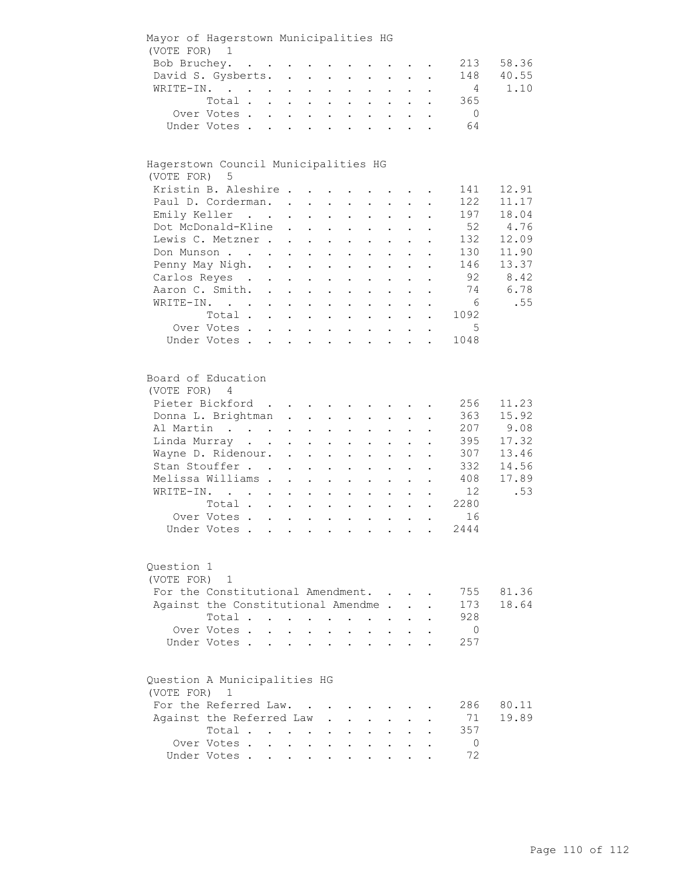| (VOTE FOR)               | Mayor of Hagerstown Municipalities HG<br>1                                                                                                                                                                                        |                      |                                                             |                           |                                                           |                      |                                          |                      |                           |                      |                 |                |
|--------------------------|-----------------------------------------------------------------------------------------------------------------------------------------------------------------------------------------------------------------------------------|----------------------|-------------------------------------------------------------|---------------------------|-----------------------------------------------------------|----------------------|------------------------------------------|----------------------|---------------------------|----------------------|-----------------|----------------|
| Bob Bruchey.             | $\mathbf{r}$ . The contract of the contract of the contract of the contract of the contract of the contract of the contract of the contract of the contract of the contract of the contract of the contract of the contract of th |                      |                                                             |                           |                                                           |                      |                                          |                      |                           |                      | 213             | 58.36          |
|                          | David S. Gysberts.                                                                                                                                                                                                                |                      | $\ddot{\phantom{a}}$                                        |                           | $\mathbf{L}^{\text{max}}$ , and $\mathbf{L}^{\text{max}}$ |                      |                                          |                      |                           |                      | 148             | 40.55          |
|                          | WRITE-IN.                                                                                                                                                                                                                         |                      |                                                             |                           |                                                           |                      |                                          |                      |                           |                      | $\overline{4}$  | 1.10           |
|                          | Total .                                                                                                                                                                                                                           |                      | $\mathcal{L}^{\text{max}}$                                  | $\sim$                    | $\mathbf{L}^{\text{max}}$                                 | $\bullet$            |                                          |                      |                           |                      | 365             |                |
|                          | Over Votes.                                                                                                                                                                                                                       |                      | $\mathbf{L}^{\text{max}}$ , $\mathbf{L}^{\text{max}}$       | $\sim$                    | $\sim$ $\sim$                                             | $\ddot{\phantom{0}}$ | $\sim$                                   | $\ddot{\phantom{0}}$ |                           |                      | $\overline{0}$  |                |
|                          | Under Votes.                                                                                                                                                                                                                      | $\mathbf{L}$         | $\ddot{\phantom{a}}$                                        |                           | $\mathbf{r}$ , $\mathbf{r}$ , $\mathbf{r}$                | $\ddot{\phantom{a}}$ | $\sim$                                   |                      |                           |                      | 64              |                |
|                          |                                                                                                                                                                                                                                   |                      |                                                             |                           |                                                           |                      |                                          |                      |                           |                      |                 |                |
| (VOTE FOR)               | Hagerstown Council Municipalities HG<br>- 5                                                                                                                                                                                       |                      |                                                             |                           |                                                           |                      |                                          |                      |                           |                      |                 |                |
|                          | Kristin B. Aleshire                                                                                                                                                                                                               |                      |                                                             |                           |                                                           |                      |                                          |                      |                           |                      | 141             | 12.91          |
|                          | Paul D. Corderman. .                                                                                                                                                                                                              |                      |                                                             | $\ddot{\phantom{a}}$      |                                                           |                      |                                          |                      |                           |                      | 122             | 11.17          |
|                          | Emily Keller                                                                                                                                                                                                                      |                      | $\ddot{\phantom{a}}$                                        | $\ddot{\phantom{a}}$      | $\ddot{\phantom{a}}$                                      | $\ddot{\phantom{a}}$ |                                          |                      |                           |                      | 197             | 18.04          |
|                          | Dot McDonald-Kline                                                                                                                                                                                                                |                      | $\ddot{\phantom{a}}$                                        | $\ddot{\phantom{0}}$      | $\mathbf{L}$                                              | $\ddot{\phantom{a}}$ | $\ddot{\phantom{a}}$                     |                      |                           |                      | 52              | 4.76           |
|                          | Lewis C. Metzner                                                                                                                                                                                                                  |                      |                                                             |                           |                                                           | $\ddot{\phantom{0}}$ | $\ddot{\phantom{a}}$                     |                      | $\ddot{\phantom{a}}$      |                      | 132             | 12.09          |
|                          | Don Munson                                                                                                                                                                                                                        |                      |                                                             |                           | $\mathbf{L} = \mathbf{L} \times \mathbf{L}$               |                      |                                          |                      |                           |                      | 130             | 11.90          |
|                          |                                                                                                                                                                                                                                   |                      |                                                             |                           |                                                           | $\ddot{\phantom{a}}$ | $\ddot{\phantom{a}}$                     |                      | $\ddot{\phantom{a}}$      |                      |                 |                |
|                          | Penny May Nigh. .                                                                                                                                                                                                                 |                      | $\mathbf{L}^{\text{max}}$                                   |                           | $\mathbf{L}^{\text{max}}$ , $\mathbf{L}^{\text{max}}$     | $\ddot{\phantom{a}}$ | $\sim$ $-$                               | $\ddot{\phantom{0}}$ | $\mathbf{L}^{\text{max}}$ |                      | 146             | 13.37          |
|                          | Carlos Reyes .                                                                                                                                                                                                                    | $\bullet$ .          | $\ddot{\phantom{0}}$                                        |                           | $\mathbf{L}^{\text{max}}$ , and $\mathbf{L}^{\text{max}}$ | $\bullet$            | $\mathbf{L}^{\text{max}}$                | $\ddot{\phantom{0}}$ | $\ddot{\phantom{a}}$      | $\bullet$            | - 92            | 8.42           |
|                          | Aaron C. Smith.                                                                                                                                                                                                                   | $\ddot{\phantom{a}}$ | $\ddot{\phantom{a}}$                                        | $\ddot{\phantom{0}}$      | $\sim$ $-$                                                | $\ddot{\phantom{0}}$ | $\bullet$                                |                      |                           |                      | 74              | 6.78           |
|                          | WRITE-IN.                                                                                                                                                                                                                         |                      |                                                             | $\ddot{\phantom{0}}$      | $\sim 100$                                                | $\ddot{\phantom{0}}$ |                                          |                      |                           |                      | $6\overline{6}$ | .55            |
|                          | Total .                                                                                                                                                                                                                           |                      | $\mathbf{L}^{\text{max}}$                                   | $\ddot{\phantom{a}}$      | $\ddot{\phantom{a}}$                                      | $\ddot{\phantom{a}}$ |                                          |                      |                           |                      | 1092            |                |
|                          | Over Votes.                                                                                                                                                                                                                       |                      | $\mathcal{L}^{\text{max}}$                                  | $\sim$                    | $\ddot{\phantom{a}}$                                      | $\bullet$            |                                          |                      |                           |                      | 5               |                |
|                          | Under Votes.                                                                                                                                                                                                                      | $\ddot{\phantom{0}}$ | $\mathbf{L}^{\text{max}}$                                   |                           | $\mathbf{z} = \mathbf{z} + \mathbf{z}$ .                  |                      | $\mathbf{z} = \mathbf{z} + \mathbf{z}$ . | $\mathbf{L}$         | $\mathbf{L}$              |                      | 1048            |                |
| (VOTE FOR)               | Board of Education<br>4<br>Pieter Bickford<br>Donna L. Brightman                                                                                                                                                                  |                      | $\ddot{\phantom{0}}$                                        | $\ddot{\phantom{0}}$      | and the state of the state of the<br>$\bullet$            | $\ddot{\phantom{0}}$ |                                          |                      |                           |                      | 256<br>363      | 11.23<br>15.92 |
|                          | Al Martin                                                                                                                                                                                                                         |                      | $\ddot{\phantom{a}}$                                        | $\ddot{\phantom{a}}$      |                                                           |                      |                                          |                      |                           |                      | 207             | 9.08           |
|                          | Linda Murray                                                                                                                                                                                                                      |                      |                                                             |                           |                                                           |                      |                                          |                      |                           |                      | 395             | 17.32          |
|                          |                                                                                                                                                                                                                                   |                      | $\ddot{\phantom{0}}$                                        |                           |                                                           | $\bullet$            |                                          |                      |                           |                      | 307             | 13.46          |
|                          | Wayne D. Ridenour. .                                                                                                                                                                                                              |                      |                                                             | $\ddot{\phantom{a}}$      | $\ddot{\phantom{a}}$                                      | $\ddot{\phantom{a}}$ | $\ddot{\phantom{a}}$                     | $\ddot{\phantom{a}}$ | $\ddot{\phantom{a}}$      | $\ddot{\phantom{a}}$ |                 |                |
|                          | Stan Stouffer                                                                                                                                                                                                                     |                      | $\ddot{\phantom{a}}$                                        | $\ddot{\phantom{a}}$      | $\ddot{\phantom{a}}$                                      | $\ddot{\phantom{a}}$ | $\ddot{\phantom{a}}$                     | $\ddot{\phantom{a}}$ | $\ddot{\phantom{a}}$      |                      | 332             | 14.56          |
|                          | Melissa Williams.                                                                                                                                                                                                                 |                      | $\ddot{\phantom{a}}$                                        | $\ddot{\phantom{a}}$      | $\ddot{\phantom{a}}$                                      | $\ddot{\phantom{a}}$ | $\ddot{\phantom{a}}$                     | $\ddot{\phantom{a}}$ | $\ddot{\phantom{a}}$      |                      | 408             | 17.89          |
| WRITE-IN.                | $\mathbf{r}$ , $\mathbf{r}$ , $\mathbf{r}$                                                                                                                                                                                        |                      | $\mathbf{L}^{\text{max}}$                                   | $\mathbf{L}^{\text{max}}$ | $\mathbf{L}^{\text{max}}$                                 | $\ddot{\phantom{a}}$ | $\sim$                                   | $\ddotsc$            | $\bullet$                 |                      | 12              | .53            |
|                          | Total                                                                                                                                                                                                                             |                      |                                                             |                           |                                                           | $\bullet$            | $\mathbf{z} = \mathbf{z}$                | $\bullet$            | $\bullet$                 | $\ddot{\phantom{a}}$ | 2280            |                |
|                          | Over Votes                                                                                                                                                                                                                        |                      |                                                             |                           |                                                           |                      | $\mathbf{L} = \mathbf{L} \mathbf{L}$     | $\bullet$            | $\bullet$                 | $\bullet$            | 16              |                |
|                          | Under Votes.                                                                                                                                                                                                                      |                      |                                                             |                           | $\mathbf{r}$ , $\mathbf{r}$ , $\mathbf{r}$ , $\mathbf{r}$ |                      |                                          |                      |                           |                      | 2444            |                |
| Question 1<br>(VOTE FOR) | $\mathbf{1}$<br>For the Constitutional Amendment.                                                                                                                                                                                 |                      |                                                             |                           |                                                           |                      |                                          |                      |                           |                      | 755             | 81.36          |
|                          |                                                                                                                                                                                                                                   |                      |                                                             |                           |                                                           |                      |                                          |                      |                           |                      | 173             | 18.64          |
|                          | Against the Constitutional Amendme                                                                                                                                                                                                |                      |                                                             |                           |                                                           |                      |                                          |                      |                           |                      |                 |                |
|                          | Total .                                                                                                                                                                                                                           |                      | $\sim$ $\sim$                                               | $\bullet$                 |                                                           |                      |                                          |                      |                           |                      | 928             |                |
|                          | Over Votes.                                                                                                                                                                                                                       |                      |                                                             |                           |                                                           |                      |                                          |                      |                           |                      | $\overline{0}$  |                |
|                          | Under Votes.                                                                                                                                                                                                                      |                      |                                                             |                           |                                                           |                      |                                          |                      |                           |                      | 257             |                |
| (VOTE FOR)               | Question A Municipalities HG<br>1                                                                                                                                                                                                 |                      |                                                             |                           |                                                           |                      |                                          |                      |                           |                      |                 |                |
|                          | For the Referred Law.                                                                                                                                                                                                             |                      |                                                             |                           |                                                           |                      |                                          |                      |                           |                      | 286             | 80.11          |
|                          | Against the Referred Law                                                                                                                                                                                                          |                      |                                                             |                           |                                                           |                      |                                          |                      |                           |                      | 71              | 19.89          |
|                          | Total .                                                                                                                                                                                                                           |                      |                                                             |                           |                                                           |                      |                                          |                      |                           |                      | 357             |                |
|                          | Over Votes .                                                                                                                                                                                                                      | $\ddot{\phantom{a}}$ | $\bullet$ .<br><br><br><br><br><br><br><br><br><br><br><br> | $\ddot{\phantom{0}}$      |                                                           |                      |                                          |                      |                           |                      | $\overline{0}$  |                |
|                          | Under Votes .                                                                                                                                                                                                                     |                      |                                                             |                           |                                                           |                      |                                          |                      |                           |                      | 72              |                |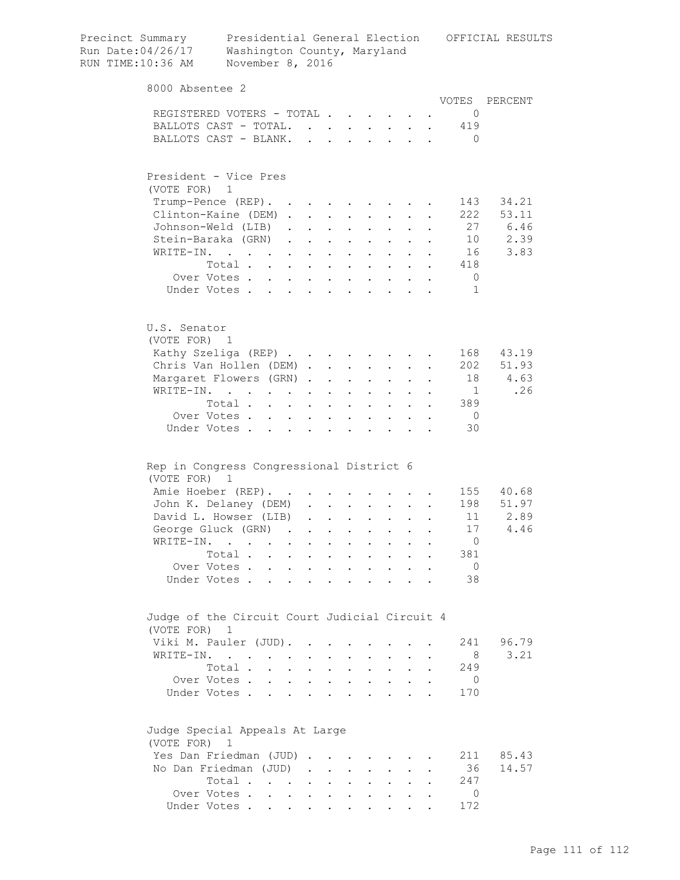| Precinct Summary<br>Run Date: 04/26/17<br>RUN TIME:10:36 AM | Washington County, Maryland<br>November 8, 2016 |                      |                                                                       |                                                                  |                           |                                 |                            |                                                 |                                                                                                                                                                   |              |                | Presidential General Election OFFICIAL RESULTS |
|-------------------------------------------------------------|-------------------------------------------------|----------------------|-----------------------------------------------------------------------|------------------------------------------------------------------|---------------------------|---------------------------------|----------------------------|-------------------------------------------------|-------------------------------------------------------------------------------------------------------------------------------------------------------------------|--------------|----------------|------------------------------------------------|
| 8000 Absentee 2                                             |                                                 |                      |                                                                       |                                                                  |                           |                                 |                            |                                                 |                                                                                                                                                                   |              |                |                                                |
|                                                             |                                                 |                      |                                                                       |                                                                  |                           |                                 |                            |                                                 |                                                                                                                                                                   |              |                | VOTES PERCENT                                  |
|                                                             | REGISTERED VOTERS - TOTAL                       |                      |                                                                       |                                                                  |                           |                                 |                            |                                                 |                                                                                                                                                                   |              | $\overline{0}$ |                                                |
|                                                             | BALLOTS CAST - TOTAL                            |                      |                                                                       |                                                                  |                           |                                 | $\mathcal{L}^{\text{max}}$ | $\mathbf{L}$                                    |                                                                                                                                                                   | $\mathbf{L}$ | 419            |                                                |
|                                                             | BALLOTS CAST - BLANK.                           |                      |                                                                       | $\mathbf{r}$                                                     | $\mathbf{r}$              |                                 |                            | $\mathbf{L}$                                    | $\sim$                                                                                                                                                            | $\sim$       | $\bigcirc$     |                                                |
| (VOTE FOR)                                                  | President - Vice Pres<br>1                      |                      |                                                                       |                                                                  |                           |                                 |                            |                                                 |                                                                                                                                                                   |              |                |                                                |
|                                                             | Trump-Pence (REP).                              |                      |                                                                       |                                                                  |                           | <b>Contract Contract Street</b> |                            | <b>Contract Contract</b>                        |                                                                                                                                                                   |              | 143            | 34.21                                          |
|                                                             | Clinton-Kaine (DEM).                            |                      |                                                                       | $\mathbf{L}$                                                     | $\mathbf{L}^{\text{max}}$ | $\bullet$                       |                            |                                                 |                                                                                                                                                                   |              | 222            | 53.11                                          |
|                                                             | Johnson-Weld (LIB)                              |                      | $\ddot{\phantom{a}}$                                                  | $\ddot{\phantom{a}}$                                             | $\ddot{\phantom{a}}$      |                                 |                            |                                                 |                                                                                                                                                                   |              | 27             | 6.46                                           |
|                                                             | Stein-Baraka (GRN)                              |                      | $\sim$                                                                | $\ddot{\phantom{0}}$                                             | $\ddot{\phantom{a}}$      |                                 |                            | $\ddot{\phantom{0}}$                            |                                                                                                                                                                   |              | 10             | 2.39                                           |
|                                                             | WRITE-IN.                                       |                      |                                                                       | $\mathbf{r} = \mathbf{r}$                                        | $\ddot{\phantom{a}}$      | $\mathcal{L}^{\text{max}}$      | $\mathbf{r}$               | $\sim$                                          | $\ddot{\phantom{a}}$                                                                                                                                              |              | 16             | 3.83                                           |
|                                                             | Total                                           |                      |                                                                       |                                                                  | $\ddot{\phantom{a}}$      | $\sim$ $\sim$ $\sim$            |                            |                                                 | $\cdot$ $\cdot$ $\cdot$ $\cdot$                                                                                                                                   |              | 418            |                                                |
|                                                             | Over Votes                                      |                      |                                                                       |                                                                  |                           |                                 |                            | $\cdot$ $\cdot$ $\cdot$ $\cdot$ $\cdot$ $\cdot$ | $\cdot$ $\cdot$                                                                                                                                                   |              | $\overline{0}$ |                                                |
|                                                             | Under Votes                                     |                      |                                                                       |                                                                  |                           |                                 |                            |                                                 |                                                                                                                                                                   |              | 1              |                                                |
| U.S. Senator<br>(VOTE FOR) 1                                |                                                 |                      |                                                                       |                                                                  |                           |                                 |                            |                                                 |                                                                                                                                                                   |              |                |                                                |
|                                                             | Kathy Szeliga (REP)                             |                      |                                                                       |                                                                  |                           |                                 |                            | <b>Service</b> State                            |                                                                                                                                                                   |              | 168            | 43.19                                          |
|                                                             | Chris Van Hollen (DEM).                         |                      |                                                                       |                                                                  |                           | $\mathbf{L}$ $\mathbf{L}$       |                            | $\mathbf{L} = \mathbf{L}$                       | $\mathbf{r}$                                                                                                                                                      |              | 202            | 51.93                                          |
|                                                             | Margaret Flowers (GRN).                         |                      |                                                                       |                                                                  | $\ddot{\phantom{0}}$      | <b>Contract Contract</b>        | $\mathbf{L}$               | $\mathbf{L}$                                    | $\ddot{\phantom{a}}$                                                                                                                                              |              | 18             | 4.63                                           |
|                                                             | WRITE-IN.                                       |                      |                                                                       |                                                                  | $\ddot{\phantom{a}}$      | $\sim$ 100 $\pm$                | $\mathbf{L}$               | $\mathbf{L}$                                    |                                                                                                                                                                   |              | $\overline{1}$ | .26                                            |
|                                                             | Total .                                         |                      | $\mathbf{r} = \mathbf{r} \times \mathbf{r}$ . The set of $\mathbf{r}$ |                                                                  |                           | $\mathbf{L}$ and $\mathbf{L}$   | $\sim$ 100 $\pm$           | $\ddot{\phantom{0}}$                            | $\sim$                                                                                                                                                            |              | 389            |                                                |
|                                                             | Over Votes                                      |                      |                                                                       | $\mathbf{z} = \mathbf{z} + \mathbf{z}$ .                         | $\bullet$ .               | $\mathbf{a}$ .                  | $\bullet$                  | $\mathbf{L}^{\text{max}}$                       | $\bullet$                                                                                                                                                         | $\bullet$    | $\overline{0}$ |                                                |
|                                                             | Under Votes                                     |                      |                                                                       | $\sim 100$ km s $^{-1}$                                          | $\ddot{\phantom{0}}$      | $\bullet$                       | $\bullet$                  | $\ddot{\phantom{a}}$                            | $\ddot{\phantom{1}}$                                                                                                                                              |              | 30             |                                                |
| (VOTE FOR) 1                                                | Rep in Congress Congressional District 6        |                      |                                                                       |                                                                  |                           |                                 |                            |                                                 |                                                                                                                                                                   |              |                |                                                |
|                                                             | Amie Hoeber (REP).                              |                      |                                                                       |                                                                  |                           |                                 |                            |                                                 |                                                                                                                                                                   |              |                | 155 40.68                                      |
|                                                             | John K. Delaney (DEM)                           |                      |                                                                       | $\mathbf{L}$                                                     |                           |                                 |                            |                                                 | $\mathbf{r}$ , $\mathbf{r}$ , $\mathbf{r}$ , $\mathbf{r}$ , $\mathbf{r}$                                                                                          |              |                | 198 51.97                                      |
|                                                             | David L. Howser (LIB)                           |                      |                                                                       | $\mathbf{L}^{\text{max}}$                                        |                           |                                 |                            |                                                 | $\begin{array}{cccccccccccccc} \bullet & \bullet & \bullet & \bullet & \bullet & \bullet & \bullet & \bullet & \bullet & \bullet & \bullet & \bullet \end{array}$ |              | 11             | 2.89                                           |
|                                                             | George Gluck (GRN)                              |                      |                                                                       |                                                                  |                           |                                 |                            |                                                 |                                                                                                                                                                   |              | 17             | 4.46                                           |
| WRITE-IN.                                                   | $\cdots$                                        |                      | $\bullet$                                                             | $\ddot{\phantom{0}}$                                             | $\bullet$                 |                                 |                            |                                                 |                                                                                                                                                                   |              | $\overline{0}$ |                                                |
|                                                             | Total.                                          | $\mathbf{r}$         |                                                                       | $\mathbf{A}^{(1)}$ and $\mathbf{A}^{(2)}$ and $\mathbf{A}^{(3)}$ | $\ddot{\phantom{0}}$      |                                 | $\ddot{\phantom{0}}$       |                                                 |                                                                                                                                                                   |              | 381            |                                                |
|                                                             | Over Votes.                                     | $\ddot{\phantom{a}}$ |                                                                       |                                                                  | $\ddot{\phantom{a}}$      |                                 |                            |                                                 |                                                                                                                                                                   |              | $\overline{0}$ |                                                |
|                                                             | Under Votes.                                    | $\ddot{\phantom{a}}$ |                                                                       |                                                                  |                           |                                 |                            |                                                 |                                                                                                                                                                   |              | 38             |                                                |
| (VOTE FOR) 1                                                | Judge of the Circuit Court Judicial Circuit 4   |                      |                                                                       |                                                                  |                           |                                 |                            |                                                 |                                                                                                                                                                   |              |                |                                                |
|                                                             | Viki M. Pauler (JUD).                           |                      |                                                                       |                                                                  |                           |                                 |                            |                                                 |                                                                                                                                                                   |              | 241            | 96.79                                          |
|                                                             | WRITE-IN.                                       |                      |                                                                       |                                                                  |                           |                                 |                            |                                                 |                                                                                                                                                                   |              | - 8            | 3.21                                           |
|                                                             | Total .                                         |                      | $\ddot{\phantom{a}}$                                                  |                                                                  | $\ddot{\phantom{a}}$      |                                 |                            |                                                 |                                                                                                                                                                   |              | 249            |                                                |
|                                                             | Over Votes.                                     | $\ddot{\phantom{0}}$ | $\ddot{\phantom{0}}$                                                  | $\mathbf{L}$                                                     | $\ddot{\phantom{a}}$      |                                 |                            | $\ddot{\phantom{0}}$                            |                                                                                                                                                                   |              | $\overline{0}$ |                                                |
|                                                             | Under Votes.                                    | $\sim$               |                                                                       |                                                                  |                           |                                 |                            |                                                 |                                                                                                                                                                   |              | 170            |                                                |
| (VOTE FOR)                                                  | Judge Special Appeals At Large<br>$\mathbf{1}$  |                      |                                                                       |                                                                  |                           |                                 |                            |                                                 |                                                                                                                                                                   |              |                |                                                |
|                                                             | Yes Dan Friedman (JUD)                          |                      |                                                                       | $\ddot{\phantom{a}}$                                             |                           |                                 |                            |                                                 |                                                                                                                                                                   |              | 211            | 85.43                                          |
|                                                             | No Dan Friedman (JUD)                           |                      |                                                                       |                                                                  | $\cdot$ $\cdot$ $\cdot$   | $\sim$ $-$                      | $\ddot{\phantom{0}}$       | $\ddot{\phantom{0}}$                            |                                                                                                                                                                   |              | 36             | 14.57                                          |
|                                                             | Total .                                         |                      | $\mathbf{z} = \mathbf{z} + \mathbf{z} + \mathbf{z} + \mathbf{z}$      |                                                                  |                           |                                 |                            |                                                 |                                                                                                                                                                   |              | 247            |                                                |
|                                                             | Over Votes                                      |                      | $\sim$ 100 $\pm$                                                      | $\bullet$ .                                                      | $\ddot{\phantom{0}}$      |                                 |                            |                                                 |                                                                                                                                                                   |              | $\overline{0}$ |                                                |
|                                                             | Under Votes                                     |                      |                                                                       |                                                                  |                           |                                 |                            |                                                 |                                                                                                                                                                   |              | 172            |                                                |